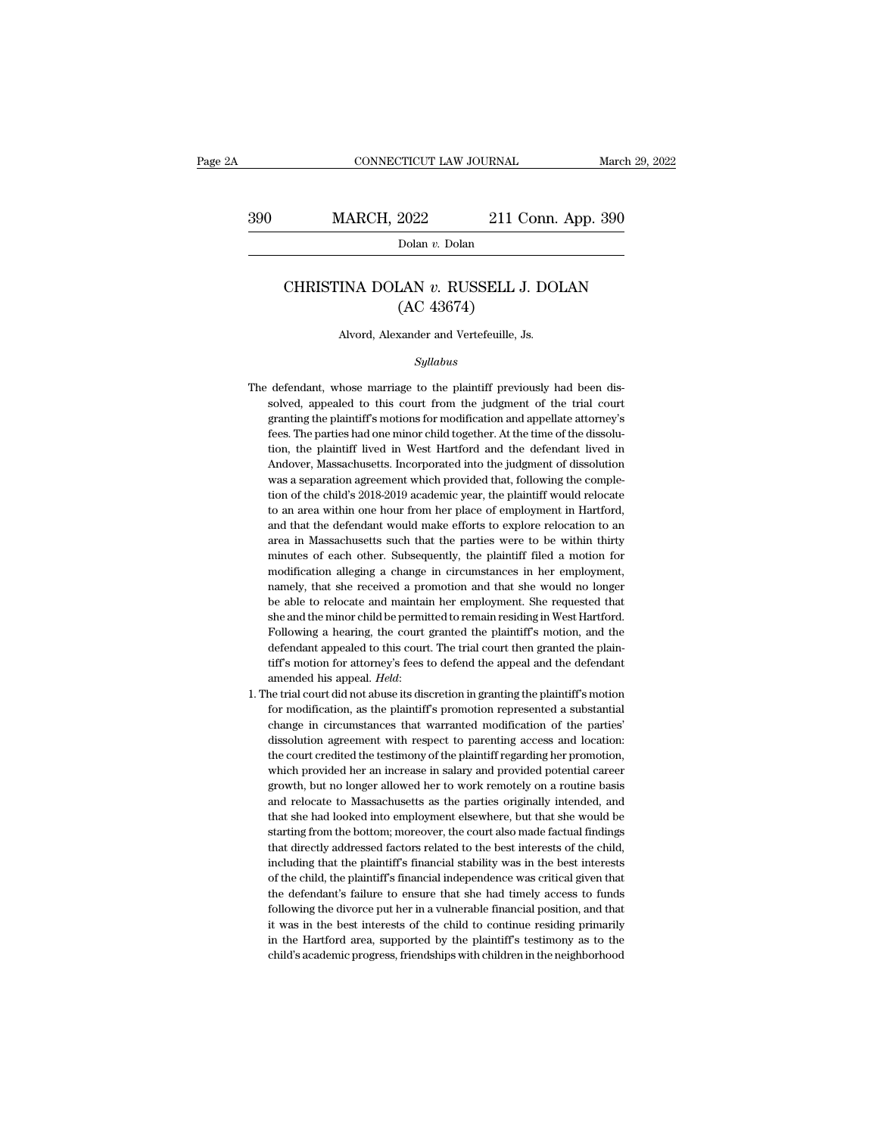CONNECTICUT LAW JOURNAL March 29, 2022<br>390 MARCH, 2022 211 Conn. App. 390<br>Dolan v. Dolan

Dolan *v.* Dolan

### MARCH, 2022 211 Conn. App. 390<br>Dolan *v.* Dolan<br>CHRISTINA DOLAN *v.* RUSSELL J. DOLAN<br>(AC 43674)  $\frac{2022}{\text{Dolan } v. \text{ Dolan}}$ <br>LAN  $v. \text{ RUSSELL J.}$ <br>(AC 43674)<br>xander and Vertefeuille, Js CHRISTINA DOLAN  $v$ . RUSSELL J. DOLAN<br>(AC 43674)<br>Alvord, Alexander and Vertefeuille, Js.

### *Syllabus*

- $(AC 43674)$ <br>Alvord, Alexander and Vertefeuille, Js.<br> $Syllabus$ <br>The defendant, whose marriage to the plaintiff previously had been dis-<br>solved, appealed to this court from the judgment of the trial court Alvord, Alexander and Vertefeuille, Js.<br>Syllabus<br>defendant, whose marriage to the plaintiff previously had been dis-<br>solved, appealed to this court from the judgment of the trial court<br>granting the plaintiff's motions for Alvord, Alexander and Vertefeuille, Js.<br>
Syllabus<br>
defendant, whose marriage to the plaintiff previously had been dis-<br>
solved, appealed to this court from the judgment of the trial court<br>
granting the plaintiff's motions The defendant, whose marriage to the plaintiff previously had been dissolved, appealed to this court from the judgment of the trial court granting the plaintiff's motions for modification and appellate attorney's fees. The the defendant, whose marriage to the plaintiff previously had been dissolved, appealed to this court from the judgment of the trial court granting the plaintiff's motions for modification and appellate attorney's fees. The defendant, whose marriage to the plaintiff previously had been dissolved, appealed to this court from the judgment of the trial court granting the plaintiff's motions for modification and appellate attorney's fees. The par solved, appealed to this court from the judgment of the trial court granting the plaintiff's motions for modification and appellate attorney's fees. The parties had one minor child together. At the time of the dissolution, granting the plaintiff's motions for modification and appellate attorney's<br>fees. The parties had one minor child together. At the time of the dissolu-<br>tion, the plaintiff lived in West Hartford and the defendant lived in<br>A fees. The parties had one minor child together. At the time of the dissolution, the plaintiff lived in West Hartford and the defendant lived in Andover, Massachusetts. Incorporated into the judgment of dissolution was a se tion, the plaintiff lived in West Hartford and the defendant lived in Andover, Massachusetts. Incorporated into the judgment of dissolution was a separation agreement which provided that, following the completion of the ch Andover, Massachusetts. Incorporated into the judgment of dissolution<br>was a separation agreement which provided that, following the comple-<br>tion of the child's 2018-2019 academic year, the plaintiff would relocate<br>to an ar was a separation agreement which provided that, following the completion of the child's 2018-2019 academic year, the plaintiff would relocate to an area within one hour from her place of employment in Hartford, and that t tion of the child's 2018-2019 academic year, the plaintiff would relocate to an area within one hour from her place of employment in Hartford, and that the defendant would make efforts to explore relocation to an area in to an area within one hour from her place of employment in Hartford, and that the defendant would make efforts to explore relocation to an area in Massachusetts such that the parties were to be within thirty minutes of each other. Subsequently, the plaintiff filed a motion for modification area in Massachusetts such that the parties were to be within thirty minutes of each other. Subsequently, the plaintiff filed a motion for modification alleging a change in circumstances in her employment, namely, that she minutes of each other. Subsequently, the plaintiff filed a motion for modification alleging a change in circumstances in her employment, namely, that she received a promotion and that she would no longer be able to relocat she and the minor child be permitted to remain residing in West Hartford. Following a hearing, the court granted the plaintiff's motion, and the defendant appealed to this court. The trial court then granted the plain-tif namely, that she received a promotion and that she would no longer<br>be able to relocate and maintain her employment. She requested that<br>she and the minor child be permitted to remain residing in West Hartford.<br>Following a h be able to relocate and maintain her employment. She requested that she and the minor child be permitted to remain residing in West Hartford. Following a hearing, the court granted the plaintiff's motion, and the defendant Following a hearing, the court granted the plaintiff's motion, and the defendant appealed to this court. The trial court then granted the plaintiff's motion for attorney's fees to defend the appeal and the defendant amende
- defendant appealed to this court. The trial court then granted the plain-<br>tiff's motion for attorney's fees to defend the appeal and the defendant<br>amended his appeal. *Held*:<br>he trial court did not abuse its discretion in tiff's motion for attorney's fees to defend the appeal and the defendant<br>amended his appeal. *Held*:<br>the trial court did not abuse its discretion in granting the plaintiff's motion<br>for modification, as the plaintiff's prom amended his appeal. *Held*:<br>he trial court did not abuse its discretion in granting the plaintiff's motion<br>for modification, as the plaintiff's promotion represented a substantial<br>change in circumstances that warranted mod he trial court did not abuse its discretion in granting the plaintiff's motion<br>for modification, as the plaintiff's promotion represented a substantial<br>change in circumstances that warranted modification of the parties'<br>di for modification, as the plaintiff's promotion represented a substantial change in circumstances that warranted modification of the parties' dissolution agreement with respect to parenting access and location: the court cr change in circumstances that warranted modification of the parties'<br>dissolution agreement with respect to parenting access and location:<br>the court credited the testimony of the plaintiff regarding her promotion,<br>which prov dissolution agreement with respect to parenting access and location:<br>the court credited the testimony of the plaintiff regarding her promotion,<br>which provided her an increase in salary and provided potential career<br>growth, the court credited the testimony of the plaintiff regarding her promotion, which provided her an increase in salary and provided potential career growth, but no longer allowed her to work remotely on a routine basis and re which provided her an increase in salary and provided potential career growth, but no longer allowed her to work remotely on a routine basis and relocate to Massachusetts as the parties originally intended, and that she ha growth, but no longer allowed her to work remotely on a routine basis<br>and relocate to Massachusetts as the parties originally intended, and<br>that she had looked into employment elsewhere, but that she would be<br>starting from and relocate to Massachusetts as the parties originally intended, and that she had looked into employment elsewhere, but that she would be starting from the bottom; moreover, the court also made factual findings that direc that she had looked into employment elsewhere, but that she would be starting from the bottom; moreover, the court also made factual findings that directly addressed factors related to the best interests of the child, incl starting from the bottom; moreover, the court also made factual findings<br>that directly addressed factors related to the best interests of the child,<br>including that the plaintiff's financial stability was in the best intere that directly addressed factors related to the best interests of the child, including that the plaintiff's financial stability was in the best interests of the child, the plaintiff's financial independence was critical giv including that the plaintiff's financial stability was in the best interests<br>of the child, the plaintiff's financial independence was critical given that<br>the defendant's failure to ensure that she had timely access to fund of the child, the plaintiff's financial independence was critical given that<br>the defendant's failure to ensure that she had timely access to funds<br>following the divorce put her in a vulnerable financial position, and that<br>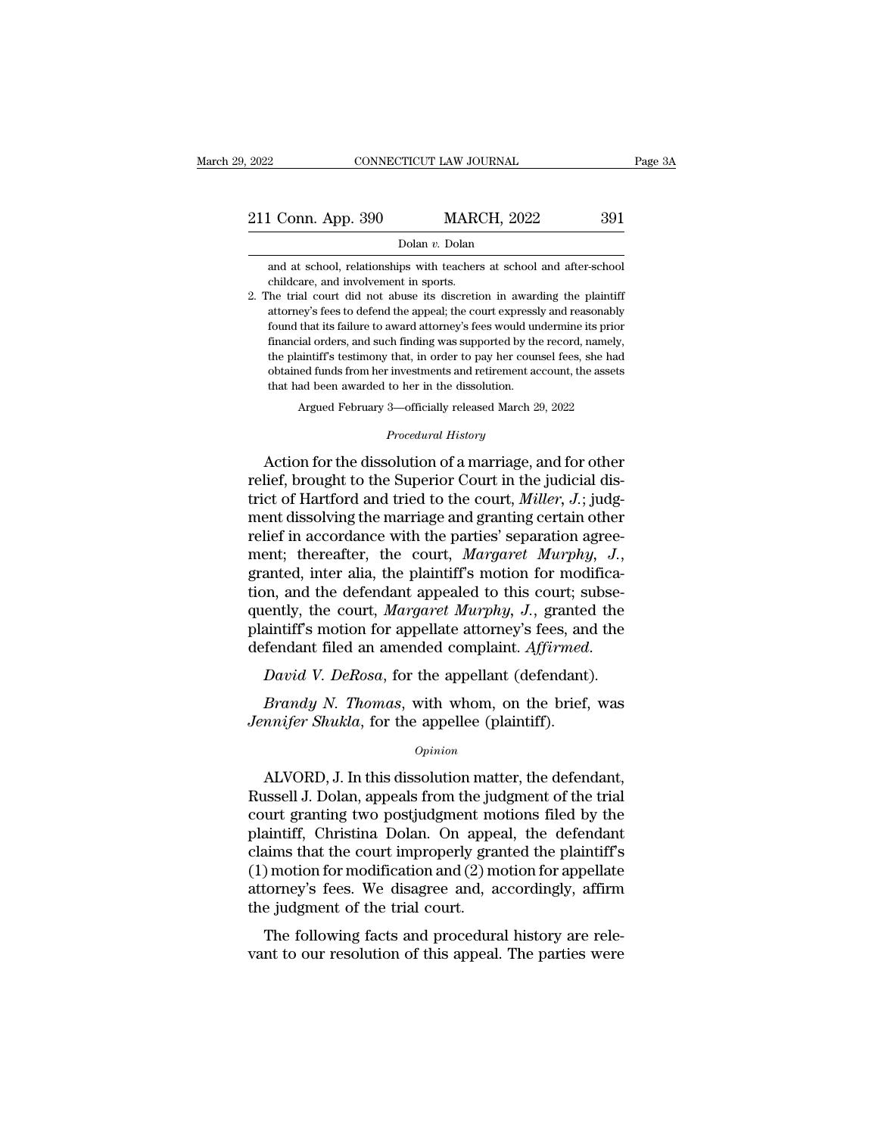### Dolan *v.* Dolan

1 Conn. App. 390 MARCH, 2022 391<br>
Dolan v. Dolan<br>
and at school, relationships with teachers at school and after-school<br>
childcare, and involvement in sports. 211 Conn. App. 390 MARCH, 2022 391<br>
Dolar v. Dolar<br>
and at school, relationships with teachers at school and after-school<br>
childcare, and involvement in sports.<br>
2. The trial court did not abuse its discretion in awarding

2. The trial court did not abuse its discretion in awarding the plaintiff Dolan v. Dolan<br>and at school, relationships with teachers at school and after-school<br>childcare, and involvement in sports.<br>The trial court did not abuse its discretion in awarding the plaintiff<br>attorney's fees to defend th found at school, relationships with teachers at school and after-school<br>childcare, and involvement in sports.<br>The trial court did not abuse its discretion in awarding the plaintiff<br>attorney's fees to defend the appeal; the and at school, relationships with teachers at school and after-school<br>childcare, and involvement in sports.<br>The trial court did not abuse its discretion in awarding the plaintiff<br>attorney's fees to defend the appeal; the c childcare, and involvement in sports.<br>The trial court did not abuse its discretion in awarding the plaintiff<br>attorney's fees to defend the appeal; the court expressly and reasonably<br>found that its failure to award attorney of the trial court did not abuse its discretion in awarding the plaintiff attorney's fees to defend the appeal; the court expressly and reasonably found that its failure to award attorney's fees would undermine its prior f that that at a set of the appeal; the court expression at attorney's fees to defend the appeal; the court expression found that its failure to award attorney's fees would un financial orders, and such finding was supported that its failure to award attorney's fees would undermine its prior<br>ial orders, and such finding was supported by the record, namely,<br>aintiff's testimony that, in order to pay her counsel fees, she had<br>eed funds from her i the plaintiff's testimony that, in order to pay her counsel fees, she had<br>obtained funds from her investments and retirement account, the assets<br>that had been awarded to her in the dissolution.<br>Argued February 3—officially mancial orders, and such mainly was supported by the record, namely,<br>the plaintiff's testimony that, in order to pay her counsel fees, she had<br>obtained funds from her investments and retirement account, the assets<br>that ha

obtained funds from her investments and retirement account, the assets<br>that had been awarded to her in the dissolution.<br>Argued February 3—officially released March 29, 2022<br>*Procedural History*<br>Action for the dissolution o that had been awarded to her in the dissolution.<br>
Argued February 3—officially released March 29, 2022<br> *Procedural History*<br>
Action for the dissolution of a marriage, and for other<br>
relief, brought to the Superior Court i Argued February 3—officially released March 29, 2022<br> *Procedural History*<br>
Action for the dissolution of a marriage, and for other<br>
relief, brought to the Superior Court in the judicial dis-<br>
trict of Hartford and tried t *Procedural History*<br>Action for the dissolution of a marriage, and for other<br>relief, brought to the Superior Court in the judicial dis-<br>trict of Hartford and tried to the court, *Miller*, *J*.; judg-<br>ment dissolving the ma Froceaural History<br>
reader and for other<br>
relief, brought to the Superior Court in the judicial dis-<br>
trict of Hartford and tried to the court, *Miller*, *J.*; judg-<br>
ment dissolving the marriage and granting certain other relief, brought to the Superior Court in the judicial district of Hartford and tried to the court, *Miller*, *J*.; judgment dissolving the marriage and granting certain other relief in accordance with the parties' separat trict of Hartford and tried to the court, *Miller*, *J.*; judgment dissolving the marriage and granting certain other relief in accordance with the parties' separation agreement; thereafter, the court, *Margaret Murphy*, ment dissolving the marriage and granting certain other<br>relief in accordance with the parties' separation agree-<br>ment; thereafter, the court, *Margaret Murphy*, *J.*,<br>granted, inter alia, the plaintiff's motion for modific relief in accordance with the parties' separation agreement; thereafter, the court, *Margaret Murphy*, *J.*, granted, inter alia, the plaintiff's motion for modification, and the defendant appealed to this court; subsequen *Brandy*, the court, *Margaret Murphy*, *J.*, granted the saintiff's motion for appellate attorney's fees, and the fendant filed an amended complaint. *Affirmed.*<br>*Bavid V. DeRosa*, for the appellant (defendant).<br>*Brandy N* quently, the court, *Margaret Murphy*, *J.*, granteconductiff's motion for appellate attorney's fees, and defendant filed an amended complaint. *Affirmed* David *V. DeRosa*, for the appellant (defendant) Brandy *N. Thomas* 

### *Opinion*

David V. DeRosa, for the appellant (defendant).<br>Brandy N. Thomas, with whom, on the brief, was<br>mnifer Shukla, for the appellee (plaintiff).<br>Opinion<br>ALVORD, J. In this dissolution matter, the defendant,<br>ussell J. Dolan, app Brandy N. Thomas, with whom, on the brief, was<br>Jennifer Shukla, for the appellee (plaintiff).<br>*Opinion*<br>ALVORD, J. In this dissolution matter, the defendant,<br>Russell J. Dolan, appeals from the judgment of the trial<br>court g *Brandy N. Thomas*, with whom, on the brief, was<br>*Jennifer Shukla*, for the appellee (plaintiff).<br>*Opinion*<br>ALVORD, J. In this dissolution matter, the defendant,<br>Russell J. Dolan, appeals from the judgment of the trial<br>cou *Jennifer Shukla*, for the appellee (plaintiff).<br>  $\omega_{pinion}$ <br>
ALVORD, J. In this dissolution matter, the defendant,<br>
Russell J. Dolan, appeals from the judgment of the trial<br>
court granting two postjudgment motions filed by opinion<br>
Comparison<br>
Comparison and the defendant,<br>
Russell J. Dolan, appeals from the judgment of the trial<br>
court granting two postjudgment motions filed by the<br>
plaintiff, Christina Dolan. On appeal, the defendant<br>
clai (1) MDMD, J. In this dissolution matter, the defendant,<br>Russell J. Dolan, appeals from the judgment of the trial<br>court granting two postjudgment motions filed by the<br>plaintiff, Christina Dolan. On appeal, the defendant<br>cla ALVORD, J. In this dissolution matter, the defendant,<br>Russell J. Dolan, appeals from the judgment of the trial<br>court granting two postjudgment motions filed by the<br>plaintiff, Christina Dolan. On appeal, the defendant<br>claim Russell J. Dolan, appeals from the juve court granting two postjudgment mo<br>plaintiff, Christina Dolan. On appe<br>claims that the court improperly gra<br>(1) motion for modification and (2) m<br>attorney's fees. We disagree and, a<br> full transmit granting two postplugatent informations fied by the antifff, Christina Dolan. On appeal, the defendant<br>aims that the court improperly granted the plaintiff's<br>) motion for modification and (2) motion for appel plantin, Unistina Dolait. On appeal, the detendant<br>claims that the court improperly granted the plaintiff's<br>(1) motion for modification and (2) motion for appellate<br>attorney's fees. We disagree and, accordingly, affirm<br>the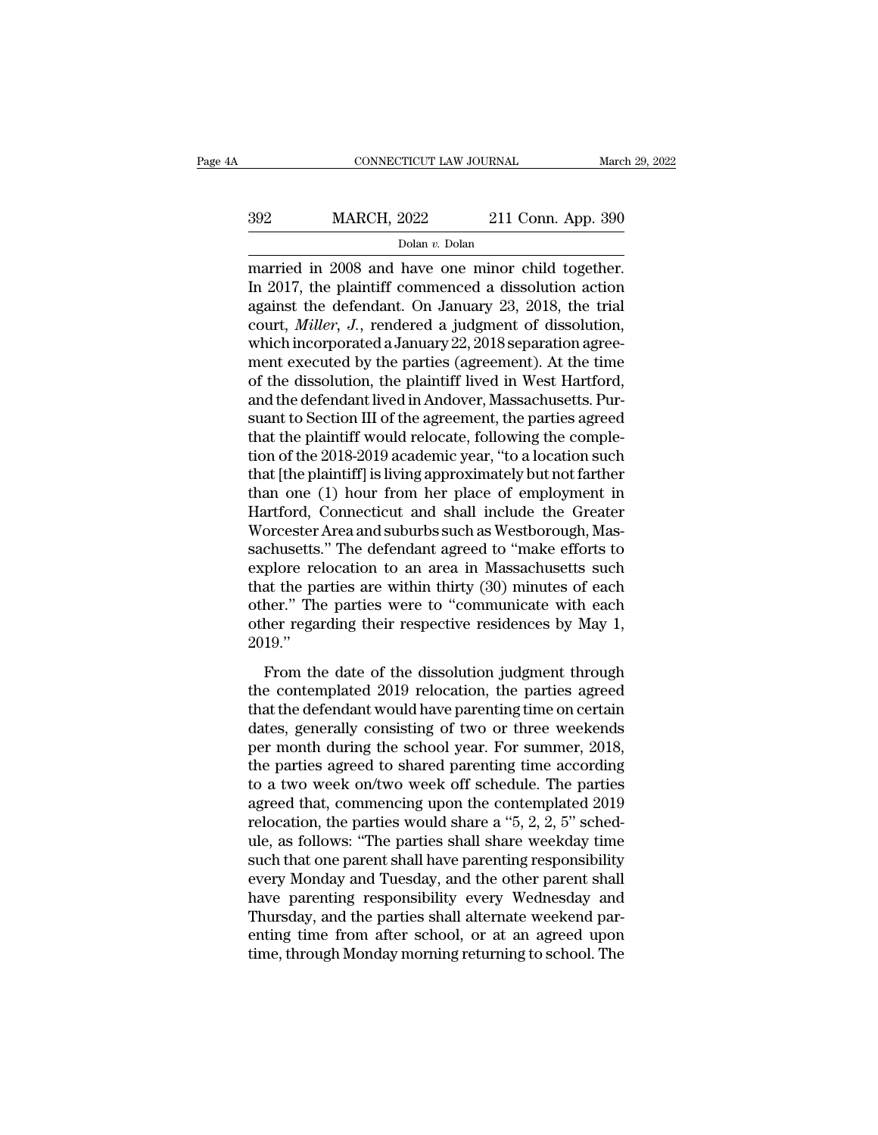## CONNECTICUT LAW JOURNAL March 29, 2022<br>392 MARCH, 2022 211 Conn. App. 390<br>Dolan v. Dolan Dolan *v.* Dolan

CONNECTICUT LAW JOURNAL March 29, 2<br>
MARCH, 2022 211 Conn. App. 390<br>
Dolar v. Dolan<br>
married in 2008 and have one minor child together.<br>
In 2017, the plaintiff commenced a dissolution action<br>
against the defendant On Janua  $\begin{array}{r} \n 392 \text{ MARCH, } 2022 \text{ 211 Conn. App. 390} \\
 \hline \n \text{Dolan } v. \text{ Dolan} \\
 \n \text{Married in } 2008 \text{ and have one minor child together.} \\
 \n \text{In } 2017, \text{ the plaintiff}{\text{commenced a dissolution action}} \\
 \n \text{against the defendant. On January 23, } 2018, \text{ the trial} \\
 \text{count} \text{ Miller. } I. \text{ rendered a judgment of discussion} \n \end{array}$ 392 MARCH, 2022 211 Conn. App. 390<br>
Dolan v. Dolan<br>
married in 2008 and have one minor child together.<br>
In 2017, the plaintiff commenced a dissolution action<br>
against the defendant. On January 23, 2018, the trial<br>
court, MARCH, 2022 211 Conn. App. 390<br>
Dolan v. Dolan<br>
married in 2008 and have one minor child together.<br>
In 2017, the plaintiff commenced a dissolution action<br>
against the defendant. On January 23, 2018, the trial<br>
court, *Mill* bolan *v*. Dolan<br>Dolan *v*. Dolan<br>married in 2008 and have one minor child together.<br>In 2017, the plaintiff commenced a dissolution action<br>against the defendant. On January 23, 2018, the trial<br>court, *Miller*, *J.*, rende bolan *v*. Dolan <br>married in 2008 and have one minor child together.<br>In 2017, the plaintiff commenced a dissolution action<br>against the defendant. On January 23, 2018, the trial<br>court, *Miller*, *J*., rendered a judgment o married in 2008 and have one minor child together.<br>In 2017, the plaintiff commenced a dissolution action<br>against the defendant. On January 23, 2018, the trial<br>court, *Miller*, J., rendered a judgment of dissolution,<br>which In 2017, the plaintiff commenced a dissolution action<br>against the defendant. On January 23, 2018, the trial<br>court, *Miller*, *J.*, rendered a judgment of dissolution,<br>which incorporated a January 22, 2018 separation agreeagainst the defendant. On January 23, 2018, the trial<br>court, *Miller*, J., rendered a judgment of dissolution,<br>which incorporated a January 22, 2018 separation agree-<br>ment executed by the parties (agreement). At the time<br>o court, *Miller*, *J.*, rendered a judgment of dissolution,<br>which incorporated a January 22, 2018 separation agree-<br>ment executed by the parties (agreement). At the time<br>of the dissolution, the plaintiff lived in West Hartf which incorporated a January 22, 2018 separation agreement executed by the parties (agreement). At the time<br>of the dissolution, the plaintiff lived in West Hartford,<br>and the defendant lived in Andover, Massachusetts. Pur-<br> ment executed by the parties (agreement). At the time<br>of the dissolution, the plaintiff lived in West Hartford,<br>and the defendant lived in Andover, Massachusetts. Pur-<br>suant to Section III of the agreement, the parties agr of the dissolution, the plaintiff lived in West Hartford,<br>and the defendant lived in Andover, Massachusetts. Pur-<br>suant to Section III of the agreement, the parties agreed<br>that the plaintiff would relocate, following the c and the defendant lived in Andover, Massachusetts. Pursuant to Section III of the agreement, the parties agreed<br>that the plaintiff would relocate, following the comple-<br>tion of the 2018-2019 academic year, "to a location s suant to Section III of the agreement, the parties agreed<br>that the plaintiff would relocate, following the comple-<br>tion of the 2018-2019 academic year, "to a location such<br>that [the plaintiff] is living approximately but n that the plaintiff would relocate, following the completion of the 2018-2019 academic year, "to a location such that [the plaintiff] is living approximately but not farther than one (1) hour from her place of employment in tion of the 2018-2019 academic year, "to a location such<br>that [the plaintiff] is living approximately but not farther<br>than one (1) hour from her place of employment in<br>Hartford, Connecticut and shall include the Greater<br>Wo that [the plaintiff] is living approximately but not farther<br>than one (1) hour from her place of employment in<br>Hartford, Connecticut and shall include the Greater<br>Worcester Area and suburbs such as Westborough, Mas-<br>sachus than one (1) hour from her place of employment in<br>Hartford, Connecticut and shall include the Greater<br>Worcester Area and suburbs such as Westborough, Mas-<br>sachusetts." The defendant agreed to "make efforts to<br>explore reloc Hartford, Connecticut and shall include the Greater<br>Worcester Area and suburbs such as Westborough, Massachusetts." The defendant agreed to "make efforts to<br>explore relocation to an area in Massachusetts such<br>that the part 2019.'' From the date of the dissolution judgment through<br>the parties are within thirty (30) minutes of each<br>her." The parties were to "communicate with each<br>her regarding their respective residences by May 1,<br>19."<br>From the date o that the parties are within thirty (30) minutes of each<br>other." The parties were to "communicate with each<br>other regarding their respective residences by May 1,<br>2019."<br>From the date of the dissolution judgment through<br>the

other." The parties were to "communicate with each<br>other regarding their respective residences by May 1,<br>2019."<br>From the date of the dissolution judgment through<br>the contemplated 2019 relocation, the parties agreed<br>that t other regarding their respective residences by May 1,<br>2019."<br>From the date of the dissolution judgment through<br>the contemplated 2019 relocation, the parties agreed<br>that the defendant would have parenting time on certain<br>da per month during the school year. For summer through the contemplated 2019 relocation, the parties agreed that the defendant would have parenting time on certain dates, generally consisting of two or three weekends per mo From the date of the dissolution judgment through<br>the contemplated 2019 relocation, the parties agreed<br>that the defendant would have parenting time on certain<br>dates, generally consisting of two or three weekends<br>per month From the date of the dissolution judgment through<br>the contemplated 2019 relocation, the parties agreed<br>that the defendant would have parenting time on certain<br>dates, generally consisting of two or three weekends<br>per month the contemplated 2019 relocation, the parties agreed<br>that the defendant would have parenting time on certain<br>dates, generally consisting of two or three weekends<br>per month during the school year. For summer, 2018,<br>the part that the defendant would have parenting time on certain<br>dates, generally consisting of two or three weekends<br>per month during the school year. For summer, 2018,<br>the parties agreed to shared parenting time according<br>to a tw dates, generally consisting of two or three weekends<br>per month during the school year. For summer, 2018,<br>the parties agreed to shared parenting time according<br>to a two week on/two week off schedule. The parties<br>agreed that per month during the school year. For summer, 2018,<br>the parties agreed to shared parenting time according<br>to a two week on/two week off schedule. The parties<br>agreed that, commencing upon the contemplated 2019<br>relocation, t the parties agreed to shared parenting time according<br>to a two week on/two week off schedule. The parties<br>agreed that, commencing upon the contemplated 2019<br>relocation, the parties would share a "5, 2, 2, 5" sched-<br>ule, as to a two week on/two week off schedule. The parties<br>agreed that, commencing upon the contemplated 2019<br>relocation, the parties would share a "5, 2, 2, 5" sched-<br>ule, as follows: "The parties shall share weekday time<br>such t agreed that, commencing upon the contemplated 2019<br>relocation, the parties would share a "5, 2, 2, 5" sched-<br>ule, as follows: "The parties shall share weekday time<br>such that one parent shall have parenting responsibility<br>e relocation, the parties would share a "5, 2, 2, 5" sched-<br>ule, as follows: "The parties shall share weekday time<br>such that one parent shall have parenting responsibility<br>every Monday and Tuesday, and the other parent shall ule, as follows: "The parties shall share weekday time<br>such that one parent shall have parenting responsibility<br>every Monday and Tuesday, and the other parent shall<br>have parenting responsibility every Wednesday and<br>Thursda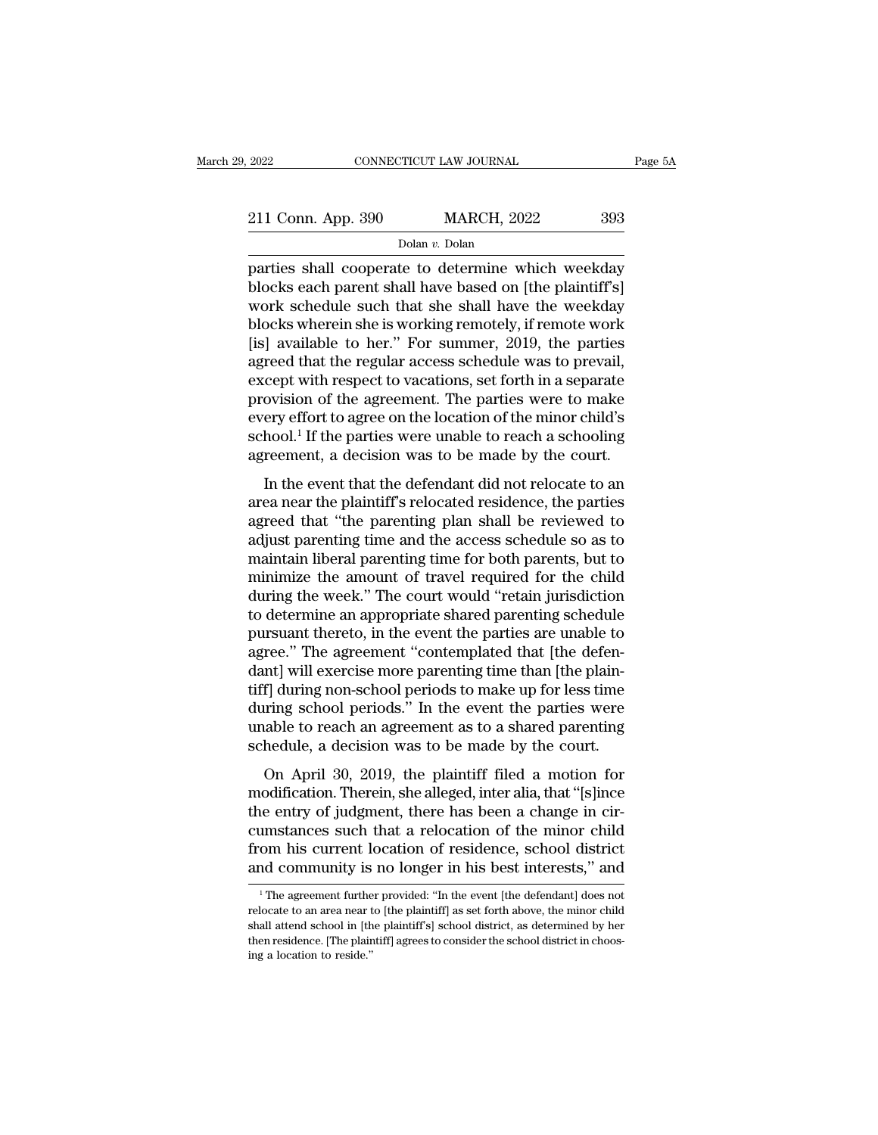| 2022               | CONNECTICUT LAW JOURNAL |                    |     | Page 5A |
|--------------------|-------------------------|--------------------|-----|---------|
| 211 Conn. App. 390 |                         | <b>MARCH, 2022</b> | 393 |         |
|                    | Dolan v. Dolan          |                    |     |         |

Page 5A<br>
2022 CONNECTICUT LAW JOURNAL Page 5A<br>
211 Conn. App. 390 MARCH, 2022 393<br>
Dolan v. Dolan<br>
parties shall cooperate to determine which weekday<br>
blocks each parent shall have based on [the plaintiff's]<br>
work schoolul 211 Conn. App. 390 MARCH, 2022 393<br>
Dolar v. Dolar<br>
parties shall cooperate to determine which weekday<br>
blocks each parent shall have based on [the plaintiff's]<br>
work schedule such that she shall have the weekday<br>
blocks 211 Conn. App. 390 MARCH, 2022 393<br>  $\frac{\text{Dolan } v. \text{Dolan}}{\text{parts shall cooperate to determine which weekly}}$ <br>
parties shall cooperate to determine which weekday<br>
blocks each parent shall have based on [the plaintiff's]<br>
work schedule such that she shall have the w 211 Conn. App. 390 MARCH, 2022 393<br>
Dolan v. Dolan<br>
parties shall cooperate to determine which weekday<br>
blocks each parent shall have based on [the plaintiff's]<br>
work schedule such that she shall have the weekday<br>
blocks Dolan v. Dolan<br>parties shall cooperate to determine which weekday<br>blocks each parent shall have based on [the plaintiff's]<br>work schedule such that she shall have the weekday<br>blocks wherein she is working remotely, if remot bolan v. Dolan<br>parties shall cooperate to determine which weekday<br>blocks each parent shall have based on [the plaintiff's]<br>work schedule such that she shall have the weekday<br>blocks wherein she is working remotely, if remo parties shall cooperate to determine which weekday<br>blocks each parent shall have based on [the plaintiff's]<br>work schedule such that she shall have the weekday<br>blocks wherein she is working remotely, if remote work<br>[is] ava blocks each parent shall have based on [the plaintiff's]<br>work schedule such that she shall have the weekday<br>blocks wherein she is working remotely, if remote work<br>[is] available to her." For summer, 2019, the parties<br>agree work schedule such that she shall have the weekday<br>blocks wherein she is working remotely, if remote work<br>[is] available to her." For summer, 2019, the parties<br>agreed that the regular access schedule was to prevail,<br>except blocks wherein she is working remotely, if remote work<br>[is] available to her." For summer, 2019, the parties<br>agreed that the regular access schedule was to prevail,<br>except with respect to vacations, set forth in a separate [is] available to her." For summer, 2019, the parties agreed that the regular access schedule was to prevail, except with respect to vacations, set forth in a separate provision of the agreement. The parties were to make In the regular access schedule was to prevail,<br>
Cept with respect to vacations, set forth in a separate<br>
ovision of the agreement. The parties were to make<br>
ery effort to agree on the location of the minor child's<br>
hool.<sup>1</sup> except what respect to vacations, set forth in a separate<br>provision of the agreement. The parties were to make<br>every effort to agree on the location of the minor child's<br>school.<sup>1</sup> If the parties were unable to reach a sch

provision of the tagreement. The parties were to make<br>every effort to agree on the location of the minor child's<br>school.<sup>1</sup> If the parties were unable to reach a schooling<br>agreement, a decision was to be made by the court. school.<sup>1</sup> If the parties were unable to reach a schooling<br>agreement, a decision was to be made by the court.<br>In the event that the defendant did not relocate to an<br>area near the plaintiff's relocated residence, the partie agreement, a decision was to be made by the court.<br>In the event that the defendant did not relocate to an<br>area near the plaintiff's relocated residence, the parties<br>agreed that "the parenting plan shall be reviewed to<br>adju In the event that the defendant did not relocate to an<br>area near the plaintiff's relocated residence, the parties<br>agreed that "the parenting plan shall be reviewed to<br>adjust parenting time and the access schedule so as to<br> In the event that the defendant did not relocate to an<br>area near the plaintiff's relocated residence, the parties<br>agreed that "the parenting plan shall be reviewed to<br>adjust parenting time and the access schedule so as to<br> area near the plaintiff's relocated residence, the parties<br>agreed that "the parenting plan shall be reviewed to<br>adjust parenting time and the access schedule so as to<br>maintain liberal parenting time for both parents, but t agreed that "the parenting plan shall be reviewed to<br>adjust parenting time and the access schedule so as to<br>maintain liberal parenting time for both parents, but to<br>minimize the amount of travel required for the child<br>duri adjust parenting time and the access schedule so as to<br>maintain liberal parenting time for both parents, but to<br>minimize the amount of travel required for the child<br>during the week." The court would "retain jurisdiction<br>to maintain liberal parenting time for both parents, but to<br>minimize the amount of travel required for the child<br>during the week." The court would "retain jurisdiction<br>to determine an appropriate shared parenting schedule<br>pur minimize the amount of travel required for the child<br>during the week." The court would "retain jurisdiction<br>to determine an appropriate shared parenting schedule<br>pursuant thereto, in the event the parties are unable to<br>agr during the week." The court would "retain jurisdiction<br>to determine an appropriate shared parenting schedule<br>pursuant thereto, in the event the parties are unable to<br>agree." The agreement "contemplated that [the defen-<br>dan to determine an appropriate shared parenting schedule<br>pursuant thereto, in the event the parties are unable to<br>agree." The agreement "contemplated that [the defen-<br>dant] will exercise more parenting time than [the plain-<br>t pursuant thereto, in the event the parties are unable to agree." The agreement "contemplated that [the defendant] will exercise more parenting time than [the plaintiff] during non-school periods to make up for less time du rec. The agreement contemplated and fall deret<br>and juli exercise more parenting time than [the plain-<br>f] during non-school periods to make up for less time<br>aring school periods." In the event the parties were<br>able to reach modification. Therein, she alleged, inter alia, that 'is limed<br>tiff] during school periods." In the event the parties were<br>unable to reach an agreement as to a shared parenting<br>schedule, a decision was to be made by the co

tiff] during non-school periods to make up for less time<br>during school periods." In the event the parties were<br>unable to reach an agreement as to a shared parenting<br>schedule, a decision was to be made by the court.<br>On Apri during sensor periods. In the event the parties were<br>unable to reach an agreement as to a shared parenting<br>schedule, a decision was to be made by the court.<br>On April 30, 2019, the plaintiff filed a motion for<br>modification. schedule, a decision was to be made by the court.<br>On April 30, 2019, the plaintiff filed a motion for<br>modification. Therein, she alleged, inter alia, that "[s]ince<br>the entry of judgment, there has been a change in cir-<br>cum On April 30, 2019, the plaintiff filed a motion for modification. Therein, she alleged, inter alia, that "[s]ince the entry of judgment, there has been a change in circumstances such that a relocation of the minor child f ie entry of judgment, there has been a change in cir-<br>imstances such that a relocation of the minor child<br>community is no longer in his best interests," and<br><sup>1</sup>The agreement further provided: "In the event [the defendant] cumstances such that a relocation of the minor child<br>from his current location of residence, school district<br>and community is no longer in his best interests," and<br><sup>1</sup>The agreement further provided: "In the event [the defe

from his current location of residence, school district<br>and community is no longer in his best interests," and<br> $\frac{1}{1}$ The agreement further provided: "In the event [the defendant] does not<br>relocate to an area near to [t and community is no longer in his best interests," and<br>
<sup>1</sup>The agreement further provided: "In the event [the defendant] does not<br>
relocate to an area near to [the plaintiff] as set forth above, the minor child<br>
shall atte  $^1$  The agreement further provided: "In the event [the defendant] does not relocate to an area near to [the plaintiff] as set forth above, the minor child shall attend school in [the plaintiff]s] school district, as dete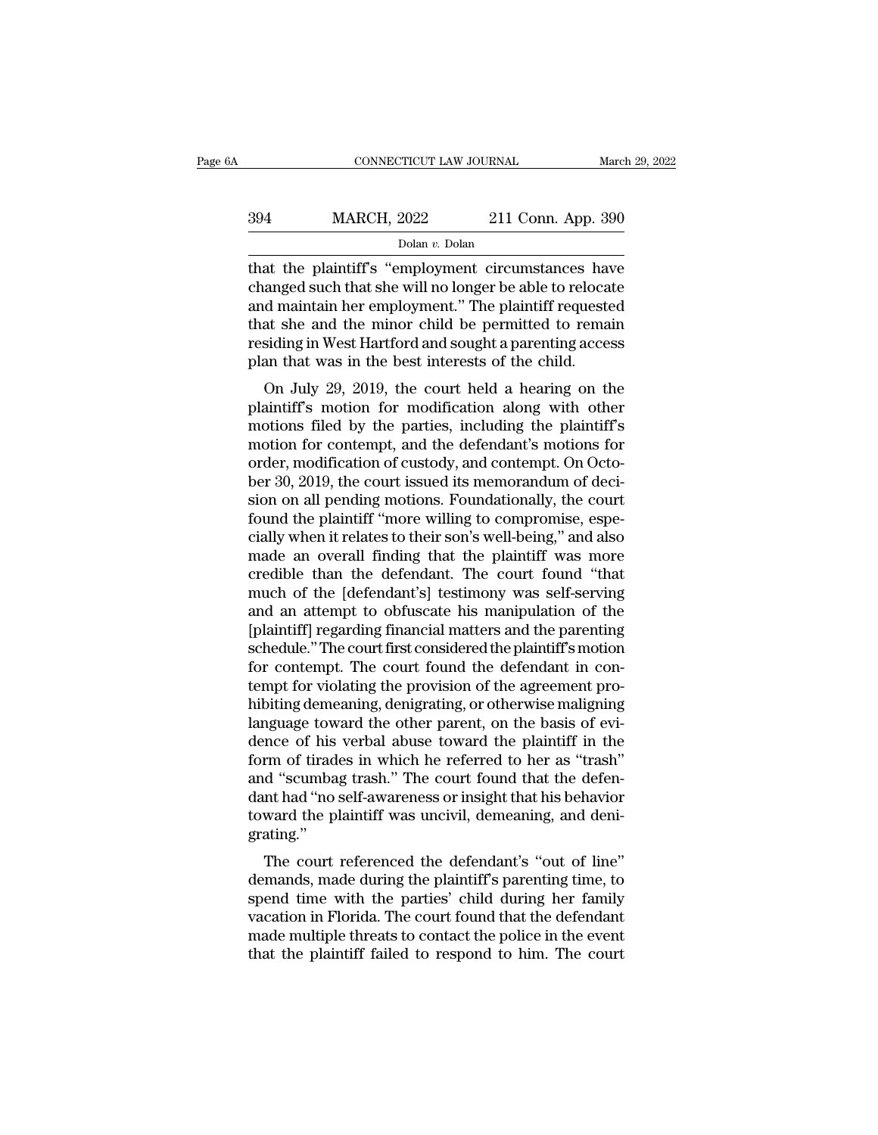## CONNECTICUT LAW JOURNAL March 29, 2022<br>394 MARCH, 2022 211 Conn. App. 390<br>Dolan v. Dolan Dolan *v.* Dolan

CONNECTICUT LAW JOURNAL March 29, 2022<br>
394 MARCH, 2022 211 Conn. App. 390<br>
Dolan v. Dolan<br>
that the plaintiff's "employment circumstances have<br>
changed such that she will no longer be able to relocate<br>
and maintain har em MARCH, 2022 211 Conn. App. 390<br>
Dolan v. Dolan<br>
that the plaintiff's "employment circumstances have<br>
changed such that she will no longer be able to relocate<br>
and maintain her employment." The plaintiff requested<br>
that she  $\frac{\text{Dolan } v. \text{ Dolan } v. \text{ Dolan}}{\text{Dolan } v. \text{ Dolan}}$ <br>  $\frac{\text{Dolan } v. \text{ Dolan}}{\text{that the plaintiff's " employment circumstances have changed such that she will no longer be able to relocated and maintain her employment." The plaintiff requested that she and the minor child be permitted to remain residing in West Hartford and sought a normal process.}$  $\frac{\text{Dolan } v. \text{ Dolan}}{\text{Dolan } v. \text{ Dolan}}$ <br>  $\frac{\text{Dolan } v. \text{ Dolan}}{\text{Data the plaintiff's "emplogment circumstances have changed such that she will no longer be able to relocate and maintain her employment." The plaintiff requested that she and the minor child be permitted to remain residing in West Hartford and sought a parenting access plan that was in the host interest of the child.}$ Dolan v. Dolan<br>Dolan v. Dolan<br>that the plaintiff's "employment circumstances have<br>changed such that she will no longer be able to relocate<br>and maintain her employment." The plaintiff requested<br>that she and the minor child bolan v. Dolan<br>that the plaintiff's "employment circumstances have<br>changed such that she will no longer be able to reloca<br>and maintain her employment." The plaintiff requeste<br>that she and the minor child be permitted to r and the plaintin's employment circumstances have<br>anged such that she will no longer be able to relocate<br>d maintain her employment." The plaintiff requested<br>at she and the minor child be permitted to remain<br>siding in West H enalged such that she will no longer be able to relocate<br>and maintain her employment." The plaintiff requested<br>that she and the minor child be permitted to remain<br>residing in West Hartford and sought a parenting access<br>pla

and maintain her employment. The plaintiff requested<br>that she and the minor child be permitted to remain<br>residing in West Hartford and sought a parenting access<br>plan that was in the best interests of the child.<br>On July 29, mat she and the fillion child be permitted to remain<br>residing in West Hartford and sought a parenting access<br>plan that was in the best interests of the child.<br>On July 29, 2019, the court held a hearing on the<br>plaintiff's m residing in west rialition and sought a parenting access<br>plan that was in the best interests of the child.<br>On July 29, 2019, the court held a hearing on the<br>plaintiff's motion for modification along with other<br>motions file plant that was in the best interests of the child.<br>On July 29, 2019, the court held a hearing on the<br>plaintiff's motion for modification along with other<br>motions filed by the parties, including the plaintiff's<br>motion for c On July 29, 2019, the court held a hearing on the<br>plaintiff's motion for modification along with other<br>motions filed by the parties, including the plaintiff's<br>motion for contempt, and the defendant's motions for<br>order, mod plaintiff's motion for modification along with other<br>motions filed by the parties, including the plaintiff's<br>motion for contempt, and the defendant's motions for<br>order, modification of custody, and contempt. On Octo-<br>ber 3 motions filed by the parties, including the plaintiff's<br>motion for contempt, and the defendant's motions for<br>order, modification of custody, and contempt. On Octo-<br>ber 30, 2019, the court issued its memorandum of deci-<br>sio motion for contempt, and the defendant's motions for<br>order, modification of custody, and contempt. On Octo-<br>ber 30, 2019, the court issued its memorandum of deci-<br>sion on all pending motions. Foundationally, the court<br>foun order, modification of custody, and contempt. On October 30, 2019, the court issued its memorandum of decision on all pending motions. Foundationally, the court found the plaintiff "more willing to compromise, especially w ber 30, 2019, the court issued its memorandum of decision on all pending motions. Foundationally, the court<br>found the plaintiff "more willing to compromise, especially when it relates to their son's well-being," and also<br>m sion on all pending motions. Foundationally, the court<br>found the plaintiff "more willing to compromise, espe-<br>cially when it relates to their son's well-being," and also<br>made an overall finding that the plaintiff was more<br> found the plaintiff "more willing to compromise, especially when it relates to their son's well-being," and also<br>made an overall finding that the plaintiff was more<br>credible than the defendant. The court found "that<br>much o cially when it relates to their son's well-being," and also<br>made an overall finding that the plaintiff was more<br>credible than the defendant. The court found "that<br>much of the [defendant's] testimony was self-serving<br>and an made an overall finding that the plaintiff was more<br>credible than the defendant. The court found "that<br>much of the [defendant's] testimony was self-serving<br>and an attempt to obfuscate his manipulation of the<br>[plaintiff] re credible than the defendant. The court found "that<br>much of the [defendant's] testimony was self-serving<br>and an attempt to obfuscate his manipulation of the<br>[plaintiff] regarding financial matters and the parenting<br>schedule much of the [defendant's] testimony was self-serving<br>and an attempt to obfuscate his manipulation of the<br>[plaintiff] regarding financial matters and the parenting<br>schedule." The court first considered the plaintiff's motio and an attempt to obfuscate his manipulation of the [plaintiff] regarding financial matters and the parenting schedule." The court first considered the plaintiff's motion for contempt. The court found the defendant in cont [plaintiff] regarding financial matters and the parenting<br>schedule." The court first considered the plaintiff's motion<br>for contempt. The court found the defendant in con-<br>tempt for violating the provision of the agreement schedule." The court first considered the plaintiff's motion<br>for contempt. The court found the defendant in con-<br>tempt for violating the provision of the agreement pro-<br>hibiting demeaning, denigrating, or otherwise maligni for contempt. The court found the defendant in contempt for violating the provision of the agreement pro-<br>hibiting demeaning, denigrating, or otherwise maligning<br>language toward the other parent, on the basis of evi-<br>dence tempt for violating the provision of the agreement pro-<br>hibiting demeaning, denigrating, or otherwise maligning<br>language toward the other parent, on the basis of evi-<br>dence of his verbal abuse toward the plaintiff in the<br>f hibiting demeaning, denigrating, or otherwise maligning<br>language toward the other parent, on the basis of evi-<br>dence of his verbal abuse toward the plaintiff in the<br>form of tirades in which he referred to her as "trash"<br>an grating.'' The court referenced the defendant's "out of line"<br>The court found that the defen-<br>at "scumbag trash." The court found that the defen-<br>at had "no self-awareness or insight that his behavior<br>ward the plaintiff was uncivil, Form of trades in which he felefred to her as "trash"<br>and "scumbag trash." The court found that the defen-<br>dant had "no self-awareness or insight that his behavior<br>toward the plaintiff was uncivil, demeaning, and deni-<br>gra

and scumbag trash. The court found that the defendent<br>dant had "no self-awareness or insight that his behavior<br>toward the plaintiff was uncivil, demeaning, and deni-<br>grating."<br>The court referenced the defendant's "out of l vacant had no sen-awareness of fisignt that his behavior<br>toward the plaintiff was uncivil, demeaning, and deni-<br>grating."<br>The court referenced the defendant's "out of line"<br>demands, made during the plaintiff's parenting ti toward the plantifical was uncivit, defined<br>grating."<br>The court referenced the defendant's "out of line"<br>demands, made during the plaintiff's parenting time, to<br>spend time with the parties' child during her family<br>vacation The court referenced the defendant's "out of line"<br>demands, made during the plaintiff's parenting time, to<br>spend time with the parties' child during her family<br>vacation in Florida. The court found that the defendant<br>made m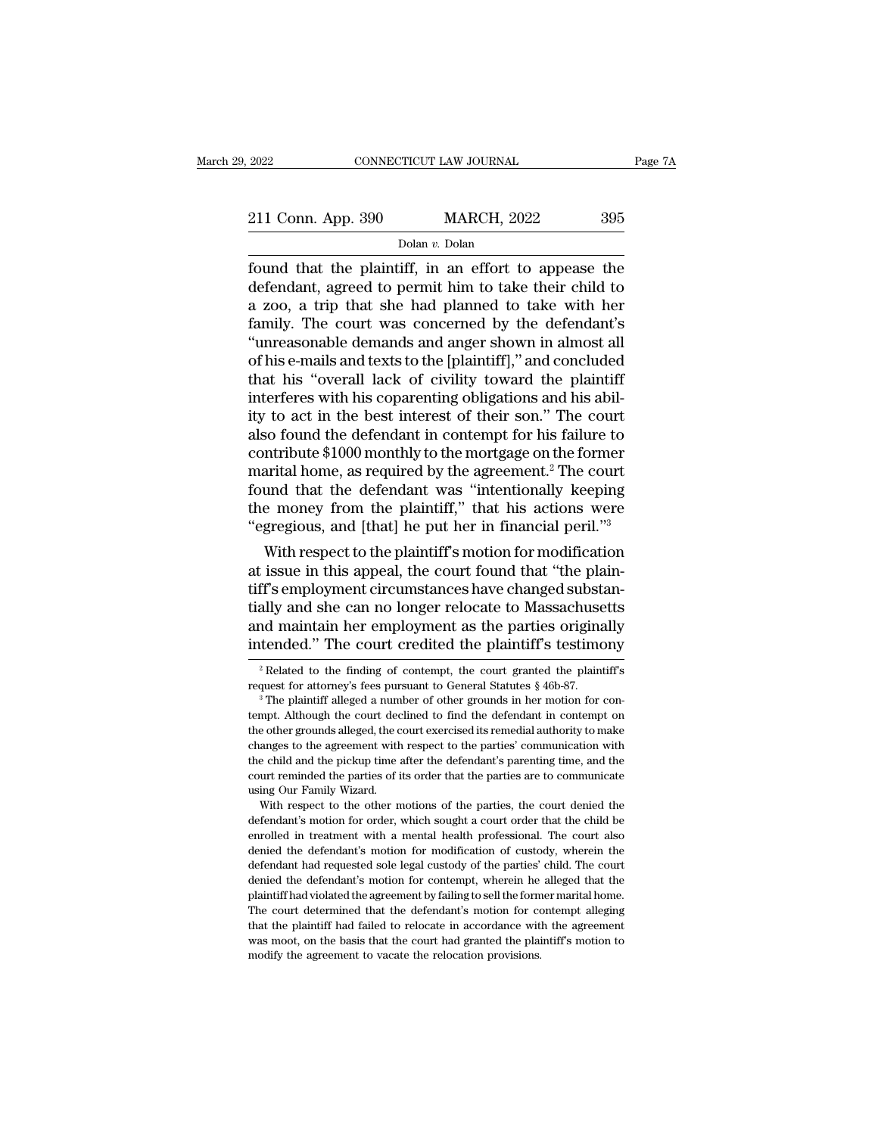| 2022               | CONNECTICUT LAW JOURNAL |                    |     | Page 7A |
|--------------------|-------------------------|--------------------|-----|---------|
|                    |                         |                    |     |         |
| 211 Conn. App. 390 |                         | <b>MARCH, 2022</b> | 395 |         |
|                    | Dolan v. Dolan          |                    |     |         |

Fage 7A<br>
2022 CONNECTICUT LAW JOURNAL Page 7A<br>
211 Conn. App. 390 MARCH, 2022 395<br>
Dolan v. Dolan<br>
found that the plaintiff, in an effort to appease the<br>
defendant, agreed to permit him to take their child to<br>
2.700, 2 tr 211 Conn. App. 390 MARCH, 2022 395<br>
Dolar v. Dolar<br>
found that the plaintiff, in an effort to appease the<br>
defendant, agreed to permit him to take their child to<br>
a zoo, a trip that she had planned to take with her<br>
famil 211 Conn. App. 390 MARCH, 2022 395<br>
Dolar v. Dolar<br>
found that the plaintiff, in an effort to appease the<br>
defendant, agreed to permit him to take their child to<br>
a zoo, a trip that she had planned to take with her<br>
famil 211 Conn. App. 390 MARCH, 2022 395<br>
Dolar v. Dolan<br>
found that the plaintiff, in an effort to appease the<br>
defendant, agreed to permit him to take their child to<br>
a zoo, a trip that she had planned to take with her<br>
famil Dolar v. Dolar box 11 Social Apple 555 Mathemat, 2022 1983<br>
found that the plaintiff, in an effort to appease the<br>
defendant, agreed to permit him to take their child to<br>
a zoo, a trip that she had planned to take with he bolan  $v$ . Dolan<br>found that the plaintiff, in an effort to appease the<br>defendant, agreed to permit him to take their child to<br>a zoo, a trip that she had planned to take with her<br>family. The court was concerned by the defe found that the plaintiff, in an effort to appease the<br>defendant, agreed to permit him to take their child to<br>a zoo, a trip that she had planned to take with her<br>family. The court was concerned by the defendant's<br>"unreasona defendant, agreed to permit him to take their child to<br>a zoo, a trip that she had planned to take with her<br>family. The court was concerned by the defendant's<br>"unreasonable demands and anger shown in almost all<br>of his e-mai a zoo, a trip that she had planned to take with her<br>family. The court was concerned by the defendant's<br>"unreasonable demands and anger shown in almost all<br>of his e-mails and texts to the [plaintiff]," and concluded<br>that hi family. The court was concerned by the defendant's<br>"unreasonable demands and anger shown in almost all<br>of his e-mails and texts to the [plaintiff]," and concluded<br>that his "overall lack of civility toward the plaintiff<br>in "unreasonable demands and anger shown in almost all<br>of his e-mails and texts to the [plaintiff]," and concluded<br>that his "overall lack of civility toward the plaintiff<br>interferes with his coparenting obligations and his ab of his e-mails and texts to the [plaintiff]," and concluded<br>that his "overall lack of civility toward the plaintiff<br>interferes with his coparenting obligations and his abil-<br>ity to act in the best interest of their son." T that his "overall lack of civility toward the plaintiff<br>interferes with his coparenting obligations and his abil-<br>ity to act in the best interest of their son." The court<br>also found the defendant in contempt for his failur interferes with his coparenting obligations and his ability to act in the best interest of their son." The court<br>also found the defendant in contempt for his failure to<br>contribute \$1000 monthly to the mortgage on the forme ity to act in the best interest of their son." The court<br>also found the defendant in contempt for his failure to<br>contribute \$1000 monthly to the mortgage on the former<br>marital home, as required by the agreement.<sup>2</sup> The cou so round the defendant in contempt for his failure to<br>ntribute \$1000 monthly to the mortgage on the former<br>arital home, as required by the agreement.<sup>2</sup> The court<br>und that the defendant was "intentionally keeping<br>e money contribute \$1000 monthly to the mortgage on the former<br>marital home, as required by the agreement.<sup>2</sup> The court<br>found that the defendant was "intentionally keeping<br>the money from the plaintiff," that his actions were<br>"egre

marital nome, as required by the agreement." The court<br>found that the defendant was "intentionally keeping<br>the money from the plaintiff," that his actions were<br>"egregious, and [that] he put her in financial peril."<sup>3</sup><br>With round that the defendant was intentionally keeping<br>the money from the plaintiff," that his actions were<br>"egregious, and [that] he put her in financial peril."<sup>3</sup><br>With respect to the plaintiff's motion for modification<br>at i the money from the plaintiff, that his actions were<br>
"egregious, and [that] he put her in financial peril."<sup>3</sup><br>
With respect to the plaintiff's motion for modification<br>
at issue in this appeal, the court found that "the pl "egregious, and [that] ne put ner in innancial perii."<br>With respect to the plaintiff's motion for modification<br>at issue in this appeal, the court found that "the plain-<br>tiff's employment circumstances have changed substan ff's employment circumstances have changed substanally and she can no longer relocate to Massachusetts<br>and maintain her employment as the parties originally<br>tended." The court credited the plaintiff's testimony<br><sup>2</sup> Related tially and she can no longer relocate to Massachusetts<br>and maintain her employment as the parties originally<br>intended." The court credited the plaintiff's testimony<br> $\frac{1}{2}$ Related to the finding of contempt, the court g

enral the child and the pickup time after the defendant's parenting time, and the court reminded the parties of its order that the parties are to communicate using Our Family Wizard.<br>With respect to the other motions of th court reminded the parties of its order that the parties are to communicate using Our Family Wizard.<br>With respect to the other motions of the parties, the court denied the defendant's motion for order, which sought a court defendant had requested sole legal custody of the parties' child be enrolled in treatment with a mental health professional. The court also denied in treatment with a mental health professional. The court also denied the d With respect to the other motions of the parties, the court denied the defendant's motion for order, which sought a court order that the child be enrolled in treatment with a mental health professional. The court also deni defendant's motion for order, which sought a court order that the child be enrolled in treatment with a mental health professional. The court also denied the defendant's motion for modification of custody, wherein the defe enrolled in treatment with a mental health professional. The court also<br>enrolled in treatment with a mental health professional. The court also<br>denied the defendant's motion for modification of custody, wherein the<br>defenda denied the defendant's motion for modification of custody, wherein the defendant had requested sole legal custody of the parties' child. The court denied the defendant's motion for contempt, wherein he alleged that the pla defendant had requested sole legal custody of the parties' child. The court<br>denied the defendant's motion for contempt, wherein he alleged that the<br>plaintiff had violated the agreement by failing to sell the former marital denied the defendant's motion for contempt, wherein he alleged that the

and maintain her employment as the parties originally<br>intended." The court credited the plaintiff's testimony<br> $\frac{1}{2}$ Related to the finding of contempt, the court granted the plaintiff's<br>request for attorney's fees purs The court credited the plainting is testimony<br>
<sup>2</sup> Related to the finding of contempt, the court granted the plaintiff's<br>
request for attorney's fees pursuant to General Statutes § 46b-87.<br>
<sup>3</sup> The plaintiff alleged a num <sup>2</sup> Related to the finding of contempt, the court granted the plaintiff's request for attorney's fees pursuant to General Statutes  $\S$  46b-87.<br><sup>3</sup> The plaintiff alleged a number of other grounds in her motion for contempt request for attorney's fees pursuant to General Statutes § 46b-87.<br><sup>3</sup> The plaintiff alleged a number of other grounds in her motion for contempt. Although the court declined to find the defendant in contempt on the other <sup>3</sup> The plaintiff alleged a number of other grounds in her motion for contempt. Although the court declined to find the defendant in contempt on the other grounds alleged, the court exercised its remedial authority to make tempt. Although the court declined to find the defendant in contempt on the other grounds alleged, the court exercised its remedial authority to make changes to the agreement with respect to the parties' communication with e other grounds alleged, the court exercised its remedial authority to make anges to the agreement with respect to the parties' communication with e child and the pickup time after the defendant's parenting time, and the u changes to the agreement with respect to the parties' communication with<br>the child and the pickup time after the defendant's parenting time, and the<br>court reminded the parties of its order that the parties are to communica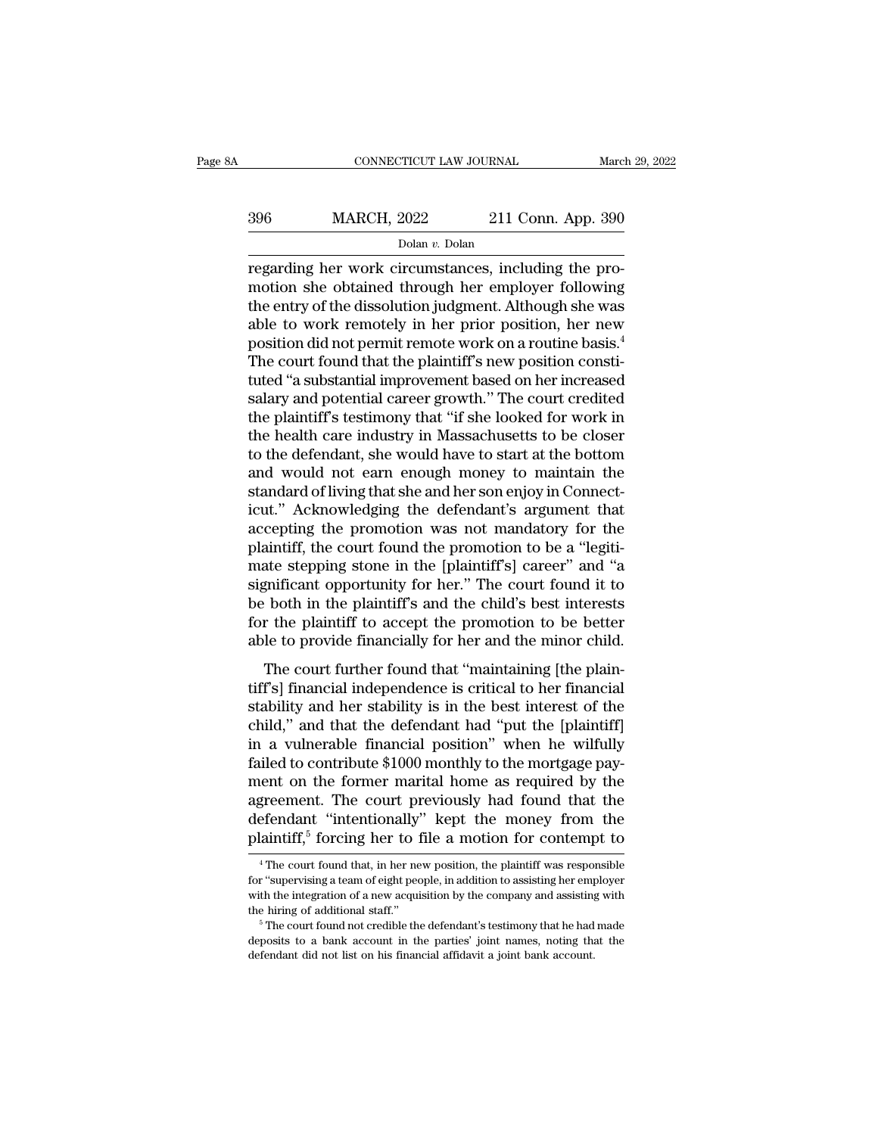## CONNECTICUT LAW JOURNAL March 29, 2022<br>396 MARCH, 2022 211 Conn. App. 390<br>Dolan v. Dolan Dolan *v.* Dolan

CONNECTICUT LAW JOURNAL March March (1996)<br>
211 Conn. App. 390<br>
211 Conn. App. 390<br>
211 Conn. App. 390<br>
211 Conn. App. 390<br>
211 Conn. App. 390<br>
211 Conn. App. 390<br>
211 Conn. App. 390<br>
211 Conn. App. 390<br>
221 Conn. App. 390  $\begin{array}{r} \text{MARCH, 2022} \text{211 Conn. App. 390} \ \text{Dolan } v. \text{Dolan} \ \text{regarding her work circumstances, including the promotions, the obtained through her employer following the entry of the dissolution judgment. Although she was able to work remotely in her prior position, her now.} \end{array}$  $\frac{\text{MARCH, 2022}}{\text{Dolan } v. \text{Dolan}}$   $\frac{\text{Dolan } v. \text{Dolan}}{\text{Polan } v. \text{Dolan}}$ <br>
regarding her work circumstances, including the pro-<br>
motion she obtained through her employer following<br>
the entry of the dissolution judgment. Although sh 396 MARCH, 2022 211 Conn. App. 390<br>
Dolan v. Dolan<br>
Dolan v. Dolan<br>
regarding her work circumstances, including the pro-<br>
motion she obtained through her employer following<br>
the entry of the dissolution judgment. Although position did not permitted in a representation of the dissolution did not permitted in a routine basis.<sup>4</sup><br>The court of the dissolution judgment. Although she was able to work remotely in her prior position, her new posit  $\frac{1}{10}$  bolan *v*. Dolan <br>
regarding her work circumstances, including the pro-<br>
motion she obtained through her employer following<br>
the entry of the dissolution judgment. Although she was<br>
able to work remotely in her regarding her work circumstances, including the pro-<br>motion she obtained through her employer following<br>the entry of the dissolution judgment. Although she was<br>able to work remotely in her prior position, her new<br>position motion she obtained through her employer following<br>the entry of the dissolution judgment. Although she was<br>able to work remotely in her prior position, her new<br>position did not permit remote work on a routine basis.<sup>4</sup><br>The the entry of the dissolution judgment. Although she was<br>able to work remotely in her prior position, her new<br>position did not permit remote work on a routine basis.<sup>4</sup><br>The court found that the plaintiff's new position cons able to work remotely in her prior position, her new<br>position did not permit remote work on a routine basis.<sup>4</sup><br>The court found that the plaintiff's new position consti-<br>tuted "a substantial improvement based on her increa position did not permit remote work on a routine basis.<sup>4</sup><br>The court found that the plaintiff's new position constituted "a substantial improvement based on her increased<br>salary and potential career growth." The court cred The court found that the plaintiff's new position constituted "a substantial improvement based on her increased<br>salary and potential career growth." The court credited<br>the plaintiff's testimony that "if she looked for work tuted "a substantial improvement based on her increased<br>salary and potential career growth." The court credited<br>the plaintiff's testimony that "if she looked for work in<br>the health care industry in Massachusetts to be clos salary and potential career growth." The court credited<br>the plaintiff's testimony that "if she looked for work in<br>the health care industry in Massachusetts to be closer<br>to the defendant, she would have to start at the bott the plaintiff's testimony that "if she looked for work in<br>the health care industry in Massachusetts to be closer<br>to the defendant, she would have to start at the bottom<br>and would not earn enough money to maintain the<br>stand the health care industry in Massachusetts to be closer<br>to the defendant, she would have to start at the bottom<br>and would not earn enough money to maintain the<br>standard of living that she and her son enjoy in Connect-<br>icut. to the defendant, she would have to start at the bottom<br>and would not earn enough money to maintain the<br>standard of living that she and her son enjoy in Connect-<br>icut." Acknowledging the defendant's argument that<br>accepting and would not earn enough money to maintain the<br>standard of living that she and her son enjoy in Connect-<br>icut." Acknowledging the defendant's argument that<br>accepting the promotion was not mandatory for the<br>plaintiff, the standard of living that she and her son enjoy in Connecticut." Acknowledging the defendant's argument that accepting the promotion was not mandatory for the plaintiff, the court found the promotion to be a "legitimate step icut." Acknowledging the defendant's argument that<br>accepting the promotion was not mandatory for the<br>plaintiff, the court found the promotion to be a "legiti-<br>mate stepping stone in the [plaintiff's] career" and "a<br>signifi accepting the promotion was not mandatory for the plaintiff, the court found the promotion to be a "legitimate stepping stone in the [plaintiff's] career" and "a significant opportunity for her." The court found it to be b Example 1.1 The court found the promotion to be a regnal<br>tate stepping stone in the [plaintiff's] career" and "a<br>gnificant opportunity for her." The court found it to<br>both in the plaintiff's and the child's best interests rate stepping stone in the [plaintin 5] career and a<br>significant opportunity for her." The court found it to<br>be both in the plaintiff's and the child's best interests<br>for the plaintiff to accept the promotion to be better<br>

significant opportuntly for fiel. The court found it to<br>be both in the plaintiff's and the child's best interests<br>for the plaintiff to accept the promotion to be better<br>able to provide financially for her and the minor chi be both in the plaintin's and the enders best interests<br>for the plaintiff to accept the promotion to be better<br>able to provide financially for her and the minor child.<br>The court further found that "maintaining [the plain-<br> is the plant of the promotion to be better<br>able to provide financially for her and the minor child.<br>The court further found that "maintaining [the plain-<br>tiff's] financial independence is critical to her financial<br>stabilit factor to provide mialteriary for the and the minor email.<br>The court further found that "maintaining [the plain-<br>tiff's] financial independence is critical to her financial<br>stability and that the defendant had "put the [pl The court further found that "maintaining [the plaintiff's] financial independence is critical to her financial<br>stability and her stability is in the best interest of the<br>child," and that the defendant had "put the [plaint tiff's] financial independence is critical to her financial<br>stability and her stability is in the best interest of the<br>child," and that the defendant had "put the [plaintiff]<br>in a vulnerable financial position" when he wi stability and her stability is in the best interest of the<br>child," and that the defendant had "put the [plaintiff]<br>in a vulnerable financial position" when he wilfully<br>failed to contribute \$1000 monthly to the mortgage pa child," and that the defendant had "put the [plaintiff]<br>in a vulnerable financial position" when he wilfully<br>failed to contribute \$1000 monthly to the mortgage pay-<br>ment on the former marital home as required by the<br>agreem ent on the former marital nome as required by the greement. The court previously had found that the efendant "intentionally" kept the money from the laintiff,<sup>5</sup> forcing her to file a motion for contempt to  $\frac{4}{1}$ <sup>4</sup> T agreement. The court previously had found that the defendant "intentionally" kept the money from the plaintiff,<sup>5</sup> forcing her to file a motion for contempt to  $\frac{4}{1}$  The court found that, in her new position, the plai

defendant "intentionally" kept the money from the plaintiff,<sup>5</sup> forcing her to file a motion for contempt to  $\frac{4}{1}$  The court found that, in her new position, the plaintiff was responsible for "supervising a team of ei **Example 11.4** The formulational staff.<sup>5</sup> The formulation of a motion for contempt to  $\frac{4}{1}$  The court found that, in her new position, the plaintiff was responsible for "supervising a team of eight people, in additio  $^4$  The court found that, in her new position, the plaintiff was responsible for "supervising a team of eight people, in addition to assisting her employer with the integration of a new acquisition by the company and ass for "supervising a team of eight people, in addition to assisting her employer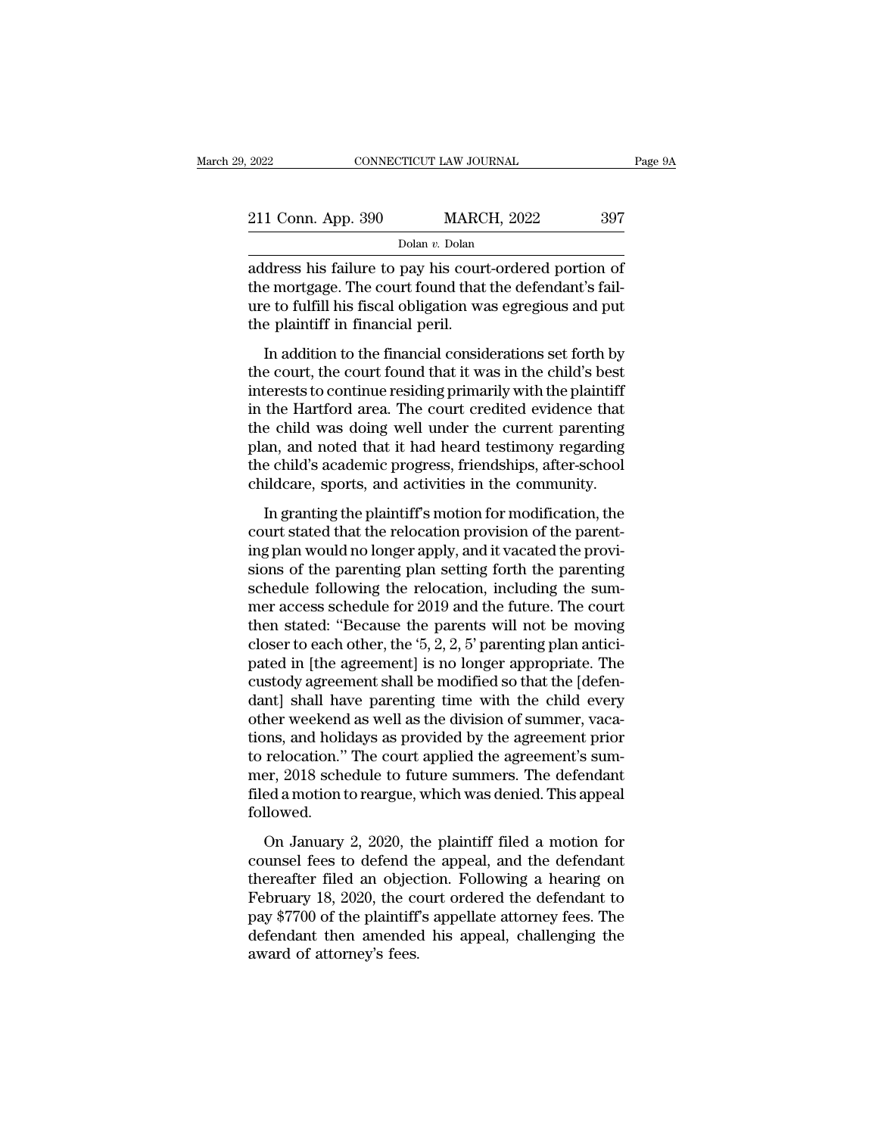| 2022               | CONNECTICUT LAW JOURNAL | Page 9A |
|--------------------|-------------------------|---------|
| 211 Conn. App. 390 | <b>MARCH, 2022</b>      | 397     |
|                    | Dolan v. Dolan          |         |

2022 CONNECTICUT LAW JOURNAL Page  $9$ <br>
211 Conn. App. 390 MARCH, 2022 397<br>
Dolan v. Dolan<br>
address his failure to pay his court-ordered portion of<br>
the mortgage. The court found that the defendant's fail-211 Conn. App. 390 MARCH, 2022 397<br>
Dolan v. Dolan<br>
address his failure to pay his court-ordered portion of<br>
the mortgage. The court found that the defendant's fail-<br>
ure to fulfill his fiscal obligation was egregious and 211 Conn. App. 390 MARCH, 2022 397<br>
Dolar v. Dolar<br>
address his failure to pay his court-ordered portion of<br>
the mortgage. The court found that the defendant's fail-<br>
ure to fulfill his fiscal obligation was egregious and  $\begin{tabular}{l} \multicolumn{1}{l}{{\bf 211 Conn. App. 390}} \multicolumn{1}{l}{{\bf 200}} & {\bf {MARC}}\\ \hline \multicolumn{1}{l}{{\bf 200}} & {\bf 200} & {\bf 200} \\ \multicolumn{1}{l}{{\bf 200}} & {\bf 200} & {\bf 200} \\ \multicolumn{1}{l}{{\bf 200}} & {\bf 200} & {\bf 200} \\ \multicolumn{1}{l}{{\bf 200}} & {\bf 200} & {\bf 200} \\ \multicolumn{1}{l}{{\bf 200}} & {\bf 20$  $\begin{array}{l} \text{Dolan } v. \text{ Dolan} \\ \text{dress his failure to pay his court-ordered portion of}\\ \text{e mortgage. The court found that the defendant's fail-} \\ \text{e to fulfill his fiscal obligation was ergregions and put}\\ \text{e plaintiff in financial peril.} \\ \text{In addition to the financial considerations set forth by}\\ \text{e court, the court found that it was in the child's best  
to constrain originally with the plaintiff.} \end{array}$ address his failure to pay his court-ordered portion of<br>the mortgage. The court found that the defendant's fail-<br>ure to fulfill his fiscal obligation was egregious and put<br>the plaintiff in financial peril.<br>In addition to t

interest to controllate the defendant's failure to fulfill his fiscal obligation was egregious and put<br>the plaintiff in financial peril.<br>In addition to the financial considerations set forth by<br>the court, the court found t in the Hartford area. The court count area in the determinant of the plaintiff in financial peril.<br>In addition to the financial considerations set forth by<br>the court, the court found that it was in the child's best<br>interes the plaintiff in financial peril.<br>In addition to the financial considerations set forth by<br>the court, the court found that it was in the child's best<br>interests to continue residing primarily with the plaintiff<br>in the Hartf In addition to the financial considerations set forth by<br>the court, the court found that it was in the child's best<br>interests to continue residing primarily with the plaintiff<br>in the Hartford area. The court credited evide In addition to the financial considerations set forth by<br>the court, the court found that it was in the child's best<br>interests to continue residing primarily with the plaintiff<br>in the Hartford area. The court credited evide the court, the court found that it was in the child's best<br>interests to continue residing primarily with the plaintiff<br>in the Hartford area. The court credited evidence that<br>the child was doing well under the current paren the Hartford area. The court credited evidence that<br>e child was doing well under the current parenting<br>an, and noted that it had heard testimony regarding<br>e child's academic progress, friendships, after-school<br>ildcare, spo In the rial about area. The court effective vidence that<br>the child was doing well under the current parenting<br>plan, and noted that it had heard testimony regarding<br>the child's academic progress, friendships, after-school<br>c

are clina was doing wen ander are carrent parenting<br>plan, and noted that it had heard testimony regarding<br>the child's academic progress, friendships, after-school<br>childcare, sports, and activities in the community.<br>In gran plant, and noted that it had neard testhionly regarding<br>the child's academic progress, friendships, after-school<br>childcare, sports, and activities in the community.<br>In granting the plaintiff's motion for modification, the<br> relates a calculate progress, memastages, and child<br>care, sports, and activities in the community.<br>In granting the plaintiff's motion for modification, the<br>court stated that the relocation provision of the parent-<br>ing plan In granting the plaintiff's motion for modification, the<br>court stated that the relocation provision of the parent-<br>ing plan would no longer apply, and it vacated the provi-<br>sions of the parenting plan setting forth the pa In granting the plaintiff's motion for modification, the<br>court stated that the relocation provision of the parent-<br>ing plan would no longer apply, and it vacated the provi-<br>sions of the parenting plan setting forth the pa court stated that the relocation provision of the parenting plan would no longer apply, and it vacated the provisions of the parenting plan setting forth the parenting schedule following the relocation, including the summe ing plan would no longer apply, and it vacated the provisions of the parenting plan setting forth the parenting<br>schedule following the relocation, including the summer access schedule for 2019 and the future. The court<br>the sions of the parenting plan setting forth the parenting<br>schedule following the relocation, including the sum-<br>mer access schedule for 2019 and the future. The court<br>then stated: "Because the parents will not be moving<br>clos schedule following the relocation, including the summer access schedule for 2019 and the future. The court<br>then stated: "Because the parents will not be moving<br>closer to each other, the '5, 2, 2, 5' parenting plan antici-<br> mer access schedule for 2019 and the future. The court<br>then stated: "Because the parents will not be moving<br>closer to each other, the '5, 2, 2, 5' parenting plan antici-<br>pated in [the agreement] is no longer appropriate. T then stated: "Because the parents will not be moving<br>closer to each other, the '5, 2, 2, 5' parenting plan antici-<br>pated in [the agreement] is no longer appropriate. The<br>custody agreement shall be modified so that the [def closer to each other, the '5, 2, 2, 5' parenting plan antici-<br>pated in [the agreement] is no longer appropriate. The<br>custody agreement shall be modified so that the [defen-<br>dant] shall have parenting time with the child ev pated in [the agreement] is no longer appropriate. The<br>custody agreement shall be modified so that the [defen-<br>dant] shall have parenting time with the child every<br>other weekend as well as the division of summer, vaca-<br>tio custody agreement shall be modified so that the [defendant] shall have parenting time with the child every other weekend as well as the division of summer, vacations, and holidays as provided by the agreement prior to relo followed. not weckerd as wen as the arristori of standard, vacant<br>ons, and holidays as provided by the agreement's sum-<br>er, 2018 schedule to future summers. The defendant<br>ed a motion to reargue, which was denied. This appeal<br>llowed. cons, and nonalys as provided by the agreement's summer, 2018 schedule to future summers. The defendant filed a motion to reargue, which was denied. This appeal followed.<br>On January 2, 2020, the plaintiff filed a motion fo

to relocation. The coal deppied are agreements sum<br>mer, 2018 schedule to future summers. The defendant<br>filed a motion to reargue, which was denied. This appeal<br>followed.<br>On January 2, 2020, the plaintiff filed a motion fo Filed a motion to reargue, which was denied. This appeal<br>followed.<br>On January 2, 2020, the plaintiff filed a motion for<br>counsel fees to defend the appeal, and the defendant<br>thereafter filed an objection. Following a hearin med a motion to relative, which was defined. This appear followed.<br>
On January 2, 2020, the plaintiff filed a motion for<br>
counsel fees to defend the appeal, and the defendant<br>
thereafter filed an objection. Following a hea on January 2, 2020, the plaintiff filed a motion for<br>counsel fees to defend the appeal, and the defendant<br>thereafter filed an objection. Following a hearing on<br>February 18, 2020, the court ordered the defendant to<br>pay \$770 On January 2, 2020, the counsel fees to defend thereafter filed an objection-<br>thereafter filed an objection-<br>February 18, 2020, the corpay \$7700 of the plaintiff<br>defendant then amended<br>award of attorney's fees.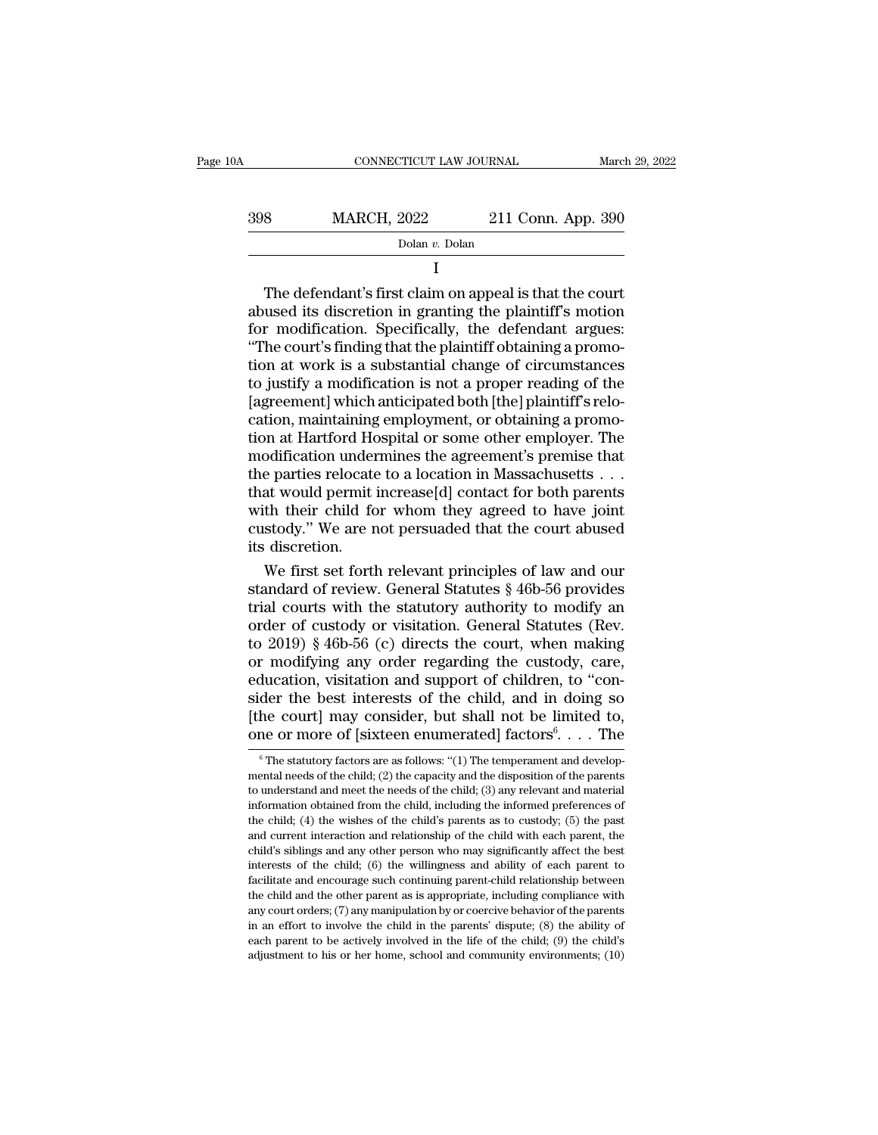| 10A | CONNECTICUT LAW JOURNAL |                    | March 29, 2022 |
|-----|-------------------------|--------------------|----------------|
| 398 | <b>MARCH, 2022</b>      | 211 Conn. App. 390 |                |
|     | Dolan v. Dolan          |                    |                |
|     |                         |                    |                |

398 MARCH, 2022 211 Conn. App. 390<br>
Dolar v. Dolar<br>
I<br>
The defendant's first claim on appeal is that the court<br>
abused its discretion in granting the plaintiff's motion<br>
for modification. Specifically, the defendant argue  $\begin{array}{r} \text{MARCH, 2022} \text{211 Conn. App. 390} \ \hline \text{Dolan } v. \text{Dolan} \end{array}$ <br>
The defendant's first claim on appeal is that the court<br>
abused its discretion in granting the plaintiff's motion<br>
for modification. Specifically, the defendant  $\frac{\text{Dolan } v. \text{ Dolan}}{\text{I}}$ <br>
The defendant's first claim on appeal is that the court<br>
abused its discretion in granting the plaintiff's motion<br>
for modification. Specifically, the defendant argues:<br>
"The court's finding that I<br>
I<br>
The defendant's first claim on appeal is that the court<br>
abused its discretion in granting the plaintiff's motion<br>
for modification. Specifically, the defendant argues:<br>
"The court's finding that the plaintiff obtain I<br>The defendant's first claim on appeal is that the court<br>abused its discretion in granting the plaintiff's motion<br>for modification. Specifically, the defendant argues:<br>"The court's finding that the plaintiff obtaining a p The defendant's first claim on appeal is that the court<br>abused its discretion in granting the plaintiff's motion<br>for modification. Specifically, the defendant argues:<br>"The court's finding that the plaintiff obtaining a pro abused its discretion in granting the plaintiff's motion<br>for modification. Specifically, the defendant argues:<br>"The court's finding that the plaintiff obtaining a promo-<br>tion at work is a substantial change of circumstance for modification. Specifically, the defendant argues:<br>"The court's finding that the plaintiff obtaining a promotion at work is a substantial change of circumstances<br>to justify a modification is not a proper reading of the<br> "The court's finding that the plaintiff obtaining a promotion at work is a substantial change of circumstances<br>to justify a modification is not a proper reading of the<br>[agreement] which anticipated both [the] plaintiff's tion at work is a substantial change of circumstances<br>to justify a modification is not a proper reading of the<br>[agreement] which anticipated both [the] plaintiff's relo-<br>cation, maintaining employment, or obtaining a promo to justify a modification is not a proper reading of the<br>[agreement] which anticipated both [the] plaintiff's relo-<br>cation, maintaining employment, or obtaining a promo-<br>tion at Hartford Hospital or some other employer. Th [agreement] which anticipated both [the] plaintiff's relocation, maintaining employment, or obtaining a promotion at Hartford Hospital or some other employer. The modification undermines the agreement's premise that the pa cation, maintaining employment, or obtaining a promotion at Hartford Hospital or some other employer. The modification undermines the agreement's premise that the parties relocate to a location in Massachusetts . . . that tion at Hartford Homodification under<br>the parties relocate<br>that would permit i<br>with their child fo<br>custody." We are n<br>its discretion.<br>We first set forth odification undermines the agreement's premise that<br>e parties relocate to a location in Massachusetts . . .<br>at would permit increase[d] contact for both parents<br>th their child for whom they agreed to have joint<br>stody." We the parties relocate to a location in Massachusetts . . .<br>that would permit increase[d] contact for both parents<br>with their child for whom they agreed to have joint<br>custody." We are not persuaded that the court abused<br>its

that would permit increase[d] contact for both parents<br>with their child for whom they agreed to have joint<br>custody." We are not persuaded that the court abused<br>its discretion.<br>We first set forth relevant principles of law with their child for whom they agreed to have joint<br>custody." We are not persuaded that the court abused<br>its discretion.<br>We first set forth relevant principles of law and our<br>standard of review. General Statutes § 46b-56 p custody." We are not persuaded that the court abused<br>its discretion.<br>We first set forth relevant principles of law and our<br>standard of review. General Statutes § 46b-56 provides<br>trial courts with the statutory authority to its discretion.<br>
We first set forth relevant principles of law and our<br>
standard of review. General Statutes  $\S$  46b-56 provides<br>
trial courts with the statutory authority to modify an<br>
order of custody or visitation. Gen We first set forth relevant principles of law and our standard of review. General Statutes  $§$  46b-56 provides trial courts with the statutory authority to modify an order of custody or visitation. General Statutes (Rev. standard of review. General Statutes  $\S$  46b-56 provides<br>trial courts with the statutory authority to modify an<br>order of custody or visitation. General Statutes (Rev.<br>to 2019)  $\S$  46b-56 (c) directs the court, when making trial courts with the statutory authority to modify an order of custody or visitation. General Statutes (Rev. to 2019) § 46b-56 (c) directs the court, when making or modifying any order regarding the custody, care, educat order of custody or visitation. General Statutes (F<br>to 2019) § 46b-56 (c) directs the court, when mak<br>or modifying any order regarding the custody, c:<br>education, visitation and support of children, to "c<br>sider the best in ites (Rev.<br>
n making<br>
ody, care,<br>
i, to "con-<br>
doing so<br>
imited to,<br>
....The<br>
and developducation, visitation and support of children, to "conder the best interests of the child, and in doing so he court] may consider, but shall not be limited to, me or more of [sixteen enumerated] factors<sup>6</sup>.... The  $\frac{6}{7}$ sider the best interests of the child, and in doing so<br>[the court] may consider, but shall not be limited to,<br>one or more of [sixteen enumerated] factors<sup>6</sup>.... The<br><sup>6</sup>The statutory factors are as follows: "(1) The temper

<sup>[</sup>the court] may consider, but shall not be limited to, one or more of [sixteen enumerated] factors<sup>6</sup>.... The  $\degree$ The statutory factors are as follows: "(1) The temperament and developmental needs of the child; (2) the ca **One Or more of [sixteen enumerated] factors**<sup>6</sup>. . . . The  $\overline{ }$   $\overline{ }$   $\overline{ }$   $\overline{ }$   $\overline{ }$   $\overline{ }$   $\overline{ }$   $\overline{ }$   $\overline{ }$   $\overline{ }$   $\overline{ }$   $\overline{ }$   $\overline{ }$   $\overline{ }$   $\overline{ }$   $\overline{ }$   $\overline{ }$   $\overline{ }$   $\overline{ }$   $\overline{ }$  The child; (4) the wishes of the child; (3) any relevant and developmental needs of the child; (2) the capacity and the disposition of the parents to understand and meet the needs of the child; (3) any relevant and materi <sup>6</sup> The statutory factors are as follows: "(1) The temperament and developmental needs of the child; (2) the capacity and the disposition of the parents to understand and meet the needs of the child; (3) any relevant and mental needs of the child; (2) the capacity and the disposition of the parents to understand and meet the needs of the child; (3) any relevant and material information obtained from the child, including the informed prefe to understand and meet the needs of the child; (3) any relevant and material information obtained from the child, including the informed preferences of the child; (4) the wishes of the child's parents as to custody; (5) t information obtained from the child, including the informed preferences of the child; (4) the wishes of the child's parents as to custody; (5) the past and current interaction and relationship of the child with each paren the child; (4) the wishes of the child's parents as to custody; (5) the past and current interaction and relationship of the child with each parent, the child's siblings and any other person who may significantly affect t and current interaction and relationship of the child with each parent, the child's siblings and any other person who may significantly affect the best interests of the child; (6) the willingness and ability of each paren child's siblings and any other person who may significantly affect the best interests of the child; (6) the willingness and ability of each parent to facilitate and encourage such continuing parent-child relationship betwe interests of the child; (6) the willingness and ability of each parent to facilitate and encourage such continuing parent-child relationship between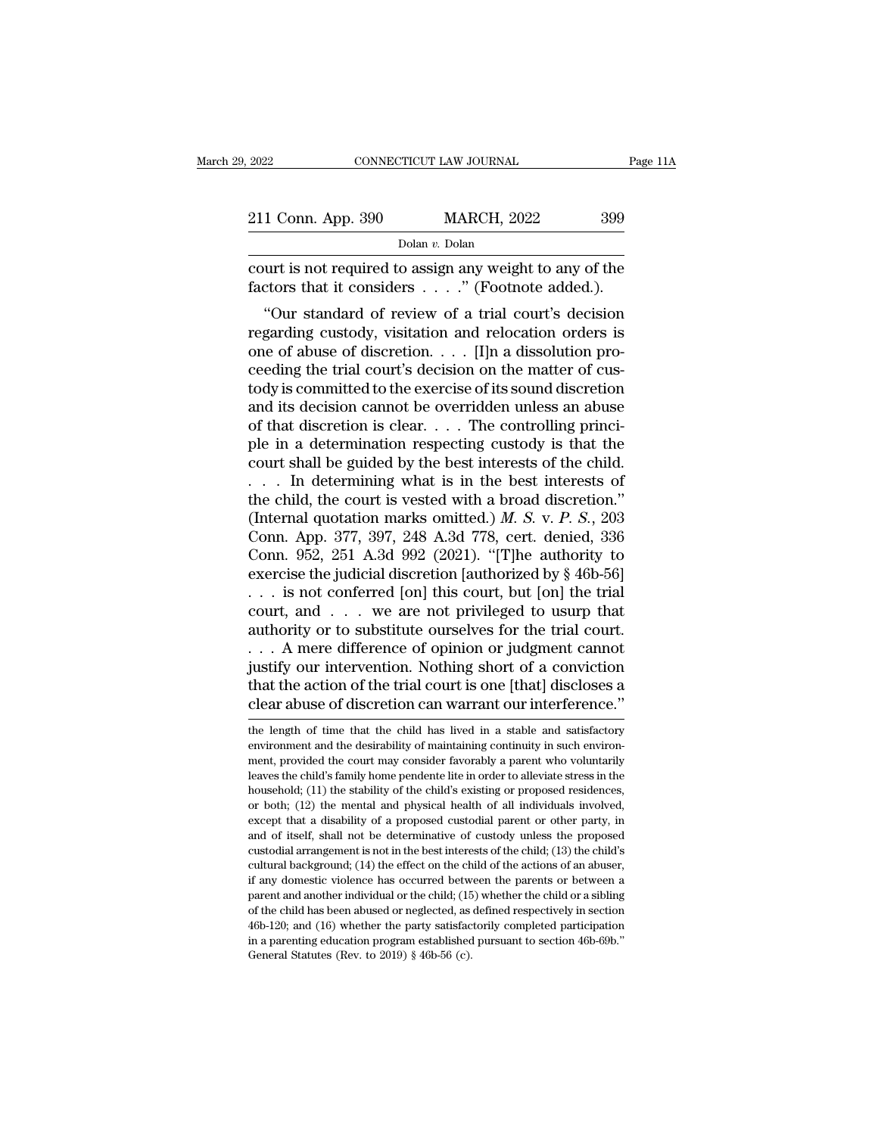| 2022               | CONNECTICUT LAW JOURNAL |                    | Page 11A |  |
|--------------------|-------------------------|--------------------|----------|--|
|                    |                         |                    |          |  |
| 211 Conn. App. 390 |                         | <b>MARCH, 2022</b> | 399      |  |
|                    | Dolan v. Dolan          |                    |          |  |

CONNECTICUT LAW JOURNAL Page 11A<br>
211 Conn. App. 390 MARCH, 2022 399<br>
Dolan v. Dolan<br>
court is not required to assign any weight to any of the<br>
factors that it considers . . . . " (Footnote added.). 211 Conn. App. 390 MARCH, 2022 399<br>
Dolan v. Dolan<br>
court is not required to assign any weight to any of the factors that it considers . . . . ." (Footnote added.).<br>
"Our standard of review of a trial court's decision

<sup>1</sup> Conn. App. 390 MARCH, 2022 399<br>
Dolar *v*. Dolar<br>
urt is not required to assign any weight to any of the<br>
ctors that it considers  $\ldots$ ." (Footnote added.).<br>
"Our standard of review of a trial court's decision<br>
gardin 211 Conn. App. 390 MARCH, 2022 399<br>
Dolar v. Dolar<br>
court is not required to assign any weight to any of the<br>
factors that it considers . . . . . " (Footnote added.).<br>
"Our standard of review of a trial court's decision<br> Dolan v. Dolan<br>
court is not required to assign any weight to any of the<br>
factors that it considers . . . . . " (Footnote added.).<br>
"Our standard of review of a trial court's decision<br>
regarding custody, visitation and re court is not required to assign any weight to any of the factors that it considers  $\dots$ ." (Footnote added.).<br>"Our standard of review of a trial court's decision regarding custody, visitation and relocation orders is one o Factors that it considers  $\dots$ ." (Footnote added.).<br>
"Our standard of review of a trial court's decision<br>
regarding custody, visitation and relocation orders is<br>
one of abuse of discretion.  $\dots$  [I]n a dissolution pro-<br>
c factors that it considers  $\ldots$  (roothote added.).<br>
"Our standard of review of a trial court's decision<br>
regarding custody, visitation and relocation orders is<br>
one of abuse of discretion.  $\ldots$  [I]n a dissolution pro-<br>
c "Our standard of review of a trial court's decision<br>regarding custody, visitation and relocation orders is<br>one of abuse of discretion. . . . . [I]n a dissolution pro-<br>ceeding the trial court's decision on the matter of cu regarding custody, visitation and relocation orders is<br>one of abuse of discretion. . . . [I]n a dissolution pro-<br>ceeding the trial court's decision on the matter of cus-<br>tody is committed to the exercise of its sound disc one of abuse of discretion. . . . [I]n a dissolution proceeding the trial court's decision on the matter of custody is committed to the exercise of its sound discretion and its decision cannot be overridden unless an abus ceeding the trial court's decision on the matter of cus-<br>tody is committed to the exercise of its sound discretion<br>and its decision cannot be overridden unless an abuse<br>of that discretion is clear.... The controlling prin tody is committed to the exercise of its sound discretion<br>and its decision cannot be overridden unless an abuse<br>of that discretion is clear.... The controlling princi-<br>ple in a determination respecting custody is that the and its decision cannot be overridden unless an abuse<br>of that discretion is clear. . . . The controlling princi-<br>ple in a determination respecting custody is that the<br>court shall be guided by the best interests of the chi of that discretion is clear. . . . The controlling princi-<br>ple in a determination respecting custody is that the<br>court shall be guided by the best interests of the child.<br>. . . . In determining what is in the best interes ple in a determination respecting custody is that the<br>court shall be guided by the best interests of the child.<br>... In determining what is in the best interests of<br>the child, the court is vested with a broad discretion."<br> court shall be guided by the best interests of the child.<br>
. . . . In determining what is in the best interests of<br>
the child, the court is vested with a broad discretion."<br>
(Internal quotation marks omitted.) *M. S. v. P* . . . In determining what is in the best interests of the child, the court is vested with a broad discretion." (Internal quotation marks omitted.) *M. S. v. P. S.*, 203 Conn. App. 377, 397, 248 A.3d 778, cert. denied, 336 the child, the court is vested with a broad discretion."<br>(Internal quotation marks omitted.) *M. S. v. P. S.*, 203<br>Conn. App. 377, 397, 248 A.3d 778, cert. denied, 336<br>Conn. 952, 251 A.3d 992 (2021). "[T]he authority to<br>e (Internal quotation marks omitted.) *M. S. v. P. S.*, 203<br>Conn. App. 377, 397, 248 A.3d 778, cert. denied, 336<br>Conn. 952, 251 A.3d 992 (2021). "[T]he authority to<br>exercise the judicial discretion [authorized by § 46b-56]<br> Conn. App. 377, 397, 248 A.3d 778, cert. denied, 336<br>
Conn. 952, 251 A.3d 992 (2021). "[T]he authority to<br>
exercise the judicial discretion [authorized by § 46b-56]<br>
. . . is not conferred [on] this court, but [on] the tr Conn. 952, 251 A.3d 992 (2021). "[T]he authority to<br>exercise the judicial discretion [authorized by § 46b-56]<br>... is not conferred [on] this court, but [on] the trial<br>court, and ... we are not privileged to usurp that<br>aut exercise the judicial discretion [authorized by  $\S$  46b-56]<br>
. . . is not conferred [on] this court, but [on] the trial<br>
court, and . . . we are not privileged to usurp that<br>
authority or to substitute ourselves for the t ... is not conferred [on] this court, but [on] the trial court, and ... we are not privileged to usurp that authority or to substitute ourselves for the trial court... A mere difference of opinion or judgment cannot justi ... A mere difference of opinion or judgment cannot<br>justify our intervention. Nothing short of a conviction<br>that the action of the trial court is one [that] discloses a<br>clear abuse of discretion can warrant our interferen justify our intervention. Nothing short of a conviction<br>that the action of the trial court is one [that] discloses a<br>clear abuse of discretion can warrant our interference."<br>the length of time that the child has lived in a

that the action of the trial court is one [that] discloses a<br>clear abuse of discretion can warrant our interference."<br>the length of time that the child has lived in a stable and satisfactory<br>environment and the desirabilit clear abuse of discretion can warrant our interference."<br>
the length of time that the child has lived in a stable and satisfactory<br>
environment and the desirability of maintaining continuity in such environ-<br>
ment, provide Clear abuse of discretion can warrant our interference.<br>
the length of time that the child has lived in a stable and satisfactory<br>
environment, provided the court may consider favorably a parent who voluntarily<br>
leaves the the length of time that the child has lived in a stable and satisfactory<br>environment and the desirability of maintaining continuity in such environ-<br>ment, provided the court may consider favorably a parent who voluntarily<br> environment and the desirability of maintaining continuity in such environment, provided the court may consider favorably a parent who voluntarily leaves the child's family home pendente lite in order to alleviate stress i ment, provided the court may consider favorably a parent who voluntarily leaves the child's family home pendente lite in order to alleviate stress in the household; (11) the stability of the child's existing or proposed re leaves the child's family home pendente lite in order to alleviate stress in the household; (11) the stability of the child's existing or proposed residences, or both; (12) the mental and physical health of all individuals household; (11) the stability of the child's existing or proposed residences, or both; (12) the mental and physical health of all individuals involved, except that a disability of a proposed custodial parent or other party for both; (12) the mental and physical health of all individuals involved, except that a disability of a proposed custodial parent or other party, in and of itself, shall not be determinative of custody unless the propose except that a disability of a proposed custodial parent or other party, in and of itself, shall not be determinative of custody unless the proposed custodial arrangement is not in the best interests of the child; (13) the and of itself, shall not be determinative of custody unless the proposed custodial arrangement is not in the best interests of the child; (13) the child's cultural background; (14) the effect on the child of the actions o eustodial arrangement is not in the best interests of the child; (13) the child's cultural background; (14) the effect on the child of the actions of an abuser, if any domestic violence has occurred between the parents or custodial arrangement is not in the best interests of the child; (13) the child's cultural background; (14) the effect on the child of the actions of an abuser, if any domestic violence has occurred between the parents or if any domestic violence has occurred between the parents or between a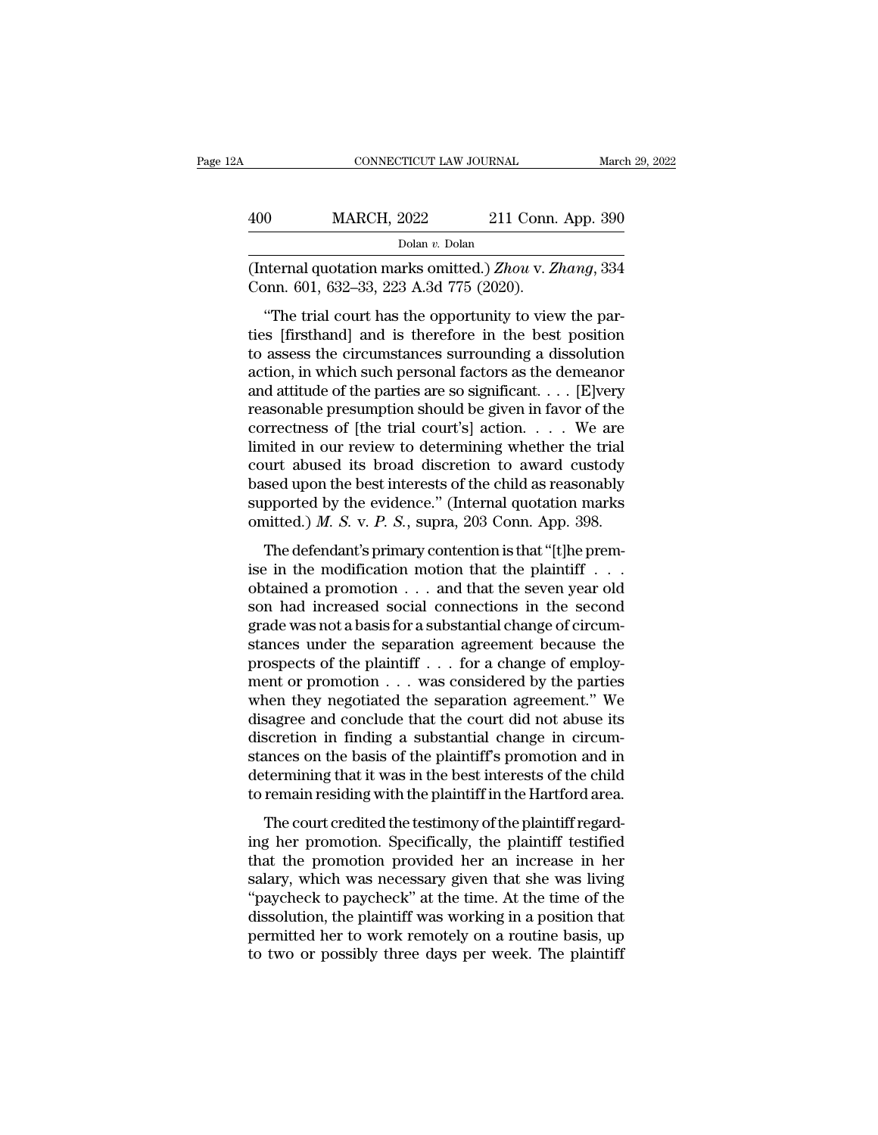| 'А  | CONNECTICUT LAW JOURNAL                                                                           |                    | March 29, 2022 |
|-----|---------------------------------------------------------------------------------------------------|--------------------|----------------|
| 400 | <b>MARCH, 2022</b>                                                                                | 211 Conn. App. 390 |                |
|     | Dolan v. Dolan                                                                                    |                    |                |
|     | (Internal quotation marks omitted.) Zhou v. Zhang, 334<br>Conn. 601, 632–33, 223 A.3d 775 (2020). |                    |                |

<sup>Dolan v</sup>. 2022 211 Conn. App. 390<br>
<sup>Dolan v</sup>. Dolan<br> **hternal quotation marks omitted**.) *Zhou* v. *Zhang*, 334<br>
point 601, 632–33, 223 A.3d 775 (2020).<br>
"The trial court has the opportunity to view the par-<br>
s [firsthand 400 MARCH, 2022 211 Conn. App. 390<br>
Dolar v. Dolan<br>
(Internal quotation marks omitted.) Zhou v. Zhang, 334<br>
Conn. 601, 632–33, 223 A.3d 775 (2020).<br>
"The trial court has the opportunity to view the parties [firsthand] and Dolan v. Dolan<br>(Internal quotation marks omitted.) Zhou v. Zhang, 334<br>Conn. 601, 632–33, 223 A.3d 775 (2020).<br>"The trial court has the opportunity to view the par-<br>ties [firsthand] and is therefore in the best position<br>to (Internal quotation marks omitted.) Zhou v. Zhang, 334<br>Conn. 601, 632–33, 223 A.3d 775 (2020).<br>
"The trial court has the opportunity to view the par-<br>
ties [firsthand] and is therefore in the best position<br>
to assess the Conn. 601, 632–33, 223 A.3d 775 (2020).<br>
"The trial court has the opportunity to view the parties [firsthand] and is therefore in the best position<br>
to assess the circumstances surrounding a dissolution<br>
action, in which The trial court has the opportunity to view the parties [firsthand] and is therefore in the best position to assess the circumstances surrounding a dissolution action, in which such personal factors as the demeanor and at "The trial court has the opportunity to view the parties [firsthand] and is therefore in the best position<br>to assess the circumstances surrounding a dissolution<br>action, in which such personal factors as the demeanor<br>and a ties [firsthand] and is therefore in the best position<br>to assess the circumstances surrounding a dissolution<br>action, in which such personal factors as the demeanor<br>and attitude of the parties are so significant. . . . [E]v to assess the circumstances surrounding a dissolution<br>action, in which such personal factors as the demeanor<br>and attitude of the parties are so significant. . . . [E]very<br>reasonable presumption should be given in favor of action, in which such personal factors as the demeanor<br>and attitude of the parties are so significant. . . . [E]very<br>reasonable presumption should be given in favor of the<br>correctness of [the trial court's] action. . . . and attitude of the parties are so significant.... [E]very<br>reasonable presumption should be given in favor of the<br>correctness of [the trial court's] action.... We are<br>limited in our review to determining whether the trial reasonable presumption should be given in favor of the correctness of [the trial court's] action. . . . We are limited in our review to determining whether the trial court abused its broad discretion to award custody base The defendant is primary deferred to award custody<br>sed upon the best interests of the child as reasonably<br>pported by the evidence." (Internal quotation marks<br>aitted.) *M. S. v. P. S.*, supra, 203 Conn. App. 398.<br>The defen mated in our leview to determining whether the that<br>court abused its broad discretion to award custody<br>based upon the best interests of the child as reasonably<br>supported by the evidence." (Internal quotation marks<br>omitted

based upon the best interests of the child as reasonably<br>supported by the evidence." (Internal quotation marks<br>omitted.) *M. S.* v. *P. S.*, supra, 203 Conn. App. 398.<br>The defendant's primary contention is that "[t]he pre supported by the evidence." (Internal quotation marks<br>omitted.) *M. S. v. P. S.*, supra, 203 Conn. App. 398.<br>The defendant's primary contention is that "[t]he prem-<br>ise in the modification motion that the plaintiff . . .<br> omitted.) *M. S. v. P. S.*, supra, 203 Conn. App. 398.<br>The defendant's primary contention is that "[t]he premise in the modification motion that the plaintiff . . . obtained a promotion . . . and that the seven year old s The defendant's primary contention is that "[t]he premise in the modification motion that the plaintiff . . . obtained a promotion . . . and that the seven year old son had increased social connections in the second grade The defendant's primary contention is that "[t]he premise in the modification motion that the plaintiff . . . obtained a promotion . . . and that the seven year old son had increased social connections in the second grade ise in the modification motion that the plaintiff . . . obtained a promotion . . . and that the seven year old<br>son had increased social connections in the second<br>grade was not a basis for a substantial change of circum-<br>s obtained a promotion . . . and that the seven year old<br>son had increased social connections in the second<br>grade was not a basis for a substantial change of circum-<br>stances under the separation agreement because the<br>prospec son had increased social connections in the second<br>grade was not a basis for a substantial change of circum-<br>stances under the separation agreement because the<br>prospects of the plaintiff  $\ldots$  for a change of employ-<br>ment grade was not a basis for a substantial change of circumstances under the separation agreement because the prospects of the plaintiff  $\ldots$  for a change of employment or promotion  $\ldots$  was considered by the parties when stances under the separation agreement because the<br>prospects of the plaintiff  $\dots$  for a change of employ-<br>ment or promotion  $\dots$  was considered by the parties<br>when they negotiated the separation agreement." We<br>disagree a prospects of the plaintiff  $\ldots$  for a change of employment or promotion  $\ldots$  was considered by the parties when they negotiated the separation agreement." We disagree and conclude that the court did not abuse its discre ment or promotion . . . was considered by the parties<br>when they negotiated the separation agreement." We<br>disagree and conclude that the court did not abuse its<br>discretion in finding a substantial change in circum-<br>stances The court credited that the court did not abuse its<br>scretion in finding a substantial change in circum-<br>ances on the basis of the plaintiff's promotion and in<br>termining that it was in the best interests of the child<br>remain discretion in finding a substantial change in circum-<br>stances on the basis of the plaintiff's promotion and in<br>determining that it was in the best interests of the child<br>to remain residing with the plaintiff in the Hartfor

that the pair of the plaintiff's promotion and in<br>determining that it was in the best interests of the child<br>to remain residing with the plaintiff in the Hartford area.<br>The court credited the testimony of the plaintiff reg statices on the stasts of the plantian is promotion that in<br>determining that it was in the best interests of the child<br>to remain residing with the plaintiff in the Hartford area.<br>The court credited the testimony of the pla to remain residing with the plaintiff in the Hartford area.<br>
The court credited the testimony of the plaintiff regard-<br>
ing her promotion. Specifically, the plaintiff testified<br>
that the promotion provided her an increase The court credited the testimony of the plaintiff regard-<br>ing her promotion. Specifically, the plaintiff testified<br>that the promotion provided her an increase in her<br>salary, which was necessary given that she was living<br>"p The court credited the testimony of the plaintiff regarding her promotion. Specifically, the plaintiff testified that the promotion provided her an increase in her salary, which was necessary given that she was living "pay ing her promotion. Specifically, the plaintiff testified<br>that the promotion provided her an increase in her<br>salary, which was necessary given that she was living<br>"paycheck to paycheck" at the time. At the time of the<br>disso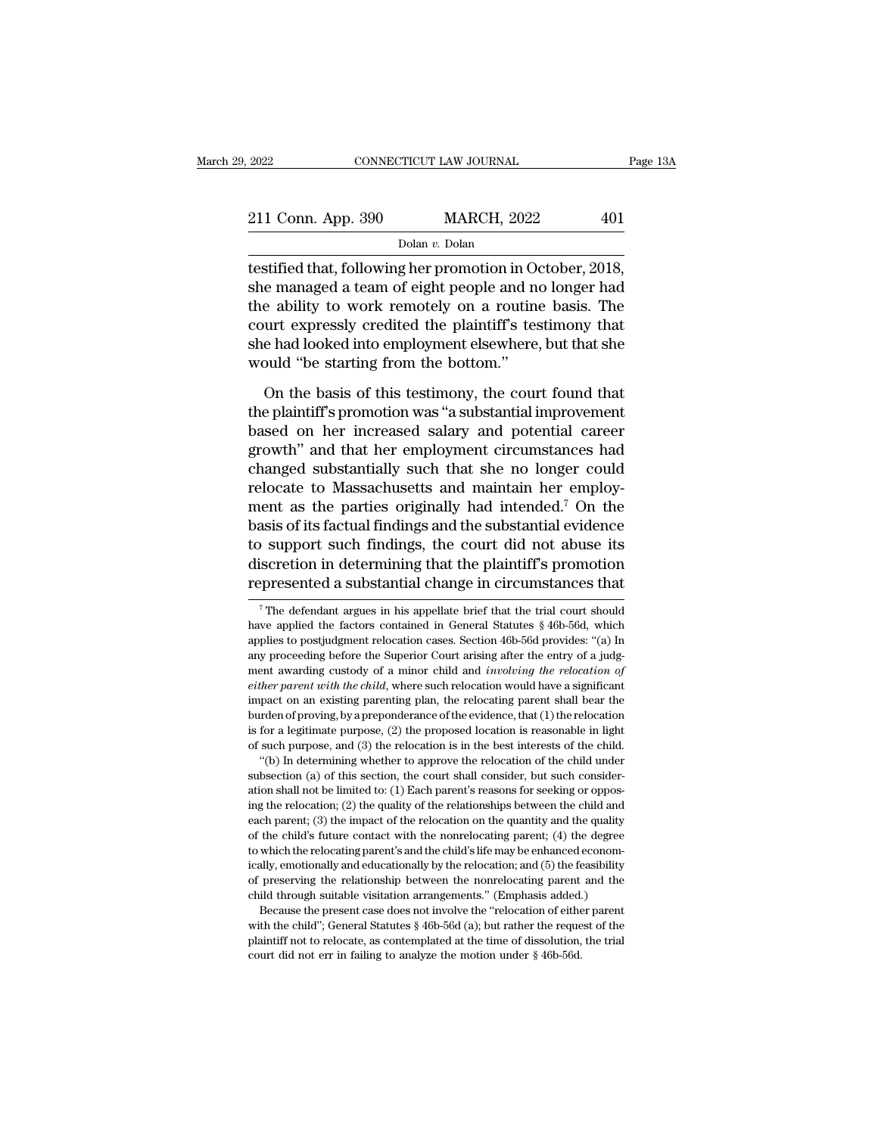| 2022               |                | CONNECTICUT LAW JOURNAL | Page 13A |  |
|--------------------|----------------|-------------------------|----------|--|
|                    |                |                         |          |  |
| 211 Conn. App. 390 |                | <b>MARCH, 2022</b>      | 401      |  |
|                    | Dolan v. Dolan |                         |          |  |

The 2022 CONNECTICUT LAW JOURNAL Page 1<br>
211 Conn. App. 390 MARCH, 2022 401<br>
Dolar v. Dolan<br>
testified that, following her promotion in October, 2018,<br>
she managed a team of eight people and no longer had<br>
the shility to w 211 Conn. App. 390 MARCH, 2022 401<br>Dolan v. Dolan<br>testified that, following her promotion in October, 2018,<br>she managed a team of eight people and no longer had<br>the ability to work remotely on a routine basis. The<br>court e 211 Conn. App. 390 MARCH, 2022 401<br>  $\frac{\text{Dolan } v. \text{Dolan}}{\text{testified that, following her promotion in October, 2018,}}$ <br>
she managed a team of eight people and no longer had<br>
the ability to work remotely on a routine basis. The<br>
court expressly credited the plaintif 211 Conn. App. 390 MARCH, 2022 401<br>
Dolar v. Dolan<br>
testified that, following her promotion in October, 2018,<br>
she managed a team of eight people and no longer had<br>
the ability to work remotely on a routine basis. The<br>
co Dolan v. Dolan<br>testified that, following her promotion in October, 2018,<br>she managed a team of eight people and no longer had<br>the ability to work remotely on a routine basis. The<br>court expressly credited the plaintiff's t  $\frac{1}{2}$  botan *v*. Dotan *v*. Dotan *v*<br>testified that, following her promotion in O<sub>s</sub><br>she managed a team of eight people and no<br>the ability to work remotely on a routing<br>court expressly credited the plaintiff's tes<br>sh on the managed a team of eight people and no longer had<br>e ability to work remotely on a routine basis. The<br>urt expressly credited the plaintiff's testimony that<br>e had looked into employment elsewhere, but that she<br>puld "be The ability to work remotely on a routine basis. The<br>court expressly credited the plaintiff's testimony that<br>she had looked into employment elsewhere, but that she<br>would "be starting from the bottom."<br>On the basis of this

based on her increased salary and potential career<br>growth estarting from the bottom."<br>On the basis of this testimony, the court found that<br>the plaintiff's promotion was "a substantial improvement<br>based on her increased sal From the plant of the plant of the starting from the bottom."<br>She had looked into employment elsewhere, but that she<br>would "be starting from the bottom."<br>On the basis of this testimony, the court found that<br>the plaintiff's would "be starting from the bottom."<br>
On the basis of this testimony, the court found that<br>
the plaintiff's promotion was "a substantial improvement<br>
based on her increased salary and potential career<br>
growth" and that he On the basis of this testimony, the court found that<br>the plaintiff's promotion was "a substantial improvement<br>based on her increased salary and potential career<br>growth" and that her employment circumstances had<br>changed su On the basis of this testimony, the court found that<br>the plaintiff's promotion was "a substantial improvement<br>based on her increased salary and potential career<br>growth" and that her employment circumstances had<br>changed su the plaintiff's promotion was "a substantial improvement<br>based on her increased salary and potential career<br>growth" and that her employment circumstances had<br>changed substantially such that she no longer could<br>relocate to based on her increased salary and potential career<br>growth" and that her employment circumstances had<br>changed substantially such that she no longer could<br>relocate to Massachusetts and maintain her employ-<br>ment as the partie growth" and that her employment circumstances had<br>changed substantially such that she no longer could<br>relocate to Massachusetts and maintain her employ-<br>ment as the parties originally had intended.<sup>7</sup> On the<br>basis of its f changed substantially such that she no longer could<br>relocate to Massachusetts and maintain her employ-<br>ment as the parties originally had intended.<sup>7</sup> On the<br>basis of its factual findings and the substantial evidence<br>to s 3 assis of its factual findings, the court did not abuse its<br>iscretion in determining that the plaintiff's promotion<br>presented a substantial change in circumstances that<br> $\frac{1}{7}$  The defendant argues in his appellate bri to support such findings, the court did not abuse its<br>discretion in determining that the plaintiff's promotion<br>represented a substantial change in circumstances that<br> $\frac{1}{4}$ <br> $\frac{1}{4}$  The defendant argues in his appella

burden of proving, by a preponderance of the evidence, that (1) the relocation is for a legitimate purpose, (2) the proposed location is reasonable in light of such purpose, and (3) the relocation is in the best interests is for a legitimate purpose, (2) the proposed location is reasonable in light of such purpose, and (3) the relocation is in the best interests of the child. "(b) In determining whether to approve the relocation of the chi effect a register of such purpose, and (3) the relocation is in the best interests of the child. "(b) In determining whether to approve the relocation of the child under subsection (a) of this section, the court shall con "(b) In determining whether to approve the relocation of the child under subsection (a) of this section, the court shall consider, but such consideration shall not be limited to: (1) Each parent's reasons for seeking or o subsection (a) of this section, the court shall consider, but such consideration shall not be limited to: (1) Each parent's reasons for seeking or opposing the relocation; (2) the quality of the relationships between the ation shall not be limited to: (1) Each parent's reasons for seeking or opposing the relocation; (2) the quality of the relationships between the child and each parent; (3) the impact of the relocation on the quantity and and the relocation; (2) the quality of the relationships between the child and each parent; (3) the impact of the relocation on the quantity and the quality of the child's future contact with the nonrelocating parent; (4) Example 1.1 Through suitable visitation on the quantity and the quality each parent; (3) the impact of the relocation on the quantity and the quality of the child's future contact with the nonrelocating parent; (4) the de the child's future contact with the nonrelocating parent; (4) the degree which the relocating parent's and the child's life may be enhanced economally, emotionally and educationally by the relocation; and (5) the feasibil to which the relocating parent's and the child's life may be enhanced economically, emotionally and educationally by the relocation; and (5) the feasibility of preserving the relationship between the nonrelocating parent of preserving the relationship between the nonrelocating parent and the

ically, emotionally and educationally by the relocation; and (5) the feasibility of preserving the relationship between the nonrelocating parent and the child through suitable visitation arrangements." (Emphasis added.) B

discretion in determining that the plaintiff's promotion<br>represented a substantial change in circumstances that<br> $\frac{1}{100}$ <br> $\frac{1}{100}$  The defendant argues in his appellate brief that the trial court should<br>have applied represented a substantial change in circumstances that<br>
<sup>7</sup>The defendant argues in his appellate brief that the trial court should<br>
have applied the factors contained in General Statutes § 46b-56d, which<br>
applies to postju represented a substantial change in circumistances that<br>
<sup>7</sup> The defendant argues in his appellate brief that the trial court should<br>
have applied the factors contained in General Statutes § 46b-56d, which<br>
applies to post <sup>7</sup> The defendant argues in his appellate brief that the trial court should have applied the factors contained in General Statutes  $\S$  46b-56d, which applies to postjudgment relocation cases. Section 46b-56d provides: "(a have applied the factors contained in General Statutes § 46b-56d, which applies to postjudgment relocation cases. Section 46b-56d provides: "(a) In any proceeding before the Superior Court arising after the entry of a judg applies to postjudgment relocation cases. Section 46b-56d provides: "(a) In any proceeding before the Superior Court arising after the entry of a judgment awarding custody of a minor child and *involving the relocation of* is for a legitimate purpose, (2) the proposed location is reasonable in light of such an avarding custody of a minor child and *involving the relocation of* either parent with the child, where such relocation would have a any purpose, and (3) the relocation is the child and involving the relocation of either parent with the child, where such relocation would have a significant impact on an existing parenting plan, the relocation would have ther parent with the child, where such relocation would have a significant pact on an existing parenting plan, the relocation would have a significant pact on an existing parenting plan, the relocation general shall bear either parent with the child, where such relocation would have a significant impact on an existing parenting plan, the relocating parent shall bear the burden of proving, by a preponderance of the evidence, that (1) the r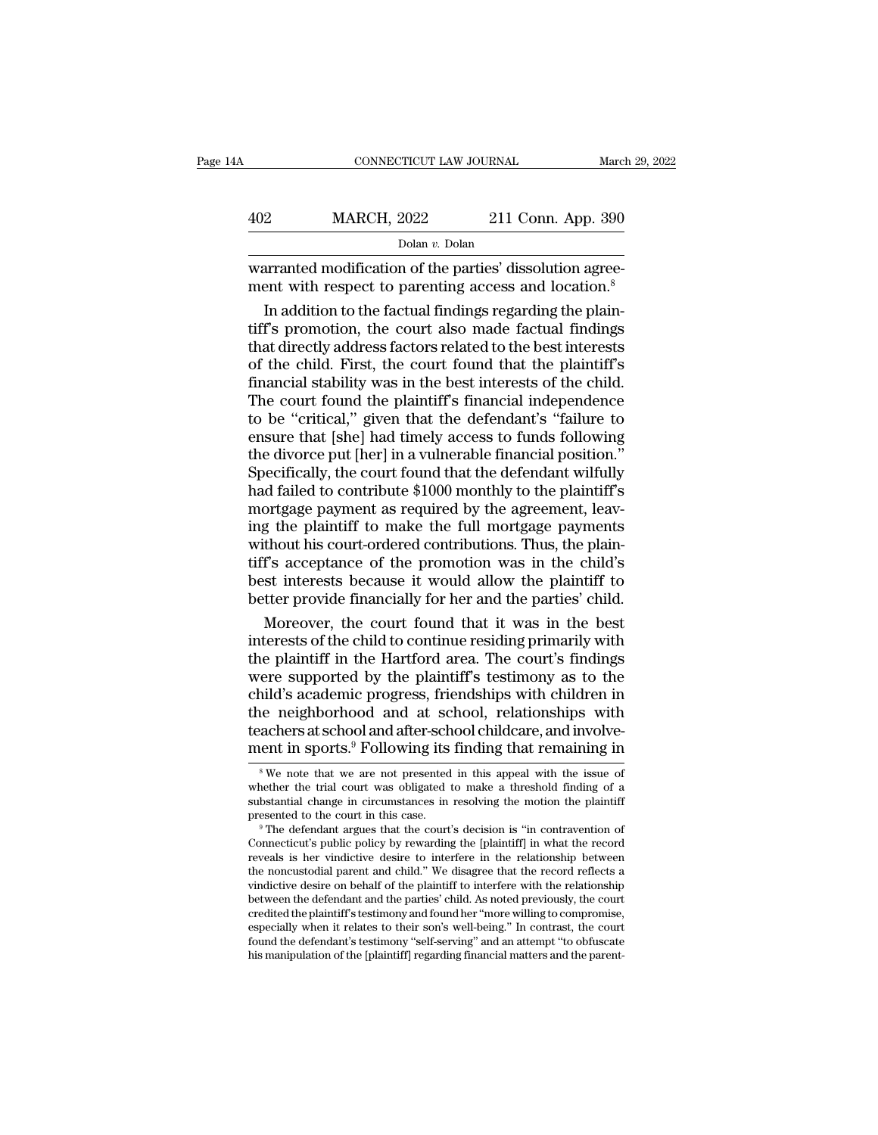| ŀΑ  | CONNECTICUT LAW JOURNAL                                                                                                       |                    | March 29, 2022 |
|-----|-------------------------------------------------------------------------------------------------------------------------------|--------------------|----------------|
|     |                                                                                                                               |                    |                |
| 402 | <b>MARCH, 2022</b><br>Dolan v. Dolan                                                                                          | 211 Conn. App. 390 |                |
|     | warranted modification of the parties' dissolution agree-<br>ment with respect to parenting access and location. <sup>8</sup> |                    |                |

 $\frac{402}{\text{Dolan } v. \text{ Dolan}}$ <br>Dolan  $v. \text{ Dolan}}$ <br>Warranted modification of the parties' dissolution agreement with respect to parenting access and location.<sup>8</sup><br>In addition to the factual findings regarding the plain-<br>tiff's promo  $\frac{\text{MARCH, 2022}}{\text{Dolan } v. \text{Dolan}}$ <br>Warranted modification of the parties' dissolution agreement with respect to parenting access and location.<sup>8</sup><br>In addition to the factual findings regarding the plaintiff's promotion, the co  $\frac{\text{Dolan } v. \text{ Dolan}}{\text{warmulated modification of the parties' dissolution agreement with respect to parenting access and location.<sup>8</sup>\nIn addition to the factual findings regarding the plain-  
tiff's promotion, the court also made factual findings that directly address factors related to the best interests of the child. First, the court found that the plaintiff's financial stability was in the best interests of the child.$  $\frac{1}{2}$  bolar *v*. Bolar *v*. Bolar *v*. Bolar *v*. Bolar *v*. Colar butters dissolution agreement with respect to parenting access and location.<sup>8</sup><br>In addition to the factual findings regarding the plaintiff's promotio warranted modification of the parties' dissolution agreement with respect to parenting access and location.<sup>8</sup><br>In addition to the factual findings regarding the plain-<br>tiff's promotion, the court also made factual findings ment with respect to parenting access and location.<sup>8</sup><br>In addition to the factual findings regarding the plain-<br>tiff's promotion, the court also made factual findings<br>that directly address factors related to the best inter In addition to the factual findings regarding the plain-<br>tiff's promotion, the court also made factual findings<br>that directly address factors related to the best interests<br>of the child. First, the court found that the plai tiff's promotion, the court also made factual findings<br>that directly address factors related to the best interests<br>of the child. First, the court found that the plaintiff's<br>financial stability was in the best interests of that directly address factors related to the best interests<br>of the child. First, the court found that the plaintiff's<br>financial stability was in the best interests of the child.<br>The court found the plaintiff's financial in of the child. First, the court found that the plaintiff's<br>financial stability was in the best interests of the child.<br>The court found the plaintiff's financial independence<br>to be "critical," given that the defendant's "fai financial stability was in the best interests of the child.<br>The court found the plaintiff's financial independence<br>to be "critical," given that the defendant's "failure to<br>ensure that [she] had timely access to funds follo The court found the plaintiff's financial independence<br>to be "critical," given that the defendant's "failure to<br>ensure that [she] had timely access to funds following<br>the divorce put [her] in a vulnerable financial positio to be "critical," given that the defendant's "failure to<br>ensure that [she] had timely access to funds following<br>the divorce put [her] in a vulnerable financial position."<br>Specifically, the court found that the defendant wi ensure that [she] had timely access to funds following<br>the divorce put [her] in a vulnerable financial position."<br>Specifically, the court found that the defendant wilfully<br>had failed to contribute \$1000 monthly to the plai the divorce put [her] in a vulnerable financial position."<br>Specifically, the court found that the defendant wilfully<br>had failed to contribute \$1000 monthly to the plaintiff's<br>mortgage payment as required by the agreement, Specifically, the court found that the defendant wilfully<br>had failed to contribute \$1000 monthly to the plaintiff's<br>mortgage payment as required by the agreement, leav-<br>ing the plaintiff to make the full mortgage payments<br> had failed to contribute \$1000 monthly to the plaintiff's<br>mortgage payment as required by the agreement, leav-<br>ing the plaintiff to make the full mortgage payments<br>without his court-ordered contributions. Thus, the plain-<br> ortgage payment as required by the agreement, leav-<br>g the plaintiff to make the full mortgage payments<br>thout his court-ordered contributions. Thus, the plain-<br>f's acceptance of the promotion was in the child's<br>st interests ing the plaintiff to make the full mortgage payments<br>without his court-ordered contributions. Thus, the plain-<br>tiff's acceptance of the promotion was in the child's<br>best interests because it would allow the plaintiff to<br>be

without his court-ordered contributions. Thus, the plain-<br>tiff's acceptance of the promotion was in the child's<br>best interests because it would allow the plaintiff to<br>better provide financially for her and the parties' chi tiff's acceptance of the promotion was in the child's<br>best interests because it would allow the plaintiff to<br>better provide financially for her and the parties' child.<br>Moreover, the court found that it was in the best<br>inte best interests because it would allow the plaintiff to<br>better provide financially for her and the parties' child.<br>Moreover, the court found that it was in the best<br>interests of the child to continue residing primarily with better provide financially for her and the parties' child.<br>
Moreover, the court found that it was in the best<br>
interests of the child to continue residing primarily with<br>
the plaintiff in the Hartford area. The court's fin Moreover, the court found that it was in the best<br>interests of the child to continue residing primarily with<br>the plaintiff in the Hartford area. The court's findings<br>were supported by the plaintiff's testimony as to the<br>ch interests of the child to continue residing primarily with<br>the plaintiff in the Hartford area. The court's findings<br>were supported by the plaintiff's testimony as to the<br>child's academic progress, friendships with childre id is academic progress, friendships with children in<br>the neighborhood and at school, relationships with<br>achers at school and after-school childcare, and involve-<br>ent in sports.<sup>9</sup> Following its finding that remaining in<br><sup></sup> the neighborhood and at school, relationships with<br>teachers at school and after-school childcare, and involve-<br>ment in sports.<sup>9</sup> Following its finding that remaining in<br><sup>8</sup>We note that we are not presented in this appeal

teachers at school and after-school childcare, and involve-<br>ment in sports.<sup>9</sup> Following its finding that remaining in<br> $\frac{1}{100}$ <br> $\frac{1}{100}$  whether the trial court was obligated to make a threshold finding of a<br>substan reachers at school and after-school chuldcare, and involve-<br>ment in sports.<sup>9</sup> Following its finding that remaining in<br> $\frac{1}{8}$  We note that we are not presented in this appeal with the issue of<br>whether the trial court w <sup>8</sup> We note that we are not presented in this appeal with the issue of whether the trial court was obligated to make a threshold finding of a substantial change in circumstances in resolving the motion the plaintiff prese

<sup>•</sup> We note that we are not presented in this appeal with the issue of whether the trial court was obligated to make a threshold finding of a substantial change in circumstances in resolving the motion the plaintiff present whether the trial court was obligated to make a threshold finding of a substantial change in circumstances in resolving the motion the plaintiff presented to the court in this case.<br>
<sup>9</sup> The defendant argues that the court substantial change in circumstances in resolving the motion the plaintiff<br>presented to the court in this case.<br><sup>9</sup> The defendant argues that the court's decision is "in contravention of<br>Connecticut's public policy by rewar presented to the court in this case.<br>
<sup>9</sup> The defendant argues that the court's decision is "in contravention of Connecticut's public policy by rewarding the [plaintiff] in what the record reveals is her vindictive desire <sup>9</sup> The defendant argues that the court's decision is "in contravention of Connecticut's public policy by rewarding the [plaintiff] in what the record reveals is her vindictive desire to interfere in the relationship betwe Connecticut's public policy by rewarding the [plaintiff] in what the record reveals is her vindictive desire to interfere in the relationship between the noncustodial parent and child.'' We disagree that the record reflect reveals is her vindictive desire to interfere in the relationship between<br>the noncustodial parent and child." We disagree that the record reflects a<br>vindictive desire on behalf of the plaintiff to interfere with the relati the noncustodial parent and child." We disagree that the record reflects a<br>vindictive desire on behalf of the plaintiff to interfere with the relationship<br>between the defendant and the parties' child. As noted previously,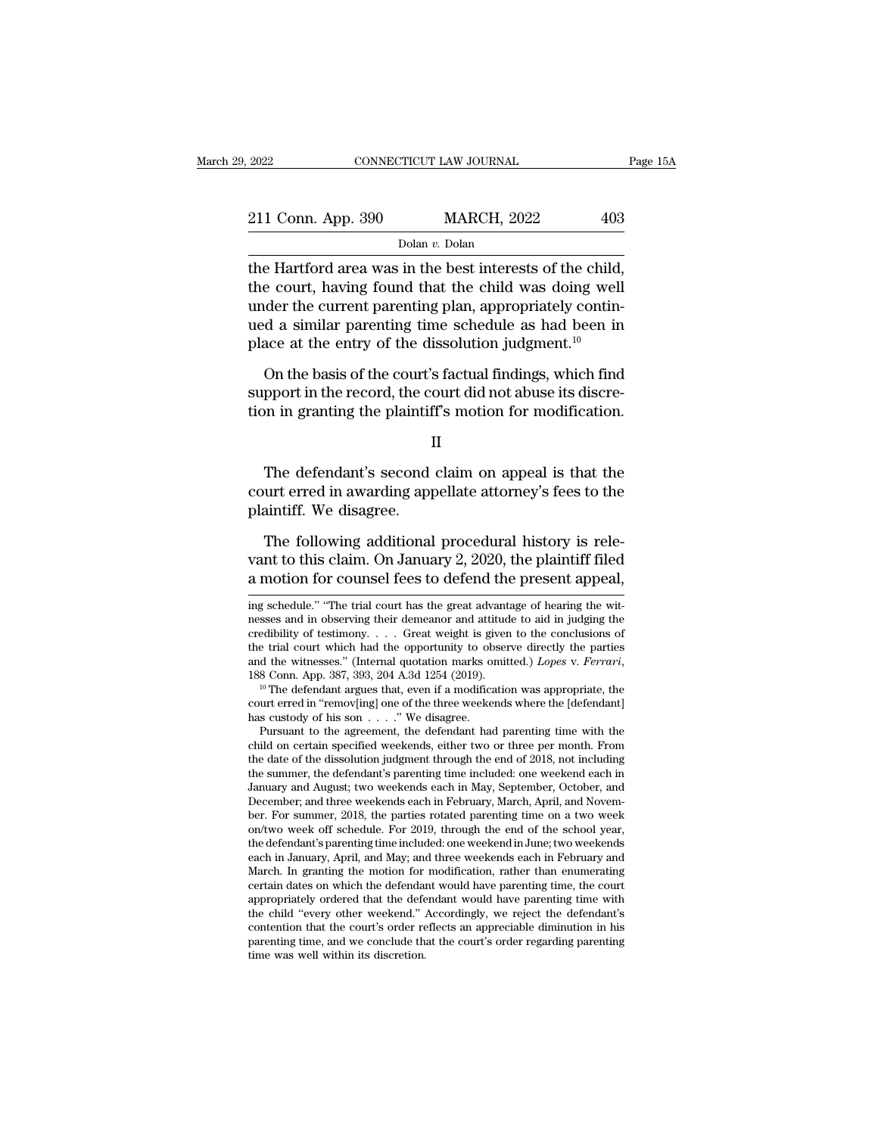Dolan *v.* Dolan

 $\begin{array}{r|l}\n \text{2022} & \text{COMRECTICUT LAW JOURNAL} & \text{Page } 1 \\
 \hline\n \text{211 Conn. App. 390} & \text{MARCH, 2022} & 403 \\
 \hline\n \text{Dolan } v. \text{Dolan} & \text{Dolan} \\
 \text{the Hartford area was in the best interests of the child,} & \text{the court, having found that the child was doing well under the current mentioned plan, approximately contin.} \end{array}$ 211 Conn. App. 390 MARCH, 2022 403<br>
Dolan v. Dolan<br>
the Hartford area was in the best interests of the child,<br>
the court, having found that the child was doing well<br>
under the current parenting plan, appropriately continu 211 Conn. App. 390 MARCH, 2022 403<br>
Dolar *v*. Dolar<br>
the Hartford area was in the best interests of the child,<br>
the court, having found that the child was doing well<br>
under the current parenting plan, appropriately conti 211 Conn. App. 390 MARCH, 2022 403<br>
Dolan v. Dolan<br>
the Hartford area was in the best interests of the child,<br>
the court, having found that the child was doing well<br>
under the current parenting plan, appropriately continplan v. Dolan blands with the Hartford area was in the best interests of the child, the court, having found that the child was doing well under the current parenting plan, appropriately continued a similar parenting time e Hartford area was in the best interests of the child,<br>e court, having found that the child was doing well<br>der the current parenting plan, appropriately contin-<br>d a similar parenting time schedule as had been in<br>ace at th support in the record, having found that the child was doing well<br>under the current parenting plan, appropriately contin-<br>ued a similar parenting time schedule as had been in<br>place at the entry of the dissolution judgment. The current parameting plan, appropriately continued a similar parenting time schedule as had been in place at the entry of the dissolution judgment.<sup>10</sup><br>On the basis of the court's factual findings, which find support in

On the basis of the court's factual findings, which find<br>pport in the record, the court did not abuse its discre-<br>in in granting the plaintiff's motion for modification.<br>II<br>The defendant's second claim on appeal is that th

II

on the basis of the court's ractual findings, which find<br>support in the record, the court did not abuse its discre-<br>tion in granting the plaintiff's motion for modification.<br>II<br>The defendant's second claim on appeal is tha support in the record, the cord<br>tion in granting the plaintif<br>I<br>The defendant's second<br>court erred in awarding app<br>plaintiff. We disagree.<br>The following additional II<br>The defendant's second claim on appeal is that the<br>urt erred in awarding appellate attorney's fees to the<br>aintiff. We disagree.<br>The following additional procedural history is rele-<br>nt to this claim. On January 2, 2020,

II<br>The defendant's second claim on appeal is that the<br>court erred in awarding appellate attorney's fees to the<br>plaintiff. We disagree.<br>The following additional procedural history is rele-<br>vant to this claim. On January 2, The defendant's second claim on appeal is that the court erred in awarding appellate attorney's fees to the plaintiff. We disagree.<br>The following additional procedural history is relevant to this claim. On January 2, 2020, The following additional procedural history is relevant to this claim. On January 2, 2020, the plaintiff filed a motion for counsel fees to defend the present appeal, ing schedule." "The trial court has the great advantage The following additional procedural history is relevant to this claim. On January 2, 2020, the plaintiff filed a motion for counsel fees to defend the present appeal,  $\frac{1}{n}$  are motion for counsel fees to defend the pr

vant to this claim. On January 2, 2020, the plaintiff filed<br>a motion for counsel fees to defend the present appeal,<br>ing schedule." "The trial court has the great advantage of hearing the wit-<br>nesses and in observing their **a** motion for counsel fees to defend the present appeal, ing schedule." "The trial court has the great advantage of hearing the witnesses and in observing their demeanor and attitude to aid in judging the credibility of a motion for counsel fees to defend the present appeal,<br>ing schedule." "The trial court has the great advantage of hearing the wit-<br>nesses and in observing their demeanor and attitude to aid in judging the<br>credibility of t nesses and in observing their demeanor and attitude to aid in judging the credibility of testimony. . . . Great weight is given to the conclusions of the trial court which had the opportunity to observe directly the parti credibility of testimony. . . . Great weight is given<br>the trial court which had the opportunity to ob<br>and the witnesses." (Internal quotation marks of<br>188 Conn. App. 387, 393, 204 A.3d 1254 (2019).<br><sup>10</sup> The defendant argu

e trial court which had the opportunity to observe directly the parties<br>d the witnesses." (Internal quotation marks omitted.) *Lopes* v. *Ferrari*,<br>8 Conn. App. 387, 393, 204 A.3d 1254 (2019).<br><sup>10</sup> The defendant argues th

and the witnesses." (Internal quotation marks omitted.) *Lopes v. Ferrari*, 188 Conn. App. 387, 393, 204 A.3d 1254 (2019).<br><sup>19</sup> The defendant argues that, even if a modification was appropriate, the court erred in "remov[ 188 Conn. App. 387, 393, 204 A.3d 1254 (2019).<br><sup>10</sup> The defendant argues that, even if a modification was appropriate, the court erred in "remov[ing] one of the three weekends where the [defendant] has custody of his son <sup>to</sup> The defendant argues that, even if a modification was appropriate, the court erred in "remov[ing] one of the three weekends where the [defendant] has custody of his son  $\ldots$ ." We disagree.<br>Pursuant to the agreement, court erred in "remov[ing] one of the three weekends where the [defendant]<br>has custody of his son . . . ." We disagree.<br>Pursuant to the agreement, the defendant had parenting time with the<br>child on certain specified weeken has custody of his son  $\ldots$  ." We disagree.<br>Pursuant to the agreement, the defendant had parenting time with the child on certain specified weekends, either two or three per month. From the date of the dissolution judgme Pursuant to the agreement, the defendant had parenting time with the child on certain specified weekends, either two or three per month. From the date of the dissolution judgment through the end of 2018, not including the child on certain specified weekends, either two or three per month. From<br>the date of the dissolution judgment through the end of 2018, not including<br>the summer, the defendant's parenting time included: one weekend each in<br> the date of the dissolution judgment through the end of 2018, not including<br>the summer, the defendant's parenting time included: one weekend each in<br>January and August; two weekends each in May, September, October, and<br>Dec the summer, the defendant's parenting time included: one weekend each in January and August; two weekends each in May, September, October, and December; and three weekends each in February, March, April, and November. For January and August; two weekends each in May, September, October, and December; and three weekends each in February, March, April, and November. For summer, 2018, the parties rotated parenting time on a two week on/two wee December; and three weekends each in February, March, April, and November. For summer, 2018, the parties rotated parenting time on a two week on/two week off schedule. For 2019, through the end of the school year, the defe ber. For summer, 2018, the parties rotated parenting time on a two week<br>on/two week off schedule. For 2019, through the end of the school year,<br>the defendant's parenting time included: one weekend in June; two weekends<br>eac on/two week off schedule. For 2019, through the end of the school year, the defendant's parenting time included: one weekend in June; two weekends each in January, April, and May; and three weekends each in February and Ma the defendant's parenting time included: one weekend in June; two weekends<br>each in January, April, and May; and three weekends each in February and<br>March. In granting the motion for modification, rather than enumerating<br>ce each in January, April, and May; and three weekends each in February and March. In granting the motion for modification, rather than enumerating certain dates on which the defendant would have parenting time, the court app March. In granting the motion for<br>certain dates on which the defendal<br>appropriately ordered that the defe<br>the child "every other weekend."<br>contention that the court's order re<br>parenting time, and we conclude the<br>time was w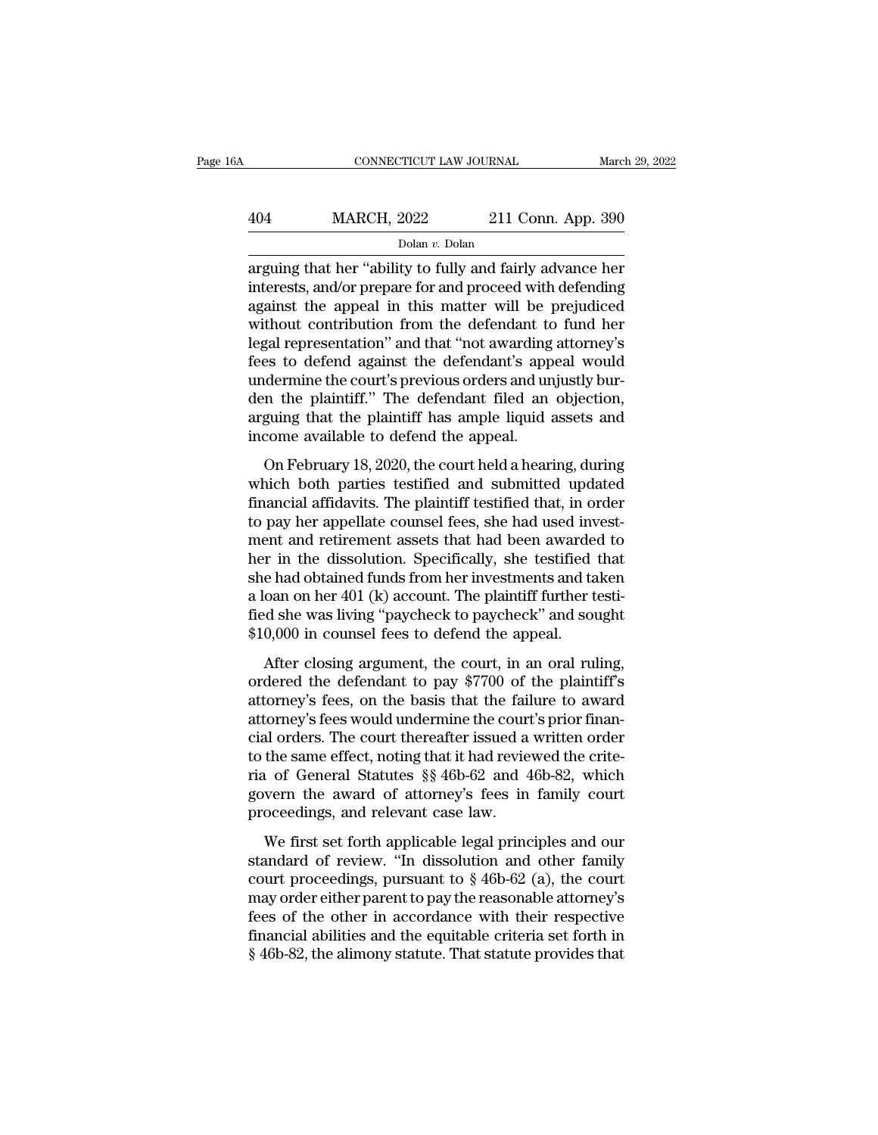## CONNECTICUT LAW JOURNAL March 29, 2022<br>
404 MARCH, 2022 211 Conn. App. 390<br>
Dolan v. Dolan Dolan *v.* Dolan

CONNECTICUT LAW JOURNAL March 29, 2022<br>
404 MARCH, 2022 211 Conn. App. 390<br>
Dolan v. Dolan<br>
arguing that her "ability to fully and fairly advance her<br>
interests, and/or prepare for and proceed with defending<br>
against the a MARCH, 2022 211 Conn. App. 390<br>
Dolar v. Dolan<br>
arguing that her "ability to fully and fairly advance her<br>
interests, and/or prepare for and proceed with defending<br>
against the appeal in this matter will be prejudiced<br>
wit  $\frac{\text{MARCH, 2022}}{\text{Dolan } v. \text{Dolan}}$ <br>  $\frac{\text{Dolan } v. \text{Dolan}}{\text{arrayting that her "ability to fully and fairly advance her}$ <br>
interests, and/or prepare for and proceed with defending<br>
against the appeal in this matter will be prejudiced<br>
without contribution from the defendant t MARCH, 2022 211 Conn. App. 390<br>
Dolan v. Dolan<br>
arguing that her "ability to fully and fairly advance her<br>
interests, and/or prepare for and proceed with defending<br>
against the appeal in this matter will be prejudiced<br>
wi Dolan *v*. Dolan<br>Dolan *v*. Dolan<br>arguing that her "ability to fully and fairly advance her<br>interests, and/or prepare for and proceed with defending<br>against the appeal in this matter will be prejudiced<br>without contributio bolan  $v$ . Dolan<br>arguing that her "ability to fully and fairly advance her<br>interests, and/or prepare for and proceed with defending<br>against the appeal in this matter will be prejudiced<br>without contribution from the defend arguing that her "ability to fully and fairly advance her<br>interests, and/or prepare for and proceed with defending<br>against the appeal in this matter will be prejudiced<br>without contribution from the defendant to fund her<br>le interests, and/or prepare for and proceed with defending<br>against the appeal in this matter will be prejudiced<br>without contribution from the defendant to fund her<br>legal representation" and that "not awarding attorney's<br>fees against the appeal in this matter will be prejudiced<br>without contribution from the defendant to fund her<br>legal representation" and that "not awarding attorney's<br>fees to defend against the defendant's appeal would<br>undermine without contribution from the defendant to<br>legal representation" and that "not awarding<br>fees to defend against the defendant's app<br>undermine the court's previous orders and un<br>den the plaintiff." The defendant filed an<br>arg Examples and that the defendant's appeal would<br>dermine the court's previous orders and unjustly bur-<br>n the plaintiff." The defendant filed an objection,<br>guing that the plaintiff has ample liquid assets and<br>come available t Example the court's previous orders and unjustly burden the plaintiff." The defendant filed an objection, arguing that the plaintiff has ample liquid assets and income available to defend the appeal.<br>On February 18, 2020,

final affidavits. The defendant filed an objection,<br>arguing that the plaintiff has ample liquid assets and<br>income available to defend the appeal.<br>On February 18, 2020, the court held a hearing, during<br>which both parties te are the plant. The decendar flied and expected,<br>arguing that the plaintiff has ample liquid assets and<br>income available to defend the appeal.<br>On February 18, 2020, the court held a hearing, during<br>which both parties testif income available to defend the appeal.<br>
On February 18, 2020, the court held a hearing, during<br>
which both parties testified and submitted updated<br>
financial affidavits. The plaintiff testified that, in order<br>
to pay her a on February 18, 2020, the court held a hearing, during<br>which both parties testified and submitted updated<br>financial affidavits. The plaintiff testified that, in order<br>to pay her appellate counsel fees, she had used invest On February 18, 2020, the court held a hearing, during<br>which both parties testified and submitted updated<br>financial affidavits. The plaintiff testified that, in order<br>to pay her appellate counsel fees, she had used invest which both parties testified and submitted updated<br>financial affidavits. The plaintiff testified that, in order<br>to pay her appellate counsel fees, she had used invest-<br>ment and retirement assets that had been awarded to<br>he financial affidavits. The plaintiff testified that, in order<br>to pay her appellate counsel fees, she had used invest-<br>ment and retirement assets that had been awarded to<br>her in the dissolution. Specifically, she testified t to pay her appellate counsel fees, she had used in<br>ment and retirement assets that had been awarde<br>her in the dissolution. Specifically, she testified<br>she had obtained funds from her investments and ta<br>a loan on her 401 (k Fin the dissolution. Specifically, she testified that<br>
e had obtained funds from her investments and taken<br>
can on her 401 (k) account. The plaintiff further testi-<br>
d she was living "paycheck to paycheck" and sought<br>
0,0 order in the dissolution. Specifically, site testinca that<br>she had obtained funds from her investments and taken<br>a loan on her 401 (k) account. The plaintiff further testi-<br>fied she was living "paycheck to paycheck" and so

a loan on her 401 (k) account. The plaintiff further testified she was living "paycheck to paycheck" and sought  $$10,000$  in counsel fees to defend the appeal.<br>After closing argument, the court, in an oral ruling, ordered at fied she was living "paycheck to paycheck" and sought<br>fied she was living "paycheck to paycheck" and sought<br>\$10,000 in counsel fees to defend the appeal.<br>After closing argument, the court, in an oral ruling,<br>ordered the \$10,000 in counsel fees to defend the appeal.<br>\$10,000 in counsel fees to defend the appeal.<br>After closing argument, the court, in an oral ruling,<br>ordered the defendant to pay \$7700 of the plaintiff's<br>attorney's fees, on t Arter closing argument, the court, in an oral ruling,<br>ordered the defendant to pay \$7700 of the plaintiff's<br>attorney's fees, on the basis that the failure to award<br>attorney's fees would undermine the court's prior finan-<br> After closing argument, the court, in an oral ruling,<br>ordered the defendant to pay \$7700 of the plaintiff's<br>attorney's fees, on the basis that the failure to award<br>attorney's fees would undermine the court's prior finan-<br>c ordered the defendant to pay \$7700 of the plaintiff's<br>attorney's fees, on the basis that the failure to award<br>attorney's fees would undermine the court's prior finan-<br>cial orders. The court thereafter issued a written orde attorney's fees, on the basis that the fail<br>attorney's fees would undermine the court<br>cial orders. The court thereafter issued a<br>to the same effect, noting that it had revie<br>ria of General Statutes §§ 46b-62 and 4<br>govern t and orders. The court thereafter issued a written order<br>the same effect, noting that it had reviewed the crite-<br>i of General Statutes §§ 46b-62 and 46b-82, which<br>wern the award of attorney's fees in family court<br>oceedings to the same effect, noting that it had reviewed the crite-<br>ria of General Statutes  $\S$  46b-62 and 46b-82, which<br>govern the award of attorney's fees in family court<br>proceedings, and relevant case law.<br>We first set forth ap

court and Statures  $\S$  46b-62 and 46b-82, which<br>govern the award of attorney's fees in family court<br>proceedings, and relevant case law.<br>We first set forth applicable legal principles and our<br>standard of review. "In dissol may or denoted butters  $\frac{1}{3}$  for  $\frac{1}{2}$  and  $\frac{1}{100}$  for  $\frac{1}{2}$ , which<br>govern the award of attorney's fees in family court<br>proceedings, and relevant case law.<br>We first set forth applicable legal principles an proceedings, and relevant case law.<br>We first set forth applicable legal principles and our<br>standard of review. "In dissolution and other family<br>court proceedings, pursuant to  $\S 46b-62$  (a), the court<br>may order either par We first set forth applicable legal principles and our standard of review. "In dissolution and other family court proceedings, pursuant to  $\S 46b-62$  (a), the court may order either parent to pay the reasonable attorney's We first set forth applicable legal principles and our standard of review. "In dissolution and other family court proceedings, pursuant to  $\S$  46b-62 (a), the court may order either parent to pay the reasonable attorney's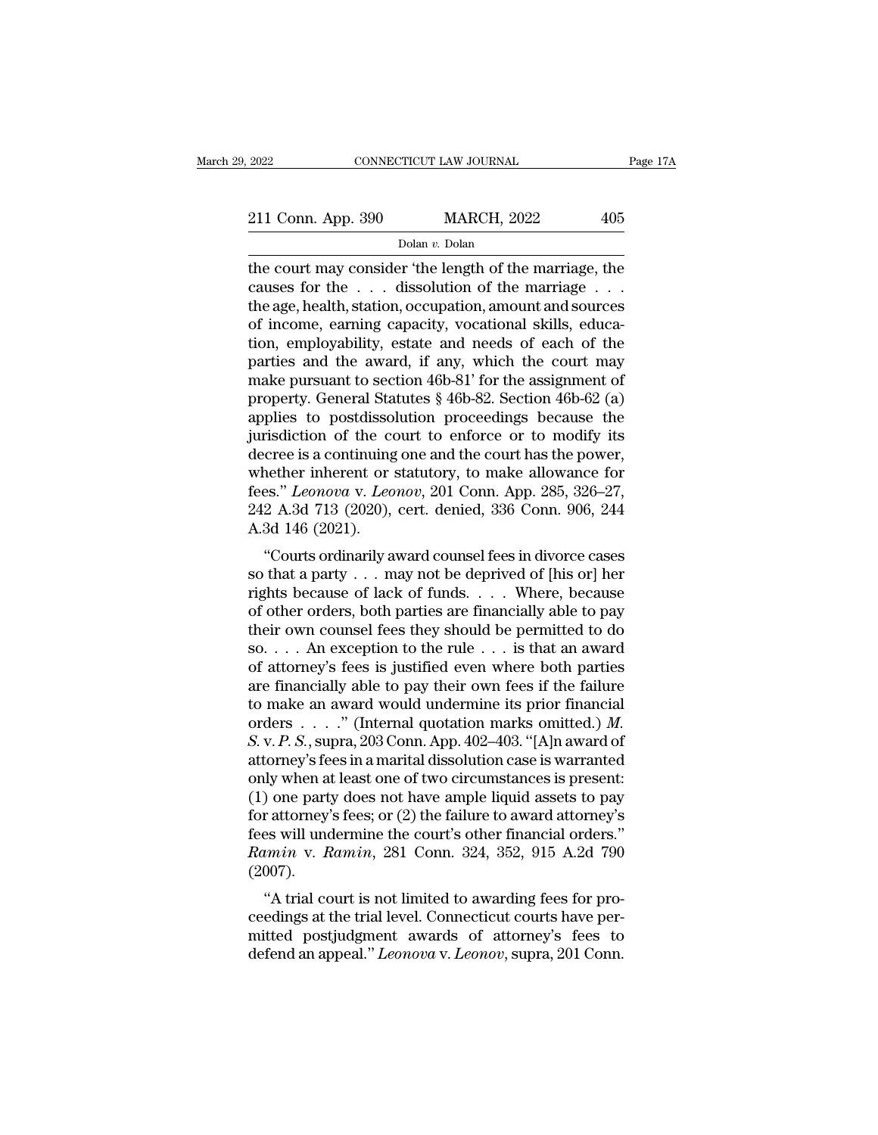# 2022 CONNECTICUT LAW JOURNAL Page 17A<br>211 Conn. App. 390 MARCH, 2022 405<br>Dolan v. Dolan

Dolan *v.* Dolan

2022 CONNECTICUT LAW JOURNAL Page 17A<br>
211 Conn. App. 390 MARCH, 2022 405<br>
Dolan v. Dolan<br>
the court may consider 'the length of the marriage, the<br>
causes for the ... dissolution of the marriage ...<br>
the age health statio 211 Conn. App. 390 MARCH, 2022 405<br>
Dolan v. Dolan<br>
the court may consider 'the length of the marriage, the<br>
causes for the . . . dissolution of the marriage . . .<br>
the age, health, station, occupation, amount and sources 211 Conn. App. 390 MARCH, 2022 405<br>
Dolar v. Dolar<br>
the court may consider 'the length of the marriage, the<br>
causes for the . . . dissolution of the marriage . . .<br>
the age, health, station, occupation, amount and sources 211 Conn. App. 390 MARCH, 2022 405<br>
Dolan v. Dolan<br>
the court may consider 'the length of the marriage, the<br>
causes for the . . . dissolution of the marriage . . .<br>
the age, health, station, occupation, amount and sources Dolan *v*. Dolan<br>Dolan *v*. Dolan<br>the court may consider 'the length of the marriage, the<br>causes for the . . . dissolution of the marriage . . .<br>the age, health, station, occupation, amount and sources<br>of income, earning bolan *v*. Dolan<br>the court may consider 'the length of the marriage, the<br>causes for the . . . dissolution of the marriage . . .<br>the age, health, station, occupation, amount and sources<br>of income, earning capacity, vocatio the court may consider 'the length of the marriage, the causes for the  $\ldots$  dissolution of the marriage  $\ldots$ .<br>the age, health, station, occupation, amount and sources of income, earning capacity, vocational skills, educ causes for the . . . dissolution of the marriage . . . .<br>the age, health, station, occupation, amount and sources<br>of income, earning capacity, vocational skills, educa-<br>tion, employability, estate and needs of each of the the age, health, station, occupation, amount and sources<br>of income, earning capacity, vocational skills, educa-<br>tion, employability, estate and needs of each of the<br>parties and the award, if any, which the court may<br>make p of income, earning capacity, vocational skills, education, employability, estate and needs of each of the parties and the award, if any, which the court may make pursuant to section 46b-81' for the assignment of property. tion, employability, estate and needs of each of the<br>parties and the award, if any, which the court may<br>make pursuant to section 46b-81' for the assignment of<br>property. General Statutes § 46b-82. Section 46b-62 (a)<br>applie parties and the award, if any, which the court may<br>make pursuant to section 46b-81' for the assignment of<br>property. General Statutes § 46b-82. Section 46b-62 (a)<br>applies to postdissolution proceedings because the<br>jurisdic make pursuant to section 46b-81' for the assignment of<br>property. General Statutes § 46b-82. Section 46b-62 (a)<br>applies to postdissolution proceedings because the<br>jurisdiction of the court to enforce or to modify its<br>decree property. General Statutes § 46b-82. Section 46b-62 (a) applies to postdissolution proceedings because the jurisdiction of the court to enforce or to modify its decree is a continuing one and the court has the power, wheth applies to postdisso<br>jurisdiction of the conderere is a continuing<br>whether inherent or :<br>fees." *Leonova* v. *Leo*<br>242 A.3d 713 (2020),<br>A.3d 146 (2021).<br>"Courts ordinarily a Translation of the court to enforce of to modny its<br>
cree is a continuing one and the court has the power,<br>
nether inherent or statutory, to make allowance for<br>
es." Leonova v. Leonov, 201 Conn. App. 285, 326–27,<br>
2 A.3d decree is a continuing one and the court has the power,<br>whether inherent or statutory, to make allowance for<br>fees." *Leonova* v. *Leonov*, 201 Conn. App. 285, 326–27,<br>242 A.3d 713 (2020), cert. denied, 336 Conn. 906, 244<br>A

whether inherent or statutory, to make anowance for<br>fees." *Leonova* v. *Leonov*, 201 Conn. App. 285, 326–27,<br>242 A.3d 713 (2020), cert. denied, 336 Conn. 906, 244<br>A.3d 146 (2021).<br>"Courts ordinarily award counsel fees in details. *Leonou*, 201 Collii. App. 235, 320–27, 242 A.3d 713 (2020), cert. denied, 336 Conn. 906, 244 A.3d 146 (2021).<br>
"Courts ordinarily award counsel fees in divorce cases so that a party . . . may not be deprived of 242 A.50 715 (2020), cert. defined, 350 Collif. 900, 244<br>A.3d 146 (2021).<br>"Courts ordinarily award counsel fees in divorce cases<br>so that a party . . . may not be deprived of [his or] her<br>rights because of lack of funds. . A.5d 140 (2021).<br>
"Courts ordinarily award counsel fees in divorce cases<br>
so that a party . . . may not be deprived of [his or] her<br>
rights because of lack of funds. . . . Where, because<br>
of other orders, both parties are "Courts ordinarily award counsel fees in divorce cases<br>so that a party . . . may not be deprived of [his or] her<br>rights because of lack of funds. . . . Where, because<br>of other orders, both parties are financially able to so that a party . . . may not be deprived of [his or] her<br>rights because of lack of funds. . . . Where, because<br>of other orders, both parties are financially able to pay<br>their own counsel fees they should be permitted to rights because of lack of funds. . . . Where, because<br>of other orders, both parties are financially able to pay<br>their own counsel fees they should be permitted to do<br>so. . . . An exception to the rule . . . is that an awa orders of other orders, both parties are financially able to pay<br>their own counsel fees they should be permitted to do<br>so.... An exception to the rule ... is that an award<br>of attorney's fees is justified even where both p their own counsel fees they should be permitted to do<br>so. . . . An exception to the rule . . . is that an award<br>of attorney's fees is justified even where both parties<br>are financially able to pay their own fees if the fai so. . . . An exception to the rule . . . is that an award<br>of attorney's fees is justified even where both parties<br>are financially able to pay their own fees if the failure<br>to make an award would undermine its prior financ of attorney's fees is justified even where both parties<br>are financially able to pay their own fees if the failure<br>to make an award would undermine its prior financial<br>orders . . . . . " (Internal quotation marks omitted.) are financially able to pay their own fees if the failure<br>to make an award would undermine its prior financial<br>orders . . . . " (Internal quotation marks omitted.) *M*.<br>*S.* v. *P. S.*, supra, 203 Conn. App. 402–403. "[A] to make an award would undermine its prior financial<br>orders  $\ldots$ ." (Internal quotation marks omitted.) *M*.<br>*S.* v. *P. S.*, supra, 203 Conn. App. 402–403. "[A]n award of<br>attorney's fees in a marital dissolution case is orders . . . . . " (Internal quotation marks omitted.) *M*.<br> *S.* v. *P. S.*, supra, 203 Conn. App. 402–403. "[A]n award of<br>
attorney's fees in a marital dissolution case is warranted<br>
only when at least one of two circum *S.* v. *P. S.*, supra, 203 Conn. App. 402–403. "[A]n award of attorney's fees in a marital dissolution case is warranted only when at least one of two circumstances is present: (1) one party does not have ample liquid ass (2007). ) one party does not have ample liquid assets to pay<br>
r attorney's fees; or (2) the failure to award attorney's<br>
es will undermine the court's other financial orders."<br> *imin* v. *Ramin*, 281 Conn. 324, 352, 915 A.2d 790<br> (1) one party does not have ample induct assets to pay<br>for attorney's fees; or (2) the failure to award attorney's<br>fees will undermine the court's other financial orders."<br> $Ramin$  v.  $Ramin$ , 281 Conn. 324, 352, 915 A.2d 790<br>(2

From all undermine the court's other financial orders."<br>fees will undermine the court's other financial orders."<br>*Ramin v. Ramin*, 281 Conn. 324, 352, 915 A.2d 790<br>(2007).<br>"A trial court is not limited to awarding fees fo definition. Best will underlining the court stoffer infinited orders.<br> *Ramin v. Ramin*, 281 Conn. 324, 352, 915 A.2d 790<br>
(2007).<br>
"A trial court is not limited to awarding fees for pro-<br>
ceedings at the trial level. Conn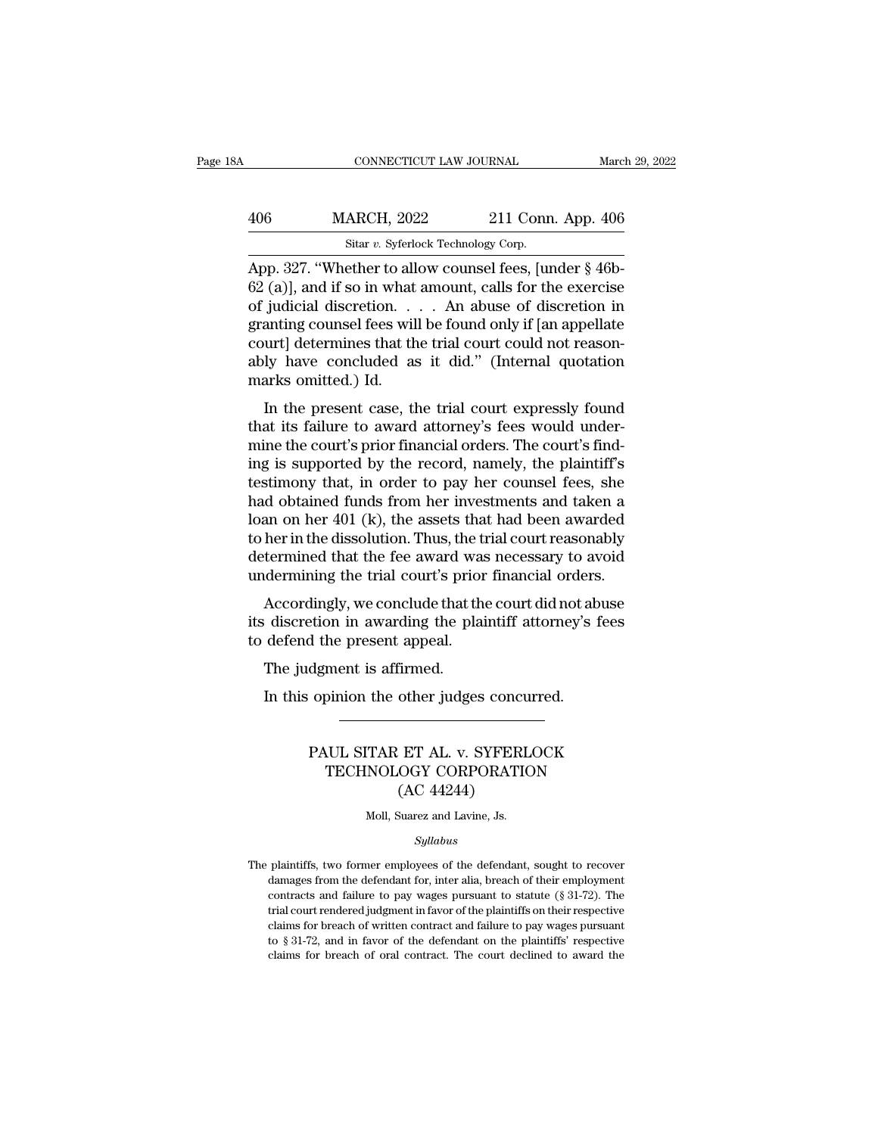| 3A  | CONNECTICUT LAW JOURNAL                                                                                                                            |                           | March 29, 2022 |
|-----|----------------------------------------------------------------------------------------------------------------------------------------------------|---------------------------|----------------|
| 406 | <b>MARCH, 2022</b>                                                                                                                                 | 211 Conn. App. 406        |                |
|     | Sitar v. Syferlock Technology Corp.                                                                                                                |                           |                |
|     | App. 327. "Whether to allow counsel fees, [under $\S$ 46b-<br>$62$ (a), and if so in what amount, calls for the exercise<br>of indigial disgration | An obugo of dicaration in |                |

406 MARCH, 2022 211 Conn. App. 406<br>
sitar v. Syferlock Technology Corp.<br>
App. 327. "Whether to allow counsel fees, [under § 46b-<br>
62 (a)], and if so in what amount, calls for the exercise<br>
of judicial discretion. . . . An 406 MARCH, 2022 211 Conn. App. 406<br>
Sitar v. Syferlock Technology Corp.<br>
App. 327. "Whether to allow counsel fees, [under § 46b-<br>
62 (a)], and if so in what amount, calls for the exercise<br>
of judicial discretion. . . . . 406 MARCH, 2022 211 Conn. App. 406<br>
Sitar v. Syferlock Technology Corp.<br>
App. 327. "Whether to allow counsel fees, [under § 46b-<br>
62 (a)], and if so in what amount, calls for the exercise<br>
of judicial discretion. . . . An Sitar v. Syferlock Technology Corp.<br>
App. 327. "Whether to allow counsel fees, [under § 46b-62 (a)], and if so in what amount, calls for the exercise<br>
of judicial discretion. . . . An abuse of discretion in<br>
granting coun Star v. Syterlock Technology Corp.<br>
App. 327. "Whether to allow counsel fees, [under § 46b-<br>
62 (a)], and if so in what amount, calls for the exercise<br>
of judicial discretion. . . . An abuse of discretion in<br>
granting cou App. 327. "Whether to all 62 (a)], and if so in what<br>of judicial discretion. .<br>granting counsel fees wil<br>court] determines that th<br>ably have concluded as<br>marks omitted.) Id.<br>In the present case, tl (a)<sub>J</sub>, and if so it what allocally, cans for the exercise<br>judicial discretion.... An abuse of discretion in<br>anting counsel fees will be found only if [an appellate<br>urt] determines that the trial court could not reason-<br>l or judicial discretion.  $\therefore$   $\therefore$  An abdse or discretion in granting counsel fees will be found only if [an appellate court] determines that the trial court could not reasonably have concluded as it did." (Internal quot

granting courser rees will be found only if [an appenate court] determines that the trial court could not reasonably have concluded as it did." (Internal quotation marks omitted.) Id.<br>In the present case, the trial court e Example is supported as it did." (Internal quotation<br>marks omitted.) Id.<br>In the present case, the trial court expressly found<br>that its failure to award attorney's fees would under-<br>mine the court's prior financial orders. that, in the present case, the trial court expressly found<br>that its failure to award attorney's fees would under-<br>mine the court's prior financial orders. The court's find-<br>ing is supported by the record, namely, the plai In the present case, the trial court expressly found<br>that its failure to award attorney's fees would under-<br>mine the court's prior financial orders. The court's find-<br>ing is supported by the record, namely, the plaintiff' In the present case, the trial court expressly found<br>that its failure to award attorney's fees would under-<br>mine the court's prior financial orders. The court's find-<br>ing is supported by the record, namely, the plaintiff' that its failure to award attorney's fees would under-<br>mine the court's prior financial orders. The court's find-<br>ing is supported by the record, namely, the plaintiff's<br>testimony that, in order to pay her counsel fees, sh mine the court's prior financial orders. The court's find-<br>ing is supported by the record, namely, the plaintiff's<br>testimony that, in order to pay her counsel fees, she<br>had obtained funds from her investments and taken a<br>l ing is supported by the record, namely, the plaintiff's<br>testimony that, in order to pay her counsel fees, she<br>had obtained funds from her investments and taken a<br>loan on her 401 (k), the assets that had been awarded<br>to her Bundary that, in order to pay her counser recs, she<br>d obtained funds from her investments and taken a<br>an on her 401 (k), the assets that had been awarded<br>her in the dissolution. Thus, the trial court reasonably<br>termined t flaat obtained runds from her investments and taken a<br>loan on her  $401$  (k), the assets that had been awarded<br>to her in the dissolution. Thus, the trial court reasonably<br>determined that the fee award was necessary to avoi to her in the dissolution. Thus, the to<br>to her in the dissolution. Thus, the the<br>determined that the fee award was<br>undermining the trial court's prior<br>Accordingly, we conclude that the<br>its discretion in awarding the plai<br>t

termined that the fee award waidermining the trial court's prior<br>Accordingly, we conclude that the discretion in awarding the planet<br>defend the present appeal.<br>The judgment is affirmed.<br>In this opinion the other judge: Machinang the that court s prior miancial orders<br>Accordingly, we conclude that the court did not abelisticated in awarding the plaintiff attorney's 1<br>defend the present appeal.<br>The judgment is affirmed.<br>In this opinion the

### dgment is affirmed.<br>
opinion the other judges concurred.<br>
PAUL SITAR ET AL. v. SYFERLOCK<br>
TECHNOLOGY CORPORATION<br>
(AC 44244) ment is affirmed.<br>
pinion the other judges concurred.<br>
UL SITAR ET AL. v. SYFERLOCK<br>
TECHNOLOGY CORPORATION<br>
(AC 44244) other judges concu<br>ET AL. v. SYFERL<br>OGY CORPORATIC<br>(AC 44244)<br>Suarez and Lavine, Js. PAUL SITAR ET AL. v. SYFERLOCK<br>TECHNOLOGY CORPORATION<br>(AC 44244)<br>Moll, Suarez and Lavine, Js.

### *Syllabus*

 $(AC 44244)$ <br>Moll, Suarez and Lavine, Js.<br>Syllabus<br>The plaintiffs, two former employees of the defendant, sought to recover<br>damages from the defendant for, inter alia, breach of their employment Moll, Suarez and Lavine, Js.<br>Syllabus<br>plaintiffs, two former employees of the defendant, sought to recover<br>damages from the defendant for, inter alia, breach of their employment<br>contracts and failure to pay wages pursuant Moll, Suarez and Lavine, Js.<br>
Syllabus<br>
plaintiffs, two former employees of the defendant, sought to recover<br>
damages from the defendant for, inter alia, breach of their employment<br>
contracts and failure to pay wages pursu  $Syllabus$ <br>plaintiffs, two former employees of the defendant, sought to recover<br>damages from the defendant for, inter alia, breach of their employment<br>contracts and failure to pay wages pursuant to statute ( $\S$  31-72). The<br>tri syltabus<br>plaintiffs, two former employees of the defendant, sought to recover<br>damages from the defendant for, inter alia, breach of their employment<br>contracts and failure to pay wages pursuant to statute ( $\S 31-72$ ). The<br> plaintiffs, two former employees of the defendant, sought to recover damages from the defendant for, inter alia, breach of their employment contracts and failure to pay wages pursuant to statute  $(\S 31-72)$ . The trial cou damages from the defendant for, inter alia, breach of their employment contracts and failure to pay wages pursuant to statute  $(\S 31-72)$ . The trial court rendered judgment in favor of the plaintiffs on their respective c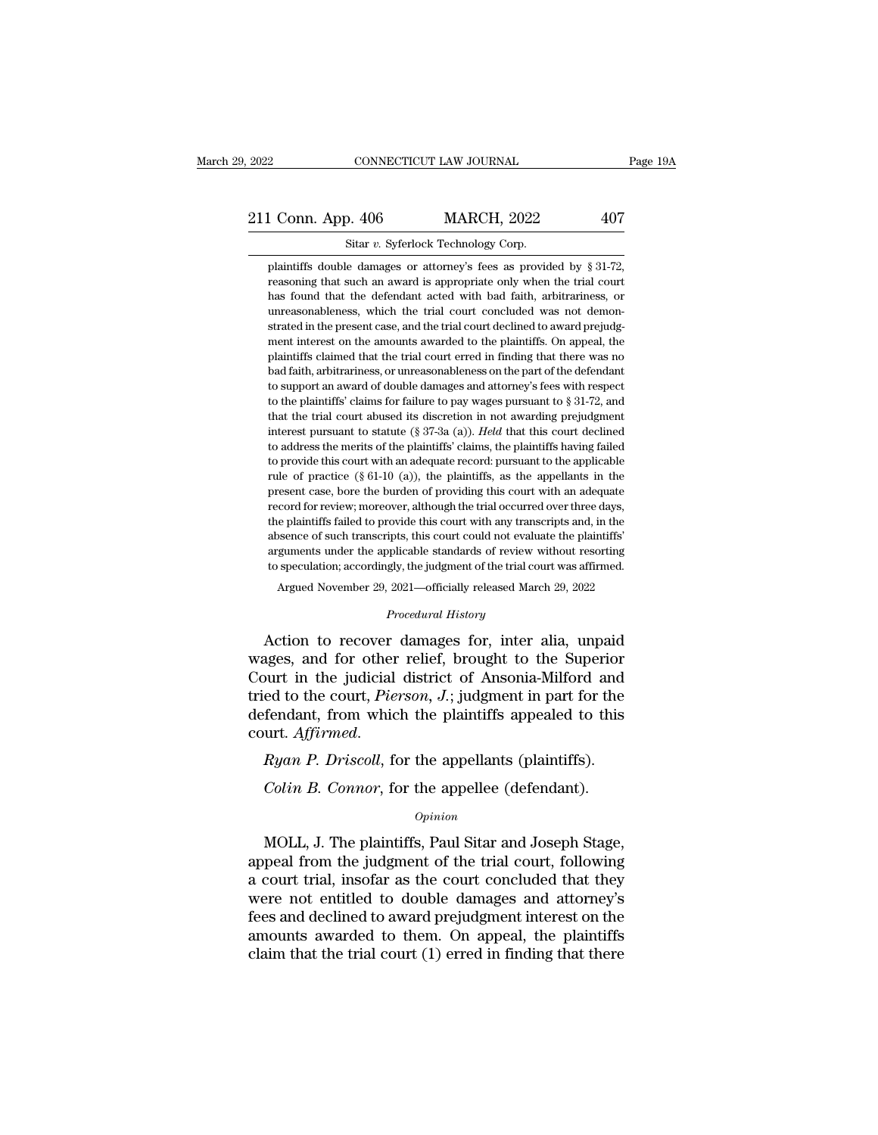## 2022 CONNECTICUT LAW JOURNAL Page 19A<br>211 Conn. App. 406 MARCH, 2022 407<br>Sitar v. Syferlock Technology Corp. 2022 CONNECTICUT LAW JOURNAL<br>211 Conn. App. 406 MARCH, 2022 407<br>Sitar *v.* Syferlock Technology Corp.<br>plaintiffs double damages or attorney's fees as provided by § 31-72.

1 Conn. App. 406 MARCH, 2022 407<br>
Sitar v. Syferlock Technology Corp.<br>
plaintiffs double damages or attorney's fees as provided by § 31-72,<br>
reasoning that such an award is appropriate only when the trial court 1 Conn. App. 406 MARCH, 2022 407<br>
Sitar v. Syferlock Technology Corp.<br>
plaintiffs double damages or attorney's fees as provided by § 31-72,<br>
reasoning that such an award is appropriate only when the trial court<br>
has found 1 Conn. App. 406 MARCH, 2022 407<br>
Sitar v. Syferlock Technology Corp.<br>
plaintiffs double damages or attorney's fees as provided by  $\frac{8}{3}$ 31-72,<br>
reasoning that such an award is appropriate only when the trial court<br>
ha Sitar  $v$ . Syferlock Technology Corp.<br>
plaintiffs double damages or attorney's fees as provided by § 31-72,<br>
reasoning that such an award is appropriate only when the trial court<br>
has found that the defendant acted with b Sitar  $v$ . Syferlock Technology Corp.<br>
plaintiffs double damages or attorney's fees as provided by § 31-72,<br>
reasoning that such an award is appropriate only when the trial court<br>
has found that the defendant acted with b plaintiffs double damages or attorney's fees as provided by  $\S$  31-72, reasoning that such an award is appropriate only when the trial court has found that the defendant acted with bad faith, arbitrariness, or unreasonabl peasoning that such an award is appropriate only when the trial court<br>has found that the defendant acted with bad faith, arbitrariness, or<br>unreasonableness, which the trial court concluded was not demon-<br>strated in the pre bad faith, arbitrariness, or unreasonableness, which the trial court concluded was not demonstrated in the present case, and the trial court declined to award prejudgment interest on the amounts awarded to the plaintiffs. the unreasonableness, which the trial court concluded was not demonstrated in the present case, and the trial court declined to award prejudgment interest on the amounts awarded to the plaintiffs. On appeal, the plaintiff strated in the present case, and the trial court declined to award prejudgment interest on the amounts awarded to the plaintiffs. On appeal, the plaintiffs claimed that the trial court erred in finding that there was no ba ment interest on the amounts awarded to the plaintiffs. On appeal, the plaintiffs claimed that the trial court erred in finding that there was no bad faith, arbitrariness, or unreasonableness on the part of the defendant plaintiffs claimed that the trial court erred in finding that there was no<br>bad faith, arbitrariness, or unreasonableness on the part of the defendant<br>to support an award of double damages and attorney's fees with respect<br>t bad faith, arbitrariness, or unreasonableness on the part of the defendant<br>to support an award of double damages and attorney's fees with respect<br>to the plaintiffs' claims for failure to pay wages pursuant to  $\S 31-72$ , a to support an award of double damages and attorney's fees with respect<br>to the plaintiffs' claims for failure to pay wages pursuant to  $\S 31-72$ , and<br>that the trial court abused its discretion in not awarding prejudgment<br>i to the plaintiffs' claims for failure to pay wages pursuant to § 31-72, and that the trial court abused its discretion in not awarding prejudgment interest pursuant to statute (§ 37-3a (a)). *Held* that this court decline that the trial court abused its discretion in not awarding prejudgment interest pursuant to statute (§ 37-3a (a)). *Held* that this court declined to address the merits of the plaintiffs' claims, the plaintiffs having fai interest pursuant to statute (§ 37-3a (a)). Held that this court declined to address the merits of the plaintiffs' claims, the plaintiffs having failed to provide this court with an adequate record: pursuant to the applic the address the merits of the plaintiffs' claims, the plaintiffs having failed to provide this court with an adequate record: pursuant to the applicable rule of practice (§ 61-10 (a)), the plaintiffs, as the appellants in to provide this court with an adequate record: pursuant to the applicable rule of practice  $(\S 61-10 \text{ (a)})$ , the plaintiffs, as the appellants in the present case, bore the burden of providing this court with an adequate arguments under the applicable standards of review with an adequate present case, bore the burden of providing this court with an adequate record for review; moreover, although the trial occurred over three days, the plai The special case, bore the burden of providing this court with an adequate present case, bore the burden of providing this court with an adequate record for review; moreover, although the trial occurred over three days, th cord for review; moreover, although the trial occurred over three days,<br>e plaintiffs failed to provide this court with any transcripts and, in the<br>sence of such transcripts, this court could not evaluate the plaintiffs'<br>gu *Procedural History*<br> *Procedural History*<br> *Procedural History*<br> *Procedural History*<br> **Procedural History**<br> **Procedural History**<br> **Procedural History** the plantins raned to provide this court with any transcripts and, in the<br>absence of such transcripts, this court could not evaluate the plaintiffs'<br>arguments under the applicable standards of review without resorting<br>to s

Experience of the applicable standards of review without resorting<br>arguments under the applicable standards of review without resorting<br>to speculation; accordingly, the judgment of the trial court was affirmed.<br>Argued Nov to speculation; accordingly, the judgment of the trial court was affirmed.<br>
Argued November 29, 2021—officially released March 29, 2022<br>
Procedural History<br>
Action to recover damages for, inter alia, unpaid<br>
wages, and for Argued November 29, 2021—officially released March 29, 2022<br> *Procedural History*<br>
Action to recover damages for, inter alia, unpaid<br>
wages, and for other relief, brought to the Superior<br>
Court in the judicial district of Procedural History<br>Action to recover damages for, inter alia, unpaid<br>wages, and for other relief, brought to the Superior<br>Court in the judicial district of Ansonia-Milford and<br>tried to the court, Pierson, J.; judgment in p Action to recover dantages for, inter ana, unpaid<br>wages, and for other relief, brought to the Superior<br>Court in the judicial district of Ansonia-Milford and<br>tried to the court, *Pierson*, *J*.; judgment in part for the<br>def *Colin B. Connor, Fierson, J.*; judgment in part for the fendant, from which the plaintiffs appealed to this urt. Affirmed.<br>*Ryan P. Driscoll*, for the appellants (plaintiffs).<br>*Colin B. Connor*, for the appellee (defendan

*Opinion*

urt. *Affirmed.*<br> *Ryan P. Driscoll*, for the appellants (plaintiffs).<br> *Colin B. Connor*, for the appellee (defendant).<br> *Opinion*<br>
MOLL, J. The plaintiffs, Paul Sitar and Joseph Stage,<br>
peal from the judgment of the tria *Ryan P. Driscoll*, for the appellants (plaintiffs).<br> *Colin B. Connor*, for the appellee (defendant).<br> *Opinion*<br>
MOLL, J. The plaintiffs, Paul Sitar and Joseph Stage,<br>
appeal from the judgment of the trial court, followi *an F. Driscou*, for the appenants (piantums).<br> *Colin B. Connor*, for the appellee (defendant).<br> *Opinion*<br>
MOLL, J. The plaintiffs, Paul Sitar and Joseph Stage,<br>
appeal from the judgment of the trial court, following<br>
a Colin B. Connor, for the appellee (defendant).<br>
opinion<br>
MOLL, J. The plaintiffs, Paul Sitar and Joseph Stage,<br>
appeal from the judgment of the trial court, following<br>
a court trial, insofar as the court concluded that the opinion<br>
MOLL, J. The plaintiffs, Paul Sitar and Joseph Stage,<br>
appeal from the judgment of the trial court, following<br>
a court trial, insofar as the court concluded that they<br>
were not entitled to double damages and attor sum and Joseph Stage,<br>
MOLL, J. The plaintiffs, Paul Sitar and Joseph Stage,<br>
appeal from the judgment of the trial court, following<br>
a court trial, insofar as the court concluded that they<br>
were not entitled to double dam MOLL, J. The plaintiffs, Paul Sitar and Joseph Stage, appeal from the judgment of the trial court, following a court trial, insofar as the court concluded that they were not entitled to double damages and attorney's fees a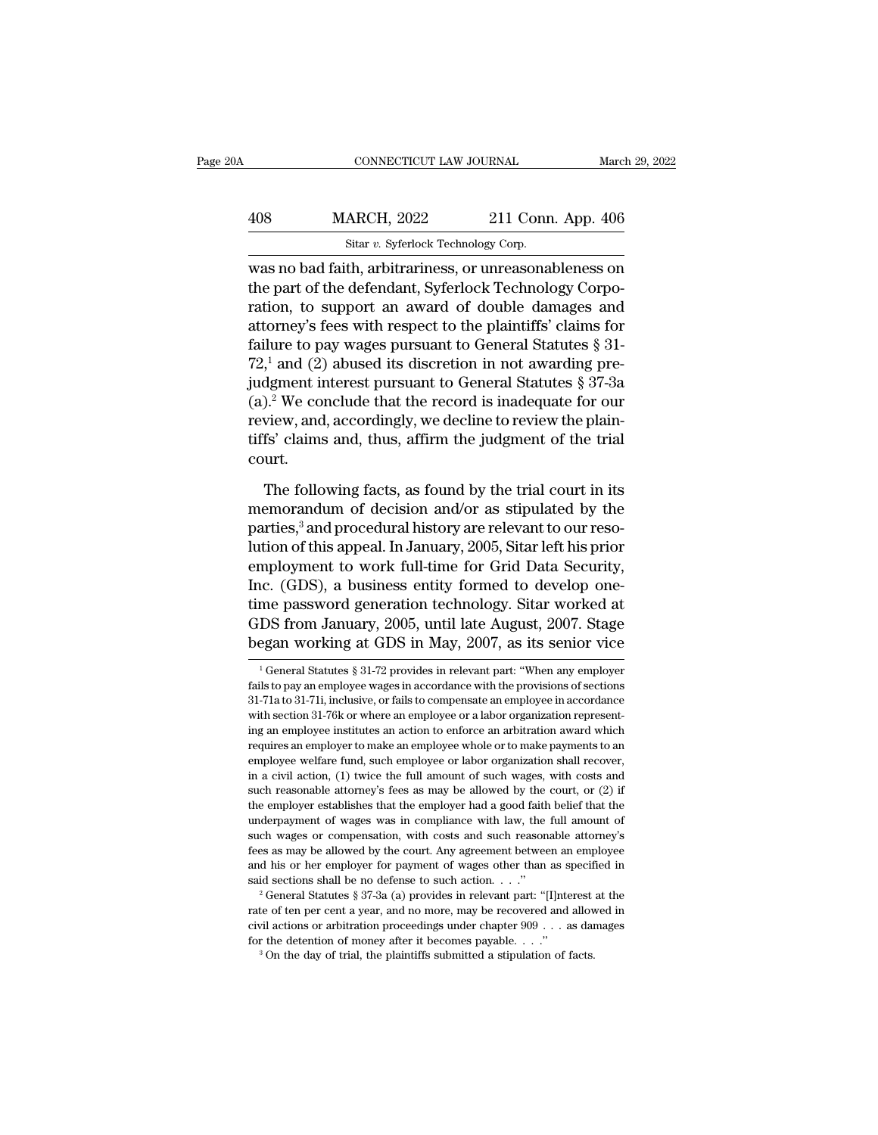| ۱A  | CONNECTICUT LAW JOURNAL                                                                                           |                                                  | March 29, 2022 |
|-----|-------------------------------------------------------------------------------------------------------------------|--------------------------------------------------|----------------|
|     |                                                                                                                   |                                                  |                |
| 408 | <b>MARCH, 2022</b>                                                                                                | 211 Conn. App. 406                               |                |
|     | Sitar v. Syferlock Technology Corp.                                                                               |                                                  |                |
|     | was no bad faith, arbitrariness, or unreasonableness on<br>the part of the defendant, Syferlock Technology Corpo- | ration to gunnari an award of double damages and |                |

 $\begin{array}{lll} \text{MARCH, 2022} & \text{211 Conn. App. 406} \ \text{Star } v \text{. Syferlock Technology Corp.} \ \text{was no bad faith, arbitrariness, or unreasonableness on the part of the defendant, Syferlock Technology Corporation, to support an award of double damages and attractor's face with respect to the plaintiff's' claims for a given network.} \end{array}$  $\frac{\text{MARCH}}{\text{Star } v. \text{ Syferlock Technology Corp.}}$ <br>
Sitar v. Syferlock Technology Corp.<br>
was no bad faith, arbitrariness, or unreasonableness on<br>
the part of the defendant, Syferlock Technology Corpo-<br>
ration, to support an award of double dama 408 MARCH, 2022 211 Conn. App. 406<br>
sitar v. Syferlock Technology Corp.<br>
was no bad faith, arbitrariness, or unreasonableness on<br>
the part of the defendant, Syferlock Technology Corpo-<br>
ration, to support an award of doub Sitar v. Syferlock Technology Corp.<br>
was no bad faith, arbitrariness, or unreasonableness on<br>
the part of the defendant, Syferlock Technology Corpo-<br>
ration, to support an award of double damages and<br>
attorney's fees with siar *v*. sylenock rechlology Corp.<br>was no bad faith, arbitrariness, or unreasonableness on<br>the part of the defendant, Syferlock Technology Corpo-<br>ration, to support an award of double damages and<br>attorney's fees with res was no bad faith, arbitrariness, or unreasonableness on<br>the part of the defendant, Syferlock Technology Corpo-<br>ration, to support an award of double damages and<br>attorney's fees with respect to the plaintiffs' claims for<br>f the part of the defendant, Syferlock Technology Corporation, to support an award of double damages and attorney's fees with respect to the plaintiffs' claims for failure to pay wages pursuant to General Statutes  $\S 31-72,$ ration, to support an award of double damages and<br>attorney's fees with respect to the plaintiffs' claims for<br>failure to pay wages pursuant to General Statutes § 31-<br>72,<sup>1</sup> and (2) abused its discretion in not awarding pre attorney's fees with respect to the plaintiffs' claims for<br>failure to pay wages pursuant to General Statutes § 31-<br>72,<sup>1</sup> and (2) abused its discretion in not awarding pre-<br>judgment interest pursuant to General Statutes § court. dgment interest pursuant to General Statutes § 37-3a<br>
).<sup>2</sup> We conclude that the record is inadequate for our<br>
view, and, accordingly, we decline to review the plain-<br>
fs' claims and, thus, affirm the judgment of the tria (a).<sup>2</sup> We conclude that the record is inadequate for our review, and, accordingly, we decline to review the plaintiffs' claims and, thus, affirm the judgment of the trial court.<br>The following facts, as found by the trial

review, and, accordingly, we decline to review the plaintiffs' claims and, thus, affirm the judgment of the trial court.<br>The following facts, as found by the trial court in its<br>memorandum of decision and/or as stipulated b tiffs' claims and, thus, affirm the judgment of the trial<br>court.<br>The following facts, as found by the trial court in its<br>memorandum of decision and/or as stipulated by the<br>parties,<sup>3</sup> and procedural history are relevant to court.<br>
The following facts, as found by the trial court in its<br>
memorandum of decision and/or as stipulated by the<br>
parties,<sup>3</sup> and procedural history are relevant to our reso-<br>
lution of this appeal. In January, 2005, S The following facts, as found by the trial court in its<br>memorandum of decision and/or as stipulated by the<br>parties,<sup>3</sup> and procedural history are relevant to our reso-<br>lution of this appeal. In January, 2005, Sitar left h The following facts, as found by the trial court in its<br>memorandum of decision and/or as stipulated by the<br>parties,<sup>3</sup> and procedural history are relevant to our reso-<br>lution of this appeal. In January, 2005, Sitar left h memorandum of decision and/or as stipulated by the<br>parties,<sup>3</sup> and procedural history are relevant to our reso-<br>lution of this appeal. In January, 2005, Sitar left his prior<br>employment to work full-time for Grid Data Secur parties,<sup>3</sup> and procedural history are relevant to our resolution of this appeal. In January, 2005, Sitar left his prior employment to work full-time for Grid Data Security, Inc. (GDS), a business entity formed to develop Inc. (GDS), a business entity formed to develop one-<br>time password generation technology. Sitar worked at<br>GDS from January, 2005, until late August, 2007. Stage<br>began working at GDS in May, 2007, as its senior vice<br> $\frac{1}{$ 

GDS from January, 2005, until late August, 2007. Stage<br>began working at GDS in May, 2007, as its senior vice<br> $\frac{1}{1}$ General Statutes § 31-72 provides in relevant part: "When any employer<br>fails to pay an employee wages i GDS from January, 2005, until late August, 2007. Stage<br>began working at GDS in May, 2007, as its senior vice<br> $\frac{1}{1}$ General Statutes § 31-72 provides in relevant part: "When any employer<br>fails to pay an employee wages i began working at GDS in May, 2007, as its senior vice<br>
<sup>1</sup>General Statutes § 31-72 provides in relevant part: "When any employer<br>
fails to pay an employee wages in accordance with the provisions of sections<br>
31-71a to 31-7 ing an employee in the state is an employee in the provides in relevant part: "When any employer fails to pay an employee wages in accordance with the provisions of sections 31-71a to 31-71i, inclusive, or fails to compen <sup>1</sup> General Statutes § 31-72 provides in relevant part: "When any employer fails to pay an employee wages in accordance with the provisions of sections 31-71a to 31-71i, inclusive, or fails to compensate an employee in ac fails to pay an employee wages in accordance with the provisions of sections 31-71a to 31-71i, inclusive, or fails to compensate an employee in accordance with section 31-76k or where an employee or a labor organization re and a civil action, (1) twice we fails to compensate an employee in accordance with section 31-76k or where an employee or a labor organization representing an employee institutes an action to enforce an arbitration award such reasonable attorney's fees as may be allowed by the court, or (2) if the employee institutes an action to enforce an arbitration award which requires an employer to make an employee whole or to make payments to an em man amployee institutes an action to enforce an arbitration award which<br>requires an employer to make an employee whole or to make payments to an<br>employee welfare fund, such employee or labor organization shall recover,<br>in ment of wages was in complement of wages or the full amount of such a semployee welfare fund, such employee or labor organization shall recover, in a civil action, (1) twice the full amount of such wages, with costs and su Fermal competer welfare fund, such employee or labor organization shall recover, in a civil action, (1) twice the full amount of such wages, with costs and such reasonable attorney's fees as may be allowed by the court, or in a civil action, (1) twice the full amount of such wages, with costs and such reasonable attorney's fees as may be allowed by the court, or (2) if the employer establishes that the employer had a good faith belief that such reasonable attorney's fees as may be allowed by the court, or  $(2)$  if the employer establishes that the employer had a good faith belief that the underpayment of wages was in compliance with law, the full amount of said sections shall be no defense to such action. . . .'' <sup>2</sup> General Statutes § 37-3a (a) provides in relevant part: ''[I]nterest at the such wages or compensation, with costs and such reasonable attorney's fees as may be allowed by the court. Any agreement between an employee and his or her employer for payment of wages other than as specified in said sec

such wages or compensation, with costs and such reasonable attorney's fees as may be allowed by the court. Any agreement between an employee and his or her employer for payment of wages other than as specified in said sec and his or her employer for payment of wages other than as specified said sections shall be no defense to such action. . . ."<br>
<sup>2</sup> General Statutes § 37-3a (a) provides in relevant part: "[I]nterest rate of ten per cent a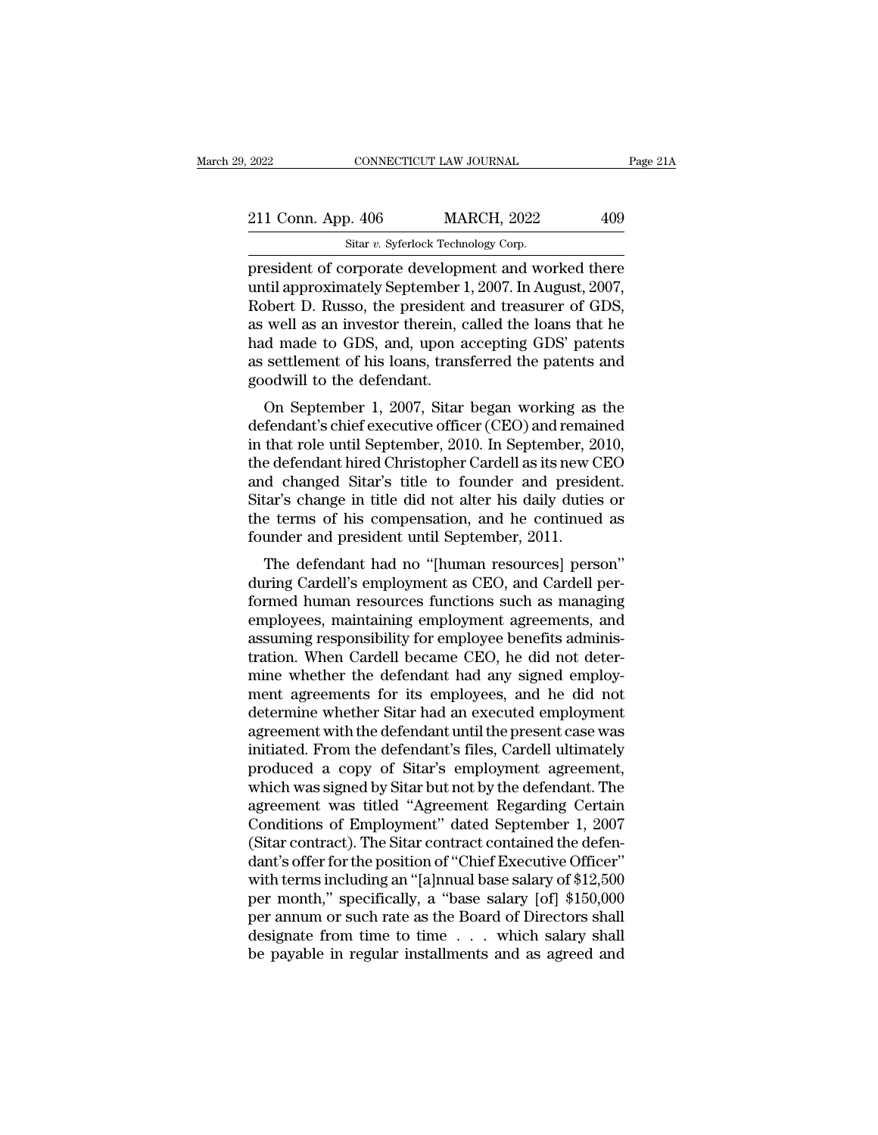| 211 Conn. App. 406 | <b>MARCH, 2022</b>      | 409      |
|--------------------|-------------------------|----------|
|                    |                         |          |
| 2022               | CONNECTICUT LAW JOURNAL | Page 21A |

Page 214<br>
2022 CONNECTICUT LAW JOURNAL Page 21A<br>
211 Conn. App. 406 MARCH, 2022 409<br>
Sitar v. Syferlock Technology Corp.<br>
president of corporate development and worked there<br>
until approximately September 1, 2007. In Augus 211 Conn. App. 406 MARCH, 2022 409<br>
Sitar v. Syferlock Technology Corp.<br>
president of corporate development and worked there<br>
until approximately September 1, 2007. In August, 2007,<br>
Robert D. Russo, the president and trea 211 Conn. App. 406 MARCH, 2022 409<br>
Sitar v. Syferlock Technology Corp.<br>
president of corporate development and worked there<br>
until approximately September 1, 2007. In August, 2007,<br>
Robert D. Russo, the president and tre 211 Conn. App. 406 MARCH, 2022 409<br>
Sitar v. Syferlock Technology Corp.<br>
president of corporate development and worked there<br>
until approximately September 1, 2007. In August, 2007,<br>
Robert D. Russo, the president and tre Sitar v. Syferlock Technology Corp.<br>
president of corporate development and worked there<br>
until approximately September 1, 2007. In August, 2007,<br>
Robert D. Russo, the president and treasurer of GDS,<br>
as well as an investo star v. syterlock Technology Corp.<br>president of corporate development and worked there<br>until approximately September 1, 2007. In August, 2007,<br>Robert D. Russo, the president and treasurer of GDS,<br>as well as an investor th president of corporate developr<br>until approximately September 1<br>Robert D. Russo, the president<br>as well as an investor therein, c<br>had made to GDS, and, upon a<br>as settlement of his loans, trans<br>goodwill to the defendant.<br>On of the approximately beptember 1, 2007, in August, 2007,<br>bbert D. Russo, the president and treasurer of GDS,<br>well as an investor therein, called the loans that he<br>d made to GDS, and, upon accepting GDS' patents<br>settlement Robert D. Kusso, the president and treasurer of GDS,<br>as well as an investor therein, called the loans that he<br>had made to GDS, and, upon accepting GDS' patents<br>as settlement of his loans, transferred the patents and<br>goodwi

as wen as an investor therent, cancel the loans that he<br>had made to GDS, and, upon accepting GDS' patents<br>as settlement of his loans, transferred the patents and<br>goodwill to the defendant.<br>On September 1, 2007, Sitar began the defendant of his loans, transferred the patents and<br>as settlement of his loans, transferred the patents and<br>goodwill to the defendant.<br>On September 1, 2007, Sitar began working as the<br>defendant's chief executive office as settlement of its foats, transferred the patents and<br>goodwill to the defendant.<br>On September 1, 2007, Sitar began working as the<br>defendant's chief executive officer (CEO) and remained<br>in that role until September, 2010. Solowin to the defendant.<br>
On September 1, 2007, Sitar began working as the<br>
defendant's chief executive officer (CEO) and remained<br>
in that role until September, 2010. In September, 2010,<br>
the defendant hired Christopher On September 1, 2007, Sitar began working as the<br>defendant's chief executive officer (CEO) and remained<br>in that role until September, 2010. In September, 2010,<br>the defendant hired Christopher Cardell as its new CEO<br>and cha defendant's chief executive officer (CEO) and remain<br>in that role until September, 2010. In September, 2t<br>the defendant hired Christopher Cardell as its new C<br>and changed Sitar's title to founder and presid<br>Sitar's change and fole until september, 2010. In september, 2010,<br>e defendant hired Christopher Cardell as its new CEO<br>d changed Sitar's title to founder and president.<br>tar's change in title did not alter his daily duties or<br>e terms of and changed Sitar's title to founder and president.<br>Sitar's change in title did not alter his daily duties or<br>the terms of his compensation, and he continued as<br>founder and president until September, 2011.<br>The defendant ha

and changed sitar's the to founder and president.<br>Sitar's change in title did not alter his daily duties or<br>the terms of his compensation, and he continued as<br>founder and president until September, 2011.<br>The defendant had Shar S change in the did not alter his dary duties of<br>the terms of his compensation, and he continued as<br>founder and president until September, 2011.<br>The defendant had no "[human resources] person"<br>during Cardell's employm the terms of its compensation, and he continued as<br>founder and president until September, 2011.<br>The defendant had no "[human resources] person"<br>during Cardell's employment as CEO, and Cardell per-<br>formed human resources fu The defendant had no "[human resources] person"<br>during Cardell's employment as CEO, and Cardell per-<br>formed human resources functions such as managing<br>employees, maintaining employment agreements, and<br>assuming responsibili The defendant had no "[human resources] person"<br>during Cardell's employment as CEO, and Cardell per-<br>formed human resources functions such as managing<br>employees, maintaining employment agreements, and<br>assuming responsibili during Cardell's employment as CEO, and Cardell performed human resources functions such as managing<br>employees, maintaining employment agreements, and<br>assuming responsibility for employee benefits adminis-<br>tration. When Ca formed human resources functions such as managing<br>employees, maintaining employment agreements, and<br>assuming responsibility for employee benefits adminis-<br>tration. When Cardell became CEO, he did not deter-<br>mine whether th employees, maintaining employment agreements, and<br>assuming responsibility for employee benefits adminis-<br>tration. When Cardell became CEO, he did not deter-<br>mine whether the defendant had any signed employ-<br>ment agreements assuming responsibility for employee benefits administration. When Cardell became CEO, he did not determine whether the defendant had any signed employment agreements for its employees, and he did not determine whether Sit tration. When Cardell became CEO, he did not deter-<br>mine whether the defendant had any signed employ-<br>ment agreements for its employees, and he did not<br>determine whether Sitar had an executed employment<br>agreement with the mine whether the defendant had any signed employment agreements for its employees, and he did not<br>determine whether Sitar had an executed employment<br>agreement with the defendant until the present case was<br>initiated. From t ment agreements for its employees, and he did not<br>determine whether Sitar had an executed employment<br>agreement with the defendant until the present case was<br>initiated. From the defendant's files, Cardell ultimately<br>produce determine whether Sitar had an executed employment<br>agreement with the defendant until the present case was<br>initiated. From the defendant's files, Cardell ultimately<br>produced a copy of Sitar's employment agreement,<br>which wa agreement with the defendant until the present case was<br>initiated. From the defendant's files, Cardell ultimately<br>produced a copy of Sitar's employment agreement,<br>which was signed by Sitar but not by the defendant. The<br>agr initiated. From the defendant's files, Cardell ultimately<br>produced a copy of Sitar's employment agreement,<br>which was signed by Sitar but not by the defendant. The<br>agreement was titled "Agreement Regarding Certain<br>Condition produced a copy of Sitar's employment agreement,<br>which was signed by Sitar but not by the defendant. The<br>agreement was titled "Agreement Regarding Certain<br>Conditions of Employment" dated September 1, 2007<br>(Sitar contract). which was signed by Sitar but not by the defendant. The<br>agreement was titled "Agreement Regarding Certain<br>Conditions of Employment" dated September 1, 2007<br>(Sitar contract). The Sitar contract contained the defen-<br>dant's o agreement was titled "Agreement Regarding Certain<br>Conditions of Employment" dated September 1, 2007<br>(Sitar contract). The Sitar contract contained the defen-<br>dant's offer for the position of "Chief Executive Officer"<br>with Conditions of Employment" dated September 1, 2007<br>(Sitar contract). The Sitar contract contained the defen-<br>dant's offer for the position of "Chief Executive Officer"<br>with terms including an "[a]nnual base salary of \$12,50 (Sitar contract). The Sitar contract contained the defendant's offer for the position of "Chief Executive Officer" with terms including an "[a]nnual base salary of \$12,500 per month," specifically, a "base salary [of] \$15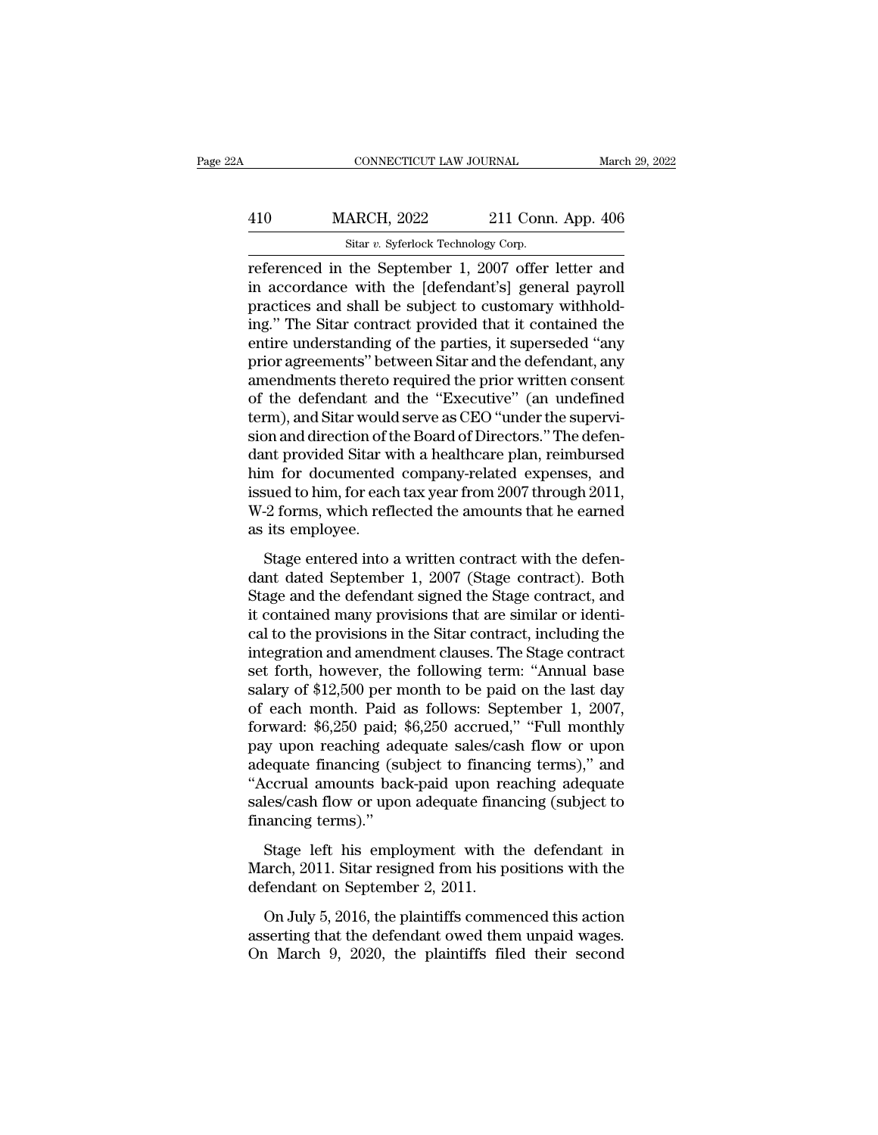# EXECUTE CONNECTICUT LAW JOURNAL March 29, 2022<br>410 MARCH, 2022 211 Conn. App. 406<br>Sitar v. Syferlock Technology Corp. CONNECTICUT LAW JOURNAL March March 2022<br>
Sitar *v.* Syferlock Technology Corp.<br>
Teferenced in the September 1, 2007 offer letter and

CONNECTICUT LAW JOURNAL March 29, 2022<br>
MARCH, 2022 211 Conn. App. 406<br>
Sitar v. Syferlock Technology Corp.<br>
Teferenced in the September 1, 2007 offer letter and<br>
in accordance with the [defendant's] general payroll<br>
presi  $\frac{\text{MARCH}}{\text{Star } v. \text{ Syferlock Technology Corp.}}$ <br>
Ferenced in the September 1, 2007 offer letter and<br>
in accordance with the [defendant's] general payroll<br>
practices and shall be subject to customary withhold-<br>
ing "The Sitar contract provid 410 MARCH, 2022 211 Conn. App. 406<br>  $\frac{\text{Star } v. \text{ Syferlock Technology Corp.}}{\text{reference in the September 1, 2007 offer letter and in accordance with the [defendant's] general payoff.}}$ <br>
practices and shall be subject to customary withhold-<br>
ing." The Sitar contract provided that it contained the ontire understandin  $\frac{\text{MARCH}}{\text{Star } v. \text{ Syferlock Technology Corp.}}$ <br>
sitar v. Syferlock Technology Corp.<br>
referenced in the September 1, 2007 offer letter and<br>
in accordance with the [defendant's] general payroll<br>
practices and shall be subject to customary wit Sitar v. Syferlock Technology Corp.<br>
The United State v. Syferlock Technology Corp.<br>
Teferenced in the September 1, 2007 offer letter and<br>
in accordance with the [defendant's] general payroll<br>
practices and shall be subje star v. Syterlock Technology Corp.<br>
referenced in the September 1, 2007 offer letter and<br>
in accordance with the [defendant's] general payroll<br>
practices and shall be subject to customary withhold-<br>
ing." The Sitar contra referenced in the September 1, 2007 offer letter and<br>in accordance with the [defendant's] general payroll<br>practices and shall be subject to customary withhold-<br>ing." The Sitar contract provided that it contained the<br>entire in accordance with the [defendant's] general payroll<br>practices and shall be subject to customary withhold-<br>ing." The Sitar contract provided that it contained the<br>entire understanding of the parties, it superseded "any<br>pri practices and shall be subject to customary withholding." The Sitar contract provided that it contained the entire understanding of the parties, it superseded "any prior agreements" between Sitar and the defendant, any ame ing." The Sitar contract provided that it contained the entire understanding of the parties, it superseded "any prior agreements" between Sitar and the defendant, any amendments thereto required the prior written consent o entire understanding of the parties, it superseded "any<br>prior agreements" between Sitar and the defendant, any<br>amendments thereto required the prior written consent<br>of the defendant and the "Executive" (an undefined<br>term), prior agreements" between Sitar and the defendant, any<br>amendments thereto required the prior written consent<br>of the defendant and the "Executive" (an undefined<br>term), and Sitar would serve as CEO "under the supervi-<br>sion a amendments thereto required the prior written consent<br>of the defendant and the "Executive" (an undefined<br>term), and Sitar would serve as CEO "under the supervi-<br>sion and direction of the Board of Directors." The defen-<br>dan of the defendant and the "Executive" (an undefined<br>term), and Sitar would serve as CEO "under the supervi-<br>sion and direction of the Board of Directors." The defen-<br>dant provided Sitar with a healthcare plan, reimbursed<br>hi term), and Sitar would<br>sion and direction of the dant provided Sitar whim for documented<br>issued to him, for each<br>W-2 forms, which refl<br>as its employee.<br>Stage entered into a Stage entered into a written contract with the defended Stage entered into a written contract with the defen-<br>Stage entered into a written contract with the defen-<br>and dated September 1, 2007 (Stage contract). Both<br>and and data provided staat what a neutrical expenses, and<br>him for documented company-related expenses, and<br>issued to him, for each tax year from 2007 through 2011,<br>W-2 forms, which reflected the amounts that he earned<br>as its empl

Final for documented company related expenses, and<br>issued to him, for each tax year from 2007 through 2011,<br>W-2 forms, which reflected the amounts that he earned<br>as its employee.<br>Stage entered into a written contract with it contains the many provisions that are similarly well are simply<br>w-2 forms, which reflected the amounts that he earned<br>as its employee.<br>Stage entered into a written contract with the defen-<br>dant dated September 1, 2007 ( cal to the provisions in the sitar contract with the defendant dated September 1, 2007 (Stage contract). Both<br>Stage and the defendant signed the Stage contract, and<br>it contained many provisions that are similar or identi-<br> Stage entered into a written contract with the defendant dated September 1, 2007 (Stage contract). Both Stage and the defendant signed the Stage contract, and it contained many provisions that are similar or identical to Stage entered into a written contract with the defendant dated September 1, 2007 (Stage contract). Both<br>Stage and the defendant signed the Stage contract, and<br>it contained many provisions that are similar or identi-<br>cal to dant dated September 1, 2007 (Stage contract). Both<br>Stage and the defendant signed the Stage contract, and<br>it contained many provisions that are similar or identi-<br>cal to the provisions in the Sitar contract, including the Stage and the defendant signed the Stage contract, and<br>it contained many provisions that are similar or identi-<br>cal to the provisions in the Sitar contract, including the<br>integration and amendment clauses. The Stage contra it contained many provisions that are similar or identical to the provisions in the Sitar contract, including the integration and amendment clauses. The Stage contract set forth, however, the following term: "Annual base s cal to the provisions in the Sitar contract, including the<br>integration and amendment clauses. The Stage contract<br>set forth, however, the following term: "Annual base<br>salary of \$12,500 per month to be paid on the last day<br>o integration and amendment clauses. The Stage contract<br>set forth, however, the following term: "Annual base<br>salary of \$12,500 per month to be paid on the last day<br>of each month. Paid as follows: September 1, 2007,<br>forward: set forth, however, the following term: "Annual base<br>salary of \$12,500 per month to be paid on the last day<br>of each month. Paid as follows: September 1, 2007,<br>forward: \$6,250 paid; \$6,250 accrued," "Full monthly<br>pay upon r salary of \$12,500 per month to be paid on the last day<br>of each month. Paid as follows: September 1, 2007,<br>forward: \$6,250 paid; \$6,250 accrued," "Full monthly<br>pay upon reaching adequate sales/cash flow or upon<br>adequate fin of each month. Paid<br>forward: \$6,250 paid;<br>pay upon reaching ade<br>adequate financing (su<br>"Accrual amounts bac<br>sales/cash flow or upor<br>financing terms)."<br>Stage left his empl Stage left his employment with the defendant in anche for all the forder or Spatian Stage left his employment with the defendant in anch, 2011. Sitar resigned from his positions with the forder or Spatian Content on Spati pay apon reaching adequate sates east now or apon<br>adequate financing (subject to financing terms)," and<br>"Accrual amounts back-paid upon reaching adequate<br>sales/cash flow or upon adequate financing (subject to<br>financing ter defeated maniering (subject to maniering<br>
"Accrual amounts back-paid upon resales/cash flow or upon adequate finar<br>
financing terms)."<br>
Stage left his employment with the March, 2011. Sitar resigned from his podefendant on

les/cash flow or upon adequate financing (subject to<br>ancing terms)."<br>Stage left his employment with the defendant in<br>arch, 2011. Sitar resigned from his positions with the<br>fendant on September 2, 2011.<br>On July 5, 2016, the financing terms)."<br>Stage left his employment with the defendant in<br>March, 2011. Sitar resigned from his positions with the<br>defendant on September 2, 2011.<br>On July 5, 2016, the plaintiffs commenced this action<br>asserting tha Stage left his employment with the defendant in March, 2011. Sitar resigned from his positions with the defendant on September 2, 2011.<br>On July 5, 2016, the plaintiffs commenced this action asserting that the defendant owe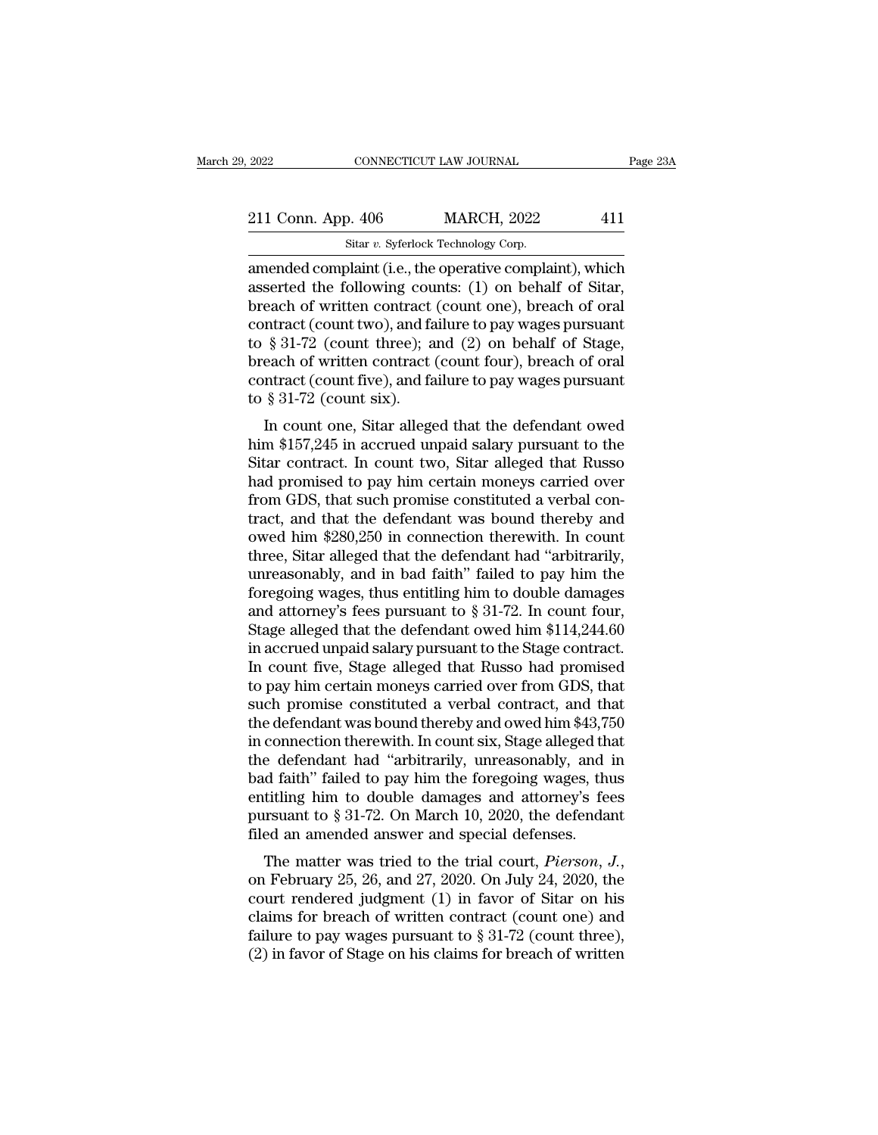| 2022               | CONNECTICUT LAW JOURNAL                                         | Page 23A |
|--------------------|-----------------------------------------------------------------|----------|
| 211 Conn. App. 406 | <b>MARCH, 2022</b>                                              | 411      |
|                    | Sitar v. Syferlock Technology Corp.                             |          |
|                    | amended complaint $(i e_1 h e_2)$ the operative complaint which |          |

2022 CONNECTICUT LAW JOURNAL Page 23A<br>
211 Conn. App. 406 MARCH, 2022 411<br>
Sitar v. Syferlock Technology Corp.<br>
21 amended complaint (i.e., the operative complaint), which<br>
asserted the following counts: (1) on behalf of S 211 Conn. App. 406 MARCH, 2022 411<br>
Sitar v. Syferlock Technology Corp.<br>
amended complaint (i.e., the operative complaint), which<br>
asserted the following counts: (1) on behalf of Sitar,<br>
breach of written contract (count 211 Conn. App. 406 MARCH, 2022 411<br>
Sitar v. Syferlock Technology Corp.<br>
amended complaint (i.e., the operative complaint), which<br>
asserted the following counts: (1) on behalf of Sitar,<br>
breach of written contract (count 211 Conn. App. 406 MARCH, 2022 411<br>
Sitar v. Syferlock Technology Corp.<br>
amended complaint (i.e., the operative complaint), which<br>
asserted the following counts: (1) on behalf of Sitar,<br>
breach of written contract (count Sitar v. Syferlock Technology Corp.<br>
amended complaint (i.e., the operative complaint), which<br>
asserted the following counts: (1) on behalf of Sitar,<br>
breach of written contract (count one), breach of oral<br>
contract (coun star v. Syterlock Technology Corp.<br>
amended complaint (i.e., the operative complaint), which<br>
asserted the following counts: (1) on behalf of Sitar,<br>
breach of written contract (count one), breach of oral<br>
contract (count amended complaint (i.e., the operative complaint), which<br>asserted the following counts: (1) on behalf of Sitar,<br>breach of written contract (count one), breach of oral<br>contract (count two), and failure to pay wages pursuan asserted the following cou<br>breach of written contract<br>contract (count two), and fa<br>to § 31-72 (count three); a<br>breach of written contract<br>contract (count five), and fa<br>to § 31-72 (count six).<br>In count one, Sitar allege each of whiteh contract (count one), breach of oral<br>ntract (count two), and failure to pay wages pursuant<br>§ 31-72 (count three); and (2) on behalf of Stage,<br>each of written contract (count four), breach of oral<br>ntract (cou contract (count two), and rande to pay wages pursuant<br>to § 31-72 (count three); and (2) on behalf of Stage,<br>breach of written contract (count four), breach of oral<br>contract (count five), and failure to pay wages pursuant<br>t

to  $\S$  31-72 (count three), and (2) on behan of stage,<br>breach of written contract (count four), breach of oral<br>contract (count five), and failure to pay wages pursuant<br>to  $\S$  31-72 (count six).<br>In count one, Sitar alleged breach of whiteh collitati (count four), breach of oral<br>contract (count five), and failure to pay wages pursuant<br>to § 31-72 (count six).<br>In count one, Sitar alleged that the defendant owed<br>him \$157,245 in accrued unpaid sa from GDS, that such a count we pay wages pursuant<br>to § 31-72 (count six).<br>In count one, Sitar alleged that the defendant owed<br>him \$157,245 in accrued unpaid salary pursuant to the<br>Sitar contract. In count two, Sitar allege to  $\frac{1}{8}$  of  $\frac{1}{2}$  (count six).<br>In count one, Sitar alleged that the defendant owed<br>him \$157,245 in accrued unpaid salary pursuant to the<br>Sitar contract. In count two, Sitar alleged that Russo<br>had promised to pay h In count one, Sitar alleged that the defendant owed<br>him \$157,245 in accrued unpaid salary pursuant to the<br>Sitar contract. In count two, Sitar alleged that Russo<br>had promised to pay him certain moneys carried over<br>from GDS, him \$157,245 in accrued unpaid salary pursuant to the Sitar contract. In count two, Sitar alleged that Russo<br>had promised to pay him certain moneys carried over<br>from GDS, that such promise constituted a verbal con-<br>tract, Sitar contract. In count two, Sitar alleged that Russo<br>had promised to pay him certain moneys carried over<br>from GDS, that such promise constituted a verbal con-<br>tract, and that the defendant was bound thereby and<br>owed him had promised to pay him certain moneys carried over<br>from GDS, that such promise constituted a verbal con-<br>tract, and that the defendant was bound thereby and<br>owed him \$280,250 in connection therewith. In count<br>three, Sita from GDS, that such promise constituted a verbal contract, and that the defendant was bound thereby and owed him \$280,250 in connection therewith. In count three, Sitar alleged that the defendant had "arbitrarily, unreaso tract, and that the defendant was bound thereby and<br>owed him \$280,250 in connection therewith. In count<br>three, Sitar alleged that the defendant had "arbitrarily,<br>unreasonably, and in bad faith" failed to pay him the<br>foreg owed him \$280,250 in connection therewith. In count<br>three, Sitar alleged that the defendant had "arbitrarily,<br>unreasonably, and in bad faith" failed to pay him the<br>foregoing wages, thus entitling him to double damages<br>and three, Sitar alleged that the defendant had "arbitrarily,<br>unreasonably, and in bad faith" failed to pay him the<br>foregoing wages, thus entitling him to double damages<br>and attorney's fees pursuant to § 31-72. In count four,<br> unreasonably, and in bad faith" failed to pay him the<br>foregoing wages, thus entitling him to double damages<br>and attorney's fees pursuant to  $\S 31-72$ . In count four,<br>Stage alleged that the defendant owed him  $\$114,244.60$ foregoing wages, thus entitling him to double damages<br>and attorney's fees pursuant to  $\S 31-72$ . In count four,<br>Stage alleged that the defendant owed him  $\$114,244.60$ <br>in accrued unpaid salary pursuant to the Stage contra and attorney's fees pursuant to  $\S 31-72$ . In count four,<br>Stage alleged that the defendant owed him  $\$114,244.60$ <br>in accrued unpaid salary pursuant to the Stage contract.<br>In count five, Stage alleged that Russo had promis Stage alleged that the defendant owed him \$114,244.60<br>in accrued unpaid salary pursuant to the Stage contract.<br>In count five, Stage alleged that Russo had promised<br>to pay him certain moneys carried over from GDS, that<br>such in accrued unpaid salary pursuant to the Stage contract.<br>In count five, Stage alleged that Russo had promised<br>to pay him certain moneys carried over from GDS, that<br>such promise constituted a verbal contract, and that<br>the d In count five, Stage alleged that Russo had promised<br>to pay him certain moneys carried over from GDS, that<br>such promise constituted a verbal contract, and that<br>the defendant was bound thereby and owed him \$43,750<br>in conne to pay him certain moneys carried over from GDS, that<br>such promise constituted a verbal contract, and that<br>the defendant was bound thereby and owed him \$43,750<br>in connection therewith. In count six, Stage alleged that<br>the such promise constituted a verbal contract, and that<br>the defendant was bound thereby and owed him \$43,750<br>in connection therewith. In count six, Stage alleged that<br>the defendant had "arbitrarily, unreasonably, and in<br>bad f the defendant was bound thereby and owed him \$43,7% in connection therewith. In count six, Stage alleged th the defendant had "arbitrarily, unreasonably, and bad faith" failed to pay him the foregoing wages, the entitling In connection therewith. In count six, stage aneged that<br>the defendant had "arbitrarily, unreasonably, and in<br>bad faith" failed to pay him the foregoing wages, thus<br>entitling him to double damages and attorney's fees<br>pursu

bad faith Talled to pay film the foregoing wages, thus<br>entitling him to double damages and attorney's fees<br>pursuant to § 31-72. On March 10, 2020, the defendant<br>filed an amended answer and special defenses.<br>The matter was entiting film to double dantages and attorney's rees<br>pursuant to § 31-72. On March 10, 2020, the defendant<br>filed an amended answer and special defenses.<br>The matter was tried to the trial court, *Pierson*, *J*.,<br>on Februar pursuant to  $\S$  31-72. On march to, 2020, the defenses.<br>
The matter was tried to the trial court, *Pierson*, *J.*,<br>
on February 25, 26, and 27, 2020. On July 24, 2020, the<br>
court rendered judgment (1) in favor of Sitar on The matter was tried to the trial court, *Pierson*, *J*., on February 25, 26, and 27, 2020. On July 24, 2020, the court rendered judgment (1) in favor of Sitar on his claims for breach of written contract (count one) and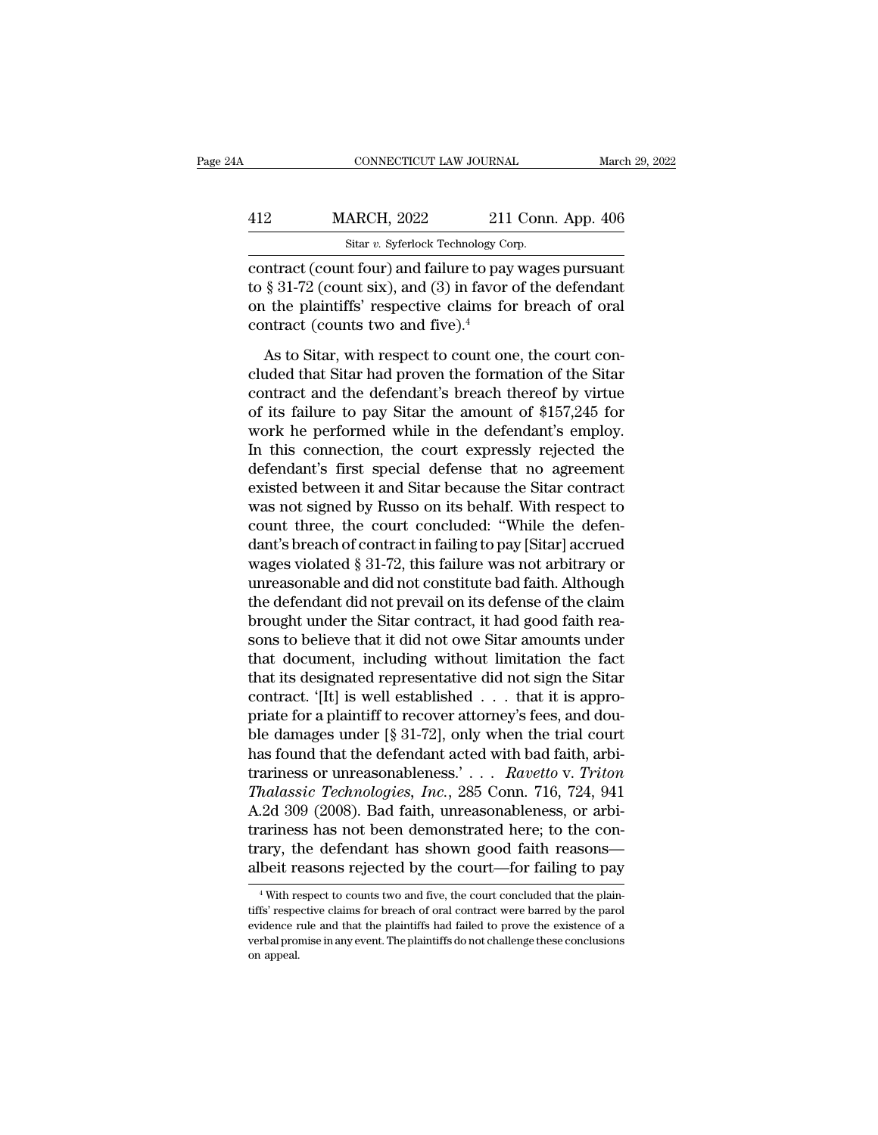| March 29, 2022                                          |
|---------------------------------------------------------|
| 211 Conn. App. 406                                      |
|                                                         |
| contract (count four) and failure to pay wages pursuant |

CONNECTICUT LAW JOURNAL March 29, 202<br>
MARCH, 2022 211 Conn. App. 406<br>
Sitar v. Syferlock Technology Corp.<br>
Contract (count four) and failure to pay wages pursuant<br>
to § 31-72 (count six), and (3) in favor of the defendant 412 MARCH, 2022 211 Conn. App. 406<br>
Sitar v. Syferlock Technology Corp.<br>
contract (count four) and failure to pay wages pursuant<br>
to § 31-72 (count six), and (3) in favor of the defendant<br>
on the plaintiffs' respective cl 412 MARCH, 2022 211 Conn. App. 406<br>
Sitar v. Syferlock Technology Corp.<br>
contract (count four) and failure to pay wages pursuant<br>
to § 31-72 (count six), and (3) in favor of the defendant<br>
on the plaintiffs' respective cl 412 MARCH, 2022 211<br>
Sitar v. Syferlock Technology Co<br>
contract (count four) and failure to pay<br>
to § 31-72 (count six), and (3) in favor<br>
on the plaintiffs' respective claims for<br>
contract (counts two and five).<sup>4</sup><br>
As t Sitar v. Syferlock Technology Corp.<br>
Intract (count four) and failure to pay wages pursuant<br>
§ 31-72 (count six), and (3) in favor of the defendant<br>
i the plaintiffs' respective claims for breach of oral<br>
Intract (counts contract (count four) and failure to pay wages pursuant<br>to  $\S 31-72$  (count six), and (3) in favor of the defendant<br>on the plaintiffs' respective claims for breach of oral<br>contract (counts two and five).<sup>4</sup><br>As to Sitar, w

to § 31-72 (count six), and (3) in favor of the defendant<br>on the plaintiffs' respective claims for breach of oral<br>contract (counts two and five).<sup>4</sup><br>As to Sitar, with respect to count one, the court con-<br>cluded that Sitar on the plaintiffs' respective claims for breach of oral<br>contract (counts two and five).<sup>4</sup><br>As to Sitar, with respect to count one, the court con-<br>cluded that Sitar had proven the formation of the Sitar<br>contract and the de contract (counts two and five).<sup>4</sup><br>As to Sitar, with respect to count one, the court con-<br>cluded that Sitar had proven the formation of the Sitar<br>contract and the defendant's breach thereof by virtue<br>of its failure to pay As to Sitar, with respect to count one, the court con-<br>cluded that Sitar had proven the formation of the Sitar<br>contract and the defendant's breach thereof by virtue<br>of its failure to pay Sitar the amount of \$157,245 for<br>wo As to Sitar, with respect to count one, the court con-<br>cluded that Sitar had proven the formation of the Sitar<br>contract and the defendant's breach thereof by virtue<br>of its failure to pay Sitar the amount of \$157,245 for<br>wo cluded that Sitar had proven the formation of the Sitar<br>contract and the defendant's breach thereof by virtue<br>of its failure to pay Sitar the amount of \$157,245 for<br>work he performed while in the defendant's employ.<br>In thi contract and the defendant's breach thereof by virtue<br>of its failure to pay Sitar the amount of \$157,245 for<br>work he performed while in the defendant's employ.<br>In this connection, the court expressly rejected the<br>defendant of its failure to pay Sitar the amount of \$157,245 for<br>work he performed while in the defendant's employ.<br>In this connection, the court expressly rejected the<br>defendant's first special defense that no agreement<br>existed be work he performed while in the defendant's employ.<br>In this connection, the court expressly rejected the<br>defendant's first special defense that no agreement<br>existed between it and Sitar because the Sitar contract<br>was not s In this connection, the court expressly rejected the<br>defendant's first special defense that no agreement<br>existed between it and Sitar because the Sitar contract<br>was not signed by Russo on its behalf. With respect to<br>count defendant's first special defense that no agreement<br>existed between it and Sitar because the Sitar contract<br>was not signed by Russo on its behalf. With respect to<br>count three, the court concluded: "While the defen-<br>dant's existed between it and Sitar because the Sitar contract<br>was not signed by Russo on its behalf. With respect to<br>count three, the court concluded: "While the defen-<br>dant's breach of contract in failing to pay [Sitar] accrued was not signed by Russo on its behalf. With respect to count three, the court concluded: "While the defendant's breach of contract in failing to pay [Sitar] accrued wages violated § 31-72, this failure was not arbitrary or count three, the court concluded: "While the defen-<br>dant's breach of contract in failing to pay [Sitar] accrued<br>wages violated § 31-72, this failure was not arbitrary or<br>unreasonable and did not constitute bad faith. Altho dant's breach of contract in failing to pay [Sitar] accrued<br>wages violated  $\S$  31-72, this failure was not arbitrary or<br>unreasonable and did not constitute bad faith. Although<br>the defendant did not prevail on its defense wages violated § 31-72, this failure was not arbitrary or<br>unreasonable and did not constitute bad faith. Although<br>the defendant did not prevail on its defense of the claim<br>brought under the Sitar contract, it had good fait unreasonable and did not constitute bad faith. Although<br>the defendant did not prevail on its defense of the claim<br>brought under the Sitar contract, it had good faith rea-<br>sons to believe that it did not owe Sitar amounts the defendant did not prevail on its defense of the claim<br>brought under the Sitar contract, it had good faith reasons to believe that it did not owe Sitar amounts under<br>that document, including without limitation the fact brought under the Sitar contract, it had good faith reasons to believe that it did not owe Sitar amounts under<br>that document, including without limitation the fact<br>that its designated representative did not sign the Sitar sons to believe that it did not owe Sitar amounts under<br>that document, including without limitation the fact<br>that its designated representative did not sign the Sitar<br>contract. '[It] is well established . . . that it is a that document, including without limitation the fact<br>that its designated representative did not sign the Sitar<br>contract. '[It] is well established . . . that it is appro-<br>priate for a plaintiff to recover attorney's fees, that its designated representative did not sign the Sitar<br>contract. '[It] is well established . . . that it is appro-<br>priate for a plaintiff to recover attorney's fees, and dou-<br>ble damages under [§ 31-72], only when the t contract. '[It] is well established . . . that it is appropriate for a plaintiff to recover attorney's fees, and double damages under [§ 31-72], only when the trial court has found that the defendant acted with bad faith, priate for a plaintiff to recover attorney's fees, and double damages under [§ 31-72], only when the trial court<br>has found that the defendant acted with bad faith, arbi-<br>trariness or unreasonableness.'... *Ravetto* v. *Tr* ble damages under [§ 31-72], only when the trial court<br>has found that the defendant acted with bad faith, arbi-<br>trariness or unreasonableness.' . . . *Ravetto v. Triton<br>Thalassic Technologies*, *Inc.*, 285 Conn. 716, 724, has found that the defendant acted with bad faith, arbi-<br>trariness or unreasonableness.'... *Ravetto* v. *Triton*<br>Thalassic Technologies, Inc., 285 Conn. 716, 724, 941<br>A.2d 309 (2008). Bad faith, unreasonableness, or arbi  $2d$  309 (2008). Bad raith, unreasonableness, or arbi-<br>ariness has not been demonstrated here; to the con-<br>ary, the defendant has shown good faith reasons—<br>beit reasons rejected by the court—for failing to pay<br> $\frac{4}{3}$  w trariness has not been demonstrated here; to the contrary, the defendant has shown good faith reasons—albeit reasons rejected by the court—for failing to pay  $\frac{4}{1}$  with respect to counts two and five, the court conclu

trary, the defendant has shown good faith reasons—<br>albeit reasons rejected by the court—for failing to pay<br><sup>4</sup> With respect to counts two and five, the court concluded that the plaintiffs'<br>respective claims for breach of o albeit reasons rejected by the court—for failing to pay<br>
<sup>4</sup> With respect to counts two and five, the court concluded that the plaintiffs' respective claims for breach of oral contract were barred by the parol evidence rul and the red with red in the red produce red produced a series on appeal.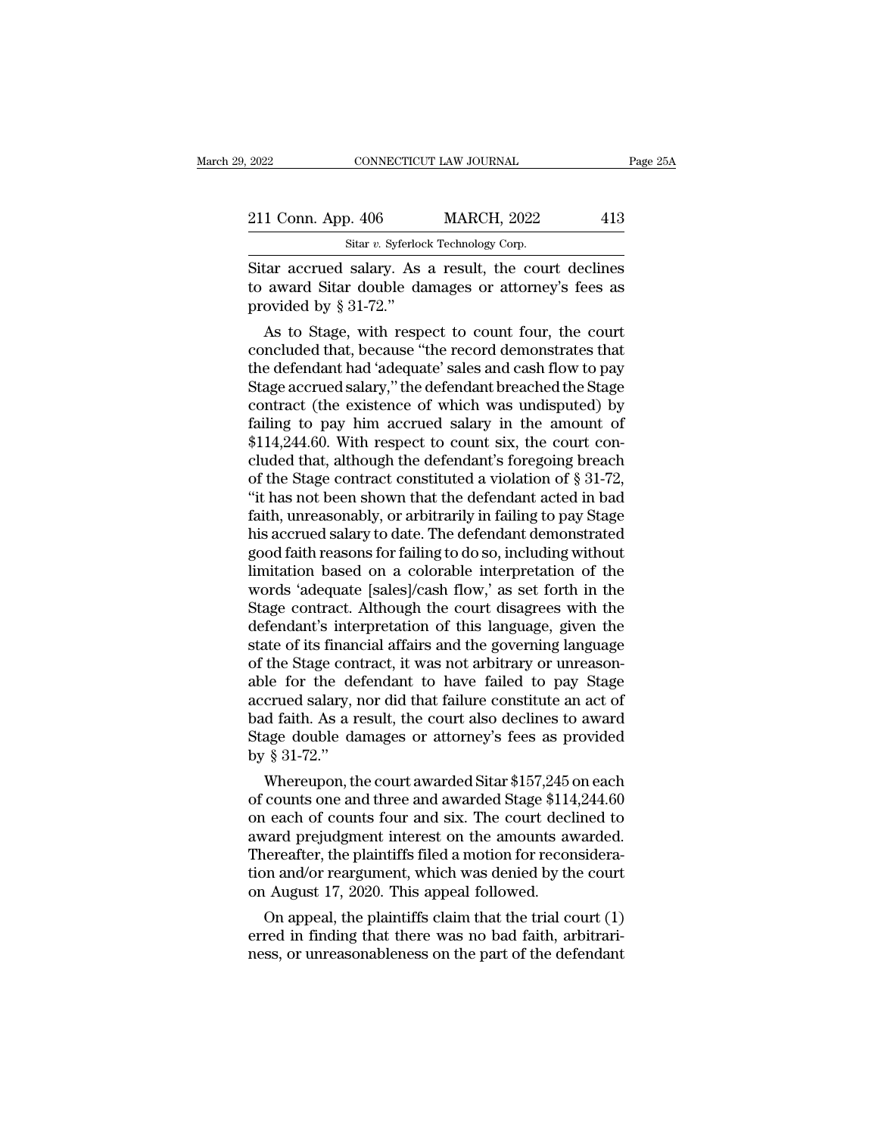| 2022               |  | CONNECTICUT LAW JOURNAL                               | Page 25A |
|--------------------|--|-------------------------------------------------------|----------|
|                    |  |                                                       |          |
| 211 Conn. App. 406 |  | <b>MARCH, 2022</b>                                    | 413      |
|                    |  | Sitar v. Syferlock Technology Corp.                   |          |
|                    |  | Sitar accrued salary. As a result, the court declines |          |

EXECTIVE 2022 2022<br>
Sitar accrued salary. As a result, the court declines<br>
to award Sitar double damages or attorney's fees as<br>
provided by  $8.31.79$ " 211 Conn. App. 406 MARCH, 2022 413<br>
Sitar v. Syferlock Technology Corp.<br>
Sitar accrued salary. As a result, the court declines<br>
to award Sitar double damages or attorney's fees as<br>
provided by § 31-72." 211 Conn. App. 406<br>
Sitar  $v$ . Syferlock<br>
Sitar accrued salary. As<br>
to award Sitar double da<br>
provided by § 31-72."<br>
As to Stage, with resp 1 Conn. App. 406 MARCH, 2022 413<br>
Sitar v. Syferlock Technology Corp.<br>
tar accrued salary. As a result, the court declines<br>
award Sitar double damages or attorney's fees as<br>
ovided by § 31-72."<br>
As to Stage, with respect

Sitar accrued salary. As a result, the court declines<br>to award Sitar double damages or attorney's fees as<br>provided by  $\S 31-72$ ."<br>As to Stage, with respect to count four, the court<br>concluded that, because "the record demo Sitar accrued salary. As a result, the court declines<br>to award Sitar double damages or attorney's fees as<br>provided by § 31-72."<br>As to Stage, with respect to count four, the court<br>concluded that, because "the record demonst Staar accrued salary. As a result, the court declines<br>to award Sitar double damages or attorney's fees as<br>provided by § 31-72."<br>As to Stage, with respect to count four, the court<br>concluded that, because "the record demonst to award sitar double damages or attorney's rees as<br>provided by  $\S$  31-72."<br>As to Stage, with respect to count four, the court<br>concluded that, because "the record demonstrates that<br>the defendant had 'adequate' sales and c provided by § 31-72.<br>
As to Stage, with respect to count four, the court<br>
concluded that, because "the record demonstrates that<br>
the defendant had 'adequate' sales and cash flow to pay<br>
Stage accrued salary," the defendant As to Stage, with respect to count four, the court<br>concluded that, because "the record demonstrates that<br>the defendant had 'adequate' sales and cash flow to pay<br>Stage accrued salary," the defendant breached the Stage<br>cont concluded that, because "the record demonstrates that<br>the defendant had 'adequate' sales and cash flow to pay<br>Stage accrued salary," the defendant breached the Stage<br>contract (the existence of which was undisputed) by<br>fail the defendant had 'adequate' sales and cash flow to pay<br>Stage accrued salary," the defendant breached the Stage<br>contract (the existence of which was undisputed) by<br>failing to pay him accrued salary in the amount of<br>\$114,24 Stage accrued salary," the defendant breached the Stage<br>contract (the existence of which was undisputed) by<br>failing to pay him accrued salary in the amount of<br>\$114,244.60. With respect to count six, the court con-<br>cluded t contract (the existence of which was undisputed) by<br>failing to pay him accrued salary in the amount of<br>\$114,244.60. With respect to count six, the court con-<br>cluded that, although the defendant's foregoing breach<br>of the St failing to pay him accrued salary in the amount of<br>\$114,244.60. With respect to count six, the court con-<br>cluded that, although the defendant's foregoing breach<br>of the Stage contract constituted a violation of § 31-72,<br>"it \$114,244.60. With respect to count six, the court concluded that, although the defendant's foregoing breach of the Stage contract constituted a violation of § 31-72, "it has not been shown that the defendant acted in bad f cluded that, although the defendant's foregoing breach<br>of the Stage contract constituted a violation of § 31-72,<br>"it has not been shown that the defendant acted in bad<br>faith, unreasonably, or arbitrarily in failing to pay of the Stage contract constituted a violation of § 31-72,<br>"it has not been shown that the defendant acted in bad<br>faith, unreasonably, or arbitrarily in failing to pay Stage<br>his accrued salary to date. The defendant demonst "it has not been shown that the defendant acted in bad<br>faith, unreasonably, or arbitrarily in failing to pay Stage<br>his accrued salary to date. The defendant demonstrated<br>good faith reasons for failing to do so, including w faith, unreasonably, or arbitrarily in failing to pay Stage<br>his accrued salary to date. The defendant demonstrated<br>good faith reasons for failing to do so, including without<br>limitation based on a colorable interpretation o his accrued salary to date. The defendant demonstrated<br>good faith reasons for failing to do so, including without<br>limitation based on a colorable interpretation of the<br>words 'adequate [sales]/cash flow,' as set forth in th good faith reasons for failing to do so, including without<br>limitation based on a colorable interpretation of the<br>words 'adequate [sales]/cash flow,' as set forth in the<br>Stage contract. Although the court disagrees with the limitation based on a colorable interpretation of the<br>words 'adequate [sales]/cash flow,' as set forth in the<br>Stage contract. Although the court disagrees with the<br>defendant's interpretation of this language, given the<br>sta words 'adequate [sales]/cash flow,' as set forth in the Stage contract. Although the court disagrees with the defendant's interpretation of this language, given the state of its financial affairs and the governing language Stage contract. Although the court disagrees with the<br>defendant's interpretation of this language, given the<br>state of its financial affairs and the governing language<br>of the Stage contract, it was not arbitrary or unreason defendant's interpretation of this language, given the<br>state of its financial affairs and the governing language<br>of the Stage contract, it was not arbitrary or unreason-<br>able for the defendant to have failed to pay Stage<br>a state of its finan<br>of the Stage con<br>able for the de<br>accrued salary, 1<br>bad faith. As a r<br>Stage double da<br>by § 31-72.''<br>Whereupon, th the stage contract, it was not arbitrary or unreason-<br>le for the defendant to have failed to pay Stage<br>crued salary, nor did that failure constitute an act of<br>d faith. As a result, the court also declines to award<br>age doub able for the defendant to have failed to pay stage<br>accrued salary, nor did that failure constitute an act of<br>bad faith. As a result, the court also declines to award<br>Stage double damages or attorney's fees as provided<br>by §

accrued salary, nor did that failure constitute an act of<br>bad faith. As a result, the court also declines to award<br>Stage double damages or attorney's fees as provided<br>by § 31-72."<br>Whereupon, the court awarded Sitar \$157,24 bad raith. As a result, the court also declines to award<br>Stage double damages or attorney's fees as provided<br>by  $\S 31-72$ ."<br>Whereupon, the court awarded Sitar  $\$157,245$  on each<br>of counts one and three and awarded Stage Stage double damages or attorney's rees as provided<br>by § 31-72."<br>Whereupon, the court awarded Sitar \$157,245 on each<br>of counts one and three and awarded Stage \$114,244.60<br>on each of counts four and six. The court declined by  $\S$  31-72.<br>Whereupon, the court awarded Sitar \$157,245 on each<br>of counts one and three and awarded Stage \$114,244.60<br>on each of counts four and six. The court declined to<br>award prejudgment interest on the amounts award Whereupon, the court awarded Sitar \$157,245 of counts one and three and awarded Stage \$114 on each of counts four and six. The court declaward prejudgment interest on the amounts avail. Thereafter, the plaintiffs filed a m counts one and three and awarded stage \$114,244.00<br>
a each of counts four and six. The court declined to<br>
vard prejudgment interest on the amounts awarded.<br>
ereafter, the plaintiffs filed a motion for reconsidera-<br>
on and on each of counts four and six. The court decimed to<br>award prejudgment interest on the amounts awarded.<br>Thereafter, the plaintiffs filed a motion for reconsidera-<br>tion and/or reargument, which was denied by the court<br>on Au award prejudgment interest on the amounts awarded.<br>Thereafter, the plaintiffs filed a motion for reconsidera-<br>tion and/or reargument, which was denied by the court<br>on August 17, 2020. This appeal followed.<br>On appeal, the p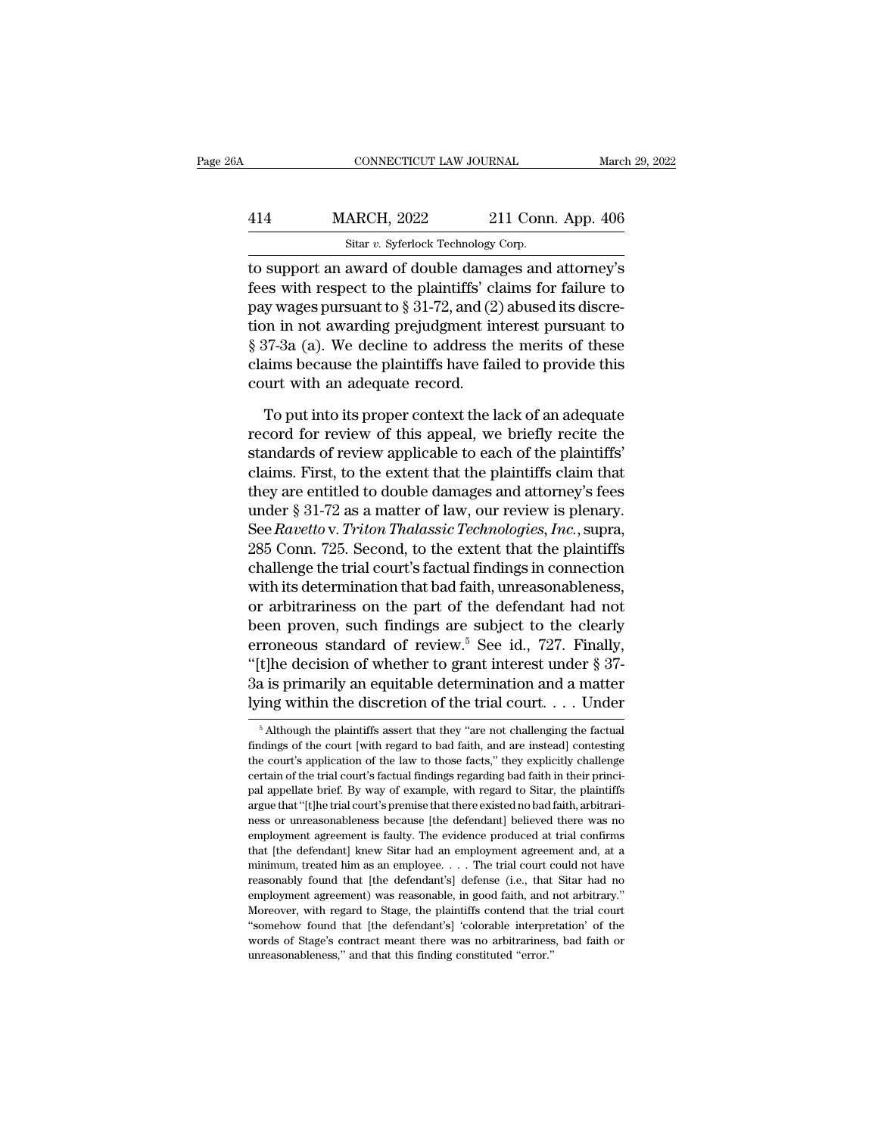|     | CONNECTICUT LAW JOURNAL             |                                                      | March 29, 2022 |
|-----|-------------------------------------|------------------------------------------------------|----------------|
| 414 | <b>MARCH, 2022</b>                  | 211 Conn. App. 406                                   |                |
|     | Sitar v. Syferlock Technology Corp. |                                                      |                |
|     |                                     | to support an award of double damages and attorney's |                |

 $\begin{array}{r} \text{COMRECTICUT LAW JOURNAL} \qquad \text{March 29, 2022} \ \text{414} \qquad \text{MARCH, 2022} \qquad \text{211 Conn. App. 406} \ \text{Star } v. \text{ Syferlock Technology Corp.} \ \text{to support an award of double damages and attorney's fees with respect to the plaintiffs' claims for failure to new message numerator to 3.2.72 and (2) showed its disease.} \end{array}$ Ferry MARCH, 2022 211 Conn. App. 406<br>Sitar v. Syferlock Technology Corp.<br>to support an award of double damages and attorney's<br>fees with respect to the plaintiffs' claims for failure to<br>pay wages pursuant to  $\S 31-72$ , and 414 MARCH, 2022 211 Conn. App. 406<br>
sitar v. Syferlock Technology Corp.<br>
to support an award of double damages and attorney's<br>
fees with respect to the plaintiffs' claims for failure to<br>
pay wages pursuant to § 31-72, and  $\frac{\text{MARCH}}{\text{Star } v. \text{ Syferlock Technology Corp.}}$ <br>
to support an award of double damages and attorney's<br>
fees with respect to the plaintiffs' claims for failure to<br>
pay wages pursuant to § 31-72, and (2) abused its discre-<br>
tion in not awardi Sitar v. Syferlock Technology Corp.<br> **EXECUTE:** 10 support an award of double damages and attorney's<br>
fees with respect to the plaintiffs' claims for failure to<br>
pay wages pursuant to § 31-72, and (2) abused its discre-<br> share sylended rechnology corp.<br>to support an award of double damages and attorney's<br>fees with respect to the plaintiffs' claims for failure to<br>pay wages pursuant to § 31-72, and (2) abused its discre-<br>tion in not awardin to support an award of double dama<br>fees with respect to the plaintiffs' cl<br>pay wages pursuant to  $\S$  31-72, and (2)<br>tion in not awarding prejudgment in<br> $\S$  37-3a (a). We decline to address tl<br>claims because the plaintiffs y wages pursuant to  $\S$  31-72, and (2) abused its discrement in not awarding prejudgment interest pursuant to 37-3a (a). We decline to address the merits of these aims because the plaintiffs have failed to provide this ur Fraction in not awarding prejudgment interest pursuant to  $\S 37$ -3a (a). We decline to address the merits of these claims because the plaintiffs have failed to provide this court with an adequate record.<br>To put into its p

§ 37-3a (a). We decline to address the merits of these<br>claims because the plaintiffs have failed to provide this<br>court with an adequate record.<br>To put into its proper context the lack of an adequate<br>record for review of th claims because the plaintiffs have failed to provide this<br>court with an adequate record.<br>To put into its proper context the lack of an adequate<br>record for review of this appeal, we briefly recite the<br>standards of review ap court with an adequate record.<br>To put into its proper context the lack of an adequate<br>record for review of this appeal, we briefly recite the<br>standards of review applicable to each of the plaintiffs'<br>claims. First, to the To put into its proper context the lack of an adequate<br>record for review of this appeal, we briefly recite the<br>standards of review applicable to each of the plaintiffs'<br>claims. First, to the extent that the plaintiffs cla To put into its proper context the lack of an adequate<br>record for review of this appeal, we briefly recite the<br>standards of review applicable to each of the plaintiffs'<br>claims. First, to the extent that the plaintiffs clai record for review of this appeal, we briefly recite the<br>standards of review applicable to each of the plaintiffs'<br>claims. First, to the extent that the plaintiffs claim that<br>they are entitled to double damages and attorney standards of review applicable to each of the plaintiffs'<br>claims. First, to the extent that the plaintiffs claim that<br>they are entitled to double damages and attorney's fees<br>under § 31-72 as a matter of law, our review is claims. First, to the extent that the plaintiffs claim that<br>they are entitled to double damages and attorney's fees<br>under  $\S 31-72$  as a matter of law, our review is plenary.<br>See *Ravetto* v. *Triton Thalassic Technologie* they are entitled to double damages and attorney's fees<br>under § 31-72 as a matter of law, our review is plenary.<br>See *Ravetto* v. *Triton Thalassic Technologies, Inc.*, supra,<br>285 Conn. 725. Second, to the extent that the under § 31-72 as a matter of law, our review is plenary.<br>See *Ravetto* v. *Triton Thalassic Technologies*, *Inc.*, supra,<br>285 Conn. 725. Second, to the extent that the plaintiffs<br>challenge the trial court's factual findin See *Ravetto* v. Triton Thalassic Technologies, Inc., supra,<br>285 Conn. 725. Second, to the extent that the plaintiffs<br>challenge the trial court's factual findings in connection<br>with its determination that bad faith, unrea 285 Conn. 725. Second, to the extent that the plaintiffs<br>
challenge the trial court's factual findings in connection<br>
with its determination that bad faith, unreasonableness,<br>
or arbitrariness on the part of the defendant challenge the trial court's factual findings in connection<br>with its determination that bad faith, unreasonableness,<br>or arbitrariness on the part of the defendant had not<br>been proven, such findings are subject to the clear with its determination that bad faith, unreasonableness,<br>or arbitrariness on the part of the defendant had not<br>been proven, such findings are subject to the clearly<br>erroneous standard of review.<sup>5</sup> See id., 727. Finally,<br> Troneous standard of review. See 1d.,  $727$ . Finally,<br>t]he decision of whether to grant interest under § 37-<br>a is primarily an equitable determination and a matter<br>ing within the discretion of the trial court.... Under<br> $\$ "[t]he decision of whether to grant interest under § 37-<br>3a is primarily an equitable determination and a matter<br>lying within the discretion of the trial court.... Under<br> $\frac{1}{100}$  Mahough the plaintiffs assert that they

<sup>3</sup>a is primarily an equitable determination and a matter<br>lying within the discretion of the trial court.... Under<br> $\frac{1}{\pi}$  Although the plaintiffs assert that they "are not challenging the factual<br>findings of the court [ Lying within the discretion of the trial court.  $\ldots$  Under  $\frac{1}{\pi}$  although the plaintiffs assert that they "are not challenging the factual findings of the court [with regard to bad faith, and are instead] contesting particular the discretion of the trial court.  $\cdot \cdot \cdot$  of the  $\frac{1}{3}$  of the plaintiffs assert that they "are not challenging the factual findings of the court [with regard to bad faith, and are instead] contesting the  $^\circ$  Although the plaintiffs assert that they "are not challenging the factual findings of the court [with regard to bad faith, and are instead] contesting the court's application of the law to those facts," they explicit findings of the court [with regard to bad faith, and are instead] contesting<br>the court's application of the law to those facts," they explicitly challenge<br>certain of the trial court's factual findings regarding bad faith i the court's application of the law to those facts," they explicitly challenge certain of the trial court's factual findings regarding bad faith in their principal appellate brief. By way of example, with regard to Sitar, certain of the trial court's factual findings regarding bad faith in their princi-<br>pal appellate brief. By way of example, with regard to Sitar, the plaintiffs<br>argue that "[t]he trial court's premise that there existed no pal appellate brief. By way of example, with regard to Sitar, the plaintiffs argue that "[t]he trial court's premise that there existed no bad faith, arbitrariness or unreasonableness because [the defendant] believed there parallel that "[t] he trial court's premise that there existed no bad faith, arbitrari-<br>ness or unreasonableness because [the defendant] believed there was no<br>employment agreement is faulty. The evidence produced at trial employment agreement is faulty. The evidence produced at trial confirms<br>that [the defendant] knew Sitar had an employment agreement and, at a<br>minimum, treated him as an employee.... The trial court could not have<br>reasonabl employment agreement is faulty. The evidence produced at trial confirms<br>that [the defendant] knew Sitar had an employment agreement and, at a<br>minimum, treated him as an employee. . . . The trial court could not have<br>reaso of that [the defendant] knew Sitar had an employment agreement and, at a minimum, treated him as an employee. . . . The trial court could not have reasonably found that [the defendant's] defense (i.e., that Sitar had no em minimum, treated him as an employee. . . . The trial court could not have reasonably found that [the defendant's] defense (i.e., that Sitar had no employment agreement) was reasonable, in good faith, and not arbitrary." M reasonably found that [the defendant's] defense (i.e., that Sitar had no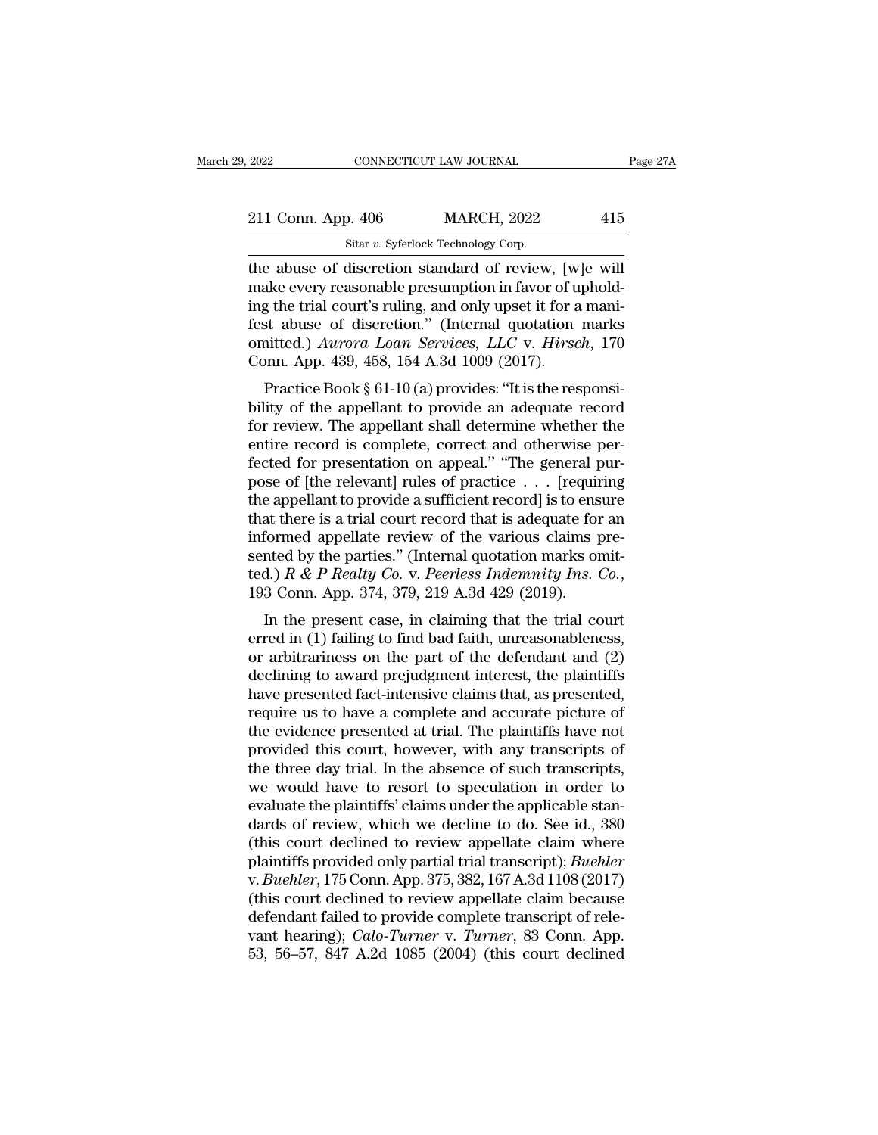The abuse of discretion standard of review, [w]e will<br>
The abuse of discretion standard of review, [w]e will<br>
The abuse of discretion standard of review, [w]e will<br>
The every reasonable presumption in favor of uphold-<br>
The 211 Conn. App. 406 MARCH, 2022 415<br>
Sitar v. Syferlock Technology Corp.<br>
the abuse of discretion standard of review, [w]e will<br>
make every reasonable presumption in favor of uphold-<br>
ing the trial court's ruling, and only 211 Conn. App. 406 MARCH, 2022 415<br>
Sitar v. Syferlock Technology Corp.<br>
the abuse of discretion standard of review, [w]e will<br>
make every reasonable presumption in favor of uphold-<br>
ing the trial court's ruling, and only 211 Conn. App. 406 MARCH, 2022 415<br>
Sitar v. Syferlock Technology Corp.<br>
the abuse of discretion standard of review, [w]e will<br>
make every reasonable presumption in favor of uphold-<br>
ing the trial court's ruling, and only Sitar v. Syferlock Technology Corp.<br>
the abuse of discretion standard of review, [w]e will<br>
make every reasonable presumption in favor of uphold-<br>
ing the trial court's ruling, and only upset it for a mani-<br>
fest abuse of Sitar v. Syterlock Technology Corp.<br>
the abuse of discretion standard of review, [w]<br>
make every reasonable presumption in favor of u<br>
ing the trial court's ruling, and only upset it for a<br>
fest abuse of discretion." (Int e abuse of discretion standard of feview, [w]e will<br>ake every reasonable presumption in favor of uphold-<br>g the trial court's ruling, and only upset it for a mani-<br>st abuse of discretion." (Internal quotation marks<br>intted.) make every reasonable presumption in favor of uphoto-<br>ing the trial court's ruling, and only upset it for a mani-<br>fest abuse of discretion." (Internal quotation marks<br>omitted.) Aurora Loan Services, LLC v. Hirsch, 170<br>Con

ing the trial court's runng, and only upset it for a manifest abuse of discretion." (Internal quotation marks<br>
omitted.) Aurora Loan Services, LLC v. Hirsch, 170<br>
Conn. App. 439, 458, 154 A.3d 1009 (2017).<br>
Practice Book § rest abuse of uscretion. (Internal quotation marks<br>
omitted.) Aurora Loan Services, LLC v. Hirsch, 170<br>
Conn. App. 439, 458, 154 A.3d 1009 (2017).<br>
Practice Book § 61-10 (a) provides: "It is the responsi-<br>
bility of the ap Fractice Book § 61-10 (a) provides: "LEC V. *Hirsth*, 170<br>Conn. App. 439, 458, 154 A.3d 1009 (2017).<br>Practice Book § 61-10 (a) provides: "It is the responsi-<br>bility of the appellant to provide an adequate record<br>for revie Practice Book § 61-10 (a) provides: "It is the responsi-<br>bility of the appellant to provide an adequate record<br>for review. The appellant shall determine whether the<br>entire record is complete, correct and otherwise per-<br>fe Practice Book § 61-10 (a) provides: "It is the responsi-<br>bility of the appellant to provide an adequate record<br>for review. The appellant shall determine whether the<br>entire record is complete, correct and otherwise per-<br>fe bility of the appellant to provide an adequate record<br>for review. The appellant shall determine whether the<br>entire record is complete, correct and otherwise per-<br>fected for presentation on appeal." "The general pur-<br>pose o for review. The appellant shall determine whether the<br>entire record is complete, correct and otherwise per-<br>fected for presentation on appeal." "The general pur-<br>pose of [the relevant] rules of practice . . . [requiring<br>t entire record is complete, correct and otherwise per-<br>fected for presentation on appeal." "The general pur-<br>pose of [the relevant] rules of practice . . . [requiring<br>the appellant to provide a sufficient record] is to ens fected for presentation on appeal." "The general pur-<br>pose of [the relevant] rules of practice . . . [requiring<br>the appellant to provide a sufficient record] is to ensure<br>that there is a trial court record that is adequate Example a summer and that is adequate for an formed appellate review of the various claims pre-<br>
Inted by the parties." (Internal quotation marks omit-<br>
d.)  $R \& P \text{ } \text{Realty } \text{ } Co.$  v. Peerless Indemnity Ins.  $Co.$ <br>
3 Conn. that there is a that court record that is adequate for all<br>informed appellate review of the various claims pre-<br>sented by the parties." (Internal quotation marks omit-<br>ted.)  $R \& P \text{ } Really \text{ } Co.$  v.  $Peerless \text{ } Indemnity \text{ } Ins. \text{ } Co.$ ,

muotined appenate feview of the various claims presented by the parties." (Internal quotation marks omitted.)  $R \& P \text{ } \text{Realty } Co.$  v.  $\text{ } \text{ } \text{ }$   $\text{ }$   $\text{ }$   $\text{ }$   $\text{ }$   $\text{ }$   $\text{ }$   $\text{ }$   $\text{ }$   $\text{ }$   $\text{ }$   $\text{$ sented by the parties. (Internal quotation marks onticed.)  $R \& P \text{ } \text{Realty } \text{Co}$ , v. Peerless Indemnity Ins. Co., 193 Conn. App. 374, 379, 219 A.3d 429 (2019).<br>In the present case, in claiming that the trial court erred i have presented fact-intensive claims that, as presented, require us to have present case, in claiming that the trial court erred in (1) failing to find bad faith, unreasonableness, or arbitrariness on the part of the defe Is columntary and the present case, in claiming that the trial court<br>erred in (1) failing to find bad faith, unreasonableness,<br>or arbitrariness on the part of the defendant and (2)<br>declining to award prejudgment interest, In the present case, in claiming that the trial court<br>erred in (1) failing to find bad faith, unreasonableness,<br>or arbitrariness on the part of the defendant and (2)<br>declining to award prejudgment interest, the plaintiffs erred in (1) failing to find bad faith, unreasonableness,<br>or arbitrariness on the part of the defendant and (2)<br>declining to award prejudgment interest, the plaintiffs<br>have presented fact-intensive claims that, as presente or arbitrariness on the part of the defendant and (2)<br>declining to award prejudgment interest, the plaintiffs<br>have presented fact-intensive claims that, as presented,<br>require us to have a complete and accurate picture of<br>t declining to award prejudgment interest, the plaintiffs<br>have presented fact-intensive claims that, as presented,<br>require us to have a complete and accurate picture of<br>the evidence presented at trial. The plaintiffs have no have presented fact-intensive claims that, as presented, require us to have a complete and accurate picture of the evidence presented at trial. The plaintiffs have not provided this court, however, with any transcripts of require us to have a complete and accurate picture of<br>the evidence presented at trial. The plaintiffs have not<br>provided this court, however, with any transcripts of<br>the three day trial. In the absence of such transcripts,<br> the evidence presented at trial. The plaintiffs have not<br>provided this court, however, with any transcripts of<br>the three day trial. In the absence of such transcripts,<br>we would have to resort to speculation in order to<br>eva provided this court, however, with any transcripts of<br>the three day trial. In the absence of such transcripts,<br>we would have to resort to speculation in order to<br>evaluate the plaintiffs' claims under the applicable stan-<br>d the three day trial. In the absence of such transcripts,<br>we would have to resort to speculation in order to<br>evaluate the plaintiffs' claims under the applicable stan-<br>dards of review, which we decline to do. See id., 380<br>( we would have to resort to speculation in order to<br>evaluate the plaintiffs' claims under the applicable stan-<br>dards of review, which we decline to do. See id., 380<br>(this court declined to review appellate claim where<br>plain evaluate the plaintiffs' claims under the applicable standards of review, which we decline to do. See id., 380 (this court declined to review appellate claim where plaintiffs provided only partial trial transcript); *Buehl* dards of review, which we decline to do. See id., 380 (this court declined to review appellate claim where plaintiffs provided only partial trial transcript); *Buehler* v. *Buehler*, 175 Conn. App. 375, 382, 167 A.3d 1108 (this court declined to review appellate claim where plaintiffs provided only partial trial transcript); *Buehler* v. *Buehler*, 175 Conn. App. 375, 382, 167 A.3d 1108 (2017) (this court declined to review appellate claim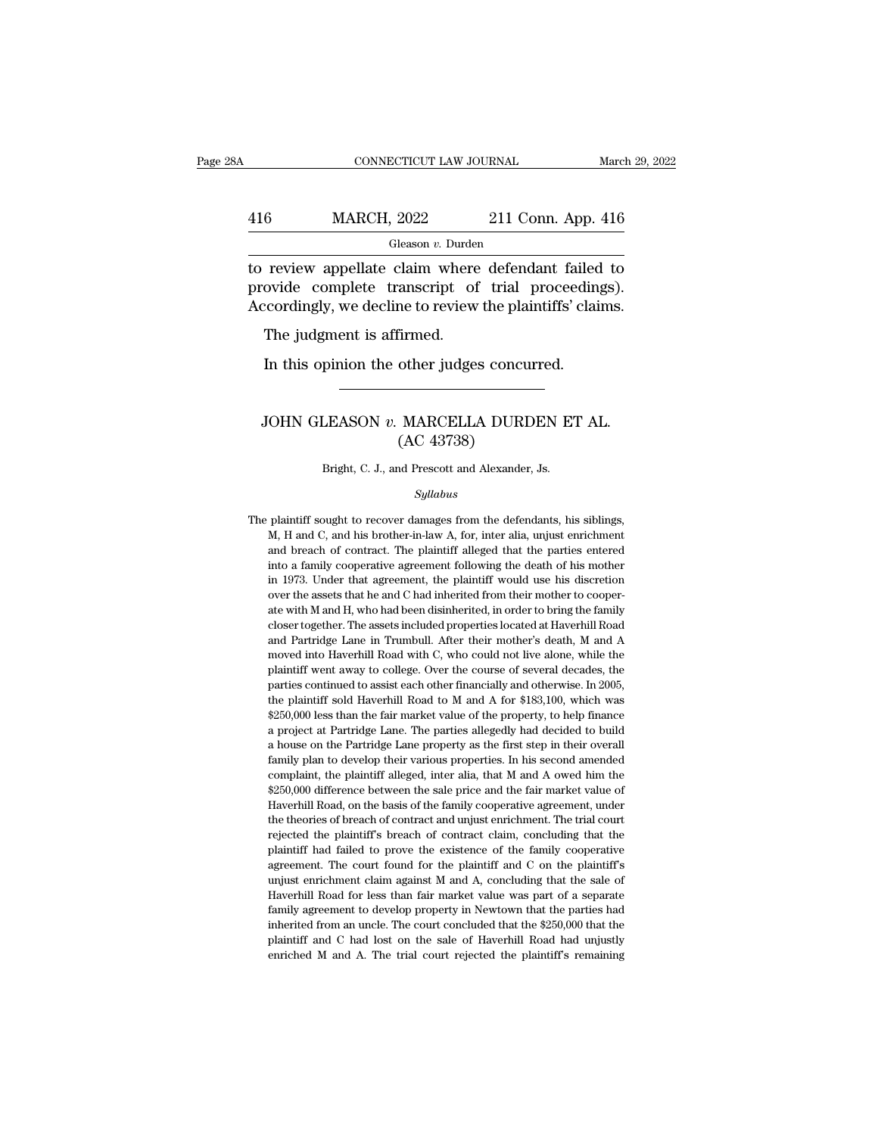## CONNECTICUT LAW JOURNAL March 29, 2022<br>416 MARCH, 2022 211 Conn. App. 416<br>Gleason v. Durden Gleason *v.* Durden

 $\begin{tabular}{ll} \multicolumn{1}{l}{{\text{CONPECTICUT LAW JOURNAL}}} & \multicolumn{1}{l}{\text{March 29, 2022}}\\ \hline & \multicolumn{1}{l}{\text{MARCH, 2022}} & \multicolumn{1}{l}{\text{211 Conn. App. 416}}\\ \hline & \multicolumn{1}{l}{\text{Gleason } v. \text{ Durden}}\\ \hline & \multicolumn{1}{l}{\text{to review appellate claim where defendant failed to}}\\ \hline & \multicolumn{1}{l}{\text{provide complete transcript of trial proceedings)}}.\\ \hline & \multicolumn{1}{l}{\text{Accordingly we deding to review the plaintiff's' claims}}$ 416 MARCH, 2022 211 Conn. App. 416<br>
Gleason *v*. Durden<br>
to review appellate claim where defendant failed to<br>
provide complete transcript of trial proceedings).<br>
Accordingly, we decline to review the plaintiffs' claims.  $\frac{\text{416}}{\text{Gleason } v. \text{ burden}}$ <br>
Cleason v. Durden<br>
to review appellate claim where defendant failed to<br>
provide complete transcript of trial proceedings).<br>
Accordingly, we decline to review the plaintiffs' claims.<br>
The judgmen  $\frac{6}{100}$  MARCH, 2022<br>
Gleason v. Durder<br>
review appellate claim where<br>
ovide complete transcript of<br>
recordingly, we decline to review<br>
The judgment is affirmed.<br>
In this opinion the other judge: Figure 1. Butter and the complete claim where defendant failed<br>ovide complete transcript of trial proceedin<br>cordingly, we decline to review the plaintiffs' claim<br>The judgment is affirmed.<br>In this opinion the other judges

### coordingly, we decline to review the plaintiffs' claims.<br>The judgment is affirmed.<br>In this opinion the other judges concurred.<br>JOHN GLEASON *v.* MARCELLA DURDEN ET AL.<br>(AC 43738) firmed.<br>
other judges concu<br>
MARCELLA DURI<br>
(AC 43738)<br>
<sup>M</sup> Prescott and Alexander JOHN GLEASON  $v$ . MARCELLA DURDEN ET AL.<br>(AC 43738)<br>Bright, C. J., and Prescott and Alexander, Js.

*Syllabus*

 $(AC 43738)$ <br>Bright, C. J., and Prescott and Alexander, Js.<br> $Syllabus$ <br>The plaintiff sought to recover damages from the defendants, his siblings,<br>M, H and C, and his brother-in-law A, for, inter alia, unjust enrichment Bright, C. J., and Prescott and Alexander, Js.<br>
Syllabus<br>
plaintiff sought to recover damages from the defendants, his siblings,<br>
M, H and C, and his brother-in-law A, for, inter alia, unjust enrichment<br>
and breach of cont Bright, C. J., and Prescott and Alexander, Js.<br>
Syllabus<br>
plaintiff sought to recover damages from the defendants, his siblings,<br>
M, H and C, and his brother-in-law A, for, inter alia, unjust enrichment<br>
and breach of cont *Syllabus*<br>
plaintiff sought to recover damages from the defendants, his siblings,<br>
M, H and C, and his brother-in-law A, for, inter alia, unjust enrichment<br>
and breach of contract. The plaintiff alleged that the parties e sytuabus<br>plaintiff sought to recover damages from the defendants, his siblings,<br>M, H and C, and his brother-in-law A, for, inter alia, unjust enrichment<br>and breach of contract. The plaintiff alleged that the parties entere plaintiff sought to recover damages from the defendants, his siblings, M, H and C, and his brother-in-law A, for, inter alia, unjust enrichment<br>and breach of contract. The plaintiff alleged that the parties entered<br>into a Fact M, H and C, and his brother-in-law A, for, inter alia, unjust enrichment<br>and breach of contract. The plaintiff alleged that the parties entered<br>into a family cooperative agreement following the death of his mother<br>in ray to the orientate. The plaintiff alleged that the parties entered and breach of contract. The plaintiff alleged that the parties entered into a family cooperative agreement following the death of his mother in 1973. Und and Dartridge Lane in Trumbull. After their mother's death of his mother in 1973. Under that agreement, the plaintiff would use his discretion over the assets that he and C had inherited from their mother to cooperate with in 1973. Under that agreement, the plaintiff would use his discretion<br>over the assets that he and C had inherited from their mother to cooper-<br>ate with M and H, who had been disinherited, in order to bring the family<br>close now the assets that he and C had inherited from their mother to cooper-<br>ate with M and H, who had been disinherited, in order to bring the family<br>closer together. The assets included properties located at Haverhill Road<br>an ate with M and H, who had been disinherited, in order to bring the family closer together. The assets included properties located at Haverhill Road and Partridge Lane in Trumbull. After their mother's death, M and A moved closer together. The assets included properties located at Haverhill Road and Partridge Lane in Trumbull. After their mother's death, M and A moved into Haverhill Road with C, who could not live alone, while the plaintiff and Partridge Lane in Trumbull. After their mother's death, M and A moved into Haverhill Road with C, who could not live alone, while the plaintiff went away to college. Over the course of several decades, the parties cont moved into Haverhill Road with C, who could not live alone, while the plaintiff went away to college. Over the course of several decades, the parties continued to assist each other financially and otherwise. In 2005, the p plaintiff went away to college. Over the course of several decades, the parties continued to assist each other financially and otherwise. In 2005, the plaintiff sold Haverhill Road to M and A for \$183,100, which was \$250,0 parties continued to assist each other financially and otherwise. In 2005, parties continued to assist each other financially and otherwise. In 2005, the plaintiff sold Haverhill Road to M and A for \$183,100, which was \$25 the plaintiff sold Haverhill Road to M and A for \$183,100, which was<br>\$250,000 less than the fair market value of the property, to help finance<br>a project at Partridge Lane. The parties allegedly had decided to build<br>a hous  $$250,000$  less than the fair market value of the property, to help finance a project at Partridge Lane. The parties allegedly had decided to build a house on the Partridge Lane property as the first step in their overall a project at Partridge Lane. The parties allegedly had decided to build a house on the Partridge Lane property as the first step in their overall family plan to develop their various properties. In his second amended compl a projected of Partridge Lane property as the first step in their overall family plan to develop their various properties. In his second amended complaint, the plaintiff alleged, inter alia, that M and A owed him the \$250, a mily plan to develop their various properties. In his second amended complaint, the plaintiff alleged, inter alia, that M and A owed him the \$250,000 difference between the sale price and the fair market value of Haverhi complaint, the plaintiff alleged, inter alia, that M and A owed him the \$250,000 difference between the sale price and the fair market value of Haverhill Road, on the basis of the family cooperative agreement, under the th  $$250,000$  difference between the sale price and the fair market value of Haverhill Road, on the basis of the family cooperative agreement, under the theories of breach of contract and unjust enrichment. The trial court r Haverhill Road, on the basis of the family cooperative agreement, under the theories of breach of contract and unjust enrichment. The trial court rejected the plaintiff's breach of contract claim, concluding that the plain the theories of breach of contract and unjust enrichment. The trial court rejected the plaintiff's breach of contract claim, concluding that the plaintiff had failed to prove the existence of the family cooperative agreeme rejected the plaintiff's breach of contract claim, concluding that the plaintiff had failed to prove the existence of the family cooperative agreement. The court found for the plaintiff and C on the plaintiff's unjust enri plaintiff had failed to prove the existence of the family cooperative agreement. The court found for the plaintiff and C on the plaintiff's unjust enrichment claim against M and A, concluding that the sale of Haverhill Roa agreement. The court found for the plaintiff and C on the plaintiff's unjust enrichment claim against M and A, concluding that the sale of Haverhill Road for less than fair market value was part of a separate family agreem enrichment claim against M and A, concluding that the sale of Haverhill Road for less than fair market value was part of a separate family agreement to develop property in Newtown that the parties had inherited from an unc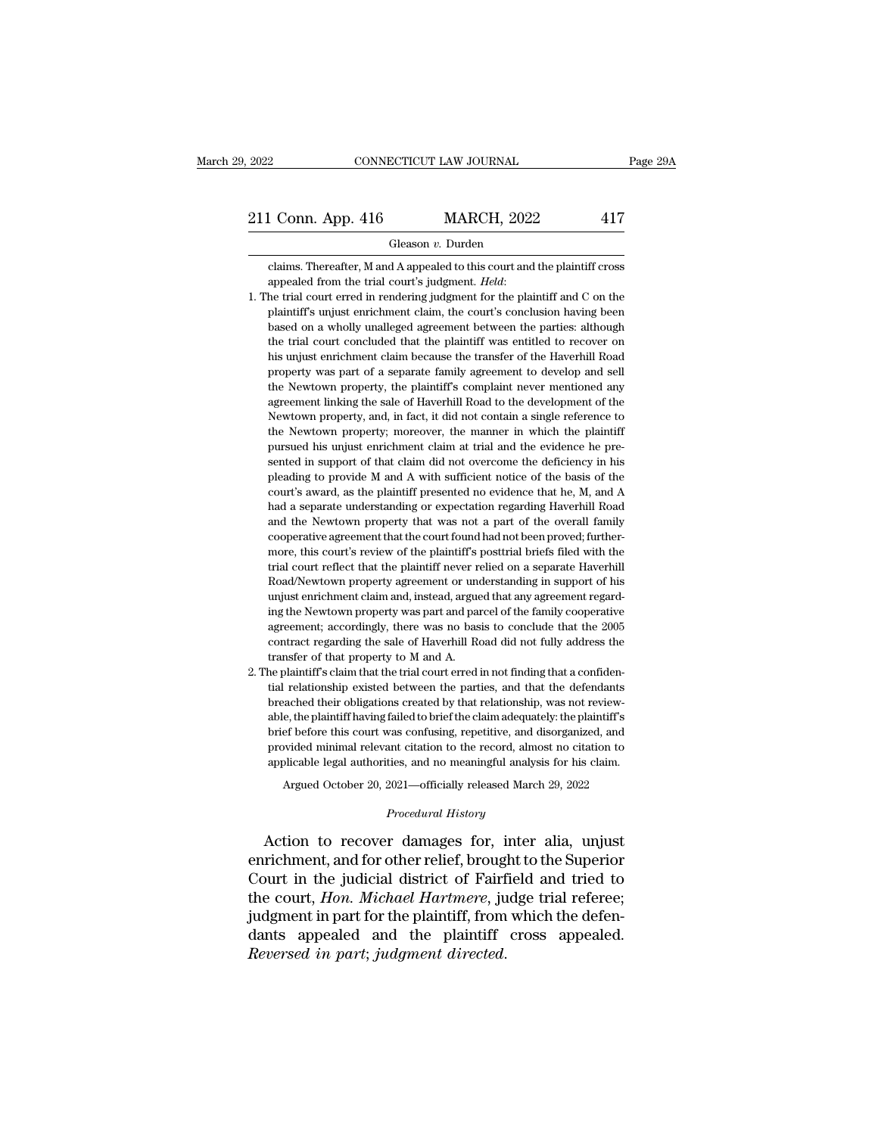Gleason *v.* Durden

Conn. App. 416 MARCH, 2022 417<br>Gleason v. Durden<br>Claims. Thereafter, M and A appealed to this court and the plaintiff cross<br>appealed from the trial court's judgment. *Held*:

- **appealed from the trial court's judgment. Held**: 1. The trial court erred in rendering judgment. *Held*: 1. The trial court erred in rendering judgment for the plaintiff and C on the plaintiff's unjust enrichment claim, Gleason v. Durden<br>claims. Thereafter, M and A appealed to this court and the plaintiff cross<br>appealed from the trial court's judgment. *Held*:<br>he trial court erred in rendering judgment for the plaintiff and C on the<br>plain Gleason v. Durden<br>claims. Thereafter, M and A appealed to this court and the plaintiff cross<br>appealed from the trial court's judgment. *Held*:<br>he trial court erred in rendering judgment for the plaintiff and C on the<br>plain claims. Thereafter, M and A appealed to this court and the plaintiff cross<br>appealed from the trial court's judgment. *Held*:<br>he trial court erred in rendering judgment for the plaintiff and C on the<br>plaintiff's unjust enti appealed from the trial court's judgment. *Held*:<br>he trial court erred in rendering judgment for the plaintiff and C on the<br>plaintiff's unjust enrichment claim, the court's conclusion having been<br>based on a wholly unallege the trial court erred in rendering judgment for the plaintiff and C on the plaintiff's unjust enrichment claim, the court's conclusion having been based on a wholly unalleged agreement between the parties: although the tri the plaintiff's unjust enrichment claim, the court's conclusion having been<br>based on a wholly unalleged agreement between the parties: although<br>the trial court concluded that the plaintiff was entitled to recover on<br>his un based on a wholly unalleged agreement between the parties: although the trial court concluded that the plaintiff was entitled to recover on his unjust enrichment claim because the transfer of the Haverhill Road property wa the trial court concluded that the plaintiff was entitled to recover on his unjust enrichment claim because the transfer of the Haverhill Road property was part of a separate family agreement to develop and sell the Newtow the universed was particular the manner of the Haverhill Road property was part of a separate family agreement to develop and sell the Newtown property, the plaintiff's complaint never mentioned any agreement linking the s property was part of a separate family agreement to develop and sell<br>the Newtown property, the plaintiff's complaint never mentioned any<br>agreement linking the sale of Haverhill Road to the development of the<br>Newtown proper property wave property, the plaintiff's complaint never mentioned any the Newtown property, and, in fact, it did not contain a single reference to the Newtown property, and, in fact, it did not contain a single reference t agreement linking the sale of Haverhill Road to the development of the Newtown property, and, in fact, it did not contain a single reference to the Newtown property; moreover, the manner in which the plaintiff pursued his Severown property, and, in fact, it did not contain a single reference to the Newtown property; moreover, the manner in which the plaintiff pursued his unjust enrichment claim at trial and the evidence he presented in supp had a separate understanding or expectation regarding Haverhill Road and the Newtown property; moreover, the manner in which the plaintiff pursued his unjust enrichment claim at trial and the evidence he presented in suppo pursued his unjust enrichment claim at trial and the evidence he pre-<br>sented in support of that claim did not overcome the deficiency in his<br>pleading to provide M and A with sufficient notice of the basis of the<br>court's aw pearted in support of that claim did not overcome the deficiency in his pleading to provide M and A with sufficient notice of the basis of the court's award, as the plaintiff presented no evidence that he, M, and A had a s pleading to provide M and A with sufficient notice of the basis of the court's award, as the plaintiff presented no evidence that he, M, and A had a separate understanding or expectation regarding Haverhill Road and the Ne rount's award, as the plaintiff presented no evidence that he, M, and A had a separate understanding or expectation regarding Haverhill Road and the Newtown property that was not a part of the overall family cooperative ag had a separate understanding or expectation regarding Haverhill Road<br>and the Newtown property that was not a part of the overall family<br>cooperative agreement that the court found had not been proved; further-<br>more, this co and the Newtown property that was not a part of the overall family cooperative agreement that the court found had not been proved; furthermore, this court's review of the plaintiff's posttrial briefs filed with the trial c cooperative agreement that the court found had not been proved; furthermore, this court's review of the plaintiff's posttrial briefs filed with the trial court reflect that the plaintiff never relied on a separate Haverhil agreement; accordingly, there was no basis to conclude that the 2005 contract regarding the same of the plaintiff are relied on a separate Haverhill Road/Newtown property agreement or understanding in support of his unjust trial court reflect that the plaintiff never relied on a separate Haverhill<br>Road/Newtown property agreement or understanding in support of his<br>unjust enrichment claim and, instead, argued that any agreement regard-<br>ing the trial court reflect that the plaintiff never relied on a separate Haverhill<br>Road/Newtown property agreement or understanding in support of his<br>unjust enrichment claim and, instead, argued that any agreement regard-<br>ing the unjust enrichment claim and, instead, argued that any agreement regarding the Newtown property was part and parcel of the family cooperative agreement; accordingly, there was no basis to conclude that the 2005 contract reg ing the Newtown property was part and parcel of the family cooperative agreement; accordingly, there was no basis to conclude that the 2005 contract regarding the sale of Haverhill Road did not fully address the transfer o
- tial relationship existed between the parties, and that the defendants<br>breached their obligations created by that relationship, was not review-<br>able, the plaintiff having failed to brief the claim adequately: the plaintiff contract regarding the sale of Haverhill Road did not fully address the transfer of that property to M and A.<br>the plaintiff's claim that the trial court erred in not finding that a confidential relationship existed between transfer of that property to M and A.<br>he plaintiff's claim that the trial court erred in not finding that a confidential relationship existed between the parties, and that the defendants<br>breached their obligations created he plaintiff's claim that the trial court erred in not finding that a confidential relationship existed between the parties, and that the defendants breached their obligations created by that relationship, was not reviewab tial relationship existed between the parties, and that the defendants<br>breached their obligations created by that relationship, was not review-<br>able, the plaintiff having failed to brief the claim adequately: the plaintiff ached their obligations created by that relationship, was not review-<br>e, the plaintiff having failed to brief the claim adequately: the plaintiff's<br>ef before this court was confusing, repetitive, and disorganized, and<br>wide provided minimal relevant citation to the record, almost no citation to applicable legal authorities, and no meaningful analysis for his claim.<br> *Argued October 20, 2021—officially released March 29, 2022*<br> *Procedural His* brief before this court was confusing, repetitive, and disorganized, and<br>provided minimal relevant citation to the record, almost no citation to<br>applicable legal authorities, and no meaningful analysis for his claim.<br>Argue

provided minimal relevant citation to the record, almost no citation to<br>applicable legal authorities, and no meaningful analysis for his claim.<br>Argued October 20, 2021—officially released March 29, 2022<br>*Procedural History* applicable legal authorities, and no meaningful analysis for his claim.<br>
Argued October 20, 2021—officially released March 29, 2022<br>
Procedural History<br>
Action to recover damages for, inter alia, unjust<br>
enrichment, and fo Argued October 20, 2021—officially released March 29, 2022<br> *Procedural History*<br>
Action to recover damages for, inter alia, unjust<br>
enrichment, and for other relief, brought to the Superior<br>
Court in the judicial district *Procedural History*<br>Action to recover damages for, inter alia, unjust<br>enrichment, and for other relief, brought to the Superior<br>Court in the judicial district of Fairfield and tried to<br>the court, *Hon. Michael Hartmere*, Action to recover damages for, inter alia, unjust<br>enrichment, and for other relief, brought to the Superior<br>Court in the judicial district of Fairfield and tried to<br>the court, *Hon. Michael Hartmere*, judge trial referee;<br> Action to recover damages for, if enrichment, and for other relief, broug<br>Court in the judicial district of Fairf<br>the court, *Hon. Michael Hartmere*, ju<br>judgment in part for the plaintiff, from<br>dants appealed and the plain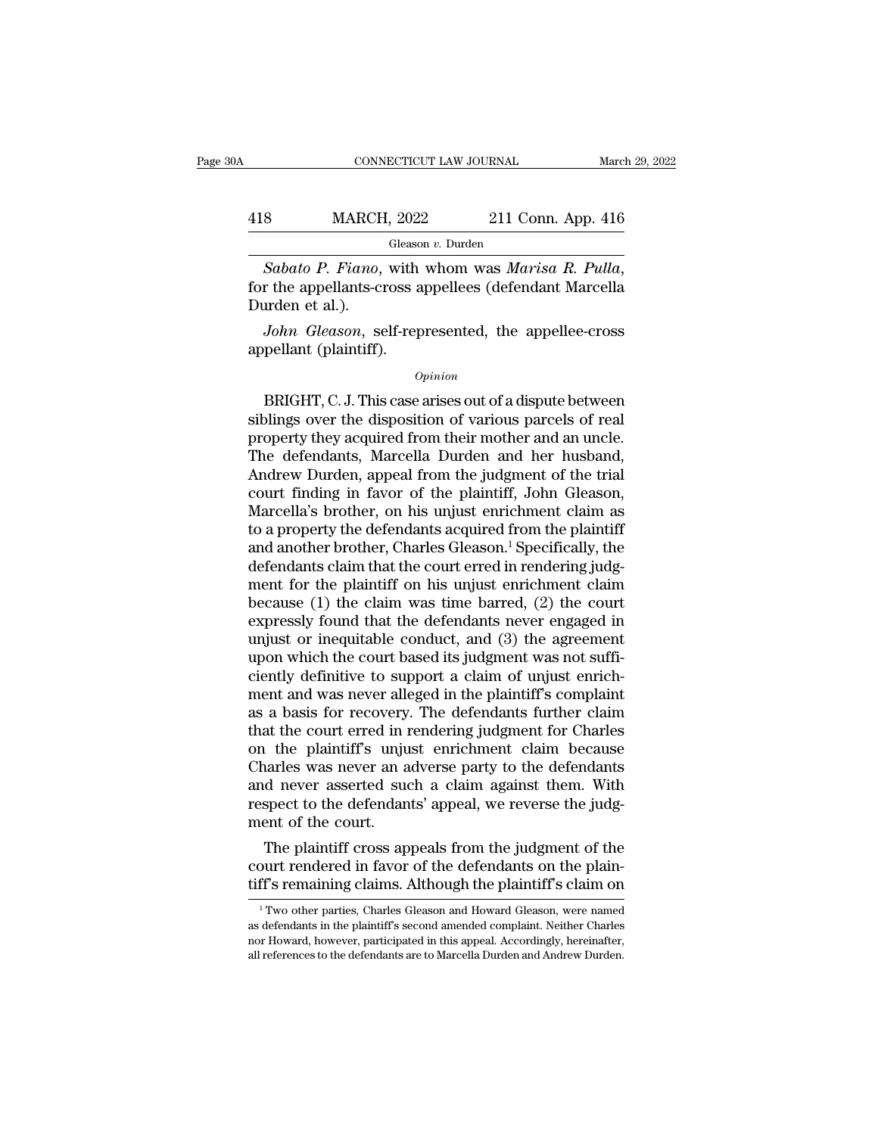## CONNECTICUT LAW JOURNAL March 29, 2022<br>418 MARCH, 2022 211 Conn. App. 416<br>Gleason v. Durden Gleason *v.* Durden

*Sabato P. Fiano*, with whom was *Marisa R. Pulla*, for the appellants-cross appellees (defendant Marcella Durden et al.). 418 MARCH<br>
Sabato P. Fiano,<br>
for the appellants-co<br>
Durden et al.).<br>
John Gleason, se *MARCH*, 2022 211 Conn. App. 416<br> *Gleason v. Durden*<br> *Sabato P. Fiano*, with whom was *Marisa R. Pulla*,<br>
r the appellants-cross appellees (defendant Marcella<br>
urden et al.).<br> *John Gleason*, self-represented, the appell Gleaso<br>
Sabato P. Fiano, with<br>
for the appellants-cross a<br>
Durden et al.).<br>
John Gleason, self-rep<br>
appellant (plaintiff).

### *Opinion*

r the appellants-cross appellees (defendant Marcella<br>
urden et al.).<br>
John Gleason, self-represented, the appellee-cross<br>
pellant (plaintiff).<br>
Opinion<br>
BRIGHT, C. J. This case arises out of a dispute between<br>
plings over Durden et al.).<br>
John Gleason, self-represented, the appellee-cross<br>
appellant (plaintiff).<br>  $\frac{opinion}{opinion}$ <br>
BRIGHT, C.J. This case arises out of a dispute between<br>
siblings over the disposition of various parcels of real<br>
pr John Gleason, self-represented, the appellee-cross<br>appellant (plaintiff).<br>Opinion<br>BRIGHT, C. J. This case arises out of a dispute between<br>siblings over the disposition of various parcels of real<br>property they acquired from appellant (plaintiff).<br>
opinion<br>
BRIGHT, C.J. This case arises out of a dispute between<br>
siblings over the disposition of various parcels of real<br>
property they acquired from their mother and an uncle.<br>
The defendants, Mar Opinion<br>
DRIGHT, C. J. This case arises out of a dispute between<br>
siblings over the disposition of various parcels of real<br>
property they acquired from their mother and an uncle.<br>
The defendants, Marcella Durden and her hu *Opinion*<br>BRIGHT, C. J. This case arises out of a dispute between<br>siblings over the disposition of various parcels of real<br>property they acquired from their mother and an uncle.<br>The defendants, Marcella Durden and her husb BRIGHT, C. J. This case arises out of a dispute between<br>siblings over the disposition of various parcels of real<br>property they acquired from their mother and an uncle.<br>The defendants, Marcella Durden and her husband,<br>Andre siblings over the disposition of various parcels of real<br>property they acquired from their mother and an uncle.<br>The defendants, Marcella Durden and her husband,<br>Andrew Durden, appeal from the judgment of the trial<br>court fi property they acquired from their mother and an uncle.<br>The defendants, Marcella Durden and her husband,<br>Andrew Durden, appeal from the judgment of the trial<br>court finding in favor of the plaintiff, John Gleason,<br>Marcella's The defendants, Marcella Durden and her husband,<br>Andrew Durden, appeal from the judgment of the trial<br>court finding in favor of the plaintiff, John Gleason,<br>Marcella's brother, on his unjust enrichment claim as<br>to a proper Andrew Durden, appeal from the judgment of the trial<br>court finding in favor of the plaintiff, John Gleason,<br>Marcella's brother, on his unjust enrichment claim as<br>to a property the defendants acquired from the plaintiff<br>and court finding in favor of the plaintiff, John Gleason,<br>Marcella's brother, on his unjust enrichment claim as<br>to a property the defendants acquired from the plaintiff<br>and another brother, Charles Gleason.<sup>1</sup> Specifically, t Marcella's brother, on his unjust enrichment claim as<br>to a property the defendants acquired from the plaintiff<br>and another brother, Charles Gleason.<sup>1</sup> Specifically, the<br>defendants claim that the court erred in rendering j to a property the defendants acquired from the plaintiff<br>and another brother, Charles Gleason.<sup>1</sup> Specifically, the<br>defendants claim that the court erred in rendering judg-<br>ment for the plaintiff on his unjust enrichment c and another brother, Charles Gleason.<sup>1</sup> Specifically, the defendants claim that the court erred in rendering judgment for the plaintiff on his unjust enrichment claim because (1) the claim was time barred, (2) the court e defendants claim that the court erred in rendering judgment for the plaintiff on his unjust enrichment claim<br>because (1) the claim was time barred, (2) the court<br>expressly found that the defendants never engaged in<br>unjust ment for the plaintiff on his unjust enrichment claim<br>because (1) the claim was time barred, (2) the court<br>expressly found that the defendants never engaged in<br>unjust or inequitable conduct, and (3) the agreement<br>upon whic because (1) the claim was time barred, (2) the court<br>expressly found that the defendants never engaged in<br>unjust or inequitable conduct, and (3) the agreement<br>upon which the court based its judgment was not suffi-<br>ciently expressly found that the defendants never engaged in<br>unjust or inequitable conduct, and (3) the agreement<br>upon which the court based its judgment was not suffi-<br>ciently definitive to support a claim of unjust enrich-<br>ment unjust or inequitable conduct, and (3) the agreement<br>upon which the court based its judgment was not suffi-<br>ciently definitive to support a claim of unjust enrich-<br>ment and was never alleged in the plaintiff's complaint<br>as upon which the court based its judgment was not suffi-<br>ciently definitive to support a claim of unjust enrich-<br>ment and was never alleged in the plaintiff's complaint<br>as a basis for recovery. The defendants further claim<br>t ciently definitive to support a claim of unjust enrichment and was never alleged in the plaintiff's complaint<br>as a basis for recovery. The defendants further claim<br>that the court erred in rendering judgment for Charles<br>on ment and was never alleged in the plaintiff's complaint<br>as a basis for recovery. The defendants further claim<br>that the court erred in rendering judgment for Charles<br>on the plaintiff's unjust enrichment claim because<br>Charle as a basis for recovery<br>that the court erred in 1<br>on the plaintiff's unju<br>Charles was never an a<br>and never asserted suc<br>respect to the defendan<br>ment of the court.<br>The plaintiff cross ap at the court erred in rendering judgment for Charles<br>
the plaintiff's unjust enrichment claim because<br>
arles was never an adverse party to the defendants<br>
d never asserted such a claim against them. With<br>
spect to the def on the plaintiff's unjust enrichment claim because<br>Charles was never an adverse party to the defendants<br>and never asserted such a claim against them. With<br>respect to the defendants' appeal, we reverse the judg-<br>ment of the Charles was never an adverse party to the defendants<br>and never asserted such a claim against them. With<br>respect to the defendants' appeal, we reverse the judg-<br>ment of the court.<br>The plaintiff cross appeals from the judgme

The plaintiff cross appeals from the judgment of the<br>purt rendered in favor of the defendants on the plain-<br>ff's remaining claims. Although the plaintiff's claim on<br><sup>1</sup>Two other parties, Charles Gleason and Howard Gleason, The plaintiff cross appeals from the judgment of the court rendered in favor of the defendants on the plaintiff's remaining claims. Although the plaintiff's claim on  $\frac{1}{1}$ Two other parties, Charles Gleason and Howard

court rendered in favor of the defendants on the plain-<br>tiff's remaining claims. Although the plaintiff's claim on<br><sup>1</sup>Two other parties, Charles Gleason and Howard Gleason, were named<br>as defendants in the plaintiff's secon tiff's remaining claims. Although the plaintiff's claim on<br>
<sup>1</sup> Two other parties, Charles Gleason and Howard Gleason, were named<br>
as defendants in the plaintiff's second amended complaint. Neither Charles<br>
nor Howard, how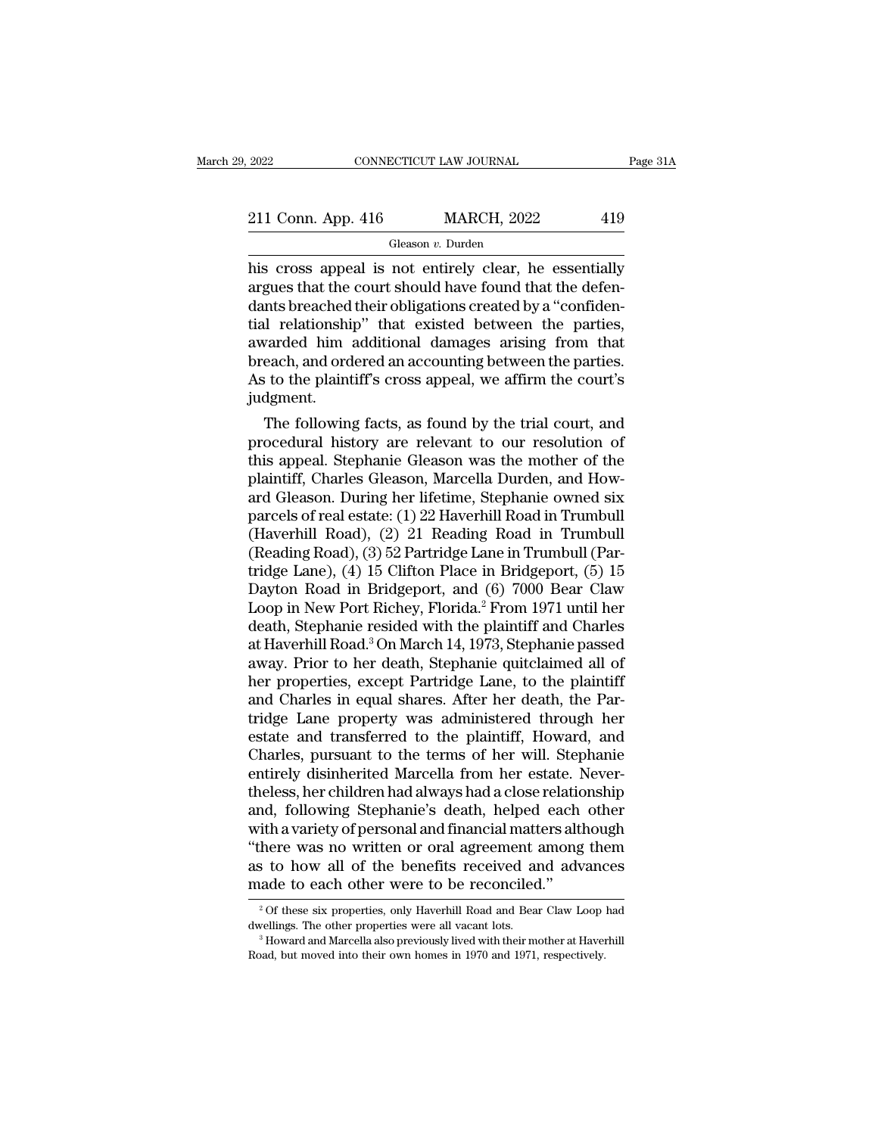# 2022 CONNECTICUT LAW JOURNAL Page 31A<br>211 Conn. App. 416 MARCH, 2022 419<br>Gleason v. Durden

Gleason *v.* Durden

2022 CONNECTICUT LAW JOURNAL Page 31A<br>
211 Conn. App. 416 MARCH, 2022 419<br>
Gleason v. Durden<br>
his cross appeal is not entirely clear, he essentially<br>
argues that the court should have found that the defen-211 Conn. App. 416 MARCH, 2022 419<br>
Gleason v. Durden<br>
his cross appeal is not entirely clear, he essentially<br>
argues that the court should have found that the defen-<br>
dants breached their obligations created by a "confid 211 Conn. App. 416 MARCH, 2022 419<br>
Gleason v. Durden<br>
his cross appeal is not entirely clear, he essentially<br>
argues that the court should have found that the defen-<br>
dants breached their obligations created by a "confid 211 Conn. App. 416 MARCH, 2022 419<br>
Gleason *v*. Durden<br>
his cross appeal is not entirely clear, he essentially<br>
argues that the court should have found that the defen-<br>
dants breached their obligations created by a "conf Gleason *v*. Durden<br>his cross appeal is not entirely clear, he essentially<br>argues that the court should have found that the defen-<br>dants breached their obligations created by a "confiden-<br>tial relationship" that existed be Gleason  $v$ . Durden<br>his cross appeal is not entirely clear, he essentially<br>argues that the court should have found that the defen-<br>dants breached their obligations created by a "confiden-<br>tial relationship" that existed b his cross appeal is not entirely clear, he essentially<br>argues that the court should have found that the defen-<br>dants breached their obligations created by a "confiden-<br>tial relationship" that existed between the parties,<br>a judgment. Ints breached their obingations created by a "confiden-<br>I relationship" that existed between the parties,<br>varded him additional damages arising from that<br>each, and ordered an accounting between the parties.<br>i to the plaint relationship that existed between the parties,<br>awarded him additional damages arising from that<br>breach, and ordered an accounting between the parties.<br>As to the plaintiff's cross appeal, we affirm the court's<br>judgment.<br>The

awarded nim additional damages arising from that<br>breach, and ordered an accounting between the parties.<br>As to the plaintiff's cross appeal, we affirm the court's<br>judgment.<br>The following facts, as found by the trial court, breach, and ordered an accounting between the parties.<br>As to the plaintiff's cross appeal, we affirm the court's<br>judgment.<br>The following facts, as found by the trial court, and<br>procedural history are relevant to our resolu As to the plaintiff s cross appeal, we affirm the court s<br>judgment.<br>The following facts, as found by the trial court, and<br>procedural history are relevant to our resolution of<br>this appeal. Stephanie Gleason was the mother o pudgment.<br>
The following facts, as found by the trial court, and<br>
procedural history are relevant to our resolution of<br>
this appeal. Stephanie Gleason was the mother of the<br>
plaintiff, Charles Gleason, Marcella Durden, and The following facts, as found by the trial court, and<br>procedural history are relevant to our resolution of<br>this appeal. Stephanie Gleason was the mother of the<br>plaintiff, Charles Gleason, Marcella Durden, and How-<br>ard Glea procedural history are relevant to our resolution of<br>this appeal. Stephanie Gleason was the mother of the<br>plaintiff, Charles Gleason, Marcella Durden, and How-<br>ard Gleason. During her lifetime, Stephanie owned six<br>parcels this appeal. Stephanie Gleason was the mother of the<br>plaintiff, Charles Gleason, Marcella Durden, and How-<br>ard Gleason. During her lifetime, Stephanie owned six<br>parcels of real estate: (1) 22 Haverhill Road in Trumbull<br>(Ha plaintiff, Charles Gleason, Marcella Durden, and How-<br>ard Gleason. During her lifetime, Stephanie owned six<br>parcels of real estate: (1) 22 Haverhill Road in Trumbull<br>(Haverhill Road), (2) 21 Reading Road in Trumbull<br>(Readi ard Gleason. During her lifetime, Stephanie owned six<br>parcels of real estate: (1) 22 Haverhill Road in Trumbull<br>(Haverhill Road), (2) 21 Reading Road in Trumbull<br>(Reading Road), (3) 52 Partridge Lane in Trumbull (Par-<br>trid parcels of real estate: (1) 22 Haverhill Road in Trumbull<br>(Haverhill Road), (2) 21 Reading Road in Trumbull<br>(Reading Road), (3) 52 Partridge Lane in Trumbull (Par-<br>tridge Lane), (4) 15 Clifton Place in Bridgeport, (5) 15<br>D (Haverhill Road), (2) 21 Reading Road in Trumbull<br>(Reading Road), (3) 52 Partridge Lane in Trumbull (Partridge Lane), (4) 15 Clifton Place in Bridgeport, (5) 15<br>Dayton Road in Bridgeport, and (6) 7000 Bear Claw<br>Loop in New (Reading Road), (3) 52 Partridge Lane in Trumbull (Partridge Lane), (4) 15 Clifton Place in Bridgeport, (5) 15<br>Dayton Road in Bridgeport, and (6) 7000 Bear Claw<br>Loop in New Port Richey, Florida.<sup>2</sup> From 1971 until her<br>dea tridge Lane), (4) 15 Clifton Place in Bridgeport, (5) 15<br>Dayton Road in Bridgeport, and (6) 7000 Bear Claw<br>Loop in New Port Richey, Florida.<sup>2</sup> From 1971 until her<br>death, Stephanie resided with the plaintiff and Charles<br>at Dayton Road in Bridgeport, and (6) 7000 Bear Claw<br>Loop in New Port Richey, Florida.<sup>2</sup> From 1971 until her<br>death, Stephanie resided with the plaintiff and Charles<br>at Haverhill Road.<sup>3</sup> On March 14, 1973, Stephanie passed<br>a Loop in New Port Richey, Florida.<sup>2</sup> From 1971 until her death, Stephanie resided with the plaintiff and Charles at Haverhill Road.<sup>3</sup> On March 14, 1973, Stephanie passed away. Prior to her death, Stephanie quitclaimed all death, Stephanie resided with the plaintiff and Charles<br>at Haverhill Road.<sup>3</sup> On March 14, 1973, Stephanie passed<br>away. Prior to her death, Stephanie quitclaimed all of<br>her properties, except Partridge Lane, to the plainti at Haverhill Road.<sup>3</sup> On March 14, 1973, Stephanie passed<br>away. Prior to her death, Stephanie quitclaimed all of<br>her properties, except Partridge Lane, to the plaintiff<br>and Charles in equal shares. After her death, the Par away. Prior to her death, Stephanie quitclaimed all of<br>her properties, except Partridge Lane, to the plaintiff<br>and Charles in equal shares. After her death, the Par-<br>tridge Lane property was administered through her<br>estate her properties, except Partridge Lane, to the plaintiff<br>and Charles in equal shares. After her death, the Par-<br>tridge Lane property was administered through her<br>estate and transferred to the plaintiff, Howard, and<br>Charles, and Charles in equal shares. After her death, the Partridge Lane property was administered through her estate and transferred to the plaintiff, Howard, and Charles, pursuant to the terms of her will. Stephanie entirely dis tridge Lane property was administered through her<br>estate and transferred to the plaintiff, Howard, and<br>Charles, pursuant to the terms of her will. Stephanie<br>entirely disinherited Marcella from her estate. Never-<br>theless, h estate and transferred to the plaintiff, Howard, and<br>Charles, pursuant to the terms of her will. Stephanie<br>entirely disinherited Marcella from her estate. Never-<br>theless, her children had always had a close relationship<br>an Charles, pursuant to the terms of her will. Stephanie<br>entirely disinherited Marcella from her estate. Never-<br>theless, her children had always had a close relationship<br>and, following Stephanie's death, helped each other<br>wit entirely disinherited Marcella from her estate. It<br>heless, her children had always had a close relational, following Stephanie's death, helped each<br>with a variety of personal and financial matters alt<br>"there was no written ith a variety of personal and financial matters although<br>here was no written or oral agreement among them<br>is to how all of the benefits received and advances<br>ade to each other were to be reconciled."<br><sup>2</sup>Of these six proper "there was no written or oral agreement among them<br>as to how all of the benefits received and advances<br>made to each other were to be reconciled."<br> $20$  of these six properties, only Haverhill Road and Bear Claw Loop had<br>dw

made to each other were to be reconciled."<br>
<sup>2</sup> Of these six properties, only Haverhill Road and Bear Claw Loop had dwellings. The other properties were all vacant lots.<br>
<sup>3</sup> Howard and Marcella also previously lived with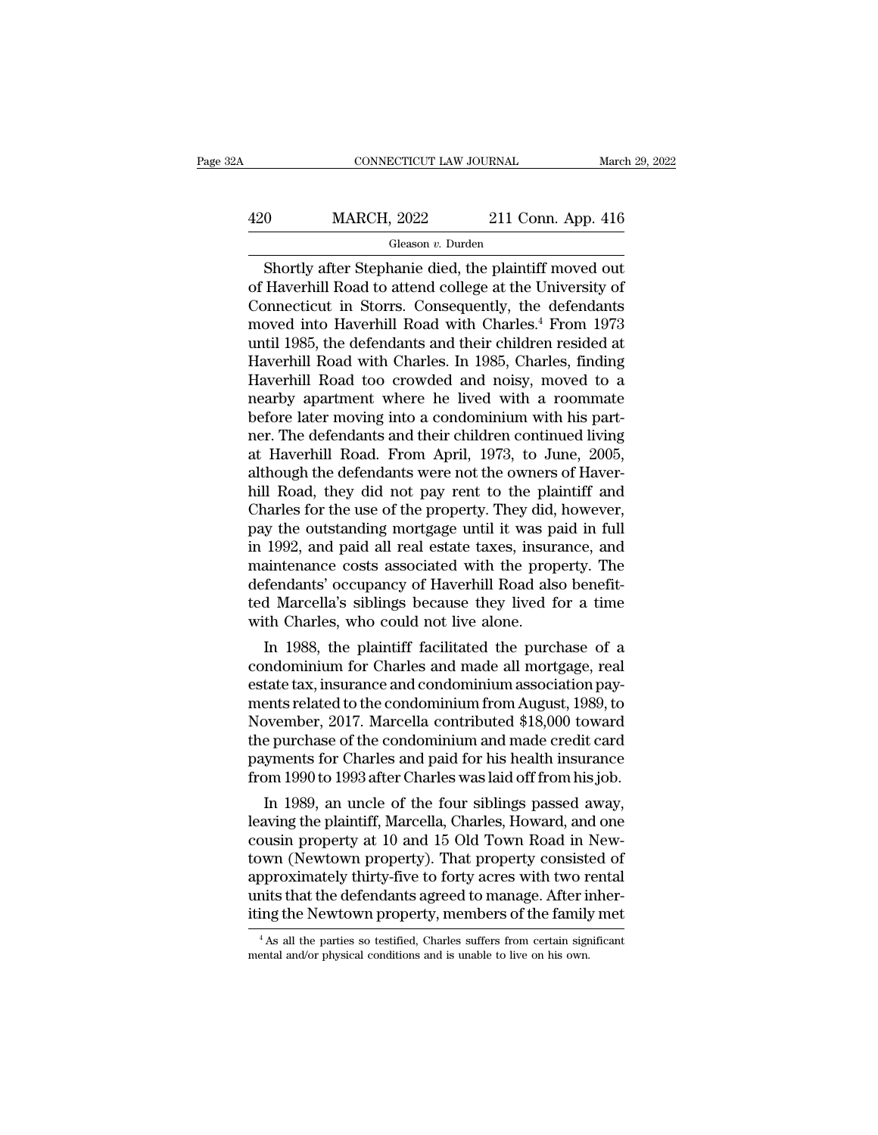## CONNECTICUT LAW JOURNAL March 29, 2022<br>
420 MARCH, 2022 211 Conn. App. 416<br>
Gleason v. Durden Gleason *v.* Durden

CONNECTICUT LAW JOURNAL March 29, 202<br>
O MARCH, 2022 211 Conn. App. 416<br>
Gleason v. Durden<br>
Shortly after Stephanie died, the plaintiff moved out<br>
Haverhill Road to attend college at the University of  $\frac{\text{MARCH}}{\text{Gleason } v. \text{ Dutch}}$ <br>  $\frac{\text{Gleason } v. \text{ Dutch}}{\text{Shortly after Stephennie died, the plaintiff moved out}}$   $\frac{\text{Shortly after Stephennie died, the plaintiff moved out of Harvard idea to attend college at the University of Connecticut in Storrs. Consequently, the defendants moved into Havorbill Road with Charles  $4$  From 1973$  $\frac{\text{420}}{\text{Gleason } v. \text{ Durch}}$  (Gleason v. Durden<br>  $\frac{\text{Gleason } v. \text{ Dutch}}{\text{Shortly after Stephennie died, the plaintiff moved out}}$ <br>
of Haverhill Road to attend college at the University of<br>
Connecticut in Storrs. Consequently, the defendants<br>
moved into Haverhill Road wit  $\frac{\text{420}}{\text{Gleason } v. \text{ Durch}}$ <br>  $\frac{\text{Gleason } v. \text{ Durch}}{\text{Shortly after Stephennie died, the plaintiff moved out}}$ <br>
of Haverhill Road to attend college at the University of<br>
Connecticut in Storrs. Consequently, the defendants<br>
moved into Haverhill Road with Charles.<sup>4</sup> Fro Gleason v. Durden<br>
Gleason v. Durden<br>
Shortly after Stephanie died, the plaintiff moved out<br>
of Haverhill Road to attend college at the University of<br>
Connecticut in Storrs. Consequently, the defendants<br>
moved into Haverhi Gleason v. Durden<br>
Gleason v. Durden<br>
of Haverhill Road to attend college at the University of<br>
Connecticut in Storrs. Consequently, the defendants<br>
moved into Haverhill Road with Charles.<sup>4</sup> From 1973<br>
until 1985, the de Shortly after Stephanie died, the plaintiff moved out<br>of Haverhill Road to attend college at the University of<br>Connecticut in Storrs. Consequently, the defendants<br>moved into Haverhill Road with Charles.<sup>4</sup> From 1973<br>until of Haverhill Road to attend college at the University of<br>Connecticut in Storrs. Consequently, the defendants<br>moved into Haverhill Road with Charles.<sup>4</sup> From 1973<br>until 1985, the defendants and their children resided at<br>Hav Connecticut in Storrs. Consequently, the defendants<br>moved into Haverhill Road with Charles.<sup>4</sup> From 1973<br>until 1985, the defendants and their children resided at<br>Haverhill Road with Charles. In 1985, Charles, finding<br>Haver moved into Haverhill Road with Charles.<sup>4</sup> From 1973<br>until 1985, the defendants and their children resided at<br>Haverhill Road with Charles. In 1985, Charles, finding<br>Haverhill Road too crowded and noisy, moved to a<br>nearby a until 1985, the defendants and their children resided at Haverhill Road with Charles. In 1985, Charles, finding<br>Haverhill Road too crowded and noisy, moved to a<br>nearby apartment where he lived with a roommate<br>before later Haverhill Road with Charles. In 1985, Charles, finding<br>Haverhill Road too crowded and noisy, moved to a<br>nearby apartment where he lived with a roommate<br>before later moving into a condominium with his part-<br>ner. The defenda Haverhill Road too crowded and noisy, moved to a<br>nearby apartment where he lived with a roommate<br>before later moving into a condominium with his part-<br>ner. The defendants and their children continued living<br>at Haverhill Ro nearby apartment where he lived with a roommate<br>before later moving into a condominium with his part-<br>ner. The defendants and their children continued living<br>at Haverhill Road. From April, 1973, to June, 2005,<br>although the before later moving into a condominium with his part-<br>ner. The defendants and their children continued living<br>at Haverhill Road. From April, 1973, to June, 2005,<br>although the defendants were not the owners of Haver-<br>hill R ner. The defendants and their children continued living<br>at Haverhill Road. From April, 1973, to June, 2005,<br>although the defendants were not the owners of Haver-<br>hill Road, they did not pay rent to the plaintiff and<br>Charle at Haverhill Road. From April, 1973, to June, 2005,<br>although the defendants were not the owners of Haver-<br>hill Road, they did not pay rent to the plaintiff and<br>Charles for the use of the property. They did, however,<br>pay th although the defendants were not the owners of Haverhill Road, they did not pay rent to the plaintiff and Charles for the use of the property. They did, however, pay the outstanding mortgage until it was paid in full in 19 hill Road, they did not pay rent to the plaintiff and<br>Charles for the use of the property. They did, however,<br>pay the outstanding mortgage until it was paid in full<br>in 1992, and paid all real estate taxes, insurance, and<br>m Charles for the use of the property. They did, pay the outstanding mortgage until it was pin 1992, and paid all real estate taxes, insur maintenance costs associated with the prop defendants' occupancy of Haverhill Road al In 1992, and paid all real estate taxes, insurance, and<br>aintenance costs associated with the property. The<br>fendants' occupancy of Haverhill Road also benefit-<br>d Marcella's siblings because they lived for a time<br>th Charles, In 1992, and paid an real estate taxes, insurance, and<br>maintenance costs associated with the property. The<br>defendants' occupancy of Haverhill Road also benefit-<br>ted Marcella's siblings because they lived for a time<br>with Ch

manuenance costs associated with the property. The<br>defendants' occupancy of Haverhill Road also benefit-<br>ted Marcella's siblings because they lived for a time<br>with Charles, who could not live alone.<br>In 1988, the plaintiff defendants occupancy of navenuli road also benefited Marcella's siblings because they lived for a time<br>with Charles, who could not live alone.<br>In 1988, the plaintiff facilitated the purchase of a<br>condominium for Charles an Led Marcella's shollings because they lived for a time<br>with Charles, who could not live alone.<br>In 1988, the plaintiff facilitated the purchase of a<br>condominium for Charles and made all mortgage, real<br>estate tax, insurance In 1988, the plaintiff facilitated the purchase of a<br>condominium for Charles and made all mortgage, real<br>estate tax, insurance and condominium association pay-<br>ments related to the condominium from August, 1989, to<br>Novembe In 1988, the plaintiff facilitated the purchase of a<br>condominium for Charles and made all mortgage, real<br>estate tax, insurance and condominium association pay-<br>ments related to the condominium from August, 1989, to<br>Novembe condominium for Charles and made all mortgage, real<br>estate tax, insurance and condominium association pay-<br>ments related to the condominium from August, 1989, to<br>November, 2017. Marcella contributed \$18,000 toward<br>the purc rate tax, insurance and condominium association payents related to the condominium from August, 1989, to byember, 2017. Marcella contributed \$18,000 toward<br>e purchase of the condominium and made credit card<br>yments for Char ments related to the condominium from August, 1989, to<br>November, 2017. Marcella contributed \$18,000 toward<br>the purchase of the condominium and made credit card<br>payments for Charles and paid for his health insurance<br>from 19

read the purchase of the condominium and made credit card<br>the purchase of the condominium and made credit card<br>payments for Charles and paid for his health insurance<br>from 1990 to 1993 after Charles was laid off from his jo the purchase of the condominum and made credit card<br>payments for Charles and paid for his health insurance<br>from 1990 to 1993 after Charles was laid off from his job.<br>In 1989, an uncle of the four siblings passed away,<br>leav payments for Charles and paid for his neath insurance<br>from 1990 to 1993 after Charles was laid off from his job.<br>In 1989, an uncle of the four siblings passed away,<br>leaving the plaintiff, Marcella, Charles, Howard, and one rrom 1990 to 1993 after Charles was laid off from his job.<br>In 1989, an uncle of the four siblings passed away,<br>leaving the plaintiff, Marcella, Charles, Howard, and one<br>cousin property at 10 and 15 Old Town Road in New-<br>to In 1989, an uncle of the four siblings passed away,<br>leaving the plaintiff, Marcella, Charles, Howard, and one<br>cousin property at 10 and 15 Old Town Road in New-<br>town (Newtown property). That property consisted of<br>approxima by worm (Newtown property). That property consisted of pproximately thirty-five to forty acres with two rental inits that the defendants agreed to manage. After inhering the Newtown property, members of the family met  $^{4}$ approximately thirty-five to forty acres with two r<br>units that the defendants agreed to manage. After is<br>iting the Newtown property, members of the family<br><sup>4</sup>As all the parties so testified, Charles suffers from certain si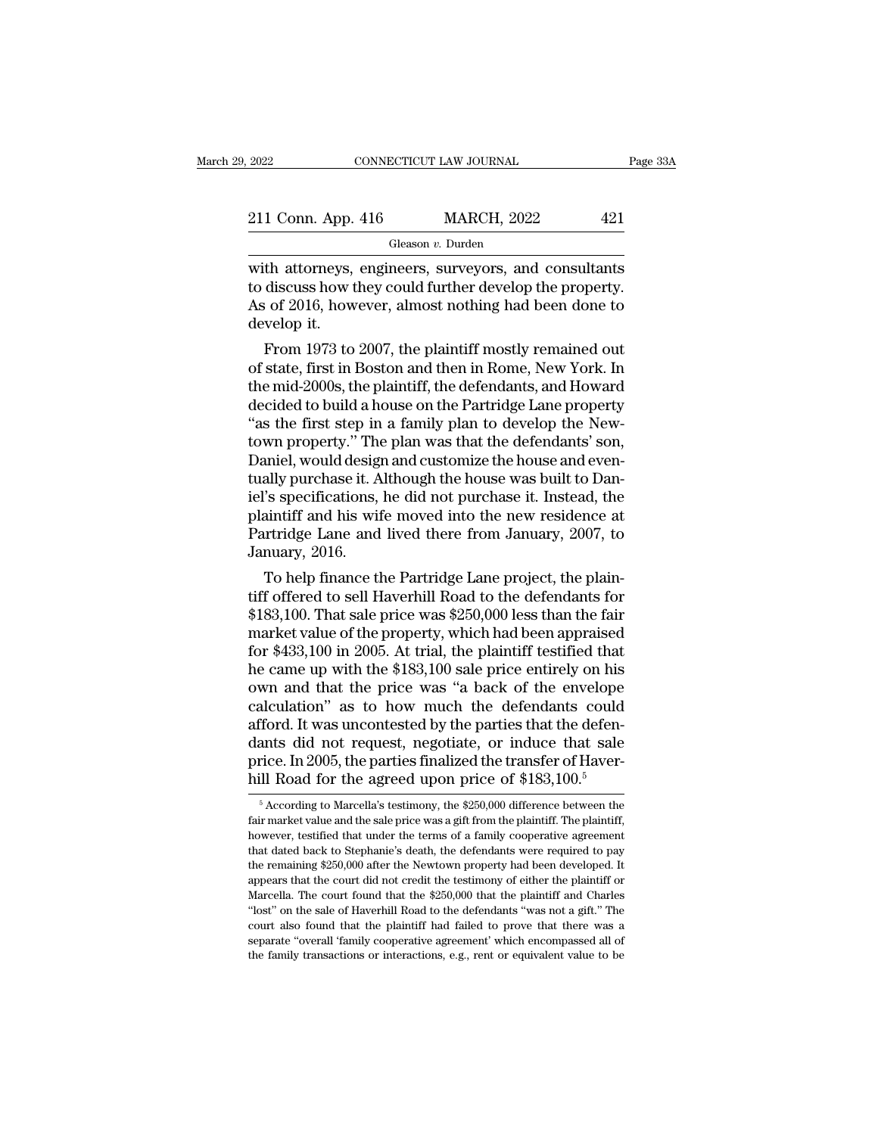| 2022               | CONNECTICUT LAW JOURNAL | Page 33A |
|--------------------|-------------------------|----------|
| 211 Conn. App. 416 | <b>MARCH, 2022</b>      | 421      |
|                    | Gleason v. Durden       |          |

2022 CONNECTICUT LAW JOURNAL Page 33A<br>
211 Conn. App. 416 MARCH, 2022 421<br>
Gleason v. Durden<br>
with attorneys, engineers, surveyors, and consultants<br>
to discuss how they could further develop the property.<br>
As of 2016, howe 211 Conn. App. 416 MARCH, 2022 421<br>
Gleason *v*. Durden<br>
with attorneys, engineers, surveyors, and consultants<br>
to discuss how they could further develop the property.<br>
As of 2016, however, almost nothing had been done to 211 Conn. App. 416 MARCH, 2022 421<br>
Gleason v. Durden<br>
with attorneys, engineers, surveyors, and consultants<br>
to discuss how they could further develop the property.<br>
As of 2016, however, almost nothing had been done to<br> with attorneys, engineers, surveyors, and consultants<br>to discuss how they could further develop the property.<br>As of 2016, however, almost nothing had been done to<br>develop it.<br>From 1973 to 2007, the plaintiff mostly remaine Gleason  $v$ . Durden<br>th attorneys, engineers, surveyors, and consultants<br>discuss how they could further develop the property.<br>i of 2016, however, almost nothing had been done to<br>velop it.<br>From 1973 to 2007, the plaintiff m with attorneys, engineers, surveyors, and consultants<br>to discuss how they could further develop the property.<br>As of 2016, however, almost nothing had been done to<br>develop it.<br>From 1973 to 2007, the plaintiff mostly remaine

with attorneys, engineers, surveyors, and consultants<br>to discuss how they could further develop the property.<br>As of 2016, however, almost nothing had been done to<br>develop it.<br>From 1973 to 2007, the plaintiff mostly remaine to discuss now they could further develop the property.<br>As of 2016, however, almost nothing had been done to<br>develop it.<br>From 1973 to 2007, the plaintiff mostly remained out<br>of state, first in Boston and then in Rome, New As or 2016, nowever, almost nothing nad been done to<br>
develop it.<br>
From 1973 to 2007, the plaintiff mostly remained out<br>
of state, first in Boston and then in Rome, New York. In<br>
the mid-2000s, the plaintiff, the defendant develop it.<br>
From 1973 to 2007, the plaintiff mostly remained out<br>
of state, first in Boston and then in Rome, New York. In<br>
the mid-2000s, the plaintiff, the defendants, and Howard<br>
decided to build a house on the Partrid From 1973 to 2007, the plaintiff mostly remained out<br>of state, first in Boston and then in Rome, New York. In<br>the mid-2000s, the plaintiff, the defendants, and Howard<br>decided to build a house on the Partridge Lane property of state, first in Boston and then in Rome, New York. In<br>the mid-2000s, the plaintiff, the defendants, and Howard<br>decided to build a house on the Partridge Lane property<br>"as the first step in a family plan to develop the N the mid-2000s, the plaintiff, the defendants, and Howard<br>decided to build a house on the Partridge Lane property<br>"as the first step in a family plan to develop the New-<br>town property." The plan was that the defendants' son decided to build a house on the Partridge Lane property<br>"as the first step in a family plan to develop the New-<br>town property." The plan was that the defendants' son,<br>Daniel, would design and customize the house and even-<br> "as the first step in a family plan to develop the New-<br>town property." The plan was that the defendants' son,<br>Daniel, would design and customize the house and even-<br>tually purchase it. Although the house was built to Dantown property." The<br>Daniel, would designtially purchase it. A<br>iel's specifications,<br>plaintiff and his wil<br>Partridge Lane and<br>January, 2016.<br>To help finance tl imel, would design and customize the nouse and even-<br>ally purchase it. Although the house was built to Dan-<br>'s specifications, he did not purchase it. Instead, the<br>aintiff and his wife moved into the new residence at<br>artri tually purchase it. Although the house was built to Dahiel's specifications, he did not purchase it. Instead, the plaintiff and his wife moved into the new residence at Partridge Lane and lived there from January, 2007, to

ret's specifications, he did not purchase it. Instead, the<br>plaintiff and his wife moved into the new residence at<br>Partridge Lane and lived there from January, 2007, to<br>January, 2016.<br>To help finance the Partridge Lane proj plaintiff and his wife moved into the new residence at<br>Partridge Lane and lived there from January, 2007, to<br>January, 2016.<br>To help finance the Partridge Lane project, the plain-<br>tiff offered to sell Haverhill Road to the Fartridge Lane and lived there from January, 2007, to<br>January, 2016.<br>To help finance the Partridge Lane project, the plain-<br>tiff offered to sell Haverhill Road to the defendants for<br>\$183,100. That sale price was \$250,000 January, 2016.<br>To help finance the Partridge Lane project, the plain-<br>tiff offered to sell Haverhill Road to the defendants for<br>\$183,100. That sale price was \$250,000 less than the fair<br>market value of the property, which To help finance the Partridge Lane project, the plain-<br>tiff offered to sell Haverhill Road to the defendants for<br>\$183,100. That sale price was \$250,000 less than the fair<br>market value of the property, which had been appra tiff offered to sell Haverhill Road to the defendants for<br>\$183,100. That sale price was \$250,000 less than the fair<br>market value of the property, which had been appraised<br>for \$433,100 in 2005. At trial, the plaintiff testi \$183,100. That sale price was \$250,000 less than the fair<br>market value of the property, which had been appraised<br>for \$433,100 in 2005. At trial, the plaintiff testified that<br>he came up with the \$183,100 sale price entirel market value of the property, which had been appraised<br>for \$433,100 in 2005. At trial, the plaintiff testified that<br>he came up with the \$183,100 sale price entirely on his<br>own and that the price was "a back of the envelop for \$433,100 in 2005. At trial, the plaintiff testified that<br>he came up with the \$183,100 sale price entirely on his<br>own and that the price was "a back of the envelope<br>calculation" as to how much the defendants could<br>affo he came up with the \$183,100 sale price entirely on his<br>own and that the price was "a back of the envelope<br>calculation" as to how much the defendants could<br>afford. It was uncontested by the parties that the defen-<br>dants d fford. It was uncontested by the parties that the defenants did not request, negotiate, or induce that sale<br>rice. In 2005, the parties finalized the transfer of Haver-<br>ill Road for the agreed upon price of \$183,100.<sup>5</sup><br> $\$ dants did not request, negotiate, or induce that sale price. In 2005, the parties finalized the transfer of Haverhill Road for the agreed upon price of \$183,100.<sup>5</sup><br><sup>5</sup> According to Marcella's testimony, the \$250,000 diff hill Road for the agreed upon price of  $$183,100$ <sup>5</sup>

price. In 2005, the parties finalized the transfer of Haverhill Road for the agreed upon price of \$183,100.<sup>5</sup><br><sup>5</sup> According to Marcella's testimony, the \$250,000 difference between the fair market value and the sale pric THIT ROACT LOT LIFT AND MORE COLLECT A 1000, THE REPORT TO A COORDING THE RANGE THE RANGE THE RANGE THE RANGE THE NEWTON PROPERTY. THE PLANTIFITY Above ver, testified that under the terms of a family cooperative agreement  $\overline{a}$  according to Marcella's testimony, the \$250,000 difference between the fair market value and the sale price was a gift from the plaintiff. The plaintiff, however, testified that under the terms of a family cooper fair market value and the sale price was a gift from the plaintiff. The plaintiff, however, testified that under the terms of a family cooperative agreement that dated back to Stephanie's death, the defendants were require Thom Wever, testified that under the terms of a family cooperative agreement<br>that dated back to Stephanie's death, the defendants were required to pay<br>the remaining \$250,000 after the Newtown property had been developed. I that dated back to Stephanie's death, the defendants were required to pay<br>the remaining \$250,000 after the Newtown property had been developed. It<br>appears that the court did not credit the testimony of either the plaintiff the remaining \$250,000 after the Newtown property had been developed. It appears that the court did not credit the testimony of either the plaintiff or Marcella. The court found that the \$250,000 that the plaintiff and Ch appears that the court did not credit the testimony of either the plaintiff or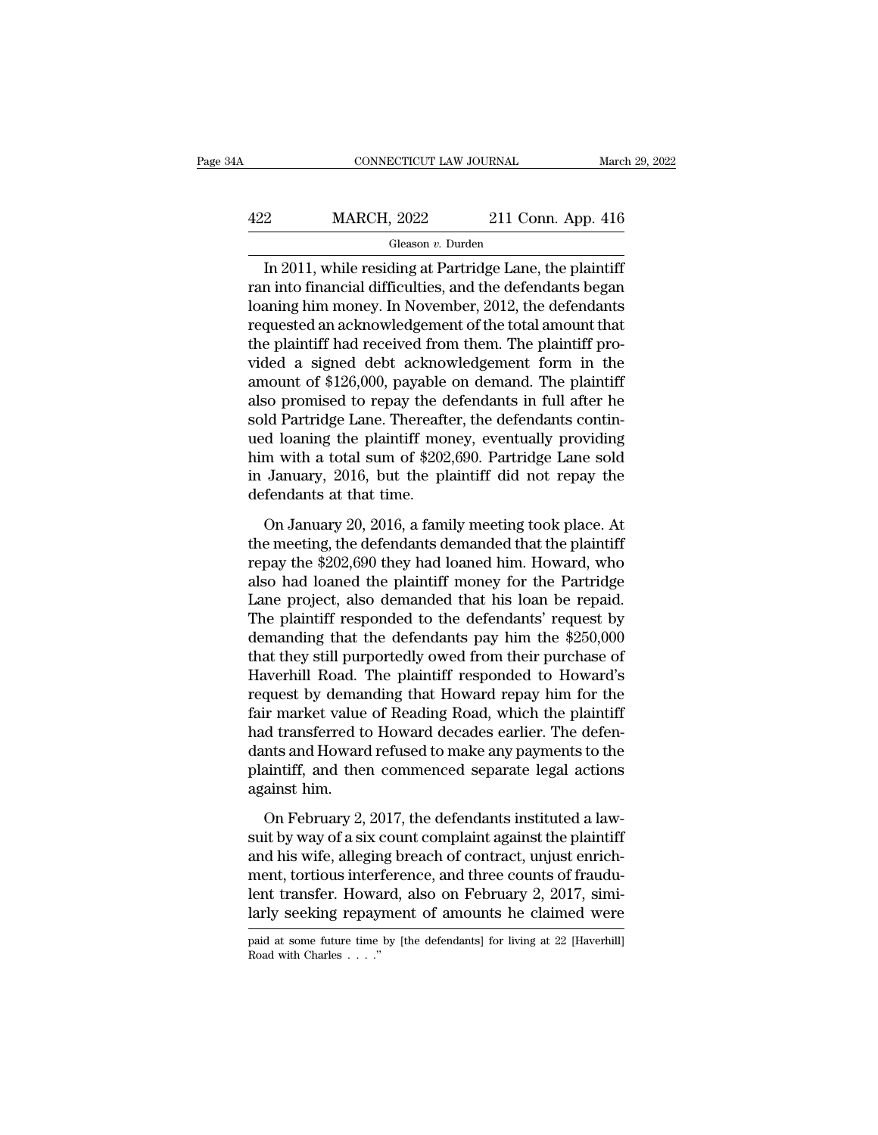## CONNECTICUT LAW JOURNAL March 29, 2022<br>422 MARCH, 2022 211 Conn. App. 416<br>Gleason v. Durden Gleason *v.* Durden

CONNECTICUT LAW JOURNAL March 29, 202<br>
211 Conn. App. 416<br>
311, While residing at Partridge Lane, the plaintiff<br>
2011, while residing at Partridge Lane, the plaintiff<br>
2011, while residing at Partridge Lane, the plaintiff<br>  $\begin{array}{r} \hline \text{MARCH, 2022} \text{211 Conn. App. 416} \ \hline \text{Gleason } v. \text{ Durch} \ \hline \text{In 2011, while residing at Partridge Lane, the plaintiff} \ \hline \text{ran into financial difficulties, and the defendants began} \ \hline \text{loaning him money. In November, 2012, the defendants} \ \hline \text{reduced an acknowledgment of the total amount that} \end{array}$  $\frac{422}{\text{Gleason } v. \text{ burden}}$ <br>
In 2011, while residing at Partridge Lane, the plaintiff<br>
ran into financial difficulties, and the defendants began<br>
loaning him money. In November, 2012, the defendants<br>
requested an acknowledgem  $\frac{422}{2}$  MARCH, 2022 211 Conn. App. 416<br>  $\frac{6 \text{leason } v. \text{ burden}}{10}$ <br>
In 2011, while residing at Partridge Lane, the plaintiff<br>
ran into financial difficulties, and the defendants began<br>
loaning him money. In November, 201 Gleason *v*. Durden<br>
In 2011, while residing at Partridge Lane, the plaintiff<br>
ran into financial difficulties, and the defendants began<br>
loaning him money. In November, 2012, the defendants<br>
requested an acknowledgement Greason *v*. Durian<br>In 2011, while residing at Partridge Lane, the plaintiff<br>ran into financial difficulties, and the defendants began<br>loaning him money. In November, 2012, the defendants<br>requested an acknowledgement of t In 2011, while residing at Partridge Lane, the plaintiff<br>ran into financial difficulties, and the defendants began<br>loaning him money. In November, 2012, the defendants<br>requested an acknowledgement of the total amount that<br> ran into financial difficulties, and the defendants began<br>loaning him money. In November, 2012, the defendants<br>requested an acknowledgement of the total amount that<br>the plaintiff had received from them. The plaintiff pro-<br> loaning him money. In November, 2012, the defendants<br>requested an acknowledgement of the total amount that<br>the plaintiff had received from them. The plaintiff pro-<br>vided a signed debt acknowledgement form in the<br>amount of requested an acknowledgement of the total amount that<br>the plaintiff had received from them. The plaintiff pro-<br>vided a signed debt acknowledgement form in the<br>amount of \$126,000, payable on demand. The plaintiff<br>also promi the plaintiff had received from them. The plaintiff pro-<br>vided a signed debt acknowledgement form in the<br>amount of \$126,000, payable on demand. The plaintiff<br>also promised to repay the defendants in full after he<br>sold Part vided a signed debt acknowledgement form in the<br>amount of \$126,000, payable on demand. The plaintiff<br>also promised to repay the defendants in full after he<br>sold Partridge Lane. Thereafter, the defendants contin-<br>ued loanin amount of \$126,000, payable<br>also promised to repay the d<br>sold Partridge Lane. Thereaft<br>ued loaning the plaintiff mon<br>him with a total sum of \$202<br>in January, 2016, but the pl<br>defendants at that time.<br>On January 20, 2016, a Id Partridge Lane. Thereafter, the defendants contin-<br>Id Partridge Lane. Thereafter, the defendants contin-<br>d loaning the plaintiff money, eventually providing<br>m with a total sum of \$202,690. Partridge Lane sold<br>January, 2 Frame meeting the plaintiff money, eventually providing<br>the meeting has a total sum of \$202,690. Partridge Lane sold<br>in January, 2016, but the plaintiff did not repay the<br>defendants at that time.<br>On January 20, 2016, a fam

represents the state of \$202,690. Partridge Lane sold<br>in January, 2016, but the plaintiff did not repay the<br>defendants at that time.<br>On January 20, 2016, a family meeting took place. At<br>the meeting, the defendants demanded also had loaned the plaintiff did not repay the<br>defendants at that time.<br>On January 20, 2016, a family meeting took place. At<br>the meeting, the defendants demanded that the plaintiff<br>repay the \$202,690 they had loaned him. Land Saturation, and the principal and the repay the<br>defendants at that time.<br>On January 20, 2016, a family meeting took place. At<br>the meeting, the defendants demanded that the plaintiff<br>repay the \$202,690 they had loaned On January 20, 2016, a family meeting took place. At<br>the meeting, the defendants demanded that the plaintiff<br>repay the  $$202,690$  they had loaned him. Howard, who<br>also had loaned the plaintiff money for the Partridge<br>Lane On January 20, 2016, a family meeting took place. At<br>the meeting, the defendants demanded that the plaintiff<br>repay the \$202,690 they had loaned him. Howard, who<br>also had loaned the plaintiff money for the Partridge<br>Lane pr the meeting, the defendants demanded that the plaintiff<br>repay the \$202,690 they had loaned him. Howard, who<br>also had loaned the plaintiff money for the Partridge<br>Lane project, also demanded that his loan be repaid.<br>The pla repay the \$202,690 they had loaned him. Howard, who<br>also had loaned the plaintiff money for the Partridge<br>Lane project, also demanded that his loan be repaid.<br>The plaintiff responded to the defendants' request by<br>demanding also had loaned the plaintiff money for the Partridge<br>Lane project, also demanded that his loan be repaid.<br>The plaintiff responded to the defendants' request by<br>demanding that the defendants pay him the \$250,000<br>that they Lane project, also demanded that his loan be repaid.<br>The plaintiff responded to the defendants' request by<br>demanding that the defendants pay him the \$250,000<br>that they still purportedly owed from their purchase of<br>Haverhil The plaintiff responded to the defendants' request by<br>demanding that the defendants pay him the \$250,000<br>that they still purportedly owed from their purchase of<br>Haverhill Road. The plaintiff responded to Howard's<br>request b demanding that the defendants pay him the \$250,000<br>that they still purportedly owed from their purchase of<br>Haverhill Road. The plaintiff responded to Howard's<br>request by demanding that Howard repay him for the<br>fair market that they still purportedly owed from their purchase of<br>Haverhill Road. The plaintiff responded to Howard's<br>request by demanding that Howard repay him for the<br>fair market value of Reading Road, which the plaintiff<br>had tran Haverhill Road.<br>request by demar<br>fair market value<br>had transferred to<br>dants and Howard<br>plaintiff, and the<br>against him.<br>On February 2, In February 2, 2017, the defendants instituted a law-<br>it market value of Reading Road, which the plaintiff<br>d transferred to Howard decades earlier. The defen-<br>nts and Howard refused to make any payments to the<br>aintiff, and Final transferred to Howard decades earlier. The defendants and Howard refused to make any payments to the plaintiff, and then commenced separate legal actions against him.<br>On February 2, 2017, the defendants instituted a

rad databased of the main absolute burntle details and Howard refused to make any payments to the plaintiff, and then commenced separate legal actions against him.<br>On February 2, 2017, the defendants instituted a lawsuit b ment, and then commenced separate legal actions<br>against him.<br>On February 2, 2017, the defendants instituted a law-<br>suit by way of a six count complaint against the plaintiff<br>and his wife, alleging breach of contract, unjus lemanta, and the commission of plane eigen measure<br>against him.<br>Sum by way of a six count complaint against the plaintiff<br>and his wife, alleging breach of contract, unjust enrich-<br>ment, tortious interference, and three cou On February 2, 2017, the defendants instituted a law-<br>suit by way of a six count complaint against the plaintiff<br>and his wife, alleging breach of contract, unjust enrich-<br>ment, tortious interference, and three counts of f and his wife, alleging breach of contract, unjust enrichment, tortious interference, and three counts of fraudulent transfer. Howard, also on February 2, 2017, similarly seeking repayment of amounts he claimed were paid a larly seeking repayment of amounts he claimed were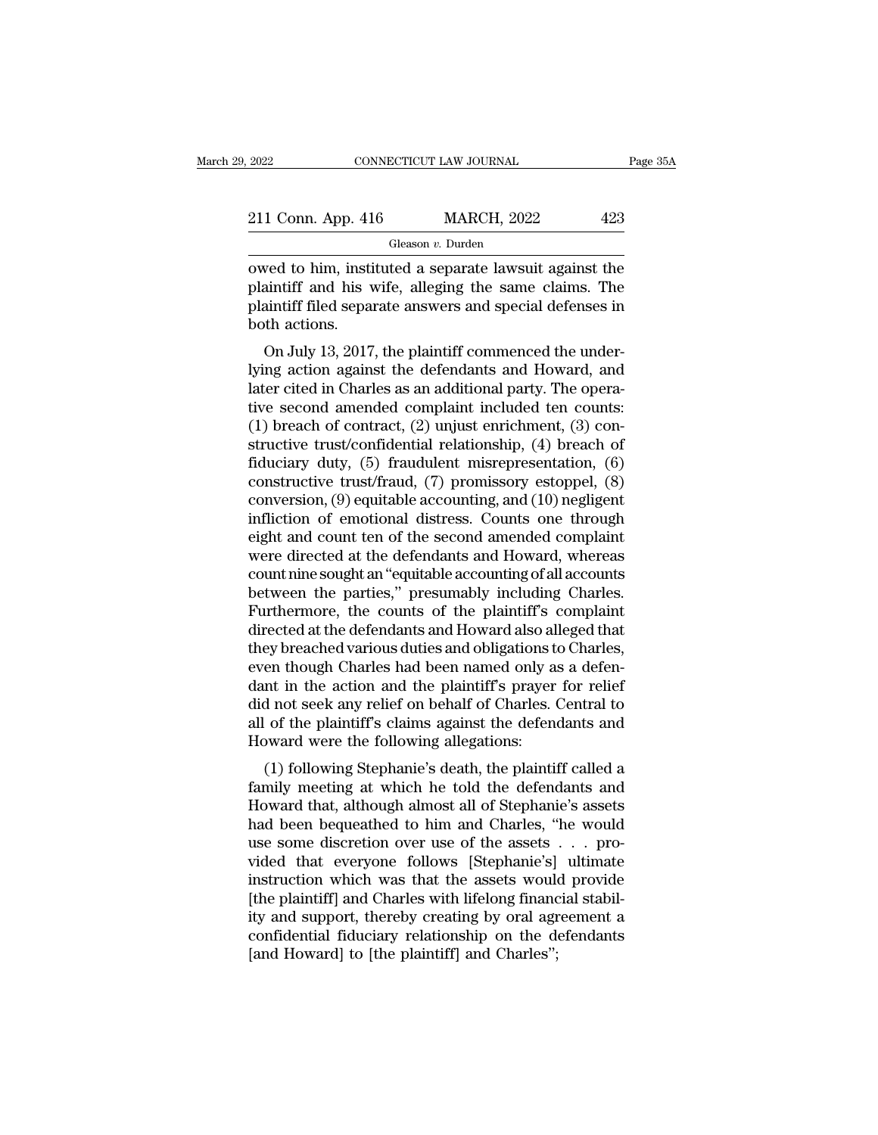| 2022               | CONNECTICUT LAW JOURNAL | Page 35A |
|--------------------|-------------------------|----------|
| 211 Conn. App. 416 | <b>MARCH, 2022</b>      | 423      |
|                    | Gleason v. Durden       |          |

CONNECTICUT LAW JOURNAL Page 35A<br>
211 Conn. App. 416 MARCH, 2022 423<br>
Gleason v. Durden<br>
Owed to him, instituted a separate lawsuit against the<br>
plaintiff and his wife, alleging the same claims. The<br>
plaintiff filed separa 211 Conn. App. 416 MARCH, 2022 423<br>
Gleason v. Durden<br>
owed to him, instituted a separate lawsuit against the plaintiff and his wife, alleging the same claims. The plaintiff filed separate answers and special defenses in 211 Conn. App. 416 MARCH, 2022 423<br>
Gleason v. Durden<br>
owed to him, instituted a separate lawsuit against the<br>
plaintiff and his wife, alleging the same claims. The<br>
plaintiff filed separate answers and special defenses i 211 Conn. App. 41<br>
owed to him, insti<br>
plaintiff and his<br>
plaintiff filed sepa<br>
both actions.<br>
On July 13, 2017 Gleason  $v$ . Durden<br>
ved to him, instituted a separate lawsuit against the<br>
aintiff and his wife, alleging the same claims. The<br>
aintiff filed separate answers and special defenses in<br>
th actions.<br>
On July 13, 2017, the p owed to him, instituted a separate lawsuit against the plaintiff and his wife, alleging the same claims. The plaintiff filed separate answers and special defenses in both actions.<br>On July 13, 2017, the plaintiff commenced

between to full, instituted a separate fawsult against the plaintiff and his wife, alleging the same claims. The plaintiff filed separate answers and special defenses in both actions.<br>On July 13, 2017, the plaintiff commen plaintiff filed separate answers and special defenses in<br>both actions.<br>On July 13, 2017, the plaintiff commenced the under-<br>lying action against the defendants and Howard, and<br>later cited in Charles as an additional party plantiful med separate answers and special defenses in<br>both actions.<br>On July 13, 2017, the plaintiff commenced the under-<br>lying action against the defendants and Howard, and<br>later cited in Charles as an additional party. T ooth actions.<br>
On July 13, 2017, the plaintiff commenced the under-<br>
lying action against the defendants and Howard, and<br>
later cited in Charles as an additional party. The opera-<br>
tive second amended complaint included t On July 13, 2017, the plaintiff commenced the under-<br>lying action against the defendants and Howard, and<br>later cited in Charles as an additional party. The opera-<br>tive second amended complaint included ten counts:<br>(1) bre lying action against the defendants and Howard, and<br>later cited in Charles as an additional party. The opera-<br>tive second amended complaint included ten counts:<br>(1) breach of contract, (2) unjust enrichment, (3) con-<br>struc later cited in Charles as an additional party. The operative second amended complaint included ten counts:<br>(1) breach of contract, (2) unjust enrichment, (3) constructive trust/confidential relationship, (4) breach of<br>fidu tive second amended complaint included ten counts:<br>(1) breach of contract, (2) unjust enrichment, (3) constructive trust/confidential relationship, (4) breach of<br>fiduciary duty, (5) fraudulent misrepresentation, (6)<br>constr (1) breach of contract, (2) unjust enrichment, (3) constructive trust/confidential relationship, (4) breach of fiduciary duty, (5) fraudulent misrepresentation, (6) constructive trust/fraud, (7) promissory estoppel, (8) c structive trust/confidential relationship, (4) breach of<br>fiduciary duty, (5) fraudulent misrepresentation, (6)<br>constructive trust/fraud, (7) promissory estoppel, (8)<br>conversion, (9) equitable accounting, and (10) negligent fiduciary duty, (5) fraudulent misrepresentation, (6)<br>constructive trust/fraud, (7) promissory estoppel, (8)<br>conversion, (9) equitable accounting, and (10) negligent<br>infliction of emotional distress. Counts one through<br>eig constructive trust/fraud, (7) promissory estoppel, (8)<br>conversion, (9) equitable accounting, and (10) negligent<br>infliction of emotional distress. Counts one through<br>eight and count ten of the second amended complaint<br>were conversion, (9) equitable accounting, and (10) negligent<br>infliction of emotional distress. Counts one through<br>eight and count ten of the second amended complaint<br>were directed at the defendants and Howard, whereas<br>count ni infliction of emotional distress. Counts one through<br>eight and count ten of the second amended complaint<br>were directed at the defendants and Howard, whereas<br>count nine sought an "equitable accounting of all accounts<br>betwee eight and count ten of the second amended complaint<br>were directed at the defendants and Howard, whereas<br>count nine sought an "equitable accounting of all accounts<br>between the parties," presumably including Charles.<br>Further were directed at the defendants and Howard, whereas<br>count nine sought an "equitable accounting of all accounts<br>between the parties," presumably including Charles.<br>Furthermore, the counts of the plaintiff's complaint<br>direct count nine sought an "equitable accounting of all accounts<br>between the parties," presumably including Charles.<br>Furthermore, the counts of the plaintiff's complaint<br>directed at the defendants and Howard also alleged that<br>th between the parties," presumably including Charles.<br>Furthermore, the counts of the plaintiff's complaint<br>directed at the defendants and Howard also alleged that<br>they breached various duties and obligations to Charles,<br>even Furthermore, the counts of the plaintiff's complaint<br>directed at the defendants and Howard also alleged that<br>they breached various duties and obligations to Charles,<br>even though Charles had been named only as a defen-<br>dant directed at the defendants and Howard also all<br>they breached various duties and obligations t<br>even though Charles had been named only a<br>dant in the action and the plaintiff's prayer<br>did not seek any relief on behalf of Cha Exploration various duties and obtigations to Charles,<br>en though Charles had been named only as a defen-<br>nt in the action and the plaintiff's prayer for relief<br>d not seek any relief on behalf of Charles. Central to<br>of the Even though Charles had been halled only as a defendant in the action and the plaintiff's prayer for relief did not seek any relief on behalf of Charles. Central to all of the plaintiff's claims against the defendants and

did not seek any relief on behalf of Charles. Central to<br>all of the plaintiff's claims against the defendants and<br>Howard were the following allegations:<br>(1) following Stephanie's death, the plaintiff called a<br>family meetin all of the plaintiff's claims against the defendants and<br>Howard were the following allegations:<br>(1) following Stephanie's death, the plaintiff called a<br>family meeting at which he told the defendants and<br>Howard that, althou all of the plantin's claims against the defendants and<br>Howard were the following allegations:<br>(1) following Stephanie's death, the plaintiff called a<br>family meeting at which he told the defendants and<br>Howard that, although Thoward were the following anegations.<br>
(1) following Stephanie's death, the plaintiff called a<br>
family meeting at which he told the defendants and<br>
Howard that, although almost all of Stephanie's assets<br>
had been bequeat (1) following Stephanie's death, the plaintiff called a family meeting at which he told the defendants and Howard that, although almost all of Stephanie's assets had been bequeathed to him and Charles, "he would use some family meeting at which he told the defendants and<br>Howard that, although almost all of Stephanie's assets<br>had been bequeathed to him and Charles, "he would<br>use some discretion over use of the assets . . . pro-<br>vided that e Howard that, although almost all of Stephanie's assets<br>had been bequeathed to him and Charles, "he would<br>use some discretion over use of the assets . . . pro-<br>vided that everyone follows [Stephanie's] ultimate<br>instruction had been bequeathed to him and Charles, "he would<br>use some discretion over use of the assets . . . pro-<br>vided that everyone follows [Stephanie's] ultimate<br>instruction which was that the assets would provide<br>[the plaintiff use some discretion over use of the assets<br>vided that everyone follows [Stephanie's]<br>instruction which was that the assets would<br>[the plaintiff] and Charles with lifelong financ<br>ity and support, thereby creating by oral ag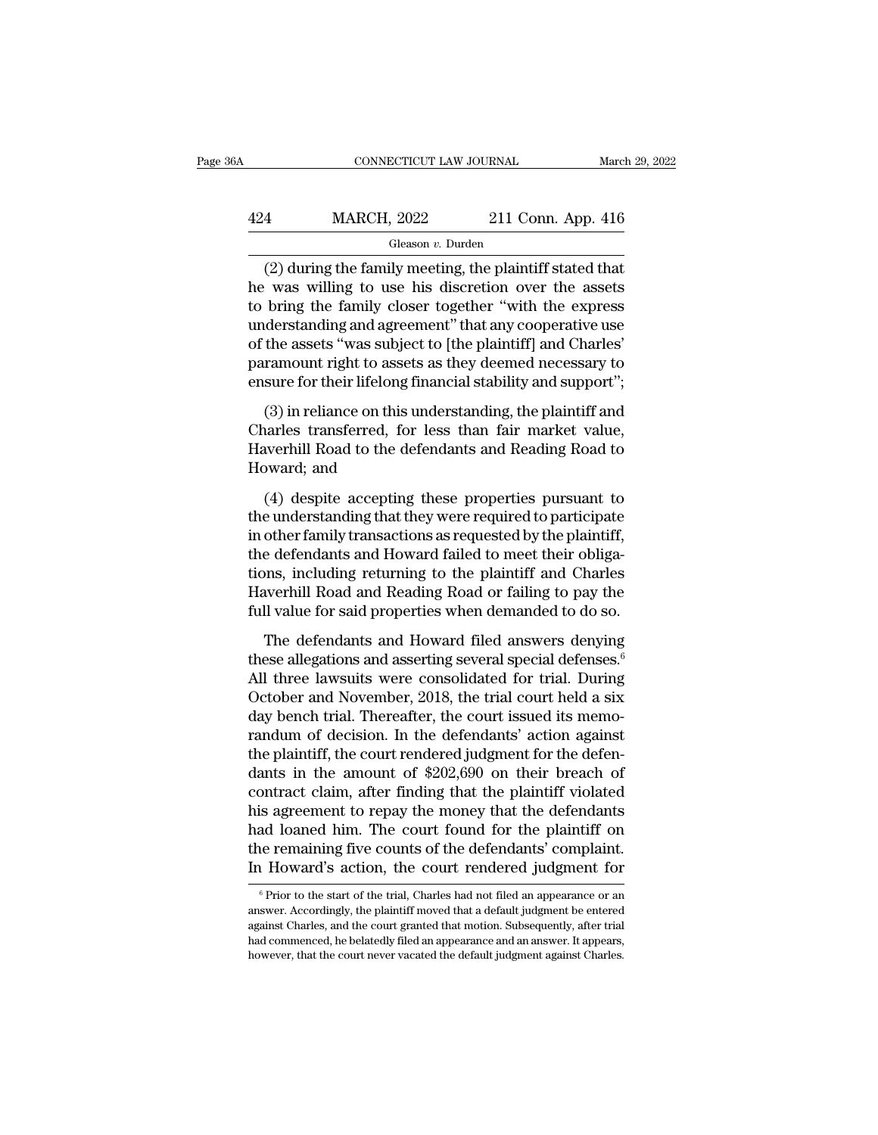## CONNECTICUT LAW JOURNAL March 29, 2022<br>424 MARCH, 2022 211 Conn. App. 416<br>Gleason v. Durden Gleason *v.* Durden

(2) during the family alones together "with the express of the family decay to discretion over the assets the family alones together "with the express of the family decay together "with the express of the family decay tog  $\frac{424}{\text{MeCH, 2022}}$  211 Conn. App. 416<br>
Gleason v. Durden<br>
(2) during the family meeting, the plaintiff stated that<br>
he was willing to use his discretion over the assets<br>
to bring the family closer together "with the ex  $\frac{424}{\text{Gleason } v. \text{ burden}}$ <br>Cleason v. Durden<br>(2) during the family meeting, the plaintiff stated that<br>he was willing to use his discretion over the assets<br>to bring the family closer together "with the express<br>understanding a  $\frac{\text{424}}{\text{20} \text{ during the family meeting, the plaintiff stated that}}$ (2) during the family meeting, the plaintiff stated that<br>
he was willing to use his discretion over the assets<br>
to bring the family closer together "with the express<br>
understanding and agree Gleason v. Durden<br>
(2) during the family meeting, the plaintiff stated that<br>
he was willing to use his discretion over the assets<br>
to bring the family closer together "with the express<br>
understanding and agreement" that a Greason  $v$ . Duriant of the plaintiff stated that<br>he was willing to use his discretion over the assets<br>to bring the family closer together "with the express<br>understanding and agreement" that any cooperative use<br>of the ass (2) during the family meeting, the plaintiff stated that<br>he was willing to use his discretion over the assets<br>to bring the family closer together "with the express<br>understanding and agreement" that any cooperative use<br>of (3) in reliance on this understanding, the plaintiff and charles'<br>
statement of the plaintiff and Charles'<br>
state assets "was subject to [the plaintiff] and Charles'<br>
ramount right to assets as they deemed necessary to<br>
su Colorating and agreement" that any cooperative use<br>understanding and agreement" that any cooperative use<br>of the assets "was subject to [the plaintiff] and Charles'<br>paramount right to assets as they deemed necessary to<br>ensu

Interference and digreement and any esseptiment and of the assets "was subject to [the plaintiff] and Charles'<br>paramount right to assets as they deemed necessary to<br>ensure for their lifelong financial stability and support France assessment right to asset<br>paramount right to asset<br>ensure for their lifelong f<br>(3) in reliance on this u<br>Charles transferred, for<br>Haverhill Road to the de<br>Howard; and<br>(4) despite accepting sure for their lifelong financial stability and support";<br>(3) in reliance on this understanding, the plaintiff and<br>arles transferred, for less than fair market value,<br>werhill Road to the defendants and Reading Road to<br>owar (3) in reliance on this understanding, the plaintiff and<br>Charles transferred, for less than fair market value,<br>Haverhill Road to the defendants and Reading Road to<br>Howard; and<br>(4) despite accepting these properties pursua

Charles transferred, for less than fair market value,<br>Haverhill Road to the defendants and Reading Road to<br>Howard; and<br>(4) despite accepting these properties pursuant to<br>the understanding that they were required to partici The defendants and Reading Road to<br>Haverhill Road to the defendants and Reading Road to<br>Howard; and<br>(4) despite accepting these properties pursuant to<br>the understanding that they were required to participate<br>in other famil The start of the statements with retaining return to<br>Howard; and<br>(4) despite accepting these properties pursuant to<br>the understanding that they were required to participate<br>in other family transactions as requested by the Havara, and<br>
(4) despite accepting these properties pursuant to<br>
the understanding that they were required to participate<br>
in other family transactions as requested by the plaintiff,<br>
the defendants and Howard failed to me (4) despite accepting these properties pursuant to<br>the understanding that they were required to participate<br>in other family transactions as requested by the plaintiff,<br>the defendants and Howard failed to meet their obliga-The defendants and Howard field to meet their obligations, including returning to the plaintiff and Charles<br>werhill Road and Reading Road or failing to pay the<br>ll value for said properties when demanded to do so.<br>The defen the defendants and Howard failed to meet their obligations, including returning to the plaintiff and Charles<br>Haverhill Road and Reading Road or failing to pay the<br>full value for said properties when demanded to do so.<br>The

The determinant and the matrix of the plaintiff and Charles<br>Haverhill Road and Reading Road or failing to pay the<br>full value for said properties when demanded to do so.<br>The defendants and Howard filed answers denying<br>these Haverhill Road and Reading Road or failing to pay the<br>full value for said properties when demanded to do so.<br>The defendants and Howard filed answers denying<br>these allegations and asserting several special defenses.<sup>6</sup><br>All Full value for said properties when demanded to do so.<br>The defendants and Howard filed answers denying<br>these allegations and asserting several special defenses.<sup>6</sup><br>All three lawsuits were consolidated for trial. During<br>Oct The defendants and Howard filed answers denying<br>these allegations and asserting several special defenses.<sup>6</sup><br>All three lawsuits were consolidated for trial. During<br>October and November, 2018, the trial court held a six<br>da The defendants and Howard filed answers denying<br>these allegations and asserting several special defenses.<sup>6</sup><br>All three lawsuits were consolidated for trial. During<br>October and November, 2018, the trial court held a six<br>day these allegations and asserting several special defenses.<sup>6</sup><br>All three lawsuits were consolidated for trial. During<br>October and November, 2018, the trial court held a six<br>day bench trial. Thereafter, the court issued its m All three lawsuits were consolidated for trial. During<br>October and November, 2018, the trial court held a six<br>day bench trial. Thereafter, the court issued its memo-<br>randum of decision. In the defendants' action against<br>th October and November, 2018, the trial court held a six<br>day bench trial. Thereafter, the court issued its memo-<br>randum of decision. In the defendants' action against<br>the plaintiff, the court rendered judgment for the defenday bench trial. Thereafter, the court issued its memo-<br>randum of decision. In the defendants' action against<br>the plaintiff, the court rendered judgment for the defen-<br>dants in the amount of \$202,690 on their breach of<br>con randum of decision. In the defendants' action against<br>the plaintiff, the court rendered judgment for the defen-<br>dants in the amount of \$202,690 on their breach of<br>contract claim, after finding that the plaintiff violated<br>h the plaintiff, the court rendered judgment for the defendants in the amount of \$202,690 on their breach of contract claim, after finding that the plaintiff violated his agreement to repay the money that the defendants had is agreement to repay the money that the derendants<br>ad loaned him. The court found for the plaintiff on<br>ne remaining five counts of the defendants' complaint.<br>Howard's action, the court rendered judgment for<br> $\frac{6}{5}$ Prior had loaned him. The court found for the plaintiff on<br>the remaining five counts of the defendants' complaint.<br>In Howard's action, the court rendered judgment for<br><sup>6</sup> Prior to the start of the trial, Charles had not filed an

the remaining five counts of the defendants' complaint.<br>In Howard's action, the court rendered judgment for<br><sup>6</sup> Prior to the start of the trial, Charles had not filed an appearance or an<br>answer. Accordingly, the plaintiff In Howard's action, the court rendered judgment for<br>
<sup>6</sup> Prior to the start of the trial, Charles had not filed an appearance or an<br>
answer. Accordingly, the plaintiff moved that a default judgment be entered<br>
against Char  $\degree$  Prior to the start of the trial, Charles had not filed an appearance or an answer. Accordingly, the plaintiff moved that a default judgment be entered against Charles, and the court granted that motion. Subsequently,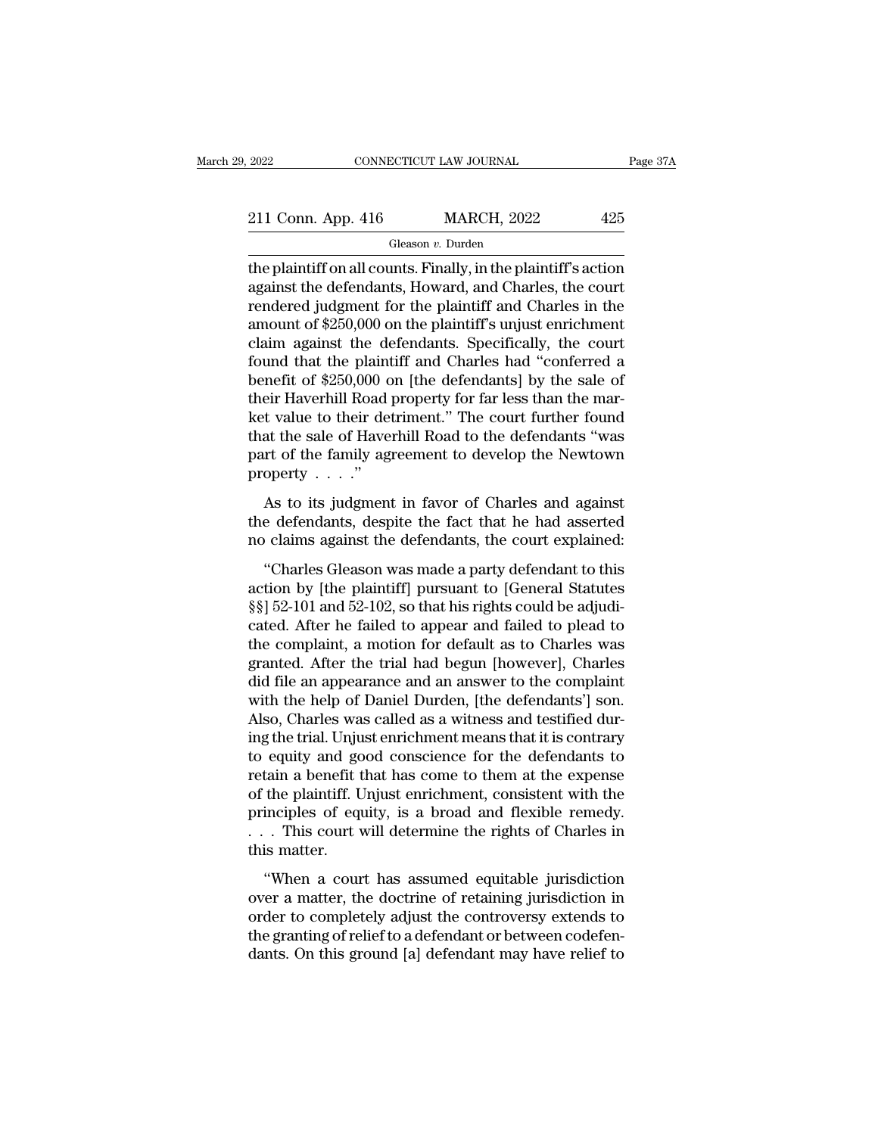| 2022               | CONNECTICUT LAW JOURNAL | Page 37A |
|--------------------|-------------------------|----------|
| 211 Conn. App. 416 | <b>MARCH, 2022</b>      | 425      |
|                    | Gleason v. Durden       |          |

The plaintiff on all counts. Finally, in the plaintiff's action<br>against the defendants, Howard, and Charles, the court<br>rendered indiment for the plaintiff and Charles in the 211 Conn. App. 416 MARCH, 2022 425<br>
Gleason *v.* Durden<br>
the plaintiff on all counts. Finally, in the plaintiff's action<br>
against the defendants, Howard, and Charles, the court<br>
rendered judgment for the plaintiff and Cha 211 Conn. App. 416 MARCH, 2022 425<br>
Gleason v. Durden<br>
the plaintiff on all counts. Finally, in the plaintiff's action<br>
against the defendants, Howard, and Charles, the court<br>
rendered judgment for the plaintiff's unjust 211 Conn. App. 416 MARCH, 2022 425<br>
Gleason *v*. Durden<br>
the plaintiff on all counts. Finally, in the plaintiff's action<br>
against the defendants, Howard, and Charles, the court<br>
rendered judgment for the plaintiff and Cha Gleason *v*. Durden<br>the plaintiff on all counts. Finally, in the plaintiff's action<br>against the defendants, Howard, and Charles, the court<br>rendered judgment for the plaintiff and Charles in the<br>amount of \$250,000 on the pl Gleason v. Durden<br>the plaintiff on all counts. Finally, in the plaintiff's action<br>against the defendants, Howard, and Charles, the court<br>rendered judgment for the plaintiff and Charles in the<br>amount of \$250,000 on the pla the plaintiff on all counts. Finally, in the plaintiff's action<br>against the defendants, Howard, and Charles, the court<br>rendered judgment for the plaintiff and Charles in the<br>amount of \$250,000 on the plaintiff's unjust enr against the defendants, Howard, and Charles, the court<br>rendered judgment for the plaintiff and Charles in the<br>amount of \$250,000 on the plaintiff's unjust enrichment<br>claim against the defendants. Specifically, the court<br>fo rendered judgment for the plaintiff and Charles in the<br>amount of \$250,000 on the plaintiff's unjust enrichment<br>claim against the defendants. Specifically, the court<br>found that the plaintiff and Charles had "conferred a<br>ben amount of \$250,000 on the plaintiff's unjust enrichment<br>claim against the defendants. Specifically, the court<br>found that the plaintiff and Charles had "conferred a<br>benefit of \$250,000 on [the defendants] by the sale of<br>the claim against the defendants. Specifically, the court<br>found that the plaintiff and Charles had "conferred a<br>benefit of \$250,000 on [the defendants] by the sale of<br>their Haverhill Road property for far less than the mar-<br>k ket value to their detriment." The court further found<br>that the sale of Haverhill Road to the defendants "was<br>part of the family agreement to develop the Newtown<br>property . . . ."<br>As to its judgment in favor of Charles an Figure 1 Haverhill Road property for far less than the mar-<br>t value to their detriment." The court further found<br>at the sale of Haverhill Road to the defendants "was<br>rt of the family agreement to develop the Newtown<br>opert the value to their detriment." The court further found<br>that the sale of Haverhill Road to the defendants "was<br>part of the family agreement to develop the Newtown<br>property  $\dots$ ."<br>As to its judgment in favor of Charles and The court rande to their definite. The court rander found<br>that the sale of Haverhill Road to the defendants "was<br>part of the family agreement to develop the Newtown<br>property  $\cdots$ ."<br>As to its judgment in favor of Charles

The family agreement to develop the Newtown<br>
operty  $\ldots$ ."<br>
As to its judgment in favor of Charles and against<br>
e defendants, despite the fact that he had asserted<br>
claims against the defendants, the court explained:<br>
"C

property . . . . ."<br>As to its judgment in favor of Charles and against<br>the defendants, despite the fact that he had asserted<br>no claims against the defendants, the court explained:<br>"Charles Gleason was made a party defenda As to its judgment in favor of Charles and against<br>the defendants, despite the fact that he had asserted<br>no claims against the defendants, the court explained:<br>"Charles Gleason was made a party defendant to this<br>action by The to also judgment in failed to chances and against<br>the defendants, despite the fact that he had asserted<br>no claims against the defendants, the court explained:<br>"Charles Gleason was made a party defendant to this<br>action the defendants, despite the fact that he had asserted<br>no claims against the defendants, the court explained:<br>"Charles Gleason was made a party defendant to this<br>action by [the plaintiff] pursuant to [General Statutes<br>§§] 5 "Charles Gleason was made a party defendant to this<br>action by [the plaintiff] pursuant to [General Statutes<br>§§] 52-101 and 52-102, so that his rights could be adjudi-<br>cated. After he failed to appear and failed to plead to "Charles Gleason was made a party defendant to this<br>action by [the plaintiff] pursuant to [General Statutes<br>§§] 52-101 and 52-102, so that his rights could be adjudi-<br>cated. After he failed to appear and failed to plead to action by [the plaintiff] pursuant to [General Statutes §§] 52-101 and 52-102, so that his rights could be adjudicated. After he failed to appear and failed to plead to the complaint, a motion for default as to Charles was §§] 52-101 and 52-102, so that his rights could be adjudicated. After he failed to appear and failed to plead to the complaint, a motion for default as to Charles was granted. After the trial had begun [however], Charles d cated. After he failed to appear and failed to plead to<br>the complaint, a motion for default as to Charles was<br>granted. After the trial had begun [however], Charles<br>did file an appearance and an answer to the complaint<br>with the complaint, a motion for default as to Charles was<br>granted. After the trial had begun [however], Charles<br>did file an appearance and an answer to the complaint<br>with the help of Daniel Durden, [the defendants'] son.<br>Also, granted. After the trial had begun [however], Charles<br>did file an appearance and an answer to the complaint<br>with the help of Daniel Durden, [the defendants'] son.<br>Also, Charles was called as a witness and testified dur-<br>in did file an appearance and an answer to the complaint<br>with the help of Daniel Durden, [the defendants'] son.<br>Also, Charles was called as a witness and testified dur-<br>ing the trial. Unjust enrichment means that it is contra with the help of Daniel Durden, [the defendants'] son.<br>Also, Charles was called as a witness and testified dur-<br>ing the trial. Unjust enrichment means that it is contrary<br>to equity and good conscience for the defendants to Also, Charles was called as a witness and testified during the trial. Unjust enrichment means that it is contrary to equity and good conscience for the defendants to retain a benefit that has come to them at the expense of ing the trial. Unjust enrichment means that it is contrary<br>to equity and good conscience for the defendants to<br>retain a benefit that has come to them at the expense<br>of the plaintiff. Unjust enrichment, consistent with the Equity and good conservate for the detendants to<br>tain a benefit that has come to them at the expense<br>the plaintiff. Unjust enrichment, consistent with the<br>inciples of equity, is a broad and flexible remedy.<br>This court will Form a send of the plaintiff. Unjust enrichment, consistent with the principles of equity, is a broad and flexible remedy.<br>  $\dots$  This court will determine the rights of Charles in this matter.<br>
"When a court has assumed e

principles of equity, is a broad and flexible remedy.<br>  $\dots$  This court will determine the rights of Charles in<br>
this matter.<br>
"When a court has assumed equitable jurisdiction<br>
over a matter, the doctrine of retaining juri Francheston equally, is a strong and member entredy.<br>  $\ldots$  This court will determine the rights of Charles in<br>
this matter.<br>
"When a court has assumed equitable jurisdiction<br>
over a matter, the doctrine of retaining juri denotes the second will determine the rights of entarted in<br>this matter.<br>
"When a court has assumed equitable jurisdiction<br>
over a matter, the doctrine of retaining jurisdiction<br>
in order to completely adjust the controve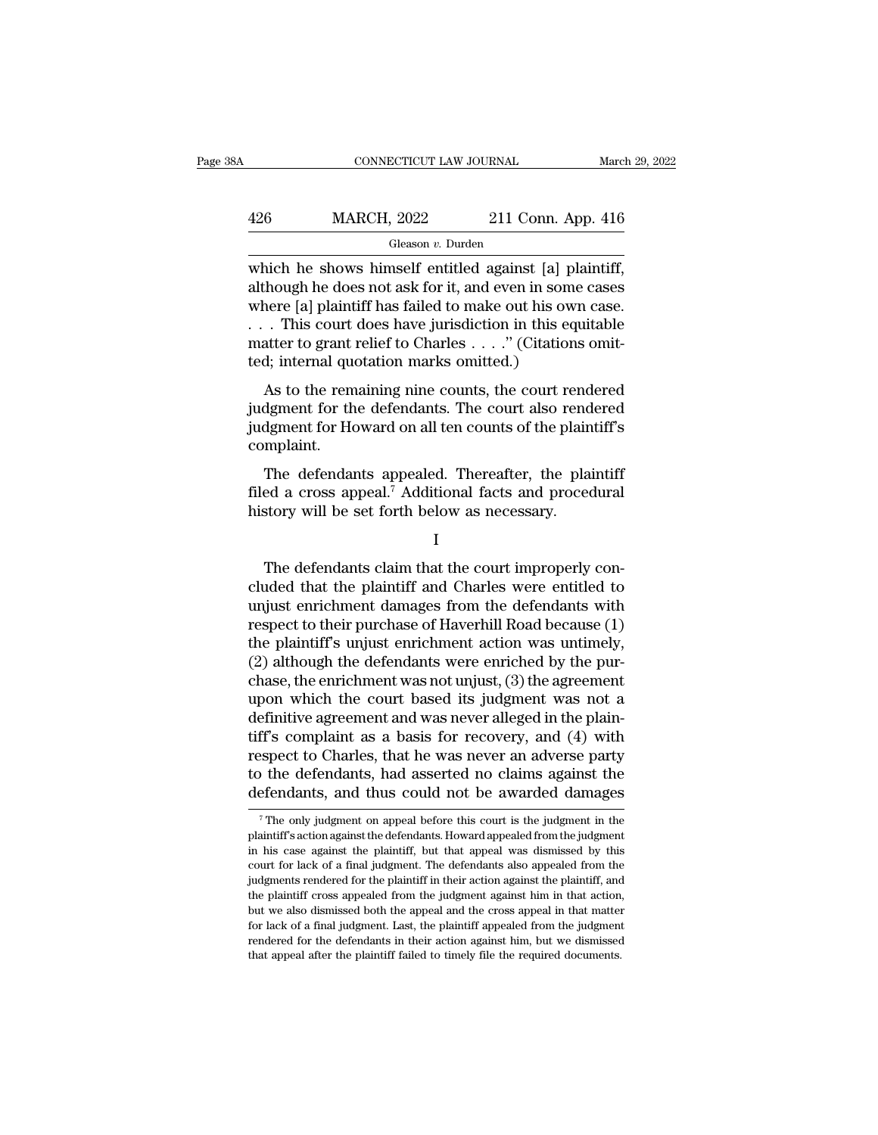### $\begin{tabular}{l l l l} \multicolumn{2}{c}{\text{CONNECTICUT LAW JOURNAL}} & \multicolumn{2}{c}{\text{March 29, 2022}}\\ \hline & \multicolumn{2}{c}{\text{MARCH, 2022}} & \multicolumn{2}{c}{\text{211 Conn. App. 416}}\\ \hline & \multicolumn{2}{c}{\text{Gleason $v$. Durden}} & \multicolumn{2}{c}{\text{NAPC}}\\ \hline \end{tabular}$ Gleason *v.* Durden

CONNECTICUT LAW JOURNAL March 29, 2<br>
MARCH, 2022 211 Conn. App. 416<br>
Gleason v. Durden<br>
which he shows himself entitled against [a] plaintiff,<br>
although he does not ask for it, and even in some cases<br>
where [a] plaintiff h  $\frac{\text{MARCH}}{\text{Gleason } v \cdot \text{Durden}}$ <br>
Gleason  $v$ . Durden<br>
which he shows himself entitled against [a] plaintiff,<br>
although he does not ask for it, and even in some cases<br>
where [a] plaintiff has failed to make out his own case.<br>  $\frac{\text{426}}{\text{Gleason } v. \text{ burden}}$ <br>
Gleason v. Durden<br>
which he shows himself entitled against [a] plaintiff,<br>
although he does not ask for it, and even in some cases<br>
where [a] plaintiff has failed to make out his own case.<br>
. . 426 MARCH, 2022 211 Conn. App. 416<br>
Gleason v. Durden<br>
which he shows himself entitled against [a] plaintiff,<br>
although he does not ask for it, and even in some cases<br>
where [a] plaintiff has failed to make out his own ca Gleason *v*. Durden<br>
Which he shows himself entitled against [a] plaintiff,<br>
although he does not ask for it, and even in some cases<br>
where [a] plaintiff has failed to make out his own case.<br>
. . . This court does have ju Gleason *v*. Durden<br>which he shows himself entitled against [a] p<br>although he does not ask for it, and even in som<br>where [a] plaintiff has failed to make out his over<br> $\dots$ . This court does have jurisdiction in this eq<br>mat As to the remaining nine counts, the court rendered<br>different position in this equitable<br>atter to grant relief to Charles  $\ldots$ ." (Citations omit-<br>d; internal quotation marks omitted.)<br>As to the remaining nine counts, the annough he does not ask for h, and even in some cases<br>where [a] plaintiff has failed to make out his own case.<br>. . . This court does have jurisdiction in this equitable<br>matter to grant relief to Charles . . . . " (Citatio

where  $[a]$  plaintiff has falled to fliate out its own case.<br>  $\dots$  This court does have jurisdiction in this equitable<br>
matter to grant relief to Charles  $\dots$ ." (Citations omit-<br>
ted; internal quotation marks omitted.)<br>
As complaint. d; internal quotation marks omitted.)<br>As to the remaining nine counts, the court rendered<br>dgment for the defendants. The court also rendered<br>dgment for Howard on all ten counts of the plaintiff's<br>mplaint.<br>The defendants ap As to the remaining nine counts, the court rendered<br>judgment for the defendants. The court also rendered<br>judgment for Howard on all ten counts of the plaintiff's<br>complaint.<br>The defendants appealed. Thereafter, the plaintif As to the remaining fine counts, the court rend<br>judgment for the defendants. The court also rend<br>judgment for Howard on all ten counts of the plain<br>complaint.<br>The defendants appealed. Thereafter, the plain<br>filed a cross ap

The defendants appealed. Thereafter, the plaintiff<br>ed a cross appeal.<sup>7</sup> Additional facts and procedural<br>story will be set forth below as necessary.<br>I<br>The defendants claim that the court improperly con-<br>uded that the plain

I

The defendants appealed. Thereafter, the plaintiff<br>filed a cross appeal.<sup>7</sup> Additional facts and procedural<br>history will be set forth below as necessary.<br>I<br>The defendants claim that the court improperly con-<br>cluded that th filed a cross appeal.<sup>7</sup> Additional facts and procedural<br>history will be set forth below as necessary.<br>I<br>The defendants claim that the court improperly con-<br>cluded that the plaintiff and Charles were entitled to<br>unjust enr history will be set forth below as necessary.<br>
I<br>
The defendants claim that the court improperly concluded that the plaintiff and Charles were entitled to<br>
unjust enrichment damages from the defendants with<br>
respect to the I<br>
The defendants claim that the court improperly con-<br>
cluded that the plaintiff and Charles were entitled to<br>
unjust enrichment damages from the defendants with<br>
respect to their purchase of Haverhill Road because (1)<br> The defendants claim that the court improperly concluded that the plaintiff and Charles were entitled to unjust enrichment damages from the defendants with respect to their purchase of Haverhill Road because (1) the plaint The defendants claim that the court improperly concluded that the plaintiff and Charles were entitled to unjust enrichment damages from the defendants with respect to their purchase of Haverhill Road because (1) the plaint cluded that the plaintiff and Charles were entitled to<br>unjust enrichment damages from the defendants with<br>respect to their purchase of Haverhill Road because (1)<br>the plaintiff's unjust enrichment action was untimely,<br>(2) a unjust enrichment damages from the defendants with<br>respect to their purchase of Haverhill Road because (1)<br>the plaintiff's unjust enrichment action was untimely,<br>(2) although the defendants were enriched by the pur-<br>chase, respect to their purchase of Haverhill Road because (1)<br>the plaintiff's unjust enrichment action was untimely,<br>(2) although the defendants were enriched by the pur-<br>chase, the enrichment was not unjust, (3) the agreement<br>u the plaintiff's unjust enrichment action was untimely,<br>(2) although the defendants were enriched by the pur-<br>chase, the enrichment was not unjust, (3) the agreement<br>upon which the court based its judgment was not a<br>definit (2) although the defendants were enriched by the purchase, the enrichment was not unjust, (3) the agreement upon which the court based its judgment was not a definitive agreement and was never alleged in the plaintiff's c chase, the enrichment was not unjust, (3) the agreement<br>upon which the court based its judgment was not a<br>definitive agreement and was never alleged in the plain-<br>tiff's complaint as a basis for recovery, and (4) with<br>res tiff's complaint as a basis for recovery, and (4) with<br>respect to Charles, that he was never an adverse party<br>to the defendants, had asserted no claims against the<br>defendants, and thus could not be awarded damages respect to Charles, that he was never an adverse party<br>to the defendants, had asserted no claims against the<br>defendants, and thus could not be awarded damages<br><sup>7</sup>The only judgment on appeal before this court is the judgmen

to the defendants, had asserted no claims against the defendants, and thus could not be awarded damages The only judgment on appeal before this court is the judgment in the plaintiff's action against the defendants. Howard defendants, and thus could not be awarded damages<br>
<sup>7</sup>The only judgment on appeal before this court is the judgment in the<br>
plaintiff's action against the defendants. Howard appealed from the judgment<br>
in his case against The only judgment on appeal before this court is the judgment in the plaintiff's action against the defendants. Howard appealed from the judgment in his case against the plaintiff, but that appeal was dismissed by this cou The only judgment on appeal before this court is the judgment in the plaintiff's action against the defendants. Howard appealed from the judgment in his case against the plaintiff, but that appeal was dismissed by this co plaintiff's action against the defendants. Howard appealed from the judgment in his case against the plaintiff, but that appeal was dismissed by this court for lack of a final judgment. The defendants also appealed from t in his case against the plaintiff, but that appeal was dismissed by this court for lack of a final judgment. The defendants also appealed from the judgments rendered for the plaintiff in their action against the plaintiff, rendered for the plaintiff in their action against the plaintiff, and court for lack of a final judgment. The defendants also appealed from the plaintiff, and the plaintiff cross appealed from the judgment against him in t judgments rendered for the plaintiff in their action against the plaintiff, and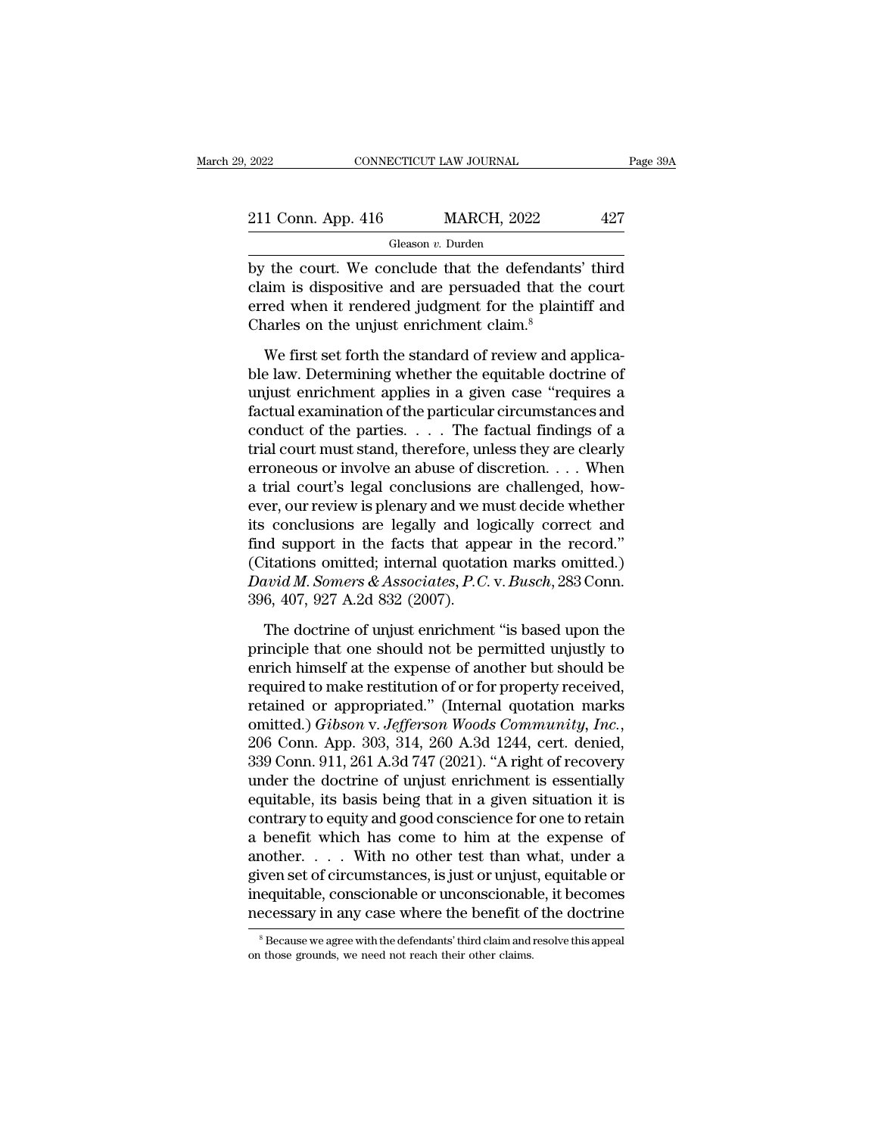| 2022               | CONNECTICUT LAW JOURNAL | Page 39A |
|--------------------|-------------------------|----------|
| 211 Conn. App. 416 | <b>MARCH, 2022</b>      | 427      |
|                    | Gleason v. Durden       |          |

 $\begin{array}{r|l}\n \text{2022} & \text{COMRECTICUT LAW JOURNAL} & \text{Page 39A} \\
 \hline\n \text{211 Conn. App. 416} & \text{MARCH, 2022} & 427 \\
 \hline\n \text{Gleason } v. \text{ Dutch} \\
 \text{by the court. We conclude that the defendants' third claim is dissipative and are persuated that the court\n\n
$$
\text{or} \text{pred when it rendered judgment for the plaintiff end} \\
 \end{array}
$$$ 211 Conn. App. 416 MARCH, 2022 427<br>
Gleason *v.* Durden<br>
by the court. We conclude that the defendants' third<br>
claim is dispositive and are persuaded that the court<br>
erred when it rendered judgment for the plaintiff and<br> 211 Conn. App. 416 MARCH, 2022 427<br>
Gleason v. Durden<br>
by the court. We conclude that the defendants' third<br>
claim is dispositive and are persuaded that the court<br>
erred when it rendered judgment for the plaintiff and<br>
Ch 211 Conn. App. 416 MARCH, 2022<br>
Gleason v. Durden<br>
by the court. We conclude that the defendant:<br>
claim is dispositive and are persuaded that the<br>
erred when it rendered judgment for the plaint<br>
Charles on the unjust enri Gleason *v*. Durden<br>
The court. We conclude that the defendants' third<br>
im is dispositive and are persuaded that the court<br>
red when it rendered judgment for the plaintiff and<br>
varies on the unjust enrichment claim.<sup>8</sup><br>
W by the court. We conclude that the defendants' third<br>claim is dispositive and are persuaded that the court<br>erred when it rendered judgment for the plaintiff and<br>Charles on the unjust enrichment claim.<sup>8</sup><br>We first set forth

Equivalent in the sense of the contribution of the plaintiff and Charles on the unjust enrichment claim.<sup>8</sup><br>We first set forth the standard of review and applicable law. Determining whether the equitable doctrine of unjus Factual examples in the personal example of the plaintiff and Charles on the unjust enrichment claim.<sup>8</sup><br>We first set forth the standard of review and applicable law. Determining whether the equitable doctrine of unjust e Charles on the unjust enrichment claim.<sup>8</sup><br>We first set forth the standard of review and applica-<br>ble law. Determining whether the equitable doctrine of<br>unjust enrichment applies in a given case "requires a<br>factual examin We first set forth the standard of review and applica-<br>ble law. Determining whether the equitable doctrine of<br>unjust enrichment applies in a given case "requires a<br>factual examination of the particular circumstances and<br>c We first set forth the standard of review and applicable law. Determining whether the equitable doctrine of unjust enrichment applies in a given case "requires a factual examination of the particular circumstances and con ble law. Determining whether the equitable doctrine of unjust enrichment applies in a given case "requires a factual examination of the particular circumstances and conduct of the parties. . . . The factual findings of a t unjust enrichment applies in a given case "requires a factual examination of the particular circumstances and conduct of the parties.  $\dots$  The factual findings of a trial court must stand, therefore, unless they are clear factual examination of the particular circumstances and<br>conduct of the parties. . . . The factual findings of a<br>trial court must stand, therefore, unless they are clearly<br>erroneous or involve an abuse of discretion. . . . conduct of the parties. . . . . The factual findings of a<br>trial court must stand, therefore, unless they are clearly<br>erroneous or involve an abuse of discretion. . . . When<br>a trial court's legal conclusions are challenged trial court must stand, therefore, unless they are clearly<br>erroneous or involve an abuse of discretion. . . . When<br>a trial court's legal conclusions are challenged, how-<br>ever, our review is plenary and we must decide whet erroneous or involve an abuse of discretion. . . . When<br>a trial court's legal conclusions are challenged, how-<br>ever, our review is plenary and we must decide whether<br>its conclusions are legally and logically correct and<br>fi a trial court's legal conclusions are<br>ver, our review is plenary and we n<br>its conclusions are legally and lo<br>find support in the facts that app<br>(Citations omitted; internal quotati<br>David M. Somers & Associates, P.C.<br>396, 4 The doctrine of unjust and logically correct and<br>identity in the facts that appear in the record."<br>itations omitted; internal quotation marks omitted.)<br>ivid M. Somers & Associates, P.C. v. Busch, 283 Conn.<br>6, 407, 927 A.2 find support in the facts that appear in the record."<br>
(Citations omitted; internal quotation marks omitted.)<br> *David M. Somers & Associates, P.C. v. Busch*, 283 Conn.<br>
396, 407, 927 A.2d 832 (2007).<br>
The doctrine of unju

(Citations omitted; internal quotation marks omitted.)<br>
David M. Somers & Associates, P.C. v. Busch, 283 Conn.<br>
396, 407, 927 A.2d 832 (2007).<br>
The doctrine of unjust enrichment "is based upon the<br>
principle that one shou David M. Somers & Associates, P.C. v. Busch, 283 Conn.<br>396, 407, 927 A.2d 832 (2007).<br>The doctrine of unjust enrichment "is based upon the<br>principle that one should not be permitted unjustly to<br>enrich himself at the expen 396, 407, 927 A.2d 832 (2007).<br>The doctrine of unjust enrichment "is based upon the<br>principle that one should not be permitted unjustly to<br>enrich himself at the expense of another but should be<br>required to make restitutio The doctrine of unjust enrichment "is based upon the<br>principle that one should not be permitted unjustly to<br>enrich himself at the expense of another but should be<br>required to make restitution of or for property received,<br>r principle that one should not be permitted unjustly to<br>enrich himself at the expense of another but should be<br>required to make restitution of or for property received,<br>retained or appropriated." (Internal quotation marks<br>o enrich himself at the expense of another but should be<br>required to make restitution of or for property received,<br>retained or appropriated." (Internal quotation marks<br>omitted.) *Gibson v. Jefferson Woods Community, Inc.*,<br>2 required to make restitution of or for property received,<br>retained or appropriated." (Internal quotation marks<br>omitted.) *Gibson v. Jefferson Woods Community, Inc.*,<br>206 Conn. App. 303, 314, 260 A.3d 1244, cert. denied,<br>33 retained or appropriated." (Internal quotation marks<br>omitted.) *Gibson v. Jefferson Woods Community, Inc.*,<br>206 Conn. App. 303, 314, 260 A.3d 1244, cert. denied,<br>339 Conn. 911, 261 A.3d 747 (2021). "A right of recovery<br>und omitted.) *Gibson v. Jefferson Woods Community, Inc.*, 206 Conn. App. 303, 314, 260 A.3d 1244, cert. denied, 339 Conn. 911, 261 A.3d 747 (2021). "A right of recovery under the doctrine of unjust enrichment is essentially e 206 Conn. App. 303, 314, 260 A.3d 1244, cert. denied,<br>339 Conn. 911, 261 A.3d 747 (2021). "A right of recovery<br>under the doctrine of unjust enrichment is essentially<br>equitable, its basis being that in a given situation it 339 Conn. 911, 261 A.3d 747 (2021). "A right of recovery<br>under the doctrine of unjust enrichment is essentially<br>equitable, its basis being that in a given situation it is<br>contrary to equity and good conscience for one to r under the doctrine of unjust enrichment is essentially<br>equitable, its basis being that in a given situation it is<br>contrary to equity and good conscience for one to retain<br>a benefit which has come to him at the expense of<br>a equitable, its basis being that in a given situation it is<br>contrary to equity and good conscience for one to retain<br>a benefit which has come to him at the expense of<br>another.... With no other test than what, under a<br>given another. . . . . With no other test than what, under a given set of circumstances, is just or unjust, equitable or inequitable, conscionable or unconscionable, it becomes necessary in any case where the benefit of the doc necessary in any case where the benefit of the doctrine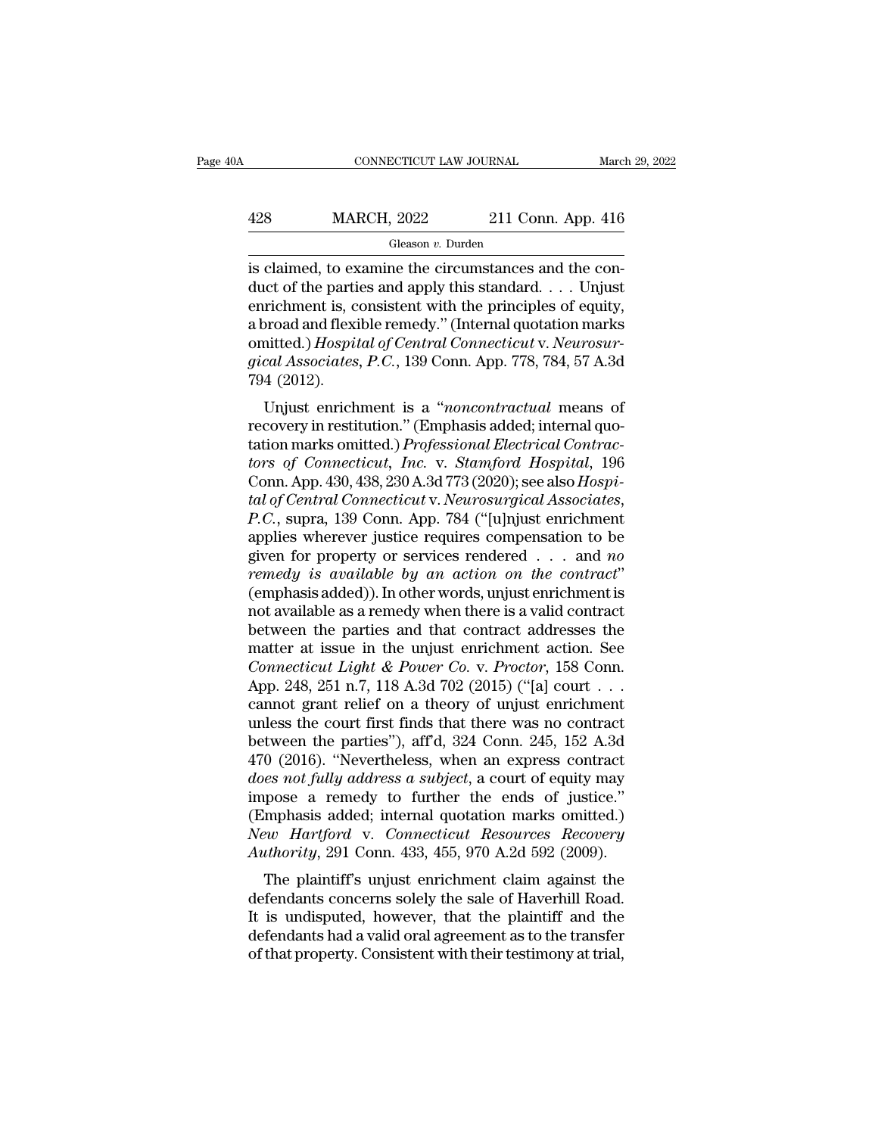### CONNECTICUT LAW JOURNAL March 29, 2022<br>428 MARCH, 2022 211 Conn. App. 416<br>Gleason v. Durden Gleason *v.* Durden

CONNECTICUT LAW JOURNAL March March March MARCH, 2022 211 Conn. App. 416<br>
Gleason v. Durden<br>
is claimed, to examine the circumstances and the con-<br>
duct of the parties and apply this standard.... Unjust  $\begin{array}{ll}\n & \text{MARCH, 2022} & \text{211 Conn. App. 416} \\
 \hline\n & \text{Gleason } v. \text{ Durden} \\
 \text{is claimed, to examine the circumstances and the conduct of the parties and apply this standard. . . . Unjust enrichment is, consistent with the principles of equity, a broad and flexible removal? (Internal quotation marks).\n$ 428 MARCH, 2022 211 Conn. App. 416<br>
Gleason v. Durden<br>
is claimed, to examine the circumstances and the conduct of the parties and apply this standard. . . . Unjust<br>
enrichment is, consistent with the principles of equity 428 MARCH, 2022 211 Conn. App. 416<br>
Gleason v. Durden<br>
is claimed, to examine the circumstances and the con-<br>
duct of the parties and apply this standard. . . . Unjust<br>
enrichment is, consistent with the principles of equ Gleason *v*. Durden<br>
is claimed, to examine the circumstances and the con-<br>
duct of the parties and apply this standard. . . . Unjust<br>
enrichment is, consistent with the principles of equity,<br>
a broad and flexible remedy." Gleason *v*. Durden<br>
is claimed, to examine the circumstances and the con-<br>
duct of the parties and apply this standard. . . . Unjust<br>
enrichment is, consistent with the principles of equity,<br>
a broad and flexible remedy." is claimed, to exercit duct of the partient<br>enrichment is, c<br>a broad and flexi<br>omitted.) *Hospit*<br>gical Associates<br>794 (2012).<br>Unjust enrich richment is, consistent with the principles of equity,<br>richment is, consistent with the principles of equity,<br>proad and flexible remedy." (Internal quotation marks<br>nitted.) *Hospital of Central Connecticut* v. Neurosur-<br>ca enficulted is, consistent with the principles of equity,<br>a broad and flexible remedy." (Internal quotation marks<br>omitted.) *Hospital of Central Connecticut v. Neurosur-<br>gical Associates, P.C.*, 139 Conn. App. 778, 784, 57

a broad and nexible reinedy. (Internal quotation marks<br>omitted.) *Hospital of Central Connecticut v. Neurosur-<br>gical Associates, P.C.*, 139 Conn. App. 778, 784, 57 A.3d<br>794 (2012).<br>Unjust enrichment is a "*noncontractual tors of Connecticut v. Neurosur-gical Associates, P.C., 139 Conn. App. 778, 784, 57 A.3d*<br>
794 (2012).<br>
Unjust enrichment is a "*noncontractual* means of<br>
recovery in restitution." (Emphasis added; internal quo-<br>
tation m Conn. App. 430, 438, 230 A.3d 773 (2020); see also *Hospital of Central Connecticution.*" (Emphasis added; internal quotation marks omitted.) *Professional Electrical Contractors of Connecticut, Inc. v. Stamford Hospital, 196*<br>Conn. App. 430, 438, 230 A.3d 773 (2020); see also recovery in restitution." (Emphasis added; internal quotation marks omitted.) *Professional Electrical Contractors of Connecticut, Inc.* v. *Stamford Hospital*, 196<br>Conn. App. 430, 438, 230 A.3d 773 (2020); see also *Hospi* tation marks omitted.) *Professional Electrical Contractors of Connecticut, Inc.* v. *Stamford Hospital, 196*<br>Conn. App. 430, 438, 230 A.3d 773 (2020); see also *Hospital of Central Connecticut v. Neurosurgical Associates, remedy is available and the contraction on the contraction.*<br> *remedy formal Connecticut v. Neurosurgical Associates,*<br> *P.C.*, supra, 139 Conn. App. 784 ("[u]njust enrichment applies wherever justice requires compensatio tal of Central Connecticut v. Neurosurgical Associates,<br>P.C., supra, 139 Conn. App. 784 ("[u]njust enrichment<br>applies wherever justice requires compensation to be<br>given for property or services rendered . . . and no<br>remedy *P.C.*, supra, 139 Conn. App. 784 ("[u]njust enrichment<br>applies wherever justice requires compensation to be<br>given for property or services rendered . . . and no<br>*remedy is available by an action on the contract*"<br>(emphas applies wherever justice requires compensation to be<br>given for property or services rendered . . . and *no*<br>*remedy is available by an action on the contract*"<br>(emphasis added)). In other words, unjust enrichment is<br>not a *Connection Services rendered* . . . and *no*<br>*cemedy is available by an action on the contract*"<br>(emphasis added)). In other words, unjust enrichment is<br>not available as a remedy when there is a valid contract<br>between the remedy is available by an action on the contract"<br>(emphasis added)). In other words, unjust enrichment is<br>not available as a remedy when there is a valid contract<br>between the parties and that contract addresses the<br>matter (emphasis added)). In other words, unjust enrichment is<br>not available as a remedy when there is a valid contract<br>between the parties and that contract addresses the<br>matter at issue in the unjust enrichment action. See<br>*Co* not available as a remedy when there is a valid contract<br>between the parties and that contract addresses the<br>matter at issue in the unjust enrichment action. See<br>*Connecticut Light & Power Co.* v. *Proctor*, 158 Conn.<br>App between the parties and that contract addresses the<br>matter at issue in the unjust enrichment action. See<br>Connecticut Light & Power Co. v. Proctor, 158 Conn.<br>App. 248, 251 n.7, 118 A.3d 702 (2015) ("[a] court . . .<br>cannot g matter at issue in the unjust enrichment action. See<br>Connecticut Light & Power Co. v. Proctor, 158 Conn.<br>App. 248, 251 n.7, 118 A.3d 702 (2015) ("[a] court . . .<br>cannot grant relief on a theory of unjust enrichment<br>unless *Connecticut Light & Power Co. v. Proctor*, 158 Conn.<br>
App. 248, 251 n.7, 118 A.3d 702 (2015) ("[a] court . . .<br>
cannot grant relief on a theory of unjust enrichment<br>
unless the court first finds that there was no contract App. 248, 251 n.7, 118 A.3d 702 (2015) ("[a] court  $\ldots$  cannot grant relief on a theory of unjust enrichment<br>unless the court first finds that there was no contract<br>between the parties"), aff'd, 324 Conn. 245, 152 A.3d<br>4 cannot grant relief on a theory of unjust enrichment<br>unless the court first finds that there was no contract<br>between the parties"), aff'd, 324 Conn. 245, 152 A.3d<br>470 (2016). "Nevertheless, when an express contract<br>does n unless the court first finds that there was no contract<br>between the parties"), aff'd, 324 Conn. 245, 152 A.3d<br>470 (2016). "Nevertheless, when an express contract<br>*does not fully address a subject*, a court of equity may<br>im between the parties"), aff<sup>d</sup>, 324 Conn. 245, 152 A.3d 470 (2016). "Nevertheless, when an express contract *does not fully address a subject*, a court of equity may impose a remedy to further the ends of justice." (Emphasi o (2010). Nevertheless, when all express contract<br> *es not fully address a subject*, a court of equity may<br>
pose a remedy to further the ends of justice."<br>
mphasis added; internal quotation marks omitted.)<br> *we Hartford v* does not juty dutress a subject, a court of equity hay<br>impose a remedy to further the ends of justice."<br>(Emphasis added; internal quotation marks omitted.)<br>New Hartford v. Connecticut Resources Recovery<br>Authority, 291 Conn

It is undisputed, internal quotation marks omitted.)<br>
New Hartford v. Connecticut Resources Recovery<br>
Authority, 291 Conn. 433, 455, 970 A.2d 592 (2009).<br>
The plaintiff's unjust enrichment claim against the<br>
defendants con (Eniphasis added, internal quotation marks onlited.)<br>New Hartford v. Connecticut Resources Recovery<br>Authority, 291 Conn. 433, 455, 970 A.2d 592 (2009).<br>The plaintiff's unjust enrichment claim against the<br>defendants concern New Trangora V. Connectical Resources Recovery<br>Authority, 291 Conn. 433, 455, 970 A.2d 592 (2009).<br>The plaintiff's unjust enrichment claim against the<br>defendants concerns solely the sale of Haverhill Road.<br>It is undispute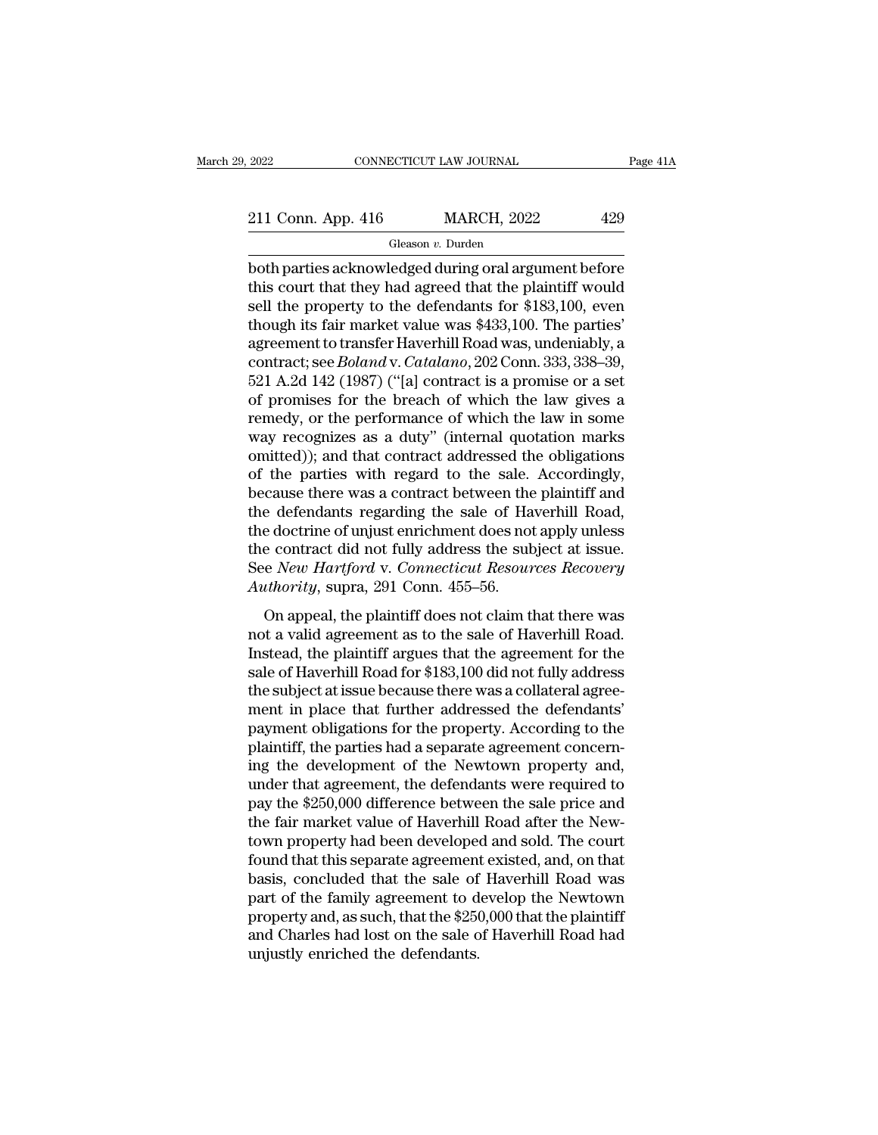2022 CONNECTICUT LAW JOURNAL Page 41A<br>211 Conn. App. 416 MARCH, 2022 429<br>Gleason v. Durden

Gleason *v.* Durden

2022 CONNECTICUT LAW JOURNAL Page 41A<br>
211 Conn. App. 416 MARCH, 2022 429<br>
Gleason v. Durden<br>
both parties acknowledged during oral argument before<br>
this court that they had agreed that the plaintiff would<br>
sell the proper 211 Conn. App. 416 MARCH, 2022 429<br>
Gleason v. Durden<br>
both parties acknowledged during oral argument before<br>
this court that they had agreed that the plaintiff would<br>
sell the property to the defendants for \$183,100, eve 211 Conn. App. 416 MARCH, 2022 429<br>
Gleason v. Durden<br>
both parties acknowledged during oral argument before<br>
this court that they had agreed that the plaintiff would<br>
sell the property to the defendants for \$183,100, eve 211 Conn. App. 416 MARCH, 2022 429<br>
Gleason v. Durden<br>
both parties acknowledged during oral argument before<br>
this court that they had agreed that the plaintiff would<br>
sell the property to the defendants for \$183,100, eve Gleason v. Durden<br>both parties acknowledged during oral argument before<br>this court that they had agreed that the plaintiff would<br>sell the property to the defendants for \$183,100, even<br>though its fair market value was \$433 Gleason *v*. Durden<br>both parties acknowledged during oral argument before<br>this court that they had agreed that the plaintiff would<br>sell the property to the defendants for \$183,100, even<br>though its fair market value was \$43 both parties acknowledged during oral argument before<br>this court that they had agreed that the plaintiff would<br>sell the property to the defendants for \$183,100, even<br>though its fair market value was \$433,100. The parties'<br> this court that they had agreed that the plaintiff would<br>sell the property to the defendants for \$183,100, even<br>though its fair market value was \$433,100. The parties'<br>agreement to transfer Haverhill Road was, undeniably, sell the property to the defendants for \$183,100, even<br>though its fair market value was \$433,100. The parties'<br>agreement to transfer Haverhill Road was, undeniably, a<br>contract; see *Boland* v. *Catalano*, 202 Conn. 333, 33 though its fair market value was \$433,100. The parties'<br>agreement to transfer Haverhill Road was, undeniably, a<br>contract; see *Boland* v. *Catalano*, 202 Conn. 333, 338–39,<br>521 A.2d 142 (1987) ("[a] contract is a promise agreement to transfer Haverhill Road was, undeniably, a<br>contract; see *Boland* v. *Catalano*, 202 Conn. 333, 338–39,<br>521 A.2d 142 (1987) ("[a] contract is a promise or a set<br>of promises for the breach of which the law give contract; see *Boland* v. *Catalano*, 202 Conn. 333, 338–39, 521 A.2d 142 (1987) ("[a] contract is a promise or a set of promises for the breach of which the law gives a remedy, or the performance of which the law in some 521 A.2d 142 (1987) ("[a] contract is a promise or a set<br>of promises for the breach of which the law gives a<br>remedy, or the performance of which the law in some<br>way recognizes as a duty" (internal quotation marks<br>omitted)) of promises for the breach of which the law gives a<br>remedy, or the performance of which the law in some<br>way recognizes as a duty" (internal quotation marks<br>omitted)); and that contract addressed the obligations<br>of the part remedy, or the performance of which the law in some<br>way recognizes as a duty" (internal quotation marks<br>omitted)); and that contract addressed the obligations<br>of the parties with regard to the sale. Accordingly,<br>because th way recognizes as a duty" (internal quotation marks<br>omitted)); and that contract addressed the obligations<br>of the parties with regard to the sale. Accordingly,<br>because there was a contract between the plaintiff and<br>the def omitted)); and that contract addressed the obligations<br>of the parties with regard to the sale. Accordingly,<br>because there was a contract between the plaintiff and<br>the defendants regarding the sale of Haverhill Road,<br>the do of the parties with regard to the sale.<br>because there was a contract between the<br>the defendants regarding the sale of Ha<br>the doctrine of unjust enrichment does not<br>the contract did not fully address the sub<br>See *New Hartfo* e defendants regarding the sale of Haverhill Road,<br>e doctrine of unjust enrichment does not apply unless<br>e contract did not fully address the subject at issue.<br>e *New Hartford* v. *Connecticut Resources Recovery*<br>*thority* the doctrine of unjust enrichment does not apply unless<br>the contract did not fully address the subject at issue.<br>See *New Hartford* v. *Connecticut Resources Recovery*<br>Authority, supra, 291 Conn. 455–56.<br>On appeal, the pla

Instead, the contract did not fully address the subject at issue.<br>See *New Hartford* v. *Connecticut Resources Recovery*<br>Authority, supra, 291 Conn. 455–56.<br>On appeal, the plaintiff does not claim that there was<br>not a vali See New Hartford v. Connecticut Resources Recovery<br>See New Hartford v. Connecticut Resources Recovery<br>Authority, supra, 291 Conn. 455–56.<br>On appeal, the plaintiff does not claim that there was<br>not a valid agreement as to t Authority, supra, 291 Conn. 455–56.<br>
On appeal, the plaintiff does not claim that there was<br>
not a valid agreement as to the sale of Haverhill Road.<br>
Instead, the plaintiff argues that the agreement for the<br>
sale of Haverh manority, sapid, 251 com. 155 co.<br>
On appeal, the plaintiff does not claim that there was<br>
not a valid agreement as to the sale of Haverhill Road.<br>
Instead, the plaintiff argues that the agreement for the<br>
sale of Haverhil On appeal, the plaintiff does not claim that there was<br>not a valid agreement as to the sale of Haverhill Road.<br>Instead, the plaintiff argues that the agreement for the<br>sale of Haverhill Road for \$183,100 did not fully addr not a valid agreement as to the sale of Haverhill Road.<br>Instead, the plaintiff argues that the agreement for the<br>sale of Haverhill Road for \$183,100 did not fully address<br>the subject at issue because there was a collateral Instead, the plaintiff argues that the agreement for the<br>sale of Haverhill Road for \$183,100 did not fully address<br>the subject at issue because there was a collateral agree-<br>ment in place that further addressed the defenda sale of Haverhill Road for \$183,100 did not fully address<br>the subject at issue because there was a collateral agree-<br>ment in place that further addressed the defendants'<br>payment obligations for the property. According to t the subject at issue because there was a collateral agreement in place that further addressed the defendants'<br>payment obligations for the property. According to the<br>plaintiff, the parties had a separate agreement concern-<br> ment in place that further addressed the defendants'<br>payment obligations for the property. According to the<br>plaintiff, the parties had a separate agreement concern-<br>ing the development of the Newtown property and,<br>under th payment obligations for the property. According to the plaintiff, the parties had a separate agreement concerning the development of the Newtown property and, under that agreement, the defendants were required to pay the \$ plaintiff, the parties had a separate agreement concerning the development of the Newtown property and, under that agreement, the defendants were required to pay the \$250,000 difference between the sale price and the fair ing the development of the Newtown property and,<br>under that agreement, the defendants were required to<br>pay the \$250,000 difference between the sale price and<br>the fair market value of Haverhill Road after the New-<br>town prop under that agreement, the defendants were required to<br>pay the \$250,000 difference between the sale price and<br>the fair market value of Haverhill Road after the New-<br>town property had been developed and sold. The court<br>found pay the \$250,000 difference between the sale price and<br>the fair market value of Haverhill Road after the New-<br>town property had been developed and sold. The court<br>found that this separate agreement existed, and, on that<br>ba the fair market value of Haverhill Road after the Newtown property had been developed and sold. The court<br>found that this separate agreement existed, and, on that<br>basis, concluded that the sale of Haverhill Road was<br>part o town property had been develope<br>found that this separate agreemen<br>basis, concluded that the sale of<br>part of the family agreement to d<br>property and, as such, that the \$250<br>and Charles had lost on the sale c<br>unjustly enriche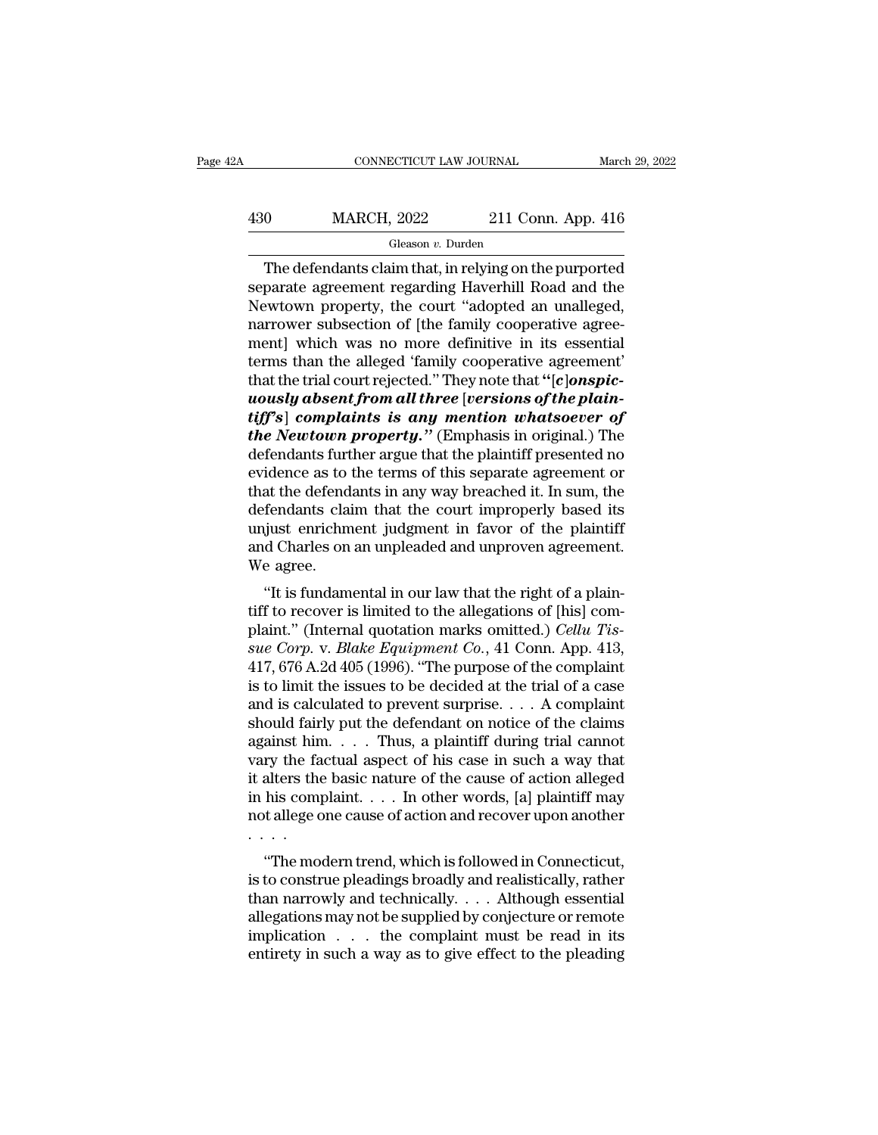### $\begin{tabular}{ll} \multicolumn{2}{l}{{\text{CONNECTICUT LAW JOURNAL}}} & & & & & & & & & \\ \hline & & & & & & & & \\ \hline & & & & & & & & \\ \multicolumn{2}{l}{{\footnotesize \begin{tabular}{l} \multicolumn{2}{l}{{\text{MARCH, 2022}}}} & & & & & & & & \\ \multicolumn{2}{l}{\text{Gleason $v$. Durden} } & & & & & \\ \multicolumn{2}{l}{\text{Gleason $v$. Durden} } & & & & & \\ \end{tabular} } \end{tabular}$ Gleason *v.* Durden

CONNECTICUT LAW JOURNAL March 29, 2022<br>
O MARCH, 2022 211 Conn. App. 416<br>
Gleason v. Durden<br>
The defendants claim that, in relying on the purported<br>
parate agreement regarding Haverhill Road and the<br>
purporty the court "ad MARCH, 2022 211 Conn. App. 416<br>
Gleason v. Durden<br>
The defendants claim that, in relying on the purported<br>
separate agreement regarding Haverhill Road and the<br>
Newtown property, the court "adopted an unalleged,<br>
narrower s  $\frac{\text{MARCH}}{\text{Gleason } v. \text{ burden}}$ <br>
The defendants claim that, in relying on the purported<br>
separate agreement regarding Haverhill Road and the<br>
Newtown property, the court "adopted an unalleged,<br>
narrower subsection of [the family  $\frac{\text{MARCH}}{\text{Gleason } v. \text{ burden}}$ <br>The defendants claim that, in relying on the purported<br>separate agreement regarding Haverhill Road and the<br>Newtown property, the court "adopted an unalleged,<br>narrower subsection of [the family coo The defendants claim that, in relying on the purported<br>separate agreement regarding Haverhill Road and the<br>Newtown property, the court "adopted an unalleged,<br>narrower subsection of [the family cooperative agreement] which The defendants claim that, in relying on the purported<br>separate agreement regarding Haverhill Road and the<br>Newtown property, the court "adopted an unalleged,<br>narrower subsection of [the family cooperative agreement]<br>which The defendants claim that, in relying on the purported<br>separate agreement regarding Haverhill Road and the<br>Newtown property, the court "adopted an unalleged,<br>narrower subsection of [the family cooperative agreement]<br>which separate agreement regarding Haverhill Road and the<br>Newtown property, the court "adopted an unalleged,<br>narrower subsection of [the family cooperative agree-<br>ment] which was no more definitive in its essential<br>terms than th Newtown property, the court "adopted an unalleged,<br>narrower subsection of [the family cooperative agree-<br>ment] which was no more definitive in its essential<br>terms than the alleged 'family cooperative agreement'<br>that the tr **the Newton Subsection of [the family cooperative agreement]** which was no more definitive in its essential terms than the alleged 'family cooperative agreement' that the trial court rejected." They note that "[c]onspic-<br> ment] which was no more definitive in its essential<br>terms than the alleged 'family cooperative agreement'<br>that the trial court rejected." They note that "[c]onspic-<br>uously absent from all three [versions of the plain-<br>tiff terms than the alleged 'family cooperative agreement'<br>that the trial court rejected." They note that "[c]on**spic-**<br>**uously absent from all three** [versions of the plain-<br>tiff's] complaints is any mention whatsoever of<br>the that the trial court rejected." They note that "[c]onspic-<br> **uously absent from all three** [v**ersions of the plain-**<br> **tiff's**] **complaints is any mention whatsoever of<br>
<b>the Newtown property.**" (Emphasis in original.) The uously absent from all three [versions of the plain-<br>tiff's] complaints is any mention whatsoever of<br>the Newtown property." (Emphasis in original.) The<br>defendants further argue that the plaintiff presented no<br>evidence as t *tiff's*] complaints is any mention whatsoever of<br>the Newtown property." (Emphasis in original.) The<br>defendants further argue that the plaintiff presented no<br>evidence as to the terms of this separate agreement or<br>that the *the Newtown property.*" (Emphasis in original.) The defendants further argue that the plaintiff presented no evidence as to the terms of this separate agreement or that the defendants in any way breached it. In sum, the d defendants furt<br>evidence as to<br>that the defend<br>defendants cla<br>unjust enrichm<br>and Charles on<br>We agree.<br>"It is fundam nat the defendants in any way breached it. In sum, the<br>fendants claim that the court improperly based its<br>just enrichment judgment in favor of the plaintiff<br>d Charles on an unpleaded and unproven agreement.<br>e agree.<br>"It is that the defendants in any way breached it. In suit, the<br>defendants claim that the court improperly based its<br>unjust enrichment judgment in favor of the plaintiff<br>and Charles on an unpleaded and unproven agreement.<br>We agr

defendants claim that the court improperty based its<br>
unjust enrichment judgment in favor of the plaintiff<br>
and Charles on an unpleaded and unproven agreement.<br>
We agree.<br>
"It is fundamental in our law that the right of a *surfalls and Charles on an unpleaded and unproven agreement.*<br> *We agree.*<br>
"It is fundamental in our law that the right of a plaintiff to recover is limited to the allegations of [his] complaint." (Internal quotation mar We agree.<br>
"It is fundamental in our law that the right of a plaintiff to recover is limited to the allegations of [his] complaint." (Internal quotation marks omitted.) *Cellu Tissue Corp.* v. *Blake Equipment Co.*, 41 Co "It is fundamental in our law that the right of a plain-<br>tiff to recover is limited to the allegations of [his] com-<br>plaint." (Internal quotation marks omitted.) *Cellu Tis-*<br>sue Corp. v. Blake Equipment Co., 41 Conn. App "It is fundamental in our law that the right of a plain-<br>tiff to recover is limited to the allegations of [his] com-<br>plaint." (Internal quotation marks omitted.) *Cellu Tis-*<br>sue Corp. v. Blake Equipment Co., 41 Conn. App tiff to recover is limited to the allegations of [his] complaint." (Internal quotation marks omitted.) *Cellu Tissue Corp.* v. *Blake Equipment Co.*, 41 Conn. App. 413, 417, 676 A.2d 405 (1996). "The purpose of the compla plaint." (Internal quotation marks omitted.) *Cellu Tissue Corp.* v. *Blake Equipment Co.*, 41 Conn. App. 413, 417, 676 A.2d 405 (1996). "The purpose of the complaint is to limit the issues to be decided at the trial of a sue Corp. v. Blake Equipment Co., 41 Conn. App. 413,<br>417, 676 A.2d 405 (1996). "The purpose of the complaint<br>is to limit the issues to be decided at the trial of a case<br>and is calculated to prevent surprise. . . . A compl 417, 676 A.2d 405 (1996). "The purpose of the complaint<br>is to limit the issues to be decided at the trial of a case<br>and is calculated to prevent surprise. . . . A complaint<br>should fairly put the defendant on notice of the is to limit the issues to be decided at the trial of a case<br>and is calculated to prevent surprise. . . . A complaint<br>should fairly put the defendant on notice of the claims<br>against him. . . . . Thus, a plaintiff during tr and is calculated to prevent surprise. . . . A complaint should fairly put the defendant on notice of the claims against him. . . . Thus, a plaintiff during trial cannot vary the factual aspect of his case in such a way t should fairly put the defendant on notice of the claims<br>against him. . . . Thus, a plaintiff during trial cannot<br>vary the factual aspect of his case in such a way that<br>it alters the basic nature of the cause of action all anst finit. . . . Thus, a plaintiff during that callied<br>try the factual aspect of his case in such a way that<br>alters the basic nature of the cause of action alleged<br>his complaint. . . . In other words, [a] plaintiff may<br>t vary the ractuar aspect of fits case in such a way that<br>it alters the basic nature of the cause of action alleged<br>in his complaint. . . . In other words, [a] plaintiff may<br>not allege one cause of action and recover upon a

It alters the basic hattle of the cause of action aneged<br>in his complaint. . . . In other words, [a] plaintiff may<br>not allege one cause of action and recover upon another<br>. . . .<br>"The modern trend, which is followed in Co allegations may not be supplied by conjecture or remote<br>in this complement and recover upon another<br> $\cdots$ <br>"The modern trend, which is followed in Connecticut,<br>is to construe pleadings broadly and realistically, rather<br>tha implication . . . the complaint must be read in its "The modern trend, which is followed in Connecticut,<br>is to construe pleadings broadly and realistically, rather<br>than narrowly and technically.... Although essential<br>allegations may not be supplied by conjecture or remote<br>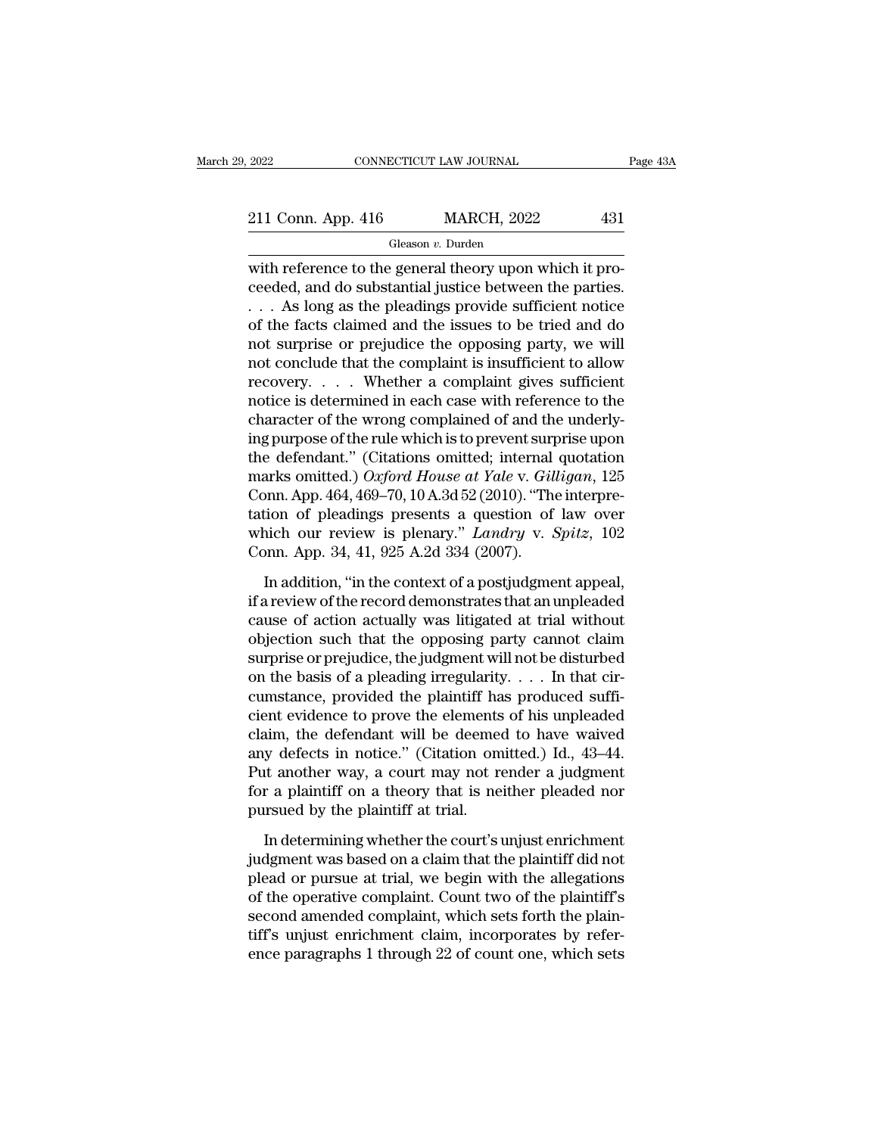2022 CONNECTICUT LAW JOURNAL Page 43A<br>211 Conn. App. 416 MARCH, 2022 431<br>Gleason v. Durden

Gleason *v.* Durden

CONNECTICUT LAW JOURNAL<br>
211 Conn. App. 416 MARCH, 2022 431<br>
Gleason v. Durden<br>
with reference to the general theory upon which it pro-<br>
ceeded, and do substantial justice between the parties.<br>
As long as the ploadings pro 211 Conn. App. 416 MARCH, 2022 431<br>
Gleason *v*. Durden<br>
with reference to the general theory upon which it proceeded, and do substantial justice between the parties.<br>
. . . As long as the pleadings provide sufficient not 211 Conn. App. 416 MARCH, 2022 431<br>
Gleason v. Durden<br>
with reference to the general theory upon which it proceeded, and do substantial justice between the parties.<br>
. . . As long as the pleadings provide sufficient notic 211 Conn. App. 416 MARCH, 2022 431<br>
Gleason *v*. Durden<br>
with reference to the general theory upon which it pro-<br>
ceeded, and do substantial justice between the parties.<br>  $\dots$  As long as the pleadings provide sufficient n Gleason v. Durden<br>
with reference to the general theory upon which it pro-<br>
ceeded, and do substantial justice between the parties.<br>  $\dots$  As long as the pleadings provide sufficient notice<br>
of the facts claimed and the is Geason *v*. Duraan<br>with reference to the general theory upon which it pro-<br>ceeded, and do substantial justice between the parties.<br> $\dots$  As long as the pleadings provide sufficient notice<br>of the facts claimed and the issue with reference to the general theory upon which it proceeded, and do substantial justice between the parties.<br>
. . . As long as the pleadings provide sufficient notice<br>
of the facts claimed and the issues to be tried and ceeded, and do substantial justice between the parties.<br>  $\dots$  As long as the pleadings provide sufficient notice<br>
of the facts claimed and the issues to be tried and do<br>
not surprise or prejudice the opposing party, we wi  $\ldots$  As long as the pleadings provide sufficient notice<br>of the facts claimed and the issues to be tried and do<br>not surprise or prejudice the opposing party, we will<br>not conclude that the complaint is insufficient to allo of the facts claimed and the issues to be tried and do<br>not surprise or prejudice the opposing party, we will<br>not conclude that the complaint is insufficient to allow<br>recovery.... Whether a complaint gives sufficient<br>notic not surprise or prejudice the opposing party, we will<br>not conclude that the complaint is insufficient to allow<br>recovery..... Whether a complaint gives sufficient<br>notice is determined in each case with reference to the<br>cha not conclude that the complaint is insufficient to allow<br>recovery. . . . . Whether a complaint gives sufficient<br>notice is determined in each case with reference to the<br>character of the wrong complained of and the underly-<br> recovery. . . . . Whether a complaint gives sufficient<br>notice is determined in each case with reference to the<br>character of the wrong complained of and the underly-<br>ing purpose of the rule which is to prevent surprise upo notice is determined in each case with reference to the<br>character of the wrong complained of and the underly-<br>ing purpose of the rule which is to prevent surprise upon<br>the defendant." (Citations omitted; internal quotatio character of the wrong complained of and the underly-<br>ing purpose of the rule which is to prevent surprise upon<br>the defendant." (Citations omitted; internal quotation<br>marks omitted.) *Oxford House at Yale* v. *Gilligan*, 1 ing purpose of the rule which is to prevent surf<br>the defendant." (Citations omitted; internal<br>marks omitted.) Oxford House at Yale v. Gill<br>Conn. App. 464, 469–70, 10 A.3d 52 (2010). "The<br>tation of pleadings presents a ques arks omitted.) Oxford House at Yale v. Gilligan, 125<br>pnn. App. 464, 469–70, 10 A.3d 52 (2010). "The interpre-<br>tion of pleadings presents a question of law over<br>nich our review is plenary." *Landry* v. *Spitz*, 102<br>pnn. Ap Conn. App. 464, 469–70, 10 A.3d 52 (2010). "The interpretation of pleadings presents a question of law over<br>which our review is plenary." *Landry* v. *Spitz*, 102<br>Conn. App. 34, 41, 925 A.2d 334 (2007).<br>In addition, "in t

tation of pleadings presents a question of law over<br>which our review is plenary." Landry v. Spitz, 102<br>Conn. App. 34, 41, 925 A.2d 334 (2007).<br>In addition, "in the context of a postjudgment appeal,<br>if a review of the reco which our review is plenary." *Landry* v. *Spitz*, 102<br>Conn. App. 34, 41, 925 A.2d 334 (2007).<br>In addition, "in the context of a postjudgment appeal,<br>if a review of the record demonstrates that an unpleaded<br>cause of actio Conn. App. 34, 41, 925 A.2d 334 (2007).<br>
In addition, "in the context of a postjudgment appeal,<br>
if a review of the record demonstrates that an unpleaded<br>
cause of action actually was litigated at trial without<br>
objection In addition, "in the context of a postjudgment appeal, if a review of the record demonstrates that an unpleaded cause of action actually was litigated at trial without objection such that the opposing party cannot claim s In addition, "in the context of a postjudgment appeal,<br>if a review of the record demonstrates that an unpleaded<br>cause of action actually was litigated at trial without<br>objection such that the opposing party cannot claim<br>s if a review of the record demonstrates that an unpleaded<br>cause of action actually was litigated at trial without<br>objection such that the opposing party cannot claim<br>surprise or prejudice, the judgment will not be disturbe cause of action actually was litigated at trial without<br>objection such that the opposing party cannot claim<br>surprise or prejudice, the judgment will not be disturbed<br>on the basis of a pleading irregularity. . . . In that objection such that the opposing party cannot claim<br>surprise or prejudice, the judgment will not be disturbed<br>on the basis of a pleading irregularity. . . . In that cir-<br>cumstance, provided the plaintiff has produced suff surprise or prejudice, the judgment will not be disturbed<br>on the basis of a pleading irregularity. . . . In that cir-<br>cumstance, provided the plaintiff has produced suffi-<br>cient evidence to prove the elements of his unple on the basis of a pleading irregularity.  $\dots$  In that circumstance, provided the plaintiff has produced sufficient evidence to prove the elements of his unpleaded claim, the defendant will be deemed to have waived any def cumstance, provided the plaintiff ha<br>cient evidence to prove the elements<br>claim, the defendant will be deemee<br>any defects in notice." (Citation om<br>Put another way, a court may not re<br>for a plaintiff on a theory that is ne<br> in the defendant will be deemed to have waived<br>y defects in notice." (Citation omitted.) Id., 43–44.<br>it another way, a court may not render a judgment<br>r a plaintiff on a theory that is neither pleaded nor<br>rsued by the plai any defects in notice." (Citation omitted.) Id., 43–44.<br>Put another way, a court may not render a judgment<br>for a plaintiff on a theory that is neither pleaded nor<br>pursued by the plaintiff at trial.<br>In determining whether t

Put another way, a court may not render a judgment<br>for a plaintiff on a theory that is neither pleaded nor<br>pursued by the plaintiff at trial.<br>In determining whether the court's unjust enrichment<br>judgment was based on a cla for a plaintiff on a theory that is neither pleaded nor<br>pursued by the plaintiff at trial.<br>In determining whether the court's unjust enrichment<br>judgment was based on a claim that the plaintiff did not<br>plead or pursue at t pursued by the plaintiff at trial.<br>In determining whether the court's unjust enrichment<br>judgment was based on a claim that the plaintiff did not<br>plead or pursue at trial, we begin with the allegations<br>of the operative comp In determining whether the court's unjust enrichment<br>judgment was based on a claim that the plaintiff did not<br>plead or pursue at trial, we begin with the allegations<br>of the operative complaint. Count two of the plaintiff's In determining whether the court's unjust enrichment<br>judgment was based on a claim that the plaintiff did not<br>plead or pursue at trial, we begin with the allegations<br>of the operative complaint. Count two of the plaintiff's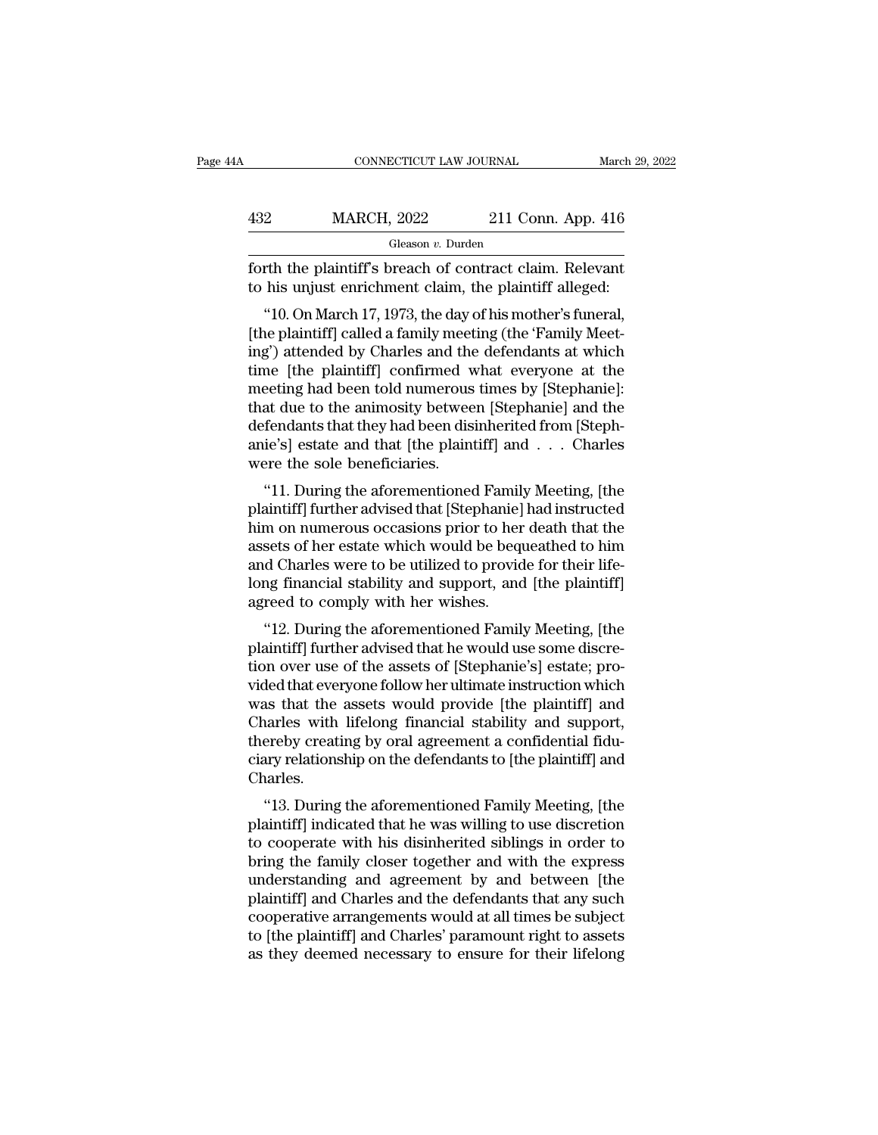| A   | CONNECTICUT LAW JOURNAL                                                                                            |                    | March 29, 2022 |
|-----|--------------------------------------------------------------------------------------------------------------------|--------------------|----------------|
| 432 | <b>MARCH, 2022</b>                                                                                                 | 211 Conn. App. 416 |                |
|     | Gleason v. Durden                                                                                                  |                    |                |
|     | forth the plaintiff's breach of contract claim. Relevant<br>to his unjust enrichment claim, the plaintiff alleged: |                    |                |
|     | "10. On March 17, 1973, the day of his mother's funeral,                                                           |                    |                |

MARCH, 2022 211 Conn. App. 416<br>
Gleason v. Durden<br>
The plaintiff's breach of contract claim. Relevant<br>
his unjust enrichment claim, the plaintiff alleged:<br>
"10. On March 17, 1973, the day of his mother's funeral,<br>
the pla  $\frac{432}{t}$  MARCH, 2022 211 Conn. App. 416<br>
Gleason *v*. Durden<br>
forth the plaintiff's breach of contract claim. Relevant<br>
to his unjust enrichment claim, the plaintiff alleged:<br>
"10. On March 17, 1973, the day of his mot Gleason v. Durden<br>
forth the plaintiff's breach of contract claim. Relevant<br>
to his unjust enrichment claim, the plaintiff alleged:<br>
"10. On March 17, 1973, the day of his mother's funeral,<br>
[the plaintiff] called a famil forth the plaintiff's breach of contract claim. Relevant<br>to his unjust enrichment claim, the plaintiff alleged:<br>"10. On March 17, 1973, the day of his mother's funeral,<br>[the plaintiff] called a family meeting (the 'Family forth the plaintin's breach of contract claim. Refevant<br>to his unjust enrichment claim, the plaintiff alleged:<br>"10. On March 17, 1973, the day of his mother's funeral,<br>[the plaintiff] called a family meeting (the 'Family M to its unjust enticlinent claim, the plaintiff and<br>
"10. On March 17, 1973, the day of his mother's funeral,<br>
[the plaintiff] called a family meeting (the 'Family Meet-<br>
ing') attended by Charles and the defendants at whic "10. On March 17, 1973, the day of his mother's funeral,<br>[the plaintiff] called a family meeting (the 'Family Meeting') attended by Charles and the defendants at which<br>time [the plaintiff] confirmed what everyone at the<br>m [the plaintiff] called a family meeting (the 'Family Meeting') attended by Charles and the defendants at which<br>time [the plaintiff] confirmed what everyone at the<br>meeting had been told numerous times by [Stephanie]:<br>that d ing') attended by Charles and the<br>time [the plaintiff] confirmed v<br>meeting had been told numerous<br>that due to the animosity betwee<br>defendants that they had been dis<br>anie's] estate and that [the plain<br>were the sole benefici The "life" plainting committed what everyone at the eeting had been told numerous times by [Stephanie]:<br>at due to the animosity between [Stephanie] and the<br>fendants that they had been disinherited from [Steph-<br>ie's] estate meeting nad been told numerous times by [btephanie].<br>
that due to the animosity between [Stephanie] and the<br>
defendants that they had been disinherited from [Steph-<br>
anie's] estate and that [the plaintiff] and . . . Charle

hand the to the animosity between [stephaline] and the<br>defendants that they had been disinherited from [Steph-<br>anie's] estate and that [the plaintiff] and . . . Charles<br>were the sole beneficiaries.<br>"11. During the aforemen detendants that they had been dishlifted from [bteph-<br>anie's] estate and that [the plaintiff] and . . . Charles<br>were the sole beneficiaries.<br>"11. During the aforementioned Family Meeting, [the<br>plaintiff] further advised th and Esp estate and that [the plantiff] and . . . Charles<br>were the sole beneficiaries.<br>"11. During the aforementioned Family Meeting, [the<br>plaintiff] further advised that [Stephanie] had instructed<br>him on numerous occasions "11. During the aforementioned Family Meeting, [the plaintiff] further advised that [Stephanie] had instructed him on numerous occasions prior to her death that the assets of her estate which would be bequeathed to him and "11. During the aforementioned Family plaintiff] further advised that [Stephanie] him on numerous occasions prior to her assets of her estate which would be bequand Charles were to be utilized to provid long financial stab and any process of the agents of Stophanic Section<br>
any on numerous occasions prior to her death that the<br>
sets of her estate which would be bequeathed to him<br>
d Charles were to be utilized to provide for their life-<br>
ang runt on numerous occasions prior to her dearn that the<br>assets of her estate which would be bequeathed to him<br>and Charles were to be utilized to provide for their life-<br>long financial stability and support, and [the plainti

assets of her estate which would be bequeathed to finit<br>and Charles were to be utilized to provide for their life-<br>long financial stability and support, and [the plaintiff]<br>agreed to comply with her wishes.<br>"12. During the and charles were to be utilized to provide for their life-<br>long financial stability and support, and [the plaintiff]<br>agreed to comply with her wishes.<br>"12. During the aforementioned Family Meeting, [the<br>plaintiff] further rong mancial stability and support, and [the plaintiff]<br>agreed to comply with her wishes.<br>"12. During the aforementioned Family Meeting, [the<br>plaintiff] further advised that he would use some discre-<br>tion over use of the a agreed to comply what her wishes.<br>
"12. During the aforementioned Family Meeting, [the<br>
plaintiff] further advised that he would use some discre-<br>
tion over use of the assets of [Stephanie's] estate; pro-<br>
vided that every "12. During the aforementioned Family Meeting, [the plaintiff] further advised that he would use some discretion over use of the assets of [Stephanie's] estate; provided that everyone follow her ultimate instruction which plaintiff] further advised that he would use some discretion over use of the assets of [Stephanie's] estate; provided that everyone follow her ultimate instruction which was that the assets would provide [the plaintiff] an Charles. The aintiff] and are the assets would provide [the plaintiff] and arles with lifelong financial stability and support, ereby creating by oral agreement a confidential fidulary relationship on the defendants to [the plainti was that the assets would provide [the plaintin] and<br>Charles with lifelong financial stability and support,<br>thereby creating by oral agreement a confidential fidu-<br>ciary relationship on the defendants to [the plaintiff] an

Charles with lifelong intalictal stability and support,<br>thereby creating by oral agreement a confidential fidu-<br>ciary relationship on the defendants to [the plaintiff] and<br>Charles.<br>"13. During the aforementioned Family Mee thereby creating by oral agreement a confidential nud-<br>ciary relationship on the defendants to [the plaintiff] and<br>Charles.<br>"13. During the aforementioned Family Meeting, [the<br>plaintiff] indicated that he was willing to us Charles.<br>
"13. During the aforementioned Family Meeting, [the<br>
plaintiff] indicated that he was willing to use discretion<br>
to cooperate with his disinherited siblings in order to<br>
bring the family closer together and with "13. During the aforementioned Family Meeting, [the<br>plaintiff] indicated that he was willing to use discretion<br>to cooperate with his disinherited siblings in order to<br>bring the family closer together and with the express<br>u "13. During the aforementioned Family Meeting, [the plaintiff] indicated that he was willing to use discretion<br>to cooperate with his disinherited siblings in order to<br>bring the family closer together and with the express<br>u plaintiff] indicated that he was willing to use discretion<br>to cooperate with his disinherited siblings in order to<br>bring the family closer together and with the express<br>understanding and agreement by and between [the<br>plain to cooperate with his disinherited siblings in order to<br>bring the family closer together and with the express<br>understanding and agreement by and between [the<br>plaintiff] and Charles and the defendants that any such<br>cooperat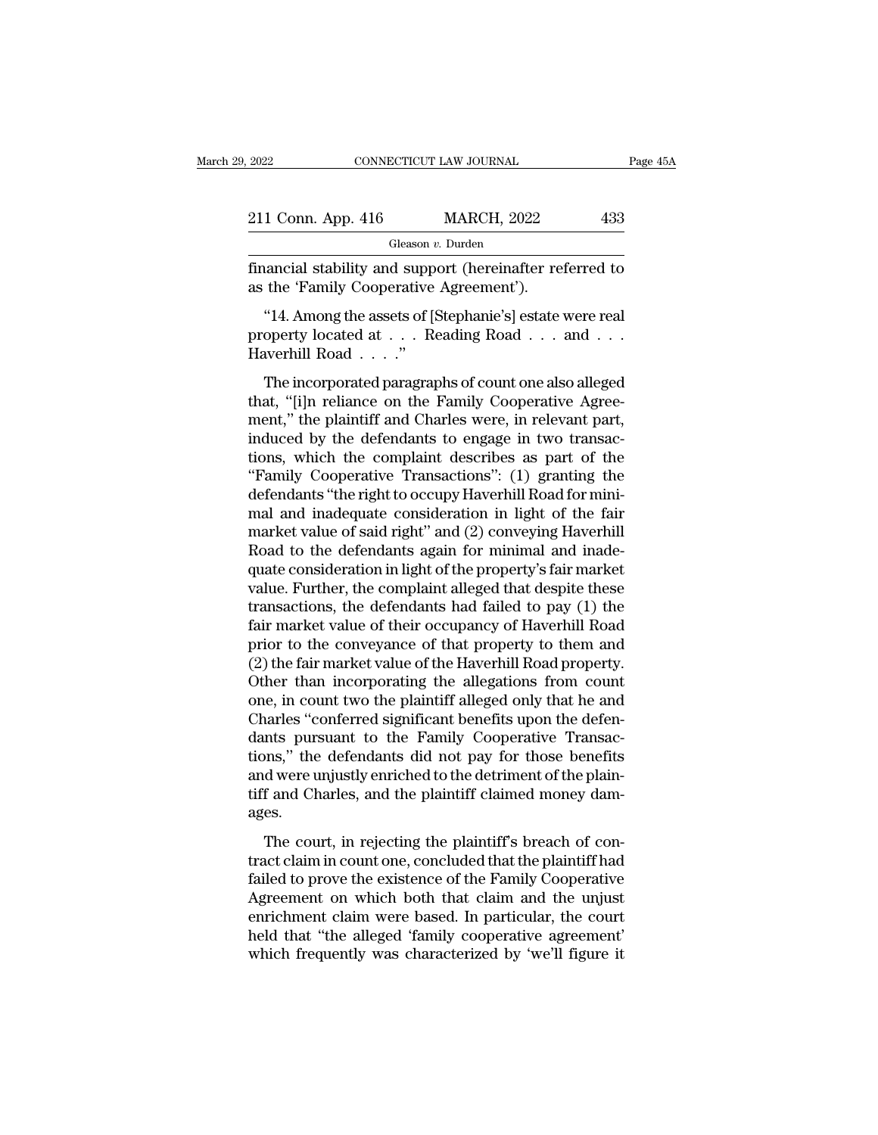| 2022               | CONNECTICUT LAW JOURNAL | Page 45A |
|--------------------|-------------------------|----------|
| 211 Conn. App. 416 | <b>MARCH, 2022</b>      | 433      |
|                    | Gleason v. Durden       |          |

Fage 45A<br>
11 Conn. App. 416 MARCH, 2022 433<br>
6 Gleason v. Durden<br>
financial stability and support (hereinafter referred to<br>
as the 'Family Cooperative Agreement'). 211 Conn. App. 416 MARCH, 2022<br>Gleason v. Durden<br>financial stability and support (hereinafter re<br>as the 'Family Cooperative Agreement').<br>"14. Among the assets of [Stephanie's] estate

1 Conn. App. 416 MARCH, 2022 433<br>
Gleason v. Durden<br>
nancial stability and support (hereinafter referred to<br>
the 'Family Cooperative Agreement').<br>
"14. Among the assets of [Stephanie's] estate were real<br>
operty located at 211 Conn. App. 416 MARCH, 2022 433<br>
Gleason v. Durden<br>
financial stability and support (hereinafter referred to<br>
as the 'Family Cooperative Agreement').<br>
"14. Among the assets of [Stephanie's] estate were real<br>
property l  $\begin{array}{l} \text{Gleason } \imath \\ \text{financial stability and supp} \\ \text{as the 'Family Cooperative} \\ \text{``14. Among the assets of [}\text{property located at . . . R} \\ \text{Haverhill Road . . . ''} \\ \text{The incorporated paragraph} \end{array}$ % and support (hereinafter referred to<br>the 'Family Cooperative Agreement').<br>"14. Among the assets of [Stephanie's] estate were real<br>operty located at  $\dots$  Reading Road  $\dots$  and  $\dots$ <br>werhill Road  $\dots$ ."<br>The incorporated pa

as the 'Family Cooperative Agreement').<br>
"14. Among the assets of [Stephanie's] estate were real<br>
property located at  $\dots$  Reading Road  $\dots$  and  $\dots$ <br>
Haverhill Road  $\dots$ ."<br>
The incorporated paragraphs of count one also a "14. Among the assets of [Stephanie's] estate were real<br>property located at  $\dots$ . Reading Road  $\dots$  and  $\dots$ <br>Haverhill Road  $\dots$ ."<br>The incorporated paragraphs of count one also alleged<br>that, "[i]n reliance on the Family C Fr. Through at assets of [otephane 5] estate were real property located at  $\dots$  Reading Road  $\dots$  and  $\dots$  Haverhill Road  $\dots$ ."<br>The incorporated paragraphs of count one also alleged that, "[i]n reliance on the Family Coo tions, which the complaint describes as part of the The incorporated paragraphs of count one also alleged<br>
that, "[i]n reliance on the Family Cooperative Agree-<br>
ment," the plaintiff and Charles were, in relevant part,<br>
induced by the defendants to engage in two transac-<br> The incorporated paragraphs of count one also alleged<br>that, "[i]n reliance on the Family Cooperative Agree-<br>ment," the plaintiff and Charles were, in relevant part,<br>induced by the defendants to engage in two transac-<br>tions that, "[i]n reliance on the Family Cooperative Agreement," the plaintiff and Charles were, in relevant part, induced by the defendants to engage in two transactions, which the complaint describes as part of the "Family Coo ment," the plaintiff and Charles were, in relevant part,<br>induced by the defendants to engage in two transactions, which the complaint describes as part of the<br>"Family Cooperative Transactions": (1) granting the<br>defendants induced by the defendants to engage in two transactions, which the complaint describes as part of the "Family Cooperative Transactions": (1) granting the defendants "the right to occupy Haverhill Road for minimal and inade tions, which the complaint describes as part of the<br>
"Family Cooperative Transactions": (1) granting the<br>
defendants "the right to occupy Haverhill Road for mini-<br>
market value of said right" and (2) conveying Haverhill<br>
R "Family Cooperative Transactions": (1) granting the<br>defendants "the right to occupy Haverhill Road for mini-<br>mal and inadequate consideration in light of the fair<br>market value of said right" and (2) conveying Haverhill<br>Ro defendants "the right to occupy Haverhill Road for mini-<br>mal and inadequate consideration in light of the fair<br>market value of said right" and (2) conveying Haverhill<br>Road to the defendants again for minimal and inade-<br>qua mal and inadequate consideration in light of the fair<br>market value of said right" and (2) conveying Haverhill<br>Road to the defendants again for minimal and inade-<br>quate consideration in light of the property's fair market<br>v market value of said right" and (2) conveying Haverhill<br>Road to the defendants again for minimal and inade-<br>quate consideration in light of the property's fair market<br>value. Further, the complaint alleged that despite thes Road to the defendants again for minimal and inade-<br>quate consideration in light of the property's fair market<br>value. Further, the complaint alleged that despite these<br>transactions, the defendants had failed to pay (1) the quate consideration in light of the property's fair market<br>value. Further, the complaint alleged that despite these<br>transactions, the defendants had failed to pay (1) the<br>fair market value of their occupancy of Haverhill R value. Further, the complaint alleged that despite these<br>transactions, the defendants had failed to pay (1) the<br>fair market value of their occupancy of Haverhill Road<br>prior to the conveyance of that property to them and<br>(2 transactions, the defendants had failed to pay (1) the<br>fair market value of their occupancy of Haverhill Road<br>prior to the conveyance of that property to them and<br>(2) the fair market value of the Haverhill Road property.<br>O fair market value of their occupancy of Haverhill Road<br>prior to the conveyance of that property to them and<br>(2) the fair market value of the Haverhill Road property.<br>Other than incorporating the allegations from count<br>one, prior to the conveyance of that property to them and<br>(2) the fair market value of the Haverhill Road property.<br>Other than incorporating the allegations from count<br>one, in count two the plaintiff alleged only that he and<br>Ch (2) the fair market value of the Haverhill Road property.<br>Other than incorporating the allegations from count<br>one, in count two the plaintiff alleged only that he and<br>Charles "conferred significant benefits upon the defen-Other than incorporating the allegations from count<br>one, in count two the plaintiff alleged only that he and<br>Charles "conferred significant benefits upon the defen-<br>dants pursuant to the Family Cooperative Transac-<br>tions," ages. Example 18 contented significant science upon the determints pursuant to the Family Cooperative Transactions," the defendants did not pay for those benefits divere unjustly enriched to the detriment of the plaintiff and Ch tions," the defendants did not pay for those benefits<br>and were unjustly enriched to the detriment of the plain-<br>tiff and Charles, and the plaintiff claimed money dam-<br>ages.<br>The court, in rejecting the plaintiff's breach of

factors, are determined to the play for anset serients<br>and were unjustly enriched to the detriment of the plain-<br>tiff and Charles, and the plaintiff claimed money dam-<br>ages.<br>The court, in rejecting the plaintiff's breach o The court, in rejecting the plaintiff claimed money damages.<br>The court, in rejecting the plaintiff's breach of contract claim in count one, concluded that the plaintiff had failed to prove the existence of the Family Coope and that chartes, and the plaintiff's breach of contract claim in count one, concluded that the plaintiff had<br>failed to prove the existence of the Family Cooperative<br>Agreement on which both that claim and the unjust<br>enrich The court, in rejecting the plaintiff's breach of contract claim in count one, concluded that the plaintiff had failed to prove the existence of the Family Cooperative Agreement on which both that claim and the unjust enri The court, in rejecting the plaintiff's breach of contract claim in count one, concluded that the plaintiff had failed to prove the existence of the Family Cooperative Agreement on which both that claim and the unjust enri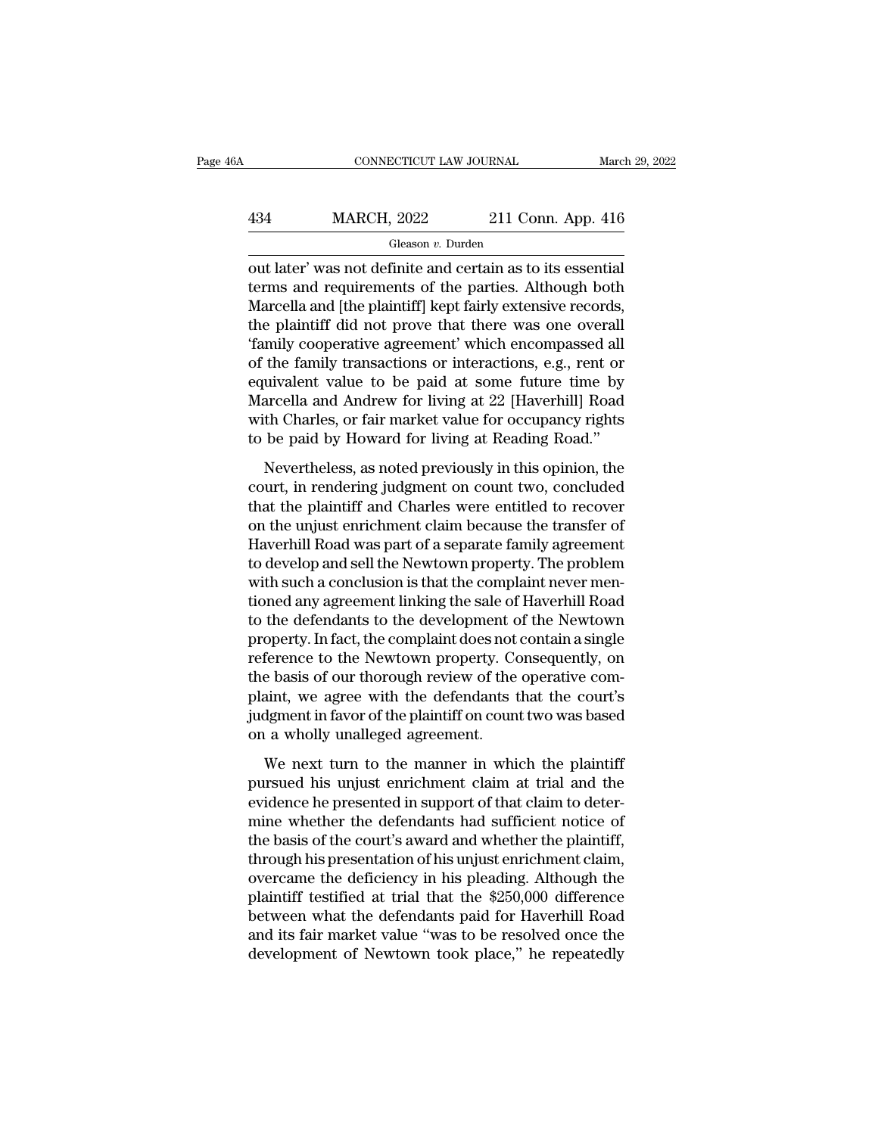### CONNECTICUT LAW JOURNAL March 29, 2022<br>
434 MARCH, 2022 211 Conn. App. 416<br>
Gleason v. Durden Gleason *v.* Durden

CONNECTICUT LAW JOURNAL March 29, 20<br>
434 MARCH, 2022 211 Conn. App. 416<br>
Gleason v. Durden<br>
out later' was not definite and certain as to its essential<br>
terms and requirements of the parties. Although both<br>
Marcella and I  $\frac{\text{MARCH}}{\text{Gleason } v. \text{ Durch}}$ <br>
Gleason  $v. \text{ burden}$ <br>
Out later' was not definite and certain as to its essential<br>
terms and requirements of the parties. Although both<br>
Marcella and [the plaintiff] kept fairly extensive records,<br>  $\frac{\text{MARCH}}{\text{Gleason } v. \text{ burden}}$ <br>
Gleason  $v. \text{ burden}$ <br>
out later' was not definite and certain as to its essential<br>
terms and requirements of the parties. Although both<br>
Marcella and [the plaintiff] kept fairly extensive records,<br>  $\frac{\text{MARCH, 2022}}{\text{Gleason } v. \text{ Durden}}$ <br>
out later' was not definite and certain as to its essential<br>
terms and requirements of the parties. Although both<br>
Marcella and [the plaintiff] kept fairly extensive records,<br>
the plainti Gleason v. Durden<br>
Out later' was not definite and certain as to its essential<br>
terms and requirements of the parties. Although both<br>
Marcella and [the plaintiff] kept fairly extensive records,<br>
the plaintiff did not prov Greason *v*. Durian<br>
out later' was not definite and certain as to its essential<br>
terms and requirements of the parties. Although both<br>
Marcella and [the plaintiff] kept fairly extensive records,<br>
the plaintiff did not pr out later' was not definite and certain as to its essential<br>terms and requirements of the parties. Although both<br>Marcella and [the plaintiff] kept fairly extensive records,<br>the plaintiff did not prove that there was one ov terms and requirements of the parties. Although both<br>Marcella and [the plaintiff] kept fairly extensive records,<br>the plaintiff did not prove that there was one overall<br>"family cooperative agreement" which encompassed all<br>o Marcella and [the plaintiff] kept fairly extensive records,<br>the plaintiff did not prove that there was one overall<br>'family cooperative agreement' which encompassed all<br>of the family transactions or interactions, e.g., rent the plaintiff did not prove that there was one overall<br>'family cooperative agreement' which encompassed all<br>of the family transactions or interactions, e.g., rent or<br>equivalent value to be paid at some future time by<br>Marce The family transactions or interactions, e.g., rent or<br>the family transactions or interactions, e.g., rent or<br>uivalent value to be paid at some future time by<br>arcella and Andrew for living at 22 [Haverhill] Road<br>th Charles equivalent value to be paid at some future time by<br>equivalent value to be paid at some future time by<br>Marcella and Andrew for living at 22 [Haverhill] Road<br>with Charles, or fair market value for occupancy rights<br>to be paid

Marcella and Andrew for living at 22 [Haverhill] Road<br>with Charles, or fair market value for occupancy rights<br>to be paid by Howard for living at Reading Road."<br>Nevertheless, as noted previously in this opinion, the<br>court, with Charles, or fair market value for occupancy rights<br>to be paid by Howard for living at Reading Road."<br>Nevertheless, as noted previously in this opinion, the<br>court, in rendering judgment on count two, concluded<br>that the to be paid by Howard for living at Reading Road."<br>Nevertheless, as noted previously in this opinion, the<br>court, in rendering judgment on count two, concluded<br>that the plaintiff and Charles were entitled to recover<br>on the u Nevertheless, as noted previously in this opinion, the<br>court, in rendering judgment on count two, concluded<br>that the plaintiff and Charles were entitled to recover<br>on the unjust enrichment claim because the transfer of<br>Hav Nevertheless, as noted previously in this opinion, the<br>court, in rendering judgment on count two, concluded<br>that the plaintiff and Charles were entitled to recover<br>on the unjust enrichment claim because the transfer of<br>Hav court, in rendering judgment on count two, concluded<br>that the plaintiff and Charles were entitled to recover<br>on the unjust enrichment claim because the transfer of<br>Haverhill Road was part of a separate family agreement<br>to that the plaintiff and Charles were entitled to recover<br>on the unjust enrichment claim because the transfer of<br>Haverhill Road was part of a separate family agreement<br>to develop and sell the Newtown property. The problem<br>wi on the unjust enrichment claim because the transfer of<br>Haverhill Road was part of a separate family agreement<br>to develop and sell the Newtown property. The problem<br>with such a conclusion is that the complaint never men-<br>ti Haverhill Road was part of a separate family agreement<br>to develop and sell the Newtown property. The problem<br>with such a conclusion is that the complaint never men-<br>tioned any agreement linking the sale of Haverhill Road<br>t to develop and sell the Newtown property. The problem<br>with such a conclusion is that the complaint never men-<br>tioned any agreement linking the sale of Haverhill Road<br>to the defendants to the development of the Newtown<br>prop with such a conclusion is that the complaint never mentioned any agreement linking the sale of Haverhill Road<br>to the defendants to the development of the Newtown<br>property. In fact, the complaint does not contain a single<br>r tioned any agreement linking the sale of Haverhill Road<br>to the defendants to the development of the Newtown<br>property. In fact, the complaint does not contain a single<br>reference to the Newtown property. Consequently, on<br>the to the defendants to the development c<br>property. In fact, the complaint does not<br>reference to the Newtown property. Co<br>the basis of our thorough review of the<br>plaint, we agree with the defendants t<br>judgment in favor of the Ferrore to the Newtown property. Consequently, on<br>e basis of our thorough review of the operative com-<br>aint, we agree with the defendants that the court's<br>dgment in favor of the plaintiff on count two was based<br>a wholly u the basis of our thorough review of the operative com-<br>plaint, we agree with the defendants that the court's<br>judgment in favor of the plaintiff on count two was based<br>on a wholly unalleged agreement.<br>We next turn to the ma

plaint, we agree with the defendants that the court's<br>judgment in favor of the plaintiff on count two was based<br>on a wholly unalleged agreement.<br>We next turn to the manner in which the plaintiff<br>pursued his unjust enrichme ment in favor of the plaintiff on count two was based<br>on a wholly unalleged agreement.<br>We next turn to the manner in which the plaintiff<br>pursued his unjust enrichment claim at trial and the<br>evidence he presented in support on a wholly unalleged agreement.<br>We next turn to the manner in which the plaintiff<br>pursued his unjust enrichment claim at trial and the<br>evidence he presented in support of that claim to deter-<br>mine whether the defendants h We next turn to the manner in which the plaintiff<br>pursued his unjust enrichment claim at trial and the<br>evidence he presented in support of that claim to deter-<br>mine whether the defendants had sufficient notice of<br>the basi We next turn to the manner in which the plaintiff<br>pursued his unjust enrichment claim at trial and the<br>evidence he presented in support of that claim to deter-<br>mine whether the defendants had sufficient notice of<br>the basis pursued his unjust enrichment claim at trial and the<br>evidence he presented in support of that claim to deter-<br>mine whether the defendants had sufficient notice of<br>the basis of the court's award and whether the plaintiff,<br>t evidence he presented in support of that claim to deter-<br>mine whether the defendants had sufficient notice of<br>the basis of the court's award and whether the plaintiff,<br>through his presentation of his unjust enrichment clai mine whether the defendants had sufficient notice of<br>the basis of the court's award and whether the plaintiff,<br>through his presentation of his unjust enrichment claim,<br>overcame the deficiency in his pleading. Although the<br> the basis of the court's award and whether the plaintiff,<br>through his presentation of his unjust enrichment claim,<br>overcame the deficiency in his pleading. Although the<br>plaintiff testified at trial that the \$250,000 differ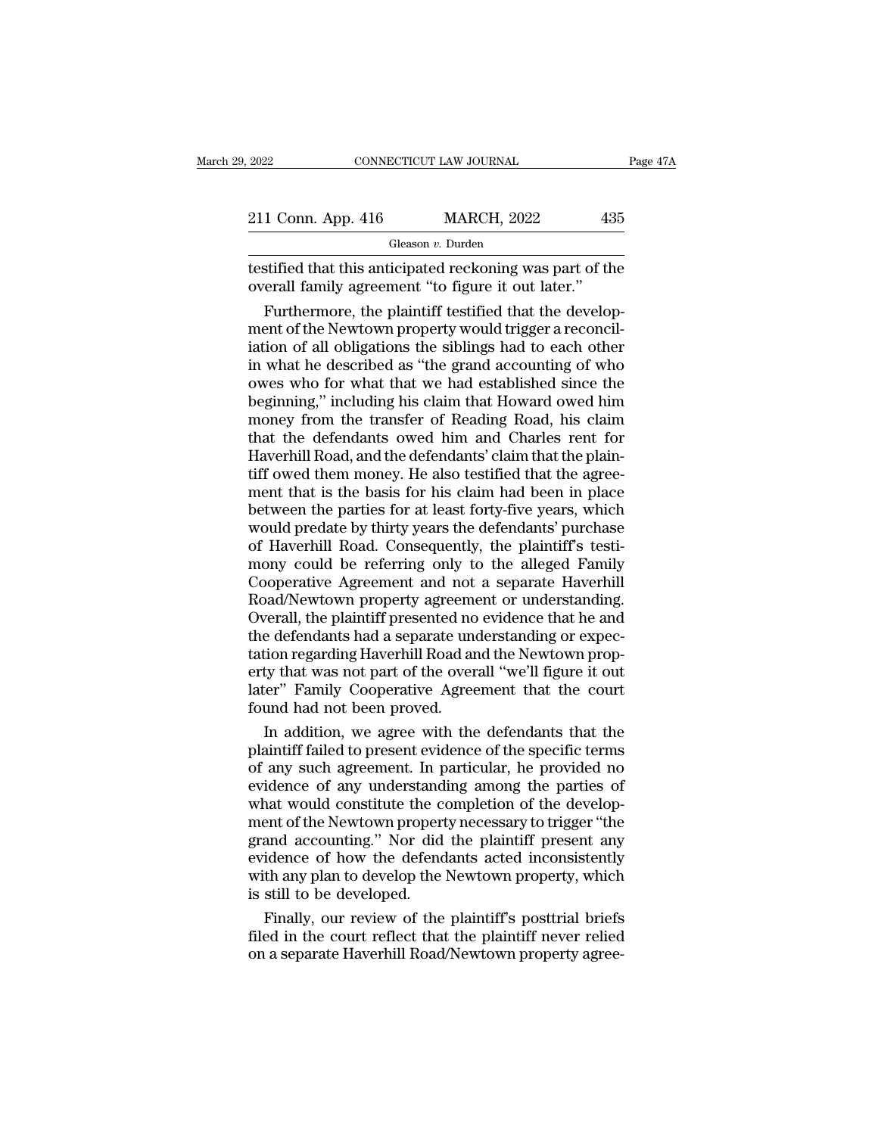| 2022               | CONNECTICUT LAW JOURNAL | Page 47A |  |
|--------------------|-------------------------|----------|--|
|                    |                         |          |  |
| 211 Conn. App. 416 | <b>MARCH, 2022</b>      | 435      |  |
|                    | Gleason v. Durden       |          |  |

The 2022 CONNECTICUT LAW JOURNAL Page 47A<br>
211 Conn. App. 416 MARCH, 2022 435<br>
Gleason v. Durden<br>
testified that this anticipated reckoning was part of the<br>
overall family agreement "to figure it out later." 211 Conn. App. 416 MARCH, 2022 43<br>
Gleason v. Durden<br>
testified that this anticipated reckoning was part of the overall family agreement "to figure it out later."<br>
Furthermore, the plaintiff testified that the develop

 $\frac{1 \text{ Conn. App. 416}}{1 \text{ Gleason } v. \text{ burden}}$ <br>
stified that this anticipated reckoning was part of the erall family agreement "to figure it out later."<br>
Furthermore, the plaintiff testified that the develop-<br>
ent of the Newtown prope 211 Conn. App. 416 MARCH, 2022 435<br>
Gleason v. Durden<br>
testified that this anticipated reckoning was part of the<br>
overall family agreement "to figure it out later."<br>
Furthermore, the plaintiff testified that the develop-<br> Gleason v. Durden<br>
testified that this anticipated reckoning was part of the<br>
overall family agreement "to figure it out later."<br>
Furthermore, the plaintiff testified that the develop-<br>
ment of the Newtown property would t  $\begin{array}{l} \hbox{least $n$: Data} \\\hbox{testified that this anticipated reckoning was part of the overall family agreement "to figure it out later."} \\\hbox{Furthermore, the plaintiff testified that the development of the Newton property would trigger a reconciliation of all obligations the siblings had to each other in what he described as "the grand accounting of who owes who for what that we had established since the beginning" including his claim that Howard owed him. \end{array}$ testified that this anticipated reckoning was part of the<br>overall family agreement "to figure it out later."<br>Furthermore, the plaintiff testified that the develop-<br>ment of the Newtown property would trigger a reconcil-<br>iat overall family agreement "to figure it out later."<br>Furthermore, the plaintiff testified that the develop-<br>ment of the Newtown property would trigger a reconcil-<br>iation of all obligations the siblings had to each other<br>in w Furthermore, the plaintiff testified that the development of the Newtown property would trigger a reconciliation of all obligations the siblings had to each other in what he described as "the grand accounting of who owes w ment of the Newtown property would trigger a reconciliation of all obligations the siblings had to each other<br>in what he described as "the grand accounting of who<br>owes who for what that we had established since the<br>beginni iation of all obligations the siblings had to each other<br>in what he described as "the grand accounting of who<br>owes who for what that we had established since the<br>beginning," including his claim that Howard owed him<br>money f in what he described as "the grand accounting of who<br>owes who for what that we had established since the<br>beginning," including his claim that Howard owed him<br>money from the transfer of Reading Road, his claim<br>that the defe owes who for what that we had established since the<br>beginning," including his claim that Howard owed him<br>money from the transfer of Reading Road, his claim<br>that the defendants owed him and Charles rent for<br>Haverhill Road, beginning," including his claim that Howard owed him<br>money from the transfer of Reading Road, his claim<br>that the defendants owed him and Charles rent for<br>Haverhill Road, and the defendants' claim that the plain-<br>tiff owed money from the transfer of Reading Road, his claim<br>that the defendants owed him and Charles rent for<br>Haverhill Road, and the defendants' claim that the plain-<br>tiff owed them money. He also testified that the agree-<br>ment th that the defendants owed him and Charles rent for<br>Haverhill Road, and the defendants' claim that the plain-<br>tiff owed them money. He also testified that the agree-<br>ment that is the basis for his claim had been in place<br>bet Haverhill Road, and the defendants' claim that the plain-<br>tiff owed them money. He also testified that the agree-<br>ment that is the basis for his claim had been in place<br>between the parties for at least forty-five years, wh tiff owed them money. He also testified that the agreement that is the basis for his claim had been in place<br>between the parties for at least forty-five years, which<br>would predate by thirty years the defendants' purchase<br>o ment that is the basis for his claim had been in place<br>between the parties for at least forty-five years, which<br>would predate by thirty years the defendants' purchase<br>of Haverhill Road. Consequently, the plaintiff's testibetween the parties for at least forty-five years, which<br>would predate by thirty years the defendants' purchase<br>of Haverhill Road. Consequently, the plaintiff's testi-<br>mony could be referring only to the alleged Family<br>Coo would predate by thirty years the defendants' purchase<br>of Haverhill Road. Consequently, the plaintiff's testi-<br>mony could be referring only to the alleged Family<br>Cooperative Agreement and not a separate Haverhill<br>Road/Newt of Haverhill Road. Consequently, the plaintiff's testi-<br>mony could be referring only to the alleged Family<br>Cooperative Agreement and not a separate Haverhill<br>Road/Newtown property agreement or understanding.<br>Overall, the p mony could be referring only to the alleged Family<br>Cooperative Agreement and not a separate Haverhill<br>Road/Newtown property agreement or understanding.<br>Overall, the plaintiff presented no evidence that he and<br>the defendant Cooperative Agreement and not a separate Haverhill<br>Road/Newtown property agreement or understanding.<br>Overall, the plaintiff presented no evidence that he and<br>the defendants had a separate understanding or expec-<br>tation reg Road/Newtown property agreem<br>Overall, the plaintiff presented no<br>the defendants had a separate une<br>tation regarding Haverhill Road ar<br>erty that was not part of the over<br>later" Family Cooperative Agree<br>found had not been pr rerall, the plaintiff presented no evidence that he and<br>e defendants had a separate understanding or expec-<br>tion regarding Haverhill Road and the Newtown prop-<br>ty that was not part of the overall "we'll figure it out<br>ter" the defendants had a separate understanding or expectation regarding Haverhill Road and the Newtown property that was not part of the overall "we'll figure it out later" Family Cooperative Agreement that the court found ha

tation regarding Haverhill Road and the Newtown property that was not part of the overall "we'll figure it out<br>later" Family Cooperative Agreement that the court<br>found had not been proved.<br>In addition, we agree with the de erty that was not part of the overall "we'll figure it out<br>later" Family Cooperative Agreement that the court<br>found had not been proved.<br>In addition, we agree with the defendants that the<br>plaintiff failed to present eviden later" Family Cooperative Agreement that the court<br>found had not been proved.<br>In addition, we agree with the defendants that the<br>plaintiff failed to present evidence of the specific terms<br>of any such agreement. In particul found had not been proved.<br>
In addition, we agree with the defendants that the<br>
plaintiff failed to present evidence of the specific terms<br>
of any such agreement. In particular, he provided no<br>
evidence of any understandin In addition, we agree with the defendants that the plaintiff failed to present evidence of the specific terms of any such agreement. In particular, he provided no evidence of any understanding among the parties of what wou plaintiff failed to present evidence of the specific terms<br>of any such agreement. In particular, he provided no<br>evidence of any understanding among the parties of<br>what would constitute the completion of the develop-<br>ment o of any such agreement. In particular, he provided no<br>evidence of any understanding among the parties of<br>what would constitute the completion of the develop-<br>ment of the Newtown property necessary to trigger "the<br>grand acco evidence of any understand<br>what would constitute the coment of the Newtown propert<br>grand accounting." Nor did<br>evidence of how the defend<br>with any plan to develop the<br>is still to be developed.<br>Finally, our review of the nat would constitute the completion of the developent of the Newtown property necessary to trigger "the<br>and accounting." Nor did the plaintiff present any<br>idence of how the defendants acted inconsistently<br>th any plan to de ment of the Newtown property necessary to trigger "the<br>grand accounting." Nor did the plaintiff present any<br>evidence of how the defendants acted inconsistently<br>with any plan to develop the Newtown property, which<br>is still grand accounting." Nor did the plaintiff present any<br>evidence of how the defendants acted inconsistently<br>with any plan to develop the Newtown property, which<br>is still to be developed.<br>Finally, our review of the plaintiff's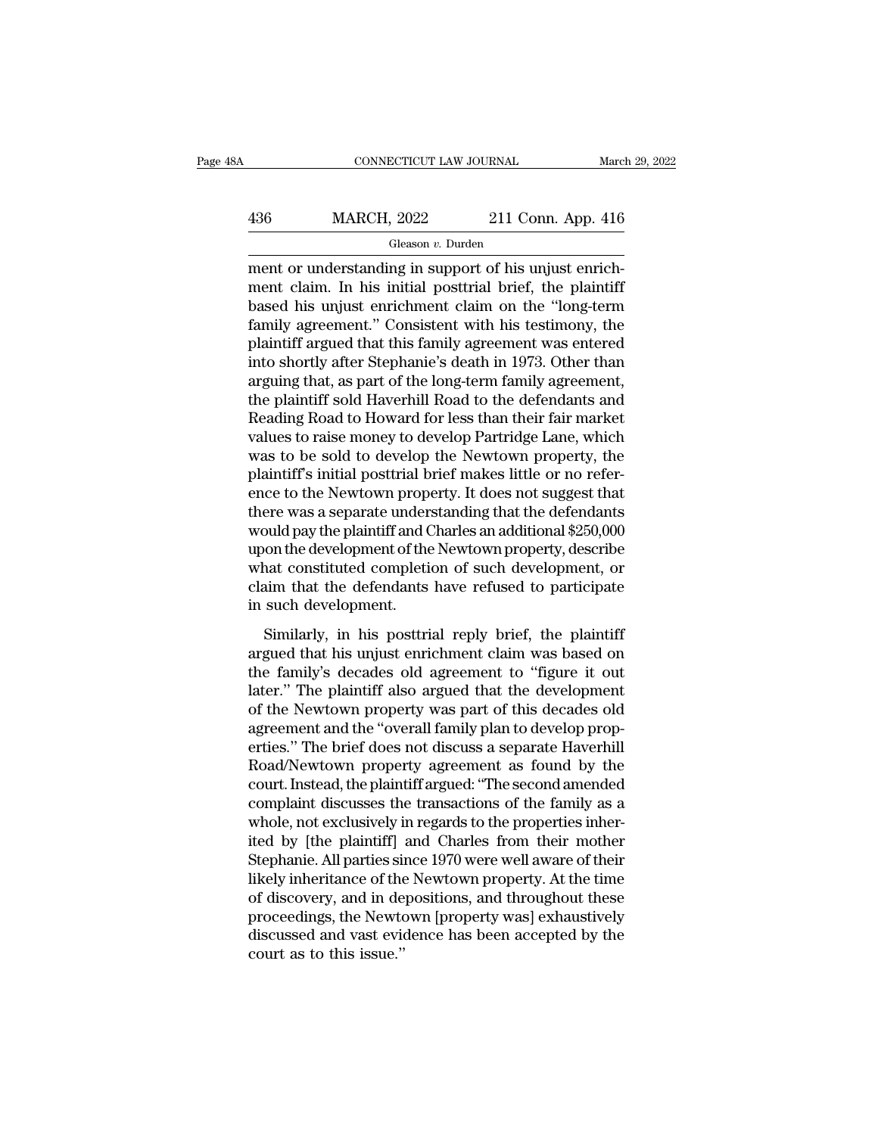# $\begin{tabular}{l l l l} \multicolumn{2}{c}{\text{CONNECTICUT LAW JOURNAL}} & \multicolumn{2}{c}{\text{March 29, 2022}}\\ \hline & \multicolumn{2}{c}{\text{MARCH, 2022}} & \multicolumn{2}{c}{\text{211 Conn. App. 416}}\\ \hline & \multicolumn{2}{c}{\text{Gleason }v. Durden} & \multicolumn{2}{c}{\text{Durden}} \end{tabular}$

Gleason *v.* Durden

CONNECTICUT LAW JOURNAL March March MARCH, 2022 211 Conn. App. 416<br>
Gleason v. Durden<br>
ment or understanding in support of his unjust enrich-<br>
ment claim. In his initial posttrial brief, the plaintiff<br>
hasod his unjust enr  $MARCH, 2022$  211 Conn. App. 416<br>
Gleason v. Durden<br>
ment or understanding in support of his unjust enrich-<br>
ment claim. In his initial posttrial brief, the plaintiff<br>
based his unjust enrichment claim on the "long-term<br>
fam  $\frac{436}{\text{Gleason } v. \text{ burden}}$ <br>  $\frac{\text{Gleason } v. \text{ burden}}{\text{ment or understanding in support of his unjust enrich-  
ment claim. In his initial posttrial brief, the plaintiff  
based his unjust enrichment claim on the "long-term  
family agreement." Consistent with his testimony, the  
relinitiff around that this family agreement was entered$  $\frac{\text{MARCH}}{\text{Heason } v. \text{ burden}}$ <br>
Gleason  $v. \text{ burden}$ <br>
ment or understanding in support of his unjust enrich-<br>
ment claim. In his initial posttrial brief, the plaintiff<br>
based his unjust enrichment claim on the "long-term<br>
family ag Gleason v. Durden<br>
ment or understanding in support of his unjust enrich-<br>
ment claim. In his initial posttrial brief, the plaintiff<br>
based his unjust enrichment claim on the "long-term<br>
family agreement." Consistent with Gleason v. Durden<br>
into the unit of his unjust enrichment claim. In his initial posttrial brief, the plaintiff<br>
based his unjust enrichment claim on the "long-term<br>
family agreement." Consistent with his testimony, the<br>
p ment or understanding in support of his unjust enrichment claim. In his initial posttrial brief, the plaintiff<br>based his unjust enrichment claim on the "long-term<br>family agreement." Consistent with his testimony, the<br>plain ment claim. In his initial posttrial brief, the plaintiff<br>based his unjust enrichment claim on the "long-term<br>family agreement." Consistent with his testimony, the<br>plaintiff argued that this family agreement was entered<br>in based his unjust enrichment claim on the "long-term<br>family agreement." Consistent with his testimony, the<br>plaintiff argued that this family agreement was entered<br>into shortly after Stephanie's death in 1973. Other than<br>arg family agreement." Consistent with his testimony, the plaintiff argued that this family agreement was entered<br>into shortly after Stephanie's death in 1973. Other than<br>arguing that, as part of the long-term family agreement plaintiff argued that this family agreement was entered<br>into shortly after Stephanie's death in 1973. Other than<br>arguing that, as part of the long-term family agreement,<br>the plaintiff sold Haverhill Road to the defendants into shortly after Stephanie's death in 1973. Other than arguing that, as part of the long-term family agreement, the plaintiff sold Haverhill Road to the defendants and Reading Road to Howard for less than their fair mark arguing that, as part of the long-term family agreement,<br>the plaintiff sold Haverhill Road to the defendants and<br>Reading Road to Howard for less than their fair market<br>values to raise money to develop Partridge Lane, which the plaintiff sold Haverhill Road to the defendants and<br>Reading Road to Howard for less than their fair market<br>values to raise money to develop Partridge Lane, which<br>was to be sold to develop the Newtown property, the<br>plai Reading Road to Howard for less than their fair market<br>values to raise money to develop Partridge Lane, which<br>was to be sold to develop the Newtown property, the<br>plaintiff's initial posttrial brief makes little or no refer values to raise money to develop Partridge Lane, which<br>was to be sold to develop the Newtown property, the<br>plaintiff's initial posttrial brief makes little or no refer-<br>ence to the Newtown property. It does not suggest tha was to be sold to develop the Newtown property, the<br>plaintiff's initial posttrial brief makes little or no refer-<br>ence to the Newtown property. It does not suggest that<br>there was a separate understanding that the defendant plaintiff's initial posttrial brief makes little or no reference to the Newtown property. It does not suggest that there was a separate understanding that the defendants would pay the plaintiff and Charles an additional \$2 ence to the Newtown property. It does not suggest that<br>there was a separate understanding that the defendants<br>would pay the plaintiff and Charles an additional \$250,000<br>upon the development of the Newtown property, describ Similarly, in his posttrial reply brief, the plaintiff and charles an additional \$250,000 on the development of the Newtown property, describe at constituted completion of such development, or aim that the defendants have moda pay are plantant and chances an additional 4250,500<br>upon the development of the Newtown property, describe<br>what constituted completion of such development, or<br>claim that the defendants have refused to participate<br>in s

the family's decades of the family's decades old agreement of the development, or claim that the defendants have refused to participate in such development.<br>
Similarly, in his posttrial reply brief, the plaintiff argued th Max constrated completion of start development, of<br>claim that the defendants have refused to participate<br>in such development.<br>Similarly, in his posttrial reply brief, the plaintiff<br>argued that his unjust enrichment claim w of the Newtopment.<br>
Similarly, in his posttrial reply brief, the plaintiff<br>
argued that his unjust enrichment claim was based on<br>
the family's decades old agreement to "figure it out<br>
later." The plaintiff also argued that Similarly, in his posttrial reply brief, the plaintiff<br>argued that his unjust enrichment claim was based on<br>the family's decades old agreement to "figure it out<br>later." The plaintiff also argued that the development<br>of the Similarly, in his posttrial reply brief, the plaintiff<br>argued that his unjust enrichment claim was based on<br>the family's decades old agreement to "figure it out<br>later." The plaintiff also argued that the development<br>of the argued that his unjust enrichment claim was based on<br>the family's decades old agreement to "figure it out<br>later." The plaintiff also argued that the development<br>of the Newtown property was part of this decades old<br>agreemen the family's decades old agreement to "figure it out<br>later." The plaintiff also argued that the development<br>of the Newtown property was part of this decades old<br>agreement and the "overall family plan to develop prop-<br>ertie later." The plaintiff also argued that the development<br>of the Newtown property was part of this decades old<br>agreement and the "overall family plan to develop prop-<br>erties." The brief does not discuss a separate Haverhill<br>R of the Newtown property was part of this decades old<br>agreement and the "overall family plan to develop prop-<br>erties." The brief does not discuss a separate Haverhill<br>Road/Newtown property agreement as found by the<br>court. I agreement and the "overall family plan to develop properties." The brief does not discuss a separate Haverhill<br>Road/Newtown property agreement as found by the<br>court. Instead, the plaintiff argued: "The second amended<br>compl erties." The brief does not discuss a separate Haverhill<br>Road/Newtown property agreement as found by the<br>court. Instead, the plaintiff argued: "The second amended<br>complaint discusses the transactions of the family as a<br>who Road/Newtown property agreement as found by the<br>court. Instead, the plaintiff argued: "The second amended<br>complaint discusses the transactions of the family as a<br>whole, not exclusively in regards to the properties inher-<br>i court. Instead, the plaintiff argued: "The second amended<br>complaint discusses the transactions of the family as a<br>whole, not exclusively in regards to the properties inher-<br>ited by [the plaintiff] and Charles from their mo complaint discusses the transactions of the family as a<br>whole, not exclusively in regards to the properties inher-<br>ited by [the plaintiff] and Charles from their mother<br>Stephanie. All parties since 1970 were well aware of whole, not exclusively in regards to the properties inher-<br>ited by [the plaintiff] and Charles from their mother<br>Stephanie. All parties since 1970 were well aware of their<br>likely inheritance of the Newtown property. At the ited by [the plaintiff]<br>Stephanie. All parties sii<br>likely inheritance of the<br>of discovery, and in de<br>proceedings, the Newto<br>discussed and vast evice<br>court as to this issue.''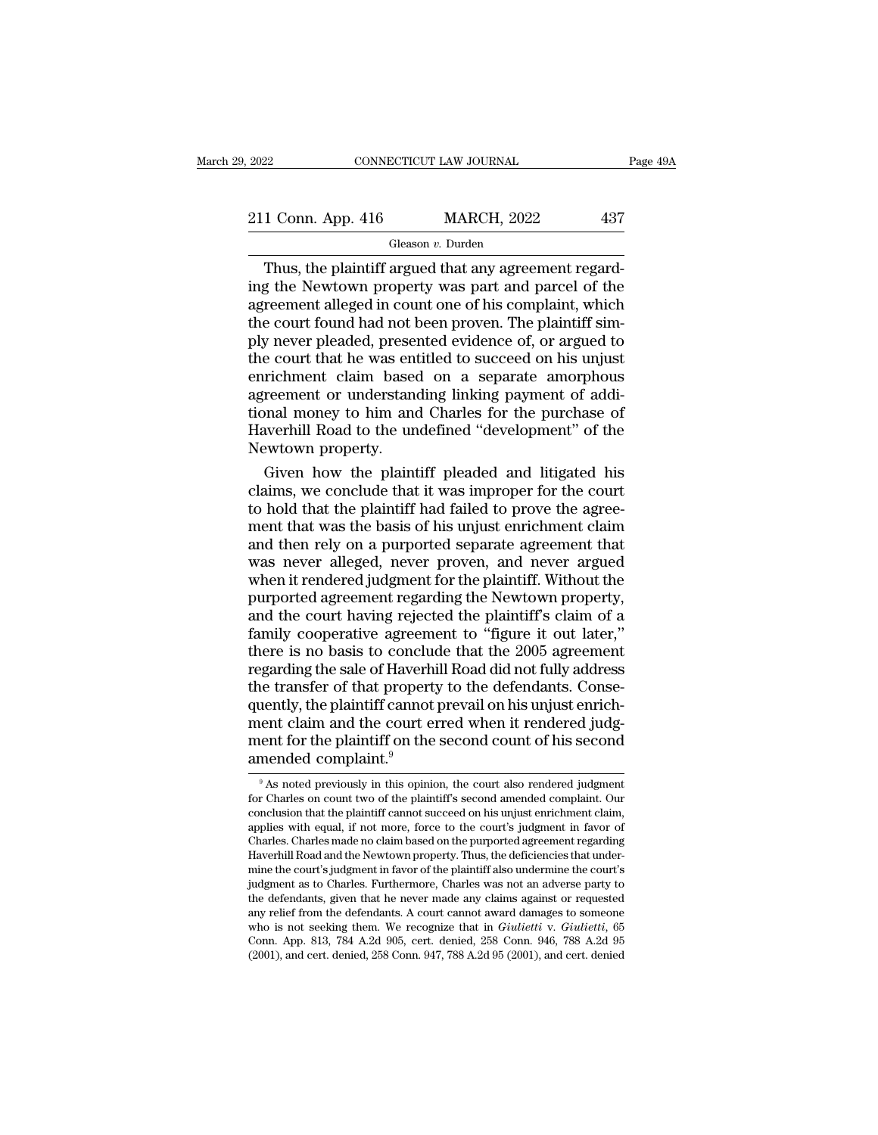| 2022               | CONNECTICUT LAW JOURNAL | Page 49A |
|--------------------|-------------------------|----------|
| 211 Conn. App. 416 | <b>MARCH, 2022</b>      | 437      |
|                    | Gleason v. Durden       |          |

#### Gleason *v.* Durden

CONNECTICUT LAW JOURNAL<br>
1 Conn. App. 416 MARCH, 2022 437<br>
Gleason v. Durden<br>
Thus, the plaintiff argued that any agreement regard-<br>
g the Newtown property was part and parcel of the<br>
reament alloged in count one of his co 211 Conn. App. 416 MARCH, 2022 437<br>
Gleason v. Durden<br>
Thus, the plaintiff argued that any agreement regarding the Newtown property was part and parcel of the<br>
agreement alleged in count one of his complaint, which<br>
the c 211 Conn. App. 416 MARCH, 2022 437<br>
Gleason v. Durden<br>
Thus, the plaintiff argued that any agreement regard-<br>
ing the Newtown property was part and parcel of the<br>
agreement alleged in count one of his complaint, which<br>
th 211 Conn. App. 416 MARCH, 2022 437<br>
Gleason v. Durden<br>
Thus, the plaintiff argued that any agreement regard-<br>
ing the Newtown property was part and parcel of the<br>
agreement alleged in count one of his complaint, which<br>
th Fig. 2022 1997<br>
Thus, the plaintiff argued that any agreement regard-<br>
ing the Newtown property was part and parcel of the<br>
agreement alleged in count one of his complaint, which<br>
the court found had not been proven. The Gleason v. Durden<br>
Thus, the plaintiff argued that any agreement regard-<br>
ing the Newtown property was part and parcel of the<br>
agreement alleged in count one of his complaint, which<br>
the court found had not been proven. T Thus, the plaintiff argued that any agreement regard-<br>ing the Newtown property was part and parcel of the<br>agreement alleged in count one of his complaint, which<br>the court found had not been proven. The plaintiff sim-<br>ply n ing the Newtown property was part and parcel of the agreement alleged in count one of his complaint, which the court found had not been proven. The plaintiff simply never pleaded, presented evidence of, or argued to the co agreement alleged in count one of his complaint, which<br>the court found had not been proven. The plaintiff sim-<br>ply never pleaded, presented evidence of, or argued to<br>the court that he was entitled to succeed on his unjust<br> the court found had not been proven. The plaintiff sim-<br>ply never pleaded, presented evidence of, or argued to<br>the court that he was entitled to succeed on his unjust<br>enrichment claim based on a separate amorphous<br>agreemen ply never pleaded, preser<br>the court that he was ent<br>enrichment claim based<br>agreement or understane<br>tional money to him and<br>Haverhill Road to the un<br>Newtown property.<br>Given how the plaint e court that he was entitled to succeed on his unjust<br>richment claim based on a separate amorphous<br>reement or understanding linking payment of addi-<br>nal money to him and Charles for the purchase of<br>werhill Road to the unde enrichment claim based on a separate amorphous<br>agreement or understanding linking payment of addi-<br>tional money to him and Charles for the purchase of<br>Haverhill Road to the undefined "development" of the<br>Newtown property.<br>

agreement or understanding linking payment of additional money to him and Charles for the purchase of Haverhill Road to the undefined "development" of the Newtown property.<br>Given how the plaintiff pleaded and litigated his tional money to him and Charles for the purchase of<br>Haverhill Road to the undefined "development" of the<br>Newtown property.<br>Given how the plaintiff pleaded and litigated his<br>claims, we conclude that it was improper for the Haverhill Road to the undefined "development" of the<br>Newtown property.<br>Given how the plaintiff pleaded and litigated his<br>claims, we conclude that it was improper for the court<br>to hold that the plaintiff had failed to prove Newtown property.<br>
Given how the plaintiff pleaded and litigated his<br>
claims, we conclude that it was improper for the court<br>
to hold that the plaintiff had failed to prove the agree-<br>
ment that was the basis of his unjust Given how the plaintiff pleaded and litigated his<br>claims, we conclude that it was improper for the court<br>to hold that the plaintiff had failed to prove the agree-<br>ment that was the basis of his unjust enrichment claim<br>and claims, we conclude that it was improper for the court<br>to hold that the plaintiff had failed to prove the agree-<br>ment that was the basis of his unjust enrichment claim<br>and then rely on a purported separate agreement that<br>w to hold that the plaintiff had failed to prove the agreement that was the basis of his unjust enrichment claim<br>and then rely on a purported separate agreement that<br>was never alleged, never proven, and never argued<br>when it ment that was the basis of his unjust enrichment claim<br>and then rely on a purported separate agreement that<br>was never alleged, never proven, and never argued<br>when it rendered judgment for the plaintiff. Without the<br>purport and then rely on a purported separate agreement that<br>was never alleged, never proven, and never argued<br>when it rendered judgment for the plaintiff. Without the<br>purported agreement regarding the Newtown property,<br>and the co was never alleged, never proven, and never argued<br>when it rendered judgment for the plaintiff. Without the<br>purported agreement regarding the Newtown property,<br>and the court having rejected the plaintiff's claim of a<br>family when it rendered judgment for the plaintiff. Without the<br>purported agreement regarding the Newtown property,<br>and the court having rejected the plaintiff's claim of a<br>family cooperative agreement to "figure it out later,"<br>t purported agreement regarding the Newtown property,<br>and the court having rejected the plaintiff's claim of a<br>family cooperative agreement to "figure it out later,"<br>there is no basis to conclude that the 2005 agreement<br>rega and the court having rejected the plaintiff's claim of a<br>family cooperative agreement to "figure it out later,"<br>there is no basis to conclude that the 2005 agreement<br>regarding the sale of Haverhill Road did not fully addr family cooperative agreement to "figure it out later,"<br>there is no basis to conclude that the 2005 agreement<br>regarding the sale of Haverhill Road did not fully address<br>the transfer of that property to the defendants. Conse there is no basis to conclude<br>regarding the sale of Haverh<br>the transfer of that propert<br>quently, the plaintiff cannot<br>ment claim and the court es<br>ment for the plaintiff on the<br>amended complaint.<sup>9</sup> quently, the plaintiff cannot prevail on his unjust enrichment claim and the court erred when it rendered judgment for the plaintiff on the second count of his second amended complaint.<sup>9</sup><br>  $\frac{9 \text{ As noted previously in this opinion, the court also rendered judgment for Charles on count two of the plaintiff's second amended$ 

ment claim and the court erred when it rendered judg-<br>ment for the plaintiff on the second count of his second<br>amended complaint.<sup>9</sup><br><sup>9</sup>As noted previously in this opinion, the court also rendered judgment<br>for Charles on c ment for the plaintiff on the second count of his second<br>amended complaint.<sup>9</sup><br><sup>9</sup> As noted previously in this opinion, the court also rendered judgment<br>for Charles on count two of the plaintiff's second amended complaint. ment for the plaintiff on the second count of fits second<br>amended complaint.<sup>9</sup><br><sup>9</sup> As noted previously in this opinion, the court also rendered judgment<br>for Charles on count two of the plaintiff's second amended complaint amended complaint."<br>  $\frac{1}{\sqrt{2}}$  As noted previously in this opinion, the court also rendered judgment<br>
for Charles on count two of the plaintiff's second amended complaint. Our<br>
conclusion that the plaintiff cannot succ  $\frac{1}{2}$  As noted previously in this opinion, the court also rendered judgment<br>for Charles on count two of the plaintiff's second amended complaint. Our<br>conclusion that the plaintiff cannot succeed on his unjust enrichme <sup>6</sup> As noted previously in this opinion, the court also rendered judgment for Charles on count two of the plaintiff's second amended complaint. Our conclusion that the plaintiff cannot succeed on his unjust enrichment clai for Charles on count two of the plaintiff second amended complaint. Our conclusion that the plaintiff cannot succeed on his unjust enrichment claim, applies with equal, if not more, force to the court's judgment in favor o conclusion that the plaintificant cannot succeed on his unjust enrichment claim, applies with equal, if not more, force to the court's judgment in favor of Charles. Charles made no claim based on the purported agreement re applies with equal, if not more, force to the court's judgment in favor of<br>Charles. Charles made no claim based on the purported agreement regarding<br>Haverhill Road and the Newtown property. Thus, the deficiencies that unde Charles. Charles made no claim based on the purported agreement regarding Haverhill Road and the Newtown property. Thus, the deficiencies that under-<br>mine the court's judgment in favor of the plaintiff also undermine the c Havernii Road and the Newtown property. Thus, the deficiencies that under-<br>mine the court's judgment in favor of the plaintiff also undermine the court's<br>judgment as to Charles. Furthermore, Charles was not an adverse part mine the court's judgment in favor of the plaintiff also undermine the court's judgment as to Charles. Furthermore, Charles was not an adverse party to the defendants, given that he never made any claims against or reques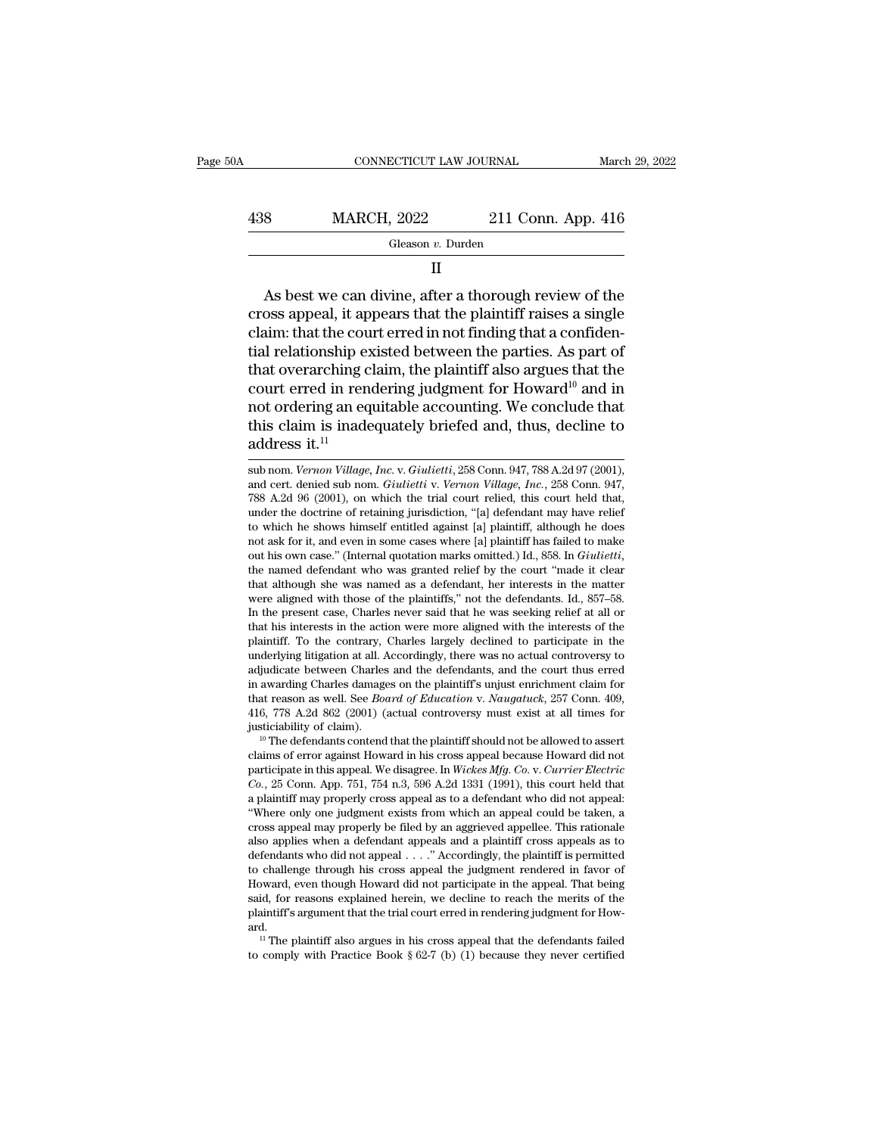| 0A  | CONNECTICUT LAW JOURNAL |                    | March 29, 2022 |
|-----|-------------------------|--------------------|----------------|
| 438 | <b>MARCH, 2022</b>      | 211 Conn. App. 416 |                |
|     | Gleason v. Durden       |                    |                |

II

 $\notag$  MARCH, 2022 211 Conn. App. 416<br>
Gleason v. Durden<br>
II<br>
As best we can divine, after a thorough review of the<br>
oss appeal, it appears that the plaintiff raises a single<br>
nim: that the court errod in not finding that 438 MARCH, 2022 211 Conn. App. 416<br>
Gleason v. Durden<br>
II<br>
As best we can divine, after a thorough review of the<br>
cross appeal, it appears that the plaintiff raises a single<br>
claim: that the court erred in not finding tha  $\begin{array}{r} \text{438} & \text{MARCH, 2022} & \text{211 Conn. App. 416} \ \hline \text{Gleason } v \text{. Durch} \ \hline \text{II} \end{array}$ <br>
As best we can divine, after a thorough review of the cross appeal, it appears that the plaintiff raises a single claim: that the court erred Gleason  $v$ . Durden<br>
II<br>
As best we can divine, after a thorough review of the<br>
cross appeal, it appears that the plaintiff raises a single<br>
claim: that the court erred in not finding that a confiden-<br>
tial relationship e II<br>
As best we can divine, after a thorough review of the<br>
cross appeal, it appears that the plaintiff raises a single<br>
claim: that the court erred in not finding that a confiden-<br>
tial relationship existed between the pa As best we can divine, after a thorough review of the<br>cross appeal, it appears that the plaintiff raises a single<br>claim: that the court erred in not finding that a confiden-<br>tial relationship existed between the parties. As best we can divine, after a thorough review of the cross appeal, it appears that the plaintiff raises a single claim: that the court erred in not finding that a confidential relationship existed between the parties. As cross appeal, it appears that the plaintiff raises a single<br>claim: that the court erred in not finding that a confiden-<br>tial relationship existed between the parties. As part of<br>that overarching claim, the plaintiff also a claim: that the cou<br>tial relationship ex<br>that overarching c<br>court erred in ren<br>not ordering an eq<br>this claim is inade<br>address it.<sup>11</sup> court erred in rendering judgment for Howard<sup>10</sup> and in<br>not ordering an equitable accounting. We conclude that<br>this claim is inadequately briefed and, thus, decline to<br>address it.<sup>11</sup><br>aub nom. *Vernon Village, Inc.* v. *Gi* not ordering an equitable accounting. We conclude that<br>this claim is inadequately briefed and, thus, decline to<br>address it.<sup>11</sup><br>sub nom. *Vernon Village, Inc.* v. *Giulietti* , 258 Conn. 947, 788 A.2d 97 (2001),<br>and cert.

This claim is inadequately briefed and, thus, decline to address it.<sup>11</sup><br>and non. *Vernon Village, Inc. v. Giulietti*, 258 Conn. 947, 788 A.2d 97 (2001), and cert. denied sub nom. *Giulietti v. Vernon Village, Inc.*, 258 C and the doctrine of retaining incident and, thus, decline to address it.<sup>11</sup> sub nom. *Vernon Village, Inc.* v. *Giulietti*, 258 Conn. 947, 788 A.2d 97 (2001), and cert. denied sub nom. *Giulietti* v. *Vernon Village, Inc* **address it.**<sup>11</sup><br>sub nom. *Vernon Village, Inc.* v. *Giulietti*, 258 Conn. 947, 788 A.2d 97 (2001),<br>and cert. denied sub nom. *Giulietti* v. *Vernon Village, Inc.*, 258 Conn. 947,<br>788 A.2d 96 (2001), on which the trial c sub nom. *Vernon Village, Inc.* v. *Giulietti*, 258 Conn. 947, 788 A.2d 97 (2001), and cert. denied sub nom. *Giulietti* v. *Vernon Village, Inc.*, 258 Conn. 947, 788 A.2d 96 (2001), on which the trial court relied, this sub hom. *Vernon Vulage, Inc. v. Giulietti*, 258 Conn. 947, 788 A.2d 97 (2001), and cert. denied sub nom. *Giulietti* v. *Vernon Village, Inc.*, 258 Conn. 947, 788 A.2d 96 (2001), on which the trial court relied, this cour (88 A.2d 96 (2001), on which the trial court refled, this court held that, under the doctrine of retaining jurisdiction, "[a] defendant may have relief to which he shows himself entitled against [a] plaintiff, although he under the doctrine of retaining jurisdiction, [a] detendant may have refler<br>to which he shows himself entitled against [a] plaintiff, although he does<br>not ask for it, and even in some cases where [a] plaintiff has failed t to which he shows himself entitied against [a] plaintiff, athough he does<br>not ask for it, and even in some cases where [a] plaintiff has failed to make<br>out his own case." (Internal quotation marks omitted.) Id., 858. In *G* not ask for it, and even in some cases where [a] piaintiff has failed to make<br>out his own case." (Internal quotation marks omitted.) Id., 858. In *Giulietti*,<br>the named defendant who was granted relief by the court "made i out his own case. (internal quotation marks omitted.) id., sos. in *Guittetti*, the named defendant who was granted relief by the court "made it clear that although she was named as a defendant, her interests in the matter the named derendant who was granted relief by the court "made it clear<br>that although she was named as a defendant, her interests in the matter<br>were aligned with those of the plaintiffs," not the defendants. Id., 857–58.<br>In that athough she was named as a defendant, her interests in the matter were aligned with those of the plaintiffs," not the defendants. Id., 857–58. In the present case, Charles never said that he was seeking relief at all were angned with those of the plaintiffs, not the defendants. Id.,  $85/-88$ .<br>In the present case, Charles never said that he was seeking relief at all or<br>that his interests in the action were more aligned with the interest In the present case, Charles never sala that he was seeking reller at all or<br>that his interests in the action were more aligned with the interests of the<br>plaintiff. To the contrary, Charles largely declined to participate that his interests in the action were more angned with the interests of the plaintiff. To the contrary, Charles largely declined to participate in the underlying litigation at all. Accordingly, there was no actual controve plaintiff. To the contrary, Charles largely declined to participate in the underlying litigation at all. Accordingly, there was no actual controversy to adjudicate between Charles and the defendants, and the court thus er agualcate between Charles and the defendants, and the court thus erred<br>in awarding Charles damages on the plaintiff's unjust enrichment claim for<br>that reason as well. See *Board of Education* v. *Naugatuck*, 257 Conn. 409,

m awarang Charles damages on the plaintiff surjust enrichment claim for<br>that reason as well. See *Board of Education* v. *Naugatuck*, 257 Conn. 409,<br>416, 778 A.2d 862 (2001) (actual controversy must exist at all times for<br> that reason as well. See *Boara of Eaucation* v. *Naugatuck*, 257 Conn. 409, 416, 778 A.2d 862 (2001) (actual controversy must exist at all times for justiciability of claim).<br><sup>10</sup> The defendants contend that the plaintiff 410,  $\ell$  is A.2d 802 (2001) (actual controversy must exist at all times for justiciability of claim).<br><sup>10</sup> The defendants contend that the plaintiff should not be allowed to assert claims of error against Howard in his c <sup>10</sup> The defendants contend that the plaintiff should not be allowed to assert claims of error against Howard in his cross appeal because Howard did not participate in this appeal. We disagree. In *Wickes Mfg. Co. v. Curr* The defendants contend that the plaintiff should not be allowed to assert claims of error against Howard in his cross appeal because Howard did not participate in this appeal. We disagree. In *Wickes Mfg. Co. v. Currier E* claims of error against Howard in his cross appeal because Howard did not<br>participate in this appeal. We disagree. In *Wickes Mfg. Co. v. Currier Electric*<br>*Co.*, 25 Conn. App. 751, 754 n.3, 596 A.2d 1331 (1991), this cou participate in this appeal. we disagree. In *wickes MJg.* Co. V. Currier Electric Co., 25 Conn. App. 751, 754 n.3, 596 A.2d 1331 (1991), this court held that a plaintiff may properly cross appeal as to a defendant who did a plaintiff may properly cross appeal as to a defendant who did not appeal: "Where only one judgment exists from which an appeal could be taken, a cross appeal may properly be filed by an aggrieved appellee. This rational a plaintiff may properly cross appeal as to a defendant who did not appeal:<br>"Where only one judgment exists from which an appeal could be taken, a<br>cross appeal may properly be filed by an aggrieved appellee. This rationale where only one judgment exists from which an appear could be taken, a<br>cross appeal may properly be filed by an aggrieved appellee. This rationale<br>also applies when a defendant appeals and a plaintiff cross appeals as to<br>d defendants who did not appeal  $\dots$  " Accordingly, the plaintiff is permitted to challenge through his cross appeal the judgment rendered in favor of Howard, even though Howard did not participate in the appeal. That being ard. Fendants who did not appeal  $\ldots$  Accordingly, the plaintiff is permitted challenge through his cross appeal the judgment rendered in favor of oward, even though Howard did not participate in the appeal. That being id, fo plaintiff's argument that the trial court erred in rendering judgment for Howard.<br>
<sup>11</sup> The plaintiff also argues in his cross appeal that the defendants failed to comply with Practice Book  $\S 62-7$  (b) (1) because they n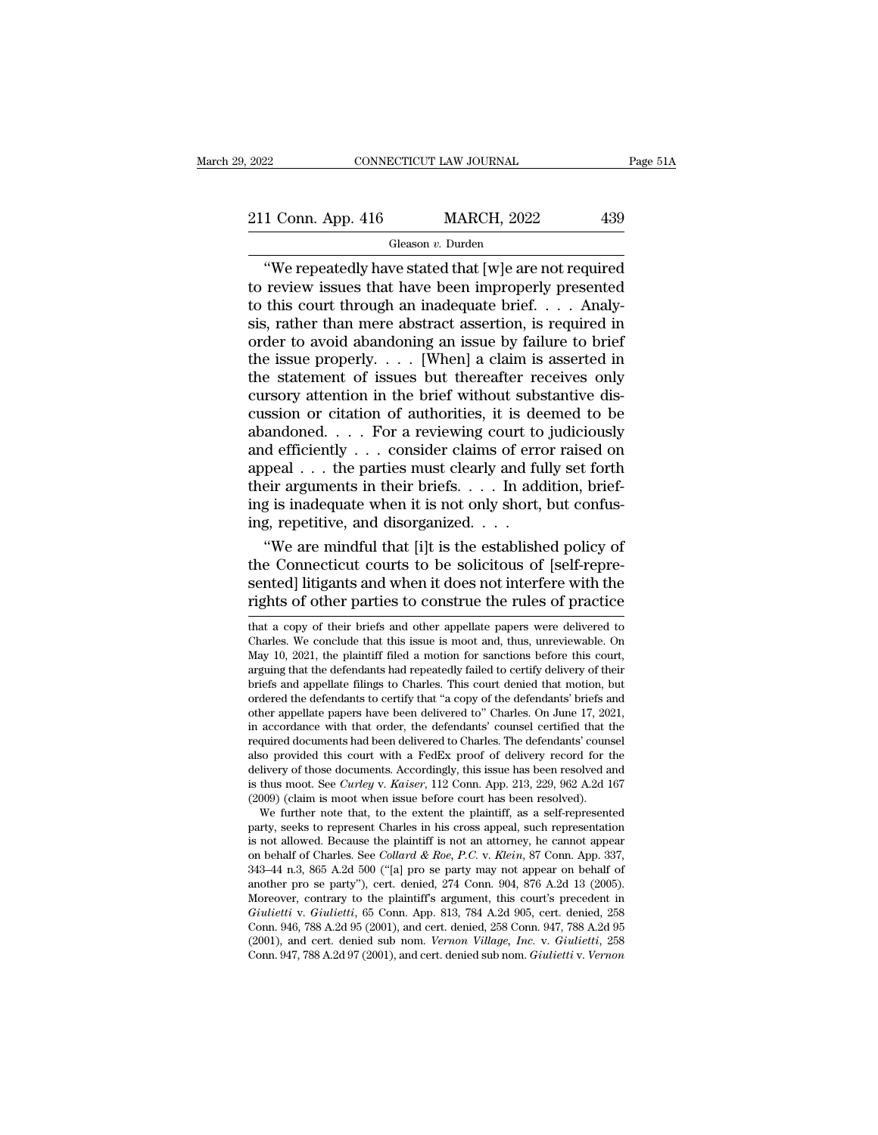#### Gleason *v.* Durden

CONNECTICUT LAW JOURNAL Page 51A<br>
1 Conn. App. 416 MARCH, 2022 439<br>
Gleason v. Durden<br>
"We repeatedly have stated that [w]e are not required<br>
review issues that have been improperly presented<br>
this court through an inadequ 211 Conn. App. 416 MARCH, 2022 439<br>
Gleason v. Durden<br>
"We repeatedly have stated that [w]e are not required<br>
to review issues that have been improperly presented<br>
to this court through an inadequate brief. . . . Analy-<br> 211 Conn. App. 416 MARCH, 2022 439<br>
Gleason v. Durden<br>
"We repeatedly have stated that [w]e are not required<br>
to review issues that have been improperly presented<br>
to this court through an inadequate brief. . . . Analy-<br> 211 Conn. App. 416 MARCH, 2022 439<br>
Gleason *v*. Durden<br>
"We repeatedly have stated that [w]e are not required<br>
to review issues that have been improperly presented<br>
to this court through an inadequate brief. . . . Analy-Gleason v. Durden<br>
(Gleason v. Durden<br>
(We repeatedly have stated that [w]e are not required<br>
to review issues that have been improperly presented<br>
to this court through an inadequate brief. . . . Analy-<br>
sis, rather than Gleason *v*. Durden<br>
"We repeatedly have stated that [w]e are not required<br>
to review issues that have been improperly presented<br>
to this court through an inadequate brief. . . . Analy-<br>
sis, rather than mere abstract ass "We repeatedly have stated that [w]e are not required<br>to review issues that have been improperly presented<br>to this court through an inadequate brief.... Analy-<br>sis, rather than mere abstract assertion, is required in<br>orde to review issues that have been improperly presented<br>to this court through an inadequate brief.... Analy-<br>sis, rather than mere abstract assertion, is required in<br>order to avoid abandoning an issue by failure to brief<br>the to this court through an inadequate brief.... Analysis, rather than mere abstract assertion, is required in order to avoid abandoning an issue by failure to brief the issue properly.... [When] a claim is asserted in the s sis, rather than mere abstract assertion, is required in<br>order to avoid abandoning an issue by failure to brief<br>the issue properly. . . . [When] a claim is asserted in<br>the statement of issues but thereafter receives only<br> order to avoid abandoning an issue by failure to brief<br>the issue properly. . . . [When] a claim is asserted in<br>the statement of issues but thereafter receives only<br>cursory attention in the brief without substantive dis-<br>c the issue properly. . . . [When] a claim is asserted in<br>the statement of issues but thereafter receives only<br>cursory attention in the brief without substantive dis-<br>cussion or citation of authorities, it is deemed to be<br>a the statement of issues but thereafter receives only cursory attention in the brief without substantive discussion or citation of authorities, it is deemed to be abandoned. . . . For a reviewing court to judiciously and ef cursory attention in the brief without substantive discussion or citation of authorities, it is deemed to be<br>abandoned.... For a reviewing court to judiciously<br>and efficiently ... consider claims of error raised on<br>appeal cussion or citation of authorities, it is deabandoned. . . . For a reviewing court to and efficiently . . . consider claims of error appeal . . . the parties must clearly and furtheir arguments in their briefs. . . . In a andoned. . . . For a reviewing court to judiciously<br>
d efficiently . . . consider claims of error raised on<br>
peal . . . the parties must clearly and fully set forth<br>
eir arguments in their briefs. . . . In addition, brief and efficiently  $\ldots$  consider claims of error raised on<br>appeal  $\ldots$  the parties must clearly and fully set forth<br>their arguments in their briefs.  $\ldots$  In addition, brief-<br>ing is inadequate when it is not only short, bu

appeal . . . the parties must clearly and fully set forth<br>their arguments in their briefs. . . . In addition, brief-<br>ing is inadequate when it is not only short, but confus-<br>ing, repetitive, and disorganized. . . .<br>"We are their arguments in their briefs. . . . In addition, brief-<br>ing is inadequate when it is not only short, but confus-<br>ing, repetitive, and disorganized. . . .<br>"We are mindful that [i]t is the established policy of<br>the Conne "We are mindful that [i]t is the established policy of<br>the Connecticut courts to be solicitous of [self-repre-<br>sented] litigants and when it does not interfere with the<br>rights of other parties to construe the rules of pra the Connecticut courts to be solicitous of [self-repre-<br>sented] litigants and when it does not interfere with the<br>rights of other parties to construe the rules of practice<br>that a copy of their briefs and other appellate pa

delivery of those documents. Accordingly, this issue has been resolved and<br>is thus moot. See *Curley* v. *Kaiser*, 112 Conn. App. 213, 229, 962 A.2d 167<br>(2009) (claim is moot when issue before court has been resolved).<br>We delivery of those documents. Accordingly, this issue has been resolved and<br>is thus moot. See *Curley* v. *Kaiser*, 112 Conn. App. 213, 229, 962 A.2d 167<br>(2009) (claim is moot when issue before court has been resolved).<br>We is thus moot. See *Catriey* V. *Katser*, 112 Conti. App. 213, 229, 302 A.2d 107 (2009) (claim is moot when issue before court has been resolved).<br>We further note that, to the extent the plaintiff, as a self-represented pa (2009) (claim is moot when issue before court has been resolved).<br>We further note that, to the extent the plaintiff, as a self-represented<br>party, seeks to represent Charles in his cross appeal, such representation<br>is not we further note that, to the extent the plaintiff, as a self-represented<br>party, seeks to represent Charles in his cross appeal, such representation<br>is not allowed. Because the plaintiff is not an attorney, he cannot appear party, seeks to represent Charles in his cross appeal, such representation<br>is not allowed. Because the plaintiff is not an attorney, he cannot appear<br>on behalf of Charles. See *Collard & Roe, P.C.* v. *Klein*, 87 Conn. App is not allowed. Because the plaintiff is not an attorney, ne cannot appear<br>on behalf of Charles. See *Collard & Roe, P.C.* v. *Klein*, 87 Conn. App. 337,<br>343–44 n.3, 865 A.2d 500 ("[a] pro se party may not appear on behal (3001), and cert. denied sub nom. *Vernon Village, Inc.* v. *Giulietti*, 258 Conn. 343–44 n.3, 865 A.2d 500 ("[a] pro se party may not appear on behalf of another pro se party"), cert. denied, 274 Conn. 904, 876 A.2d 13 (2 another pro se party"), cert. denied, 274 Conn. 904, 876 A.2d 13 (2005).<br>Moreover, contrary to the plaintiff's argument, this court's precedent in<br>Giulietti v. Giulietti, 65 Conn. App. 813, 784 A.2d 905, cert. denied, 258<br>

The sented point of the plaint of the plaint of the priority of the priority of the priority of their parties to construe the rules of practice that a copy of their briefs and other appellate papers were delivered to Charl rights of other parties to construe the rules of practice<br>that a copy of their briefs and other appellate papers were delivered to<br>Charles. We conclude that this issue is moot and, thus, unreviewable. On<br>May 10, 2021, the briefs and appellate filings to Charles. This court denied that motion, but That a copy of their briefs and other appellate papers were delivered to Charles. We conclude that this issue is moot and, thus, unreviewable. On May 10, 2021, the plaintiff filed a motion for sanctions before this court, that a copy of their briefs and other appellate papers were delivered to Charles. We conclude that this issue is moot and, thus, unreviewable. On May 10, 2021, the plaintiff filed a motion for sanctions before this court, Charles. we conclude that this issue is moot and, thus, unreviewable. On May 10, 2021, the plaintiff filed a motion for sanctions before this court, arguing that the defendants had repeatedly failed to certify delivery of may 10, 2021, the plantum med a motion for sanctions before this court, arguing that the defendants had repeatedly failed to certify delivery of their briefs and appellate filings to Charles. This court denied that motion arguing that the defendants had repeatedly failed to certify delivery of their<br>briefs and appellate filings to Charles. This court denied that motion, but<br>ordered the defendants to certify that "a copy of the defendants' b between the defendants of charles. This court defined that motion, but<br>ordered the defendants to certify that "a copy of the defendants' briefs and<br>other appellate papers have been delivered to" Charles. On June 17, 2021,<br> ordered the defendants to certify that "a copy of the defendants" briefs and other appellate papers have been delivered to" Charles. On June 17, 2021, in accordance with that order, the defendants" counsel certified that t in accordance with that order, the defendants' counsel certified that the required documents had been delivered to Charles. The defendants' counsel also provided this court with a FedEx proof of delivery record for the de accordance with that order, the defendants counsel certified that the quired documents had been delivered to Charles. The defendants' counsel<br>so provided this court with a FedEx proof of delivery record for the<br>livery of t required documents had been delivered to Charles. The derendants counsel<br>also provided this court with a FedEx proof of delivery record for the<br>delivery of those documents. Accordingly, this issue has been resolved and<br>is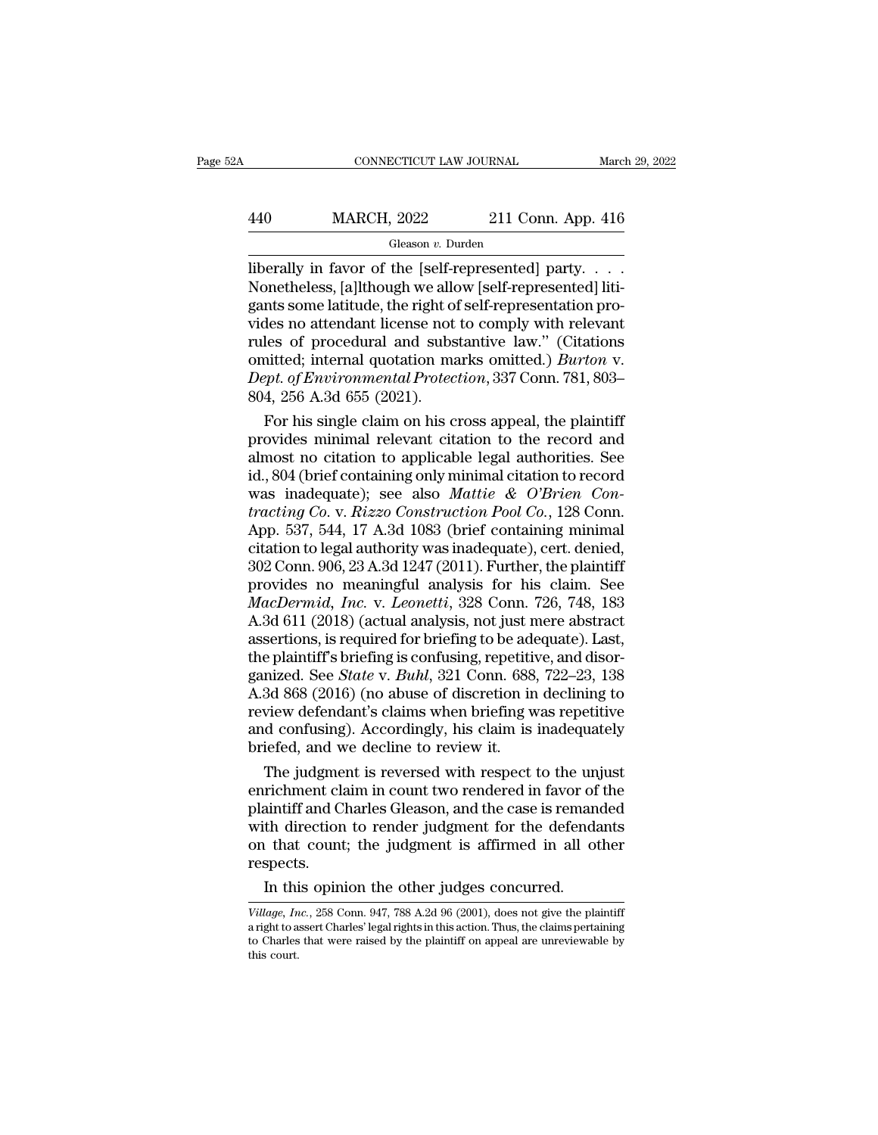# CONNECTICUT LAW JOURNAL March 29, 2022<br>
440 MARCH, 2022 211 Conn. App. 416<br>
Gleason v. Durden

#### Gleason *v.* Durden

CONNECTICUT LAW JOURNAL March 29, 2<br>
MARCH, 2022 211 Conn. App. 416<br>
Gleason v. Durden<br>
liberally in favor of the [self-represented] party. . . . .<br>
Nonetheless, [a]lthough we allow [self-represented] liti-MARCH, 2022 211 Conn. App. 416<br>
Gleason v. Durden<br>
liberally in favor of the [self-represented] party. . . . .<br>
Nonetheless, [a]lthough we allow [self-represented] liti-<br>
gants some latitude, the right of self-representati  $\frac{\text{MARCH}}{\text{Heason } v. \text{ burden}}$ <br>
Gleason v. Durden<br>
liberally in favor of the [self-represented] party.....<br>
Nonetheless, [a]lthough we allow [self-represented] litigants some latitude, the right of self-representation pro-<br>
vide 440 MARCH, 2022 211 Conn. App. 416<br>
Gleason v. Durden<br>
liberally in favor of the [self-represented] party....<br>
Nonetheless, [a]lthough we allow [self-represented] litigants some latitude, the right of self-representation Gleason v. Durden<br>
Gleason v. Durden<br>
liberally in favor of the [self-represented] party....<br>
Nonetheless, [a]lthough we allow [self-represented] litigants some latitude, the right of self-representation pro-<br>
vides no at Gleason *v*. Durden<br>
liberally in favor of the [self-represented] party. . . . .<br>
Nonetheless, [a]lthough we allow [self-representation pro-<br>
vides no attendant license not to comply with relevant<br>
rules of procedural and liberally in favor of the [self-represented] party. . . . . . Nonetheless, [a]lthough we allow [self-represented] litigants some latitude, the right of self-representation provides no attendant license not to comply with r Nonetheless, [a]lthough we allo<br>gants some latitude, the right of<br>vides no attendant license not<br>rules of procedural and subs<br>omitted; internal quotation ma<br>*Dept. of Environmental Protec*<br>804, 256 A.3d 655 (2021).<br>For his nts some latitude, the right of self-representation pro-<br>des no attendant license not to comply with relevant<br>les of procedural and substantive law." (Citations<br>nitted; internal quotation marks omitted.) *Burton* v.<br>pt. of vides no attendant license not to comply with relevant<br>rules of procedural and substantive law." (Citations<br>omitted; internal quotation marks omitted.) *Burton* v.<br>*Dept. of Environmental Protection*, 337 Conn. 781, 803–<br>8

rules of procedural and substantive law." (Citations<br>
omitted; internal quotation marks omitted.) *Burton* v.<br> *Dept. of Environmental Protection*, 337 Conn. 781, 803–<br>
804, 256 A.3d 655 (2021).<br>
For his single claim on h omitted; internal quotation marks omitted.) *Burton v.*<br> *Dept. of Environmental Protection*, 337 Conn. 781, 803–<br>
804, 256 A.3d 655 (2021).<br>
For his single claim on his cross appeal, the plaintiff<br>
provides minimal releva Dept. of Environmental Protection, 337 Conn. 781, 803–<br>804, 256 A.3d 655 (2021).<br>For his single claim on his cross appeal, the plaintiff<br>provides minimal relevant citation to the record and<br>almost no citation to applicable 804, 256 A.3d 655 (2021).<br>
For his single claim on his cross appeal, the plaintiff<br>
provides minimal relevant citation to the record and<br>
almost no citation to applicable legal authorities. See<br>
id., 804 (brief containing For his single claim on his cross appeal, the plaintiff<br>provides minimal relevant citation to the record and<br>almost no citation to applicable legal authorities. See<br>id., 804 (brief containing only minimal citation to reco provides minimal relevant citation to the record and<br>almost no citation to applicable legal authorities. See<br>id., 804 (brief containing only minimal citation to record<br>was inadequate); see also *Mattie & O'Brien Con-<br>tract* almost no citation to applicable legal authorities. See<br>id., 804 (brief containing only minimal citation to record<br>was inadequate); see also *Mattie & O'Brien Con-<br>tracting Co.* v. *Rizzo Construction Pool Co.*, 128 Conn. id., 804 (brief containing only minimal citation to record<br>was inadequate); see also *Mattie & O'Brien Contracting Co.* v. *Rizzo Construction Pool Co.*, 128 Conn.<br>App. 537, 544, 17 A.3d 1083 (brief containing minimal<br>cit *Macherian Co. v. Rizzo Construction Pool Co., 128 Conn.*<br> *App. 537, 544, 17 A.3d 1083 (brief containing minimal citation to legal authority was inadequate), cert. denied,*<br> *302 Conn. 906, 23 A.3d 1247 (2011). Further, t* tracting Co. v. Rizzo Construction Pool Co., 128 Conn.<br>App. 537, 544, 17 A.3d 1083 (brief containing minimal<br>citation to legal authority was inadequate), cert. denied,<br>302 Conn. 906, 23 A.3d 1247 (2011). Further, the plain App. 537, 544, 17 A.3d 1083 (brief containing minimal citation to legal authority was inadequate), cert. denied, 302 Conn. 906, 23 A.3d 1247 (2011). Further, the plaintiff provides no meaningful analysis for his claim. Se citation to legal authority was inadequate), cert. denied,<br>302 Conn. 906, 23 A.3d 1247 (2011). Further, the plaintiff<br>provides no meaningful analysis for his claim. See<br>*MacDermid, Inc.* v. *Leonetti*, 328 Conn. 726, 748, 302 Conn. 906, 23 A.3d 1247 (2011). Further, the plaintiff<br>provides no meaningful analysis for his claim. See<br>*MacDermid, Inc.* v. *Leonetti*, 328 Conn. 726, 748, 183<br>A.3d 611 (2018) (actual analysis, not just mere abstrac provides no meaningful analysis for his claim. See<br>MacDermid, Inc. v. Leonetti, 328 Conn. 726, 748, 183<br>A.3d 611 (2018) (actual analysis, not just mere abstract<br>assertions, is required for briefing to be adequate). Last,<br>t MacDermid, Inc. v. Leonetti, 328 Conn. 726, 748, 183<br>A.3d 611 (2018) (actual analysis, not just mere abstract<br>assertions, is required for briefing to be adequate). Last,<br>the plaintiff's briefing is confusing, repetitive, a A.3d 611 (2018) (actual analysis, not just mere abstract<br>assertions, is required for briefing to be adequate). Last,<br>the plaintiff's briefing is confusing, repetitive, and disor-<br>ganized. See *State* v. *Buhl*, 321 Conn. 6 assertions, is required for briefing to be add<br>the plaintiff's briefing is confusing, repetitively<br>ganized. See *State* v. *Buhl*, 321 Conn. 688<br>A.3d 868 (2016) (no abuse of discretion in<br>review defendant's claims when bri e plaintiff's briefing is confusing, repetitive, and disor-<br>nized. See *State* v. *Buhl*, 321 Conn. 688, 722–23, 138<br>3d 868 (2016) (no abuse of discretion in declining to<br>view defendant's claims when briefing was repetitiv ganized. See *State* v. *Buhl*, 321 Conn. 688, 722–23, 138<br>A.3d 868 (2016) (no abuse of discretion in declining to<br>review defendant's claims when briefing was repetitive<br>and confusing). Accordingly, his claim is inadequate

A.3d 868 (2016) (no abuse of discretion in declining to<br>review defendant's claims when briefing was repetitive<br>and confusing). Accordingly, his claim is inadequately<br>briefed, and we decline to review it.<br>The judgment is re review defendant's claims when briefing was repetitive<br>and confusing). Accordingly, his claim is inadequately<br>briefed, and we decline to review it.<br>The judgment is reversed with respect to the unjust<br>enrichment claim in co and confusing). Accordingly, his claim is inadequately<br>briefed, and we decline to review it.<br>The judgment is reversed with respect to the unjust<br>enrichment claim in count two rendered in favor of the<br>plaintiff and Charles respects. The judgment is reversed with respect to the un<br>richment claim in count two rendered in favor of<br>aintiff and Charles Gleason, and the case is reman<br>th direction to render judgment for the defenda<br>it that count; the judgme *Village, Inc.*, 258 Conn. 947, 788 A.2d 96 (2001), does not give the plaintiff aright to assert Charles' legal rights in this action. Thus, the claims pertaining to Charles that were raised by the plaintiff on appeal are

on that count; the judgment is affirmed in all other<br>respects.<br>In this opinion the other judges concurred.<br>Village, Inc., 258 Conn. 947, 788 A.2d 96 (2001), does not give the plaintiff<br>a right to assert Charles' legal rig respects.<br>In this opinion the other judges concurred.<br>Village, Inc., 258 Conn. 947, 788 A.2d 96 (2001), does not give the plaintiff<br>a right to assert Charles' legal rights in this action. Thus, the claims pertaining<br>to Cha Village, Inc., 258 Conn. 947, 788 A.2d  $96$  (2001), does not give the plaintiff a right to assert Charles' legal rights in this action. Thus, the claims pertaining to Charles that were raised by the plaintiff on appeal ar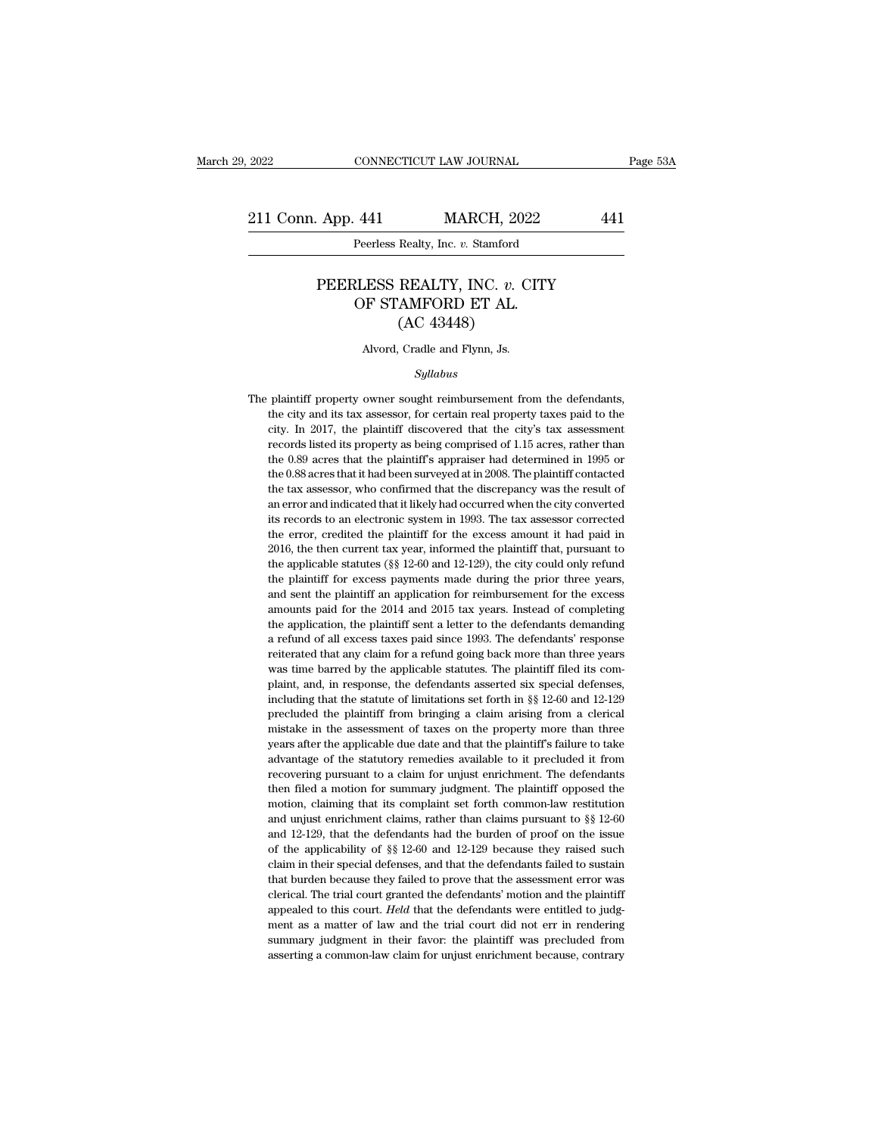2022 CONNECTICUT LAW JOURNAL Page 53A<br>211 Conn. App. 441 MARCH, 2022 441<br>Peerless Realty, Inc. v. Stamford

#### App. 441 MARCH, 2022 441<br>Peerless Realty, Inc. *v.* Stamford<br>PEERLESS REALTY, INC. *v.* CITY<br>OF STAMFORD ET AL. 441 MARCH, 2022<br>
Peerless Realty, Inc. v. Stamford<br>
RLESS REALTY, INC. v. CITY<br>
OF STAMFORD ET AL. (AC 43448) MARCH, 202<br>
Realty, Inc. v. Stamford<br>
REALTY, INC. v. C<br>
AMFORD ET AL.<br>
(AC 43448)<br>
Cradle and Flynn, Js. PEERLESS REALTY, INC. v. CITY<br>OF STAMFORD ET AL.<br>(AC 43448)<br>Alvord, Cradle and Flynn, Js.

#### *Syllabus*

 $\rm (AC~43448)$ <br>Alvord, Cradle and Flynn, Js.<br> $Syllabus$ <br>The plaintiff property owner sought reimbursement from the defendants,<br>the city and its tax assessor, for certain real property taxes paid to the Alvord, Cradle and Flynn, Js.<br>
Syllabus<br>
plaintiff property owner sought reimbursement from the defendants,<br>
the city and its tax assessor, for certain real property taxes paid to the<br>
city. In 2017, the plaintiff discover Alvord, Cradle and Flynn, Js.<br>
Syllabus<br>
plaintiff property owner sought reimbursement from the defendants,<br>
the city and its tax assessor, for certain real property taxes paid to the<br>
city. In 2017, the plaintiff discover *Syllabus*<br>
plaintiff property owner sought reimbursement from the defendants,<br>
the city and its tax assessor, for certain real property taxes paid to the<br>
city. In 2017, the plaintiff discovered that the city's tax asses Syttabus<br>plaintiff property owner sought reimbursement from the defendants,<br>the city and its tax assessor, for certain real property taxes paid to the<br>city. In 2017, the plaintiff discovered that the city's tax assessment<br> plaintiff property owner sought reimbursement from the defendants,<br>the city and its tax assessor, for certain real property taxes paid to the<br>city. In 2017, the plaintiff discovered that the city's tax assessment<br>records l the city and its tax assessor, for certain real property taxes paid to the city. In 2017, the plaintiff discovered that the city's tax assessment records listed its property as being comprised of 1.15 acres, rather than th error and indicated that it likely had occurred when the city's tax assessment<br>records listed its property as being comprised of 1.15 acres, rather than<br>the 0.89 acres that the plaintiff's appraiser had determined in 1995 ency and interpret was being comprised of 1.15 acres, rather than<br>the 0.89 acres that the plaintiff's appraiser had determined in 1995 or<br>the 0.88 acres that it had been surveyed at in 2008. The plaintiff contacted<br>the tax the 0.89 acres that the plaintiff's appraiser had determined in 1995 or the 0.89 acres that it had been surveyed at in 2008. The plaintiff contacted the tax assessor, who confirmed that the discrepancy was the result of an the 0.88 acres that it had been surveyed at in 2008. The plaintiff contacted the tax assessor, who confirmed that the discrepancy was the result of an error and indicated that it likely had occurred when the city converted the tax assessor, who confirmed that the discrepancy was the result of the tax assessor, who confirmed that the discrepancy was the result of an error and indicated that it likely had occurred when the city converted its r and excess payments made during the excess and error and indicated that it likely had occurred when the city converted its records to an electronic system in 1993. The tax assessor corrected the error, credited the plainti its records to an electronic system in 1993. The tax assessor corrected the error, credited the plaintiff for the excess amount it had paid in 2016, the then current tax year, informed the plaintiff that, pursuant to the the error, credited the plaintiff for the excess amount it had paid in 2016, the then current tax year, informed the plaintiff that, pursuant to the applicable statutes (§§ 12-60 and 12-129), the city could only refund the 2016, the then current tax year, informed the plaintiff that, pursuant to the applicable statutes ( $\S$ § 12-60 and 12-129), the city could only refund the plaintiff for excess payments made during the prior three years, an a refund of all excess taxes paid since 1993. The defendants are paintiff for excess payments made during the prior three years, and sent the plaintiff an application for reimbursement for the excess amounts paid for the the plaintiff for excess payments made during the prior three years,<br>and sent the plaintiff an application for reimbursement for the excess<br>amounts paid for the 2014 and 2015 tax years. Instead of completing<br>the applicatio and sent the plaintiff an application for reimbursement for the excess<br>amounts paid for the 2014 and 2015 tax years. Instead of completing<br>the application, the plaintiff sent a letter to the defendants demanding<br>a refund o amounts paid for the 2014 and 2015 tax years. Instead of completing the application, the plaintiff sent a letter to the defendants demanding a refund of all excess taxes paid since 1993. The defendants' response reiterate the application, the plaintiff sent a letter to the defendants demanding a refund of all excess taxes paid since 1993. The defendants' response reiterated that any claim for a refund going back more than three years was ti the application, the plaintiff sent a letter to the defendants demanding a refund of all excess taxes paid since 1993. The defendants' response reiterated that any claim for a refund going back more than three years was t reiterated that any claim for a refund going back more than three years<br>was time barred by the applicable statutes. The plaintiff filed its com-<br>plaint, and, in response, the defendants asserted six special defenses,<br>inclu was time barred by the applicable statutes. The plaintiff filed its complaint, and, in response, the defendants asserted six special defenses, including that the statute of limitations set forth in  $\S$  12-60 and 12-129 pr plaint, and, in response, the defendants asserted six special defenses, including that the statute of limitations set forth in  $\S$  12-60 and 12-129 precluded the plaintiff from bringing a claim arising from a clerical mis purally that the statute of limitations set forth in  $\S$  12-60 and 12-129 precluded the plaintiff from bringing a claim arising from a clerical mistake in the assessment of taxes on the property more than three years afte precluded the plaintiff from bringing a claim arising from a clerical mistake in the assessment of taxes on the property more than three years after the applicable due date and that the plaintiff's failure to take advantag motake in the assessment of taxes on the property more than three wears after the applicable due date and that the plaintiff's failure to take advantage of the statutory remedies available to it precluded it from recoverin wears after the applicable due date and that the plaintiff's failure to take advantage of the statutory remedies available to it precluded it from recovering pursuant to a claim for unjust enrichment. The defendants then advantage of the statutory remedies available to it precluded it from recovering pursuant to a claim for unjust enrichment. The defendants then filed a motion for summary judgment. The plaintiff opposed the motion, claimi recovering pursuant to a claim for unjust enrichment. The defendants<br>then filed a motion for summary judgment. The plaintiff opposed the<br>motion, claiming that its complaint set forth common-law restitution<br>and unjust enric then filed a motion for summary judgment. The plaintiff opposed the motion, claiming that its complaint set forth common-law restitution and unjust enrichment claims, rather than claims pursuant to  $\S$  12-60 and 12-129, t motion, claiming that its complaint set forth common-law restitution and unjust enrichment claims, rather than claims pursuant to  $\S$  12-60 and 12-129, that the defendants had the burden of proof on the issue of the appli and unjust enrichment claims, rather than claims pursuant to  $\S$  12-60 and 12-129, that the defendants had the burden of proof on the issue of the applicability of  $\S$  12-60 and 12-129 because they raised such claim in th and unjust enrichment claims, rather than claims pursuant to  $\S$  12-60 and 12-129, that the defendants had the burden of proof on the issue of the applicability of  $\S$  12-60 and 12-129 because they raised such claim in th of the applicability of  $\S$   $\S$  12-60 and 12-129 because they raised such claim in their special defenses, and that the defendants failed to sustain that burden because they failed to prove that the assessment error was c claim in their special defenses, and that the defendants failed to sustain<br>that burden because they failed to prove that the assessment error was<br>clerical. The trial court granted the defendants' motion and the plaintiff<br>a that burden because they failed to prove that the assessment error was clerical. The trial court granted the defendants' motion and the plaintiff appealed to this court. *Held* that the defendants were entitled to judgmen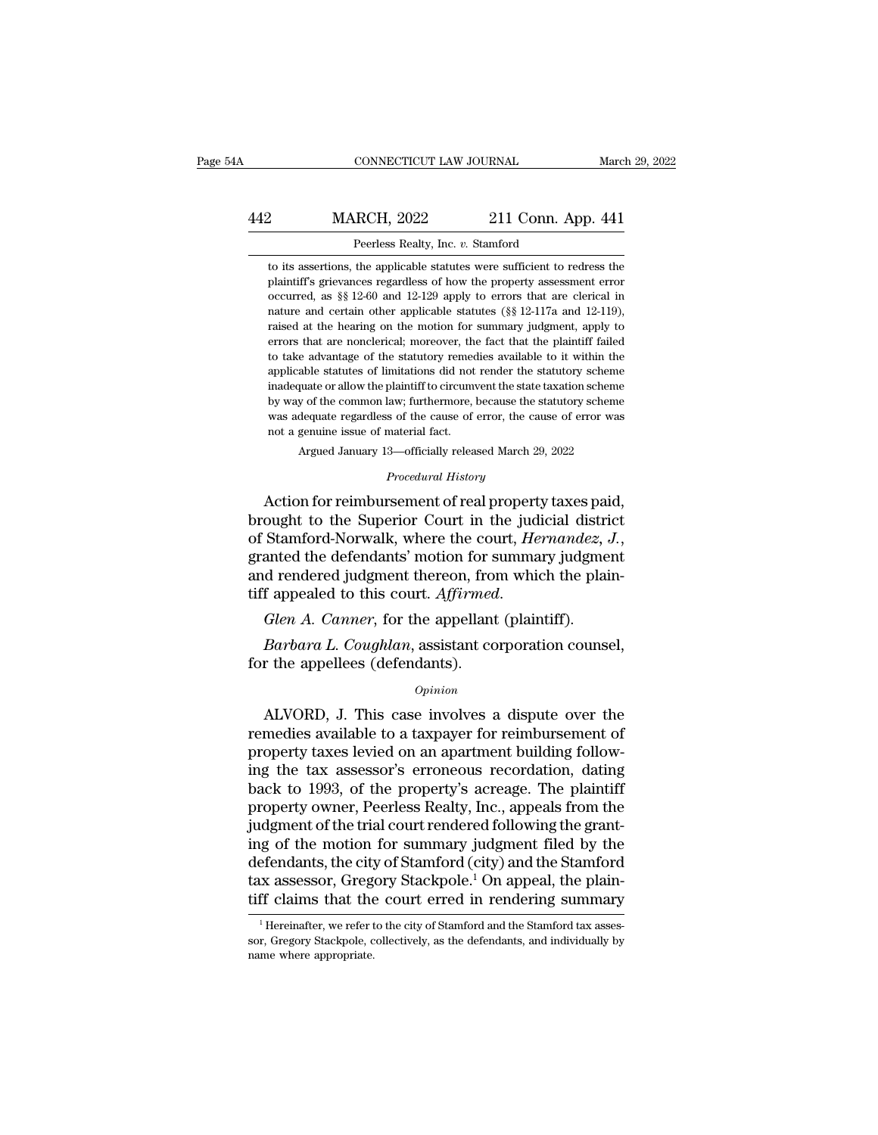### CONNECTICUT LAW JOURNAL March 29, 2022<br>442 MARCH, 2022 211 Conn. App. 441<br>Peerless Realty, Inc. v. Stamford CONNECTICUT LAW JOURNAL March March March 2022 211 Conn. App. 441<br>Peerless Realty, Inc. *v.* Stamford to its assertions, the applicable statutes were sufficient to redress the

MARCH, 2022 211 Conn. App. 441<br>
Peerless Realty, Inc. v. Stamford<br>
to its assertions, the applicable statutes were sufficient to redress the<br>
plaintiff's grievances regardless of how the property assessment error MARCH, 2022 211 Conn. App. 441<br>
Peerless Realty, Inc. v. Stamford<br>
to its assertions, the applicable statutes were sufficient to redress the<br>
plaintiff's grievances regardless of how the property assessment error<br>
occurred MARCH, 2022 211 Conn. App. 441<br>
Peerless Realty, Inc. v. Stamford<br>
to its assertions, the applicable statutes were sufficient to redress the<br>
plaintiff's grievances regardless of how the property assessment error<br>
occurred Peerless Realty, Inc. v. Stamford<br>to its assertions, the applicable statutes were sufficient to redress the<br>plaintiff's grievances regardless of how the property assessment error<br>occurred, as §§ 12-60 and 12-129 apply to e Peerless Realty, Inc. v. Stamford<br>to its assertions, the applicable statutes were sufficient to redress the<br>plaintiff's grievances regardless of how the property assessment error<br>occurred, as §§ 12-60 and 12-129 apply to e to its assertions, the applicable statutes were sufficient to redress the plaintiff's grievances regardless of how the property assessment error occurred, as  $\S$  12-60 and 12-129 apply to errors that are clerical in natur plaintiff's grievances regardless of how the property assessment error occurred, as §§ 12-60 and 12-129 apply to errors that are clerical in nature and certain other applicable statutes (§§ 12-117a and 12-119), raised at t parameter statutes of limitations did not render the statutes (\$8 12-117a and 12-119), raised at the hearing on the motion for summary judgment, apply to errors that are nonclerical; moreover, the fact that the plaintiff f in a mature and certain other applicable statutes  $(\S \S 12-117a$  and  $12-119)$ , raised at the hearing on the motion for summary judgment, apply to errors that are nonclerical; moreover, the fact that the plaintiff failed raised at the hearing on the motion for summary judgment, apply to errors that are nonclerical; moreover, the fact that the plaintiff failed to take advantage of the statutory remedies available to it within the applicable errors that are nonclerical; moreover, the fact that the plaintiff failed to take advantage of the statutory remedies available to it within the applicable statutes of limitations did not render the statutory scheme inadeq errors that are nonclerical; moreover, the fact that the plaintiff failed<br>to take advantage of the statutory remedies available to it within the<br>applicable statutes of limitations did not render the statutory scheme<br>inade inadequate or allow the plaintiff to circumvent the state taxation scheme<br>by way of the common law; furthermore, because the statutory scheme<br>was adequate regardless of the cause of error, the cause of error was<br>not a gen by way of the common law; furthermore, because the statutory scheme<br>was adequate regardless of the cause of error, the cause of error was<br>not a genuine issue of material fact.<br>Argued January 13—officially released March 29 inadequate or allow the plaintiff to circumvent the state taxation scheme<br>by way of the common law; furthermore, because the statutory scheme<br>was adequate regardless of the cause of error, the cause of error was<br>not a genu

by way of the common law; furthermore, because the statutory scheme<br>was adequate regardless of the cause of error, the cause of error was<br>not a genuine issue of material fact.<br>Argued January 13—officially released March 29 of Stamford-Norwalk, where the court, *Hernandez, J.*, granted the defendants' motion for summary judgment for summary judgment and rendered judgment thereon, from which the plaintiff annealed to this court. *Affirmed* Procedural History<br>Action for reimbursement of real property taxes paid,<br>brought to the Superior Court in the judicial district<br>of Stamford-Norwalk, where the court, *Hernandez*, J.,<br>granted the defendants' motion for summ Frocedural History<br>Action for reimbursement of real property taxes pair<br>brought to the Superior Court in the judicial district<br>of Stamford-Norwalk, where the court, *Hernandez*,<br>granted the defendants' motion for summary j Stamford-Norwalk, where the court, *Hernandez*, *J.*,<br>Stamford-Norwalk, where the court, *Hernandez*, *J.*,<br>anted the defendants' motion for summary judgment<br>d rendered judgment thereon, from which the plain-<br>f appealed to granted the defendants' motion for s<br>and rendered judgment thereon, from<br>tiff appealed to this court. Affirmed<br>Glen A. Canner, for the appellant<br>Barbara L. Coughlan, assistant co<br>for the appellees (defendants).<br>Opinion

#### *Opinion*

*Alen A. Canner*, for the appellant (plaintiff).<br> *Barbara L. Coughlan*, assistant corporation counsel,<br> *Coughlan*, assistant corporation counsel,<br> *Opinion*<br> *ALVORD*, J. This case involves a dispute over the<br>
medies av Glen A. Canner, for the appellant (plaintiff).<br>
Barbara L. Coughlan, assistant corporation counsel,<br>
for the appellees (defendants).<br>
Opinion<br>
ALVORD, J. This case involves a dispute over the<br>
remedies available to a taxpa *Barbara L. Coughlan*, assistant corporation counsel,<br>for the appellees (defendants).<br>*Opinion*<br>ALVORD, J. This case involves a dispute over the<br>remedies available to a taxpayer for reimbursement of<br>property taxes levied o for the appellees (defendants).<br>  $\omega_{pinion}$ <br>
ALVORD, J. This case involves a dispute over the<br>
remedies available to a taxpayer for reimbursement of<br>
property taxes levied on an apartment building follow-<br>
ing the tax asses opinion<br>
back to 1993, of the property case involves a dispute over the<br>
property taxes levied on an apartment building follow-<br>
ing the tax assessor's erroneous recordation, dating<br>
back to 1993, of the property's acreage *Opinion*<br>ALVORD, J. This case involves a dispute over the<br>remedies available to a taxpayer for reimbursement of<br>property taxes levied on an apartment building follow-<br>ing the tax assessor's erroneous recordation, dating<br> ALVORD, J. This case involves a dispute over the remedies available to a taxpayer for reimbursement of property taxes levied on an apartment building following the tax assessor's erroneous recordation, dating back to 1993, remedies available to a taxpayer for reimbursement of<br>property taxes levied on an apartment building follow-<br>ing the tax assessor's erroneous recordation, dating<br>back to 1993, of the property's acreage. The plaintiff<br>prope property taxes levied on an apartment building following the tax assessor's erroneous recordation, dating back to 1993, of the property's acreage. The plaintiff property owner, Peerless Realty, Inc., appeals from the judgm ing the tax assessor's erroneous recordation, dating<br>back to 1993, of the property's acreage. The plaintiff<br>property owner, Peerless Realty, Inc., appeals from the<br>judgment of the trial court rendered following the grant-<br> back to 1993, of the property's acreage. The plaintiff<br>property owner, Peerless Realty, Inc., appeals from the<br>judgment of the trial court rendered following the grant-<br>ing of the motion for summary judgment filed by the<br>d ig of the motion for summary judgment filed by the efendants, the city of Stamford (city) and the Stamford x assessor, Gregory Stackpole.<sup>1</sup> On appeal, the plain-<br>ff claims that the court erred in rendering summary<br><sup>1</sup> Her defendants, the city of Stamford (city) and the Stamford<br>tax assessor, Gregory Stackpole.<sup>1</sup> On appeal, the plain-<br>tiff claims that the court erred in rendering summary<br><sup>1</sup> Hereinafter, we refer to the city of Stamford and tax assessor, Greg<br>tiff claims that the<br><sup>1</sup>Hereinafter, we refer t<br>sor, Gregory Stackpole, c<br>name where appropriate.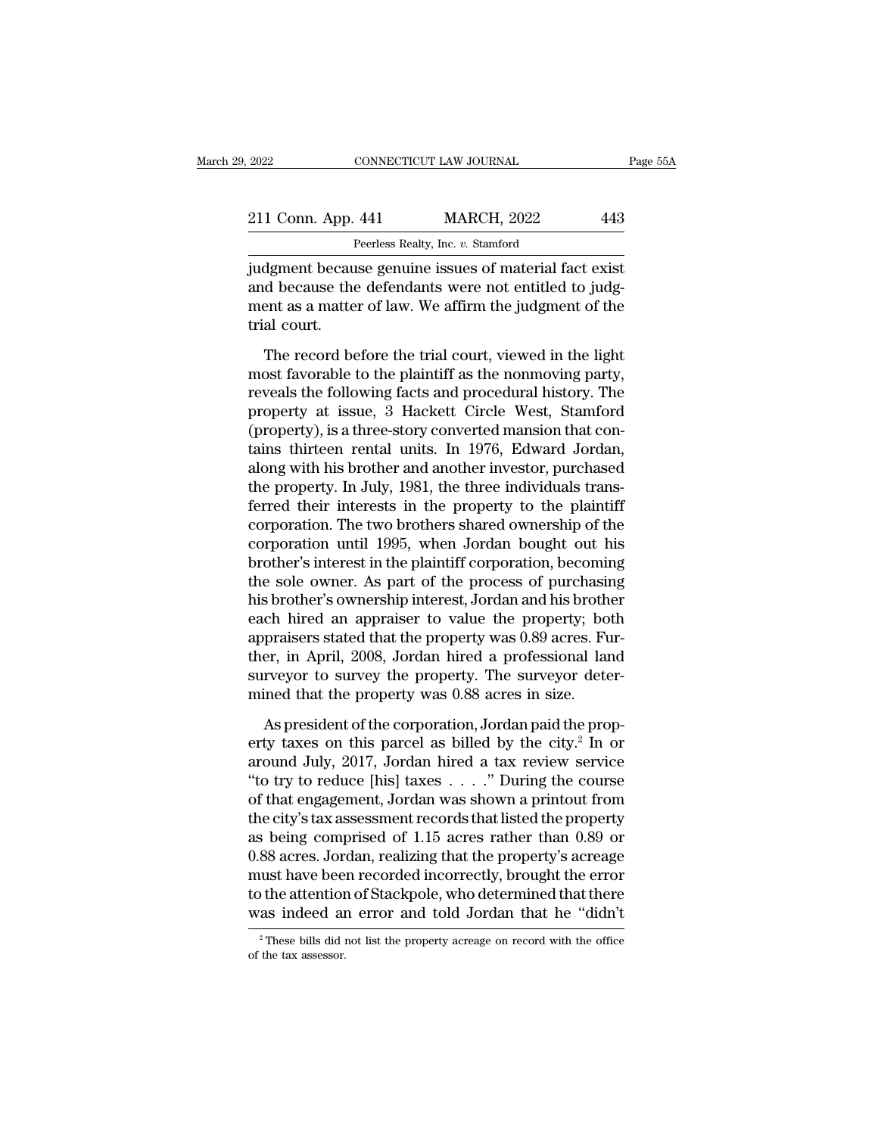| 2022               | CONNECTICUT LAW JOURNAL                                | Page 55A |
|--------------------|--------------------------------------------------------|----------|
| 211 Conn. App. 441 | <b>MARCH, 2022</b>                                     | 443      |
|                    | Peerless Realty, Inc. v. Stamford                      |          |
|                    | indoment because genuine issues of material fact exist |          |

2022 CONNECTICUT LAW JOURNAL Page 55/<br>
211 Conn. App. 441 MARCH, 2022 443<br>
Peerless Realty, Inc. v. Stamford<br>
judgment because genuine issues of material fact exist<br>
and because the defendants were not entitled to judg-<br>
m 211 Conn. App. 441 MARCH, 2022 443<br>
Peerless Realty, Inc. v. Stamford<br>
judgment because genuine issues of material fact exist<br>
and because the defendants were not entitled to judg-<br>
ment as a matter of law. We affirm the j 211 Conn. App. 441 MARCH, 2022 443<br>
Peerless Realty, Inc. v. Stamford<br>
judgment because genuine issues of material fact exist<br>
and because the defendants were not entitled to judgment as a matter of law. We affirm the judg 211 Conn. App.<br>
I<br>
judgment becau<br>
and because the<br>
ment as a matte<br>
trial court.<br>
The record be Peerless Realty, Inc. v. Stamford<br>dgment because genuine issues of material fact exist<br>d because the defendants were not entitled to judg-<br>ent as a matter of law. We affirm the judgment of the<br>al court.<br>The record before t indity because genuine issues of material fact exist<br>and because the defendants were not entitled to judgment as a matter of law. We affirm the judgment of the<br>trial court.<br>The record before the trial court, viewed in the

reveals the defendants were not entitled to judgment as a matter of law. We affirm the judgment of the trial court.<br>The record before the trial court, viewed in the light most favorable to the plaintiff as the nonmoving pa and seculate the determinits were not entitled to judge<br>ment as a matter of law. We affirm the judgment of the<br>trial court.<br>The record before the trial court, viewed in the light<br>most favorable to the plaintiff as the nonm (property), is a three-story converted manimum interpretation of the light<br>most favorable to the plaintiff as the nonmoving party,<br>reveals the following facts and procedural history. The<br>property at issue, 3 Hackett Circle The record before the trial court, viewed in the light<br>most favorable to the plaintiff as the nonmoving party,<br>reveals the following facts and procedural history. The<br>property at issue, 3 Hackett Circle West, Stamford<br>(pro The record before the trial court, viewed in the light<br>most favorable to the plaintiff as the nonmoving party,<br>reveals the following facts and procedural history. The<br>property at issue, 3 Hackett Circle West, Stamford<br>(pro most favorable to the plaintiff as the nonmoving party,<br>reveals the following facts and procedural history. The<br>property at issue, 3 Hackett Circle West, Stamford<br>(property), is a three-story converted mansion that con-<br>ta reveals the following facts and procedural history. The<br>property at issue, 3 Hackett Circle West, Stamford<br>(property), is a three-story converted mansion that con-<br>tains thirteen rental units. In 1976, Edward Jordan,<br>along property at issue, 3 Hackett Circle West, Stamford<br>(property), is a three-story converted mansion that contains thirteen rental units. In 1976, Edward Jordan,<br>along with his brother and another investor, purchased<br>the prop (property), is a three-story converted mansion that contains thirteen rental units. In 1976, Edward Jordan, along with his brother and another investor, purchased the property. In July, 1981, the three individuals transfer tains thirteen rental units. In 1976, Edward Jordan,<br>along with his brother and another investor, purchased<br>the property. In July, 1981, the three individuals trans-<br>ferred their interests in the property to the plaintiff<br> along with his brother and another investor, purchased<br>the property. In July, 1981, the three individuals trans-<br>ferred their interests in the property to the plaintiff<br>corporation. The two brothers shared ownership of the the property. In July, 1981, the three individuals transferred their interests in the property to the plaintiff<br>corporation. The two brothers shared ownership of the<br>corporation until 1995, when Jordan bought out his<br>broth ferred their interests in the property to the plaintiff<br>corporation. The two brothers shared ownership of the<br>corporation until 1995, when Jordan bought out his<br>brother's interest in the plaintiff corporation, becoming<br>the corporation. The two brothers shared ownership of the corporation until 1995, when Jordan bought out his brother's interest in the plaintiff corporation, becoming the sole owner. As part of the process of purchasing his br corporation until 1995, when Jordan bought out his<br>brother's interest in the plaintiff corporation, becoming<br>the sole owner. As part of the process of purchasing<br>his brother's ownership interest, Jordan and his brother<br>eac brother's interest in the plaintiff corporation, becoming<br>the sole owner. As part of the process of purchasing<br>his brother's ownership interest, Jordan and his brother<br>each hired an appraiser to value the property; both<br>ap the sole owner. As part of the process of purchasine his brother's ownership interest, Jordan and his broth each hired an appraiser to value the property; bo appraisers stated that the property was 0.89 acres. Further, in The corporation of the property; both<br>praisers stated that the property was 0.89 acres. Fur-<br>er, in April, 2008, Jordan hired a professional land<br>rveyor to survey the property. The surveyor deter-<br>ined that the property w entry the property was 0.89 acres. Fur-<br>appraisers stated that the property was 0.89 acres. Fur-<br>ther, in April, 2008, Jordan hired a professional land<br>surveyor to survey the property. The surveyor deter-<br>mined that the pr

ther, in April, 2008, Jordan hired a professional land<br>surveyor to survey the property. The surveyor deter-<br>mined that the property was 0.88 acres in size.<br>As president of the corporation, Jordan paid the prop-<br>erty taxes surveyor to survey the property. The surveyor deter-<br>
mined that the property was 0.88 acres in size.<br>
As president of the corporation, Jordan paid the prop-<br>
erty taxes on this parcel as billed by the city.<sup>2</sup> In or<br>
arou of the property was 0.88 acres in size.<br>
As president of the corporation, Jordan paid the property taxes on this parcel as billed by the city.<sup>2</sup> In or<br>
around July, 2017, Jordan hired a tax review service<br>
"to try to red As president of the corporation, Jordan paid the property taxes on this parcel as billed by the city.<sup>2</sup> In or around July, 2017, Jordan hired a tax review service "to try to reduce [his] taxes  $\dots$ ." During the course of As president of the corporation, Jordan paid the property taxes on this parcel as billed by the city.<sup>2</sup> In or around July, 2017, Jordan hired a tax review service "to try to reduce [his] taxes  $\ldots$ ." During the course o erty taxes on this parcel as billed by the city.<sup>2</sup> In or<br>around July, 2017, Jordan hired a tax review service<br>"to try to reduce [his] taxes . . . . ." During the course<br>of that engagement, Jordan was shown a printout fro around July, 2017, Jordan hired a tax review service<br>
"to try to reduce [his] taxes  $\ldots$ ." During the course<br>
of that engagement, Jordan was shown a printout from<br>
the city's tax assessment records that listed the proper "to try to reduce [his] taxes  $\ldots$ " During the course<br>of that engagement, Jordan was shown a printout from<br>the city's tax assessment records that listed the property<br>as being comprised of 1.15 acres rather than 0.89 or<br>0 of that engagement, Jordan was shown a printout from<br>the city's tax assessment records that listed the property<br>as being comprised of 1.15 acres rather than 0.89 or<br>0.88 acres. Jordan, realizing that the property's acreage 0.88 acres. Jordan, realizing that the property's acreage must have been recorded incorrectly, brought the error to the attention of Stackpole, who determined that there was indeed an error and told Jordan that he "didn't to the attention of Stackpole, who determined that there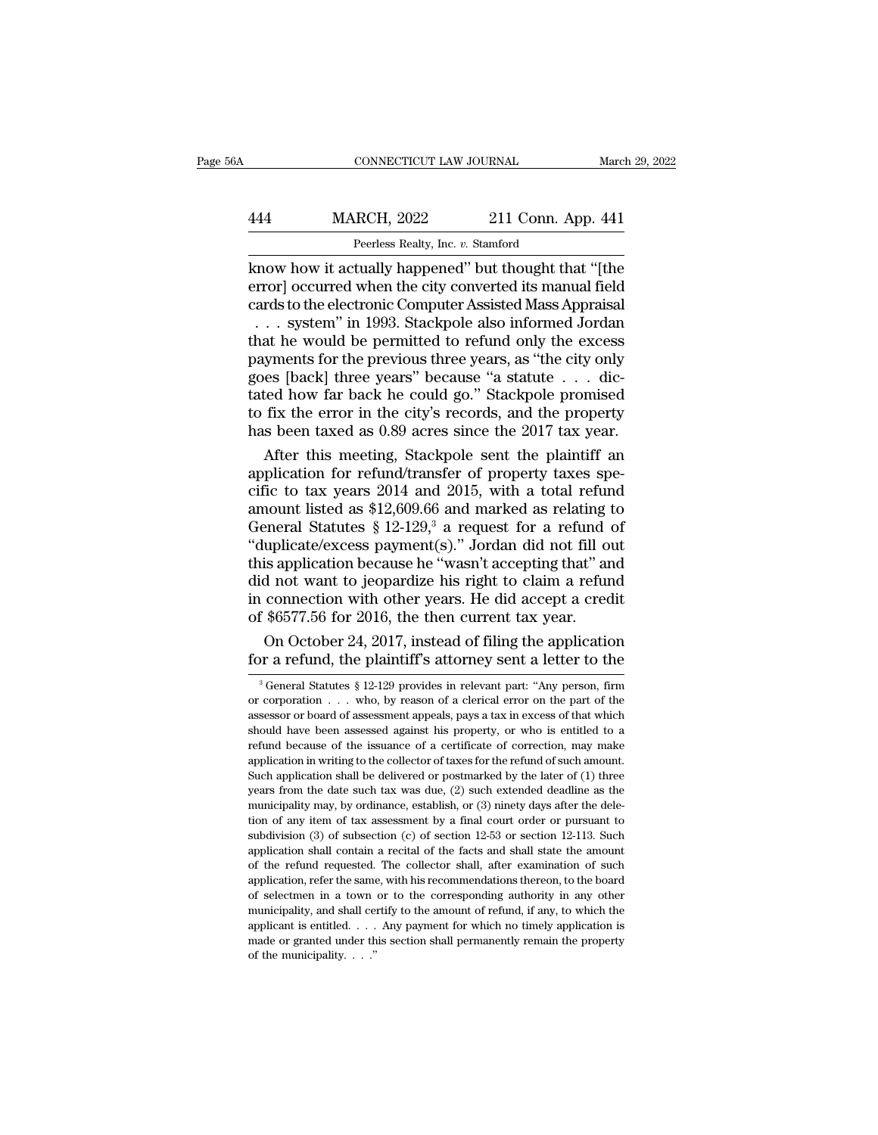### CONNECTICUT LAW JOURNAL March 29, 2022<br>444 MARCH, 2022 211 Conn. App. 441<br>Peerless Realty, Inc. v. Stamford CONNECTICUT LAW JOURNAL<br>RCH, 2022 211 Conn. A<sub>l</sub><br>Peerless Realty, Inc. *v.* Stamford<br>tually hannened'' but thought tha

CONNECTICUT LAW JOURNAL March 29, 2022<br>
MARCH, 2022 211 Conn. App. 441<br>
Peerless Realty, Inc. v. Stamford<br>
Know how it actually happened'' but thought that "[the<br>
error] occurred when the city converted its manual field<br>
c MARCH, 2022 211 Conn. App. 441<br>
Peerless Realty, Inc. v. Stamford<br>
know how it actually happened" but thought that "[the<br>
error] occurred when the city converted its manual field<br>
cards to the electronic Computer Assisted MARCH, 2022 211 Conn. App. 441<br>
Peerless Realty, Inc. v. Stamford<br>
know how it actually happened" but thought that "[the<br>
error] occurred when the city converted its manual field<br>
cards to the electronic Computer Assisted MARCH, 2022 211 Conn. App. 441<br>
Peerless Realty, Inc. v. Stamford<br>
mow how it actually happened" but thought that "[the<br>
rror] occurred when the city converted its manual field<br>
ards to the electronic Computer Assisted Mas From that the world be perfect to refund that "<br>
Recrease Realty, Inc. v. Stamford<br>
Recromed when the city converted its manual field<br>
cards to the electronic Computer Assisted Mass Appraisal<br>
. . . system" in 1993. Stack Peerless Realty, Inc.  $v$ . Stamford<br>
know how it actually happened" but thought that "[the<br>
error] occurred when the city converted its manual field<br>
cards to the electronic Computer Assisted Mass Appraisal<br>
... system" i know how it actually happened" but thought that "[the error] occurred when the city converted its manual field cards to the electronic Computer Assisted Mass Appraisal  $\ldots$  system" in 1993. Stackpole also informed Jordan error] occurred when the city converted its manual field<br>cards to the electronic Computer Assisted Mass Appraisal<br> $\ldots$  system" in 1993. Stackpole also informed Jordan<br>that he would be permitted to refund only the excess<br> cards to the electronic Computer Assisted Mass Appraisal<br>  $\ldots$  system" in 1993. Stackpole also informed Jordan<br>
that he would be permitted to refund only the excess<br>
payments for the previous three years, as "the city on ... system" in 1993. Stackpole also informed Jordan<br>that he would be permitted to refund only the excess<br>payments for the previous three years, as "the city only<br>goes [back] three years" because "a statute ... dic-<br>tated h at he would be permitted to refund only the excess<br>yments for the previous three years, as "the city only<br>es [back] three years" because "a statute . . . dic-<br>ted how far back he could go." Stackpole promised<br>fix the erro payments for the previous three years, as "the city only<br>goes [back] three years" because "a statute  $\ldots$  dic-<br>tated how far back he could go." Stackpole promised<br>to fix the error in the city's records, and the property<br>

goes [back] three years" because "a statute . . . dictated how far back he could go." Stackpole promised<br>to fix the error in the city's records, and the property<br>has been taxed as 0.89 acres since the 2017 tax year.<br>After tated how far back he could go." Stackpole promised<br>to fix the error in the city's records, and the property<br>has been taxed as 0.89 acres since the 2017 tax year.<br>After this meeting, Stackpole sent the plaintiff an<br>applic to fix the error in the city's records, and the property<br>has been taxed as 0.89 acres since the 2017 tax year.<br>After this meeting, Stackpole sent the plaintiff an<br>application for refund/transfer of property taxes spe-<br>cif has been taxed as 0.89 acres since the 2017 tax year.<br>
After this meeting, Stackpole sent the plaintiff an<br>
application for refund/transfer of property taxes spe-<br>
cific to tax years 2014 and 2015, with a total refund<br>
am After this meeting, Stackpole sent the plaintiff an application for refund/transfer of property taxes specific to tax years 2014 and 2015, with a total refund amount listed as \$12,609.66 and marked as relating to General application for refund/transfer of property taxes specific to tax years 2014 and 2015, with a total refund<br>amount listed as \$12,609.66 and marked as relating to<br>General Statutes § 12-129,<sup>3</sup> a request for a refund of<br>"dup cific to tax years 2014 and 2015, with a total refund<br>amount listed as \$12,609.66 and marked as relating to<br>General Statutes § 12-129,<sup>3</sup> a request for a refund of<br>"duplicate/excess payment(s)." Jordan did not fill out<br>th amount listed as  $$12,609.66$  and marked as relating to<br>General Statutes  $$12-129,^3$  a request for a refund of<br>"duplicate/excess payment(s)." Jordan did not fill out<br>this application because he "wasn't accepting that" an eneral Statutes § 12-129,<sup>3</sup> a request for a refund of uplicate/excess payment(s)." Jordan did not fill out is application because he "wasn't accepting that" and d not want to jeopardize his right to claim a refund connec "duplicate/excess payment(s)." Jordan did not fill out<br>this application because he "wasn't accepting that" and<br>did not want to jeopardize his right to claim a refund<br>in connection with other years. He did accept a credit<br>

3 General Statutes § 12-129 provides in relevant part: "Any person, firm corporation ... who, by reason of a clerical error on the part of the

or \$6577.56 for 2016, the then current tax year.<br>
On October 24, 2017, instead of filing the application<br>
for a refund, the plaintiff's attorney sent a letter to the<br>
<sup>3</sup> General Statutes § 12-129 provides in relevant par On October 24, 2017, instead of filing the application<br>for a refund, the plaintiff's attorney sent a letter to the<br><sup>3</sup>General Statutes § 12-129 provides in relevant part: "Any person, firm<br>or corporation . . . who, by rea Showled 24, 2011, instead of fining the approached for a refund, the plaintiff's attorney sent a letter to the  $\frac{3}{3}$  General Statutes § 12-129 provides in relevant part: "Any person, firm or corporation  $\ldots$  who, by For a refund, the plaintiff sattorney sent a fetter to the  $\frac{1}{3}$  General Statutes § 12-129 provides in relevant part: "Any person, firm or corporation . . . who, by reason of a certical error on the part of the assess <sup>3</sup> General Statutes § 12-129 provides in relevant part: "Any person, firm or corporation . . . who, by reason of a clerical error on the part of the assessor or board of assessment appeals, pays a tax in excess of that w or corporation shall be delivered or postmarked by the later of the assessor or board of assessment appeals, pays a tax in excess of that which should have been assessed against his property, or who is entitled to a refund assessor or board of assessment appeals, pays a tax in excess of that which should have been assessed against his property, or who is entitled to a refund because of the issuance of a certificate of correction, may make a should have been assessed against his property, or who is entitled to a refund because of the issuance of a certificate of correction, may make application in writing to the collector of taxes for the refund of such amount Frefund because of the issuance of a certificate of correction, may make application in writing to the collector of taxes for the refund of such amount.<br>Such application shall be delivered or postmarked by the later of (1 rapplication in writing to the collector of taxes for the refund of such amount.<br>Such application shall be delivered or postmarked by the later of (1) three<br>years from the date such tax was due, (2) such extended deadline Such application shall be delivered or postmarked by the later of (1) three years from the date such tax was due, (2) such extended deadline as the municipality may, by ordinance, establish, or (3) ninety days after the d beyears from the date such tax was due, (2) such extended deadline as the municipality may, by ordinance, establish, or (3) ninety days after the deletion of any item of tax assessment by a final court order or pursuant t between the values of the same of the collection of any item of the same interpedicion of any item of tax assessment by a final court order or pursuant to subdivision (3) of subsection (c) of section 12-53 or section 12-1 ition of any item of tax assessment by a final court order or pursuant to subdivision (3) of subsection (c) of section 12-53 or section 12-113. Such application shall contain a recital of the facts and shall state the amo subdivision (3) of subsection (c) of section 12-53 or section 12-113. Such application shall contain a recital of the facts and shall state the amount of the refund requested. The collector shall, after examination of suc subdivision (3) of subsection (c) of section 12-53 or section 12-113. Such application shall contain a recital of the facts and shall state the amount of the refund requested. The collector shall, after examination of suc For the refund requested. The collector shall, after examination of such application, refer the same, with his recommendations thereon, to the board of selectmen in a town or to the corresponding authority in any other mu of selectmen in a town or to the corresponding authority in any other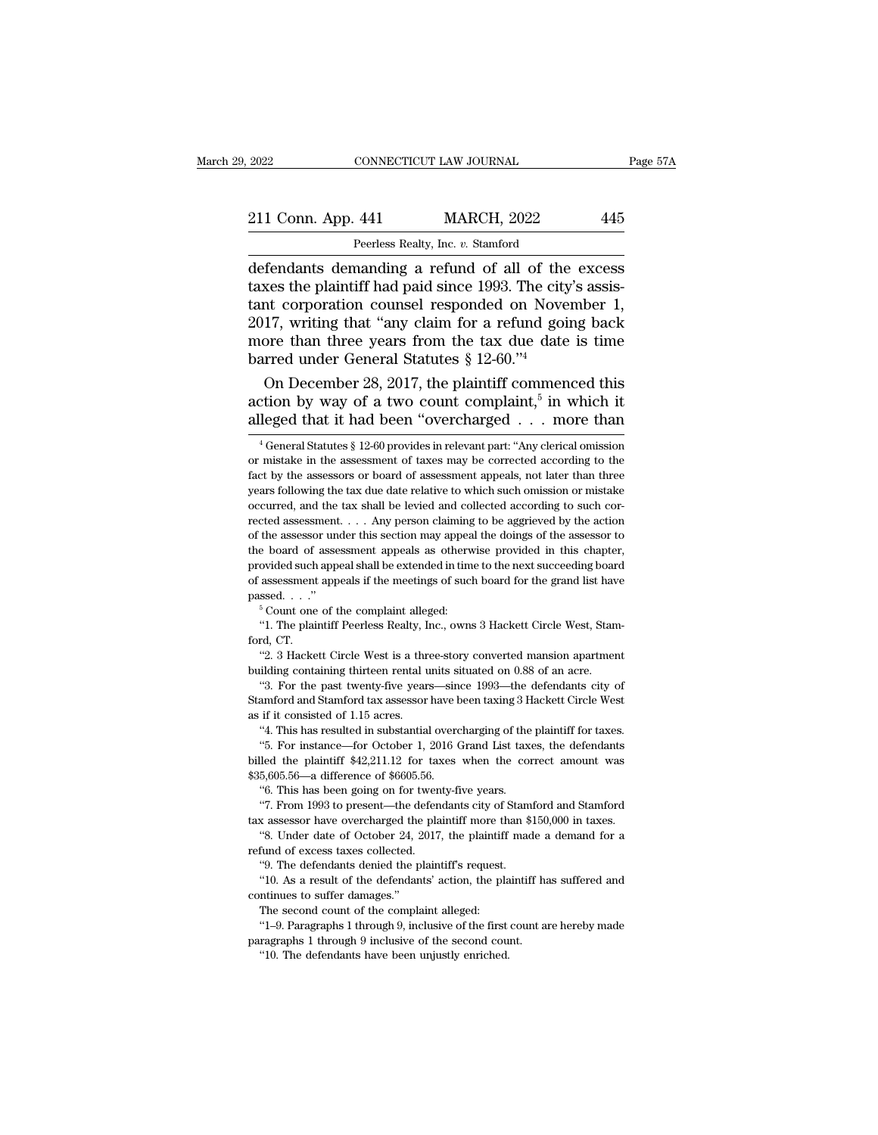2022 CONNECTICUT LAW JOURNAL Page 57A<br>
211 Conn. App. 441 MARCH, 2022 445<br>
Peerless Realty, Inc. v. Stamford<br>
defendants demanding a refund of all of the excess<br>
taxes the plaintiff had paid since 1993. The city's assis-211 Conn. App. 441 MARCH, 2022 445<br>
Peerless Realty, Inc. v. Stamford<br>
defendants demanding a refund of all of the excess<br>
taxes the plaintiff had paid since 1993. The city's assis-<br>
tant corporation counsel responded on N 211 Conn. App. 441 MARCH, 2022 445<br>
Peerless Realty, Inc. v. Stamford<br>
defendants demanding a refund of all of the excess<br>
taxes the plaintiff had paid since 1993. The city's assis-<br>
tant corporation counsel responded on N 211 Conn. App. 441 MARCH, 2022 445<br>
Peerless Realty, Inc. v. Stamford<br>
defendants demanding a refund of all of the excess<br>
taxes the plaintiff had paid since 1993. The city's assis-<br>
tant corporation counsel responded on N Feerless Realty, Inc. v. Stamford<br>defendants demanding a refund of all of the excess<br>taxes the plaintiff had paid since 1993. The city's assis-<br>tant corporation counsel responded on November 1,<br>2017, writing that "any cla Peerless Realty, Inc.  $v$ . Stamford<br>defendants demanding a refund of all of the<br>taxes the plaintiff had paid since 1993. The city<br>tant corporation counsel responded on Nove<br>2017, writing that "any claim for a refund goi<br>m fendants demanding a refund of all of the excess<br>xes the plaintiff had paid since 1993. The city's assis-<br>nt corporation counsel responded on November 1,<br>17, writing that "any claim for a refund going back<br>ore than three taxes the plaintiff had paid since 1993. The city's<br>tant corporation counsel responded on Novem<br>2017, writing that "any claim for a refund going<br>more than three years from the tax due date is<br>barred under General Statutes city's assis-<br>ovember 1,<br>going back<br>ate is time<br>nenced this<br>in which it<br>more than tant corporation counsel responded on November 1, 2017, writing that "any claim for a refund going back more than three years from the tax due date is time barred under General Statutes § 12-60."<sup>4</sup><br>On December 28, 2017,

On December 28, 2017, the plaintiff commenced this<br>ction by way of a two count complaint,<sup>5</sup> in which it<br>leged that it had been "overcharged . . . more than<br> $\frac{4}{3}$  General Statutes § 12-60 provides in relevant part: "A On December 28, 2017, the plaintiff commenced this action by way of a two count complaint,<sup>5</sup> in which it alleged that it had been "overcharged . . . more than  $\frac{4}{3}$  General Statutes § 12-60 provides in relevant part:

passed. . . ."<br>
<sup>5</sup> Count one of the complaint alleged:<br>
"1. The plaintiff Peerless Realty, Inc., owns 3 Hackett Circle West, Stan<br>
ford, CT.<br>
"2. 3 Hackett Circle West is a three-story converted mansion apartmer<br>
building

For the past twenty-five years—since 1993—the defendants circle West, Stam-<br>of Count one of the complaint alleged:<br>"1. The plaintiff Peerless Realty, Inc., owns 3 Hackett Circle West, Stam-<br>"2. 3 Hackett Circle West is a <sup>41</sup>. The plaintiff Peerless Realty, Inc., owns 3 Hackett Circle West, Stamford, CT.<br><sup>42</sup>. 3 Hackett Circle West is a three-story converted mansion apartment<br>building containing thirteen rental units situated on 0.88 of an ford, CT.<br>
"2. 3 Hackett Circle West is a three-story converted mansion apartment<br>
building containing thirteen rental units situated on 0.88 of an acre.<br>
"3. For the past twenty-five years—since 1993—the defendants city o "2. 3 Hackett Circle West is a three-story converted mansion apartment building containing thirteen rental units situated on 0.88 of an acre.<br>"3. For the past twenty-five years—since 1993—the defendants city of Stamford a "3. For the past twenty-five years—since 1993—the defendants city of Stamford and Stamford tax assessor have been taxing 3 Hackett Circle West as if it consisted of 1.15 acres.<br>"4. This has resulted in substantial overcha

"3. For the past twenty-five years—since 1993—the defendants city of Stamford and Stamford tax assessor have been taxing 3 Hackett Circle West as if it consisted of 1.15 acres. "4. This has resulted in substantial overcha Stamford and Stamford tax assessor have been taxing 3 Hackett Circle West<br>as if it consisted of 1.15 acres.<br>"4. This has resulted in substantial overcharging of the plaintiff for taxes.<br>"5. For instance—for October 1, 201 if it consisted of 1.15 acres.<br>
"4. This has resulted in substantial overcharging of the<br>
"5. For instance—for October 1, 2016 Grand List tax-<br>
"5. For instance—for October 1, 2016 Grand List tax-<br>
led the plaintiff \$42,21 "4. This has resulted in substantial overcharging of the plaintiff for taxes.<br>
"5. For instance—for October 1, 2016 Grand List taxes, the defendants<br>
lled the plaintiff \$42,211.12 for taxes when the correct amount was<br>
5, <sup>41</sup> S. For instance—for October 1, 2016 Grand List taxes, the defendants billed the plaintiff \$42,211.12 for taxes when the correct amount was \$35,605.56—a difference of \$6605.56.<br><sup>46</sup> C. This has been going on for twent Led the plaintiff \$42,211.12 for taxes when the career, are determined in the blank of  $$6605.56$ .<br>
"6. This has been going on for twenty-five years.<br>
"6. This has been going on for twenty-five years.<br>
"7. From 1993 to pr

\$35,605.56—a difference of \$6605.56.<br>
"6. This has been going on for twen<br>
"7. From 1993 to present—the defendant assessor have overcharged the plane<br>
"8. Under date of October 24, 2017<br>
refund of excess taxes collected.<br> "6. This has been going on for twenty-five years.<br>"6. This has been going on for twenty-five years.<br>"7. From 1993 to present—the defendants city of Stam<br>as assessor have overcharged the plaintiff more than \$<br>"8. Under date

". From 1993 to present—the defendants city of Stamford and Stamford<br>x assessor have overcharged the plaintiff more than \$150,000 in taxes.<br>"8. Under date of October 24, 2017, the plaintiff made a demand for a<br>fund of exce tax assessor have overcharged the<br>
"8. Under date of October 24, 2<br>
refund of excess taxes collected.<br>
"9. The defendants denied the p<br>
"10. As a result of the defendant<br>
continues to suffer damages."<br>
The second count of "S. Under date of October 24, 2017, the plaintiff made a demand for a refund of excess taxes collected.<br>"9. The defendants denied the plaintiff's request.<br>"10. As a result of the defendants' action, the plaintiff has suff of the discussed and the plaintiff's request.<br>
"9. The defendants denied the plaintiff's request.<br>
"10. As a result of the defendants' action, the plaintiff has suffered and<br>
ntinues to suffer damages."<br>
The second count o "9. The defendants denied the plaintiff's request.<br>
"10. As a result of the defendants' action, the plaintiff has<br>
continues to suffer damages."<br>
The second count of the complaint alleged:<br>
"1–9. Paragraphs 1 through 9, in "10. As a result of the defendants' action, the plantinues to suffer damages."<br>The second count of the complaint alleged:<br>"1-9. Paragraphs 1 through 9, inclusive of the first<br>ragraphs 1 through 9 inclusive of the second co

action by way of a two count complaint,<sup>5</sup> in which it alleged that it had been "overcharged . . . more than  $\frac{4}{3}$  General Statutes  $\frac{8}{3}$  12-60 provides in relevant part: "Any clerical omission or mistake in the a alleged that it had been "overcharged . . . more than  $\frac{1}{4}$  General Statutes § 12-60 provides in relevant part: "Any clerical omission or mistake in the assessment of taxes may be corrected according to the fact by th alleged that it had been "overcharged . . . . more than  $\frac{4}{4}$  General Statutes § 12-60 provides in relevant part: "Any clerical omission or mistake in the assessment of taxes may be corrected according to the fact by <sup>4</sup> General Statutes § 12-60 provides in relevant part: "Any clerical omission or mistake in the assessment of taxes may be corrected according to the fact by the assessors or board of assessment appeals, not later than t or mistake in the assessment of taxes may be corrected according to the fact by the assessors or board of assessment appeals, not later than three years following the tax due date relative to which such omission or mistake fact by the assessors or board of assessment appeals, not later than three years following the tax due date relative to which such omission or mistake occurred, and the tax shall be levied and collected according to such c provided such a shall be levied and collected according to such corrected assessment. . . . Any person claiming to be aggrieved by the action of the assessment. . . . Any person claiming to be aggrieved by the action of th board and the tax shall be levied and collected according to such corrected assessment.  $\ldots$  Any person claiming to be aggrieved by the action of the assessor under this section may appeal the doings of the assessor to t prected assessment. . . . . Any person claiming<br>rected assessor under this section may appea<br>the board of assessment appeals as otherw<br>provided such appeal shall be extended in tim<br>of assessment appeals if the meetings of The board of assessment appeals as otherwise provided in this chapter,<br>
ovided such appeal shall be extended in time to the next succeeding board<br>
assessment appeals if the meetings of such board for the grand list have<br>
s provided such<br>of assessment<br>passed. . . ."<br>"Count one<br>"1. The plain<br>ford, CT.<br>"2. 3 Hacke **Example 2.** 3 Hackett Circle West is a three-story converted mansion apartment<br>
"2. 3 Hackett Circle West is a three-story converted mansion apartment<br>
"2. 3 Hackett Circle West is a three-story converted mansion apartme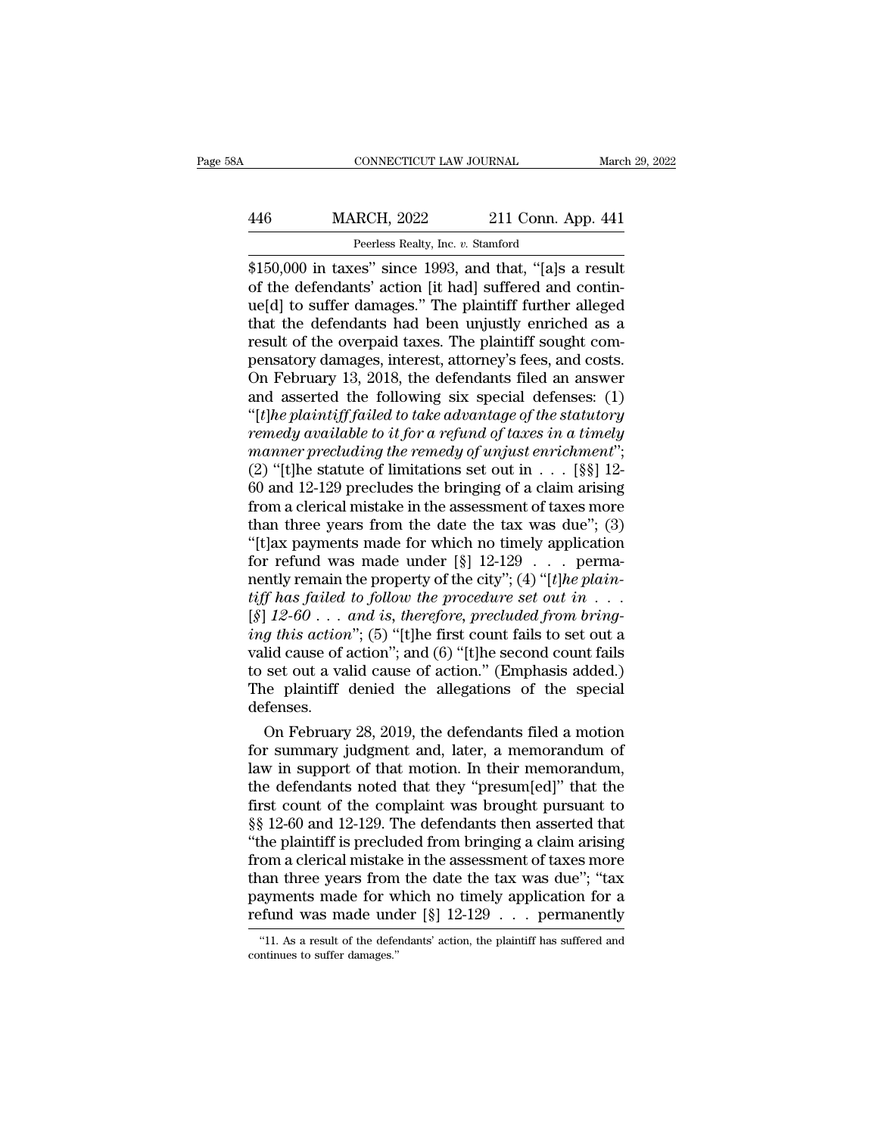### CONNECTICUT LAW JOURNAL March 29, 2022<br>446 MARCH, 2022 211 Conn. App. 441<br>Peerless Realty, Inc. v. Stamford CONNECTICUT LAW JOURNAL<br>RCH, 2022 211 Conn. A<sub>J</sub><br>Peerless Realty, Inc. *v.* Stamford<br>es'' since 1993 and that "[a]s a

CONNECTICUT LAW JOURNAL March 29, 202<br>
MARCH, 2022 211 Conn. App. 441<br>
Peerless Realty, Inc. v. Stamford<br>
\$150,000 in taxes'' since 1993, and that, "[a]s a result<br>
of the defendants' action [it had] suffered and contin-<br>
w MARCH, 2022 211 Conn. App. 441<br>
Peerless Realty, Inc. v. Stamford<br>
\$150,000 in taxes" since 1993, and that, "[a]s a result<br>
of the defendants' action [it had] suffered and contin-<br>
ue[d] to suffer damages." The plaintiff f MARCH, 2022 211 Conn. App. 441<br>
Peerless Realty, Inc. v. Stamford<br>
\$150,000 in taxes" since 1993, and that, "[a]s a result<br>
of the defendants' action [it had] suffered and continue<br>
[d] to suffer damages." The plaintiff f  $\frac{\text{MARCH}}{\text{Perless } \text{Realty, Inc. } v. \text{ Stamford}}$ <br>
Feerless Realty, Inc.  $v. \text{ Stamford}}$ <br>  $\frac{$150,000$ in taxes' since 1993, and that, "[a]s a result of the defendants' action [it had] suffered and continue[d] to suffer damages." The plaintiff further alleged that the defendants had been uniquely enriched as a result of the overpaid taxes. The plaintiff sought compensatory damages interest, attract.$ result of the overpaid taxes.<br>
Feerless Realty, Inc. v. Stamford<br>
\$150,000 in taxes" since 1993, and that, "[a]s a result<br>
of the defendants' action [it had] suffered and contin-<br>
ue[d] to suffer damages." The plaintiff fu Peerless Realty, Inc. v. Stamford<br>\$150,000 in taxes" since 1993, and that, "[a]s a result<br>of the defendants' action [it had] suffered and contin-<br>ue[d] to suffer damages." The plaintiff further alleged<br>that the defendants \$150,000 in taxes" since 1993, and that, "[a]s a result<br>of the defendants' action [it had] suffered and contin-<br>ue[d] to suffer damages." The plaintiff further alleged<br>that the defendants had been unjustly enriched as a<br>re of the defendants' action [it had] suffered and contin-<br>ue[d] to suffer damages." The plaintiff further alleged<br>that the defendants had been unjustly enriched as a<br>result of the overpaid taxes. The plaintiff sought com-<br>pe ue[d] to suffer damages." The plaintiff further alleged<br>that the defendants had been unjustly enriched as a<br>result of the overpaid taxes. The plaintiff sought com-<br>pensatory damages, interest, attorney's fees, and costs.<br>O *remediate that the defendants had been unjustly enriched as a*<br>result of the overpaid taxes. The plaintiff sought com-<br>pensatory damages, interest, attorney's fees, and costs.<br>On February 13, 2018, the defendants filed an result of the overpaid taxes. The plaintiff sought compensatory damages, interest, attorney's fees, and costs.<br>On February 13, 2018, the defendants filed an answer<br>and asserted the following six special defenses: (1)<br>"[*t]* pensatory damages, interest, attorney's fees, and costs.<br>On February 13, 2018, the defendants filed an answer<br>and asserted the following six special defenses: (1)<br>"[*t]he plaintiff failed to take advantage of the statutory* On February 13, 2018, the defendants filed an answer<br>and asserted the following six special defenses: (1)<br>"[*t]he plaintiff failed to take advantage of the statutory*<br>*remedy available to it for a refund of taxes in a tim* and asserted the following six special defenses: (1)<br>
"[*t*]he plaintiff failed to take advantage of the statutory<br>
remedy available to it for a refund of taxes in a timely<br>
manner precluding the remedy of unjust enrichme "[*t]he plaintiff failed to take advantage of the statutory*<br>remedy available to it for a refund of taxes in a timely<br>manner precluding the remedy of unjust enrichment";<br>(2) "[t]he statute of limitations set out in  $\dots$  [ remedy available to it for a refund of taxes in a timely<br>manner precluding the remedy of unjust enrichment";<br>(2) "[t]he statute of limitations set out in  $\dots$  [§§] 12-<br>60 and 12-129 precludes the bringing of a claim arisi manner precluding the remedy of unjust enrichment";<br>(2) "[t]he statute of limitations set out in . . . [§§] 12-<br>60 and 12-129 precludes the bringing of a claim arising<br>from a clerical mistake in the assessment of taxes mo (2) "[t]he statute of limitations set out in . . . [§§] 12-60 and 12-129 precludes the bringing of a claim arising from a clerical mistake in the assessment of taxes more than three years from the date the tax was due"; (  $60$  and 12-129 precludes the bringing of a claim arising<br>from a clerical mistake in the assessment of taxes more<br>than three years from the date the tax was due"; (3)<br>"[t]ax payments made for which no timely application<br>f from a clerical mistake in the assessment of taxes more<br>than three years from the date the tax was due"; (3)<br>"[t]ax payments made for which no timely application<br>for refund was made under [§]  $12-129$  . . . perma-<br>nently than three years from the date the tax was due"; (3)<br>
"[t]ax payments made for which no timely application<br>
for refund was made under [§]  $12{\text -}129$  . . . perma-<br>
nently remain the property of the city"; (4) "[t]he plain "[t]ax payments made for which no timely application<br>for refund was made under [§] 12-129 . . . perma-<br>nently remain the property of the city"; (4) "[t]he plain-<br>tiff has failed to follow the procedure set out in . . .<br>[§ for refund was made under [§] 12-129 . . . perma-<br>nently remain the property of the city"; (4) "[*t*]he plain-<br>tiff has failed to follow the procedure set out in . . .<br>[§] 12-60 . . . and is, therefore, precluded from bri nently remain the property of the city"; (4) "[t]he plain-<br>tiff has failed to follow the procedure set out in . . .<br>[§] 12-60 . . . and is, therefore, precluded from bring-<br>ing this action"; (5) "[t]he first count fails t defenses. [12-60 . . . and is, therefore, precluded from bring-<br>g this action"; (5) "[t]he first count fails to set out a<br>lid cause of action"; and (6) "[t]he second count fails<br>set out a valid cause of action." (Emphasis added.)<br>h *ing this action*"; (b) "[t]he first count fails to set out a<br>valid cause of action"; and (6) "[t]he second count fails<br>to set out a valid cause of action." (Emphasis added.)<br>The plaintiff denied the allegations of the sp

valid cause of action"; and (6) "[t]he second count fails<br>to set out a valid cause of action." (Emphasis added.)<br>The plaintiff denied the allegations of the special<br>defenses.<br>On February 28, 2019, the defendants filed a m to set out a valid cause of action." (Emphasis added.)<br>The plaintiff denied the allegations of the special<br>defenses.<br>On February 28, 2019, the defendants filed a motion<br>for summary judgment and, later, a memorandum of<br>law The plaintiff denied the allegations of the special<br>defenses.<br>On February 28, 2019, the defendants filed a motion<br>for summary judgment and, later, a memorandum of<br>law in support of that motion. In their memorandum,<br>the de detenses.<br>
On February 28, 2019, the defendants filed a motion<br>
for summary judgment and, later, a memorandum of<br>
law in support of that motion. In their memorandum,<br>
the defendants noted that they "presum[ed]" that the<br>
f On February 28, 2019, the defendants filed a motion<br>for summary judgment and, later, a memorandum of<br>law in support of that motion. In their memorandum,<br>the defendants noted that they "presum[ed]" that the<br>first count of t for summary judgment and, later, a memorandum of<br>law in support of that motion. In their memorandum,<br>the defendants noted that they "presum[ed]" that the<br>first count of the complaint was brought pursuant to<br>§§ 12-60 and 12 law in support of that motion. In their memorandum,<br>the defendants noted that they "presum[ed]" that the<br>first count of the complaint was brought pursuant to<br>§§ 12-60 and 12-129. The defendants then asserted that<br>"the plai the defendants noted that they "presum[ed]" that the<br>first count of the complaint was brought pursuant to<br> $\S$ § 12-60 and 12-129. The defendants then asserted that<br>"the plaintiff is precluded from bringing a claim arising<br> first count of the complaint was brought pursuant to  $\S\S$  12-60 and 12-129. The defendants then asserted that "the plaintiff is precluded from bringing a claim arising from a clerical mistake in the assessment of taxes mo om a clerical mistake in the assessment of taxes more<br>aan three years from the date the tax was due"; "tax<br>ayments made for which no timely application for a<br>fund was made under  $[\S] 12{\text -}129 \dots$  permanently<br>"11. As a res than three years from<br>payments made for w<br>refund was made und<br>"11. As a result of the defer<br>continues to suffer damages."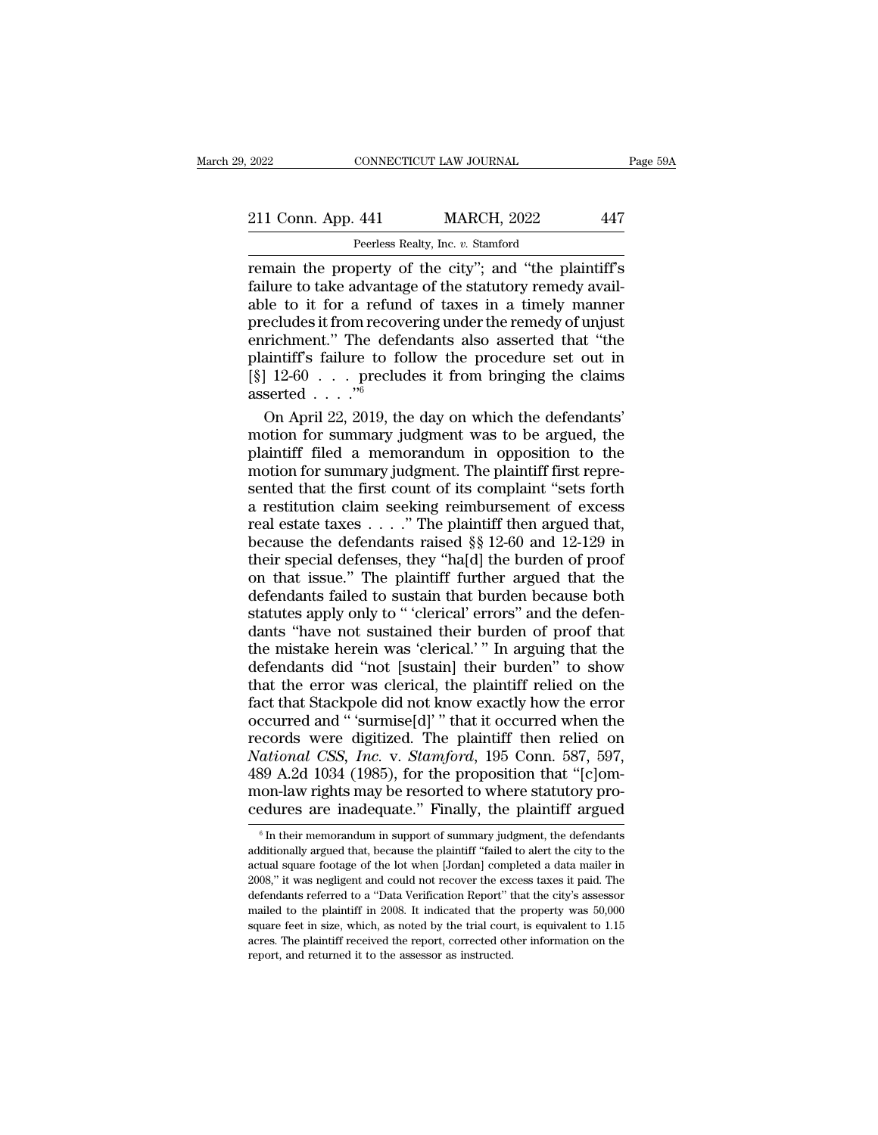### 2022 CONNECTICUT LAW JOURNAL Page 59A<br>211 Conn. App. 441 MARCH, 2022 447<br>Peerless Realty, Inc. v. Stamford EXECTICUT LAW JOURNAL<br> **441** MARCH, 2022<br>
Peerless Realty, Inc. *v.* Stamford<br>
poerty of the city'': and "the pla

Page 59A<br>
211 Conn. App. 441 MARCH, 2022 447<br>
Peerless Realty, Inc. v. Stamford<br>
remain the property of the city''; and "the plaintiff's<br>
failure to take advantage of the statutory remedy avail-<br>
able to it for a refund of 211 Conn. App. 441 MARCH, 2022 447<br>
Peerless Realty, Inc. v. Stamford<br>
Femain the property of the city"; and "the plaintiff's<br>
failure to take advantage of the statutory remedy avail-<br>
able to it for a refund of taxes in a 211 Conn. App. 441 MARCH, 2022 447<br>
Peerless Realty, Inc. v. Stamford<br>
remain the property of the city"; and "the plaintiff's<br>
failure to take advantage of the statutory remedy avail-<br>
able to it for a refund of taxes in 211 Conn. App. 441 MARCH, 2022 447<br>
Peerless Realty, Inc. v. Stamford<br>
remain the property of the city"; and "the plaintiff's<br>
failure to take advantage of the statutory remedy avail-<br>
able to it for a refund of taxes in a Peerless Realty, Inc. v. Stamford<br>
Feerless Realty, Inc. v. Stamford<br>
Femain the property of the city"; and "the plaintiff's<br>
failure to take advantage of the statutory remedy avail-<br>
able to it for a refund of taxes in a Peerless Realty, Inc. v. Stamford<br>
remain the property of the city"; and "the plaintiff's<br>
failure to take advantage of the statutory remedy avail-<br>
able to it for a refund of taxes in a timely manner<br>
precludes it from r remain the property of the city"; and "the plaintiff's<br>failure to take advantage of the statutory remedy avail-<br>able to it for a refund of taxes in a timely manner<br>precludes it from recovering under the remedy of unjust<br>e asserted . . . .''<sup>6</sup> le to it for a refund of taxes in a timely manner<br>ecludes it from recovering under the remedy of unjust<br>richment." The defendants also asserted that "the<br>aintiff's failure to follow the procedure set out in<br> $|12{\text -}60...|$  precludes it from recovering under the remedy of unjust<br>enrichment." The defendants also asserted that "the<br>plaintiff's failure to follow the procedure set out in<br>[§] 12-60 . . . precludes it from bringing the claims<br>asse

enrichment." The defendants also asserted that "the<br>plaintiff's failure to follow the procedure set out in<br>[§]  $12{\text -}60$  . . . precludes it from bringing the claims<br>asserted . . . . "<br>On April 22, 2019, the day on which plaintiff's failure to follow the procedure set out in  $[\S]$  12-60 . . . precludes it from bringing the claims asserted . . . ."<br>On April 22, 2019, the day on which the defendants' motion for summary judgment was to be ar [§]  $12{\text -}60$  . . . . precludes it from bringing the claims<br>asserted . . . ."<br>On April 22, 2019, the day on which the defendants'<br>motion for summary judgment was to be argued, the<br>plaintiff filed a memorandum in oppositi asserted . . . . ."<br>
On April 22, 2019, the day on which the defendants'<br>
motion for summary judgment was to be argued, the<br>
plaintiff filed a memorandum in opposition to the<br>
motion for summary judgment. The plaintiff fi On April 22, 2019, the day on which the defendants'<br>motion for summary judgment was to be argued, the<br>plaintiff filed a memorandum in opposition to the<br>motion for summary judgment. The plaintiff first repre-<br>sented that t motion for summary judgment was to be argued, the<br>plaintiff filed a memorandum in opposition to the<br>motion for summary judgment. The plaintiff first repre-<br>sented that the first count of its complaint "sets forth<br>a restit plaintiff filed a memorandum in opposition to the<br>motion for summary judgment. The plaintiff first repre-<br>sented that the first count of its complaint "sets forth<br>a restitution claim seeking reimbursement of excess<br>real es motion for summary judgment. The plaintiff first represented that the first count of its complaint "sets forth<br>a restitution claim seeking reimbursement of excess<br>real estate taxes . . . ." The plaintiff then argued that, sented that the first count of its complaint "sets forth<br>a restitution claim seeking reimbursement of excess<br>real estate taxes  $\dots$ ." The plaintiff then argued that,<br>because the defendants raised §§ 12-60 and 12-129 in<br>th sented that the first count of its complaint "sets forth a restitution claim seeking reimbursement of excess real estate taxes . . . ." The plaintiff then argued that, because the defendants raised  $\S$  12-60 and 12-129 in real estate taxes  $\ldots$ ." The plaintiff then argued that,<br>because the defendants raised §§ 12-60 and 12-129 in<br>their special defenses, they "ha[d] the burden of proof<br>on that issue." The plaintiff further argued that the<br> because the defendants raised §§ 12-60 and 12-129 in<br>their special defenses, they "ha[d] the burden of proof<br>on that issue." The plaintiff further argued that the<br>defendants failed to sustain that burden because both<br>statu their special defenses, they "ha[d] the burden of proof<br>on that issue." The plaintiff further argued that the<br>defendants failed to sustain that burden because both<br>statutes apply only to "'clerical' errors" and the defen-<br> on that issue." The plaintiff further argued that the defendants failed to sustain that burden because both statutes apply only to " 'clerical' errors" and the defendants "have not sustained their burden of proof that the defendants failed to sustain that burden because both statutes apply only to "clerical' errors" and the defendants "have not sustained their burden of proof that the mistake herein was 'clerical.' " In arguing that the def statutes apply only to " 'clerical' errors" and the defendants "have not sustained their burden of proof that<br>the mistake herein was 'clerical.' " In arguing that the<br>defendants did "not [sustain] their burden" to show<br>tha dants "have not sustained their burden of proof that<br>the mistake herein was 'clerical.' " In arguing that the<br>defendants did "not [sustain] their burden" to show<br>that the error was clerical, the plaintiff relied on the<br>fa and mistake herein was 'clerical.' " In arguing that the defendants did "not [sustain] their burden" to show that the error was clerical, the plaintiff relied on the fact that Stackpole did not know exactly how the error o defendants did "not [sustain] their burden" to show<br>that the error was clerical, the plaintiff relied on the<br>fact that Stackpole did not know exactly how the error<br>occurred and "'surmise[d]'" that it occurred when the<br>reco that the error was clerical, the plaintiff relied on the fact that Stackpole did not know exactly how the error occurred and " 'surmise[d]' " that it occurred when the records were digitized. The plaintiff then relied on Fact that Stackpole did not know exactly how the error occurred and " 'surmise[d]' " that it occurred when the records were digitized. The plaintiff then relied on National CSS, Inc. v. Stamford, 195 Conn. 587, 597, 489 A National CSS, Inc. v. Stamford, 195 Conn. 587, 597, 489 A.2d 1034 (1985), for the proposition that "[c]ommon-law rights may be resorted to where statutory procedures are inadequate." Finally, the plaintiff argued  $\frac{1}{10$ 489 A.2d 1034 (1985), for the proposition that " $[c]$ om-

mon-law rights may be resorted to where statutory procedures are inadequate." Finally, the plaintiff argued  $\frac{1}{6}$  In their memorandum in support of summary judgment, the defendants additionally argued that, because th cedures are inadequate." Finally, the plaintiff argued<br>  $\overline{\phantom{a}}$  in their memorandum in support of summary judgment, the defendants<br>
additionally argued that, because the plaintiff "failed to alert the city to the<br>
act additionally argued that, because the plaintiff "failed to alert the city to the actual square footage of the lot when [Jordan] completed a data mailer in 2008," it was negligent and could not recover the excess taxes it <sup>6</sup> In their memorandum in support of summary judgment, the defendants additionally argued that, because the plaintiff "failed to alert the city to the actual square footage of the lot when [Jordan] completed a data maile additionally argued that, because the plaintiff "failed to alert the city to the actual square footage of the lot when [Jordan] completed a data mailer in 2008," it was negligent and could not recover the excess taxes it p actual square footage of the lot when [Jordan] completed a data mailer in 2008," it was negligent and could not recover the excess taxes it paid. The defendants referred to a "Data Verification Report" that the city's asse  $2008$ ," it was negligent and could not recover the excess taxes it paid. The defendants referred to a "Data Verification Report" that the city's assessor mailed to the plaintiff in  $2008$ . It indicated that the property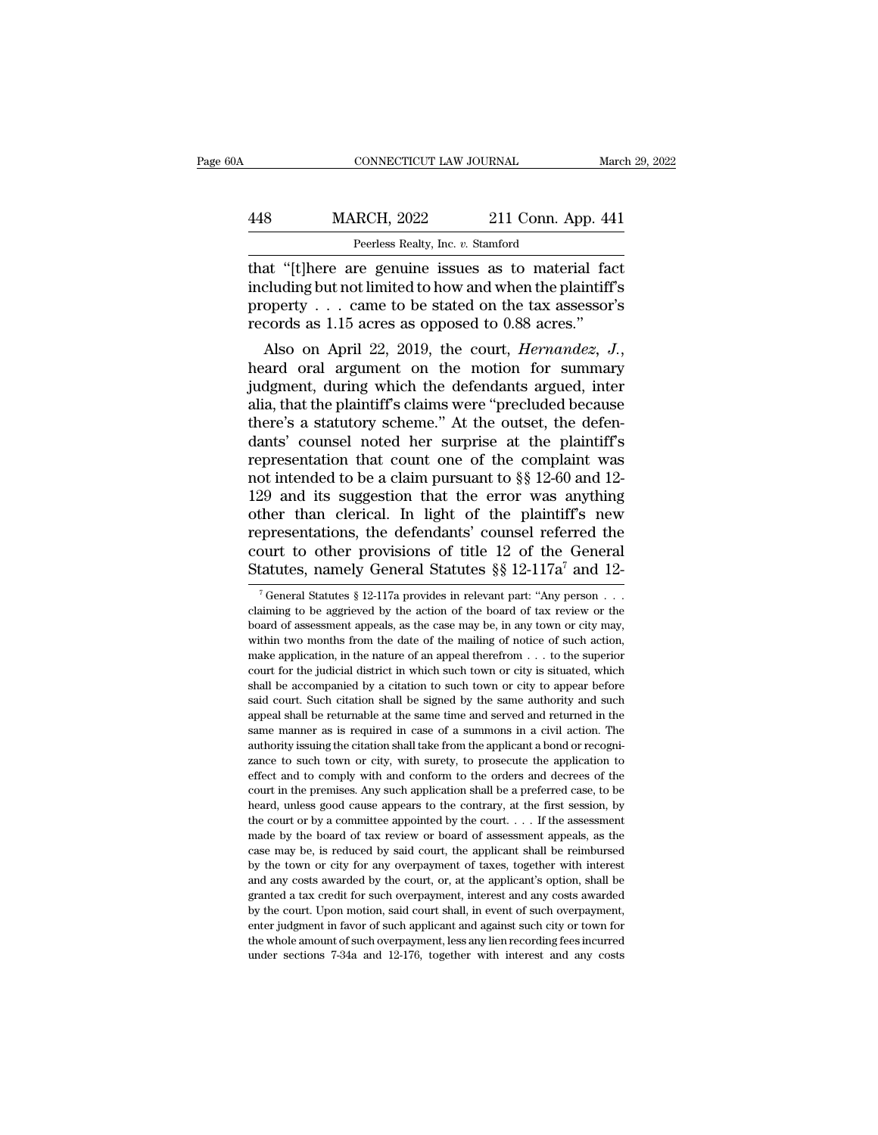### CONNECTICUT LAW JOURNAL March 29, 2022<br>
448 MARCH, 2022 211 Conn. App. 441<br>
Peerless Realty, Inc. v. Stamford EXECTICUT LAW JOURNAL<br>RCH, 2022 211 Conn. Apprecises Realty, Inc. *v.* Stamford<br>Peerless Realty, Inc. *v.* Stamford

CONNECTICUT LAW JOURNAL March 29, 202<br>
MARCH, 2022 211 Conn. App. 441<br>
Peerless Realty, Inc. v. Stamford<br>
that "[t]here are genuine issues as to material fact<br>
including but not limited to how and when the plaintiff's<br>
pro MARCH, 2022 211 Conn. App. 441<br>
Peerless Realty, Inc. v. Stamford<br>
that "[t]here are genuine issues as to material fact<br>
including but not limited to how and when the plaintiff's<br>
property . . . came to be stated on the ta MARCH, 2022 211 Conn. App. 441<br>
Peerless Realty, Inc. v. Stamford<br>
that "[t]here are genuine issues as to material fact<br>
including but not limited to how and when the plaintiff's<br>
property . . . came to be stated on the ta MARCH, 2022 211 Conn. App. 44<br>
Peerless Realty, Inc. v. Stamford<br>
that "[t]here are genuine issues as to material facincluding but not limited to how and when the plaintiff<br>
property . . . came to be stated on the tax asse Peerless Realty, Inc. *v.* Stamford<br> **Altat** "[t]here are genuine issues as to material fact<br>
including but not limited to how and when the plaintiff's<br>
property . . . came to be stated on the tax assessor's<br>
records as 1.

that "[t]here are genume issues as to material ract<br>including but not limited to how and when the plaintiff's<br>property . . . came to be stated on the tax assessor's<br>records as 1.15 acres as opposed to 0.88 acres."<br>Also on including but not imited to now and when the plaintiff's<br>property . . . came to be stated on the tax assessor's<br>records as 1.15 acres as opposed to 0.88 acres."<br>Also on April 22, 2019, the court, *Hernandez*, *J.*,<br>heard property . . . came to be stated on the tax assessor's<br>records as 1.15 acres as opposed to 0.88 acres."<br>Also on April 22, 2019, the court, *Hernandez*, J.,<br>heard oral argument on the motion for summary<br>judgment, during whi records as 1.15 acres as opposed to 0.88 acres.<br>
Also on April 22, 2019, the court, *Hernandez*, *J.*,<br>
heard oral argument on the motion for summary<br>
judgment, during which the defendants argued, inter<br>
alia, that the pl Also on April 22, 2019, the court, *Hernandez*, *J.*,<br>heard oral argument on the motion for summary<br>judgment, during which the defendants argued, inter<br>alia, that the plaintiff's claims were "precluded because<br>there's a s heard oral argument on the motion for summary<br>judgment, during which the defendants argued, inter<br>alia, that the plaintiff's claims were "precluded because<br>there's a statutory scheme." At the outset, the defen-<br>dants' coun judgment, during which the defendants argued, inter<br>alia, that the plaintiff's claims were "precluded because<br>there's a statutory scheme." At the outset, the defen-<br>dants' counsel noted her surprise at the plaintiff's<br>repr alia, that the plaintiff's claims were "precluded because<br>there's a statutory scheme." At the outset, the defen-<br>dants' counsel noted her surprise at the plaintiff's<br>representation that count one of the complaint was<br>not there's a statutory scheme." At the outset, the defendants' counsel noted her surprise at the plaintiff's<br>representation that count one of the complaint was<br>not intended to be a claim pursuant to  $\S$  12-60 and 12-<br>129 and dants' counsel noted her surprise at the plaintiff's<br>representation that count one of the complaint was<br>not intended to be a claim pursuant to  $\S$  12-60 and 12-<br>129 and its suggestion that the error was anything<br>other tha representation that count one of the complaint was<br>not intended to be a claim pursuant to §§ 12-60 and 12-<br>129 and its suggestion that the error was anything<br>other than clerical. In light of the plaintiff's new<br>representa ther than clerical. In light of the plaintiff's new ppresentations, the defendants' counsel referred the ourt to other provisions of title 12 of the General tatutes, namely General Statutes § 8 12-117a<sup>7</sup> and 12-<sup>7</sup> Gener representations, the defendants' counsel referred the court to other provisions of title 12 of the General Statutes, namely General Statutes §§ 12-117a<sup>7</sup> and 12<sup>-7</sup> General Statutes § 12-117a provides in relevant part: "

court to other provisions of title 12 of the General Statutes, namely General Statutes § § 12-117a<sup>7</sup> and 12<sup>-7</sup>General Statutes § 12-117a provides in relevant part: "Any person . . . claiming to be aggrieved by the actio Statutes, namely General Statutes §§ 12-117a<sup>7</sup> and 12-<br>
<sup>7</sup> General Statutes § 12-117a provides in relevant part: "Any person ...<br>
claiming to be aggrieved by the action of the board of tax review or the<br>
board of assess Statutes, namely General Statutes 88 12-117a and 12-<br>
<sup>7</sup> General Statutes § 12-117a provides in relevant part: "Any person . . . claiming to be aggrieved by the action of the board of tax review or the board of assessmen <sup>7</sup> General Statutes § 12-117a provides in relevant part: "Any person  $\ldots$  claiming to be aggrieved by the action of the board of tax review or the board of assessment appeals, as the case may be, in any town or city may claiming to be aggrieved by the action of the board of tax review or the board of assessment appeals, as the case may be, in any town or city may, within two months from the date of the mailing of notice of such action, m showed of assessment appeals, as the case may be, in any town or city may, within two months from the date of the mailing of notice of such action, make application, in the nature of an appeal therefrom  $\ldots$  to the super within two months from the date of the mailing of notice of such action, make application, in the nature of an appeal therefrom  $\ldots$  to the superior court for the judicial district in which such town or city is situated, make application, in the nature of an appeal therefrom  $\ldots$  to the superior court for the judicial district in which such town or city is situated, which shall be accompanied by a citation to such town or city to appear court for the judicial district in which such town or city is situated, which shall be accompanied by a citation to such town or city to appear before said court. Such citation shall be signed by the same authority and suc shall be accompanied by a citation to such town or city to appear before said court. Such citation shall be signed by the same authority and such appeal shall be returnable at the same time and served and returned in the s said court. Such citation shall be signed by the same authority and such appeal shall be returnable at the same time and served and returned in the same manner as is required in case of a summons in a civil action. The au court in the premises. Any such application shall be a preferred and returned in the same manner as is required in case of a summons in a civil action. The authority issuing the citation shall take from the applicant a bon same manner as is required in case of a summons in a civil action. The authority issuing the citation shall take from the applicant a bond or recognizance to such town or city, with surety, to prosecute the application to authority issuing the citation shall take from the applicant a bond or recognizance to such town or city, with surety, to prosecute the application to effect and to comply with and conform to the orders and decrees of the zance to such town or city, with surety, to prosecute the application to effect and to comply with and conform to the orders and decrees of the court in the premises. Any such application shall be a preferred case, to be h effect and to comply with and conform to the orders and decrees of the court in the premises. Any such application shall be a preferred case, to be heard, unless good cause appears to the contrary, at the first session, b court in the premises. Any such application shall be a preferred case, to be heard, unless good cause appears to the contrary, at the first session, by the court or by a committee appointed by the court. . . . If the asse beard, unless good cause appears to the contrary, at the first session, by the court or by a committee appointed by the court.  $\ldots$  If the assessment made by the board of tax review or board of assessment appeals, as the the court or by a committee appointed by the court. . . . If the assessment made by the board of tax review or board of assessment appeals, as the case may be, is reduced by said court, the applicant shall be reimbursed b made by the board of tax review or board of assessment appeals, as the case may be, is reduced by said court, the applicant shall be reimbursed by the town or city for any overpayment of taxes, together with interest and a exase may be, is reduced by said court, the applicant shall be reimbursed<br>by the town or city for any overpayment of taxes, together with interest<br>and any costs awarded by the court, or, at the applicant's option, shall be by the town or city for any overpayment of taxes, together with interest and any costs awarded by the court, or, at the applicant's option, shall be granted a tax credit for such overpayment, interest and any costs awarde by the town or city for any overpayment of taxes, together with interest and any costs awarded by the court, or, at the applicant's option, shall be granted a tax credit for such overpayment, interest and any costs awarded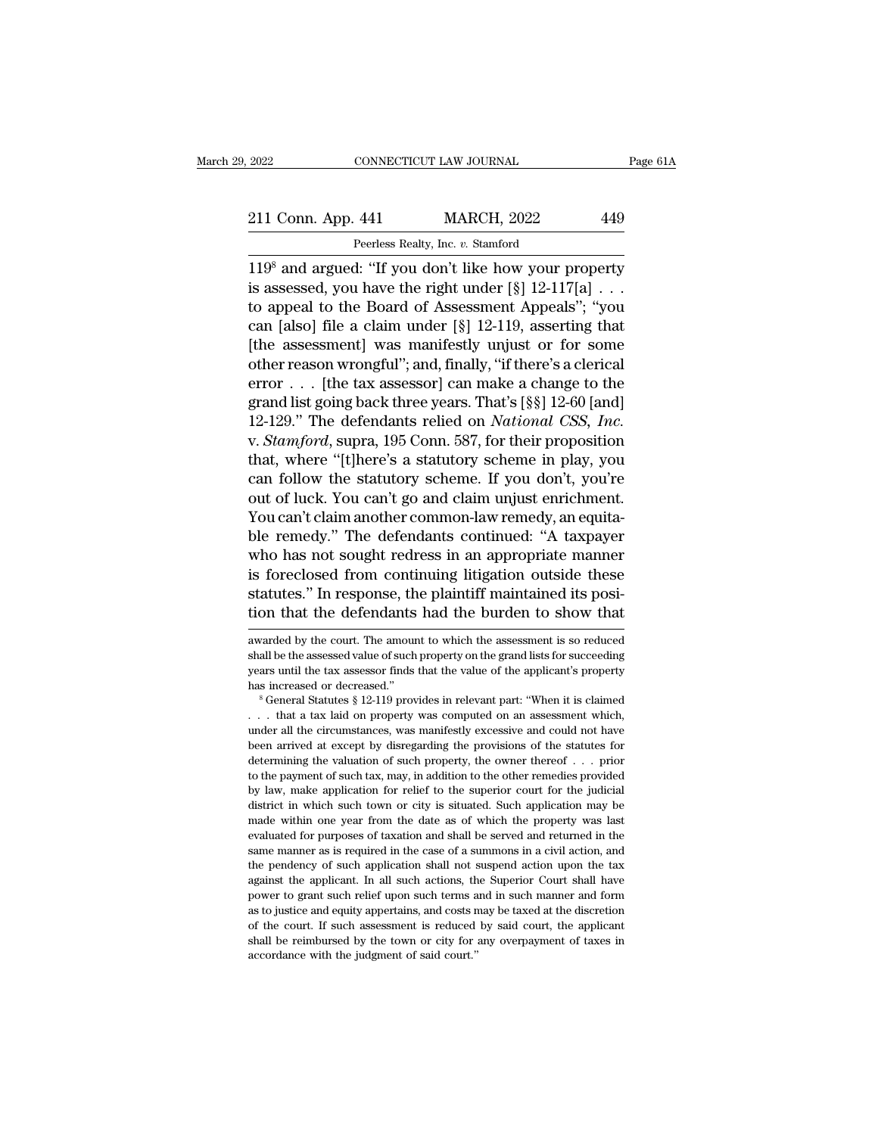# 2022 CONNECTICUT LAW JOURNAL Page 61A<br>211 Conn. App. 441 MARCH, 2022 449<br>Peerless Realty, Inc. v. Stamford

2022 CONNECTICUT LAW JOURNAL<br>211 Conn. App. 441 MARCH, 2022 449<br>Peerless Realty, Inc. *v.* Stamford<br>119<sup>8</sup> and argued: "If you don't like how your property 2022 CONNECTICUT LAW JOURNAL Page 61A<br>
211 Conn. App. 441 MARCH, 2022 449<br>
Peerless Realty, Inc. v. Stamford<br>
119<sup>8</sup> and argued: "If you don't like how your property<br>
is assessed, you have the right under [§] 12-117[a] . . 211 Conn. App. 441 MARCH, 2022 449<br>
Peerless Realty, Inc. v. Stamford<br>
119<sup>8</sup> and argued: "If you don't like how your property<br>
is assessed, you have the right under [§] 12-117[a] . . .<br>
to appeal to the Board of Assessme 211 Conn. App. 441 MARCH, 2022 449<br>
Peerless Realty, Inc. v. Stamford<br>
119<sup>8</sup> and argued: "If you don't like how your property<br>
is assessed, you have the right under  $[\S]$  12-117[a] ...<br>
to appeal to the Board of Assessme 211 Conn. App. 441 MARCH, 2022 449<br>
Peerless Realty, Inc. v. Stamford<br>
119<sup>8</sup> and argued: "If you don't like how your property<br>
is assessed, you have the right under  $[\S]$  12-117[a] . . .<br>
to appeal to the Board of Assess Feerless Realty, Inc. v. Stamford<br>
119<sup>8</sup> and argued: "If you don't like how your property<br>
is assessed, you have the right under  $[\S]$  12-117 $[a]$ ...<br>
to appeal to the Board of Assessment Appeals"; "you<br>
can [also] file a The reason wrong the reason wrong There's Balance 119<sup>8</sup> and argued: "If you don't like how your property is assessed, you have the right under  $[\S]$  12-117[a] . . . to appeal to the Board of Assessment Appeals"; "you can 119<sup>8</sup> and argued: "If you don't like how your property<br>is assessed, you have the right under [§] 12-117[a] . . .<br>to appeal to the Board of Assessment Appeals"; "you<br>can [also] file a claim under [§] 12-119, asserting tha is assessed, you have the right under  $[\S]$  12-117[a] . . .<br>to appeal to the Board of Assessment Appeals"; "you<br>can [also] file a claim under  $[\S]$  12-119, asserting that<br>[the assessment] was manifestly unjust or for some to appeal to the Board of Assessment Appeals"; "you<br>can [also] file a claim under [§] 12-119, asserting that<br>[the assessment] was manifestly unjust or for some<br>other reason wrongful"; and, finally, "if there's a clerical<br>e can [also] file a claim under [§] 12-119, asserting that<br>[the assessment] was manifestly unjust or for some<br>other reason wrongful"; and, finally, "if there's a clerical<br>error . . . [the tax assessor] can make a change to t [the assessment] was manifestly unjust or for some<br>other reason wrongful"; and, finally, "if there's a clerical<br>error . . . [the tax assessor] can make a change to the<br>grand list going back three years. That's [§§] 12-60 other reason wrongful"; and, finally, "if there's a clerical<br>error . . . [the tax assessor] can make a change to the<br>grand list going back three years. That's [§§] 12-60 [and]<br>12-129." The defendants relied on *National CS* error . . . [the tax assessor] can make a change to the<br>grand list going back three years. That's [§§] 12-60 [and]<br>12-129." The defendants relied on *National CSS*, *Inc.*<br>v. *Stamford*, supra, 195 Conn. 587, for their pr grand list going back three years. That's [§§] 12-60 [and] 12-129." The defendants relied on *National CSS, Inc.*<br>v. *Stamford*, supra, 195 Conn. 587, for their proposition that, where "[t]here's a statutory scheme in play 12-129." The defendants relied on *National CSS*, *Inc.*<br>v. *Stamford*, supra, 195 Conn. 587, for their proposition<br>that, where "[t]here's a statutory scheme in play, you<br>can follow the statutory scheme. If you don't, you' v. *Stamford*, supra, 195 Conn. 587, for their proposition<br>that, where "[t]here's a statutory scheme in play, you<br>can follow the statutory scheme. If you don't, you're<br>out of luck. You can't go and claim unjust enrichment. that, where "[t]here's a statutory scheme in play, you<br>can follow the statutory scheme. If you don't, you're<br>out of luck. You can't go and claim unjust enrichment.<br>You can't claim another common-law remedy, an equita-<br>ble can follow the statutory scheme. If you don't, you're<br>out of luck. You can't go and claim unjust enrichment.<br>You can't claim another common-law remedy, an equita-<br>ble remedy.'' The defendants continued: "A taxpayer<br>who has out of luck. You can't go and claim unjust enrichment.<br>You can't claim another common-law remedy, an equita-<br>ble remedy." The defendants continued: "A taxpayer<br>who has not sought redress in an appropriate manner<br>is foreclo is foreclosed from continuing litigation outside these<br>statutes." In response, the plaintiff maintained its posi-<br>tion that the defendants had the burden to show that<br>awarded by the court. The amount to which the assessmen is foreclosed from continuing litigation outside these<br>statutes." In response, the plaintiff maintained its posi-<br>tion that the defendants had the burden to show that<br>awarded by the court. The amount to which the assessmen

statutes." In response, the plaintiff maintained its position that the defendants had the burden to show that awarded by the court. The amount to which the assessment is so reduced shall be the assessed value of such prope is increased by the court. The amount to which the assessment is so reduced shall be the assessed value of such property on the grand lists for succeeding years until the tax assessor finds that the value of the applicant' awarded by the court. The amount to which the assessment is so reduced<br>shall be the assessed value of such property on the grand lists for succeeding<br>years until the tax assessor finds that the value of the applicant's pro

shall be the assessed value of such property on the grand lists for succeeding<br>years until the tax assessor finds that the value of the applicant's property<br>has increased or decreased."<br><sup>8</sup> General Statutes § 12-119 provid between arrived at except by disregarding the provisions of the statutes since as increased."<br>  $^8$  General Statutes  $^8$  12-119 provides in relevant part: "When it is claimed<br>  $\ldots$  that a tax laid on property was comput best increased or decreased."<br>
Also increased or decreased."<br>  $\frac{1}{2}$  is General Statutes § 12-119 provides in relevant part: "When it is claimed<br>  $\frac{1}{2}$ ... that a tax laid on property was computed on an assessment w <sup>11</sup> Seneral Statutes § 12-119 provides in relevant part: "When it is claimed . . . . that a tax laid on property was computed on an assessment which, under all the circumstances, was manifestly excessive and could not ha by law, make application for relief to the superior court for the judicial district in which such application for such property, the owner thereof  $\ldots$  prior determining the valuation of such property, the owner thereof The sum of the circumstances, was manifestly excessive and could not have been arrived at except by disregarding the provisions of the statutes for determining the valuation of such property, the owner thereof  $\ldots$  prior under all the circumstances, was manifestly excessive and could not have been arrived at except by disregarding the provisions of the statutes for determining the valuation of such property, the owner thereof  $\ldots$  prior determining the valuation of such property, the owner thereof . . . prior<br>to the payment of such tax, may, in addition to the other remedies provided<br>by law, make application for relief to the superior court for the judici to the payment of such tax, may, in addition to the other remedies provided by law, make application for relief to the superior court for the judicial district in which such town or city is situated. Such application may b by law, make application for relief to the superior court for the judicial district in which such town or city is situated. Such application may be made within one year from the date as of which the property was last evalu by fait, in which such town or city is situated. Such application may be made within one year from the date as of which the property was last evaluated for purposes of taxation and shall be served and returned in the same made within one year from the date as of which the property was last<br>evaluated for purposes of taxation and shall be served and returned in the<br>same manner as is required in the case of a summons in a civil action, and<br>the evaluated for purposes of taxation and shall be served and returned in the same manner as is required in the case of a summons in a civil action, and the pendency of such application shall not suspend action upon the tax a same manner as is required in the case of a summons in a civil action, and the pendency of such application shall not suspend action upon the tax against the applicant. In all such actions, the Superior Court shall have po shall be pendency of such application shall not suspend action upon the tax against the applicant. In all such actions, the Superior Court shall have power to grant such relief upon such terms and in such manner and form a against the applicant. In all such actions, the Superior Court shall have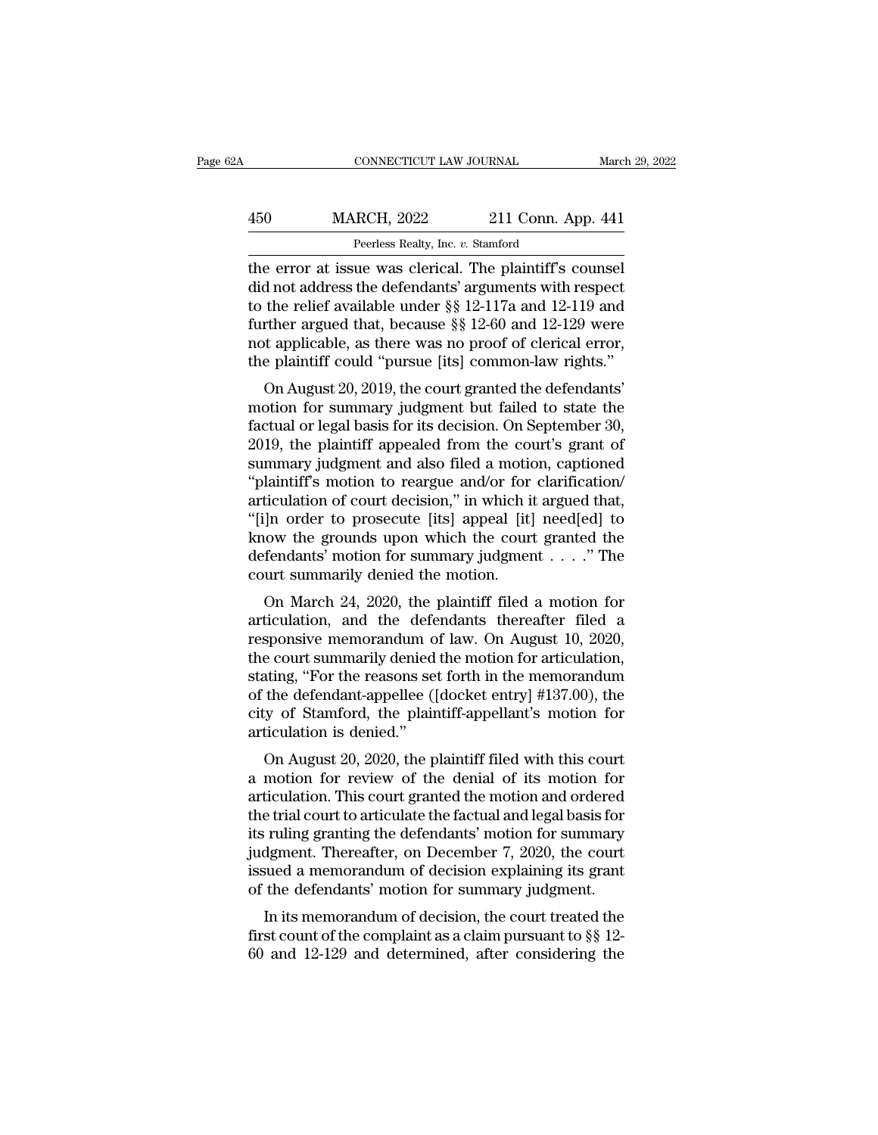| 2A  | CONNECTICUT LAW JOURNAL                                  |                    | March 29, 2022 |
|-----|----------------------------------------------------------|--------------------|----------------|
| 450 | <b>MARCH, 2022</b>                                       | 211 Conn. App. 441 |                |
|     | Peerless Realty, Inc. v. Stamford                        |                    |                |
|     | the error at issue was clerical. The plaintiff's counsel |                    |                |

CONNECTICUT LAW JOURNAL March 29, 20<br>
450 MARCH, 2022 211 Conn. App. 441<br>
Peerless Realty, Inc. v. Stamford<br>
the error at issue was clerical. The plaintiff's counsel<br>
did not address the defendants' arguments with respect<br> MARCH, 2022 211 Conn. App. 441<br>
Peerless Realty, Inc. v. Stamford<br>
the error at issue was clerical. The plaintiff's counsel<br>
did not address the defendants' arguments with respect<br>
to the relief available under  $\S$  12-117a MARCH, 2022 211 Conn. App. 441<br>
Peerless Realty, Inc. v. Stamford<br>
the error at issue was clerical. The plaintiff's counsel<br>
did not address the defendants' arguments with respect<br>
to the relief available under §§ 12-117a 450 MARCH, 2022 211 Conn. App. 441<br>
Peerless Realty, Inc. v. Stamford<br>
the error at issue was clerical. The plaintiff's counsel<br>
did not address the defendants' arguments with respect<br>
to the relief available under  $\S$  12 Perless Realty, Inc. v. Stamford<br>the error at issue was clerical. The plaintiff's counsel<br>did not address the defendants' arguments with respect<br>to the relief available under §§ 12-117a and 12-119 and<br>further argued that, Peerless Realty, Inc. v. Stamford<br>the error at issue was clerical. The plaintiff's counsel<br>did not address the defendants' arguments with respect<br>to the relief available under §§ 12-117a and 12-119 and<br>further argued that, d not address the defendants' arguments with respect<br>the relief available under §§ 12-117a and 12-119 and<br>rther argued that, because §§ 12-60 and 12-129 were<br>t applicable, as there was no proof of clerical error,<br>e plainti mot and ess the defendants arguments what respect<br>to the relief available under  $\S$  12-117a and 12-119 and<br>further argued that, because  $\S$  12-60 and 12-129 were<br>not applicable, as there was no proof of clerical error,<br>th

further argued that, because  $\S$  12-117a and 12-119 and<br>further argued that, because  $\S$  12-60 and 12-129 were<br>not applicable, as there was no proof of clerical error,<br>the plaintiff could "pursue [its] common-law rights." ruther argued that, because 88 12-00 and 12-125 were<br>not applicable, as there was no proof of clerical error,<br>the plaintiff could "pursue [its] common-law rights."<br>On August 20, 2019, the court granted the defendants'<br>moti summary judgment and subsetted and the plaintiff could "pursue [its] common-law rights."<br>On August 20, 2019, the court granted the defendants'<br>motion for summary judgment but failed to state the<br>factual or legal basis for The plaintiff collid pulsale [its] continuous rights.<br>
On August 20, 2019, the court granted the defendants'<br>
motion for summary judgment but failed to state the<br>
factual or legal basis for its decision. On September 30,<br> On August 20, 2019, the court granted the defendants'<br>motion for summary judgment but failed to state the<br>factual or legal basis for its decision. On September 30,<br>2019, the plaintiff appealed from the court's grant of<br>sum motion for summary judgment but failed to state the<br>factual or legal basis for its decision. On September 30,<br>2019, the plaintiff appealed from the court's grant of<br>summary judgment and also filed a motion, captioned<br>"plai factual or legal basis for its decision. On September 30,<br>2019, the plaintiff appealed from the court's grant of<br>summary judgment and also filed a motion, captioned<br>"plaintiff's motion to reargue and/or for clarification/<br> 2019, the plaintiff appealed from the court's grant of summary judgment and also filed a motion, captioned "plaintiff's motion to reargue and/or for clarification/<br>articulation of court decision," in which it argued that, summary judgment and also filed a motic<br>"plaintiff's motion to reargue and/or for<br>articulation of court decision," in which it<br>"[i]n order to prosecute [its] appeal [it]<br>know the grounds upon which the court<br>defendants' mo Frame is motion to reargue and/or for clarification<br>ticulation of court decision," in which it argued that,<br> $\vert$ n order to prosecute [its] appeal [it] need[ed] to<br>tow the grounds upon which the court granted the<br>fendants' articulation of court decision, and which it argued that,<br>
"[i]n order to prosecute [its] appeal [it] need[ed] to<br>
know the grounds upon which the court granted the<br>
defendants' motion for summary judgment  $\ldots$ ." The<br>
co

Figure 10 prosecure [its] appear [it] need[ed] to<br>know the grounds upon which the court granted the<br>defendants' motion for summary judgment . . . ." The<br>court summarily denied the motion.<br>On March 24, 2020, the plaintiff Referred ants' motion for summary judgment  $\ldots$ ." The<br>court summarily denied the motion.<br>On March 24, 2020, the plaintiff filed a motion for<br>articulation, and the defendants thereafter filed a<br>responsive memorandum of la stating, the reasons in the reasons of the reasons of the reasons of the reasons set for the reasons set for the memorandum of law. On August 10, 2020, the court summarily denied the motion for articulation, stating, "For Court summarny defiled the motion.<br>
On March 24, 2020, the plaintiff filed a motion for<br>
articulation, and the defendants thereafter filed a<br>
responsive memorandum of law. On August 10, 2020,<br>
the court summarily denied th On March 24, 2020, the plaintiff filed a motion for<br>articulation, and the defendants thereafter filed a<br>responsive memorandum of law. On August 10, 2020,<br>the court summarily denied the motion for articulation,<br>stating, "Fo articulation, and the deferesponsive memorandum of<br>the court summarily denied<br>stating, "For the reasons se<br>of the defendant-appellee (|<br>city of Stamford, the plair<br>articulation is denied."<br>On August 20, 2020, the p sponsive inenforantially of faw. On August 10, 2020,<br>e court summarily denied the motion for articulation,<br>ating, "For the reasons set forth in the memorandum<br>the defendant-appellee ([docket entry] #137.00), the<br>y of Stamf a motion for articulation,<br>stating, "For the reasons set forth in the memorandum<br>of the defendant-appellee ([docket entry] #137.00), the<br>city of Stamford, the plaintiff-appellant's motion for<br>articulation is denied."<br>On Au

stating, For the Feasons set form in the membrantum<br>of the defendant-appellee ([docket entry] #137.00), the<br>city of Stamford, the plaintiff-appellant's motion for<br>articulation is denied."<br>On August 20, 2020, the plaintiff of the defendant-appenee (plocket entry]  $#157.00$ ), the<br>city of Stamford, the plaintiff-appellant's motion for<br>articulation is denied."<br>On August 20, 2020, the plaintiff filed with this court<br>a motion for review of the d Eny of Standord, the plantif-appenant's inotion for<br>articulation is denied."<br>On August 20, 2020, the plaintiff filed with this court<br>a motion for review of the denial of its motion for<br>articulation. This court granted the In August 20, 2020, the plaintiff filed with this court<br>a motion for review of the denial of its motion for<br>articulation. This court granted the motion and ordered<br>the trial court to articulate the factual and legal basis On August 20, 2020, the plaintiff filed with this court<br>a motion for review of the denial of its motion for<br>articulation. This court granted the motion and ordered<br>the trial court to articulate the factual and legal basis a motion for review of the denial of its motion for articulation. This court granted the motion and ordered the trial court to articulate the factual and legal basis for its ruling granting the defendants' motion for summa Etheration. This court granted the motion and ordered<br>e trial court to articulate the factual and legal basis for<br>ruling granting the defendants' motion for summary<br>dgment. Thereafter, on December 7, 2020, the court<br>wed a first ruling granting the defendants' motion for summary<br>judgment. Thereafter, on December 7, 2020, the court<br>issued a memorandum of decision explaining its grant<br>of the defendants' motion for summary judgment.<br>In its memo first runng granting the detendants inotion for summary<br>judgment. Thereafter, on December 7, 2020, the court<br>issued a memorandum of decision explaining its grant<br>of the defendants' motion for summary judgment.<br>In its memor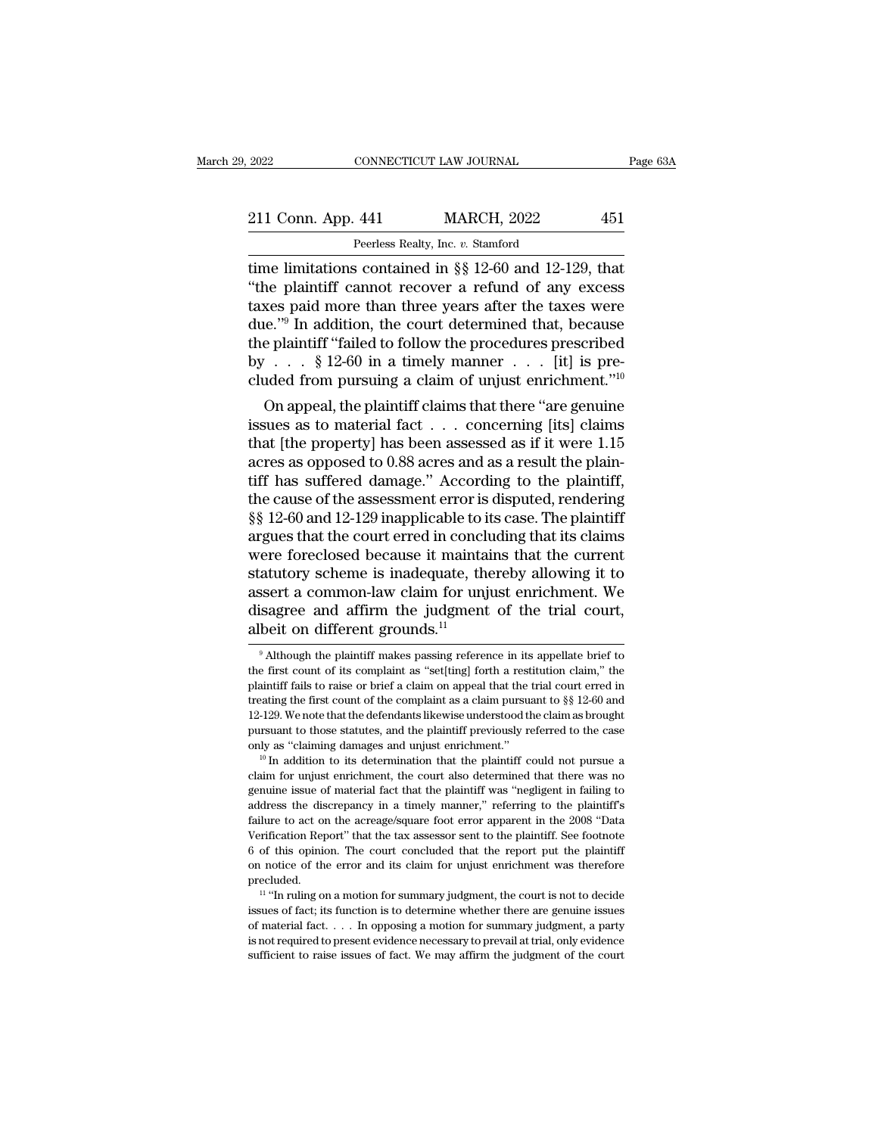| 2022               | CONNECTICUT LAW JOURNAL                                | Page 63A |
|--------------------|--------------------------------------------------------|----------|
| 211 Conn. App. 441 | <b>MARCH, 2022</b>                                     | 451      |
|                    | Peerless Realty, Inc. v. Stamford                      |          |
|                    | time limitations contained in 88.12-60 and 12-129 that |          |

The limitations contained in §§ 12-60 and 12-129, that<br>time limitations contained in §§ 12-60 and 12-129, that<br>time limitations contained in §§ 12-60 and 12-129, that<br>the plaintiff cannot recover a refund of any excess<br>tax 211 Conn. App. 441 MARCH, 2022 451<br>
Peerless Realty, Inc. v. Stamford<br>
time limitations contained in §§ 12-60 and 12-129, that<br>
"the plaintiff cannot recover a refund of any excess<br>
taxes paid more than three years after t 211 Conn. App. 441 MARCH, 2022 451<br>
Peerless Realty, Inc. v. Stamford<br>
time limitations contained in §§ 12-60 and 12-129, that<br>
"the plaintiff cannot recover a refund of any excess<br>
taxes paid more than three years after 211 Conn. App. 441 MARCH, 2022 451<br>
Peerless Realty, Inc. v. Stamford<br>
time limitations contained in §§ 12-60 and 12-129, that<br>
"the plaintiff cannot recover a refund of any excess<br>
taxes paid more than three years after Perless Realty, Inc. v. Stamford<br>
time limitations contained in §§ 12-60 and 12-129, that<br>
"the plaintiff cannot recover a refund of any excess<br>
taxes paid more than three years after the taxes were<br>
due."<sup>9</sup> In addition, Peerless Realty, Inc. v. Standard<br>time limitations contained in §§ 12-60 and 12-129, that<br>"the plaintiff cannot recover a refund of any excess<br>taxes paid more than three years after the taxes were<br>due."<sup>9</sup> In addition, th time limitations contained in §§ 12-60 and 12-129, that<br>
"the plaintiff cannot recover a refund of any excess<br>
taxes paid more than three years after the taxes were<br>
due."<sup>9</sup> In addition, the court determined that, becaus Le plaintiff calinot recover a retund of any excess<br>
ses paid more than three years after the taxes were<br>  $e^{i\theta}$ . In addition, the court determined that, because<br>  $e$  plaintiff "failed to follow the procedures prescribe taxes paid interestinant line years after the taxes were<br>due."<sup>9</sup> In addition, the court determined that, because<br>the plaintiff "failed to follow the procedures prescribed<br>by . . . . § 12-60 in a timely manner . . . [it]

due. The addition, the court determined that, because<br>the plaintiff "failed to follow the procedures prescribed<br>by  $\ldots$  § 12-60 in a timely manner  $\ldots$  [it] is pre-<br>cluded from pursuing a claim of unjust enrichment."<sup>10</sup> the plaintiff "failed to follow the procedures prescribed<br>by . . . § 12-60 in a timely manner . . . [it] is pre-<br>cluded from pursuing a claim of unjust enrichment."<sup>10</sup><br>On appeal, the plaintiff claims that there "are genu by  $\therefore$  s 12-00 in a unlery manner  $\therefore$  [it] is pre-<br>cluded from pursuing a claim of unjust enrichment."<sup>10</sup><br>On appeal, the plaintiff claims that there "are genuine<br>issues as to material fact  $\ldots$  concerning [its] clai cluded from pursuing a claim of unjust entricmment.<br>
On appeal, the plaintiff claims that there "are genuine<br>
issues as to material fact  $\ldots$  concerning [its] claims<br>
that [the property] has been assessed as if it were 1 On appeal, the plaintiff claims that there "are genuine<br>issues as to material fact  $\ldots$  concerning [its] claims<br>that [the property] has been assessed as if it were 1.15<br>acres as opposed to 0.88 acres and as a result the issues as to material fact  $\ldots$  concerning [its] claims<br>that [the property] has been assessed as if it were 1.15<br>acres as opposed to 0.88 acres and as a result the plain-<br>tiff has suffered damage." According to the plain that [the property] has been assessed as if it were 1.15<br>acres as opposed to 0.88 acres and as a result the plain-<br>tiff has suffered damage." According to the plaintiff,<br>the cause of the assessment error is disputed, rende acres as opposed to 0.88 acres and as a result the plain-<br>tiff has suffered damage." According to the plaintiff,<br>the cause of the assessment error is disputed, rendering<br>§§ 12-60 and 12-129 inapplicable to its case. The pl tiff has suffered damage." According to the plaintiff,<br>the cause of the assessment error is disputed, rendering<br>§§ 12-60 and 12-129 inapplicable to its case. The plaintiff<br>argues that the court erred in concluding that its the cause of the assessment error is disputed, rendering  $\S$  12-60 and 12-129 inapplicable to its case. The plaintiff argues that the court erred in concluding that its claims were foreclosed because it maintains that the  $\S\S~12{\text -}60$  and 12-129 inapplicable to in argues that the court erred in conclusion<br>were foreclosed because it maintainstatutory scheme is inadequate, the<br>assert a common-law claim for unjulisagree and affirm the judgme atutory scheme is inadequate, thereby allowing it to<br>ssert a common-law claim for unjust enrichment. We<br>isagree and affirm the judgment of the trial court,<br>beit on different grounds.<sup>11</sup><br><sup>9</sup> Although the plaintiff makes pa assert a common-law claim for unjust enrichment. We<br>disagree and affirm the judgment of the trial court,<br>albeit on different grounds.<sup>11</sup><br><sup>9</sup> Although the plaintiff makes passing reference in its appellate brief to<br>the fi

12-129. We note that the defendants likewise understood the claim as brought pursuant to those statutes, and the plaintiff previously referred to the case only as "claiming damages and unjust enrichment."<br><sup>10</sup> In addition pursuant to those statutes, and the plaintiff previously referred to the case<br>only as "claiming damages and unjust enrichment."<br><sup>10</sup> In addition to its determination that the plaintiff could not pursue a<br>claim for unjust failure to act on the statements and universal term of the plaintiff could not pursue a claim for unjust enrichment, the court also determined that there was no genuine issue of material fact that the plaintiff was "neglig <sup>10</sup> In addition to its determination that the plaintiff could not pursue a claim for unjust enrichment, the court also determined that there was no genuine issue of material fact that the plaintiff was "negligent in fail claim for unjust enrichment, the court also determined that there was no<br>genuine issue of material fact that the plaintiff was "negligent in failing to<br>address the discrepancy in a timely manner," referring to the plaintif genuine issue of material fact that the plaintiff was "negligent in failing to address the discrepancy in a timely manner," referring to the plaintiff's failure to act on the acreage/square foot error apparent in the 2008 precluded. The total of the acceptation Report in the control of the plaintiff. See footnote in the control of this opinion. The court concluded that the report put the plaintiff notice of the error and its claim for unjust enrichme Exercise of Facts for the determine whether the plaintiff. See footnote of this opinion. The court concluded that the report put the plaintiff on notice of the error and its claim for unjust enrichment was therefore precl

For this opinion. The court concluded that the report put the plaintiff<br>on notice of the error and its claim for unjust enrichment was therefore<br>precluded.<br> $11$  "In ruling on a motion for summary judgment, the court is no or a motice of the error and its claim for unjust enrichment was therefore precluded.<br>
<sup>11</sup> "In ruling on a motion for summary judgment, the court is not to decide<br>
issues of fact; its function is to determine whether ther on notice of the error and its claim for unjust enrichment was therefore precluded.<br>
<sup>11</sup> "In ruling on a motion for summary judgment, the court is not to decide issues of fact; its function is to determine whether there

disagree and affirm the judgment of the trial court,<br>albeit on different grounds.<sup>11</sup><br> $\overline{ }$ <sup>9</sup> Although the plaintiff makes passing reference in its appellate brief to<br>the first count of its complaint as "set[ting] fort albeit on different grounds.<sup>11</sup><br>
<sup>9</sup> Although the plaintiff makes passing reference in its appellate brief to<br>
the first count of its complaint as "set[ting] forth a restitution claim," the<br>
plaintiff fails to raise or b Although the plaintiff makes passing reference in its appellate brief to  $\frac{1}{2}$  although the plaintiff makes passing reference in its appellate brief to the first count of its complaint as "set[ting] forth a restitutio <sup>9</sup> Although the plaintiff makes passing reference in its appellate brief to the first count of its complaint as "set[ting] forth a restitution claim," the plaintiff fails to raise or brief a claim on appeal that the tria the first count of its complaint as "set[ting] forth a restitution claim," the plaintiff fails to raise or brief a claim on appeal that the trial court erred in treating the first count of the complaint as a claim pursuan Freating the first count of the complaint as a claim pursuant to  $\S$  12-60 and 12-129. We note that the defendants likewise understood the claim as brought pursuant to those statutes, and the plaintiff previously referred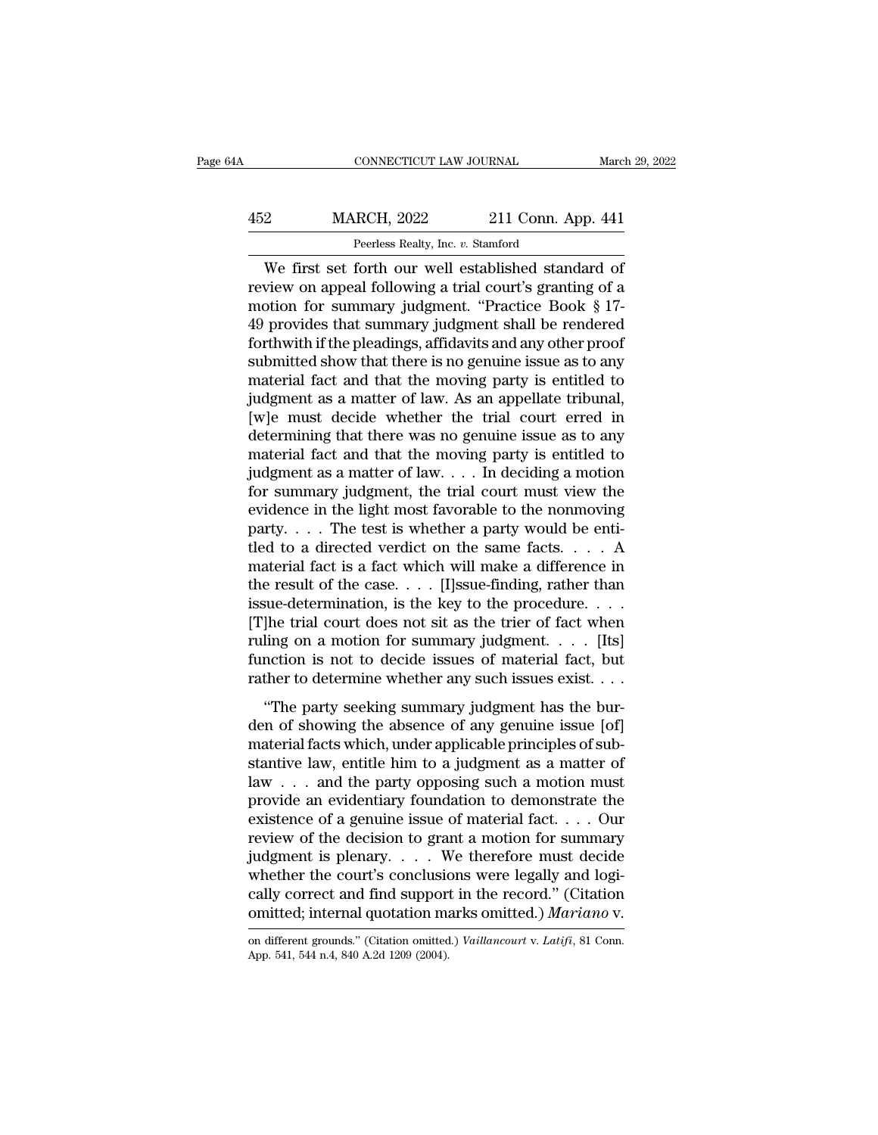### CONNECTICUT LAW JOURNAL March 29, 2022<br>452 MARCH, 2022 211 Conn. App. 441<br>Peerless Realty, Inc. v. Stamford EXAMPLE CONNECTICUT LAW JOURNAL<br>RCH, 2022 211 Conn. Applements Realty, Inc. *v.* Stamford<br>Forth our well established stand

CONNECTICUT LAW JOURNAL March 29, 202<br>
2<br>
MARCH, 2022 211 Conn. App. 441<br>
Peerless Realty, Inc. v. Stamford<br>
We first set forth our well established standard of<br>
view on appeal following a trial court's granting of a<br>
poin MARCH, 2022 211 Conn. App. 441<br>
Peerless Realty, Inc. v. Stamford<br>
We first set forth our well established standard of<br>
review on appeal following a trial court's granting of a<br>
motion for summary judgment. "Practice Book MARCH, 2022 211 Conn. App. 441<br>
Peerless Realty, Inc. v. Stamford<br>
We first set forth our well established standard of<br>
review on appeal following a trial court's granting of a<br>
motion for summary judgment. "Practice Book MARCH, 2022 211 Conn. App. 441<br>
Peerless Realty, Inc. v. Stamford<br>
We first set forth our well established standard of<br>
review on appeal following a trial court's granting of a<br>
motion for summary judgment. "Practice Book Forthwith if the pleadings, affidavits and any other proof submitted show that there is no genuine issue as to any material for any other proof submitted show that there is no genuine issue as to any material for and that Peerless Realty, Inc. *v.* Stamford<br>We first set forth our well established standard of<br>review on appeal following a trial court's granting of a<br>motion for summary judgment. "Practice Book § 17-<br>49 provides that summary ju We first set forth our well established standard of<br>review on appeal following a trial court's granting of a<br>motion for summary judgment. "Practice Book § 17-<br>49 provides that summary judgment shall be rendered<br>forthwith i review on appeal following a trial court's granting of a<br>motion for summary judgment. "Practice Book § 17-<br>49 provides that summary judgment shall be rendered<br>forthwith if the pleadings, affidavits and any other proof<br>subm motion for summary judgment. "Practice Book  $\S$  17-49 provides that summary judgment shall be rendered forthwith if the pleadings, affidavits and any other proof submitted show that there is no genuine issue as to any mat 49 provides that summary judgment shall be rendered<br>forthwith if the pleadings, affidavits and any other proof<br>submitted show that there is no genuine issue as to any<br>material fact and that the moving party is entitled to forthwith if the pleadings, affidavits and any other proof<br>submitted show that there is no genuine issue as to any<br>material fact and that the moving party is entitled to<br>judgment as a matter of law. As an appellate tribun submitted show that there is no genuine issue as to any<br>material fact and that the moving party is entitled to<br>judgment as a matter of law. As an appellate tribunal,<br>[w]e must decide whether the trial court erred in<br>determ material fact and that the moving party is entitled to<br>judgment as a matter of law. As an appellate tribunal,<br>[w]e must decide whether the trial court erred in<br>determining that there was no genuine issue as to any<br>materia judgment as a matter of law. As an appellate tribunal,<br>[w]e must decide whether the trial court erred in<br>determining that there was no genuine issue as to any<br>material fact and that the moving party is entitled to<br>judgmen [w]e must decide whether the trial court erred in determining that there was no genuine issue as to any material fact and that the moving party is entitled to judgment as a matter of law. . . . In deciding a motion for su determining that there was no genuine issue as to any<br>material fact and that the moving party is entitled to<br>judgment as a matter of law.... In deciding a motion<br>for summary judgment, the trial court must view the<br>evidenc material fact and that the moving party is entitled to<br>judgment as a matter of law. . . . In deciding a motion<br>for summary judgment, the trial court must view the<br>evidence in the light most favorable to the nonmoving<br>part judgment as a matter of law. . . . In deciding a motion<br>for summary judgment, the trial court must view the<br>evidence in the light most favorable to the nonmoving<br>party. . . . The test is whether a party would be enti-<br>tle for summary judgment, the trial court must view the evidence in the light most favorable to the nonmoving party. . . . The test is whether a party would be entitled to a directed verdict on the same facts. . . . A materia evidence in the light most favorable to the nonmoving<br>party....The test is whether a party would be enti-<br>tled to a directed verdict on the same facts....A<br>material fact is a fact which will make a difference in<br>the resul party. . . . The test is whether a party would be enti-<br>tled to a directed verdict on the same facts. . . . A<br>material fact is a fact which will make a difference in<br>the result of the case. . . . [I]ssue-finding, rather t fled to a directed verdict on the same facts. . . . A material fact is a fact which will make a difference in the result of the case. . . . [I]ssue-finding, rather than issue-determination, is the key to the procedure. . material fact is a fact which will make a difference in<br>the result of the case. . . . [I]ssue-finding, rather than<br>issue-determination, is the key to the procedure. . . .<br>[T]he trial court does not sit as the trier of fac The party seeking summary judgment has the bur-<br>
"The party seeking summary judgment...... [Its]<br>
Inction is not to decide issues of material fact, but<br>
ther to determine whether any such issues exist....<br>
"The party seek den of showing the absence of any generation.<br>
The trial court does not sit as the trier of fact when<br>
ruling on a motion for summary judgment. . . . . [Its]<br>
function is not to decide issues of material fact, but<br>
rather

rifice that coart does not sit as the trief of fact when<br>ruling on a motion for summary judgment. . . . . [Its]<br>function is not to decide issues of material fact, but<br>rather to determine whether any such issues exist. . . function is not to decide issues of material fact, but<br>function is not to decide issues of material fact, but<br>rather to determine whether any such issues exist....<br>"The party seeking summary judgment has the bur-<br>den of s rather to determine whether any such issues exist....<br>
"The party seeking summary judgment has the bur-<br>
den of showing the absence of any genuine issue [of]<br>
material facts which, under applicable principles of sub-<br>
sta "The party seeking summary judgment has the burden of showing the absence of any genuine issue [of] material facts which, under applicable principles of substantive law, entitle him to a judgment as a matter of law . . . "The party seeking summary judgment has the burden of showing the absence of any genuine issue [of] material facts which, under applicable principles of substantive law, entitle him to a judgment as a matter of law . . . den of showing the absence of any genuine issue [of]<br>material facts which, under applicable principles of substantive law, entitle him to a judgment as a matter of<br>law . . . and the party opposing such a motion must<br>provi material facts which, under applicable principles of substantive law, entitle him to a judgment as a matter of law . . . and the party opposing such a motion must provide an evidentiary foundation to demonstrate the exist stantive law, entitle him to a judgment as a matter of<br>law . . . and the party opposing such a motion must<br>provide an evidentiary foundation to demonstrate the<br>existence of a genuine issue of material fact. . . . Our<br>revi law . . . and the party opposing such a motion must<br>provide an evidentiary foundation to demonstrate the<br>existence of a genuine issue of material fact. . . . Our<br>review of the decision to grant a motion for summary<br>judgme provide an evidentiary foundation to demonstrate the<br>existence of a genuine issue of material fact. . . . Our<br>review of the decision to grant a motion for summary<br>judgment is plenary. . . . We therefore must decide<br>whether judgment is plenary.... We therefore must decide<br>whether the court's conclusions were legally and logically correct and find support in the record." (Citation<br>omitted; internal quotation marks omitted.) *Mariano* v.<br>on dif cally correct and find support in the record." (Citation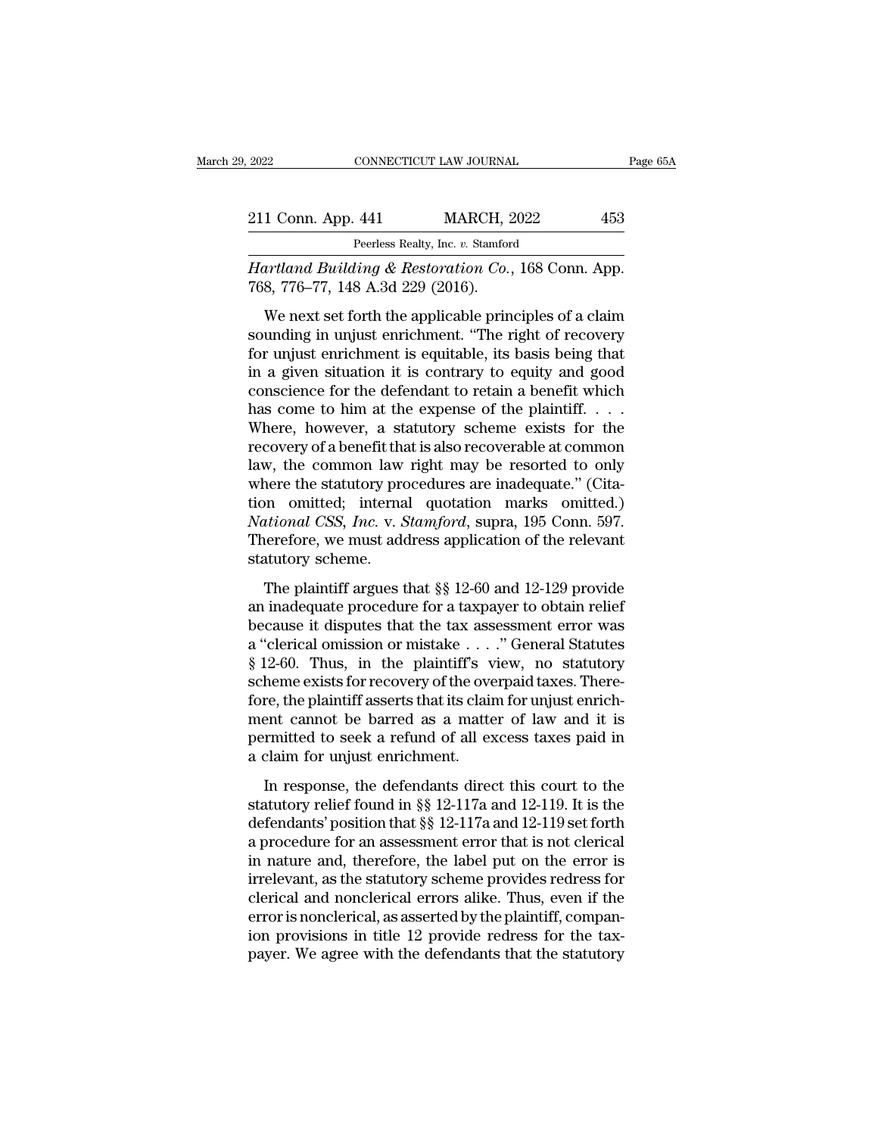| 2022               | CONNECTICUT LAW JOURNAL                                       | Page 65A |
|--------------------|---------------------------------------------------------------|----------|
| 211 Conn. App. 441 | <b>MARCH, 2022</b>                                            | 453      |
|                    | Peerless Realty, Inc. v. Stamford                             |          |
|                    | <i>Hartland Building &amp; Restoration Co.</i> 168 Conn. App. |          |

<sup>2022</sup> CONNECTICUT LAW JOURNAL Page 6<br>
<sup>211</sup> Conn. App. 441 MARCH, 2022 453<br>
<sup>Peerless Realty, Inc. v. Stamford<br> *Hartland Building & Restoration Co.*, 168 Conn. App.<br>768, 776–77, 148 A.3d 229 (2016).</sup> 211 Conn. App. 441 MARCH, 2<br>
Peerless Realty, Inc. v. Stamfore<br>
Hartland Building & Restoration Co., 768, 776–77, 148 A.3d 229 (2016).<br>
We next set forth the applicable prin

1 Conn. App. 441 MARCH, 2022 453<br>
Peerless Realty, Inc. v. Stamford<br>
artland Building & Restoration Co., 168 Conn. App.<br>
8, 776–77, 148 A.3d 229 (2016).<br>
We next set forth the applicable principles of a claim<br>
unding in un 211 Conn. App. 441 MARCH, 2022 453<br>
Peerless Realty, Inc. v. Stamford<br>
Hartland Building & Restoration Co., 168 Conn. App.<br>
768, 776–77, 148 A.3d 229 (2016).<br>
We next set forth the applicable principles of a claim<br>
soundi Feerless Realty, Inc. v. Stamford<br>
Hartland Building & Restoration Co., 168 Conn. App.<br>
768, 776–77, 148 A.3d 229 (2016).<br>
We next set forth the applicable principles of a claim<br>
sounding in unjust enrichment. "The right o Hartland Building & Restoration Co., 168 Conn. App.<br>768, 776–77, 148 A.3d 229 (2016).<br>We next set forth the applicable principles of a claim<br>sounding in unjust enrichment. "The right of recovery<br>for unjust enrichment is eq The radius Datating & Restoration Co., 100 Collit. App.<br>
768, 776–77, 148 A.3d 229 (2016).<br>
We next set forth the applicable principles of a claim<br>
sounding in unjust enrichment. "The right of recovery<br>
for unjust enrichm We next set forth the applicable principles of a claim<br>sounding in unjust enrichment. "The right of recovery<br>for unjust enrichment is equitable, its basis being that<br>in a given situation it is contrary to equity and good<br> We next set forth the applicable principles of a claim<br>sounding in unjust enrichment. "The right of recovery<br>for unjust enrichment is equitable, its basis being that<br>in a given situation it is contrary to equity and good<br> sounding in unjust enrichment. "The right of recovery<br>for unjust enrichment is equitable, its basis being that<br>in a given situation it is contrary to equity and good<br>conscience for the defendant to retain a benefit which<br> for unjust enrichment is equitable, its basis being that<br>in a given situation it is contrary to equity and good<br>conscience for the defendant to retain a benefit which<br>has come to him at the expense of the plaintiff. . . . in a given situation it is contrary to equity and good conscience for the defendant to retain a benefit which<br>has come to him at the expense of the plaintiff....<br>Where, however, a statutory scheme exists for the<br>recovery conscience for the defendant to retain a benefit which<br>has come to him at the expense of the plaintiff. . . .<br>Where, however, a statutory scheme exists for the<br>recovery of a benefit that is also recoverable at common<br>law, has come to him at the expense of the plaintiff. . . . Where, however, a statutory scheme exists for the recovery of a benefit that is also recoverable at common law, the common law right may be resorted to only where the Where, however, a statutory scheme exists for the recovery of a benefit that is also recoverable at common law, the common law right may be resorted to only where the statutory procedures are inadequate." (Citation omitted recovery of a benefit that is also recoverable at common<br>law, the common law right may be resorted to only<br>where the statutory procedures are inadequate." (Cita-<br>tion omitted; internal quotation marks omitted.)<br>*National* mere the statutory procedures are inadequate." (Citamon mitted; internal quotation marks omitted.)<br> *itional CSS, Inc.* v. *Stamford*, supra, 195 Conn. 597.<br>
itional CSS, Inc. v. *Stamford*, supra, 195 Conn. 597.<br>
iterati where the statutory procedures are matequate. (Old tion omitted, internal quotation marks omitted.)<br> *National CSS, Inc.* v. *Stamford*, supra, 195 Conn. 597.<br>
Therefore, we must address application of the relevant<br>
statu

*because in the tax assessment* connects.<br> *National CSS, Inc. v. Stamford*, supra, 195 Conn. 597.<br>
Therefore, we must address application of the relevant<br>
statutory scheme.<br>
The plaintiff argues that §§ 12-60 and 12-129 Therefore, we must address application of the relevant<br>statutory scheme.<br>The plaintiff argues that §§ 12-60 and 12-129 provide<br>an inadequate procedure for a taxpayer to obtain relief<br>because it disputes that the tax asses Statutory scheme.<br>
The plaintiff argues that  $\S$  12-60 and 12-129 provide<br>
an inadequate procedure for a taxpayer to obtain relief<br>
because it disputes that the tax assessment error was<br>
a "clerical omission or mistake . The plaintiff argues that  $\S$  12-60 and 12-129 provide<br>an inadequate procedure for a taxpayer to obtain relief<br>because it disputes that the tax assessment error was<br>a "clerical omission or mistake . . . ." General Statute The plaintiff argues that  $\S$  12-60 and 12-129 provide<br>an inadequate procedure for a taxpayer to obtain relief<br>because it disputes that the tax assessment error was<br>a "clerical omission or mistake . . . ." General Statute an inadequate procedure for a taxpayer to obtain relief<br>because it disputes that the tax assessment error was<br>a "clerical omission or mistake  $\dots$ ." General Statutes<br>§ 12-60. Thus, in the plaintiff's view, no statutory<br>sc because it disputes that the tax assessment error was<br>a "clerical omission or mistake  $\dots$ ." General Statutes<br>§ 12-60. Thus, in the plaintiff's view, no statutory<br>scheme exists for recovery of the overpaid taxes. There-<br>f a "clerical omission or mistake . . .<br>§ 12-60. Thus, in the plaintiff's v<br>scheme exists for recovery of the ove<br>fore, the plaintiff asserts that its clain<br>ment cannot be barred as a matte<br>permitted to seek a refund of all EFOC. Thus, In the planning view, ho statutely<br>heme exists for recovery of the overpaid taxes. There-<br>re, the plaintiff asserts that its claim for unjust enrich-<br>ent cannot be barred as a matter of law and it is<br>rmitted t stature class for recovery of all overpaid dates. Therefore, the plaintiff asserts that its claim for unjust enrichment cannot be barred as a matter of law and it is permitted to seek a refund of all excess taxes paid in

Force, are planned asserts and its claim for digase entired<br>
ment cannot be barred as a matter of law and it is<br>
permitted to seek a refund of all excess taxes paid in<br>
a claim for unjust enrichment.<br>
In response, the def From the calibration of all excess taxes paid in<br>a claim for unjust enrichment.<br>In response, the defendants direct this court to the<br>statutory relief found in  $\S$  12-117a and 12-119. It is the<br>defendants' position that  $\S$ a claim for unjust enrichment.<br>
In response, the defendants direct this court to the<br>
statutory relief found in  $\S$  12-117a and 12-119. It is the<br>
defendants' position that  $\S$  12-117a and 12-119 set forth<br>
a procedure fo In response, the defendants direct this court to the<br>statutory relief found in  $\S\S 12$ -117a and 12-119. It is the<br>defendants' position that  $\S\S 12$ -117a and 12-119 set forth<br>a procedure for an assessment error that is not In response, the defendants direct this court to the<br>statutory relief found in  $\S$  12-117a and 12-119. It is the<br>defendants' position that  $\S$  12-117a and 12-119 set forth<br>a procedure for an assessment error that is not c statutory relief found in §§ 12-117a and 12-119. It is the<br>defendants' position that §§ 12-117a and 12-119 set forth<br>a procedure for an assessment error that is not clerical<br>in nature and, therefore, the label put on the e defendants' position that §§ 12-117a and 12-119 set forth<br>a procedure for an assessment error that is not clerical<br>in nature and, therefore, the label put on the error is<br>irrelevant, as the statutory scheme provides redres a procedure for an assessment error that is not clerical<br>in nature and, therefore, the label put on the error is<br>irrelevant, as the statutory scheme provides redress for<br>clerical and nonclerical errors alike. Thus, even if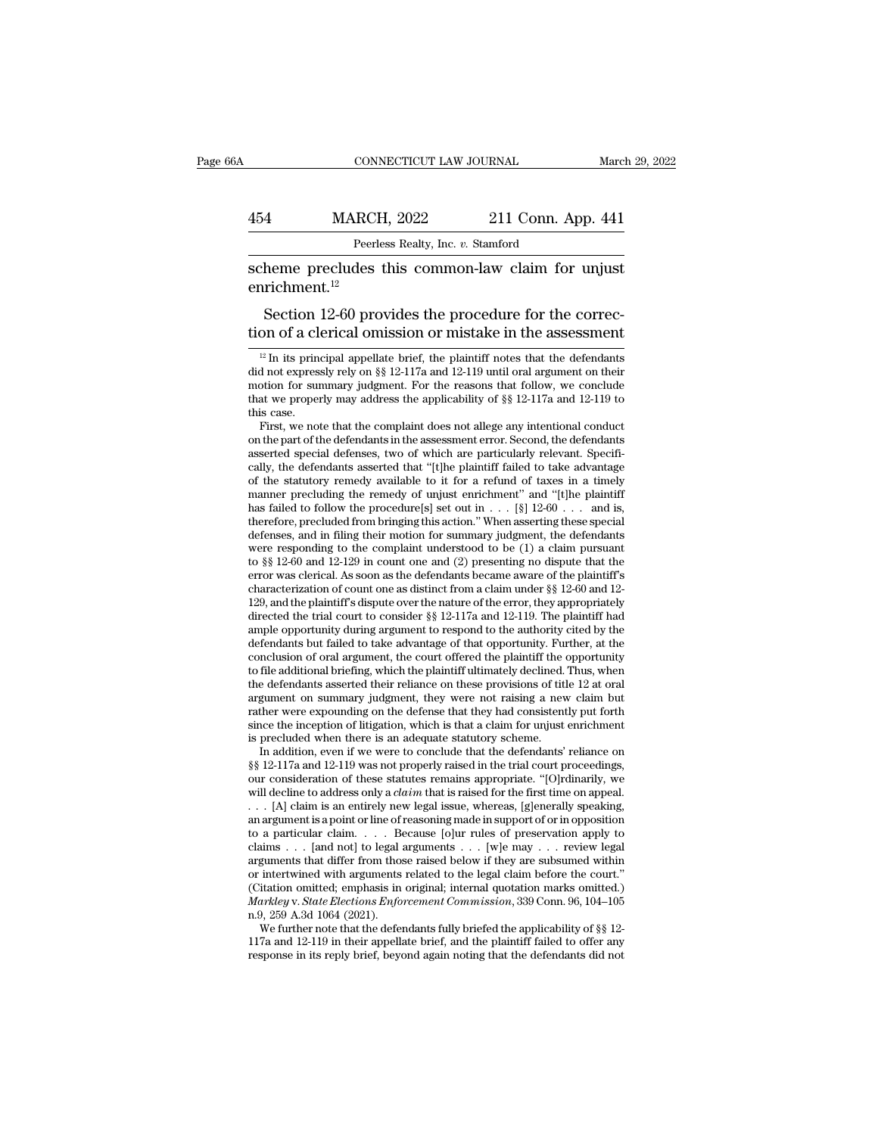### CONNECTICUT LAW JOURNAL March 29, 2022<br>454 MARCH, 2022 211 Conn. App. 441<br>Peerless Realty, Inc. v. Stamford EXECTICUT LAW JOURNAL<br>RCH, 2022 211 Conn. Apprecises Realty, Inc. *v.* Stamford<br>Res. this. common-law claim for

SUMERTICUT LAW JOURNAL March 29, 2023<br>
Scheme precludes this common-law claim for unjust<br>
enrichment.<sup>12</sup> enrichment.<sup>12</sup>

MARCH, 2022 211 Conn. App. 441<br>
Peerless Realty, Inc. v. Stamford<br>
heme precludes this common-law claim for unjust<br>
richment.<sup>12</sup><br>
Section 12-60 provides the procedure for the correc-<br>
on of a clerical omission or mistake 454 MARCH, 2022 211 Conn. App. 441<br>
Peerless Realty, Inc. v. Stamford<br>
scheme precludes this common-law claim for unjust<br>
enrichment.<sup>12</sup><br>
Section 12-60 provides the procedure for the correction<br>
of a clerical omission or 12 In its principal appellate brief, the plaintiff notes that the defendants<br>
12 In its principal appellate brief, the plaintiff notes that the defendants<br>
12 In its principal appellate brief, the plaintiff notes that the

did not expressly rely on  $\S$ § 12-117a and 12-119 until oral argument on their motion for summary judgment. For the reasons that follow, we conclude that we properly may address the applicability of  $\S$ § 12-117a and 12-11 motion for summary judgment. For the reasons that follow, we conclude<br>that we properly may address the applicability of  $\S$  12-117a and 12-119 to<br>this case.<br>First, we note that the complaint does not allege any intentiona that we properly may address the applicability of  $\S$  12-117a and 12-119 to<br>this case.<br>First, we note that the complaint does not allege any intentional conduct<br>on the part of the defendants in the assessment error. Secon this case.<br>
First, we note that the complaint does not allege any intentional conduct<br>
on the part of the defendants in the assessment error. Second, the defendants<br>
asserted special defenses, two of which are particularl First, we note that the complaint does not allege any intentional conduct<br>on the part of the defendants in the assessment error. Second, the defendants<br>asserted special defenses, two of which are particularly relevant. Sp on the part of the defendants in the assessment error. Second, the defendants asserted special defenses, two of which are particularly relevant. Specifically, the defendants asserted that "[t]he plaintiff failed to take a asserted special defenses, two of which are particularly relevant. Specifically, the defendants asserted that "[t]he plaintiff failed to take advantage of the statutory remedy available to it for a refund of taxes in a ti cally, the defendants asserted that "[t]he plaintiff failed to take advantage<br>of the statutory remedy available to it for a refund of taxes in a timely<br>manner precluding the remedy of unjust enrichment" and "[t]he plainti of the statutory remedy available to it for a refund of taxes in a timely<br>manner precluding the remedy of unjust enrichment" and "[t]he plaintiff<br>has failed to follow the procedure[s] set out in  $\dots$  [§] 12-60  $\dots$  and is manner precluding the remedy of unjust enrichment" and "[t]he plaintiff<br>has failed to follow the procedure[s] set out in . . . [§] 12-60 . . . and is,<br>therefore, precluded from bringing this action." When asserting these has failed to follow the procedure[s] set out in  $\dots$  [§] 12-60  $\dots$  and is, therefore, precluded from bringing this action." When asserting these special defenses, and in filing their motion for summary judgment, the def therefore, precluded from bringing this action." When asserting these special<br>defenses, and in filing their motion for summary judgment, the defendants<br>were responding to the complaint understood to be (1) a claim pursuant defenses, and in filing their motion for summary judgment, the defendants<br>were responding to the complaint understood to be (1) a claim pursuant<br>to §§ 12-60 and 12-129 in count one and (2) presenting no dispute that the<br>e were responding to the complaint understood to be (1) a claim pursuant<br>to §§ 12-60 and 12-129 in count one and (2) presenting no dispute that the<br>error was clerical. As soon as the defendants became aware of the plaintiff to  $\S$  12-60 and 12-129 in count one and (2) presenting no dispute that the error was clerical. As soon as the defendants became aware of the plaintiff's characterization of count one as distinct from a claim under  $\S$  12 error was clerical. As soon as the defendants became aware of the plaintiff's<br>characterization of count one as distinct from a claim under §§ 12-60 and 12-<br>129, and the plaintiff's dispute over the nature of the error, the characterization of count one as distinct from a claim under §§ 12-60 and 12-<br>129, and the plaintiff's dispute over the nature of the error, they appropriately<br>directed the trial court to consider §§ 12-117a and 12-119. Th 129, and the plaintiff's dispute over the nature of the error, they appropriately directed the trial court to consider  $\S$ <sup>§</sup> 12-117a and 12-119. The plaintiff had ample opportunity during argument to respond to the autho directed the trial court to consider §§ 12-117a and 12-119. The plaintiff had ample opportunity during argument to respond to the authority cited by the defendants but failed to take advantage of that opportunity. Further, ample opportunity during argument to respond to the authority cited by the defendants but failed to take advantage of that opportunity. Further, at the conclusion of oral argument, the court offered the plaintiff the oppor defendants but failed to take advantage of that opportunity. Further, at the conclusion of oral argument, the court offered the plaintiff the opportunity to file additional briefing, which the plaintiff ultimately declined conclusion of oral argument, the court offered the plaintiff the to file additional briefing, which the plaintiff ultimately declined.<br>the defendants asserted their reliance on these provisions of titl<br>argument on summary file additional briefing, which the plaintiff ultimately declined. Thus, when<br>e defendants asserted their reliance on these provisions of title 12 at oral<br>gument on summary judgment, they were not raising a new claim but<br>t the defendants asserted their reliance on these provisions of title 12 at oral argument on summary judgment, they were not raising a new claim but rather were expounding on the defense that they had consistently put forth

argument on summary judgment, they were not raising a new claim but<br>rather were expounding on the defense that they had consistently put forth<br>since the inception of litigation, which is that a claim for unjust enrichment<br> rather were expounding on the defense that they had consistently put forth since the inception of litigation, which is that a claim for unjust enrichment is precluded when there is an adequate statutory scheme. In addition since the inception of litigation, which is that a claim for unjust enrichment<br>is precluded when there is an adequate statutory scheme.<br>In addition, even if we were to conclude that the defendants' reliance on<br>§§ 12-117a is precluded when there is an adequate statutory scheme.<br>
In addition, even if we were to conclude that the defendants' reliance on<br>  $\S$ § 12-117a and 12-119 was not properly raised in the trial court proceedings,<br>
our con In addition, even if we were to conclude that the defendants' reliance on  $\S$ § 12-117a and 12-119 was not properly raised in the trial court proceedings, our consideration of these statutes remains appropriate. "[O]rdinar §§ 12-117a and 12-119 was not properly raised in the trial court proceedings,<br>our consideration of these statutes remains appropriate. "[O]rdinarily, we<br>will decline to address only a *claim* that is raised for the first our consideration of these statutes remains appropriate. "[O]rdinarily, we will decline to address only a *claim* that is raised for the first time on appeal. . . . [A] claim is an entirely new legal issue, whereas, [g]en will decline to address only a *claim* that is raised for the first time on appeal.<br>
. . . [A] claim is an entirely new legal issue, whereas, [g]enerally speaking, an argument is a point or line of reasoning made in suppo . . . [A] claim is an entirely new legal issue, whereas, [g]enerally speaking, an argument is a point or line of reasoning made in support of or in opposition to a particular claim. . . . Because [o]ur rules of preservati an argument is a point or line of reasoning made in support of or in opposition<br>to a particular claim. . . . Because [o]ur rules of preservation apply to<br>claims . . . [and not] to legal arguments . . . [w]e may . . . revie to a particular claim.  $\ldots$  B.<br>
claims  $\ldots$  [and not] to legal arguments that differ from thos<br>
or intertwined with arguments<br>
(Citation omitted; emphasis in<br> *Markley v. State Elections Enfo*<br>
n.9, 259 A.3d 1064 (2021) im imaging in the defendants fully be may intertwined within intertwined with arguments related to the legal claim before the court."<br>itation omitted; emphasis in original; internal quotation marks omitted.)<br>*arkley v. St* arguments that differ from those raised below if they are subsumed within<br>or intertwined with arguments related to the legal claim before the court."<br>(Citation omitted; emphasis in original; internal quotation marks omitt % or intertwined with arguments related to the legal claim before the court."<br>(Citation omitted; emphasis in original; internal quotation marks omitted.)<br> $Markley v. State Electronics Enforcement Commission, 339 Conn. 96, 104-105$ <br>n.9, 259 A.3d 1064 (2021).<br>We furthe

enrichment.<sup>12</sup><br>Section 12-60 provides the procedure for the correction of a clerical omission or mistake in the assessment<br> $\frac{12 \text{ In its principal appellate brief, the plaintiff notes that the defendants did not expressly rely on  $\frac{8}{5}$  12-117a and 12-119 until oral argument on their motion for summary judgment. For the reasons that follow, we conclude that we need to find the number of 8.8, 12, 117a and$ Section 12-60 provides the procedure for the correction of a clerical omission or mistake in the assessment  $\frac{12}{10}$  in its principal appellate brief, the plaintiff notes that the defendants did not expressly rely on § Section 12-00 provides the procedure for the correction of a clerical omission or mistake in the assessment<br> $\frac{12 \text{ In its principal appellate brief, the plaintiff notes that the defendants did not expressly rely on *§§* 12-117a and 12-119 until oral argument on their motion for summary judgment. For the reasons that follow, we conclude that we properly may address the applicability of *§§* 12-117a and 12-119 to this case.$ tion of a cl<br>  $\frac{12 \text{ In its prim}}{10 \text{ in}}$  its principle in the sequence of the sequence of the sequence of the sequence of the set of the set of the set of the set of the set of the set of the set of the set of the set of the <sup>12</sup> In its principal appellate brief, the plaintiff notes that the defendants<br>d not expressly rely on  $\S$  12-117a and 12-119 until oral argument on their<br>otion for summary judgment. For the reasons that follow, we conclu <sup>12</sup> In its principal appellate brief, the plaintiff notes that the defendants did not expressly rely on  $\S$  12-117a and 12-119 until oral argument on their motion for summary judgment. For the reasons that follow, we con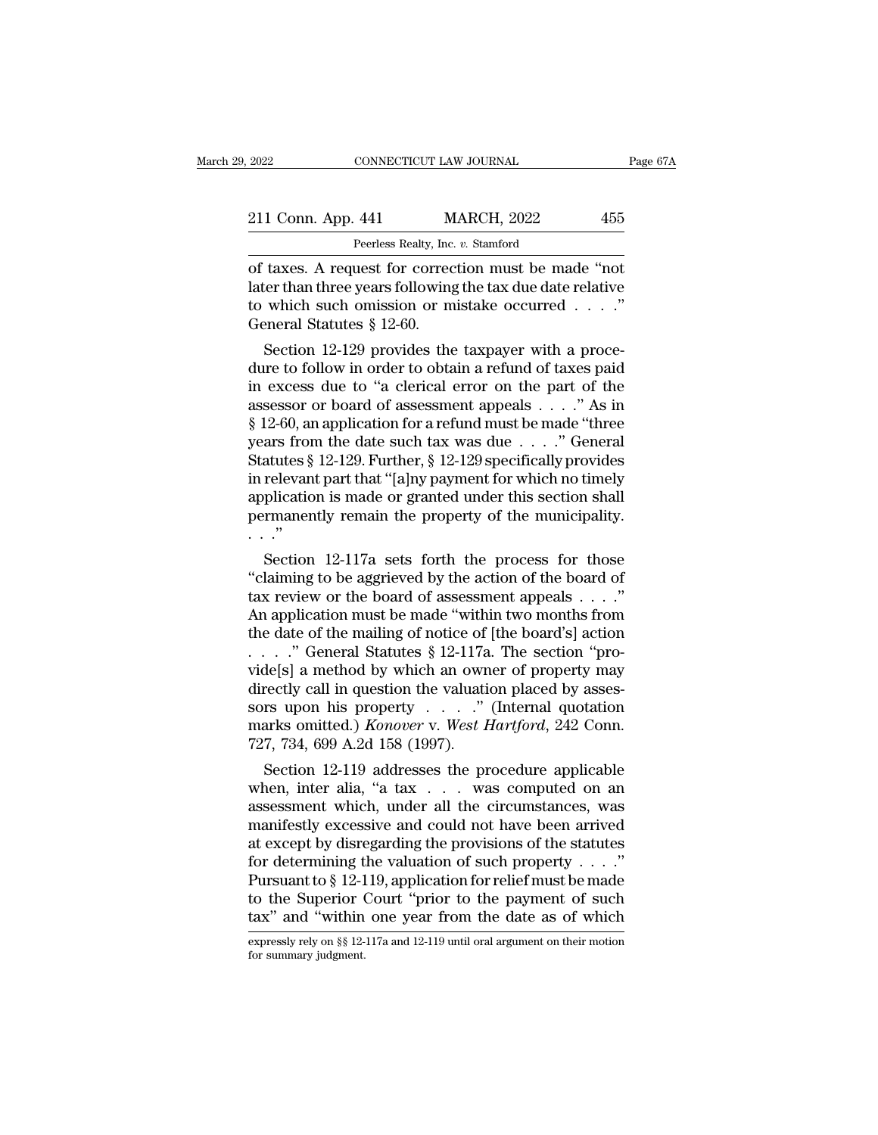| 2022               | CONNECTICUT LAW JOURNAL                              | Page 67A |  |
|--------------------|------------------------------------------------------|----------|--|
| 211 Conn. App. 441 | <b>MARCH, 2022</b>                                   | 455      |  |
|                    | Peerless Realty, Inc. v. Stamford                    |          |  |
|                    | of taxes. A request for correction must be made "not |          |  |

CONNECTICUT LAW JOURNAL Page 67<br>
211 Conn. App. 441 MARCH, 2022 455<br>
Peerless Realty, Inc. v. Stamford<br>
of taxes. A request for correction must be made "not<br>
later than three years following the tax due date relative<br>
to w 211 Conn. App. 441 MARCH, 2022 455<br>
Peerless Realty, Inc. v. Stamford<br>
of taxes. A request for correction must be made "not<br>
later than three years following the tax due date relative<br>
to which such omission or mistake occ 211 Conn. App. 441 MARCH, 2022 455<br>
Peerless Realty, Inc. v. Stamford<br>
of taxes. A request for correction must be made "not<br>
later than three years following the tax due date relative<br>
to which such omission or mistake occ 211 Conn. App. 441 M<br>Peerless Realty, Inc.<br>of taxes. A request for correc<br>later than three years following<br>to which such omission or m<br>General Statutes § 12-60.<br>Section 12-129 provides the Peerless Realty, Inc.  $v$ . Stamford<br>taxes. A request for correction must be made "not<br>cer than three years following the tax due date relative<br>which such omission or mistake occurred . . . ."<br>eneral Statutes § 12-60.<br>Sect of taxes. A request for correction must be made "not<br>later than three years following the tax due date relative<br>to which such omission or mistake occurred . . . ."<br>General Statutes § 12-60.<br>Section 12-129 provides the tax

or taxes. A request for correction must be made not<br>later than three years following the tax due date relative<br>to which such omission or mistake occurred . . . ."<br>General Statutes § 12-60.<br>Section 12-129 provides the taxp rater than three years following the tax due date relative<br>to which such omission or mistake occurred . . . ."<br>General Statutes § 12-60.<br>Section 12-129 provides the taxpayer with a proce-<br>dure to follow in order to obtain for which such omission or mistake occurred . . . .<br>
General Statutes § 12-60.<br>
Section 12-129 provides the taxpayer with a proce-<br>
dure to follow in order to obtain a refund of taxes paid<br>
in excess due to "a clerical er General Statutes § 12-00.<br>
Section 12-129 provides the taxpayer with a procedure to follow in order to obtain a refund of taxes paid<br>
in excess due to "a clerical error on the part of the<br>
assessor or board of assessment Section 12-129 provides the taxpayer with a proce-<br>dure to follow in order to obtain a refund of taxes paid<br>in excess due to "a clerical error on the part of the<br>assessor or board of assessment appeals  $\dots$ ." As in<br>§ 12-6 dure to follow in order to obtain a refund of taxes paid<br>in excess due to "a clerical error on the part of the<br>assessor or board of assessment appeals . . . ." As in<br>§ 12-60, an application for a refund must be made "three in excess due to "a clerical error on the part of the<br>assessor or board of assessment appeals . . . ." As in<br>§ 12-60, an application for a refund must be made "three<br>years from the date such tax was due . . . ." General<br>S assessor or board of assessment appeals  $\ldots$  ." As in § 12-60, an application for a refund must be made "three years from the date such tax was due  $\ldots$ ." General Statutes § 12-129. Further, § 12-129 specifically provid  $\S$  12-60, an<br>years from<br>Statutes  $\S$ <br>in relevan<br>application<br>permaner<br>..."<br>Section ars from the date such tax was due  $\ldots$  General<br>atutes § 12-129. Further, § 12-129 specifically provides<br>relevant part that "[a]ny payment for which no timely<br>plication is made or granted under this section shall<br>rmanent Statutes § 12-129. Further, § 12-129 specifically provides<br>
in relevant part that "[a]ny payment for which no timely<br>
application is made or granted under this section shall<br>
permanently remain the property of the municipa

In relevant part that "[a]ny payment for which no timely<br>application is made or granted under this section shall<br>permanently remain the property of the municipality.<br> $\cdot \cdot$ <br>"Section 12-117a sets forth the process for thos application is made or granted under this section shall<br>permanently remain the property of the municipality.<br> $\cdots$ <br>Section 12-117a sets forth the process for those<br>"claiming to be aggrieved by the action of the board of<br>t permanently remain the property of the municipality.<br>  $\ldots$ "<br>
Section 12-117a sets forth the process for those<br>
"claiming to be aggrieved by the action of the board of<br>
tax review or the board of assessment appeals  $\ldots$ . . . . .<br>Section 12-117a sets forth the process for those "claiming to be aggrieved by the action of the board of<br>tax review or the board of assessment appeals . . . ."<br>An application must be made "within two months from<br>t Section 12-117a sets forth the process for those<br>
"claiming to be aggrieved by the action of the board of<br>
tax review or the board of assessment appeals . . . ."<br>
An application must be made "within two months from<br>
the d "claiming to be aggrieved by the action of the board of tax review or the board of assessment appeals . . . ."<br>An application must be made "within two months from the date of the mailing of notice of [the board's] action<br> tax review or the board of assessment appeals . . . ."<br>An application must be made "within two months from<br>the date of the mailing of notice of [the board's] action<br>. . . . . " General Statutes § 12-117a. The section "pro An application must be made "within two months from<br>the date of the mailing of notice of [the board's] action<br>...." General Statutes § 12-117a. The section "pro-<br>vide[s] a method by which an owner of property may<br>directly the date of the mailing of notice of . . . . ." General Statutes  $\S$  12-117a<br>vide[s] a method by which an own<br>directly call in question the valuati<br>sors upon his property . . . . ."<br>marks omitted.) *Konover* v. *West F*<br>7 Section 12-119 addresses the procedure applicable and see the property call in question the valuation placed by assessers the property  $\ldots$  and  $\ldots$  and  $\ldots$  and  $\ldots$  and  $\ldots$  and  $\ldots$  and  $\ldots$  and  $\ldots$  and  $\ldots$  videly call in question the valuation placed by assessors upon his property . . . . ." (Internal quotation marks omitted.) *Konover v. West Hartford*, 242 Conn.<br>727, 734, 699 A.2d 158 (1997).<br>Section 12-119 addresses the

directly call in question the valuation placed by assessors upon his property  $\ldots$  ." (Internal quotation marks omitted.) *Konover v. West Hartford*, 242 Conn.<br>727, 734, 699 A.2d 158 (1997).<br>Section 12-119 addresses the sors upon his property  $\ldots$  (mernal quotation<br>marks omitted.) *Konover* v. *West Hartford*, 242 Conn.<br>727, 734, 699 A.2d 158 (1997).<br>Section 12-119 addresses the procedure applicable<br>when, inter alia, "a tax  $\ldots$  was co marks omitted.) *Konover* v. *west Hartyora*, 242 Conn.<br>727, 734, 699 A.2d 158 (1997).<br>Section 12-119 addresses the procedure applicable<br>when, inter alia, "a tax . . . was computed on an<br>assessment which, under all the ci for determining the valuation for relief must be made to the Superior Court "prior to the summarized to such provisions of the statutes of determining the valuation of such property . . . ."<br>Pursuant to § 12-119, applicat Section 12-119 addresses the procedure applicable<br>when, inter alia, "a tax  $\dots$  was computed on an<br>assessment which, under all the circumstances, was<br>manifestly excessive and could not have been arrived<br>at except by disre when, inter alia, "a tax  $\ldots$  was computed on an assessment which, under all the circumstances, was manifestly excessive and could not have been arrived at except by disregarding the provisions of the statutes for determ assessment which, under all the circumstances, was<br>
manifestly excessive and could not have been arrived<br>
at except by disregarding the provisions of the statutes<br>
for determining the valuation of such property  $\dots$ ."<br>
Pu for determining the valuation of such property . . . ."<br>Pursuant to § 12-119, application for relief must be made<br>to the Superior Court "prior to the payment of such<br>tax" and "within one year from the date as of which<br>exp Pursuant to § 12-1<br>to the Superior (<br>tax" and "within<br>expressly rely on §§ 12-<br>for summary judgment.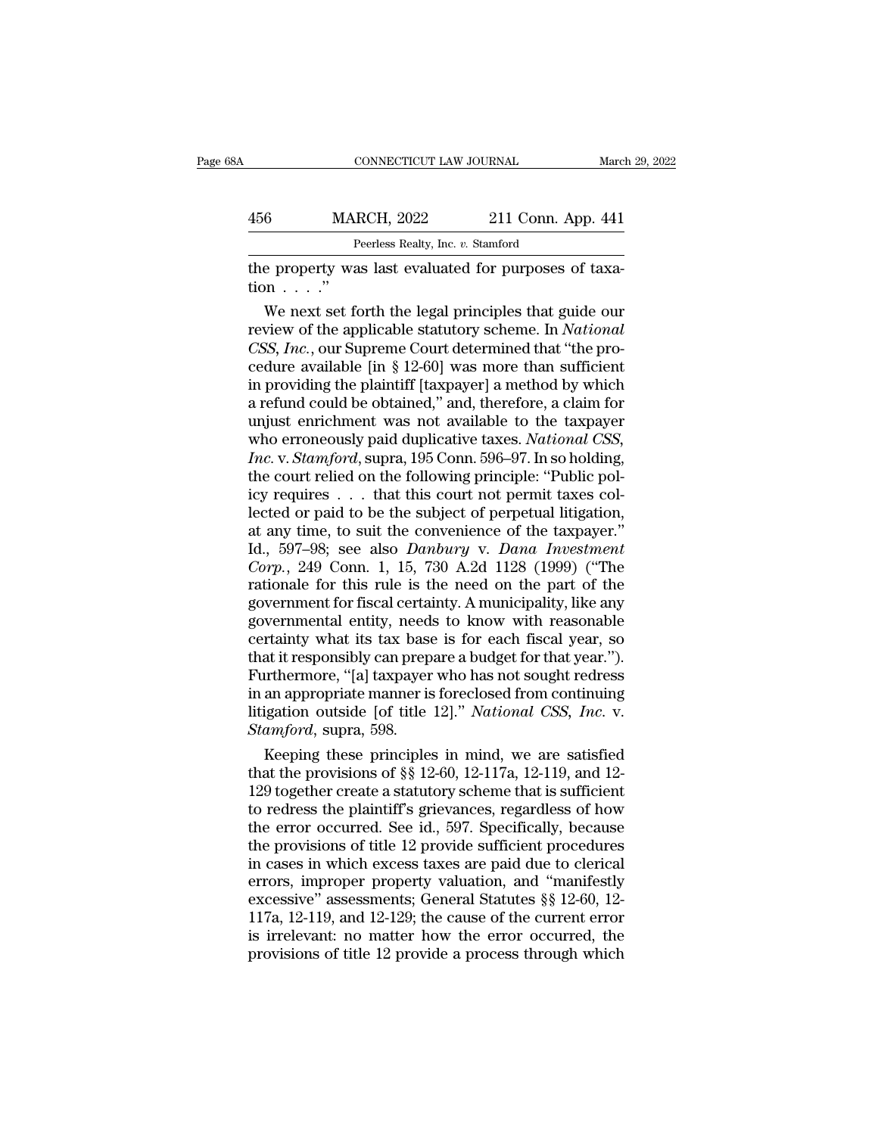| ŝΑ            | CONNECTICUT LAW JOURNAL                               |                    | March 29, 2022 |
|---------------|-------------------------------------------------------|--------------------|----------------|
| 456           | <b>MARCH, 2022</b>                                    | 211 Conn. App. 441 |                |
|               | Peerless Realty, Inc. v. Stamford                     |                    |                |
| $\text{tion}$ | the property was last evaluated for purposes of taxa- |                    |                |

MARCH,  $2022$  211 Conn. App. 441<br>
Peerless Realty, Inc. v. Stamford<br>
e property was last evaluated for purposes of taxa-<br>
m . . . ."<br>
We next set forth the legal principles that guide our<br>
view of the applicable statutory Free 1922 211 Conn. App. 441<br>
Peerless Realty, Inc. *v.* Stamford<br>
the property was last evaluated for purposes of taxa-<br>
tion . . . . "<br>
We next set forth the legal principles that guide our<br>
review of the applicable stat Peerless Realty, Inc. *v.* Stamford<br>
the property was last evaluated for purposes of taxa-<br>
tion . . . . "<br>
We next set forth the legal principles that guide our<br>
review of the applicable statutory scheme. In *National*<br>
C The property was last evaluated for purposes of taxation  $\ldots$ ."<br>We next set forth the legal principles that guide our<br>review of the applicable statutory scheme. In *National*<br>CSS, *Inc.*, our Supreme Court determined tha the property was last evaluated for purposes of taxation . . . ."<br>
We next set forth the legal principles that guide our<br>
review of the applicable statutory scheme. In *National*<br> *CSS*, *Inc.*, our Supreme Court determin tion . . . ."<br>We next set forth the legal principles that guide our<br>review of the applicable statutory scheme. In *National*<br>CSS, *Inc.*, our Supreme Court determined that "the pro-<br>cedure available [in § 12-60] was more We next set forth the legal principles that guide our<br>review of the applicable statutory scheme. In *National*<br>CSS, *Inc.*, our Supreme Court determined that "the pro-<br>cedure available [in § 12-60] was more than sufficien review of the applicable statutory scheme. In *National* CSS, *Inc.*, our Supreme Court determined that "the procedure available [in § 12-60] was more than sufficient in providing the plaintiff [taxpayer] a method by which *CSS, Inc.*, our Supreme Court determined that "the procedure available [in § 12-60] was more than sufficient in providing the plaintiff [taxpayer] a method by which a refund could be obtained," and, therefore, a claim for cedure available [in § 12-60] was more than sufficient<br>in providing the plaintiff [taxpayer] a method by which<br>a refund could be obtained," and, therefore, a claim for<br>unjust enrichment was not available to the taxpayer<br>w in providing the plaintiff [taxpayer] a method by which<br>a refund could be obtained," and, therefore, a claim for<br>unjust enrichment was not available to the taxpayer<br>who erroneously paid duplicative taxes. *National CSS*,<br> a refund could be obtained," and, therefore, a claim for<br>unjust enrichment was not available to the taxpayer<br>who erroneously paid duplicative taxes. *National CSS*,<br>*Inc.* v. *Stamford*, supra, 195 Conn. 596–97. In so hol unjust enrichment was not available to the taxpayer<br>who erroneously paid duplicative taxes. *National CSS*,<br>*Inc.* v. *Stamford*, supra, 195 Conn. 596–97. In so holding,<br>the court relied on the following principle: "Publi who erroneously paid duplicative taxes. *National CSS*,<br> *Inc.* v. *Stamford*, supra, 195 Conn. 596–97. In so holding,<br>
the court relied on the following principle: "Public pol-<br>
icy requires . . . that this court not perm *Inc.* v. *Stamford*, supra, 195 Conn. 596–97. In so holding,<br>the court relied on the following principle: "Public pol-<br>icy requires . . . that this court not permit taxes col-<br>lected or paid to be the subject of perpetual the court relied on the following principle: "Public policy requires . . . that this court not permit taxes collected or paid to be the subject of perpetual litigation, at any time, to suit the convenience of the taxpayer icy requires . . . that this court not permit taxes collected or paid to be the subject of perpetual litigation, at any time, to suit the convenience of the taxpayer."<br>Id., 597–98; see also *Danbury* v. *Dana Investment* C lected or paid to be the subject of perpetual litigation,<br>at any time, to suit the convenience of the taxpayer."<br>Id., 597–98; see also *Danbury* v. *Dana Investment*<br>*Corp.*, 249 Conn. 1, 15, 730 A.2d 1128 (1999) ("The<br>rat at any time, to suit the convenience of the taxpayer."<br>Id., 597–98; see also *Danbury* v. *Dana Investment*<br>Corp., 249 Conn. 1, 15, 730 A.2d 1128 (1999) ("The<br>rationale for this rule is the need on the part of the<br>governme Id., 597–98; see also *Danbury* v. *Dana Investment*<br>Corp., 249 Conn. 1, 15, 730 A.2d 1128 (1999) ("The<br>rationale for this rule is the need on the part of the<br>government for fiscal certainty. A municipality, like any<br>gover Corp., 249 Conn. 1, 15, 730 A.2d 1128 (1999) ("The<br>rationale for this rule is the need on the part of the<br>government for fiscal certainty. A municipality, like any<br>governmental entity, needs to know with reasonable<br>certai rationale for this rule is the need on the part of the<br>government for fiscal certainty. A municipality, like any<br>governmental entity, needs to know with reasonable<br>certainty what its tax base is for each fiscal year, so<br>th government for fiscal certainty. A municipality, like any<br>governmental entity, needs to know with reasonable<br>certainty what its tax base is for each fiscal year, so<br>that it responsibly can prepare a budget for that year.") governmental entity, need<br>certainty what its tax base<br>that it responsibly can prep<br>Furthermore, "[a] taxpayer<br>in an appropriate manner is<br>litigation outside [of title<br>*Stamford*, supra, 598.<br>Keeping these principles rtainty what its tax base is for each fiscal year, so<br>at it responsibly can prepare a budget for that year.").<br>urthermore, "[a] taxpayer who has not sought redress<br>an appropriate manner is foreclosed from continuing<br>igati that it responsibly can prepare a budget for that year.").<br>Furthermore, "[a] taxpayer who has not sought redress<br>in an appropriate manner is foreclosed from continuing<br>litigation outside [of title 12]." *National CSS, Inc* 

Furthermore, "[a] taxpayer who has not sought redress<br>in an appropriate manner is foreclosed from continuing<br>litigation outside [of title 12]." *National CSS, Inc.* v.<br>*Stamford*, supra, 598.<br>Keeping these principles in m in an appropriate manner is foreclosed from continuing<br>litigation outside [of title 12]." National CSS, Inc. v.<br>Stamford, supra, 598.<br>Keeping these principles in mind, we are satisfied<br>that the provisions of  $\S$  12-60, 12 Ititigation outside [of title 12]." National CSS, Inc. v.<br>
Stamford, supra, 598.<br>
Keeping these principles in mind, we are satisfied<br>
that the provisions of §§ 12-60, 12-117a, 12-119, and 12-<br>
129 together create a statut Stamford, supra, 598.<br>
Keeping these principles in mind, we are satisfied<br>
that the provisions of §§ 12-60, 12-117a, 12-119, and 12-<br>
129 together create a statutory scheme that is sufficient<br>
to redress the plaintiff's g Keeping these principles in mind, we are satisfied<br>that the provisions of  $\S$  12-60, 12-117a, 12-119, and 12-<br>129 together create a statutory scheme that is sufficient<br>to redress the plaintiff's grievances, regardless of that the provisions of  $\S$ § 12-60, 12-117a, 12-119, and 12-129 together create a statutory scheme that is sufficient<br>to redress the plaintiff's grievances, regardless of how<br>the error occurred. See id., 597. Specifically, 129 together create a statutory scheme that is sufficient<br>to redress the plaintiff's grievances, regardless of how<br>the error occurred. See id., 597. Specifically, because<br>the provisions of title 12 provide sufficient proce to redress the plaintiff's grievances, regardless of how<br>the error occurred. See id., 597. Specifically, because<br>the provisions of title 12 provide sufficient procedures<br>in cases in which excess taxes are paid due to cleri the error occurred. See id., 597. Specifically, because<br>the provisions of title 12 provide sufficient procedures<br>in cases in which excess taxes are paid due to clerical<br>errors, improper property valuation, and "manifestly<br> the provisions of title 12 provide sufficient procedures<br>in cases in which excess taxes are paid due to clerical<br>errors, improper property valuation, and "manifestly<br>excessive" assessments; General Statutes  $\S$  12-60, 12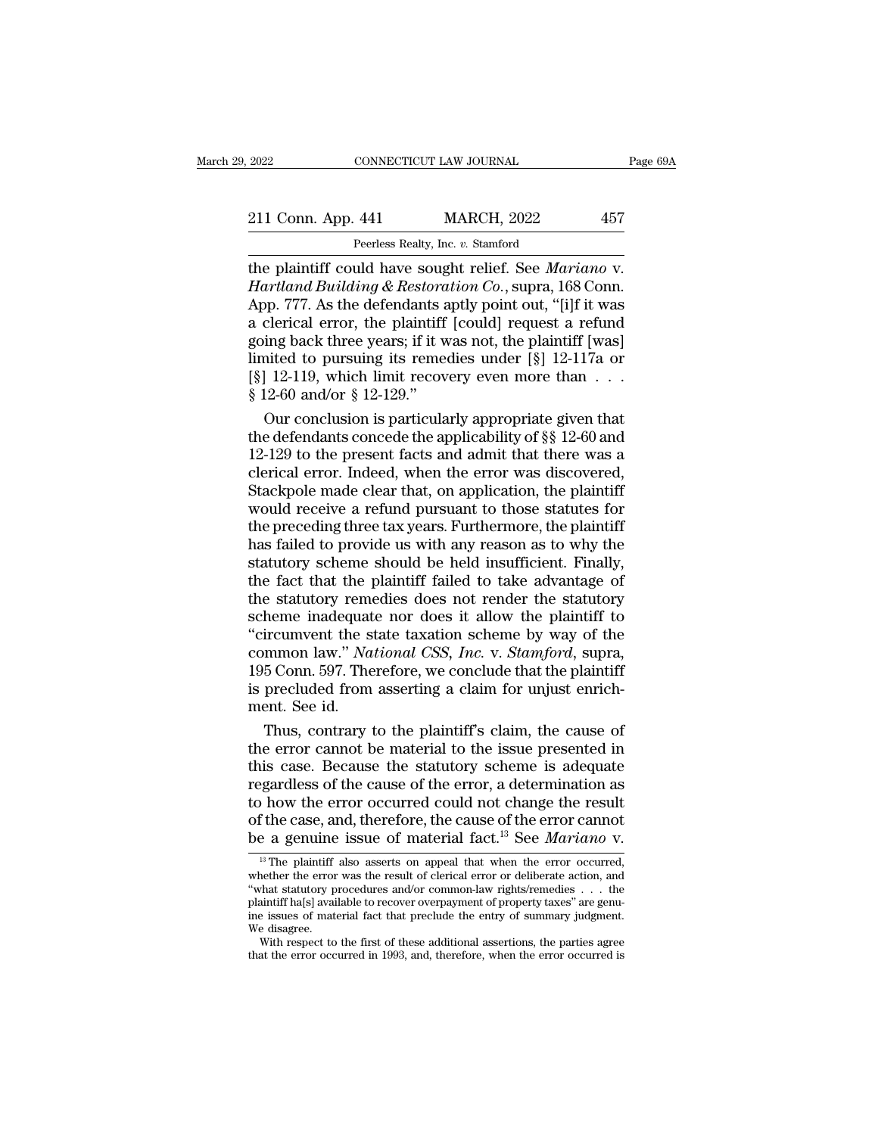2022 CONNECTICUT LAW JOURNAL Page 69A<br>211 Conn. App. 441 MARCH, 2022 457<br>Peerless Realty, Inc. v. Stamford EXAMPLE CONNECTICUT LAW JOURNAL<br> **Peerless Realty, Inc.** *v.* **Stamford<br>
Huld have sought relief See Max** 

The plaintiff could have sought relief. See *Mariano* v.<br>
Hartland Building & Restoration Co., supra, 168 Conn.<br>
The plaintiff could have sought relief. See *Mariano* v.<br>
Hartland Building & Restoration Co., supra, 168 Con <sup>211</sup> Conn. App. 441 MARCH, 2022 457<br>
<sup>Peerless Realty, Inc. v. Stamford<br> **Hartland Building & Restoration Co.**, supra, 168 Conn.<br>
App. 777. As the defendants aptly point out, "[i]f it was<br>
a clerical error, the plaintiff </sup> 211 Conn. App. 441 MARCH, 2022 457<br>
Peerless Realty, Inc. v. Stamford<br>
the plaintiff could have sought relief. See *Mariano* v.<br> *Hartland Building & Restoration Co.*, supra, 168 Conn.<br>
App. 777. As the defendants aptly po 211 Conn. App. 441 MARCH, 2022 457<br>
Peerless Realty, Inc. v. Stamford<br>
the plaintiff could have sought relief. See *Mariano* v.<br> *Hartland Building & Restoration Co.*, supra, 168 Conn.<br>
App. 777. As the defendants aptly po Form, Eq. (Fig. 2022)<br>
Peerless Realty, Inc. v. Stamford<br>
the plaintiff could have sought relief. See *Mariano* v.<br> *Hartland Building & Restoration Co.*, supra, 168 Conn.<br>
App. 777. As the defendants aptly point out, "[i Peerless Realty, Inc. v. Stamford<br>the plaintiff could have sought relief. See *Mariano* v.<br>*Hartland Building & Restoration Co.*, supra, 168 Conn.<br>App. 777. As the defendants aptly point out, "[i]f it was<br>a clerical error the plaintiff could have sought relief. See *Mariano* v.<br>Hartland Building & Restoration Co., supra, 168 Conn.<br>App. 777. As the defendants aptly point out, "[i]f it was<br>a clerical error, the plaintiff [could] request a re Hartland Building & Restora<br>App. 777. As the defendants a<br>a clerical error, the plaintiff<br>going back three years; if it w<br>limited to pursuing its reme<br>[§] 12-119, which limit recov<br>§ 12-60 and/or § 12-129."<br>Our conclusion by 277. As the defendants aptly point out, "[i]f it was<br>clerical error, the plaintiff [could] request a refund<br>ing back three years; if it was not, the plaintiff [was]<br>nited to pursuing its remedies under [§] 12-117a or<br>1 a clerical error, the plaintiff [could] request a refund<br>going back three years; if it was not, the plaintiff [was]<br>limited to pursuing its remedies under [§] 12-117a or<br>[§] 12-119, which limit recovery even more than  $\dots$ 

going back three years; if it was not, the plaintiff [was]<br>limited to pursuing its remedies under [§] 12-117a or<br>[§] 12-119, which limit recovery even more than  $\dots$ <br>§ 12-60 and/or § 12-129."<br>Our conclusion is particularl limited to pursuing its remedies under [§] 12-117a or<br>
[§] 12-119, which limit recovery even more than  $\dots$ <br>
§ 12-60 and/or § 12-129."<br>
Our conclusion is particularly appropriate given that<br>
the defendants concede the app [§] 12-119, which limit recovery even more than  $\dots$  .  $\$ 12-60 and/or  $\S$  12-129."<br>Our conclusion is particularly appropriate given that<br>the defendants concede the applicability of  $\S$  12-60 and<br>12-129 to the present fac  $\S$  12-60 and/or  $\S$  12-129."<br>Our conclusion is particularly appropriate given that<br>the defendants concede the applicability of  $\S$  12-60 and<br>12-129 to the present facts and admit that there was a<br>clerical error. Indeed, Our conclusion is particularly appropriate given that<br>the defendants concede the applicability of  $\S$  12-60 and<br>12-129 to the present facts and admit that there was a<br>clerical error. Indeed, when the error was discovered, the defendants concede the applicability of §§ 12-60 and<br>12-129 to the present facts and admit that there was a<br>clerical error. Indeed, when the error was discovered,<br>Stackpole made clear that, on application, the plaintif 12-129 to the present facts and admit that there was a<br>clerical error. Indeed, when the error was discovered,<br>Stackpole made clear that, on application, the plaintiff<br>would receive a refund pursuant to those statutes for<br>t clerical error. Indeed, when the error was discovered,<br>Stackpole made clear that, on application, the plaintiff<br>would receive a refund pursuant to those statutes for<br>the preceding three tax years. Furthermore, the plaintif Stackpole made clear that, on application, the plaintiff<br>would receive a refund pursuant to those statutes for<br>the preceding three tax years. Furthermore, the plaintiff<br>has failed to provide us with any reason as to why th would receive a refund pursuant to those statutes for<br>the preceding three tax years. Furthermore, the plaintiff<br>has failed to provide us with any reason as to why the<br>statutory scheme should be held insufficient. Finally, the preceding three tax years. Furthermore, the plaintiff<br>has failed to provide us with any reason as to why the<br>statutory scheme should be held insufficient. Finally,<br>the fact that the plaintiff failed to take advantage o has failed to provide us with any reason as to why the statutory scheme should be held insufficient. Finally, the fact that the plaintiff failed to take advantage of the statutory remedies does not render the statutory sch statutory scheme should be held insufficient. Finally,<br>the fact that the plaintiff failed to take advantage of<br>the statutory remedies does not render the statutory<br>scheme inadequate nor does it allow the plaintiff to<br>"circ the fact that the plaintiff failed to take advantage of<br>the statutory remedies does not render the statutory<br>scheme inadequate nor does it allow the plaintiff to<br>"circumvent the state taxation scheme by way of the<br>common l the statutory removement<br>scheme inadequat<br>"circumvent the s<br>common law." Na<br>195 Conn. 597. The<br>is precluded from<br>ment. See id.<br>Thus, contrary heme inadequate nor does it allow the plaintiff to<br>ircumvent the state taxation scheme by way of the<br>mmon law." *National CSS*, *Inc.* v. *Stamford*, supra,<br>5 Conn. 597. Therefore, we conclude that the plaintiff<br>precluded "circumvent the state taxation scheme by way of the<br>common law." *National CSS*, *Inc.* v. *Stamford*, supra,<br>195 Conn. 597. Therefore, we conclude that the plaintiff<br>is precluded from asserting a claim for unjust enrich-

common law." *National CSS, Inc.* v. *Stamford*, supra, 195 Conn. 597. Therefore, we conclude that the plaintiff is precluded from asserting a claim for unjust enrichment. See id.<br>Thus, contrary to the plaintiff's claim, 195 Conn. 597. Therefore, we conclude that the plaintiff<br>is precluded from asserting a claim for unjust enrich-<br>ment. See id.<br>Thus, contrary to the plaintiff's claim, the cause of<br>the error cannot be material to the issue is precluded from asserting a claim for unjust enrichment. See id.<br>
Thus, contrary to the plaintiff's claim, the cause of<br>
the error cannot be material to the issue presented in<br>
this case. Because the statutory scheme is ment. See id.<br>Thus, contrary to the plaintiff's claim, the cause of<br>the error cannot be material to the issue presented in<br>this case. Because the statutory scheme is adequate<br>regardless of the cause of the error, a determ Thus, contrary to the plaintiff's claim, the cause of<br>the error cannot be material to the issue presented in<br>this case. Because the statutory scheme is adequate<br>regardless of the cause of the error, a determination as<br>to h exampless of the cause of the error, a determination as<br>  $\alpha$  how the error occurred could not change the result<br>  $\alpha$  f the case, and, therefore, the cause of the error cannot<br>  $\alpha$  a genuine issue of material fact.<sup>13</sup> to how the error occurred could not change the result<br>of the case, and, therefore, the cause of the error cannot<br>be a genuine issue of material fact.<sup>13</sup> See *Mariano* v.<br><sup>13</sup> The plaintiff also asserts on appeal that whe

to now the error occurred collid not change the result<br>of the case, and, therefore, the cause of the error cannot<br>be a genuine issue of material fact.<sup>13</sup> See *Mariano* v.<br> $\frac{13}{12}$  The plaintiff also asserts on appeal of the case, and, therefore, the cause of the error cannot<br>be a genuine issue of material fact.<sup>13</sup> See *Mariano* v.<br><sup>13</sup> The plaintiff also asserts on appeal that when the error occurred,<br>whether the error was the result be a genuine issue of material fact.<sup>13</sup> See *Mariano* v.<br>
<sup>13</sup> The plaintiff also asserts on appeal that when the error occurred, whether the error was the result of clerical error or deliberate action, and "what statuto  $\frac{1}{18}$  The plaintiff<br>whether the error<br>"what statutory p<br>plaintiff ha[s] avai<br>me issues of mate<br>with respect to<br>that the error <sup>13</sup> The plaintiff also asserts on appeal that when the error occurred, nether the error was the result of clerical error or deliberate action, and that statutory procedures and/or common-law rights/remedies . . . the ain whether the error was the result of clerical error or deliberate action, and<br>
"what statutory procedures and/or common-law rights/remedies  $\ldots$  the<br>
plaintiff ha[s] available to recover overpayment of property taxes" are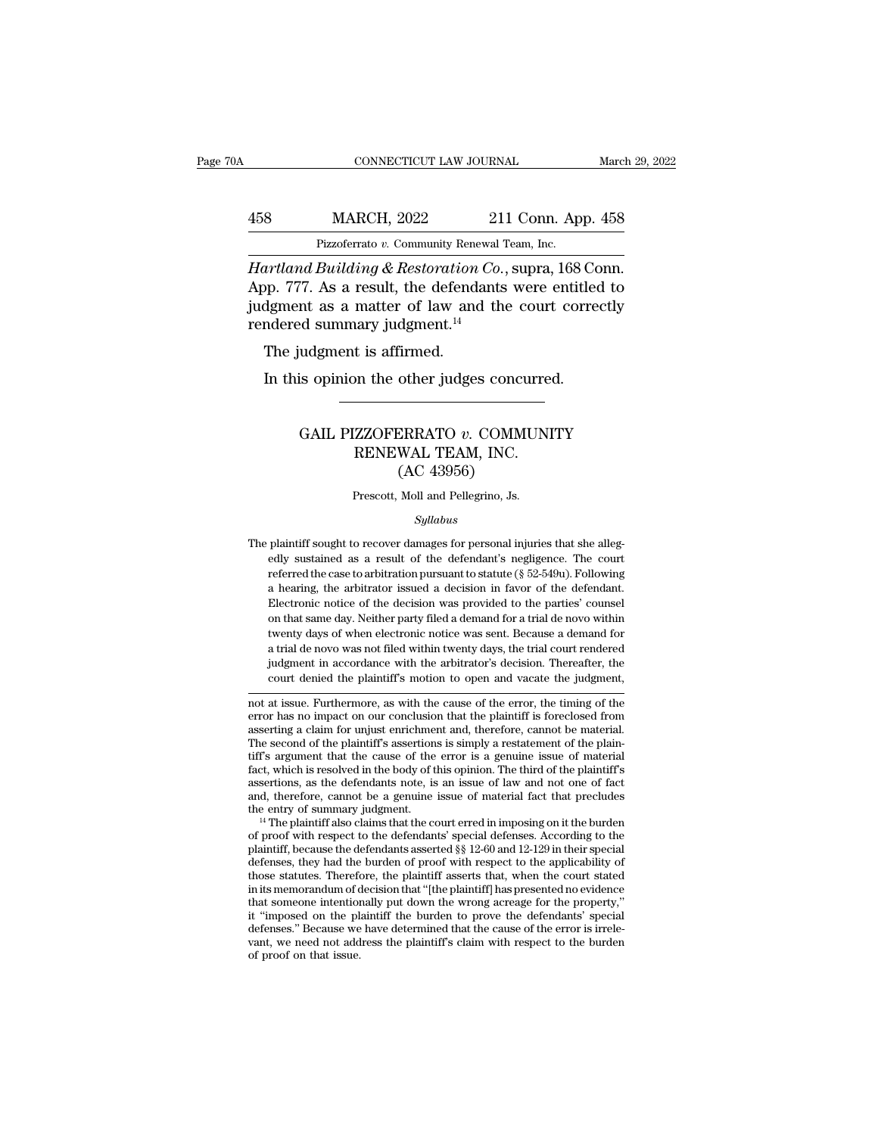## EXECUTE CONNECTICUT LAW JOURNAL March 29, 2022<br>458 MARCH, 2022 211 Conn. App. 458<br>Pizzoferrato v. Community Renewal Team, Inc. CONNECTICUT LAW JOURNAL March March March 2022 211 Conn. App. 458<br>Pizzoferrato *v.* Community Renewal Team, Inc.<br>Hartland Building & Restoration Co., supra, 168 Conn.

*CONNECTICUT LAW JOURNAL* March 29, 2<br>
458 MARCH, 2022 211 Conn. App. 458<br>
Pizzoferrato v. Community Renewal Team, Inc.<br> *Hartland Building & Restoration Co.*, supra, 168 Conn.<br>
App. 777. As a result, the defendants were e  $\frac{\text{MARCH}}{\text{Pizzoferrato } v. \text{ Community Renewal Team, Inc.}}$ <br>  $\frac{\text{Hartland Building & Restoration Co., supra, 168 Conn.}}{\text{App. 777. As a result, the defendants were entitled to judgment as a matter of law and the court correctly rendered summary judgment  $^{14}}$$  $\frac{\text{MARCH, 2022}}{\text{Pizzoferrato } v. \text{ Community Renewal Team, Inc.}}$ <br>
Hartland Building & Restoration Co., supra, 168 Conn.<br>
App. 777. As a result, the defendants were entitled to judgment as a matter of law and the court correctly rendered summary j 458 MARCH, 2022 21<br>
Pizzoferrato v. Community Renewal<br> *Hartland Building & Restoration Co.*<br>
App. 777. As a result, the defendants<br>
judgment as a matter of law and thendered summary judgment.<sup>14</sup><br>
The judgment is affirme App. 777. As a result, the defendants were entitled to judgment as a matter of law and the court correctly rendered summary judgment.<sup>14</sup><br>The judgment is affirmed.<br>In this opinion the other judges concurred. First and Building & Restoration Co., supra, 168 Corp. 777. As a result, the defendants were entitled definent as a matter of law and the court corred summary judgment.<sup>14</sup><br>The judgment is affirmed.<br>In this opinion the ot

#### d summary judgment.<sup>14</sup><br>
udgment is affirmed.<br>
is opinion the other judges concurred.<br>
GAIL PIZZOFERRATO *v*. COMMUNITY<br>
RENEWAL TEAM, INC.<br>
(AC 43956) t is affirmed.<br>
In the other judges concurred<br>
TEAM, INC.<br>
RENEWAL TEAM, INC.<br>
(AC 43956) other judges concu<br>ERRATO v. COMMI<br>WAL TEAM, INC.<br>(AC 43956)<br>Moll and Pellegrino, Js. GAIL PIZZOFERRATO  $v$ . COMMUNITY<br>RENEWAL TEAM, INC.<br>(AC 43956)<br>Prescott, Moll and Pellegrino, Js.

#### *Syllabus*

 $(AC 43956)$ <br>Prescott, Moll and Pellegrino, Js.<br> $Syllabus$ <br>The plaintiff sought to recover damages for personal injuries that she alleg-<br>edly sustained as a result of the defendant's negligence. The court (AC 459500)<br>
Prescott, Moll and Pellegrino, Js.<br>
Syllabus<br>
plaintiff sought to recover damages for personal injuries that she alleg-<br>
edly sustained as a result of the defendant's negligence. The court<br>
referred the case t Frescott, Moll and Pellegrino, Js.<br> *Syllabus*<br>
plaintiff sought to recover damages for personal injuries that she alleg-<br>
edly sustained as a result of the defendant's negligence. The court<br>
referred the case to arbitrati *Syllabus*<br>
a hearing position is a result of the defendant's negligence. The court<br>
referred the case to arbitration pursuant to statute ( $\S$  52-549u). Following<br>
a hearing, the arbitrator issued a decision in favor of t  $Sylabus$ <br>plaintiff sought to recover damages for personal injuries that she alleg-<br>edly sustained as a result of the defendant's negligence. The court<br>referred the case to arbitration pursuant to statute ( $\S 52-549u$ ). Foll plaintiff sought to recover damages for personal injuries that she allegedly sustained as a result of the defendant's negligence. The court referred the case to arbitration pursuant to statute (§ 52-549u). Following a hear edly sustained as a result of the defendant's negligence. The court<br>referred the case to arbitration pursuant to statute (§ 52-549u). Following<br>a hearing, the arbitrator issued a decision in favor of the defendant.<br>Electro referred the case to arbitration pursuant to statute ( $\S$  52-549u). Following a hearing, the arbitrator issued a decision in favor of the defendant. Electronic notice of the decision was provided to the parties' counsel o a hearing, the arbitrator issued a decision in favor of the defendant.<br>Electronic notice of the decision was provided to the parties' counsel<br>on that same day. Neither party filed a demand for a trial de novo within<br>twenty Electronic notice of the decision was provided to the parties' counsel<br>on that same day. Neither party filed a demand for a trial de novo within<br>twenty days of when electronic notice was sent. Because a demand for<br>a trial on that same day. Nether party filed a demand for a trial de novo within<br>twenty days of when electronic notice was sent. Because a demand for<br>a trial de novo was not filed within twenty days, the trial court rendered<br>judgm twenty days of when electronic notice was sent. Because a demand for<br>a trial de novo was not filed within twenty days, the trial court rendered<br>judgment in accordance with the arbitrator's decision. Thereafter, the<br>court d

a trial de novo was not filed within twenty days, the trial court rendered<br>judgment in accordance with the arbitrator's decision. Thereafter, the<br>court denied the plaintiff's motion to open and vacate the judgment,<br>mot at judgment in accordance with the arbitrator's decision. Thereafter, the<br>court denied the plaintiff's motion to open and vacate the judgment,<br>not at issue. Furthermore, as with the cause of the error, the timing of the<br>error court denied the plaintiff's motion to open and vacate the judgment,<br>
not at issue. Furthermore, as with the cause of the error, the timing of the<br>
error has no impact on our conclusion that the plaintiff is foreclosed fro factor and is resolved in the cause of the error, the timing of the error has no impact on our conclusion that the plaintiff is foreclosed from asserting a claim for unjust enrichment and, therefore, cannot be material. Th not at issue. Furthermore, as with the cause of the error, the timing of the error has no impact on our conclusion that the plaintiff is foreclosed from asserting a claim for unjust enrichment and, therefore, cannot be mat error has no impact on our conclusion that the plaintiff is foreclosed from<br>asserting a claim for unjust enrichment and, therefore, cannot be material.<br>The second of the plaintiff's assertions is simply a restatement of th asserting a claim for unjust enrichment and, therefore, cannot be material.<br>The second of the plaintiff's assertions is simply a restatement of the plaintiff's<br>argument that the cause of the error is a genuine issue of mat tiff's argument that the cause of the error is a genuine issue of material<br>fact, which is resolved in the body of this opinion. The third of the plaintiff's<br>assertions, as the defendants note, is an issue of law and not o

fact, which is resolved in the body of this opinion. The third of the plaintiff's assertions, as the defendants note, is an issue of law and not one of fact and, therefore, cannot be a genuine issue of material fact that assertions, as the defendants note, is an issue of law and not one of fact<br>and, therefore, cannot be a genuine issue of material fact that precludes<br>the entry of summary judgment.<br><sup>14</sup> The plaintiff also claims that the c and, therefore, cannot be a genuine issue of material fact that precludes<br>the entry of summary judgment.<br><sup>14</sup> The plaintiff also claims that the court erred in imposing on it the burden<br>of proof with respect to the defend the entry of summary judgment.<br>
<sup>14</sup> The plaintiff also claims that the court erred in imposing on it the burden<br>
of proof with respect to the defendants' special defenses. According to the<br>
plaintiff, because the defendan <sup>14</sup> The plaintiff also claims that the court erred in imposing on it the burden of proof with respect to the defendants' special defenses. According to the plaintiff, because the defendants asserted  $\S$  12-60 and 12-129 of proof with respect to the defendants' special defenses. According to the plaintiff, because the defendants asserted §§ 12-60 and 12-129 in their special defenses, they had the burden of proof with respect to the applica plaintiff, because the defendants asserted §§ 12-60 and 12-129 in their special defenses, they had the burden of proof with respect to the applicability of those statutes. Therefore, the plaintiff asserts that, when the co defenses, they had the burden of proof with respect to the applicability of those statutes. Therefore, the plaintiff asserts that, when the court stated in its memorandum of decision that "[the plaintiff] has presented no those statutes. Therefore, the plaintiff asserts that, when the court stated in its memorandum of decision that "[the plaintiff] has presented no evidence that someone intentionally put down the wrong acreage for the prop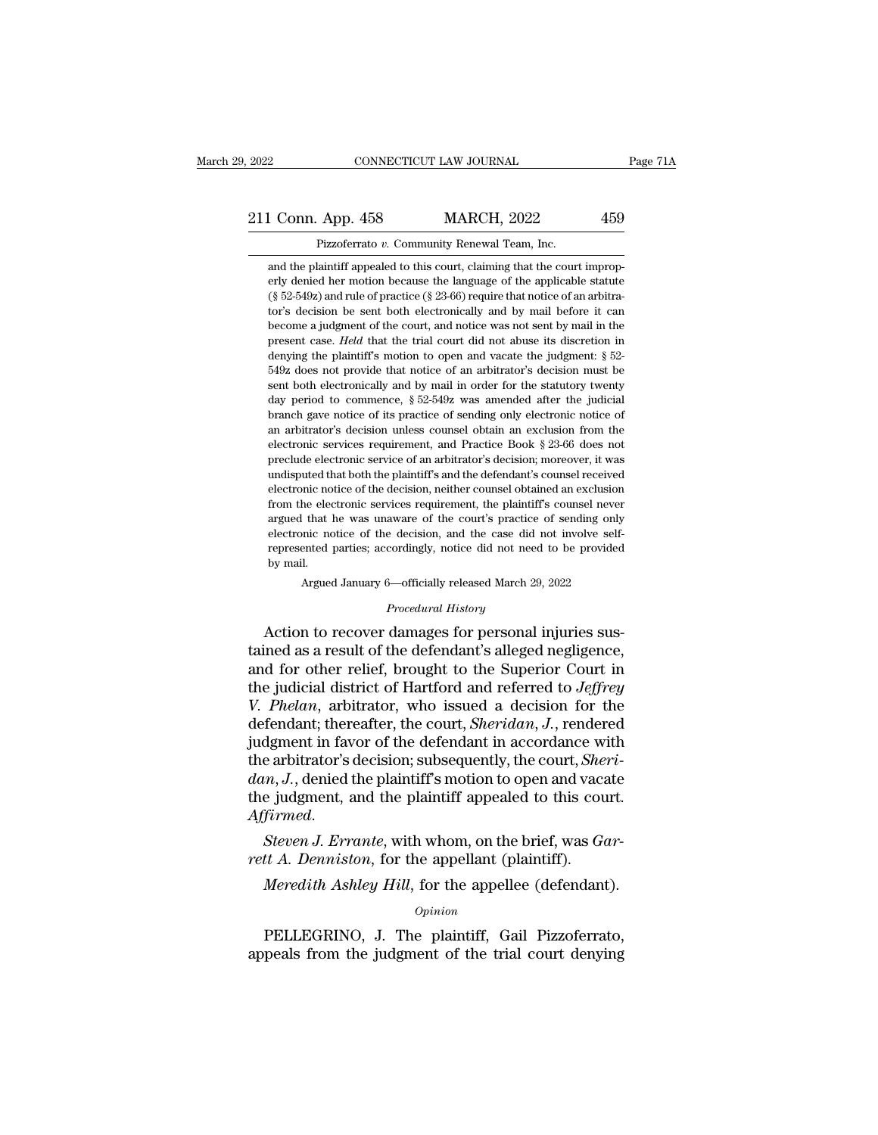### 2022 CONNECTICUT LAW JOURNAL Page 71A<br>211 Conn. App. 458 MARCH, 2022 459<br>Pizzoferrato v. Community Renewal Team, Inc. CONNECTICUT LAW JOURNAL<br>App. 458 MARCH, 2022<br>Pizzoferrato *v.* Community Renewal Team, Inc.<br>laintiff appealed to this court, claiming that the court

1 Conn. App. 458 MARCH, 2022 459<br>Pizzoferrato v. Community Renewal Team, Inc.<br>and the plaintiff appealed to this court, claiming that the court improp-<br>erly denied her motion because the language of the applicable statute Example 158 MARCH, 2022 459<br>
Pizzoferrato v. Community Renewal Team, Inc.<br>
and the plaintiff appealed to this court, claiming that the court improperly denied her motion because the language of the applicable statute<br>
(§ († 1592) Conn. App. 458<br>
(† 1592) Pizzoferrato v. Community Renewal Team, Inc.<br>
(† 1592) and the plaintiff appealed to this court, claiming that the court improperly denied her motion because the language of the applicable Pizzoferrato v. Community Renewal Team, Inc.<br>
and the plaintiff appealed to this court, claiming that the court improp-<br>
erly denied her motion because the language of the applicable statute<br>
(§ 52-549z) and rule of pract Pizzoferrato v. Community Renewal Team, Inc.<br>and the plaintiff appealed to this court, claiming that the court improp-<br>erly denied her motion because the language of the applicable statute<br>(§ 52-549z) and rule of practice and the plaintiff appealed to this court, claiming that the court improperly denied her motion because the language of the applicable statute  $(\S 52-549z)$  and rule of practice  $(\S 23-66)$  require that notice of an arbitr denying the plaintiff's motion because the language of the applicable statute (§ 52-549z) and rule of practice (§ 23-66) require that notice of an arbitrator's decision be sent both electronically and by mail before it ca Enj defined net motable of an anguage of the applicable statute (§ 52-549z) and rule of practice (§ 23-66) require that notice of an arbitrator's decision be sent both electronically and by mail before it can become a jud sentially and the sent both electronically and by mail before it can<br>become a judgment of the court, and notice was not sent by mail in the<br>present case. *Held* that the trial court did not abuse its discretion in<br>denying become a judgment of the court, and notice was not sent by mail in the present case. *Held* that the trial court did not abuse its discretion in denying the plaintiff's motion to open and vacate the judgment:  $\S$  52-549z branch gave notice of its practice of sending only electronic independent case. Held that the trial court did not abuse its discretion in denying the plaintiff's motion to open and vacate the judgment: § 52-549z does not p denying the plaintiff's motion to open and vacate the judgment: § 52-<br>549z does not provide that notice of an arbitrator's decision must be<br>sent both electronically and by mail in order for the statutory twenty<br>day period delectronic services requirement, and Practice Book § 23-66 does not provide that notice of an arbitrator's decision must be sent both electronically and by mail in order for the statutory twenty day period to commence, § below to the electronically and by mail in order for the statutory twenty day period to commence,  $\S 52-549z$  was amended after the judicial branch gave notice of its practice of sending only electronic notice of an arbit both that both the plantiff's and the defendant's determined after the publicial branch gave notice of its practice of sending only electronic notice of an arbitrator's decision unless counsel obtain an exclusion from the day period to contriduct, *s* of order was antended and and particular branch gave notice of its practice of sending only electronic notice of an arbitrator's decision unless counsel obtain an exclusion from the electronic From the electronic services requirement, and Practice Book § 23-66 does not preclude electronic services requirement, and Practice Book § 23-66 does not preclude electronic service of an arbitrator's decision; moreover, are distance is decision dides counser order to during the detectronic services requirement, and Practice Book § 23-66 does not preclude electronic service of an arbitrator's decision; moreover, it was undisputed that both preclude electronic services requirement, and Tracace Book 3.25 oo does not<br>preclude electronic service of an arbitrator's decision; moreover, it was<br>electronic notice of the decision, neither counsel obtained an exclusion precident decal off of the band influence of distributions and the defendant's counsel received electronic notice of the decision, neither counsel obtained an exclusion from the electronic services requirement, the plainti maispace a<br>electronic no<br>from the electronic nc<br>represented<br>by mail.<br>Argued he electronic services requirement, the plaintiff's counsel never<br>
I that he was unaware of the court's practice of sending only<br>
March 29 released March 29, 2022<br>
I.<br>
Argued January 6—officially released March 29, 2022<br>
P argued that he was unaware of the court's practice of sending only<br>electronic notice of the decision, and the case did not involve self-<br>represented parties; accordingly, notice did not need to be provided<br>by mail.<br>Argued argued that he was unaware of the court's practice of sending only<br>electronic notice of the decision, and the case did not involve self-<br>represented parties; accordingly, notice did not need to be provided<br>by mail.<br>Argued

electronic notice of the decision, and the case did not involve self-<br>represented parties; accordingly, notice did not need to be provided<br>by mail.<br>Argued January 6—officially released March 29, 2022<br>*Procedural History*<br>A Fepresented parties, accordingly, notice that the divergend by mail.<br>
Argued January 6—officially released March 29, 2022<br>
Procedural History<br>
Action to recover damages for personal injuries sus-<br>
tained as a result of the Argued January 6—officially released March 29, 2022<br>
Procedural History<br>
Action to recover damages for personal injuries sus-<br>
tained as a result of the defendant's alleged negligence,<br>
and for other relief, brought to the *Procedural History*<br>*Procedural History*<br>Action to recover damages for personal injuries sus-<br>tained as a result of the defendant's alleged negligence,<br>and for other relief, brought to the Superior Court in<br>the judicial d *Procedural History*<br>Action to recover damages for personal injuries sus-<br>tained as a result of the defendant's alleged negligence,<br>and for other relief, brought to the Superior Court in<br>the judicial district of Hartford a Action to recover damages for personal injuries sus-<br>tained as a result of the defendant's alleged negligence,<br>and for other relief, brought to the Superior Court in<br>the judicial district of Hartford and referred to *Jeffr* tained as a result of the defendant's alleged negligence,<br>and for other relief, brought to the Superior Court in<br>the judicial district of Hartford and referred to *Jeffrey*<br>V. Phelan, arbitrator, who issued a decision for and for other relief, brought to the Superior Court in<br>the judicial district of Hartford and referred to *Jeffrey*<br>V. Phelan, arbitrator, who issued a decision for the<br>defendant; thereafter, the court, *Sheridan*, J., rend the judicial district of Hartford and referred to *Jeffrey*<br>V. Phelan, arbitrator, who issued a decision for the<br>defendant; thereafter, the court, *Sheridan*, J., rendered<br>judgment in favor of the defendant in accordance w defendant; thereatter, the court, *Sheridan*, *J.*, rendered judgment in favor of the defendant in accordance with the arbitrator's decision; subsequently, the court, *Sheridan*, *J.*, denied the plaintiff's motion to open judgment in favor of the defendant in accordance with arbitrator's decision; subsequently, the court, *Shedan*, *J*., denied the plaintiff's motion to open and vact the judgment, and the plaintiff appealed to this could *A Meredith Ashley Hill*, for the appellee (defendant).<br>*Meredith Ashley Hill*, for the appellee (defendant).<br>*Meredith Ashley Hill*, for the appellee (defendant).<br>*Opinion* 

Steven J. Errante, with whom, on the brief, was Gar-<br>tt A. Denniston, for the appellant (plaintiff).<br>Meredith Ashley Hill, for the appellee (defendant).<br>opinion<br>PELLEGRINO, J. The plaintiff, Gail Pizzoferrato,<br>peals from t Steven J. Errante, with whom, on the brief, was Gar-<br>rett A. Denniston, for the appellant (plaintiff).<br>Meredith Ashley Hill, for the appellee (defendant).<br>opinion<br>PELLEGRINO, J. The plaintiff, Gail Pizzoferrato,<br>appeals fr

*Opinion*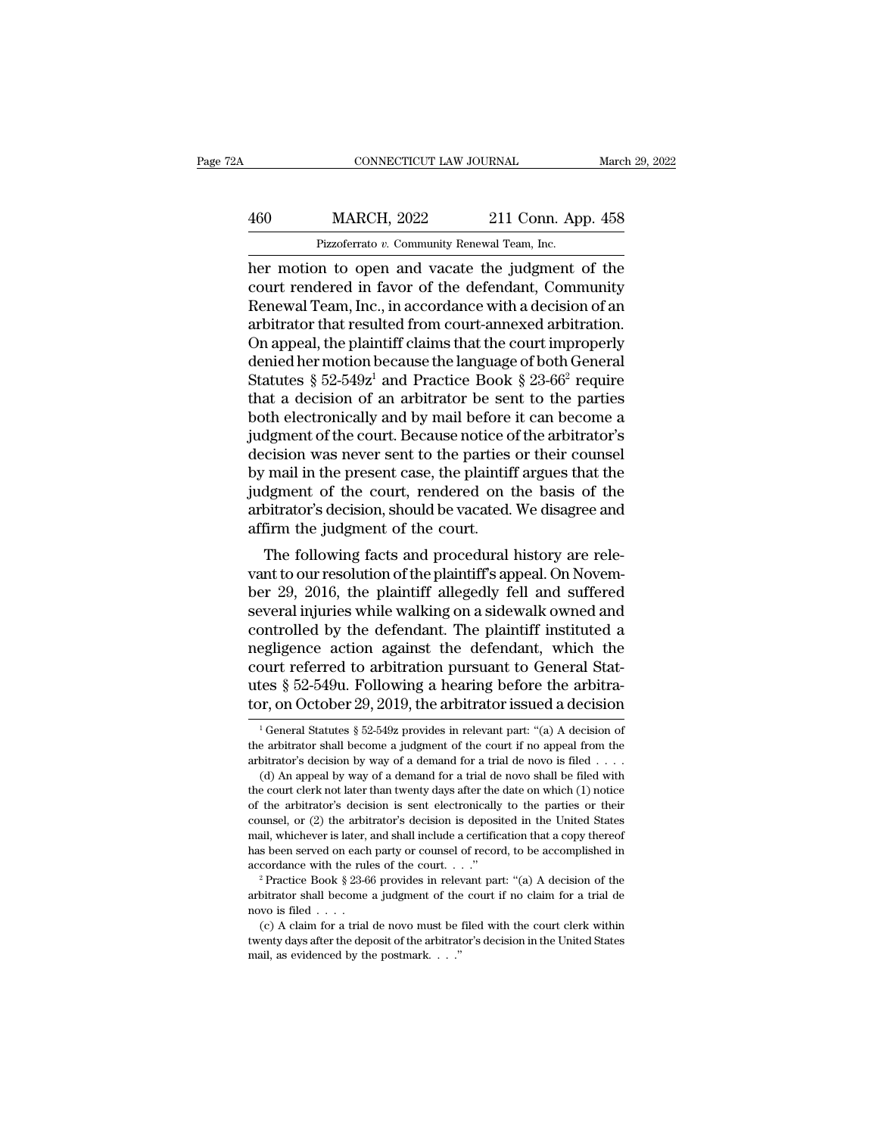## EXECUTE CONNECTICUT LAW JOURNAL March 29, 2022<br>460 MARCH, 2022 211 Conn. App. 458<br>Pizzoferrato v. Community Renewal Team, Inc. CONNECTICUT LAW JOURNAL March March March 2022 211 Conn. App. 458<br>Pizzoferrato *v.* Community Renewal Team, Inc.<br>her motion to open and vacate the judgment of the

CONNECTICUT LAW JOURNAL March 29, 2022<br>
460 MARCH, 2022 211 Conn. App. 458<br>
Pizzoferrato v. Community Renewal Team, Inc.<br>
her motion to open and vacate the judgment of the<br>
court rendered in favor of the defendant, Communi MARCH, 2022 211 Conn. App. 458<br>
Pizzoferrato v. Community Renewal Team, Inc.<br>
her motion to open and vacate the judgment of the court rendered in favor of the defendant, Community<br>
Renewal Team, Inc., in accordance with a  $\frac{\text{MARCH}}{\text{Pizzoferrato } v. \text{ Community Renewal Team, Inc.}}$ <br>
Pizzoferrato v. Community Renewal Team, Inc.<br>
her motion to open and vacate the judgment of the<br>
court rendered in favor of the defendant, Community<br>
Renewal Team, Inc., in accordance wi  $\frac{\text{MARCH}}{\text{Pizzoferrato } v. \text{ Community Renewal Team, Inc.}}$ <br>
her motion to open and vacate the judgment of the<br>
court rendered in favor of the defendant, Community<br>
Renewal Team, Inc., in accordance with a decision of an<br>
arbitrator that resulted Pizzoferrato v. Community Renewal Team, Inc.<br>
her motion to open and vacate the judgment of the<br>
court rendered in favor of the defendant, Community<br>
Renewal Team, Inc., in accordance with a decision of an<br>
arbitrator tha Pizzoterrato v. Community Renewal Team, Inc.<br>
her motion to open and vacate the judgment of the<br>
court rendered in favor of the defendant, Community<br>
Renewal Team, Inc., in accordance with a decision of an<br>
arbitrator tha her motion to open and vacate the judgment of the<br>court rendered in favor of the defendant, Community<br>Renewal Team, Inc., in accordance with a decision of an<br>arbitrator that resulted from court-annexed arbitration.<br>On appe court rendered in favor of the defendant, Community<br>Renewal Team, Inc., in accordance with a decision of an<br>arbitrator that resulted from court-annexed arbitration.<br>On appeal, the plaintiff claims that the court improperl Renewal Team, Inc., in accordance with a decision of an<br>arbitrator that resulted from court-annexed arbitration.<br>On appeal, the plaintiff claims that the court improperly<br>denied her motion because the language of both Gen arbitrator that resulted from court-annexed arbitration.<br>On appeal, the plaintiff claims that the court improperly<br>denied her motion because the language of both General<br>Statutes § 52-549z<sup>1</sup> and Practice Book § 23-66<sup>2</sup> r On appeal, the plaintiff claims that the court improperly<br>denied her motion because the language of both General<br>Statutes  $\S 52-549z^1$  and Practice Book  $\S 23-66^2$  require<br>that a decision of an arbitrator be sent to the denied her motion because the language of both General<br>Statutes § 52-549z<sup>1</sup> and Practice Book § 23-66<sup>2</sup> require<br>that a decision of an arbitrator be sent to the parties<br>both electronically and by mail before it can become Statutes § 52-549 $z^1$  and Practice Book § 23-66<sup>2</sup> require<br>that a decision of an arbitrator be sent to the parties<br>both electronically and by mail before it can become a<br>judgment of the court. Because notice of the arbit that a decision of an arbitrator be sent to the parties<br>both electronically and by mail before it can become a<br>judgment of the court. Because notice of the arbitrator's<br>decision was never sent to the parties or their couns both electronically and by mail before<br>judgment of the court. Because notice of<br>decision was never sent to the parties<br>by mail in the present case, the plaintif<br>judgment of the court, rendered on t<br>arbitrator's decision, s Experient of the court. Because notice of the arbitrator's<br>cision was never sent to the parties or their counsel<br>mail in the present case, the plaintiff argues that the<br>dgment of the court, rendered on the basis of the<br>bit decision was never sent to the parties of their coulser<br>by mail in the present case, the plaintiff argues that the<br>judgment of the court, rendered on the basis of the<br>arbitrator's decision, should be vacated. We disagree a

by man in the present case, the plaintiff argues that the<br>judgment of the court, rendered on the basis of the<br>arbitrator's decision, should be vacated. We disagree and<br>affirm the judgment of the court.<br>The following facts diagnetic of the court, rendered on the basis of the<br>arbitrator's decision, should be vacated. We disagree and<br>affirm the judgment of the court.<br>The following facts and procedural history are rele-<br>vant to our resolution o anotrator suecision, should be vacated. We disagree and<br>affirm the judgment of the court.<br>The following facts and procedural history are rele-<br>vant to our resolution of the plaintiff's appeal. On Novem-<br>ber 29, 2016, the p The following facts and procedural history are relevant to our resolution of the plaintiff's appeal. On November 29, 2016, the plaintiff allegedly fell and suffered several injuries while walking on a sidewalk owned and c The following facts and procedural history are relevant to our resolution of the plaintiff's appeal. On November 29, 2016, the plaintiff allegedly fell and suffered several injuries while walking on a sidewalk owned and c vant to our resolution of the plaintiff's appeal. On November 29, 2016, the plaintiff allegedly fell and suffered several injuries while walking on a sidewalk owned and controlled by the defendant. The plaintiff instituted ber 29, 2016, the plaintiff allegedly fell and suffered<br>several injuries while walking on a sidewalk owned and<br>controlled by the defendant. The plaintiff instituted a<br>negligence action against the defendant, which the<br>cou egligence action against the defendant, which the<br>burt referred to arbitration pursuant to General Stat-<br>tes § 52-549u. Following a hearing before the arbitra-<br>pr, on October 29, 2019, the arbitrator issued a decision<br> $\frac$ court referred to arbitration pursuant to General Stat-<br>utes § 52-549u. Following a hearing before the arbitra-<br>tor, on October 29, 2019, the arbitrator issued a decision<br><sup>1</sup> General Statutes § 52-549z provides in relevan

utes § 52-549u. Following a hearing before the arbitrator, on October 29, 2019, the arbitrator issued a decision  $\frac{1}{1}$  General Statutes § 52-549z provides in relevant part: "(a) A decision of the arbitrator shall beco (a) An appeal by way of a demand for a trial de novo shall be filed with example a decision by way of a demand for a trial de novo is filed with example a yield with example by way of a demand for a trial de novo is filed

tor, on October 29, 2019, the arbitrator issued a decision  $\frac{1}{1}$  General Statutes § 52-549z provides in relevant part: "(a) A decision of the arbitrator shall become a judgment of the court if no appeal from the arbit <sup>1</sup> General Statutes § 52-549z provides in relevant part: "(a) A decision of the arbitrator's decision by way of a demand for a trial de novo is filed . . . . (d) An appeal by way of a demand for a trial de novo shall be the arbitrator shall become a judgment of the court if no appeal from the arbitrator's decision by way of a demand for a trial de novo is filed  $\dots$  (d) An appeal by way of a demand for a trial de novo shall be filed with arbitrator's decision by way of a demand for a trial de novo is filed  $\ldots$ .<br>
(d) An appeal by way of a demand for a trial de novo is filed  $\ldots$ <br>
(d) An appeal by way of a demand for a trial de novo shall be filed with<br> (d) An appeal by way of a demand for a trial de novo shall be filed with the court clerk not later than twenty days after the date on which (1) notice of the arbitrator's decision is sent electronically to the parties or the court clerk not later than twenty days after the date on which (1) notice of the arbitrator's decision is sent electronically to the parties or their counsel, or (2) the arbitrator's decision is deposited in the Unite counsel, or (2) the arbitrator's decision is deposited in the United States mail, whichever is later, and shall include a certification that a copy thereof has been served on each party or counsel of record, to be accompl

mail, whichever is later, and shall include a certification that a copy thereof<br>has been served on each party or counsel of record, to be accomplished in<br>accordance with the rules of the court. . . ."<br><sup>2</sup> Practice Book § (c) A claim for a trial de novo must be filed with the court clerk within  $\cos \theta$  and  $\cos \theta$  and  $\cos \theta$  and  $\cos \theta$  and  $\sin \theta$  and  $\sin \theta$  are filed with the rules of the court clerk within be filed with the court if no clai accordance with the rules of the court. . . ."<br>
<sup>2</sup> Practice Book § 23-66 provides in relevant part: "(a) A decision of the arbitrator shall become a judgment of the court if no claim for a trial de novo is filed . . . .<br> <sup>2</sup> Practice Book § 23-66 provides in relevant part: "(a) A decision of the arbitrator shall become a judgment of the court if no claim for a trial de novo is filed . . . . (c) A claim for a trial de novo must be filed wi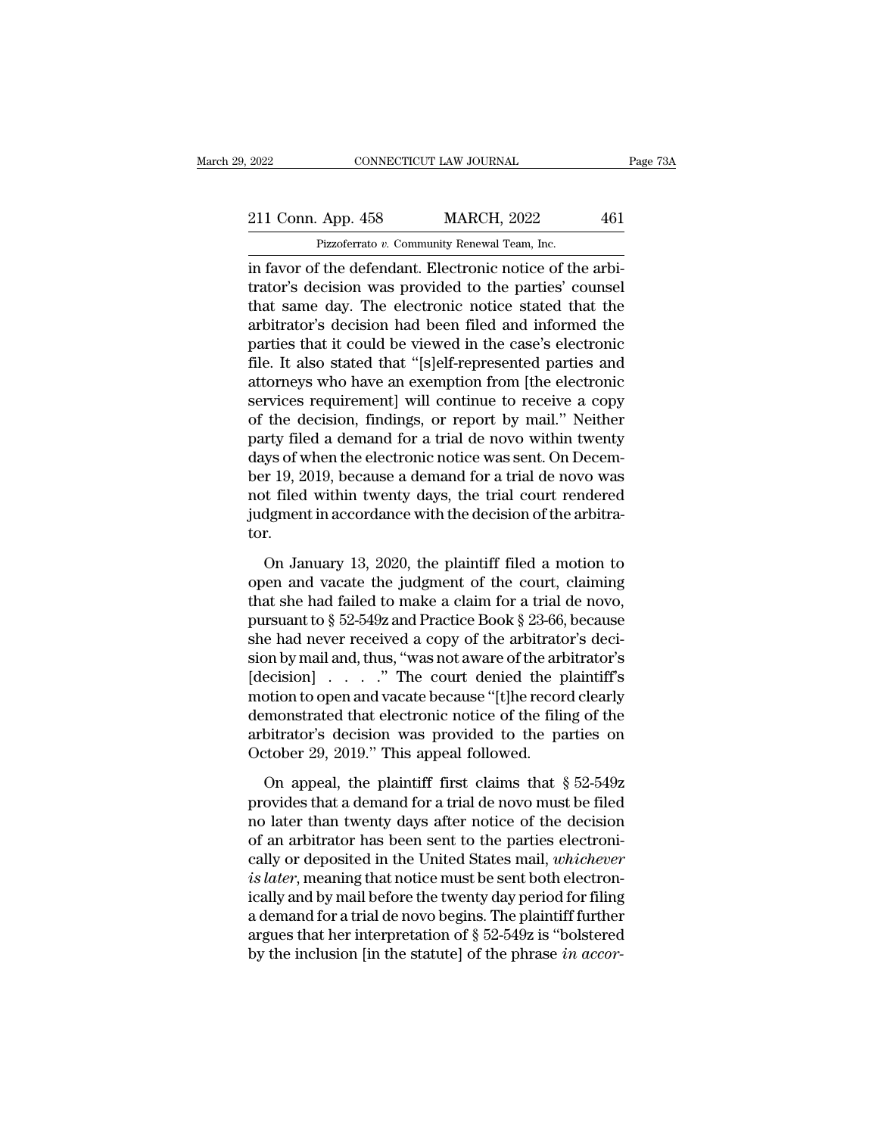Example 2022 CONNECTICUT LAW JOURNAL<br>
211 Conn. App. 458 MARCH, 2022 461<br>
Pizzoferrato *v.* Community Renewal Team, Inc.<br>
in favor of the defendant. Electronic notice of the arbi-EXECTE 2022 CONNECTICUT LAW JOURNAL<br>
211 Conn. App. 458 MARCH, 2022 461<br>
Pizzoferrato v. Community Renewal Team, Inc.<br>
in favor of the defendant. Electronic notice of the arbi-<br>
trator's decision was provided to the partie 211 Conn. App. 458 MARCH, 2022 461<br>Pizzoferrato v. Community Renewal Team, Inc.<br>in favor of the defendant. Electronic notice of the arbitrator's decision was provided to the parties' counsel<br>that same day. The electronic n 211 Conn. App. 458 MARCH, 2022 461<br>Pizzoferrato v. Community Renewal Team, Inc.<br>in favor of the defendant. Electronic notice of the arbitrator's decision was provided to the parties' counsel<br>that same day. The electronic 211 Conn. App. 458 MARCH, 2022 461<br>
Pizzoferrato v. Community Renewal Team, Inc.<br>
in favor of the defendant. Electronic notice of the arbitrator's decision was provided to the parties' counsel<br>
that same day. The electron Preferator v. Community Renewal Team, Inc.<br>
in favor of the defendant. Electronic notice of the arbitrator's decision was provided to the parties' counsel<br>
that same day. The electronic notice stated that the<br>
arbitrator's Fizzoierrato v. Community Renewal Team, Inc.<br>
in favor of the defendant. Electronic notice of the arbi-<br>
trator's decision was provided to the parties' counsel<br>
that same day. The electronic notice stated that the<br>
arbitra in favor of the defendant. Electronic notice of the arbi-<br>trator's decision was provided to the parties' counsel<br>that same day. The electronic notice stated that the<br>arbitrator's decision had been filed and informed the<br>pa trator's decision was provided to the parties' counsel<br>that same day. The electronic notice stated that the<br>arbitrator's decision had been filed and informed the<br>parties that it could be viewed in the case's electronic<br>fil that same day. The electronic notice stated that the<br>arbitrator's decision had been filed and informed the<br>parties that it could be viewed in the case's electronic<br>file. It also stated that "[s]elf-represented parties and<br> arbitrator's decision had been filed and informed the<br>parties that it could be viewed in the case's electronic<br>file. It also stated that "[s]elf-represented parties and<br>attorneys who have an exemption from [the electronic<br> parties that it could be viewed in the case's electronic<br>file. It also stated that "[s]elf-represented parties and<br>attorneys who have an exemption from [the electronic<br>services requirement] will continue to receive a copy<br> file. It also stated that "[s]elf-represented parties and<br>attorneys who have an exemption from [the electronic<br>services requirement] will continue to receive a copy<br>of the decision, findings, or report by mail." Neither<br>pa attorneys who have an exemption from [the electronic<br>services requirement] will continue to receive a copy<br>of the decision, findings, or report by mail." Neither<br>party filed a demand for a trial de novo within twenty<br>days services requirement] will continue to receive a copy<br>of the decision, findings, or report by mail." Neither<br>party filed a demand for a trial de novo within twenty<br>days of when the electronic notice was sent. On Decem-<br>ber tor. ys of when the electronic notice was sent. On Decem-<br>r 19, 2019, because a demand for a trial de novo was<br>t filed within twenty days, the trial court rendered<br>dgment in accordance with the decision of the arbitra-<br>r.<br>On Ja ber 19, 2019, because a demand for a trial de novo was<br>not filed within twenty days, the trial court rendered<br>judgment in accordance with the decision of the arbitra-<br>tor.<br>On January 13, 2020, the plaintiff filed a motion

not filed within twenty days, the trial court rendered<br>judgment in accordance with the decision of the arbitra-<br>tor.<br>On January 13, 2020, the plaintiff filed a motion to<br>open and vacate the judgment of the court, claiming judgment in accordance with the decision of the arbitrator.<br>
On January 13, 2020, the plaintiff filed a motion to<br>
open and vacate the judgment of the court, claiming<br>
that she had failed to make a claim for a trial de no for the had never received a copy of the arbitrator's decision by mail and, thus, "was not aware of the arbitrator's decision by mail and, thus, "was not aware of the arbitrator's decision by mail and, thus, "was not awar On January 13, 2020, the plaintiff filed a motion to<br>open and vacate the judgment of the court, claiming<br>that she had failed to make a claim for a trial de novo,<br>pursuant to  $\S 52-549z$  and Practice Book  $\S 23-66$ , becaus On January 13, 2020, the plaintiff filed a motion to<br>open and vacate the judgment of the court, claiming<br>that she had failed to make a claim for a trial de novo,<br>pursuant to § 52-549z and Practice Book § 23-66, because<br>sh open and vacate the judgment of the court, claiming<br>that she had failed to make a claim for a trial de novo,<br>pursuant to  $\S$  52-549z and Practice Book  $\S$  23-66, because<br>she had never received a copy of the arbitrator's d that she had failed to make a claim for a trial de novo,<br>pursuant to § 52-549z and Practice Book § 23-66, because<br>she had never received a copy of the arbitrator's deci-<br>sion by mail and, thus, "was not aware of the arbit pursuant to § 52-549z and Practice Book § 23-66, because<br>she had never received a copy of the arbitrator's deci-<br>sion by mail and, thus, "was not aware of the arbitrator's<br>[decision] . . . . . " The court denied the plaint she had never received a copy of the arbitrator's decision by mail and, thus, "was not aware of the arbitrator's [decision]  $\ldots$  ..." The court denied the plaintiff's motion to open and vacate because "[t]he record clear ecision]  $\ldots$  ." The court denied the plaintiff's<br>otion to open and vacate because "[t]he record clearly<br>monstrated that electronic notice of the filing of the<br>bitrator's decision was provided to the parties on<br>tober 29, motion to open and vacate because "[t]he record clearly<br>demonstrated that electronic notice of the filing of the<br>arbitrator's decision was provided to the parties on<br>October 29, 2019." This appeal followed.<br>On appeal, the

demonstrated that electronic notice of the filing of the<br>arbitrator's decision was provided to the parties on<br>October 29, 2019." This appeal followed.<br>On appeal, the plaintiff first claims that  $\S 52-549z$ <br>provides that a arbitrator's decision was provided to the parties on<br>October 29, 2019." This appeal followed.<br>On appeal, the plaintiff first claims that  $\S 52-549z$ <br>provides that a demand for a trial de novo must be filed<br>no later than t October 29, 2019." This appeal followed.<br>
On appeal, the plaintiff first claims that  $\S$  52-549z<br>
provides that a demand for a trial de novo must be filed<br>
no later than twenty days after notice of the decision<br>
of an arb on appeal, the plaintiff first claims that § 52-549z<br>provides that a demand for a trial de novo must be filed<br>no later than twenty days after notice of the decision<br>of an arbitrator has been sent to the parties electroni-<br> On appeal, the plaintiff first claims that  $\S$  52-549z<br>provides that a demand for a trial de novo must be filed<br>no later than twenty days after notice of the decision<br>of an arbitrator has been sent to the parties electron provides that a demand for a trial de novo must be filed<br>no later than twenty days after notice of the decision<br>of an arbitrator has been sent to the parties electroni-<br>cally or deposited in the United States mail, *which* no later than twenty days after notice of the decision<br>of an arbitrator has been sent to the parties electroni-<br>cally or deposited in the United States mail, *whichever*<br>is *later*, meaning that notice must be sent both e of an arbitrator has been sent to the parties electronically or deposited in the United States mail, *whichever* is *later*, meaning that notice must be sent both electronically and by mail before the twenty day period for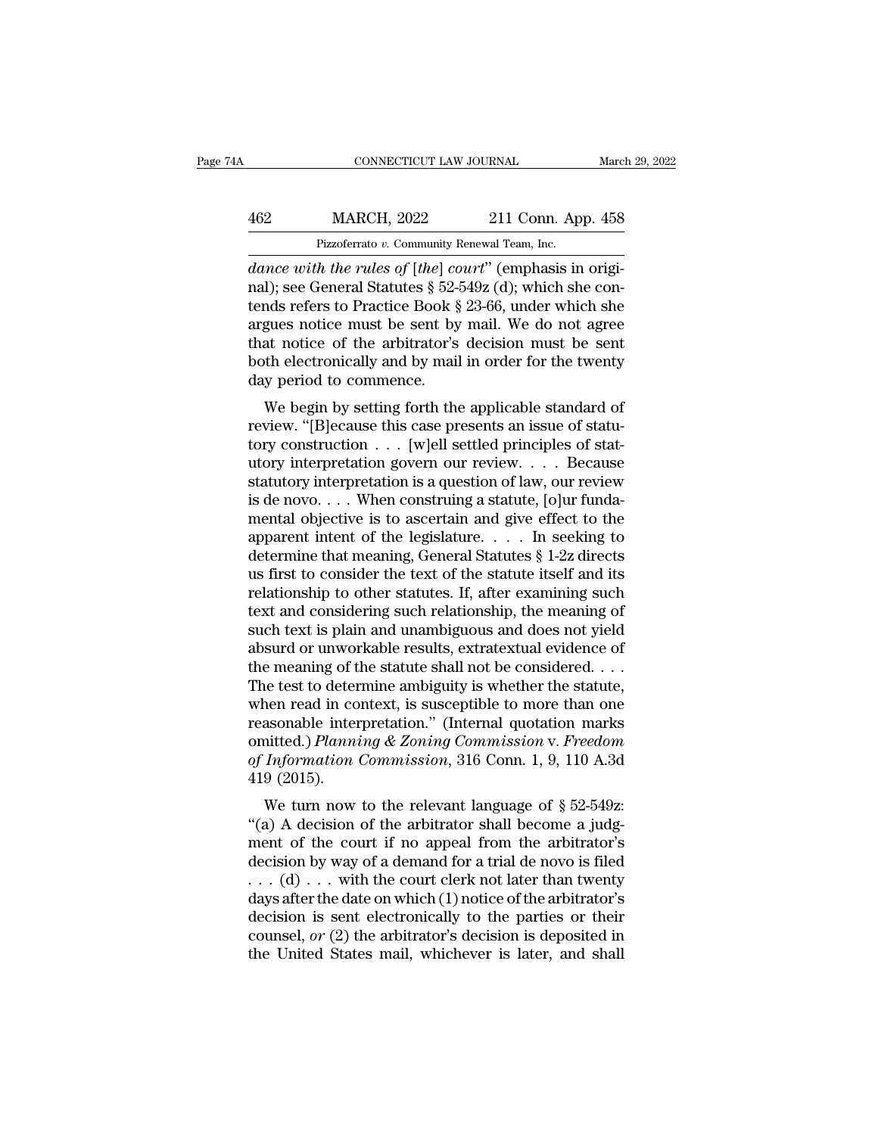## EXECUTE CONNECTICUT LAW JOURNAL March 29, 2022<br>462 MARCH, 2022 211 Conn. App. 458<br>Pizzoferrato v. Community Renewal Team, Inc. CONNECTICUT LAW JOURNAL March March 2022<br>11 Conn. App. 458<br>Pizzoferrato *v.* Community Renewal Team, Inc.<br>dance with the rules of [the] court" (emphasis in origi-

*CONNECTICUT LAW JOURNAL*<br> *MARCH, 2022* 211 Conn. App. 458<br> *Pizzoferrato v. Community Renewal Team, Inc.*<br> *dance with the rules of [the] court*" (emphasis in origi-<br>
rail); see General Statutes § 52-549z (d); which she MARCH, 2022 211 Conn. App. 458<br>
Pizzoferrato v. Community Renewal Team, Inc.<br>
dance with the rules of [the] court" (emphasis in original); see General Statutes § 52-549z (d); which she con-<br>
tends refers to Practice Book § 462 MARCH, 2022 211 Conn. App. 458<br>
Pizzoferrato v. Community Renewal Team, Inc.<br>
dance with the rules of [the] court" (emphasis in original); see General Statutes § 52-549z (d); which she con-<br>
tends refers to Practice B A62 MARCH, 2022 211 Conn. App. 458<br>
Pizzoferrato v. Community Renewal Team, Inc.<br>
dance with the rules of [the] court" (emphasis in original); see General Statutes  $\S 52-549z$  (d); which she contends refers to Practice Bo Fizzoferrato v. Community Renewal Team, Inc.<br>
dance with the rules of [the] court" (emphasis in original); see General Statutes § 52-549z (d); which she con-<br>
tends refers to Practice Book § 23-66, under which she<br>
argues Pizzoterrato v. Community Renewal Team, Inc.<br>
dance with the rules of [the] court" (emphasis in original); see General Statutes § 52-549z (d); which she con-<br>
tends refers to Practice Book § 23-66, under which she<br>
argues dance with the rules of [the] comal); see General Statutes § 52-4<br>tends refers to Practice Book §<br>argues notice must be sent by<br>that notice of the arbitrator's<br>both electronically and by mail<br>day period to commence.<br>We beg Fig. 3. See General statutes  $\frac{1}{2}$  32-3452 (d), which she con-<br>nds refers to Practice Book  $\frac{5}{2}$  23-66, under which she<br>gues notice of the arbitrator's decision must be sent<br>th electronically and by mail in order reflux reflux in Fractice Book § 25-00, under which she<br>argues notice must be sent by mail. We do not agree<br>that notice of the arbitrator's decision must be sent<br>both electronically and by mail in order for the twenty<br>day

argues notice must be sent by man. We do not agree<br>that notice of the arbitrator's decision must be sent<br>both electronically and by mail in order for the twenty<br>day period to commence.<br>We begin by setting forth the applica that notice of the another is decision must be sent<br>both electronically and by mail in order for the twenty<br>day period to commence.<br>We begin by setting forth the applicable standard of<br>review. "[B]ecause this case present statutory interpretation is a question of law, our review<br>is day period to commence.<br>We begin by setting forth the applicable standard of<br>review. "[B]ecause this case presents an issue of statu-<br>tory construction  $\ldots$  [w] We begin by setting forth the applicable standard of<br>review. "[B]ecause this case presents an issue of statu-<br>tory construction  $\ldots$  [w]ell settled principles of stat-<br>utory interpretation govern our review.  $\ldots$  Becaus We begin by setting forth the applicable standard of<br>review. "[B]ecause this case presents an issue of statu-<br>tory construction . . . [w]ell settled principles of stat-<br>utory interpretation govern our review. . . . Becaus review. "[B]ecause this case presents an issue of statutory construction . . . [w]ell settled principles of statutory interpretation govern our review. . . . Because statutory interpretation is a question of law, our revi tory construction  $\ldots$  [w]ell settled principles of statutory interpretation govern our review.  $\ldots$  Because<br>statutory interpretation is a question of law, our review<br>is de novo.  $\ldots$  When construing a statute, [o]ur f utory interpretation govern our review. . . . Because<br>statutory interpretation is a question of law, our review<br>is de novo. . . . When construing a statute, [o]ur funda-<br>mental objective is to ascertain and give effect to statutory interpretation is a question of law, our review<br>is de novo. . . . When construing a statute, [o]ur funda-<br>mental objective is to ascertain and give effect to the<br>apparent intent of the legislature. . . . In seek is de novo. . . . When construing a statute, [o]ur fundamental objective is to ascertain and give effect to the apparent intent of the legislature. . . . . In seeking to determine that meaning, General Statutes  $\S 1$ -2z d mental objective is to ascertain and give effect to the<br>apparent intent of the legislature. . . . In seeking to<br>determine that meaning, General Statutes § 1-2z directs<br>us first to consider the text of the statute itself an apparent intent of the legislature. . . . . In seeking to<br>determine that meaning, General Statutes § 1-2z directs<br>us first to consider the text of the statute itself and its<br>relationship to other statutes. If, after examin determine that meaning, General Statutes § 1-2z directs<br>us first to consider the text of the statute itself and its<br>relationship to other statutes. If, after examining such<br>text and considering such relationship, the meani us first to consider the text of the statute itself and its<br>relationship to other statutes. If, after examining such<br>text and considering such relationship, the meaning of<br>such text is plain and unambiguous and does not yi relationship to other statutes. If, after examining such<br>text and considering such relationship, the meaning of<br>such text is plain and unambiguous and does not yield<br>absurd or unworkable results, extratextual evidence of<br> text and considering such relationship, the meaning of<br>such text is plain and unambiguous and does not yield<br>absurd or unworkable results, extratextual evidence of<br>the meaning of the statute shall not be considered....<br>Th such text is plain and unambiguous and does not yield<br>absurd or unworkable results, extratextual evidence of<br>the meaning of the statute shall not be considered. . . .<br>The test to determine ambiguity is whether the statute, absurd or unworkable results, extratextual evidence of<br>the meaning of the statute shall not be considered. . . .<br>The test to determine ambiguity is whether the statute,<br>when read in context, is susceptible to more than one the meaning of t<br>The test to deter<br>when read in co<br>reasonable inter<br>omitted.) *Planna*<br>of Information<br>419 (2015).<br>We turn now de test to determine amorgany is whether the statute,<br>hen read in context, is susceptible to more than one<br>asonable interpretation." (Internal quotation marks<br>itted.) *Planning & Zoning Commission* v. *Freedom*<br>*Informatio* when read in context, is susceptible to indice than one<br>
reasonable interpretation." (Internal quotation marks<br>
omitted.) *Planning & Zoning Commission* v. *Freedom*<br>
of *Information Commission*, 316 Conn. 1, 9, 110 A.3d<br>

reasonable interpretation. (Internal quotation marks<br>omitted.) Planning & Zoning Commission v. Freedom<br>of Information Commission, 316 Conn. 1, 9, 110 A.3d<br>419 (2015).<br>We turn now to the relevant language of § 52-549z:<br>"(a of Information Commission, 316 Conn. 1, 9, 110 A.3d<br>419 (2015).<br>We turn now to the relevant language of § 52-549z:<br>"(a) A decision of the arbitrator shall become a judg-<br>ment of the court if no appeal from the arbitrator' by *Hijormation Commission*, 510 Collit. 1, 9, 110 A.5d<br>419 (2015).<br>We turn now to the relevant language of § 52-549z:<br>"(a) A decision of the arbitrator shall become a judg-<br>ment of the court if no appeal from the arbitra We turn now to the relevant language of § 52-549z:<br>
"(a) A decision of the arbitrator shall become a judg-<br>
ment of the court if no appeal from the arbitrator's<br>
decision by way of a demand for a trial de novo is filed<br>
. We turn now to the relevant language of § 52-549z:<br>"(a) A decision of the arbitrator shall become a judg-<br>ment of the court if no appeal from the arbitrator's<br>decision by way of a demand for a trial de novo is filed<br> $\dots$  "(a) A decision of the arbitrator shall become a judgment of the court if no appeal from the arbitrator's decision by way of a demand for a trial de novo is filed . . . (d) . . . with the court clerk not later than twenty ment of the court if no appeal from the arbitrator's<br>decision by way of a demand for a trial de novo is filed<br>... (d) ... with the court clerk not later than twenty<br>days after the date on which (1) notice of the arbitrato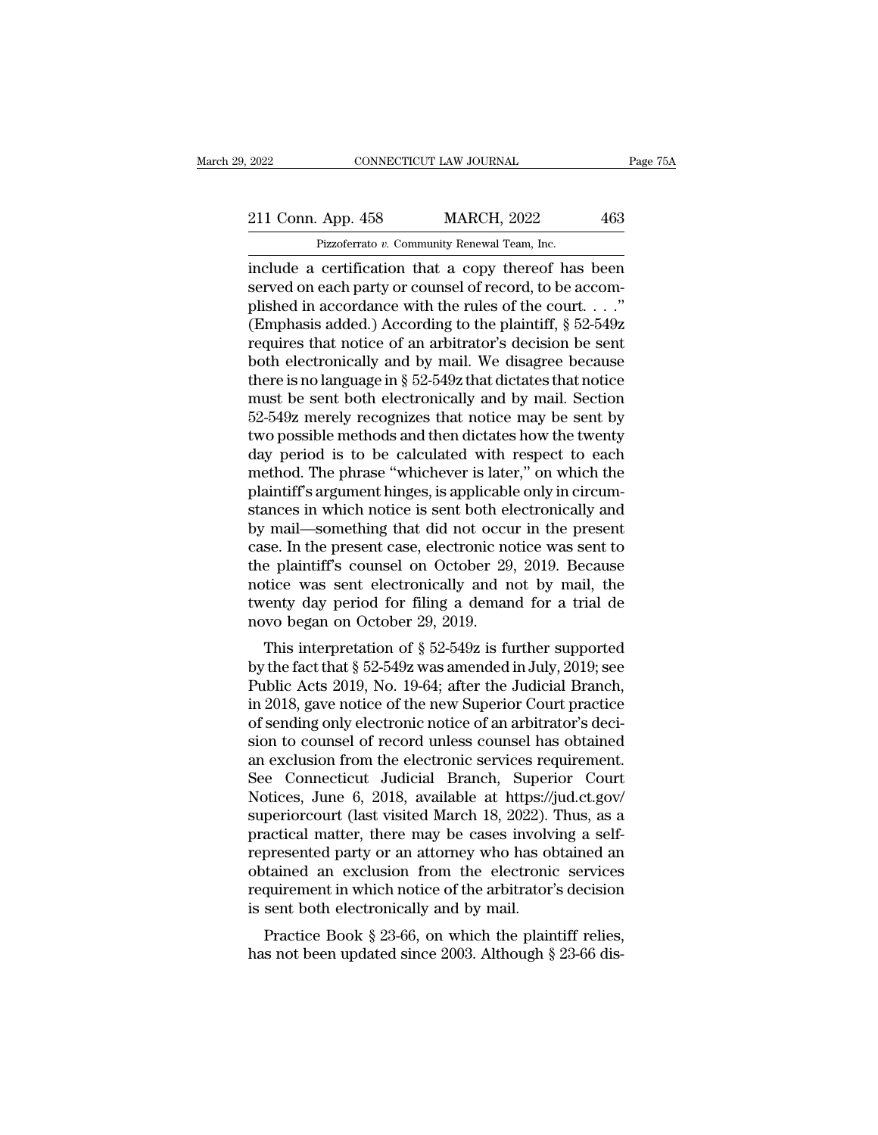2022 CONNECTICUT LAW JOURNAL Page 75A<br>211 Conn. App. 458 MARCH, 2022 463<br>Pizzoferrato v. Community Renewal Team, Inc.

Example 2022 CONNECTICUT LAW JOURNAL<br>
211 Conn. App. 458 MARCH, 2022 463<br>
Pizzoferrato *v.* Community Renewal Team, Inc.<br>
include a certification that a copy thereof has been EXECT 2022 CONNECTICUT LAW JOURNAL Page 75A<br>
211 Conn. App. 458 MARCH, 2022 463<br>
Pizzoferrato v. Community Renewal Team, Inc.<br>
include a certification that a copy thereof has been<br>
served on each party or counsel of record 211 Conn. App. 458 MARCH, 2022 463<br>Pizzoferrato v. Community Renewal Team, Inc.<br>include a certification that a copy thereof has been<br>served on each party or counsel of record, to be accom-<br>plished in accordance with the ru 211 Conn. App. 458 MARCH, 2022 463<br>
Pizzoferrato v. Community Renewal Team, Inc.<br>
include a certification that a copy thereof has been<br>
served on each party or counsel of record, to be accom-<br>
plished in accordance with t 211 Conn. App. 458 MARCH, 2022 463<br>
Pizzoferrato v. Community Renewal Team, Inc.<br>
include a certification that a copy thereof has been<br>
served on each party or counsel of record, to be accom-<br>
plished in accordance with t Pizzoferrato v. Community Renewal Team, Inc.<br>
include a certification that a copy thereof has been<br>
served on each party or counsel of record, to be accom-<br>
plished in accordance with the rules of the court. . . ."<br>
(Emph Pizzoterrato v. Community Renewal Team, Inc.<br>
include a certification that a copy thereof has been<br>
served on each party or counsel of record, to be accom-<br>
plished in accordance with the rules of the court. . . ."<br>
(Emph include a certification that a copy thereof has been<br>served on each party or counsel of record, to be accom-<br>plished in accordance with the rules of the court. . . ."<br>(Emphasis added.) According to the plaintiff,  $\S 52-54$ served on each party or counsel of record, to be accomplished in accordance with the rules of the court. . . ."<br>(Emphasis added.) According to the plaintiff,  $\S$  52-549z<br>requires that notice of an arbitrator's decision be plished in accordance with the rules of the court. . . ."<br>(Emphasis added.) According to the plaintiff, § 52-549z<br>requires that notice of an arbitrator's decision be sent<br>both electronically and by mail. We disagree becau (Emphasis added.) According to the plaintiff,  $\S$  52-549z<br>requires that notice of an arbitrator's decision be sent<br>both electronically and by mail. We disagree because<br>there is no language in  $\S$  52-549z that dictates tha requires that notice of an arbitrator's decision be sent<br>both electronically and by mail. We disagree because<br>there is no language in § 52-549z that dictates that notice<br>must be sent both electronically and by mail. Sectio both electronically and by mail. We disagree because<br>there is no language in § 52-549z that dictates that notice<br>must be sent both electronically and by mail. Section<br>52-549z merely recognizes that notice may be sent by<br>tw there is no language in § 52-549z that dictates that notice<br>must be sent both electronically and by mail. Section<br>52-549z merely recognizes that notice may be sent by<br>two possible methods and then dictates how the twenty<br> must be sent both electronically and by mail. Section 52-549z merely recognizes that notice may be sent by two possible methods and then dictates how the twenty day period is to be calculated with respect to each method. T 52-549z merely recognizes that notice may be sent by<br>two possible methods and then dictates how the twenty<br>day period is to be calculated with respect to each<br>method. The phrase "whichever is later," on which the<br>plaintif two possible methods and then dictates how the twenty<br>day period is to be calculated with respect to each<br>method. The phrase "whichever is later," on which the<br>plaintiff's argument hinges, is applicable only in circum-<br>sta day period is to be calculated with respect to each<br>method. The phrase "whichever is later," on which the<br>plaintiff's argument hinges, is applicable only in circum-<br>stances in which notice is sent both electronically and<br>b method. The phrase "whichever is later," on which the plaintiff's argument hinges, is applicable only in circumstances in which notice is sent both electronically and by mail—something that did not occur in the present cas plaintiff's argument hinges, is applicable only in circum-<br>stances in which notice is sent both electronically and<br>by mail—something that did not occur in the present<br>case. In the present case, electronic notice was sent t stances in which notice is sent both el<br>by mail—something that did not occu<br>case. In the present case, electronic no<br>the plaintiff's counsel on October 29<br>notice was sent electronically and n<br>twenty day period for filing a Than—solieting that did not occur in the present<br>se. In the present case, electronic notice was sent to<br>e plaintiff's counsel on October 29, 2019. Because<br>tice was sent electronically and not by mail, the<br>enty day period case. In the present case, electronic holde was sent to<br>the plaintiff's counsel on October 29, 2019. Because<br>notice was sent electronically and not by mail, the<br>twenty day period for filing a demand for a trial de<br>novo be

the plant is courser on October 29, 2019. Because<br>notice was sent electronically and not by mail, the<br>twenty day period for filing a demand for a trial de<br>novo began on October 29, 2019.<br>This interpretation of § 52-549z is fluxe was sent efectrollically and not by mail, the<br>twenty day period for filing a demand for a trial de<br>novo began on October 29, 2019.<br>This interpretation of  $\S 52-549z$  is further supported<br>by the fact that  $\S 52-549z$ reflux twenty day period for filling a definal<br>to the altriar defined above began on October 29, 2019.<br>This interpretation of  $\S$  52-549z is further supported<br>by the fact that  $\S$  52-549z was amended in July, 2019; see<br>Pu This interpretation of  $\S$  52-549z is further supported<br>by the fact that  $\S$  52-549z was amended in July, 2019; see<br>Public Acts 2019, No. 19-64; after the Judicial Branch,<br>in 2018, gave notice of the new Superior Court pr This interpretation of  $\S$  52-549z is further supported<br>by the fact that  $\S$  52-549z was amended in July, 2019; see<br>Public Acts 2019, No. 19-64; after the Judicial Branch,<br>in 2018, gave notice of the new Superior Court pr by the fact that § 52-549z was amended in July, 2019; see<br>Public Acts 2019, No. 19-64; after the Judicial Branch,<br>in 2018, gave notice of the new Superior Court practice<br>of sending only electronic notice of an arbitrator's Public Acts 2019, No. 19-64; after the Judicial Branch,<br>in 2018, gave notice of the new Superior Court practice<br>of sending only electronic notice of an arbitrator's deci-<br>sion to counsel of record unless counsel has obtain in 2018, gave notice of the new Superior Court practice<br>of sending only electronic notice of an arbitrator's deci-<br>sion to counsel of record unless counsel has obtained<br>an exclusion from the electronic services requirement of sending only electronic notice of an arbitrator's decision to counsel of record unless counsel has obtained<br>an exclusion from the electronic services requirement.<br>See Connecticut Judicial Branch, Superior Court<br>Notices, sion to counsel of record unless counsel has obtained<br>an exclusion from the electronic services requirement.<br>See Connecticut Judicial Branch, Superior Court<br>Notices, June 6, 2018, available at https://jud.ct.gov/<br>superiorc an exclusion from the electronic services requirement.<br>See Connecticut Judicial Branch, Superior Court<br>Notices, June 6, 2018, available at https://jud.ct.gov/<br>superiorcourt (last visited March 18, 2022). Thus, as a<br>practic See Connecticut Judicial Branch, Superior Court<br>Notices, June 6, 2018, available at https://jud.ct.gov/<br>superiorcourt (last visited March 18, 2022). Thus, as a<br>practical matter, there may be cases involving a self-<br>represe Notices, June 6, 2018, available at https://j<br>superiorcourt (last visited March 18, 2022).<br>practical matter, there may be cases involv<br>represented party or an attorney who has obtained an exclusion from the electronic<br>req periodical matter, there may be cases involving a self-<br>presented party or an attorney who has obtained an<br>tained an exclusion from the electronic services<br>quirement in which notice of the arbitrator's decision<br>sent both e practical matter, there may be cases involving a sen-<br>represented party or an attorney who has obtained an<br>obtained an exclusion from the electronic services<br>requirement in which notice of the arbitrator's decision<br>is sent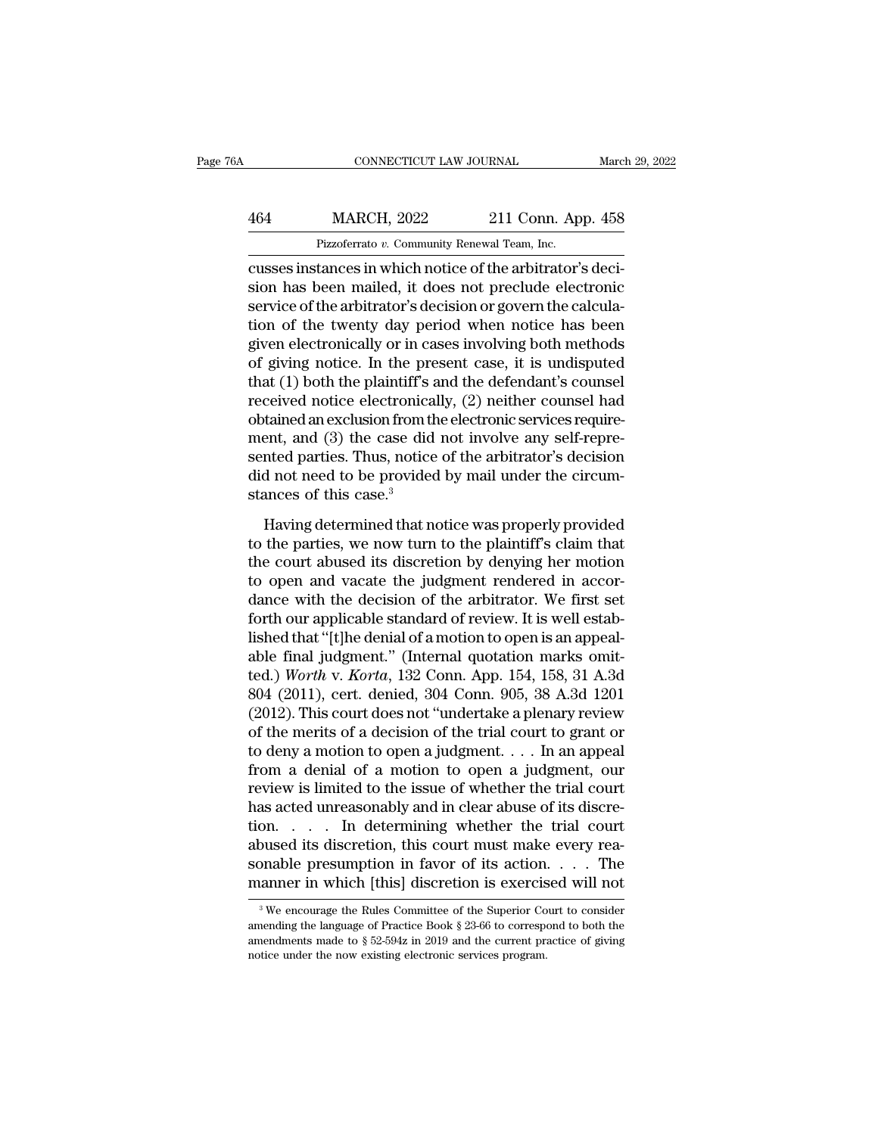## EXECUTE CONNECTICUT LAW JOURNAL March 29, 2022<br>464 MARCH, 2022 211 Conn. App. 458<br>Pizzoferrato v. Community Renewal Team, Inc. CONNECTICUT LAW JOURNAL March March March 2022 211 Conn. App. 458<br>Pizzoferrato *v.* Community Renewal Team, Inc.<br>Cusses instances in which notice of the arbitrator's deci-

CONNECTICUT LAW JOURNAL March March 2022<br>
211 Conn. App. 458<br>
Pizzoferrato v. Community Renewal Team, Inc.<br>
Cusses instances in which notice of the arbitrator's deci-<br>
sion has been mailed, it does not preclude electronic<br> MARCH, 2022 211 Conn. App. 458<br>
Pizzoferrato v. Community Renewal Team, Inc.<br>
cusses instances in which notice of the arbitrator's decision<br>
has been mailed, it does not preclude electronic<br>
service of the arbitrator's dec  $\begin{array}{lll}\n & \text{MARCH, 2022} & \text{211 Conn. App. 458} \\
 & \text{Pizzoferrato } v. \text{ Community Renewal Team, Inc.} \\
 \hline\n & \text{cusses instances in which notice of the arbitrary decision has been mailed, it does not preclude electronic service of the arbitrary decision or govern the calculation of the twenty day period when notice has been given electronically or in agase involving both methods.\n$  $\frac{\text{MARCH}}{\text{Pizzoferrato } v. \text{ Community Renewal Team, Inc.}}$ <br>
Fizzoferrato v. Community Renewal Team, Inc.<br>
cusses instances in which notice of the arbitrator's decision has been mailed, it does not preclude electronic<br>
service of the arbitrator's Pizzoferrato *v*. Community Renewal Team, Inc.<br>
cusses instances in which notice of the arbitrator's decision has been mailed, it does not preclude electronic<br>
service of the arbitrator's decision or govern the calcula-<br> Plead on the present case, it is undisputed that (1) both the plantiff's and the defendant's course of giving notice. In the present case, it is undisputed that (1) both the plaintiff's and the defendant's counsel preceiv cusses instances in which notice of the arbitrator's decision has been mailed, it does not preclude electronic<br>service of the arbitrator's decision or govern the calcula-<br>tion of the twenty day period when notice has been<br> sion has been mailed, it does not preclude electronic<br>service of the arbitrator's decision or govern the calcula-<br>tion of the twenty day period when notice has been<br>given electronically or in cases involving both methods<br>o service of the arbitrator's decision or govern the calculation of the twenty day period when notice has been given electronically or in cases involving both methods of giving notice. In the present case, it is undisputed t tion of the twenty day period when notice has been<br>given electronically or in cases involving both methods<br>of giving notice. In the present case, it is undisputed<br>that (1) both the plaintiff's and the defendant's counsel<br>r given electronically or in cases involving both methods<br>of giving notice. In the present case, it is undisputed<br>that (1) both the plaintiff's and the defendant's counsel<br>received notice electronically, (2) neither counsel of giving notice. In the present case, it is undisputed<br>that (1) both the plaintiff's and the defendant's counsel<br>received notice electronically, (2) neither counsel had<br>obtained an exclusion from the electronic services that (1) both the plaintiff's a<br>received notice electronica<br>obtained an exclusion from th<br>ment, and (3) the case did<br>sented parties. Thus, notice<br>did not need to be provided<br>stances of this case.<sup>3</sup><br>Having determined that tained an exclusion from the electronic services require-<br>ent, and (3) the case did not involve any self-repre-<br>nted parties. Thus, notice of the arbitrator's decision<br>d not need to be provided by mail under the circum-<br>a to the particle in the section of the particle in the plant of the arbitrator's decision<br>did not need to be provided by mail under the circum-<br>stances of this case.<sup>3</sup><br>Having determined that notice was properly provided<br>to

sented parties. Thus, notice of the arbitrator's decision<br>did not need to be provided by mail under the circum-<br>stances of this case.<sup>3</sup><br>Having determined that notice was properly provided<br>to the parties, we now turn to t the plane of the growided by mail under the circum-<br>stances of this case.<sup>3</sup><br>Having determined that notice was properly provided<br>to the parties, we now turn to the plaintiff's claim that<br>the court abused its discretion by decision of this case.<sup>3</sup><br>Having determined that notice was properly provided<br>to the parties, we now turn to the plaintiff's claim that<br>the court abused its discretion by denying her motion<br>to open and vacate the judgment Having determined that notice was properly provided<br>to the parties, we now turn to the plaintiff's claim that<br>the court abused its discretion by denying her motion<br>to open and vacate the judgment rendered in accor-<br>dance w Having determined that notice was properly provided<br>to the parties, we now turn to the plaintiff's claim that<br>the court abused its discretion by denying her motion<br>to open and vacate the judgment rendered in accor-<br>dance to the parties, we now turn to the plaintiff's claim that<br>the court abused its discretion by denying her motion<br>to open and vacate the judgment rendered in accor-<br>dance with the decision of the arbitrator. We first set<br>fo the court abused its discretion by denying her motion<br>to open and vacate the judgment rendered in accor-<br>dance with the decision of the arbitrator. We first set<br>forth our applicable standard of review. It is well estab-<br>li to open and vacate the judgment rendered in accordance with the decision of the arbitrator. We first set<br>forth our applicable standard of review. It is well estab-<br>lished that "[t]he denial of a motion to open is an appeal dance with the decision of the arbitrator. We first set<br>forth our applicable standard of review. It is well estab-<br>lished that "[t]he denial of a motion to open is an appeal-<br>able final judgment." (Internal quotation marks forth our applicable standard of review. It is well established that "[t]he denial of a motion to open is an appeal-<br>able final judgment." (Internal quotation marks omit-<br>ted.) Worth v. Korta, 132 Conn. App. 154, 158, 31 A lished that "[t]he denial of a motion to open is an appeal-<br>able final judgment." (Internal quotation marks omit-<br>ted.) *Worth v. Korta*, 132 Conn. App. 154, 158, 31 A.3d<br>804 (2011), cert. denied, 304 Conn. 905, 38 A.3d 12 able final judgment." (Internal quotation marks omit-<br>ted.) Worth v. Korta, 132 Conn. App. 154, 158, 31 A.3d<br>804 (2011), cert. denied, 304 Conn. 905, 38 A.3d 1201<br>(2012). This court does not "undertake a plenary review<br>of ted.) Worth v. Korta, 132 Conn. App. 154, 158, 31 A.3d 804 (2011), cert. denied, 304 Conn. 905, 38 A.3d 1201 (2012). This court does not "undertake a plenary review of the merits of a decision of the trial court to grant 804 (2011), cert. denied, 304 Conn. 905, 38 A.3d 1201 (2012). This court does not "undertake a plenary review of the merits of a decision of the trial court to grant or to deny a motion to open a judgment.  $\dots$  In an appe (2012). This court does not "undertake a plenary review<br>of the merits of a decision of the trial court to grant or<br>to deny a motion to open a judgment. . . . In an appeal<br>from a denial of a motion to open a judgment, our<br> of the merits of a decision of the trial court to grant or<br>to deny a motion to open a judgment. . . . In an appeal<br>from a denial of a motion to open a judgment, our<br>review is limited to the issue of whether the trial cour to deny a motion to open a judgment. . . . In an appeal<br>from a denial of a motion to open a judgment, our<br>review is limited to the issue of whether the trial court<br>has acted unreasonably and in clear abuse of its discre-<br> from a denial of a motion to open a judgment, our<br>review is limited to the issue of whether the trial court<br>has acted unreasonably and in clear abuse of its discre-<br>tion. . . . . In determining whether the trial court<br>abu on. . . . . In determining whether the trial court<br>bused its discretion, this court must make every rea-<br>bnable presumption in favor of its action. . . . The<br>anner in which [this] discretion is exercised will not<br> $\frac{3}{8}$ abused its discretion, this court must make every reasonable presumption in favor of its action. . . . The manner in which [this] discretion is exercised will not  $\frac{3}{8}$  We encourage the Rules Committee of the Superior

sonable presumption in favor of its action. . . . The<br>manner in which [this] discretion is exercised will not<br><sup>3</sup>We encourage the Rules Committee of the Superior Court to consider<br>amending the language of Practice Book § manner in which [this] discretion is exercis<br>
<sup>3</sup> We encourage the Rules Committee of the Superior Co<br>
amending the language of Practice Book § 23-66 to correspo<br>
amendments made to § 52-594z in 2019 and the current pract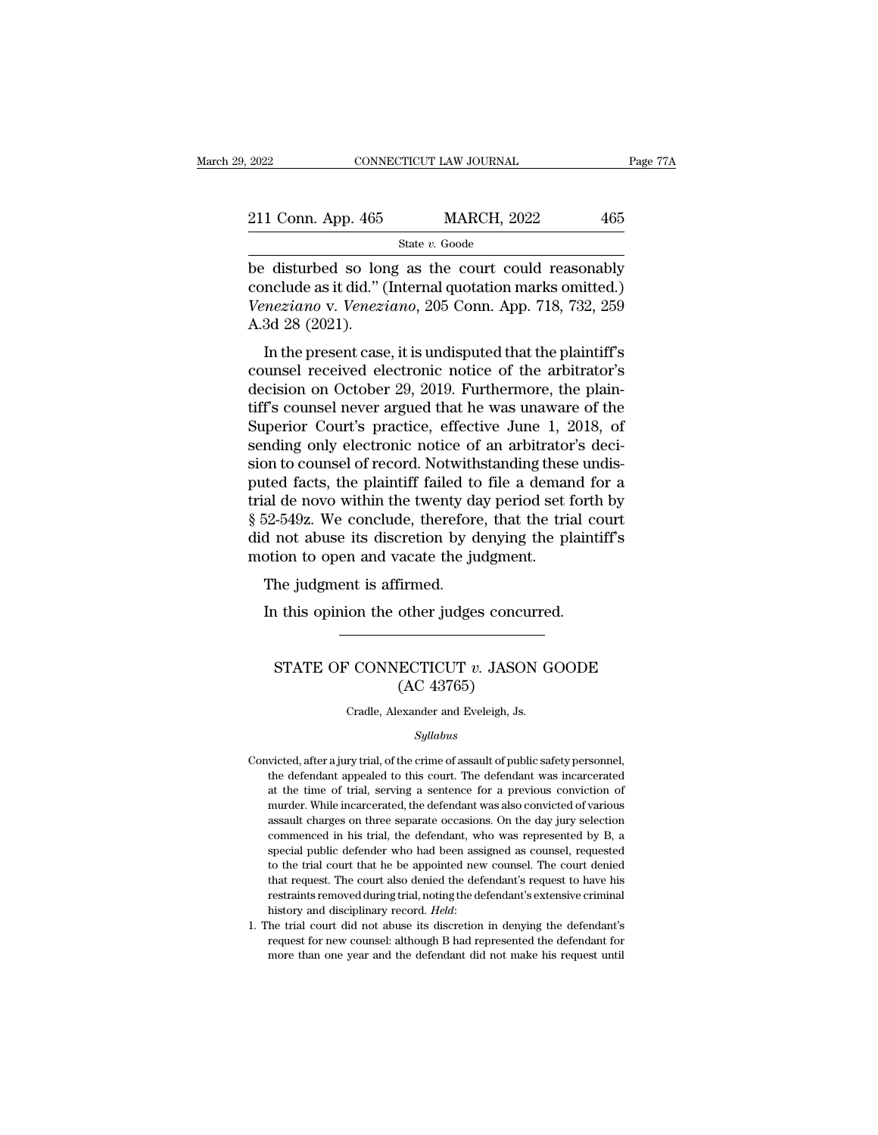| 2022               | CONNECTICUT LAW JOURNAL | Page 77A |
|--------------------|-------------------------|----------|
| 211 Conn. App. 465 | <b>MARCH, 2022</b>      | 465      |
|                    | State v. Goode          |          |

EREA CONNECTICUT LAW JOURNAL Page 77A<br>
211 Conn. App. 465 MARCH, 2022 465<br>
State v. Goode<br>
be disturbed so long as the court could reasonably<br>
conclude as it did." (Internal quotation marks omitted.)<br>
Menorione v. Venorion 211 Conn. App. 465 MARCH, 2022 465<br>State v. Goode<br>be disturbed so long as the court could reasonably<br>conclude as it did.'' (Internal quotation marks omitted.)<br>Veneziano v. Veneziano, 205 Conn. App. 718, 732, 259<br>A 3d 38 ( *Veneziano* v. *Veneziano*, 2025 *Veneziano*, 205 Conn. App. 718, 732, 259 A.3d 28 (2021). 211 Conn. App. 465<br>be disturbed so lor<br>conclude as it did." (<br>Veneziano v. Venezi<br>A.3d 28 (2021).<br>In the present case State v. Goode<br>
In disturbed so long as the court could reasonably<br>
include as it did." (Internal quotation marks omitted.)<br>
meziano v. Veneziano, 205 Conn. App. 718, 732, 259<br>
3d 28 (2021).<br>
In the present case, it is un be disturbed so long as the court could reasonably<br>conclude as it did." (Internal quotation marks omitted.)<br>Veneziano v. Veneziano, 205 Conn. App. 718, 732, 259<br>A.3d 28 (2021).<br>In the present case, it is undisputed that th

be distribed so long as the court collid reasonably<br>conclude as it did." (Internal quotation marks omitted.)<br>Veneziano v. Veneziano, 205 Conn. App. 718, 732, 259<br>A.3d 28 (2021).<br>In the present case, it is undisputed that Veneziano v. Veneziano, 205 Conn. App. 718, 732, 259<br>A.3d 28 (2021).<br>In the present case, it is undisputed that the plaintiff's<br>counsel received electronic notice of the arbitrator's<br>decision on October 29, 2019. Furthermo Example 1, 10, 132, 259<br>A.3d 28 (2021).<br>In the present case, it is undisputed that the plaintiff's<br>counsel received electronic notice of the arbitrator's<br>decision on October 29, 2019. Furthermore, the plain-<br>tiff's counsel A.5d 26 (2021).<br>In the present case, it is undisputed that the plaintiff's<br>counsel received electronic notice of the arbitrator's<br>decision on October 29, 2019. Furthermore, the plain-<br>tiff's counsel never argued that he w In the present case, it is undisputed that the plaintiff's<br>counsel received electronic notice of the arbitrator's<br>decision on October 29, 2019. Furthermore, the plain-<br>tiff's counsel never argued that he was unaware of the counsel received electronic notice of the arbitrator's<br>decision on October 29, 2019. Furthermore, the plain-<br>tiff's counsel never argued that he was unaware of the<br>Superior Court's practice, effective June 1, 2018, of<br>send decision on October 29, 2019. Furthermore, the plain-<br>tiff's counsel never argued that he was unaware of the<br>Superior Court's practice, effective June 1, 2018, of<br>sending only electronic notice of an arbitrator's deci-<br>sio tiff's counsel never argued that he was unaware of the<br>Superior Court's practice, effective June 1, 2018, of<br>sending only electronic notice of an arbitrator's deci-<br>sion to counsel of record. Notwithstanding these undis-<br>p Superior Court's practice, effective June 1, 2018, of<br>sending only electronic notice of an arbitrator's deci-<br>sion to counsel of record. Notwithstanding these undis-<br>puted facts, the plaintiff failed to file a demand for a sending only electronic notice of an arbitratorsion to counsel of record. Notwithstanding thes puted facts, the plaintiff failed to file a demar trial de novo within the twenty day period set is  $$52-549z$ . We conclude, th In to courser of record. Notwith<br>ted facts, the plaintiff failed to<br>al de novo within the twenty da<br>52-549z. We conclude, therefore<br>d not abuse its discretion by d<br>otion to open and vacate the ju<br>The judgment is affirmed.<br> In the twenty day period set forth the twenty day period set forth the independent of 2-549z. We conclude, therefore, that the trial conduction to open and vacate the judgment.<br>The judgment is affirmed.<br>In this opinion the

### ion to open and vacate the judgment.<br>
he judgment is affirmed.<br>
1 this opinion the other judges concurred.<br>
STATE OF CONNECTICUT *v.* JASON GOODE<br>
(AC 43765) firmed.<br>
other judges concu<br>
ECTICUT v. JASO!<br>
(AC 43765)<br>
exander and Eveleigh, Js. STATE OF CONNECTICUT  $v$ . JASON GOODE<br>(AC 43765)<br>Cradle, Alexander and Eveleigh, Js.

### *Syllabus*

- $\rm (AC\ 43765)$ <br>Cradle, Alexander and Eveleigh, Js.<br> $\it Syllabus$ <br>Convicted, after a jury trial, of the crime of assault of public safety personnel,<br>the defendant appealed to this court. The defendant was incarcerated (TC 40100)<br>Cradle, Alexander and Eveleigh, Js.<br>Syllabus<br>victed, after a jury trial, of the crime of assault of public safety personnel,<br>the defendant appealed to this court. The defendant was incarcerated<br>at the time of tr Cradle, Alexander and Eveleigh, Js.<br>
Syllabus<br>
victed, after a jury trial, of the crime of assault of public safety personnel,<br>
the defendant appealed to this court. The defendant was incarcerated<br>
at the time of trial, se Syllabus<br>wicted, after a jury trial, of the crime of assault of public safety personnel,<br>the defendant appealed to this court. The defendant was incarcerated<br>at the time of trial, serving a sentence for a previous convicti *Syltabus*<br>sixteed, after a jury trial, of the crime of assault of public safety personnel,<br>the defendant appealed to this court. The defendant was incarcerated<br>at the time of trial, serving a sentence for a previous convi victed, after a jury trial, of the crime of assault of public safety personnel,<br>the defendant appealed to this court. The defendant was incarcerated<br>at the time of trial, serving a sentence for a previous conviction of<br>mur the defendant appealed to this court. The defendant was incarcerated at the time of trial, serving a sentence for a previous conviction of murder. While incarcerated, the defendant was also convicted of various assault cha at the time of trial, serving a sentence for a previous conviction of murder. While incarcerated, the defendant was also convicted of various assault charges on three separate occasions. On the day jury selection commenced murder. While incarcerated, the defendant was also convicted of various assault charges on three separate occasions. On the day jury selection commenced in his trial, the defendant, who was represented by B, a special publ murder. While incarcerated, the defendant was also convicted of various<br>assault charges on three separate occasions. On the day jury selection<br>commenced in his trial, the defendant, who was represented by B, a<br>special publ commenced in his trial, the defendant, who was represented by B, a special public defender who had been assigned as counsel, requested to the trial court that he be appointed new counsel. The court denied that request. The to the trial court that he be appointed new counsel. The court denied that request. The court also denied the defendant's request to have his restraints removed during trial, noting the defendant's extensive criminal hist that request. The court also denied the defendant's request to have his
-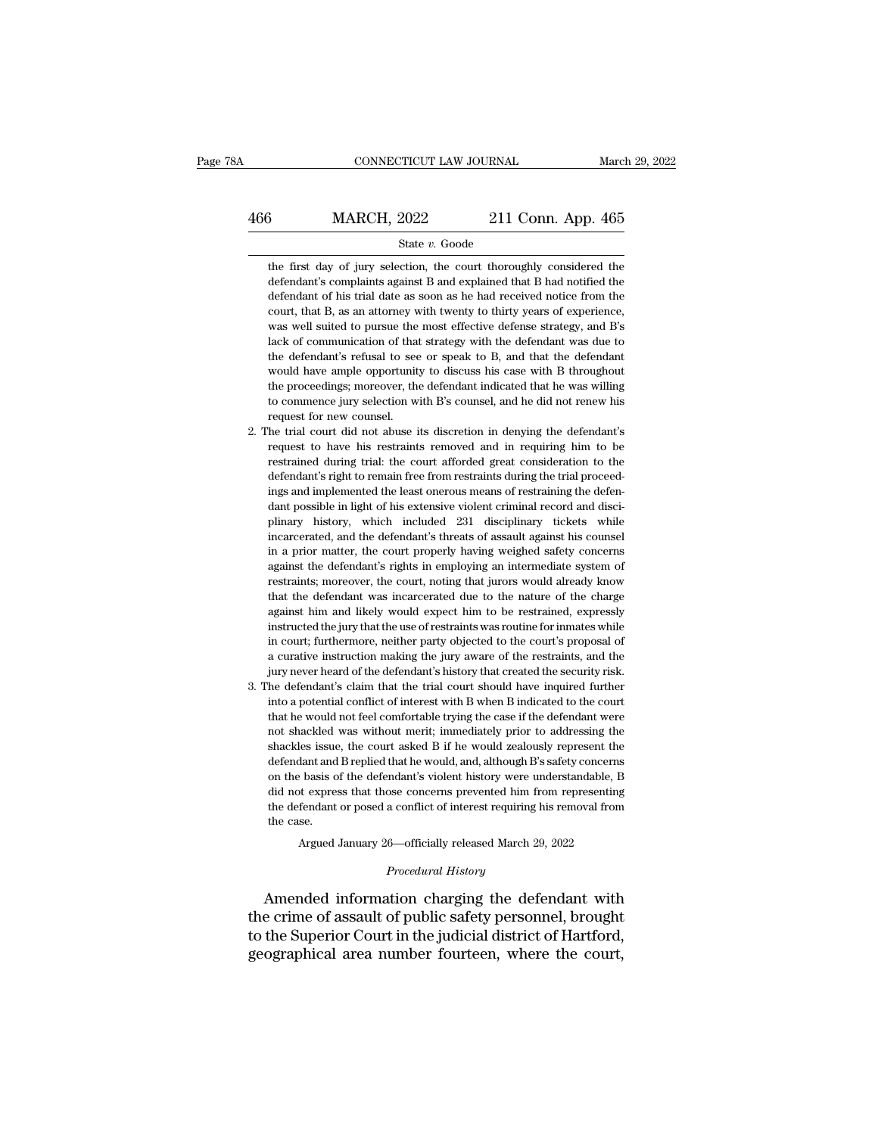# EXECUTE CONNECTICUT LAW JOURNAL March 29, 2022<br>466 MARCH, 2022 211 Conn. App. 465<br>5tate v. Goode

### State *v.* Goode

 $\begin{array}{r} \text{MARCH, 2022} \text{211 Conn. App. 465} \end{array}$ <br>State v. Goode<br>the first day of jury selection, the court thoroughly considered the<br>defendant's complaints against B and explained that B had notified the MARCH,  $2022$  211 Conn. App. 465<br>
state v. Goode<br>
the first day of jury selection, the court thoroughly considered the<br>
defendant's complaints against B and explained that B had notified the<br>
defendant of his trial date a  $\frac{\text{MARCH}}{\text{State } v. \text{ Goode}}$ <br>
State  $v. \text{ Goode}$ <br>
the first day of jury selection, the court thoroughly considered the<br>
defendant's complaints against B and explained that B had notified the<br>
defendant of his trial date as soon State  $v$ . Goode<br>the first day of jury selection, the court thoroughly considered the<br>defendant's complaints against B and explained that B had notified the<br>defendant of his trial date as soon as he had received notice fr State v. Goode<br>the first day of jury selection, the court thoroughly considered the<br>defendant's complaints against B and explained that B had notified the<br>defendant of his trial date as soon as he had received notice from the first day of jury selection, the court thoroughly considered the defendant's complaints against B and explained that B had notified the defendant of his trial date as soon as he had received notice from the court, that defendant's complaints against B and explained that B had notified the defendant's complaints against B and explained that B had notified the defendant of his trial date as soon as he had received notice from the court, th defendant of his trial date as soon as he had received notice from the court, that B, as an attorney with twenty to thirty years of experience, was well suited to pursue the most effective defense strategy, and B's lack of court, that B, as an attorney with twenty to thirty years of experience, was well suited to pursue the most effective defense strategy, and B's lack of communication of that strategy with the defendant was due to the defen was well suited to pursue the most effective defense strategy, and B's<br>lack of communication of that strategy with the defendant was due to<br>the defendant's refusal to see or speak to B, and that the defendant<br>would have am was well suited to pursue the most effective defense strategy, and B's<br>lack of communication of that strategy with the defendant was due to<br>the defendant's refusal to see or speak to B, and that the defendant<br>would have a the defendant's refusal to see or speak to B, and that the defendant<br>would have ample opportunity to discuss his case with B throughout<br>the proceedings; moreover, the defendant indicated that he was willing<br>to commence jur would have ample opportunity to discuss his case with B throughout<br>the proceedings; moreover, the defendant indicated that he was willing<br>to commence jury selection with B's counsel, and he did not renew his<br>request for ne

- the proceedings; moreover, the defendant indicated that he was willing to commence jury selection with B's counsel, and he did not renew his request for new counsel.<br>The trial court did not abuse its discretion in denying to commence jury selection with B's counsel, and he did not renew his<br>request for new counsel.<br>The trial court did not abuse its discretion in denying the defendant's<br>request to have his restraints removed and in requiring 2. The trial court did not abuse its discretion in denying the defendant's be trial court did not abuse its discretion in denying the defendant's request to have his restraints removed and in requiring him to be restrained during trial: the court afforded great consideration to the defendant's ri request to have his restraints removed and in requiring him to be restrained during trial: the court afforded great consideration to the defendant's right to remain free from restraints during the trial proceedings and imp restrained during trial: the court afforded great consideration to the defendant's right to remain free from restraints during the trial proceedings and implemented the least onerous means of restraining the defendant poss defendant's right to remain free from restraints during the trial proceed-<br>defendant's right to remain free from restraints during the trial proceed-<br>ings and implemented the least onerous means of restraining the defen-<br>d ings and implemented the least onerous means of restraining the defendant possible in light of his extensive violent criminal record and disciplinary history, which included 231 disciplinary tickets while incarcerated, and restraints; moreover, the court, noting that jurors would already have the court property history, which included 231 disciplinary tickets while incarcerated, and the defendant's threats of assault against his counsel in a plinary history, which included 231 disciplinary tickets while incarcerated, and the defendant's threats of assault against his counsel in a prior matter, the court properly having weighed safety concerns against the defen incarcerated, and the defendant's threats of assault against his counsel<br>in a prior matter, the court properly having weighed safety concerns<br>against the defendant's rights in employing an intermediate system of<br>restraints in a prior matter, the court properly having weighed safety concerns against the defendant's rights in employing an intermediate system of restraints; moreover, the court, noting that jurors would already know that the def in a prior matter, the court properly having weighed safety concerns<br>against the defendant's rights in employing an intermediate system of<br>restraints; moreover, the court, noting that jurors would already know<br>that the de restraints; moreover, the court, noting that jurors would already know<br>restraints; moreover, the court, noting that jurors would already know<br>that the defendant was incarcerated due to the nature of the charge<br>against him but that the defendant was incarcerated due to the nature of the charge against him and likely would expect him to be restrained, expressly instructed the jury that the use of restraints was routine for inmates while in co all against him and likely would expect him to be restrained, expressly instructed the jury that the use of restraints was routine for inmates while in court; furthermore, neither party objected to the court's proposal of instructed the jury that the use of restraints was routine for inmates while<br>in court; furthermore, neither party objected to the court's proposal of<br>a curative instruction making the jury aware of the restraints, and the<br>
- In court; furthermore, neither party objected to the court's proposal of<br>in court; furthermore, neither party objected to the court's proposal of<br>a curative instruction making the jury aware of the restraints, and the<br>jury not shackled was without merit; immediately prior to addressing the intervals a curative instruction making the jury aware of the restraints, and the lighty never heard of the defendant's claim that the trial court should shackles issue, the court asked B if he would have inerest the defendant's claim that the trial court should have inquired further into a potential conflict of interest with B when B indicated to the court that he would no defendant's claim that the trial court should have inquired further into a potential conflict of interest with B when B indicated to the court that he would not feel comfortable trying the case if the defendant were not sh into a potential conflict of interest with B when B indicated to the court<br>that he would not feel comfortable trying the case if the defendant were<br>not shackled was without merit; immediately prior to addressing the<br>shackl that he would not feel comfortable trying the case if the defendant were not shackled was without merit; immediately prior to addressing the shackles issue, the court asked B if he would zealously represent the defendant a and the defendant and B replied that he would gealously represent the shackles issue, the court asked B if he would zealously represent the defendant and B replied that he would, and, although B's safety concerns on the ba shackles issue<br>defendant and<br>on the basis of<br>did not express<br>the defendant<br>the case.<br>Argued Argued January 26—officially released March 29, 2022<br>Argued January 26—officially released March 29, 2022<br>Argued January 26—officially released March 29, 2022<br>Argued January 26—officially released March 29, 2022<br>Argued Jan From the concerns prevented him from a conflict of interest requiring **P**<br>*Procedural History*<br>*Procedural History* of the basis of the defendant b violent moody with discussional charging<br>did not express that those concerns prevented him from representing<br>the defendant or posed a conflict of interest requiring his removal from<br>the case

the defendant or posed a conflict of interest requiring his removal from<br>the case.<br>Argued January 26—officially released March 29, 2022<br>*Procedural History*<br>Amended information charging the defendant with<br>the crime of assa the case.<br>
Argued January 26—officially released March 29, 2022<br>
Procedural History<br>
Amended information charging the defendant with<br>
the crime of assault of public safety personnel, brought<br>
to the Superior Court in the j Argued January 26—officially released March 29, 2022<br>
Procedural History<br>
Amended information charging the defendant with<br>
the crime of assault of public safety personnel, brought<br>
to the Superior Court in the judicial dis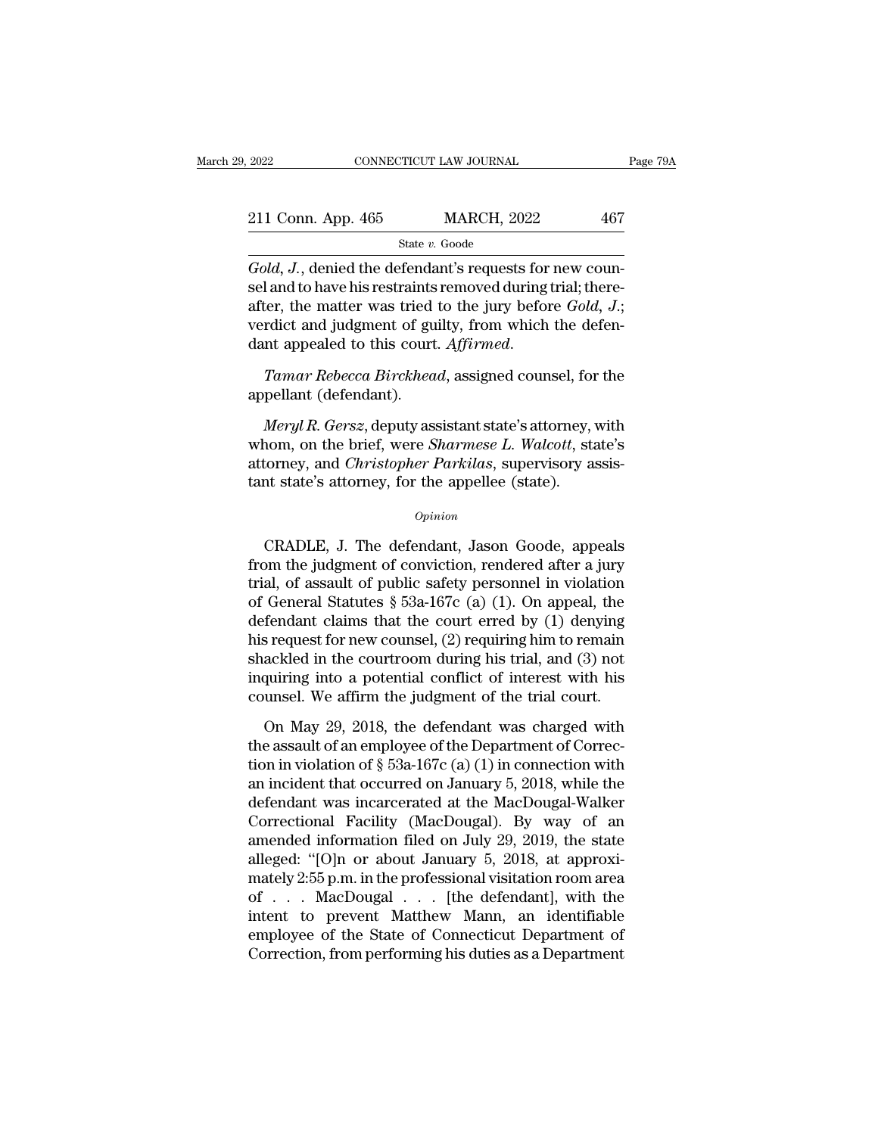| 2022               | CONNECTICUT LAW JOURNAL |                    | Page 79A |  |
|--------------------|-------------------------|--------------------|----------|--|
| 211 Conn. App. 465 |                         | <b>MARCH, 2022</b> | 467      |  |
|                    | State v. Goode          |                    |          |  |

<sup>2022</sup> CONNECTICUT LAW JOURNAL<br><sup>211</sup> Conn. App. 465 MARCH, 2022 467<br><del>*Gold, J.*, denied the defendant's requests for new coun-<br>sel and to have his restraints removed during trial; there-<br>after the matter was tried to the j</del> 211 Conn. App. 465 MARCH, 2022 467<br>
State v. Goode<br>
Gold, J., denied the defendant's requests for new counsel and to have his restraints removed during trial; there-<br>
after, the matter was tried to the jury before *Gold*, 211 Conn. App. 465 MARCH, 2022 467<br>
State v. Goode<br>
Gold, J., denied the defendant's requests for new counsel and to have his restraints removed during trial; thereafter, the matter was tried to the jury before *Gold*, J. 211 Conn. App. 465 MARCH, 2022 467<br>
State v. Goode<br>
Gold, J., denied the defendant's requests for new counsel and to have his restraints removed during trial; there-<br>
after, the matter was tried to the jury before *Gold*, State *v*. Goode<br>
Gold, J., denied the defendant's requests for new counsel and to have his restraints removed during trial; there-<br>
after, the matter was tried to the jury before *Gold*, J.;<br>
verdict and judgment of guilt sel and to have his restraints<br>after, the matter was tried<br>verdict and judgment of gu<br>dant appealed to this court<br>Tamar Rebecca Birckhea<br>appellant (defendant).<br>Meryl R. Gersz, deputy as: *Meryl R. Gersz, deputy assistant state's attorney, with the defenant appealed to this court. Affirmed.*<br> *Meryl R. Gersz, deputy assistant state's attorney, with nom, on the brief, were Sharmese L. Walcott, state's* 

veract and judgment of gunty, from which the defendant appealed to this court. Affirmed.<br> *Tamar Rebecca Birckhead*, assigned counsel, for the appellant (defendant).<br> *Meryl R. Gersz*, deputy assistant state's attorney, wi dant appealed to this court. Affirmed.<br>
Tamar Rebecca Birckhead, assigned counsel, for the<br>
appellant (defendant).<br> *Meryl R. Gersz*, deputy assistant state's attorney, with<br>
whom, on the brief, were *Sharmese L. Walcott*, Tamar Rebecca Birckhead, assigned counsel, for<br>appellant (defendant).<br>Meryl R. Gersz, deputy assistant state's attorney,<br>whom, on the brief, were *Sharmese L. Walcott*, stattorney, and *Christopher Parkilas*, supervisory a *CRADLE*, J. The defendant, Jason Goode, appeals<br>
the judicial characteristic state's attorney, and *Christopher Parkilas*, supervisory assistint state's attorney, for the appellee (state).<br> *Opinion*<br>
CRADLE, J. The defen

### *Opinion*

whom, on the brief, were *sharmese L. watoon*, state s<br>attorney, and *Christopher Parkilas*, supervisory assis-<br>tant state's attorney, for the appellee (state).<br> $opinion$ <br> $CRADLE$ , J. The defendant, Jason Goode, appeals<br>from the ationney, and *Christopher Turkius*, supervisory assistant state's attorney, for the appellee (state).<br>  $\frac{opinion}{opinion}$ <br>
CRADLE, J. The defendant, Jason Goode, appeals<br>
from the judgment of conviction, rendered after a jury<br> opinion<br>
opinion<br>
CRADLE, J. The defendant, Jason Goode, appeals<br>
from the judgment of conviction, rendered after a jury<br>
trial, of assault of public safety personnel in violation<br>
of General Statutes § 53a-167c (a) (1). O  $o$ <sub>pinion</sub><br>CRADLE, J. The defendant, Jason Goode, appeals<br>from the judgment of conviction, rendered after a jury<br>trial, of assault of public safety personnel in violation<br>of General Statutes § 53a-167c (a) (1). On appeal CRADLE, J. The defendant, Jason Goode, appeals<br>from the judgment of conviction, rendered after a jury<br>trial, of assault of public safety personnel in violation<br>of General Statutes § 53a-167c (a) (1). On appeal, the<br>defend CRADLE, J. The defendant, Jason Goode, appeals<br>from the judgment of conviction, rendered after a jury<br>trial, of assault of public safety personnel in violation<br>of General Statutes § 53a-167c (a) (1). On appeal, the<br>defend from the judgment of conviction, rendered after a jury<br>trial, of assault of public safety personnel in violation<br>of General Statutes § 53a-167c (a) (1). On appeal, the<br>defendant claims that the court erred by (1) denying<br> trial, of assault of public safety personnel in violation<br>of General Statutes  $\S$  53a-167c (a) (1). On appeal, the<br>defendant claims that the court erred by (1) denying<br>his request for new counsel, (2) requiring him to rem fendant claims that the court erred by (1) denying<br>s request for new counsel, (2) requiring him to remain<br>ackled in the courtroom during his trial, and (3) not<br>quiring into a potential conflict of interest with his<br>unsel. his request for new counsel, (2) requiring him to remain<br>shackled in the courtroom during his trial, and (3) not<br>inquiring into a potential conflict of interest with his<br>counsel. We affirm the judgment of the trial court.

shackled in the courtroom during his trial, and (3) not<br>inquiring into a potential conflict of interest with his<br>counsel. We affirm the judgment of the trial court.<br>On May 29, 2018, the defendant was charged with<br>the assa inquiring into a potential conflict of interest with his<br>counsel. We affirm the judgment of the trial court.<br>On May 29, 2018, the defendant was charged with<br>the assault of an employee of the Department of Correc-<br>tion in counsel. We affirm the judgment of the trial court.<br>On May 29, 2018, the defendant was charged with<br>the assault of an employee of the Department of Correc-<br>tion in violation of § 53a-167c (a) (1) in connection with<br>an inc On May 29, 2018, the defendant was charged with<br>the assault of an employee of the Department of Correction<br>in violation of § 53a-167c (a) (1) in connection with<br>an incident that occurred on January 5, 2018, while the<br>defe On May 29, 2018, the defendant was charged with<br>the assault of an employee of the Department of Correction<br>in violation of § 53a-167c (a) (1) in connection with<br>an incident that occurred on January 5, 2018, while the<br>defe the assault of an employee of the Department of Correction in violation of § 53a-167c (a) (1) in connection with<br>an incident that occurred on January 5, 2018, while the<br>defendant was incarcerated at the MacDougal-Walker<br>C tion in violation of § 53a-167c (a) (1) in connection with<br>an incident that occurred on January 5, 2018, while the<br>defendant was incarcerated at the MacDougal-Walker<br>Correctional Facility (MacDougal). By way of an<br>amended an incident that occurred on January 5, 2018, while the<br>defendant was incarcerated at the MacDougal-Walker<br>Correctional Facility (MacDougal). By way of an<br>amended information filed on July 29, 2019, the state<br>alleged: "[O] defendant was incarcerated at the MacDougal-Walker<br>Correctional Facility (MacDougal). By way of an<br>amended information filed on July 29, 2019, the state<br>alleged: "[O]n or about January 5, 2018, at approxi-<br>mately 2:55 p.m. Correctional Facility (MacDougal). By way of an amended information filed on July 29, 2019, the state alleged: "[O]n or about January 5, 2018, at approximately 2:55 p.m. in the professional visitation room area of . . . M amended information filed on July 29, 2019, the state<br>alleged: "[O]n or about January 5, 2018, at approxi-<br>mately 2:55 p.m. in the professional visitation room area<br>of . . . MacDougal . . . [the defendant], with the<br>intent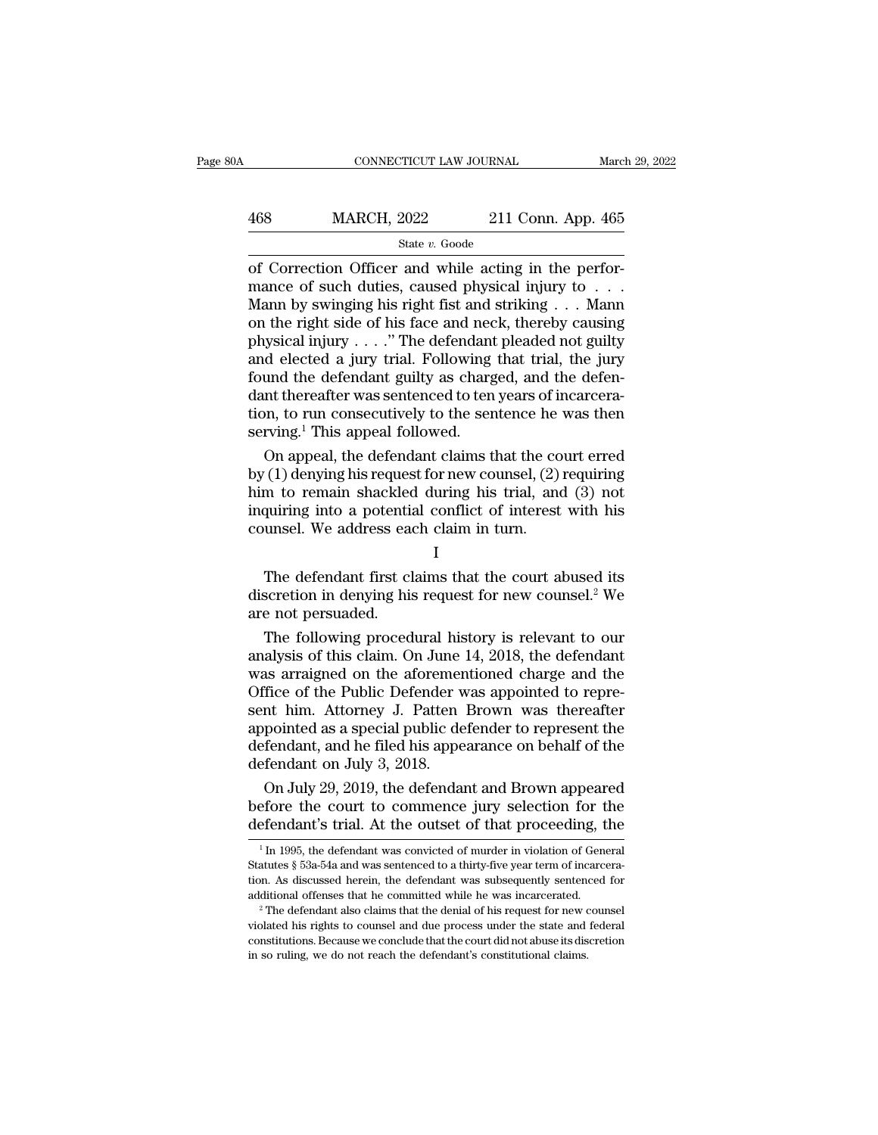## EXECUTE CONNECTICUT LAW JOURNAL March 29, 2022<br>468 MARCH, 2022 211 Conn. App. 465<br>5tate v. Goode State *v.* Goode

CONNECTICUT LAW JOURNAL March March MARCH, 2022 211 Conn. App. 465<br>
State v. Goode<br>
of Correction Officer and while acting in the perfor-<br>
mance of such duties, caused physical injury to . . . Mann by swinging bis right fi MARCH, 2022 211 Conn. App. 465<br>
State v. Goode<br>
of Correction Officer and while acting in the perfor-<br>
mance of such duties, caused physical injury to . . .<br>
Mann by swinging his right fist and striking . . . Mann<br>
on the MARCH, 2022 211 Conn. App. 465<br>
State v. Goode<br>
of Correction Officer and while acting in the perfor-<br>
mance of such duties, caused physical injury to . . .<br>
Mann by swinging his right fist and striking . . . Mann<br>
on the MARCH, 2022 211 Conn. App. 465<br>
state v. Goode<br>
of Correction Officer and while acting in the perfor-<br>
mance of such duties, caused physical injury to . . .<br>
Mann by swinging his right fist and striking . . . Mann<br>
on the State v. Goode<br>
of Correction Officer and while acting in the perfor-<br>
mance of such duties, caused physical injury to . . .<br>
Mann by swinging his right fist and striking . . . Mann<br>
on the right side of his face and neck State *v*. Goode<br>
of Correction Officer and while acting in the perfor-<br>
mance of such duties, caused physical injury to . . .<br>
Mann by swinging his right fist and striking . . . Mann<br>
on the right side of his face and ne of Correction Officer and while acting in the performance of such duties, caused physical injury to . . . Mann by swinging his right fist and striking . . . Mann on the right side of his face and neck, thereby causing phy mance of such duties, caused physical injury to . . . Mann<br>Mann by swinging his right fist and striking . . . Mann<br>on the right side of his face and neck, thereby causing<br>physical injury . . . ." The defendant pleaded not Mann by swinging his right fist and striking . . . Mann<br>on the right side of his face and neck, thereby causing<br>physical injury . . . ." The defendant pleaded not guilty<br>and elected a jury trial. Following that trial, the on the right side of his face and necesity physical injury  $\ldots$ ." The defendant and elected a jury trial. Following found the defendant guilty as charged ant thereafter was sentenced to ten tion, to run consecutively to ysical injury . . . ." The defendant pleaded not guilty<br>d elected a jury trial. Following that trial, the jury<br>und the defendant guilty as charged, and the defen-<br>nt thereafter was sentenced to ten years of incarcera-<br>n, and elected a jury trial. Following that trial, the jury<br>found the defendant guilty as charged, and the defen-<br>dant thereafter was sentenced to ten years of incarcera-<br>tion, to run consecutively to the sentence he was then

found the defendant guilty as charged, and the defen-<br>dant thereafter was sentenced to ten years of incarcera-<br>tion, to run consecutively to the sentence he was then<br>serving.<sup>1</sup> This appeal followed.<br>On appeal, the defenda dant thereafter was sentenced to ten years of incarceration, to run consecutively to the sentence he was then serving.<sup>1</sup> This appeal followed.<br>On appeal, the defendant claims that the court erred by (1) denying his reques tion, to run consecutively to the sentence he<br>serving.<sup>1</sup> This appeal followed.<br>On appeal, the defendant claims that the co<br>by (1) denying his request for new counsel, (2)<br>him to remain shackled during his trial, and<br>inqui On appear, the defendant claims that the court effect<br>
(1) denying his request for new counsel, (2) requiring<br>
m to remain shackled during his trial, and (3) not<br>
quiring into a potential conflict of interest with his<br>
un by (1) deriying instequest for new counsel, (2) requiring<br>him to remain shackled during his trial, and (3) not<br>inquiring into a potential conflict of interest with his<br>counsel. We address each claim in turn.<br> $I$ <br>The defen

I and the set of  $\mathbf I$ 

Final stacked<br>inquiring into a potentia<br>counsel. We address ead<br>The defendant first cl<br>discretion in denying his<br>are not persuaded.<br>The following proced Unity and the address each claim in turn.<br>
I<br>
The defendant first claims that the court abused its<br>
scretion in denying his request for new counsel.<sup>2</sup> We<br>
e not persuaded.<br>
The following procedural history is relevant to

I<br>
The defendant first claims that the court abused its<br>
discretion in denying his request for new counsel.<sup>2</sup> We<br>
are not persuaded.<br>
The following procedural history is relevant to our<br>
analysis of this claim. On June 14 The defendant first claims that the court abused its<br>discretion in denying his request for new counsel.<sup>2</sup> We<br>are not persuaded.<br>The following procedural history is relevant to our<br>analysis of this claim. On June 14, 2018, The defendant first claims that the court abused its<br>discretion in denying his request for new counsel.<sup>2</sup> We<br>are not persuaded.<br>The following procedural history is relevant to our<br>analysis of this claim. On June 14, 2018, discretion in denying his request for new counsel.<sup>2</sup> We<br>are not persuaded.<br>The following procedural history is relevant to our<br>analysis of this claim. On June 14, 2018, the defendant<br>was arraigned on the aforementioned ch are not persuaded.<br>
The following procedural history is relevant to our<br>
analysis of this claim. On June 14, 2018, the defendant<br>
was arraigned on the aforementioned charge and the<br>
Office of the Public Defender was appoin The following procedural history is relevant to our<br>analysis of this claim. On June 14, 2018, the defendant<br>was arraigned on the aforementioned charge and the<br>Office of the Public Defender was appointed to repre-<br>sent him. analysis of this claim. On June<br>was arraigned on the aforemer<br>Office of the Public Defender v<br>sent him. Attorney J. Patten<br>appointed as a special public de<br>defendant, and he filed his appe<br>defendant on July 3, 2018.<br>On Jul as arraigned on the aforementioned charge and the<br>fice of the Public Defender was appointed to repre-<br>nt him. Attorney J. Patten Brown was thereafter<br>pointed as a special public defender to represent the<br>fendant, and he fi Office of the Public Defender was appointed to represent him. Attorney J. Patten Brown was thereafter appointed as a special public defender to represent the defendant, and he filed his appearance on behalf of the defendan sent him. Attorney J. Patten Brown was thereafter<br>appointed as a special public defender to represent the<br>defendant, and he filed his appearance on behalf of the<br>defendant on July 3, 2018.<br>On July 29, 2019, the defendant

On July 29, 2019, the defendant and Brown appeared<br>efore the court to commence jury selection for the<br>efendant's trial. At the outset of that proceeding, the<br> $\frac{1}{1}$ In 1995, the defendant was convicted of murder in viol On July 29, 2019, the defendant and Brown appeared<br>before the court to commence jury selection for the<br>defendant's trial. At the outset of that proceeding, the<br> $\frac{1}{\ln 1995}$ , the defendant was convicted of murder in vio

before the court to commence jury selection for the defendant's trial. At the outset of that proceeding, the  $\frac{1}{1}$  In 1995, the defendant was convicted of murder in violation of General Statutes § 53a-54a and was sent defendant's trial. At the outset of that proceeding, the  $\frac{1}{1}$  In 1995, the defendant was convicted of murder in violation of General Statutes § 53a-54a and was sentenced to a thirty-five year term of incarceration. A tion. As discussed herein, the defendant was subsequently sentenced for

 $\,^1$ In 1995, the defendant was convicted of murder in violation of General Statutes § 53a-54a and was sentenced to a thirty-five year term of incarceration. As discussed herein, the defendant was subsequently sentenced Statutes § 53a-54a and was sentenced to a thirty-five year term of incarceration. As discussed herein, the defendant was subsequently sentenced for additional offenses that he committed while he was incarcerated.<br><sup>2</sup> The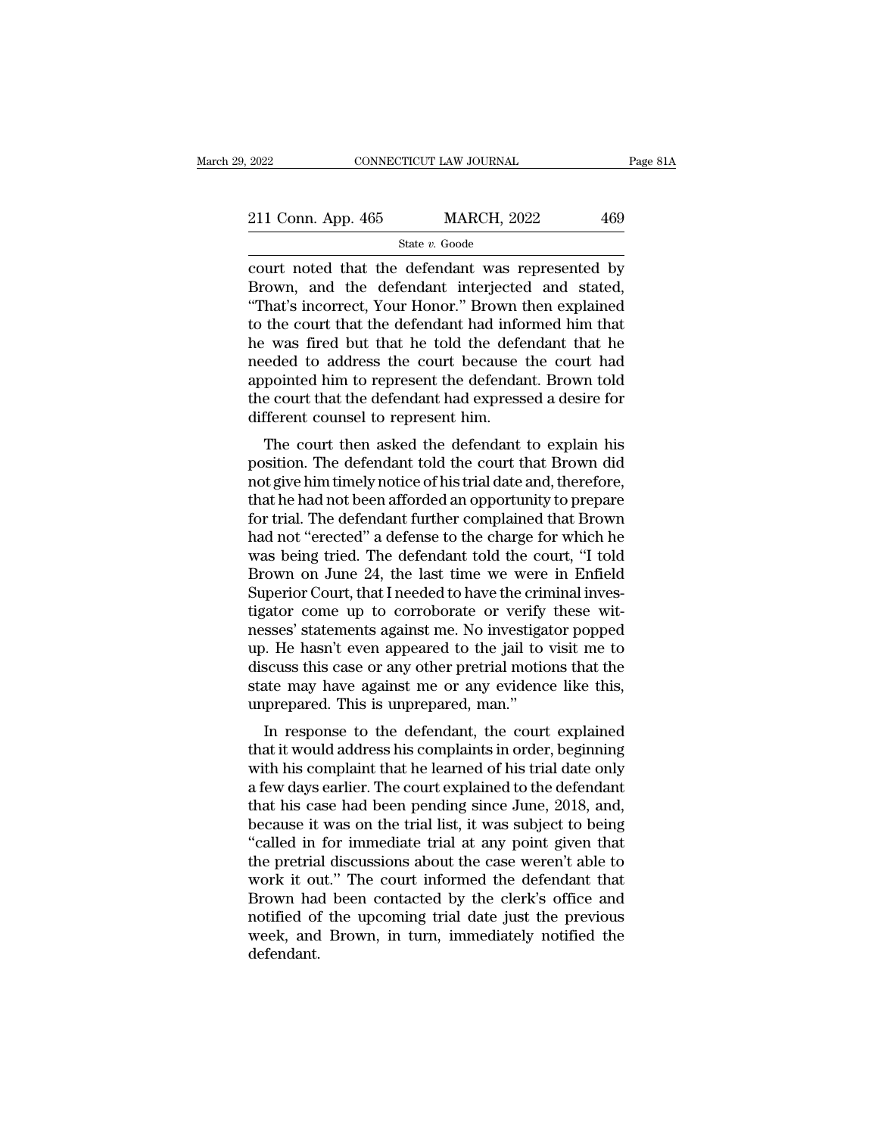| 2022               | CONNECTICUT LAW JOURNAL |                    | Page 81A |  |
|--------------------|-------------------------|--------------------|----------|--|
| 211 Conn. App. 465 |                         | <b>MARCH, 2022</b> | 469      |  |
|                    | State v. Goode          |                    |          |  |

 $\begin{array}{cccc}\n & \text{2022} & \text{CONPECTICUT LAW JOURNAL} & \text{Page 81A} \\
 & \text{211 Conn. App. 465} & \text{MARCH, 2022} & 469 \\
 & \text{State } v. \text{ Goode} & \text{Court noted that the defendant was represented by Brown, and the defendant interpreted and stated, "That's incorrect Your Honor." Brown then explained\n\end{array}$ 211 Conn. App. 465 MARCH, 2022 469<br>
State v. Goode<br>
court noted that the defendant was represented by<br>
Brown, and the defendant interjected and stated,<br>
"That's incorrect, Your Honor." Brown then explained<br>
to the court t 211 Conn. App. 465 MARCH, 2022 469<br>
State v. Goode<br>
court noted that the defendant was represented by<br>
Brown, and the defendant interjected and stated,<br>
"That's incorrect, Your Honor." Brown then explained<br>
to the court t 211 Conn. App. 465 MARCH, 2022 469<br>
State v. Goode<br>
court noted that the defendant was represented by<br>
Brown, and the defendant interjected and stated,<br>
"That's incorrect, Your Honor." Brown then explained<br>
to the court t State v. Goode<br>
State v. Goode<br>
Court noted that the defendant was represented by<br>
Brown, and the defendant interjected and stated,<br>
"That's incorrect, Your Honor." Brown then explained<br>
to the court that the defendant ha state  $v$ . Goode<br>
court noted that the defendant was represented by<br>
Brown, and the defendant interjected and stated,<br>
"That's incorrect, Your Honor." Brown then explained<br>
to the court that the defendant had informed him court noted that the defendant was represented by<br>Brown, and the defendant interjected and stated,<br>"That's incorrect, Your Honor." Brown then explained<br>to the court that the defendant had informed him that<br>he was fired but Brown, and the defendant interjected and stated,<br>"That's incorrect, Your Honor." Brown then explained<br>to the court that the defendant had informed him that<br>he was fired but that he told the defendant that he<br>needed to addr "That's incorrect, Your Honor." Brown then explained<br>to the court that the defendant had informed him that<br>he was fired but that he told the defendant that he<br>needed to address the court because the court had<br>appointed him  $\cdot$  was fired but that he told the defendant that he<br>eded to address the court because the court had<br>pointed him to represent the defendant. Brown told<br>e court that the defendant had expressed a desire for<br>fferent counse re was fired but that he told the defendant that he<br>needed to address the court because the court had<br>appointed him to represent the defendant. Brown told<br>the court that the defendant had expressed a desire for<br>different c

needed to address the court because the court had<br>appointed him to represent the defendant. Brown told<br>the court that the defendant had expressed a desire for<br>different counsel to represent him.<br>The court then asked the de appointed init to represent the defendant. Brown told<br>the court that the defendant had expressed a desire for<br>different counsel to represent him.<br>The court then asked the defendant to explain his<br>position. The defendant to the court that the defendant had expressed a desire for<br>different counsel to represent him.<br>The court then asked the defendant to explain his<br>position. The defendant told the court that Brown did<br>not give him timely notice The court then asked the defendant to explain his<br>position. The defendant told the court that Brown did<br>not give him timely notice of his trial date and, therefore,<br>that he had not been afforded an opportunity to prepare<br>f The court then asked the defendant to explain his<br>position. The defendant told the court that Brown did<br>not give him timely notice of his trial date and, therefore,<br>that he had not been afforded an opportunity to prepare<br>f position. The defendant told the court that Brown did<br>not give him timely notice of his trial date and, therefore,<br>that he had not been afforded an opportunity to prepare<br>for trial. The defendant further complained that Br not give him timely notice of his trial date and, therefore, that he had not been afforded an opportunity to prepare for trial. The defendant further complained that Brown had not "erected" a defense to the charge for whic that he had not been afforded an opportunity to prepare<br>for trial. The defendant further complained that Brown<br>had not "erected" a defense to the charge for which he<br>was being tried. The defendant told the court, "I told<br>B for trial. The defendant further complained that Brown<br>had not "erected" a defense to the charge for which he<br>was being tried. The defendant told the court, "I told<br>Brown on June 24, the last time we were in Enfield<br>Superi had not "erected" a defense to the charge for which he<br>was being tried. The defendant told the court, "I told<br>Brown on June 24, the last time we were in Enfield<br>Superior Court, that I needed to have the criminal inves-<br>tig was being tried. The defendant told the court, "I told<br>Brown on June 24, the last time we were in Enfield<br>Superior Court, that I needed to have the criminal inves-<br>tigator come up to corroborate or verify these wit-<br>nesses Brown on June 24, the last time we were in Enfield<br>Superior Court, that I needed to have the criminal inves-<br>tigator come up to corroborate or verify these wit-<br>nesses' statements against me. No investigator popped<br>up. He Superior Court, that I needed to have the critigator come up to corroborate or verify nesses' statements against me. No investiga up. He hasn't even appeared to the jail to discuss this case or any other pretrial motic sta Example to the defendant of verify these with<br>seses' statements against me. No investigator popped<br>o. He hasn't even appeared to the jail to visit me to<br>scuss this case or any other pretrial motions that the<br>tate may have thesses statements against me. No investigator popped<br>up. He hasn't even appeared to the jail to visit me to<br>discuss this case or any other pretrial motions that the<br>state may have against me or any evidence like this,<br>unp

up. The hash't even appeared to the jail to visit hie to<br>discuss this case or any other pretrial motions that the<br>state may have against me or any evidence like this,<br>unprepared. This is unprepared, man."<br>In response to th discuss this case of any other pretrial motions that the<br>state may have against me or any evidence like this,<br>unprepared. This is unprepared, man."<br>In response to the defendant, the court explained<br>that it would address hi state hay have against hie of any evidence like this,<br>unprepared. This is unprepared, man."<br>In response to the defendant, the court explained<br>that it would address his complaints in order, beginning<br>with his complaint that In response to the defendant, the court explained<br>that it would address his complaints in order, beginning<br>with his complaint that he learned of his trial date only<br>a few days earlier. The court explained to the defendant<br> In response to the defendant, the court explained<br>that it would address his complaints in order, beginning<br>with his complaint that he learned of his trial date only<br>a few days earlier. The court explained to the defendant<br> that it would address his complaints in order, beginning<br>with his complaint that he learned of his trial date only<br>a few days earlier. The court explained to the defendant<br>that his case had been pending since June, 2018, a with his complaint that he learned of his trial date only<br>a few days earlier. The court explained to the defendant<br>that his case had been pending since June, 2018, and,<br>because it was on the trial list, it was subject to b a few days earlier. The court explained to the defendant<br>that his case had been pending since June, 2018, and,<br>because it was on the trial list, it was subject to being<br>"called in for immediate trial at any point given tha that his case had been pending since June, 2018, and,<br>because it was on the trial list, it was subject to being<br>"called in for immediate trial at any point given that<br>the pretrial discussions about the case weren't able to because it was on the trial list, it was subject to being<br>"called in for immediate trial at any point given that<br>the pretrial discussions about the case weren't able to<br>work it out." The court informed the defendant that<br>B defendant.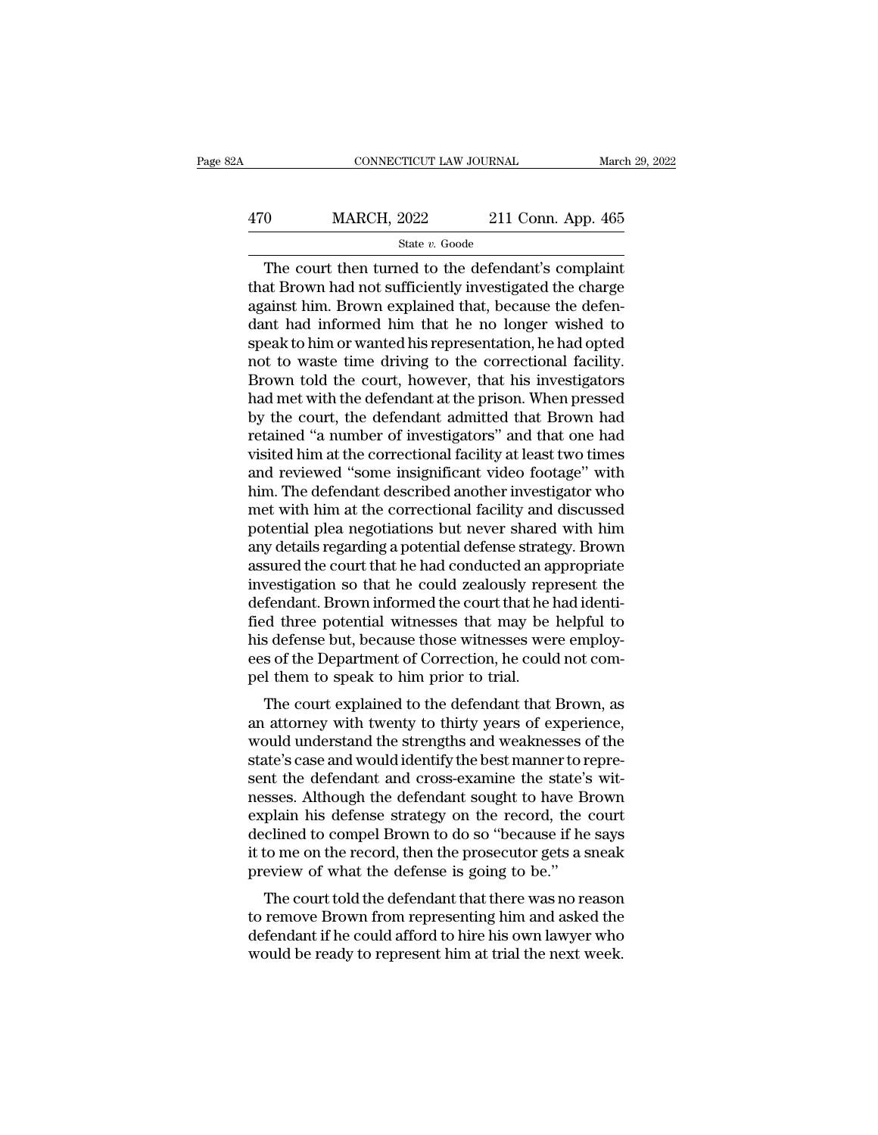## EXECUTE CONNECTICUT LAW JOURNAL March 29, 2022<br>470 MARCH, 2022 211 Conn. App. 465<br>5tate v. Goode State *v.* Goode

CONNECTICUT LAW JOURNAL March 29, 202<br>
0 MARCH, 2022 211 Conn. App. 465<br>
State v. Goode<br>
The court then turned to the defendant's complaint<br>
at Brown had not sufficiently investigated the charge<br>
einst bin. Brown ovplained  $\begin{array}{r} \hline \text{470} \text{148} \text{148} \text{148} \text{148} \text{148} \text{148} \text{148} \text{148} \text{148} \text{148} \text{148} \text{148} \text{148} \text{148} \text{148} \text{148} \text{148} \text{148} \text{148} \text{148} \text{148} \text{148} \text{148} \text{148} \text{148} \text{148} \text{148} \text{148} \text{148}$  $\frac{\text{470}}{\text{State } v. \text{ Goode}}$ <br>
The court then turned to the defendant's complaint<br>
that Brown had not sufficiently investigated the charge<br>
against him. Brown explained that, because the defen-<br>
dant had informed him that he n  $\frac{\text{MARCH, 2022}}{\text{State } v. \text{ Goode}}$ <br>
The court then turned to the defendant's complaint<br>
that Brown had not sufficiently investigated the charge<br>
against him. Brown explained that, because the defen-<br>
dant had informed him that State v. Goode<br>
The court then turned to the defendant's complaint<br>
that Brown had not sufficiently investigated the charge<br>
against him. Brown explained that, because the defen-<br>
dant had informed him that he no longer w state  $v$ . Goode<br>The court then turned to the defendant's complaint<br>that Brown had not sufficiently investigated the charge<br>against him. Brown explained that, because the defen-<br>dant had informed him that he no longer wis The court then turned to the defendant's complaint<br>that Brown had not sufficiently investigated the charge<br>against him. Brown explained that, because the defen-<br>dant had informed him that he no longer wished to<br>speak to hi that Brown had not sufficiently investigated the charge<br>against him. Brown explained that, because the defen-<br>dant had informed him that he no longer wished to<br>speak to him or wanted his representation, he had opted<br>not to against him. Brown explained that, because the defen-<br>dant had informed him that he no longer wished to<br>speak to him or wanted his representation, he had opted<br>not to waste time driving to the correctional facility.<br>Brown dant had informed him that he no longer wished to<br>speak to him or wanted his representation, he had opted<br>not to waste time driving to the correctional facility.<br>Brown told the court, however, that his investigators<br>had me speak to him or wanted his representation, he had opted<br>not to waste time driving to the correctional facility.<br>Brown told the court, however, that his investigators<br>had met with the defendant at the prison. When pressed<br>b not to waste time driving to the correctional facility.<br>Brown told the court, however, that his investigators<br>had met with the defendant at the prison. When pressed<br>by the court, the defendant admitted that Brown had<br>retai Brown told the court, however, that his investigators<br>had met with the defendant at the prison. When pressed<br>by the court, the defendant admitted that Brown had<br>retained "a number of investigators" and that one had<br>visited had met with the defendant at the prison. When pressed<br>by the court, the defendant admitted that Brown had<br>retained "a number of investigators" and that one had<br>visited him at the correctional facility at least two times<br>a by the court, the defendant admitted that Brown had<br>retained "a number of investigators" and that one had<br>visited him at the correctional facility at least two times<br>and reviewed "some insignificant video footage" with<br>him retained "a number of investigators" and that one had<br>visited him at the correctional facility at least two times<br>and reviewed "some insignificant video footage" with<br>him. The defendant described another investigator who<br>m visited him at the correctional facility at least two times<br>and reviewed "some insignificant video footage" with<br>him. The defendant described another investigator who<br>met with him at the correctional facility and discussed and reviewed "some insignificant video footage" with<br>him. The defendant described another investigator who<br>met with him at the correctional facility and discussed<br>potential plea negotiations but never shared with him<br>any d him. The defendant described another investigator who met with him at the correctional facility and discussed<br>potential plea negotiations but never shared with him<br>any details regarding a potential defense strategy. Brown<br> met with him at the correctional facility and discussed<br>potential plea negotiations but never shared with him<br>any details regarding a potential defense strategy. Brown<br>assured the court that he had conducted an appropriate potential plea negotiations but never shared with him<br>any details regarding a potential defense strategy. Brown<br>assured the court that he had conducted an appropriate<br>investigation so that he could zealously represent the<br> any details regarding a potential defense strategy. Brown<br>assured the court that he had conducted an appropriate<br>investigation so that he could zealously represent the<br>defendant. Brown informed the court that he had identi assured the court that he had conducted an approximation so that he could zealously repidefendant. Brown informed the court that he lifed three potential witnesses that may be his defense but, because those witnesses weres resugation so that he could zealously represent the<br>fendant. Brown informed the court that he had identi-<br>d three potential witnesses that may be helpful to<br>s defense but, because those witnesses were employ-<br>s of the Depa defendant. Brown informed the court that he had identi-<br>fied three potential witnesses that may be helpful to<br>his defense but, because those witnesses were employ-<br>ees of the Department of Correction, he could not com-<br>pel

red three potential witnesses that may be helpful to<br>his defense but, because those witnesses were employ-<br>ees of the Department of Correction, he could not com-<br>pel them to speak to him prior to trial.<br>The court explained state out, because those whitesses were enproy-<br>ees of the Department of Correction, he could not com-<br>pel them to speak to him prior to trial.<br>The court explained to the defendant that Brown, as<br>an attorney with twenty to ses of the Department of Correction, he could not compared them to speak to him prior to trial.<br>The court explained to the defendant that Brown, as<br>an attorney with twenty to thirty years of experience,<br>would understand th per them to speak to film prior to trial.<br>The court explained to the defendant that Brown, as<br>an attorney with twenty to thirty years of experience,<br>would understand the strengths and weaknesses of the<br>state's case and wou The court explained to the defendant that Brown, as<br>an attorney with twenty to thirty years of experience,<br>would understand the strengths and weaknesses of the<br>state's case and would identify the best manner to repre-<br>sent an attorney with twenty to thirty years of experience,<br>would understand the strengths and weaknesses of the<br>state's case and would identify the best manner to repre-<br>sent the defendant and cross-examine the state's wit-<br>ne would understand the strengths and weaknesses of the<br>state's case and would identify the best manner to repre-<br>sent the defendant and cross-examine the state's wit-<br>nesses. Although the defendant sought to have Brown<br>expla state's case and would identify the best manner to r<br>sent the defendant and cross-examine the state's<br>nesses. Although the defendant sought to have B<br>explain his defense strategy on the record, the<br>declined to compel Brown In the defendant and cross-examine the state's wh-<br>ssess. Although the defendant sought to have Brown<br>plain his defense strategy on the record, the court<br>clined to compel Brown to do so "because if he says<br>to me on the rec thesses. Antiough the defendant sought to have brown<br>explain his defense strategy on the record, the court<br>declined to compel Brown to do so "because if he says<br>it to me on the record, then the prosecutor gets a sneak<br>prev

explain ins defense strategy on the record, the court<br>declined to compel Brown to do so "because if he says<br>it to me on the record, then the prosecutor gets a sneak<br>preview of what the defense is going to be."<br>The court to declined to comper Brown to do so because if he says<br>it to me on the record, then the prosecutor gets a sneak<br>preview of what the defense is going to be."<br>The court told the defendant that there was no reason<br>to remove Bro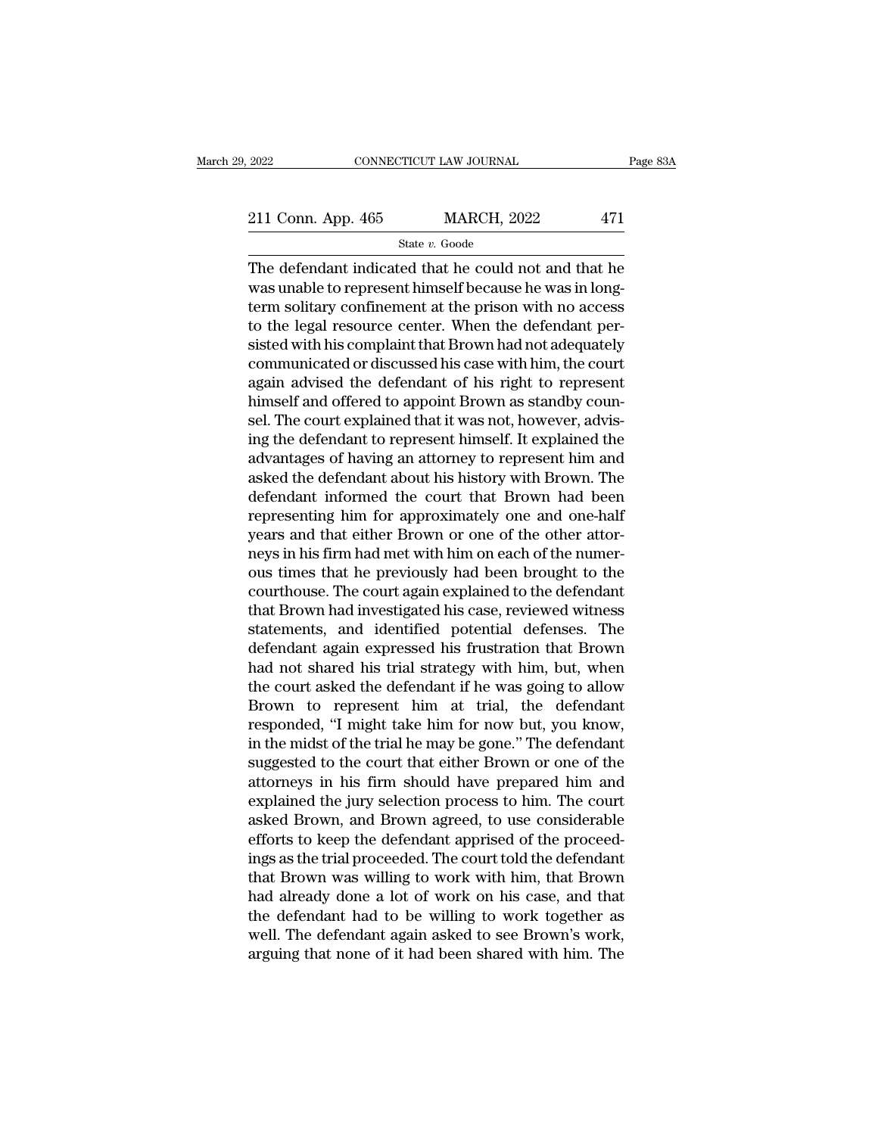2022 CONNECTICUT LAW JOURNAL Page 83A<br>211 Conn. App. 465 MARCH, 2022 471<br>State v. Goode

State *v.* Goode

 $\begin{array}{r|l} \text{2022} & \text{COMNETICUT LAW JOURNAL} & \text{Page 83A} \ \hline \text{211 Conn. App. 465} & \text{MARCH, 2022} & \text{471} \ \hline & \text{State } v. \text{ Goode} \ \hline \text{The defendant indicated that he could not and that he was unable to represent himself because he was in long-term colitary conformal at the prior with no access.} \end{array}$ 211 Conn. App. 465 MARCH, 2022 471<br>
State v. Goode<br>
The defendant indicated that he could not and that he<br>
was unable to represent himself because he was in long-<br>
term solitary confinement at the prison with no access<br>
t 211 Conn. App. 465 MARCH, 2022 471<br>
State v. Goode<br>
The defendant indicated that he could not and that he<br>
was unable to represent himself because he was in long-<br>
term solitary confinement at the prison with no access<br>
t 211 Conn. App. 465 MARCH, 2022 471<br>
State v. Goode<br>
The defendant indicated that he could not and that he<br>
was unable to represent himself because he was in long-<br>
term solitary confinement at the prison with no access<br>
t  $\begin{array}{l} \hline \text{State } v. \text{ Google} \end{array}$ The defendant indicated that he could not and that he was unable to represent himself because he was in long-<br>
term solitary confinement at the prison with no access<br>
to the legal resource ce state v. Goode<br>The defendant indicated that he could not and that he<br>was unable to represent himself because he was in long-<br>term solitary confinement at the prison with no access<br>to the legal resource center. When the de The defendant indicated that he could not and that he<br>was unable to represent himself because he was in long-<br>term solitary confinement at the prison with no access<br>to the legal resource center. When the defendant per-<br>sis was unable to represent himself because he was in long-<br>term solitary confinement at the prison with no access<br>to the legal resource center. When the defendant per-<br>sisted with his complaint that Brown had not adequately<br>c term solitary confinement at the prison with no access<br>to the legal resource center. When the defendant per-<br>sisted with his complaint that Brown had not adequately<br>communicated or discussed his case with him, the court<br>ag to the legal resource center. When the defendant per-<br>sisted with his complaint that Brown had not adequately<br>communicated or discussed his case with him, the court<br>again advised the defendant of his right to represent<br>him sisted with his complaint that Brown had not adequately<br>communicated or discussed his case with him, the court<br>again advised the defendant of his right to represent<br>himself and offered to appoint Brown as standby coun-<br>sel communicated or discussed his case with him, the court<br>again advised the defendant of his right to represent<br>himself and offered to appoint Brown as standby coun-<br>sel. The court explained that it was not, however, advis-<br>i again advised the defendant of his right to represent<br>himself and offered to appoint Brown as standby coun-<br>sel. The court explained that it was not, however, advis-<br>ing the defendant to represent himself. It explained the himself and offered to appoint Brown as standby counsel. The court explained that it was not, however, advising the defendant to represent himself. It explained the advantages of having an attorney to represent him and ask sel. The court explained that it was not, however, advising the defendant to represent himself. It explained the advantages of having an attorney to represent him and asked the defendant about his history with Brown. The d ing the defendant to represent himself. It explained the advantages of having an attorney to represent him and asked the defendant about his history with Brown. The defendant informed the court that Brown had been represen advantages of having an attorney to represent him and<br>asked the defendant about his history with Brown. The<br>defendant informed the court that Brown had been<br>representing him for approximately one and one-half<br>years and tha asked the defendant about his history with Brown. The<br>defendant informed the court that Brown had been<br>representing him for approximately one and one-half<br>years and that either Brown or one of the other attor-<br>neys in his defendant informed the court that Brown had been<br>representing him for approximately one and one-half<br>years and that either Brown or one of the other attor-<br>neys in his firm had met with him on each of the numer-<br>ous times representing him for approximately one and one-half<br>years and that either Brown or one of the other attor-<br>neys in his firm had met with him on each of the numer-<br>ous times that he previously had been brought to the<br>courth years and that either Brown or one of the other attor-<br>neys in his firm had met with him on each of the numer-<br>ous times that he previously had been brought to the<br>courthouse. The court again explained to the defendant<br>tha neys in his firm had met with him on each of the numer-<br>ous times that he previously had been brought to the<br>courthouse. The court again explained to the defendant<br>that Brown had investigated his case, reviewed witness<br>sta ous times that he previously had been brought to the<br>courthouse. The court again explained to the defendant<br>that Brown had investigated his case, reviewed witness<br>statements, and identified potential defenses. The<br>defendan courthouse. The court again explained to the defendant<br>that Brown had investigated his case, reviewed witness<br>statements, and identified potential defenses. The<br>defendant again expressed his frustration that Brown<br>had not that Brown had investigated his case, reviewed witness<br>statements, and identified potential defenses. The<br>defendant again expressed his frustration that Brown<br>had not shared his trial strategy with him, but, when<br>the court statements, and identified potential defenses. The<br>defendant again expressed his frustration that Brown<br>had not shared his trial strategy with him, but, when<br>the court asked the defendant if he was going to allow<br>Brown to defendant again expressed his frustration that Brown<br>had not shared his trial strategy with him, but, when<br>the court asked the defendant if he was going to allow<br>Brown to represent him at trial, the defendant<br>responded, "I had not shared his trial strategy with him, but, when<br>the court asked the defendant if he was going to allow<br>Brown to represent him at trial, the defendant<br>responded, "I might take him for now but, you know,<br>in the midst o the court asked the defendant if he was going to allow<br>Brown to represent him at trial, the defendant<br>responded, "I might take him for now but, you know,<br>in the midst of the trial he may be gone." The defendant<br>suggested t Brown to represent him at trial, the defendant<br>responded, "I might take him for now but, you know,<br>in the midst of the trial he may be gone." The defendant<br>suggested to the court that either Brown or one of the<br>attorneys i responded, "I might take him for now but, you know,<br>in the midst of the trial he may be gone." The defendant<br>suggested to the court that either Brown or one of the<br>attorneys in his firm should have prepared him and<br>explain in the midst of the trial he may be gone." The defendant<br>suggested to the court that either Brown or one of the<br>attorneys in his firm should have prepared him and<br>explained the jury selection process to him. The court<br>aske suggested to the court that either Brown or one of the<br>attorneys in his firm should have prepared him and<br>explained the jury selection process to him. The court<br>asked Brown, and Brown agreed, to use considerable<br>efforts to attorneys in his firm should have prepared him and<br>explained the jury selection process to him. The court<br>asked Brown, and Brown agreed, to use considerable<br>efforts to keep the defendant apprised of the proceed-<br>ings as th explained the jury selection process to him. The court<br>asked Brown, and Brown agreed, to use considerable<br>efforts to keep the defendant apprised of the proceed-<br>ings as the trial proceeded. The court told the defendant<br>tha asked Brown, and Brown agreed, to use considerable<br>efforts to keep the defendant apprised of the proceed-<br>ings as the trial proceeded. The court told the defendant<br>that Brown was willing to work with him, that Brown<br>had al efforts to keep the defendant apprised of the proceed-<br>ings as the trial proceeded. The court told the defendant<br>that Brown was willing to work with him, that Brown<br>had already done a lot of work on his case, and that<br>the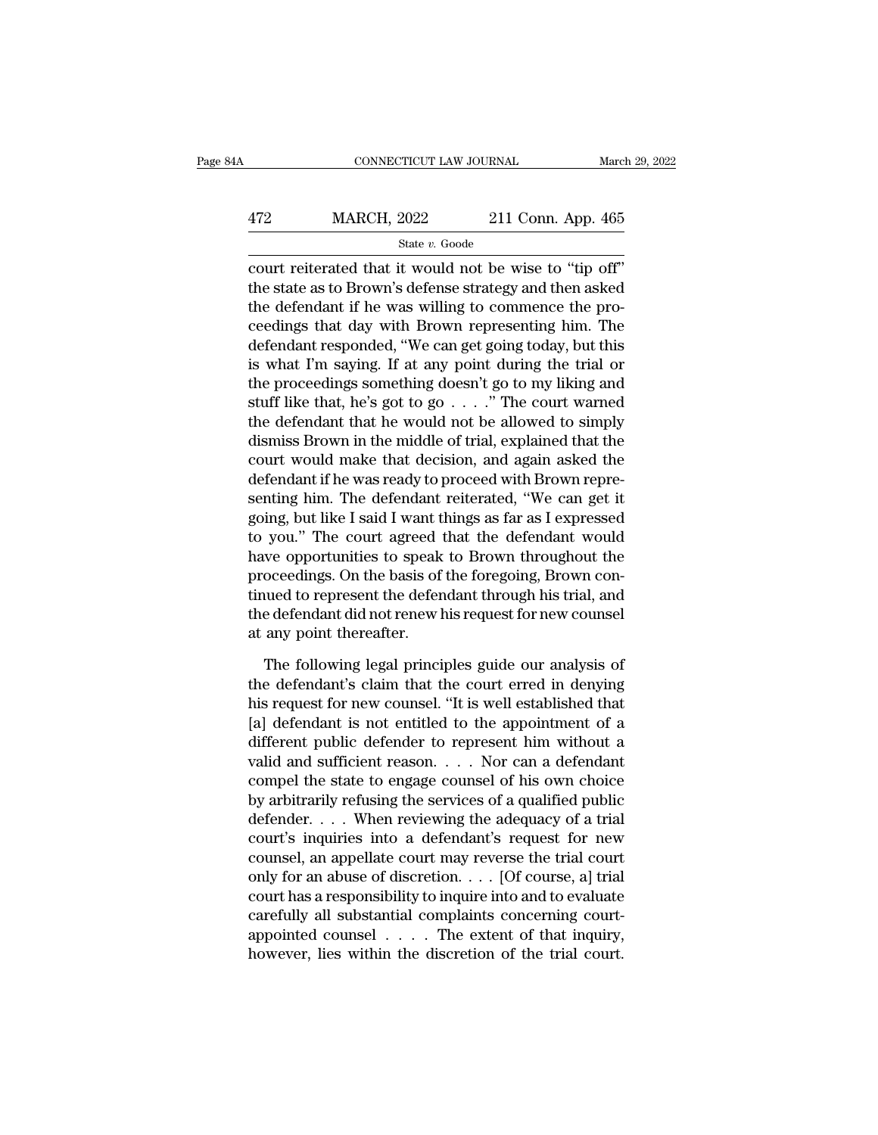## EXECUTE CONNECTICUT LAW JOURNAL March 29, 2022<br>472 MARCH, 2022 211 Conn. App. 465<br>5tate v. Goode State *v.* Goode

CONNECTICUT LAW JOURNAL March 29, 2<br>  $\begin{array}{r}\n 472 \text{ MARCH, } 2022 \text{ } 211 \text{ Conn. App. 465} \\
 \hline\n \text{State } v. \text{ Goode} \\
 \text{court reiterated that it would not be wise to "tip off"} \\
 \text{the state as to Brown's defense strategy and then asked} \\
 \text{the defendant if he was willing to commence the new.} \n\end{array}$  $\begin{array}{r} \text{MARCH, 2022} \\ \text{State } v. \text{ Goode} \end{array}$ <br>  $\begin{array}{r} \text{State } v. \text{ Goode} \\ \text{count reiterated that it would not be wise to "tip off"} \\ \text{the state as to Brown's defense strategy and then asked} \\ \text{the defendant if he was willing to commence the pro-} \\ \text{geodinger that day with Prown programming him. The} \end{array}$  $\frac{\text{472}}{\text{472}}$  MARCH, 2022 211 Conn. App. 465<br>  $\frac{\text{state } v. \text{ Goode}}{\text{count reiterated that it would not be wise to "tip off"}}$ the state as to Brown's defense strategy and then asked<br>
the defendant if he was willing to commence the pro-<br>
ceedings that day with  $\frac{\text{MARCH}}{\text{State } v. \text{ Goode}}$ <br>  $\frac{\text{State } v. \text{ Goode}}{\text{court reiterated that it would not be wise to "tip off"}}$ the state as to Brown's defense strategy and then asked<br>
the defendant if he was willing to commence the pro-<br>
ceedings that day with Brown representing him. T State v. Goode<br>
court reiterated that it would not be wise to "tip off"<br>
the state as to Brown's defense strategy and then asked<br>
the defendant if he was willing to commence the pro-<br>
ceedings that day with Brown represen state *i*. Goode<br>
court reiterated that it would not be wise to "tip off"<br>
the state as to Brown's defense strategy and then asked<br>
the defendant if he was willing to commence the pro-<br>
ceedings that day with Brown repres court reiterated that it would not be wise to "tip off"<br>the state as to Brown's defense strategy and then asked<br>the defendant if he was willing to commence the pro-<br>ceedings that day with Brown representing him. The<br>defen the state as to Brown's defense strategy and then asked<br>the defendant if he was willing to commence the pro-<br>ceedings that day with Brown representing him. The<br>defendant responded, "We can get going today, but this<br>is what the defendant if he was willing to commence the proceedings that day with Brown representing him. The defendant responded, "We can get going today, but this is what I'm saying. If at any point during the trial or the proc ceedings that day with Brown representing him. The<br>defendant responded, "We can get going today, but this<br>is what I'm saying. If at any point during the trial or<br>the proceedings something doesn't go to my liking and<br>stuff defendant responded, "We can get going today, but this<br>is what I'm saying. If at any point during the trial or<br>the proceedings something doesn't go to my liking and<br>stuff like that, he's got to go . . . . ." The court warn is what I'm saying. If at any point during the trial or<br>the proceedings something doesn't go to my liking and<br>stuff like that, he's got to go  $\ldots$ ." The court warned<br>the defendant that he would not be allowed to simply<br>d the proceedings something doesn't go to my liking and<br>stuff like that, he's got to go . . . ." The court warned<br>the defendant that he would not be allowed to simply<br>dismiss Brown in the middle of trial, explained that the<br> stuff like that, he's got to go . . . ." The court warned<br>the defendant that he would not be allowed to simply<br>dismiss Brown in the middle of trial, explained that the<br>court would make that decision, and again asked the<br>de the defendant that he would not be allowed to simply<br>dismiss Brown in the middle of trial, explained that the<br>court would make that decision, and again asked the<br>defendant if he was ready to proceed with Brown repre-<br>senti dismiss Brown in the middle of trial, explained that the<br>court would make that decision, and again asked the<br>defendant if he was ready to proceed with Brown repre-<br>senting him. The defendant reiterated, "We can get it<br>goin court would make that decision, and again asked the<br>defendant if he was ready to proceed with Brown repre-<br>senting him. The defendant reiterated, "We can get it<br>going, but like I said I want things as far as I expressed<br>to defendant if he was ready to proceed with Brown representing him. The defendant reiterated, "We can get it going, but like I said I want things as far as I expressed to you." The court agreed that the defendant would have senting him. The defendant reiterated, "We can get it<br>going, but like I said I want things as far as I expressed<br>to you." The court agreed that the defendant would<br>have opportunities to speak to Brown throughout the<br>procee going, but like I said I want t<br>to you." The court agreed if<br>have opportunities to speak<br>proceedings. On the basis of<br>tinued to represent the defer<br>the defendant did not renew l<br>at any point thereafter.<br>The following legal we opportunities to speak to Brown throughout the<br>oceedings. On the basis of the foregoing, Brown con-<br>uued to represent the defendant through his trial, and<br>e defendant did not renew his request for new counsel<br>any point proceedings. On the basis of the foregoing, Brown continued to represent the defendant through his trial, and<br>the defendant did not renew his request for new counsel<br>at any point thereafter.<br>The following legal principles

tinued to represent the defendant through his trial, and<br>the defendant did not renew his request for new counsel<br>at any point thereafter.<br>The following legal principles guide our analysis of<br>the defendant's claim that the the defendant did not renew his request for new counsel<br>at any point thereafter.<br>The following legal principles guide our analysis of<br>the defendant's claim that the court erred in denying<br>his request for new counsel. "It i at any point thereafter.<br>
The following legal principles guide our analysis of<br>
the defendant's claim that the court erred in denying<br>
his request for new counsel. "It is well established that<br>
[a] defendant is not entitle The following legal principles guide our analysis of<br>the defendant's claim that the court erred in denying<br>his request for new counsel. "It is well established that<br>[a] defendant is not entitled to the appointment of a<br>dif The following legal principles guide our analysis of<br>the defendant's claim that the court erred in denying<br>his request for new counsel. "It is well established that<br>[a] defendant is not entitled to the appointment of a<br>di the defendant's claim that the court erred in denying<br>his request for new counsel. "It is well established that<br>[a] defendant is not entitled to the appointment of a<br>different public defender to represent him without a<br>val his request for new counsel. "It is well established that<br>[a] defendant is not entitled to the appointment of a<br>different public defender to represent him without a<br>valid and sufficient reason. . . . Nor can a defendant<br>co [a] defendant is not entitled to the appointment of a<br>different public defender to represent him without a<br>valid and sufficient reason.... Nor can a defendant<br>compel the state to engage counsel of his own choice<br>by arbitr different public defender to represent him without a<br>valid and sufficient reason. . . . Nor can a defendant<br>compel the state to engage counsel of his own choice<br>by arbitrarily refusing the services of a qualified public<br>de valid and sufficient reason. . . . Nor can a defendant<br>compel the state to engage counsel of his own choice<br>by arbitrarily refusing the services of a qualified public<br>defender. . . . When reviewing the adequacy of a trial compel the state to engage counsel of his own choice<br>by arbitrarily refusing the services of a qualified public<br>defender. . . . When reviewing the adequacy of a trial<br>court's inquiries into a defendant's request for new<br>c by arbitrarily refusing the services of a qualified public<br>defender. . . . When reviewing the adequacy of a trial<br>court's inquiries into a defendant's request for new<br>counsel, an appellate court may reverse the trial cour defender. . . . . When reviewing the adequacy of a trial court's inquiries into a defendant's request for new counsel, an appellate court may reverse the trial court only for an abuse of discretion. . . . [Of course, a] tr court's inquiries into a defendant's request for new<br>counsel, an appellate court may reverse the trial court<br>only for an abuse of discretion.... [Of course, a] trial<br>court has a responsibility to inquire into and to evalua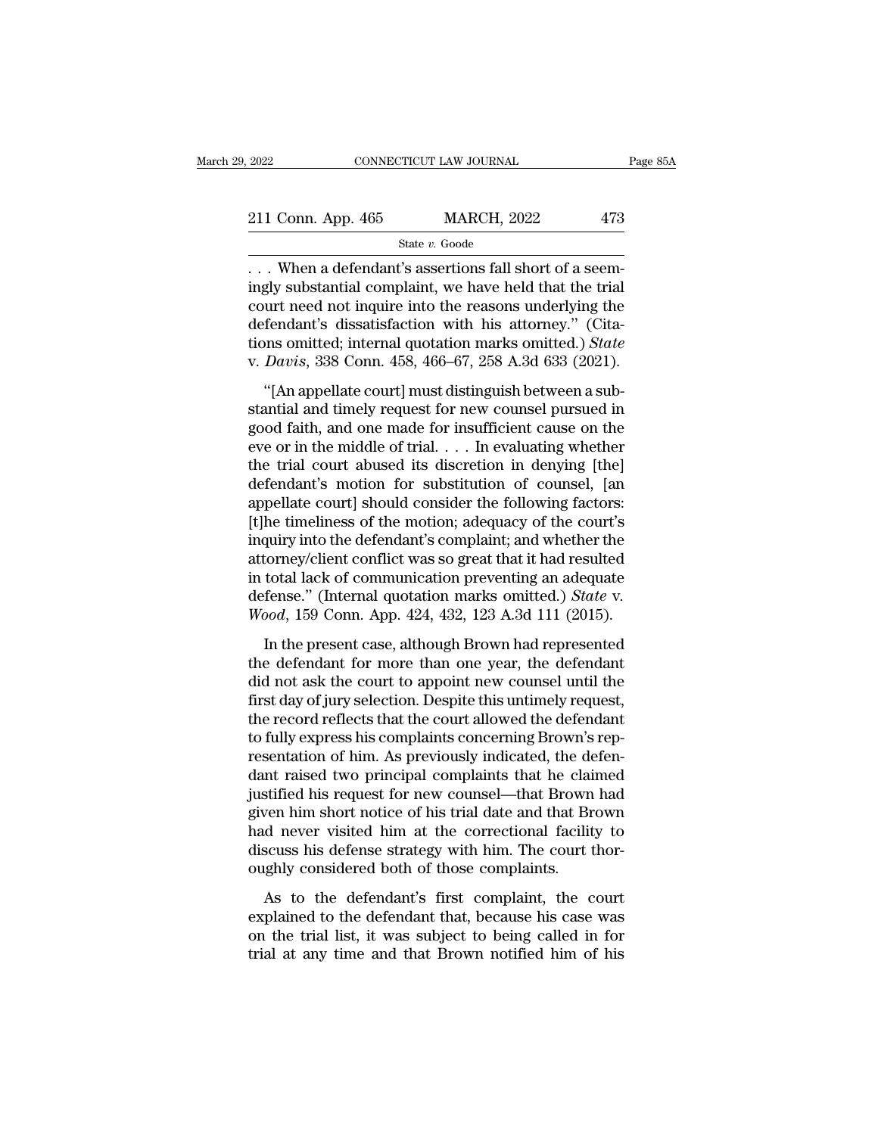State *v.* Goode

. . . When a defendant's assertions fall short of a seem-211 Conn. App. 465 MARCH, 2022 473<br>
State v. Goode<br>
... When a defendant's assertions fall short of a seem-<br>
ingly substantial complaint, we have held that the trial<br>
court need not inquire into the reasons underlying the 211 Conn. App. 465 MARCH, 2022 473<br>
State v. Goode<br>
... When a defendant's assertions fall short of a seemingly substantial complaint, we have held that the trial<br>
court need not inquire into the reasons underlying the<br>
d 211 Conn. App. 465 MARCH, 2022 473<br>
State v. Goode<br>
... When a defendant's assertions fall short of a seem-<br>
ingly substantial complaint, we have held that the trial<br>
court need not inquire into the reasons underlying the State *v*. Goode<br>
... When a defendant's assertions fall short of a seemingly substantial complaint, we have held that the trial<br>
court need not inquire into the reasons underlying the<br>
defendant's dissatisfaction with his state *v*. Goode<br>
... When a defendant's assertions fall short of a seem-<br>
ingly substantial complaint, we have held that the trial<br>
court need not inquire into the reasons underlying the<br>
defendant's dissatisfaction with The alternative statement of a section<br>gly substantial complaint, we have held that the trial<br>urt need not inquire into the reasons underlying the<br>fendant's dissatisfaction with his attorney." (Cita-<br>must omitted; internal standard complaint, we have first that the that<br>court need not inquire into the reasons underlying the<br>defendant's dissatisfaction with his attorney." (Cita-<br>tions omitted; internal quotation marks omitted.) *State*<br>v. *D* 

defendant's dissatisfaction with his attorney." (Citations omitted; internal quotation marks omitted.) *State* v. *Davis*, 338 Conn. 458, 466–67, 258 A.3d 633 (2021). "[An appellate court] must distinguish between a subst decendant's dissatisfaction what his attorney. (Criations omitted; internal quotation marks omitted.) *State* v. *Davis*, 338 Conn. 458, 466–67, 258 A.3d 633 (2021).<br>
"[An appellate court] must distinguish between a substa v. Davis, 338 Conn. 458, 466–67, 258 A.3d 633 (2021).<br>
"[An appellate court] must distinguish between a substantial and timely request for new counsel pursued in good faith, and one made for insufficient cause on the eve "[An appellate court] must distinguish between a substantial and timely request for new counsel pursued in good faith, and one made for insufficient cause on the eve or in the middle of trial.... In evaluating whether the "[An appellate court] must distinguish between a substantial and timely request for new counsel pursued in good faith, and one made for insufficient cause on the eve or in the middle of trial.  $\dots$  In evaluating whether t stantial and timely request for new counsel pursued in<br>good faith, and one made for insufficient cause on the<br>eve or in the middle of trial. . . . In evaluating whether<br>the trial court abused its discretion in denying [the good faith, and one made for insufficient cause on the<br>eve or in the middle of trial. . . . In evaluating whether<br>the trial court abused its discretion in denying [the]<br>defendant's motion for substitution of counsel, [an<br>a eve or in the middle of trial. . . . In evaluating whether<br>the trial court abused its discretion in denying [the]<br>defendant's motion for substitution of counsel, [an<br>appellate court] should consider the following factors: the trial court abused its discretion in denying [the]<br>defendant's motion for substitution of counsel, [an<br>appellate court] should consider the following factors:<br>[t]he timeliness of the motion; adequacy of the court's<br>in defendant's motion for substitution of counsel, [an<br>appellate court] should consider the following factors:<br>[t]he timeliness of the motion; adequacy of the court's<br>inquiry into the defendant's complaint; and whether the<br>at In the defendant's complaint; and whether the<br>distribution of the defendant's complaint; and whether the<br>torney/client conflict was so great that it had resulted<br>total lack of communication preventing an adequate<br>fense." ( Indiany and are defendantly complement, that whence the<br>attorney/client conflict was so great that it had resulted<br>in total lack of communication preventing an adequate<br>defense." (Internal quotation marks omitted.) *State* 

distortly) chem conflict was so great that it had restated<br>in total lack of communication preventing an adequate<br>defense." (Internal quotation marks omitted.) *State* v.<br>Wood, 159 Conn. App. 424, 432, 123 A.3d 111 (2015).<br> first day of communication preventing an adequate<br>defense." (Internal quotation marks omitted.) *State* v.<br>Wood, 159 Conn. App. 424, 432, 123 A.3d 111 (2015).<br>In the present case, although Brown had represented<br>the defenda Wood, 159 Conn. App. 424, 432, 123 A.3d 111 (2015).<br>
In the present case, although Brown had represented<br>
the defendant for more than one year, the defendant<br>
did not ask the court to appoint new counsel until the<br>
first d the present case, although Brown had represented<br>the defendant for more than one year, the defendant<br>did not ask the court to appoint new counsel until the<br>first day of jury selection. Despite this untimely request,<br>the re In the present case, although Brown had represented<br>the defendant for more than one year, the defendant<br>did not ask the court to appoint new counsel until the<br>first day of jury selection. Despite this untimely request,<br>the the defendant for more than one year, the defendant<br>did not ask the court to appoint new counsel until the<br>first day of jury selection. Despite this untimely request,<br>the record reflects that the court allowed the defendan did not ask the court to appoint new counsel until the<br>first day of jury selection. Despite this untimely request,<br>the record reflects that the court allowed the defendant<br>to fully express his complaints concerning Brown's first day of jury selection. Despite this untimely request,<br>the record reflects that the court allowed the defendant<br>to fully express his complaints concerning Brown's rep-<br>resentation of him. As previously indicated, the the record reflects that the court allowed the defendant<br>to fully express his complaints concerning Brown's rep-<br>resentation of him. As previously indicated, the defen-<br>dant raised two principal complaints that he claimed<br> to fully express his complaints concerning Brown's rep-<br>resentation of him. As previously indicated, the defen-<br>dant raised two principal complaints that he claimed<br>justified his request for new counsel—that Brown had<br>give resentation of him. As previously indicated, the deant raised two principal complaints that he clai<br>justified his request for new counsel—that Brown<br>given him short notice of his trial date and that Br<br>had never visited hi As the defendant is the channel and the defendant of this trial date and that Brown had ven him short notice of his trial date and that Brown denote never visited him at the correctional facility to scuss his defense strat given him short notice of his trial date and that Brown had<br>given him short notice of his trial date and that Brown<br>had never visited him at the correctional facility to<br>discuss his defense strategy with him. The court tho

and a never visited him at the correctional facility to discuss his defense strategy with him. The court thoroughly considered both of those complaints.<br>As to the defendant's first complaint, the court explained to the def that a field that are different at the diffeometric discuss his defense strategy with him. The court thoroughly considered both of those complaints.<br>As to the defendant's first complaint, the court explained to the defenda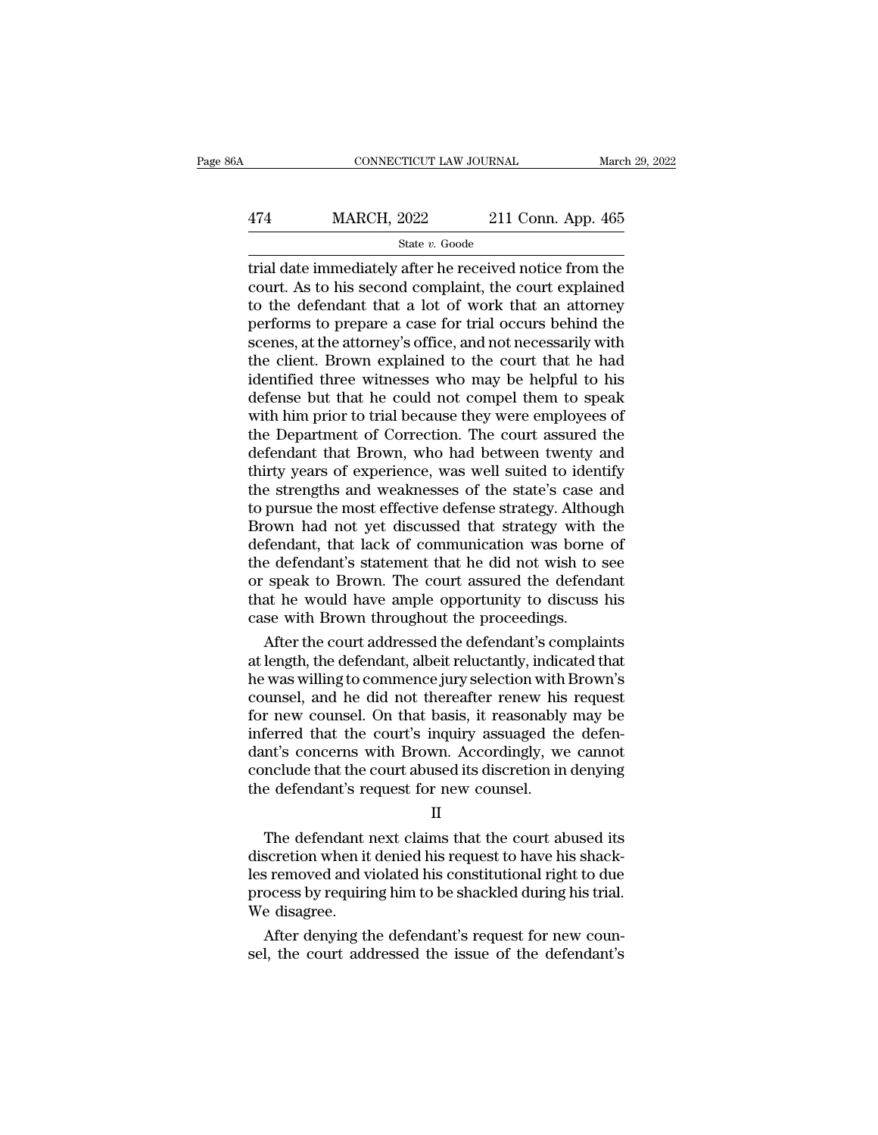## EXECUTE CONNECTICUT LAW JOURNAL March 29, 2022<br>474 MARCH, 2022 211 Conn. App. 465<br>5tate v. Goode State *v.* Goode

CONNECTICUT LAW JOURNAL March 29, 2022<br>
474 MARCH, 2022 211 Conn. App. 465<br>
5tate v. Goode<br>
11 Conn. App. 465<br>
12 Trial date immediately after he received notice from the<br>
court. As to his second complaint, the court expla  $\frac{474}{\text{MARCH}}$   $\frac{4622}{\text{State } v \cdot \text{Good}}$   $\frac{211}{\text{Conn}}$ . App. 465<br>  $\frac{465}{\text{trial}}$  date immediately after he received notice from the<br>
court. As to his second complaint, the court explained<br>
to the defendant that a lot of w  $\frac{474}{\text{State }v. \text{ Goode}}$ <br>  $\frac{\text{State }v. \text{ Goode}}{\text{true}}$ <br>
trial date immediately after he received notice from the<br>
court. As to his second complaint, the court explained<br>
to the defendant that a lot of work that an attorney<br>
perfo  $\frac{\text{MARCH, 2022}}{\text{State } v. \text{ Goode}}$ <br>
Trial date immediately after he received notice from the<br>
court. As to his second complaint, the court explained<br>
to the defendant that a lot of work that an attorney<br>
performs to prepare a State v. Goode<br>
State v. Goode<br>
Trial date immediately after he received notice from the<br>
court. As to his second complaint, the court explained<br>
to the defendant that a lot of work that an attorney<br>
performs to prepare a state  $v$ . Goode<br>trial date immediately after he received notice from the<br>court. As to his second complaint, the court explained<br>to the defendant that a lot of work that an attorney<br>performs to prepare a case for trial oc trial date immediately after he received notice from the court. As to his second complaint, the court explained to the defendant that a lot of work that an attorney performs to prepare a case for trial occurs behind the sc court. As to his second complaint, the court explained<br>to the defendant that a lot of work that an attorney<br>performs to prepare a case for trial occurs behind the<br>scenes, at the attorney's office, and not necessarily with<br> to the defendant that a lot of work that an attorney<br>performs to prepare a case for trial occurs behind the<br>scenes, at the attorney's office, and not necessarily with<br>the client. Brown explained to the court that he had<br>id performs to prepare a case for trial occurs behind the<br>scenes, at the attorney's office, and not necessarily with<br>the client. Brown explained to the court that he had<br>identified three witnesses who may be helpful to his<br>de scenes, at the attorney's office, and not necessarily with<br>the client. Brown explained to the court that he had<br>identified three witnesses who may be helpful to his<br>defense but that he could not compel them to speak<br>with h the client. Brown explained to the court that he had<br>identified three witnesses who may be helpful to his<br>defense but that he could not compel them to speak<br>with him prior to trial because they were employees of<br>the Depart identified three witnesses who may be helpful to his<br>defense but that he could not compel them to speak<br>with him prior to trial because they were employees of<br>the Department of Correction. The court assured the<br>defendant t defense but that he could not compel them to speak<br>with him prior to trial because they were employees of<br>the Department of Correction. The court assured the<br>defendant that Brown, who had between twenty and<br>thirty years of with him prior to trial because they were employees of<br>the Department of Correction. The court assured the<br>defendant that Brown, who had between twenty and<br>thirty years of experience, was well suited to identify<br>the streng the Department of Correction. The court assured the<br>defendant that Brown, who had between twenty and<br>thirty years of experience, was well suited to identify<br>the strengths and weaknesses of the state's case and<br>to pursue th defendant that Brown, who had between twenty and<br>thirty years of experience, was well suited to identify<br>the strengths and weaknesses of the state's case and<br>to pursue the most effective defense strategy. Although<br>Brown ha thirty years of experience, was well suited to identify<br>the strengths and weaknesses of the state's case and<br>to pursue the most effective defense strategy. Although<br>Brown had not yet discussed that strategy with the<br>defend the strengths and weaknesses of the state's case and<br>to pursue the most effective defense strategy. Although<br>Brown had not yet discussed that strategy with the<br>defendant, that lack of communication was borne of<br>the defenda to pursue the most effective defense strategy. Althout Brown had not yet discussed that strategy with defendant, that lack of communication was borne the defendant's statement that he did not wish to or speak to Brown. The Fendant, that lack of communication was borne of<br>the defendant's statement that he did not wish to see<br>speak to Brown. The court assured the defendant<br>at he would have ample opportunity to discuss his<br>se with Brown through defendant, that lack of communication was borne of<br>the defendant's statement that he did not wish to see<br>or speak to Brown. The court assured the defendant<br>that he would have ample opportunity to discuss his<br>case with Brow

the defendant's statement that he did not wish to see<br>or speak to Brown. The court assured the defendant<br>that he would have ample opportunity to discuss his<br>case with Brown throughout the proceedings.<br>After the court addre or speak to Brown. The court assured the detendant<br>that he would have ample opportunity to discuss his<br>case with Brown throughout the proceedings.<br>After the court addressed the defendant's complaints<br>at length, the defenda that he would have ample opportunity to discuss his<br>case with Brown throughout the proceedings.<br>After the court addressed the defendant's complaints<br>at length, the defendant, albeit reluctantly, indicated that<br>he was willi case with Brown throughout the proceedings.<br>
After the court addressed the defendant's complaints<br>
at length, the defendant, albeit reluctantly, indicated that<br>
he was willing to commence jury selection with Brown's<br>
couns After the court addressed the defendant's complaints<br>at length, the defendant, albeit reluctantly, indicated that<br>he was willing to commence jury selection with Brown's<br>counsel, and he did not thereafter renew his request<br> at length, the defendant, albeit reluctantly, indicated that<br>he was willing to commence jury selection with Brown's<br>counsel, and he did not thereafter renew his request<br>for new counsel. On that basis, it reasonably may be<br> he was willing to commence jury selection with<br>counsel, and he did not thereafter renew his<br>for new counsel. On that basis, it reasonably<br>inferred that the court's inquiry assuaged th<br>dant's concerns with Brown. Accordingl The defendant is that the court's inquiry assuaged the defen-<br>the defendant's concerns with Brown. Accordingly, we cannot<br>nelude that the court abused its discretion in denying<br>e defendant's request for new counsel.<br>II<br>The

II

metrica and are coards inquiry assagged are determined and is denoted that the court abused its discretion in denying the defendant's request for new counsel.<br>
II<br>
The defendant next claims that the court abused its discre date between the court abused its discretion in denying<br>conclude that the court abused its discretion in denying<br>the defendant is request for new counsel.<br>II<br>The defendant next claims that the court abused its<br>discretion w process that the court abused its discretion in deriging<br>the defendant's request for new counsel.<br>II<br>The defendant next claims that the court abused its<br>discretion when it denied his request to have his shack-<br>les removed The defendant reductionally<br>discretion when it<br>les removed and v<br>process by requiring<br>We disagree.<br>After denying the The defendant next claims that the court abused its<br>scretion when it denied his request to have his shack-<br>s removed and violated his constitutional right to due<br>ocess by requiring him to be shackled during his trial.<br>e di The defendant next claims that the court abused its<br>discretion when it denied his request to have his shack-<br>les removed and violated his constitutional right to due<br>process by requiring him to be shackled during his trial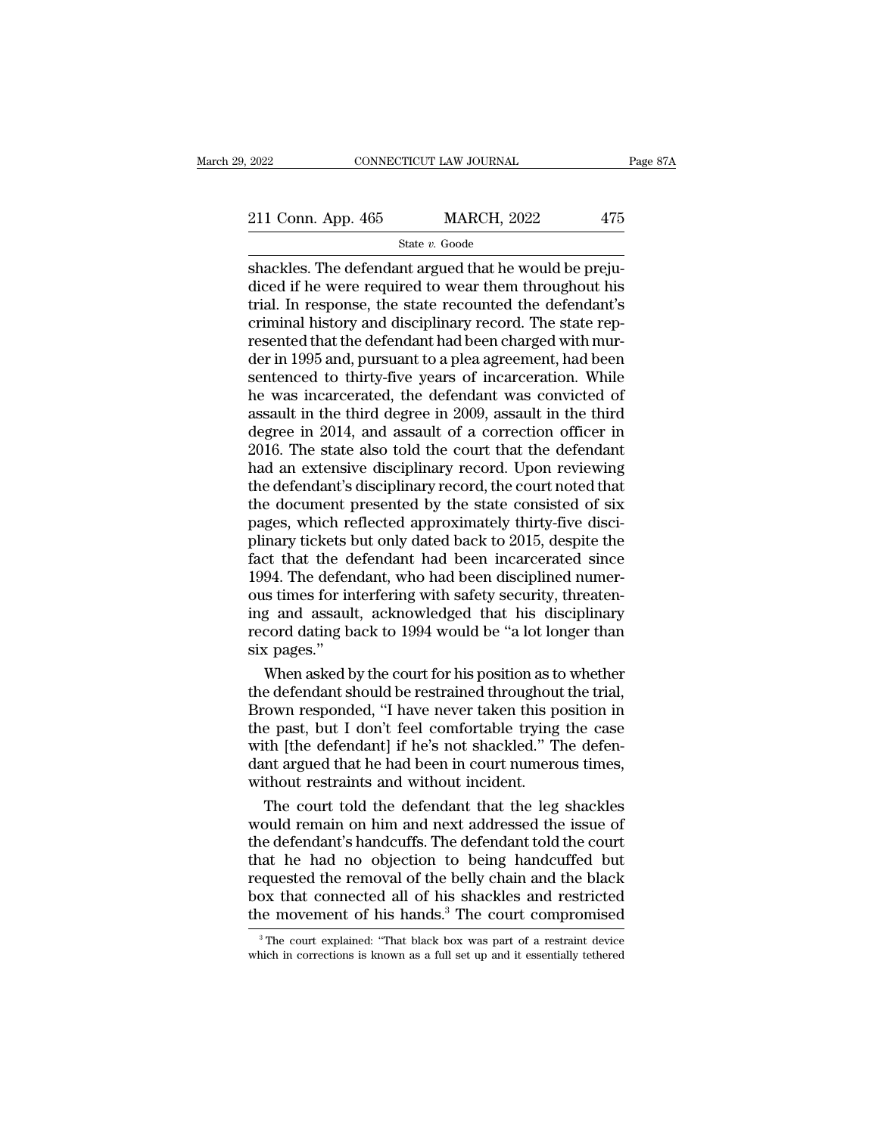2022 CONNECTICUT LAW JOURNAL Page 87A<br>211 Conn. App. 465 MARCH, 2022 475<br>State v. Goode

State *v.* Goode

shackles. The defendant argued that he would be preju-211 Conn. App. 465 MARCH, 2022 475<br>State v. Goode<br>Shackles. The defendant argued that he would be prejudiced if he were required to wear them throughout his<br>trial. In response, the state recounted the defendant's<br>criminal 211 Conn. App. 465 MARCH, 2022 475<br>
State v. Goode<br>
Shackles. The defendant argued that he would be prejudiced if he were required to wear them throughout his<br>
trial. In response, the state recounted the defendant's<br>
crim 211 Conn. App. 465 MARCH, 2022 475<br>
State *v.* Goode<br>
Shackles. The defendant argued that he would be prejudiced if he were required to wear them throughout his<br>
trial. In response, the state recounted the defendant's<br>
cr  $\begin{array}{c}\n\hline\n\text{State } v. \text{ Google} \\
\hline\n\end{array}$ State v. Goode<br>
Shackles. The defendant argued that he would be prejudiced if he were required to wear them throughout his<br>
trial. In response, the state recounted the defendant's<br>
cri State  $v$ . Goode<br>
shackles. The defendant argued that he would be preju-<br>
diced if he were required to wear them throughout his<br>
trial. In response, the state recounted the defendant's<br>
criminal history and disciplinary r shackles. The defendant argued that he would be prejudiced if he were required to wear them throughout his<br>trial. In response, the state recounted the defendant's<br>criminal history and disciplinary record. The state rep-<br>re diced if he were required to wear them throughout his<br>trial. In response, the state recounted the defendant's<br>criminal history and disciplinary record. The state rep-<br>resented that the defendant had been charged with mur-<br> trial. In response, the state recounted the defendant's<br>criminal history and disciplinary record. The state rep-<br>resented that the defendant had been charged with mur-<br>der in 1995 and, pursuant to a plea agreement, had bee criminal history and disciplinary record. The state rep-<br>resented that the defendant had been charged with mur-<br>der in 1995 and, pursuant to a plea agreement, had been<br>sentenced to thirty-five years of incarceration. While resented that the defendant had been charged with murder in 1995 and, pursuant to a plea agreement, had been sentenced to thirty-five years of incarceration. While he was incarcerated, the defendant was convicted of assaul der in 1995 and, pursuant to a plea agreement, had been<br>sentenced to thirty-five years of incarceration. While<br>he was incarcerated, the defendant was convicted of<br>assault in the third degree in 2009, assault in the third<br>d sentenced to thirty-five years of incarceration. While<br>he was incarcerated, the defendant was convicted of<br>assault in the third degree in 2009, assault in the third<br>degree in 2014, and assault of a correction officer in<br>20 he was incarcerated, the defendant was convicted of<br>assault in the third degree in 2009, assault in the third<br>degree in 2014, and assault of a correction officer in<br>2016. The state also told the court that the defendant<br>ha assault in the third degree in 2009, assault in the third degree in 2014, and assault of a correction officer in 2016. The state also told the court that the defendant had an extensive disciplinary record. Upon reviewing t degree in 2014, and assault of a correction officer in 2016. The state also told the court that the defendant<br>had an extensive disciplinary record. Upon reviewing<br>the defendant's disciplinary record, the court noted that<br>t 2016. The state also told the court that the defendant<br>had an extensive disciplinary record. Upon reviewing<br>the defendant's disciplinary record, the court noted that<br>the document presented by the state consisted of six<br>pag had an extensive disciplinary record. Upon reviewing<br>the defendant's disciplinary record, the court noted that<br>the document presented by the state consisted of six<br>pages, which reflected approximately thirty-five disci-<br>pl the defendant's disciplinary record, the court noted that<br>the document presented by the state consisted of six<br>pages, which reflected approximately thirty-five disci-<br>plinary tickets but only dated back to 2015, despite th the document presented by the state consisted of six<br>pages, which reflected approximately thirty-five disci-<br>plinary tickets but only dated back to 2015, despite the<br>fact that the defendant had been incarcerated since<br>1994 pages, which reflected approximately thirty-five disciplinary tickets but only dated back to 2015, despite the fact that the defendant had been incarcerated since 1994. The defendant, who had been disciplined numerous time plinary tickets l<br>fact that the d<br>1994. The defen<br>ous times for in<br>ing and assaul<br>record dating b.<br>six pages.''<br>When asked b ext that the defendant had been incarcerated since<br>94. The defendant, who had been disciplined numer-<br>is times for interfering with safety security, threaten-<br>g and assault, acknowledged that his disciplinary<br>cord dating b 1994. The defendant, who had been disciplined numer-<br>ous times for interfering with safety security, threaten-<br>ing and assault, acknowledged that his disciplinary<br>record dating back to 1994 would be "a lot longer than<br>six

ous times for interfering with safety security, threaten-<br>ing and assault, acknowledged that his disciplinary<br>record dating back to 1994 would be "a lot longer than<br>six pages."<br>When asked by the court for his position as t ing and assault, acknowledged that his disciplinary<br>record dating back to 1994 would be "a lot longer than<br>six pages."<br>When asked by the court for his position as to whether<br>the defendant should be restrained throughout th record dating back to 1994 would be "a lot longer than<br>six pages."<br>When asked by the court for his position as to whether<br>the defendant should be restrained throughout the trial,<br>Brown responded, "I have never taken this p six pages."<br>When asked by the court for his position as to whether<br>the defendant should be restrained throughout the trial,<br>Brown responded, "I have never taken this position in<br>the past, but I don't feel comfortable tryin When asked by the court for his position as to<br>the defendant should be restrained throughout<br>Brown responded, "I have never taken this po<br>the past, but I don't feel comfortable trying<br>with [the defendant] if he's not shack e defendant should be restrained throughout the trial,<br>cown responded, "I have never taken this position in<br>e past, but I don't feel comfortable trying the case<br>th [the defendant] if he's not shackled." The defen-<br>nt argue Brown responded, "I have never taken this position in<br>the past, but I don't feel comfortable trying the case<br>with [the defendant] if he's not shackled." The defen-<br>dant argued that he had been in court numerous times,<br>with

the past, but I don't feel comfortable trying the case<br>with [the defendant] if he's not shackled." The defen-<br>dant argued that he had been in court numerous times,<br>without restraints and without incident.<br>The court told th with [the defendant] if he's not shackled." The defendant argued that he had been in court numerous times,<br>without restraints and without incident.<br>The court told the defendant that the leg shackles<br>would remain on him and dant argued that he had been in court numerous times,<br>without restraints and without incident.<br>The court told the defendant that the leg shackles<br>would remain on him and next addressed the issue of<br>the defendant's handcuff without restraints and without incident.<br>The court told the defendant that the leg shackles<br>would remain on him and next addressed the issue of<br>the defendant's handcuffs. The defendant told the court<br>that he had no objecti The court told the defendant that the leg shackles<br>would remain on him and next addressed the issue of<br>the defendant's handcuffs. The defendant told the court<br>that he had no objection to being handcuffed but<br>requested the at he had no objection to being handcuffed but<br>equested the removal of the belly chain and the black<br>ox that connected all of his shackles and restricted<br>ee movement of his hands.<sup>3</sup> The court compromised<br><sup>3</sup>The court expl requested the removal of the belly chain and the black<br>box that connected all of his shackles and restricted<br>the movement of his hands.<sup>3</sup> The court compromised<br> $\frac{1}{3}$ The court explained: "That black box was part of a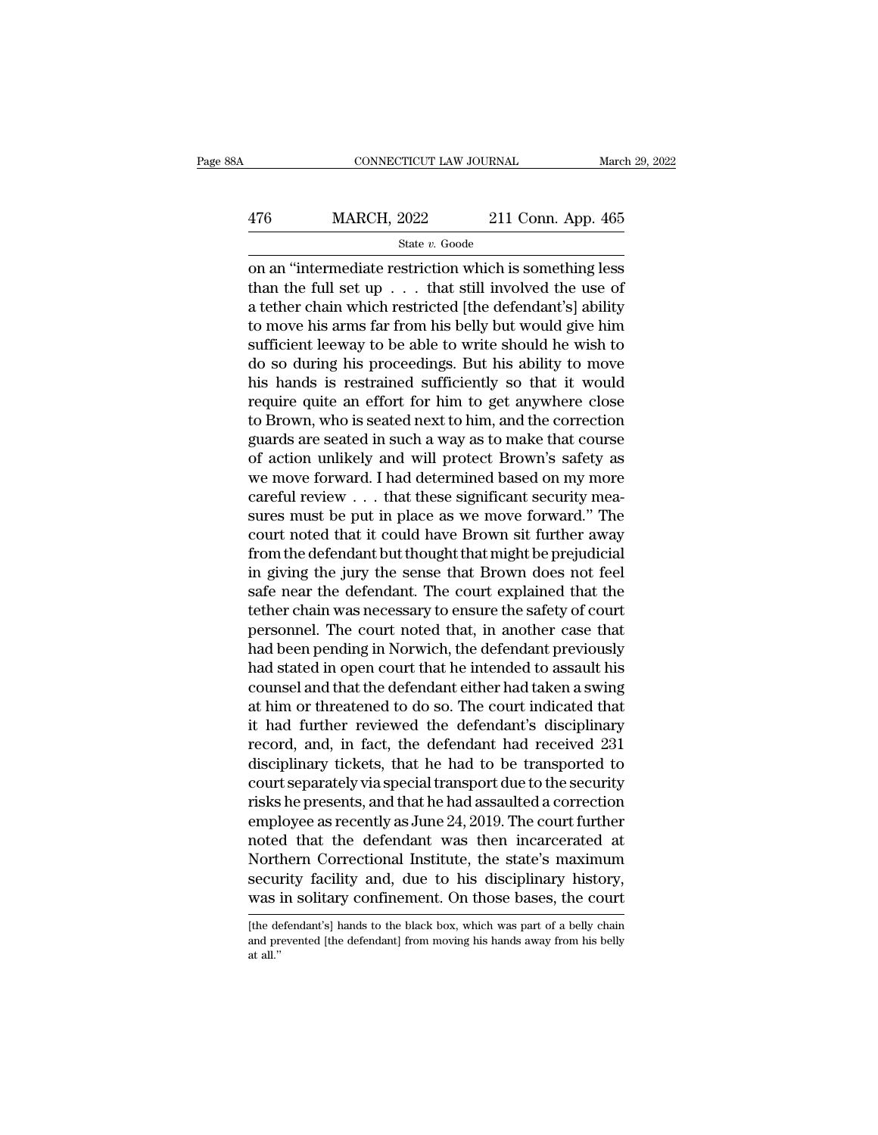## EXECUTE CONNECTICUT LAW JOURNAL March 29, 2022<br>476 MARCH, 2022 211 Conn. App. 465<br>5tate v. Goode State *v.* Goode

CONNECTICUT LAW JOURNAL March 29, 2022<br>  $\begin{array}{r}\n 476 \text{ } \text{MARCH, } 2022 \text{ } \text{ } 211 \text{ Conn. App. 465}\n \hline\n \text{State } v. \text{ Goode}\n \hline\n \text{on an "intermediate restriction which is something less than the full set up . . . that still involved the use of a tether chain which restricted [the defondant'] ability.} \end{array}$ 476 MARCH, 2022 211 Conn. App. 465<br>
State v. Goode<br>
on an "intermediate restriction which is something less<br>
than the full set up . . . that still involved the use of<br>
a tether chain which restricted [the defendant's] abi 476 MARCH, 2022 211 Conn. App. 465<br>
state v. Goode<br>
on an "intermediate restriction which is something less<br>
than the full set up . . . that still involved the use of<br>
a tether chain which restricted [the defendant's] abi  $\frac{\text{476}}{\text{State } v. \text{ Goode}}$ <br>  $\frac{\text{State } v. \text{ Goode}}{\text{Code}}$ <br>
on an "intermediate restriction which is something less<br>
than the full set up . . . that still involved the use of<br>
a tether chain which restricted [the defendant's] abili State v. Goode<br>
on an "intermediate restriction which is something less<br>
than the full set up . . . that still involved the use of<br>
a tether chain which restricted [the defendant's] ability<br>
to move his arms far from his state v. Goode<br>
on an "intermediate restriction which is something less<br>
than the full set up . . . that still involved the use of<br>
a tether chain which restricted [the defendant's] ability<br>
to move his arms far from his on an "intermediate restriction which is something less<br>than the full set up  $\ldots$  that still involved the use of<br>a tether chain which restricted [the defendant's] ability<br>to move his arms far from his belly but would giv than the full set up  $\ldots$  that still involved the use of<br>a tether chain which restricted [the defendant's] ability<br>to move his arms far from his belly but would give him<br>sufficient leeway to be able to write should he wi a tether chain which restricted [the defendant's] ability<br>to move his arms far from his belly but would give him<br>sufficient leeway to be able to write should he wish to<br>do so during his proceedings. But his ability to move to move his arms far from his belly but would give him<br>sufficient leeway to be able to write should he wish to<br>do so during his proceedings. But his ability to move<br>his hands is restrained sufficiently so that it would<br>req sufficient leeway to be able to write should he wish to<br>do so during his proceedings. But his ability to move<br>his hands is restrained sufficiently so that it would<br>require quite an effort for him to get anywhere close<br>to B do so during his proceedings. But his ability to move<br>his hands is restrained sufficiently so that it would<br>require quite an effort for him to get anywhere close<br>to Brown, who is seated next to him, and the correction<br>gua his hands is restrained sufficiently so that it would<br>require quite an effort for him to get anywhere close<br>to Brown, who is seated next to him, and the correction<br>guards are seated in such a way as to make that course<br>of require quite an effort for him to get anywhere close<br>to Brown, who is seated next to him, and the correction<br>guards are seated in such a way as to make that course<br>of action unlikely and will protect Brown's safety as<br>we to Brown, who is seated next to him, and the correction<br>guards are seated in such a way as to make that course<br>of action unlikely and will protect Brown's safety as<br>we move forward. I had determined based on my more<br>carefu guards are seated in such a way as to make that course<br>of action unlikely and will protect Brown's safety as<br>we move forward. I had determined based on my more<br>careful review . . . that these significant security mea-<br>sure of action unlikely and will protect Brown's safety as<br>we move forward. I had determined based on my more<br>careful review . . . that these significant security mea-<br>sures must be put in place as we move forward." The<br>court n we move forward. I had determined based on my more<br>careful review  $\ldots$  that these significant security mea-<br>sures must be put in place as we move forward." The<br>court noted that it could have Brown sit further away<br>from t careful review  $\ldots$  that these significant security measures must be put in place as we move forward." The court noted that it could have Brown sit further away from the defendant but thought that might be prejudicial in sures must be put in place as we move forward." The<br>court noted that it could have Brown sit further away<br>from the defendant but thought that might be prejudicial<br>in giving the jury the sense that Brown does not feel<br>safe court noted that it could have Brown sit further away<br>from the defendant but thought that might be prejudicial<br>in giving the jury the sense that Brown does not feel<br>safe near the defendant. The court explained that the<br>tet from the defendant but thought that might be prejudicial<br>in giving the jury the sense that Brown does not feel<br>safe near the defendant. The court explained that the<br>tether chain was necessary to ensure the safety of court<br> in giving the jury the sense that Brown does not feel<br>safe near the defendant. The court explained that the<br>tether chain was necessary to ensure the safety of court<br>personnel. The court noted that, in another case that<br>had safe near the defendant. The court explained that the<br>tether chain was necessary to ensure the safety of court<br>personnel. The court noted that, in another case that<br>had been pending in Norwich, the defendant previously<br>had tether chain was necessary to ensure the safety of court<br>personnel. The court noted that, in another case that<br>had been pending in Norwich, the defendant previously<br>had stated in open court that he intended to assault his<br> personnel. The court noted that, in another case that<br>had been pending in Norwich, the defendant previously<br>had stated in open court that he intended to assault his<br>counsel and that the defendant either had taken a swing<br>a had been pending in Norwich, the defendant previously<br>had stated in open court that he intended to assault his<br>counsel and that the defendant either had taken a swing<br>at him or threatened to do so. The court indicated that had stated in open court that he intended to assault his<br>counsel and that the defendant either had taken a swing<br>at him or threatened to do so. The court indicated that<br>it had further reviewed the defendant's disciplinary<br> counsel and that the defendant either had taken a swing<br>at him or threatened to do so. The court indicated that<br>it had further reviewed the defendant's disciplinary<br>record, and, in fact, the defendant had received 231<br>disc at him or threatened to do so. The court indicated that<br>it had further reviewed the defendant's disciplinary<br>record, and, in fact, the defendant had received 231<br>disciplinary tickets, that he had to be transported to<br>court it had further reviewed the defendant's disciplinary<br>record, and, in fact, the defendant had received 231<br>disciplinary tickets, that he had to be transported to<br>court separately via special transport due to the security<br>ri record, and, in fact, the defendant had received 231<br>disciplinary tickets, that he had to be transported to<br>court separately via special transport due to the security<br>risks he presents, and that he had assaulted a correcti disciplinary tickets, that he had to be transported to<br>court separately via special transport due to the security<br>risks he presents, and that he had assaulted a correction<br>employee as recently as June 24, 2019. The court f court separately via special transport due to the security<br>risks he presents, and that he had assaulted a correction<br>employee as recently as June 24, 2019. The court further<br>noted that the defendant was then incarcerated a noted that the defendant was then incarcerated at Northern Correctional Institute, the state's maximum security facility and, due to his disciplinary history, was in solitary confinement. On those bases, the court [the def Northern Correctional Institute, the state's maximum<br>security facility and, due to his disciplinary history,<br>was in solitary confinement. On those bases, the court<br>[the defendant's] hands to the black box, which was part o

secul<br>was i<br>lthe de<br>and pr<br>at all.''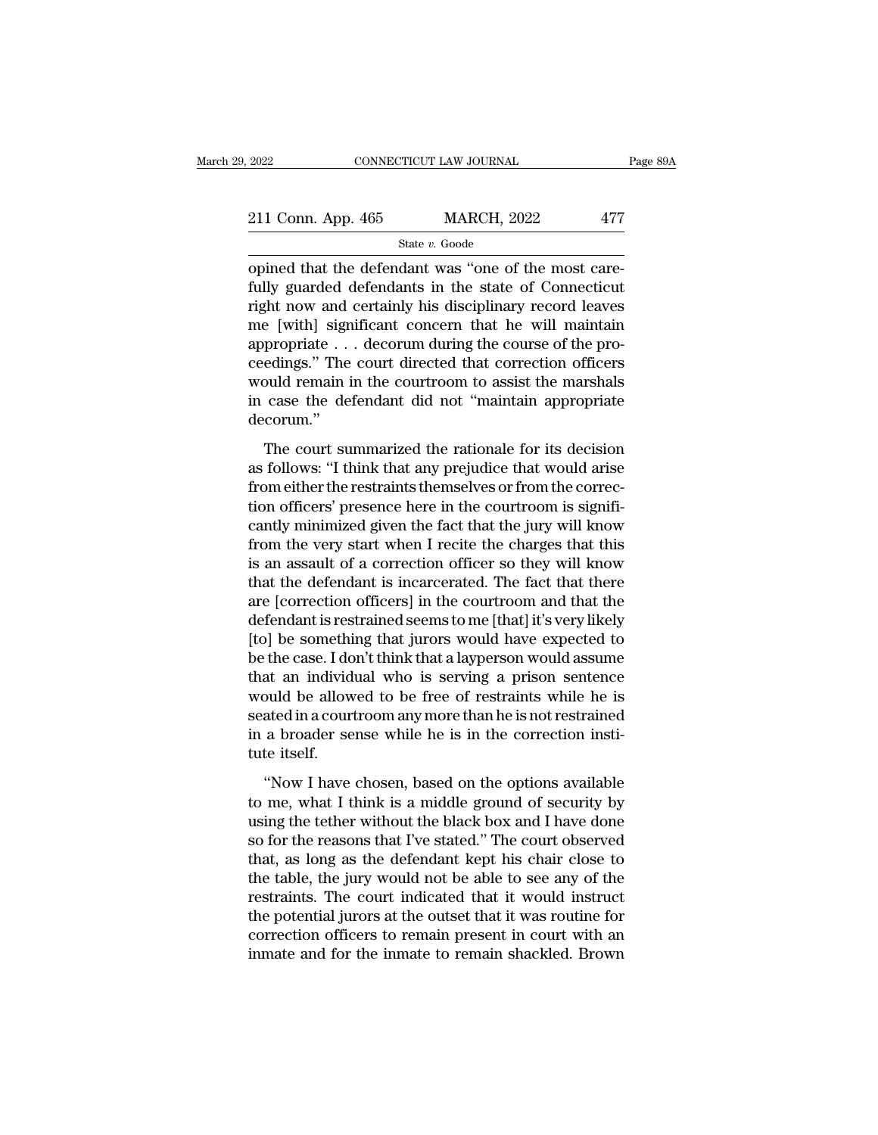# 2022 CONNECTICUT LAW JOURNAL Page 89A<br>
211 Conn. App. 465 MARCH, 2022 477<br>
State v. Goode

State *v.* Goode

 $\frac{2022}{211 \text{ Conn. App. 465}}$   $\frac{\text{MARCH, 2022}}{\text{State } v. \text{ Goode}}$ <br>
opined that the defendant was "one of the most care-<br>
fully guarded defendants in the state of Connecticut<br>
right now and certainly big discribinary record lowers 211 Conn. App. 465 MARCH, 2022 477<br>
State v. Goode<br>
opined that the defendant was "one of the most care-<br>
fully guarded defendants in the state of Connecticut<br>
right now and certainly his disciplinary record leaves<br>
me [w 211 Conn. App. 465 MARCH, 2022 477<br>
State v. Goode<br>
opined that the defendant was "one of the most care-<br>
fully guarded defendants in the state of Connecticut<br>
right now and certainly his disciplinary record leaves<br>
me [w 211 Conn. App. 465 MARCH, 2022 477<br>
State v. Goode<br>
opined that the defendant was "one of the most care-<br>
fully guarded defendants in the state of Connecticut<br>
right now and certainly his disciplinary record leaves<br>
me [w 211 Conn. App. 465 MARCH, 2022 477<br>
State v. Goode<br>
opined that the defendant was "one of the most care-<br>
fully guarded defendants in the state of Connecticut<br>
right now and certainly his disciplinary record leaves<br>
me [w siate  $v$ . Goode<br>
opined that the defendant was "one of the most care-<br>
fully guarded defendants in the state of Connecticut<br>
right now and certainly his disciplinary record leaves<br>
me [with] significant concern that he w opined that the defendant was "one of the most care-<br>fully guarded defendants in the state of Connecticut<br>right now and certainly his disciplinary record leaves<br>me [with] significant concern that he will maintain<br>appropria fully guarded defendants in the state of Connecticut<br>right now and certainly his disciplinary record leaves<br>me [with] significant concern that he will maintain<br>appropriate . . . decorum during the course of the pro-<br>ceedin decorum.'' propriate  $\ldots$  decorum during the course of the pro-<br>edings." The court directed that correction officers<br>buld remain in the courtroom to assist the marshals<br>case the defendant did not "maintain appropriate<br>corum."<br>The c references." The court directed that correction officers<br>would remain in the courtroom to assist the marshals<br>in case the defendant did not "maintain appropriate<br>decorum."<br>The court summarized the rationale for its decisio

From either the courtroom to assist the marshals<br>in case the defendant did not "maintain appropriate<br>decorum."<br>The court summarized the rationale for its decision<br>as follows: "I think that any prejudice that would arise<br>fr The court summarized the rationale for its decision<br>
The court summarized the rationale for its decision<br>
as follows: "I think that any prejudice that would arise<br>
from either the restraints themselves or from the correc-<br> decorum."<br>The court summarized the rationale for its decision<br>as follows: "I think that any prejudice that would arise<br>from either the restraints themselves or from the correc-<br>tion officers' presence here in the courtroom The court summarized the rationale for its decision<br>as follows: "I think that any prejudice that would arise<br>from either the restraints themselves or from the correc-<br>tion officers' presence here in the courtroom is signif The court summarized the rationale for its decision<br>as follows: "I think that any prejudice that would arise<br>from either the restraints themselves or from the correc-<br>tion officers' presence here in the courtroom is signif as follows: "I think that any prejudice that would arise<br>from either the restraints themselves or from the correc-<br>tion officers' presence here in the courtroom is signifi-<br>cantly minimized given the fact that the jury wil from either the restraints themselves or from the correction officers' presence here in the courtroom is significantly minimized given the fact that the jury will know from the very start when I recite the charges that thi tion officers' presence here in the courtroom is significantly minimized given the fact that the jury will know<br>from the very start when I recite the charges that this<br>is an assault of a correction officer so they will kno cantly minimized given the fact that the jury will know<br>from the very start when I recite the charges that this<br>is an assault of a correction officer so they will know<br>that the defendant is incarcerated. The fact that ther from the very start when I recite the charges that this<br>is an assault of a correction officer so they will know<br>that the defendant is incarcerated. The fact that there<br>are [correction officers] in the courtroom and that th is an assault of a correction officer so they will know<br>that the defendant is incarcerated. The fact that there<br>are [correction officers] in the courtroom and that the<br>defendant is restrained seems to me [that] it's very l that the defendant is incarcerated. The fact that there<br>are [correction officers] in the courtroom and that the<br>defendant is restrained seems to me [that] it's very likely<br>[to] be something that jurors would have expected are [correction officers] in the courtroom and that the<br>defendant is restrained seems to me [that] it's very likely<br>[to] be something that jurors would have expected to<br>be the case. I don't think that a layperson would ass defendant is restrained seems to me [that] it's very likely<br>[to] be something that jurors would have expected to<br>be the case. I don't think that a layperson would assume<br>that an individual who is serving a prison sentence<br> [to] be somethi<br>be the case. I dc<br>that an individ<br>would be allow<br>seated in a cour<br>in a broader se<br>tute itself.<br>"Now I have at an individual who is serving a prison sentence<br>
buld be allowed to be free of restraints while he is<br>
ated in a courtroom any more than he is not restrained<br>
a broader sense while he is in the correction insti-<br>
the its would be allowed to be free of restraints while he is<br>seated in a courtroom any more than he is not restrained<br>in a broader sense while he is in the correction insti-<br>tute itself.<br>"Now I have chosen, based on the options a

seated in a courtroom any more than he is not restrained<br>in a broader sense while he is in the correction institute<br>itself.<br>"Now I have chosen, based on the options available<br>to me, what I think is a middle ground of secur in a broader sense while he is in the correction institute itself.<br>"Now I have chosen, based on the options available<br>to me, what I think is a middle ground of security by<br>using the tether without the black box and I have tute itself.<br>
"Now I have chosen, based on the options available<br>
to me, what I think is a middle ground of security by<br>
using the tether without the black box and I have done<br>
so for the reasons that I've stated." The cou "Now I have chosen, based on the options available<br>to me, what I think is a middle ground of security by<br>using the tether without the black box and I have done<br>so for the reasons that I've stated." The court observed<br>that, "Now I have chosen, based on the options available<br>to me, what I think is a middle ground of security by<br>using the tether without the black box and I have done<br>so for the reasons that I've stated." The court observed<br>that, to me, what I think is a middle ground of security by<br>using the tether without the black box and I have done<br>so for the reasons that I've stated." The court observed<br>that, as long as the defendant kept his chair close to<br>t using the tether without the black box and I have done<br>so for the reasons that I've stated." The court observed<br>that, as long as the defendant kept his chair close to<br>the table, the jury would not be able to see any of the so for the reasons that I've stated." The court observed<br>that, as long as the defendant kept his chair close to<br>the table, the jury would not be able to see any of the<br>restraints. The court indicated that it would instruct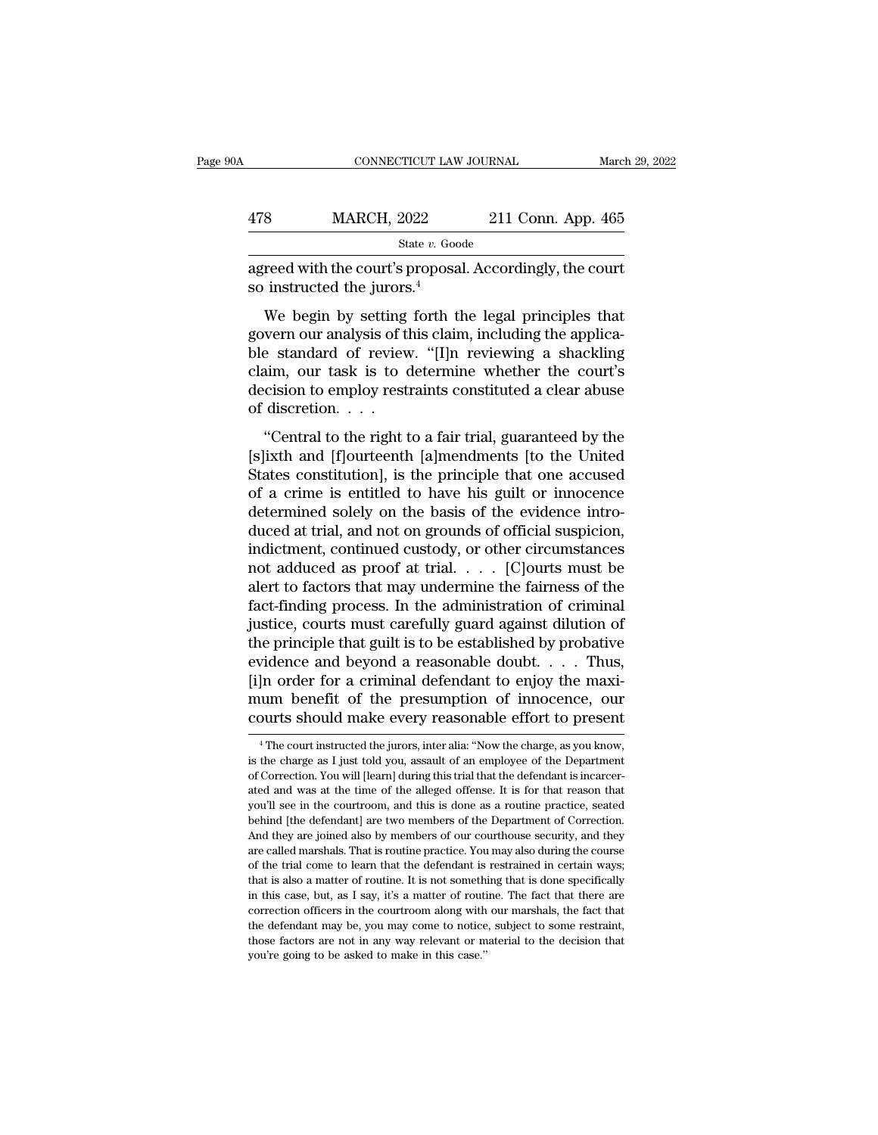| )A  | CONNECTICUT LAW JOURNAL                                                                   |                    | March 29, 2022 |
|-----|-------------------------------------------------------------------------------------------|--------------------|----------------|
| 478 | <b>MARCH, 2022</b>                                                                        | 211 Conn. App. 465 |                |
|     | State v. Goode                                                                            |                    |                |
|     | agreed with the court's proposal. Accordingly, the court<br>so instructed the jurors. $4$ |                    |                |

MARCH,  $2022$  211 Conn. App. 465<br>
State v. Goode<br>
reed with the court's proposal. Accordingly, the court<br>
instructed the jurors.<sup>4</sup><br>
We begin by setting forth the legal principles that<br>
vern our analysis of this claim, in 478 MARCH, 2022 211 Conn. App. 465<br>  $\frac{\text{state } v. \text{ Goode}}{\text{agreeed with the court's proposal. Accordingly, the court so instructed the jurors.<sup>4</sup>}$ <br>
We begin by setting forth the legal principles that govern our analysis of this claim, including the applica-<br>
ble standard of review. "[I] State v. Goode<br>
state v. Goode<br>
so instructed the jurors.<sup>4</sup><br>
We begin by setting forth the legal principles that<br>
govern our analysis of this claim, including the applica-<br>
ble standard of review. "[I]n reviewing a shack agreed with the court's proposal. Accordingly, the court<br>so instructed the jurors.<sup>4</sup><br>We begin by setting forth the legal principles that<br>govern our analysis of this claim, including the applica-<br>ble standard of review. "[ so instructed the jurors.<sup>4</sup><br>So instructed the jurors.<sup>4</sup><br>We begin by setting forth the legal principles that<br>govern our analysis of this claim, including the applica-<br>ble standard of review. "[I]n reviewing a shackling<br>c We begin by setting<br>govern our analysis of the<br>ble standard of review<br>claim, our task is to decision to employ rest<br>of discretion....<br>"Central to the right t We begin by setting form the regar principles that<br>
wern our analysis of this claim, including the applica-<br>
a shackling<br>
aim, our task is to determine whether the court's<br>
cision to employ restraints constituted a clear a govern our analysis of ans elaint, including the applicable<br>ble standard of review. "[I]n reviewing a shackling<br>claim, our task is to determine whether the court's<br>decision to employ restraints constituted a clear abuse<br>of

States constitution is the principle that one accused<br>decision to employ restraints constituted a clear abuse<br>of discretion....<br>"Central to the right to a fair trial, guaranteed by the<br>[s]ixth and [f]ourteenth [a]mendments decision to employ restraints constituted a clear abuse<br>of discretion.  $\dots$ <br>"Central to the right to a fair trial, guaranteed by the<br>[s]ixth and [f]ourteenth [a]mendments [to the United<br>States constitution], is the princi determined solely restrains constrained a clear abuse<br>of discretion. . . .<br>"Central to the right to a fair trial, guaranteed by the<br>[s]ixth and [f]ourteenth [a]mendments [to the United<br>States constitution], is the principl "Central to the right to a fair trial, guaranteed by the [s]ixth and [f]ourteenth [a]mendments [to the United States constitution], is the principle that one accused of a crime is entitled to have his guilt or innocence d "Central to the right to a fair trial, guaranteed by the [s]ixth and [f]ourteenth [a]mendments [to the United States constitution], is the principle that one accused of a crime is entitled to have his guilt or innocence d [s]ixth and [f]ourteenth [a]mendments [to the United States constitution], is the principle that one accused of a crime is entitled to have his guilt or innocence determined solely on the basis of the evidence introduced States constitution], is the principle that one accused<br>of a crime is entitled to have his guilt or innocence<br>determined solely on the basis of the evidence intro-<br>duced at trial, and not on grounds of official suspicion,<br> of a crime is entitled to have his guilt or innocence<br>determined solely on the basis of the evidence intro-<br>duced at trial, and not on grounds of official suspicion,<br>indictment, continued custody, or other circumstances<br>no determined solely on the basis of the evidence intro-<br>duced at trial, and not on grounds of official suspicion,<br>indictment, continued custody, or other circumstances<br>not adduced as proof at trial. . . . [C]ourts must be<br>al duced at trial, and not on grounds of official suspicion,<br>indictment, continued custody, or other circumstances<br>not adduced as proof at trial. . . . . [C]ourts must be<br>alert to factors that may undermine the fairness of th indictment, continued custody, or other circumstances<br>not adduced as proof at trial. . . . [C]ourts must be<br>alert to factors that may undermine the fairness of the<br>fact-finding process. In the administration of criminal<br>j not adduced as proof at trial.  $\ldots$  [C]ourts must be alert to factors that may undermine the fairness of the fact-finding process. In the administration of criminal justice, courts must carefully guard against dilution o alert to factors that may undermine the fairness of the<br>fact-finding process. In the administration of criminal<br>justice, courts must carefully guard against dilution of<br>the principle that guilt is to be established by prob fact-finding process. In the administration of criminal justice, courts must carefully guard against dilution of the principle that guilt is to be established by probative evidence and beyond a reasonable doubt. . . . Thu Figure 2.1 Thus,<br>
In order for a criminal defendant to enjoy the maxi-<br>
um benefit of the presumption of innocence, our<br>
burts should make every reasonable effort to present<br>  $\frac{4}{1}$ The court instructed the jurors, inte [i]n order for a criminal defendant to enjoy the maximum benefit of the presumption of innocence, our courts should make every reasonable effort to present<br><sup>4</sup> The court instructed the jurors, inter alia: "Now the charge,

mum benefit of the presumption of innocence, our<br>courts should make every reasonable effort to present<br><sup>4</sup>The court instructed the jurors, inter alia: "Now the charge, as you know,<br>is the charge as I just told you, assault courts should make every reasonable effort to present<br>
<sup>4</sup> The court instructed the jurors, inter alia: "Now the charge, as you know,<br>
is the charge as I just told you, assault of an employee of the Department<br>
of Correcti Figure 2001 COUT CONTERN THE COUNTROLLED IN THE COUNTROLLED THE COUNTROLLED THE COUNTROLLED THE COUNTROLLED THE COUNTROLLED OF CONTESTING OF CONTESTING THE COUNTROLLED AND NOT UNLITED A rotation and this is done as a routi <sup>4</sup> The court instructed the jurors, inter alia: "Now the charge, as you know, is the charge as I just told you, assault of an employee of the Department of Correction. You will [learn] during this trial that the defendan is the charge as I just told you, assault of an employee of the Department of Correction. You will [learn] during this trial that the defendant is incarcerated and was at the time of the alleged offense. It is for that rea of Correction. You will [learn] during this trial that the defendant is incarcerated and was at the time of the alleged offense. It is for that reason that you'll see in the courtroom, and this is done as a routine practic ated and was at the time of the alleged offense. It is for that reason that you'll see in the courtroom, and this is done as a routine practice, seated behind [the defendant] are two members of the Department of Correction wou'll see in the courtroom, and this is done as a routine practice, seated behind [the defendant] are two members of the Department of Correction. And they are joined also by members of our courthouse security, and they a behind [the defendant] are two members of the Department of Correction.<br>And they are joined also by members of the Department of Correction.<br>And they are joined also by members of our courthouse security, and they<br>are call And they are joined also by members of our courthouse security, and they are called marshals. That is routine practice. You may also during the course of the trial come to learn that the defendant is restrained in certain are called marshals. That is routine practice. You may also during the course of the trial come to learn that the defendant is restrained in certain ways; that is also a matter of routine. It is not something that is done of the trial come to learn that the defendant is restrained in certain ways; that is also a matter of routine. It is not something that is done specifically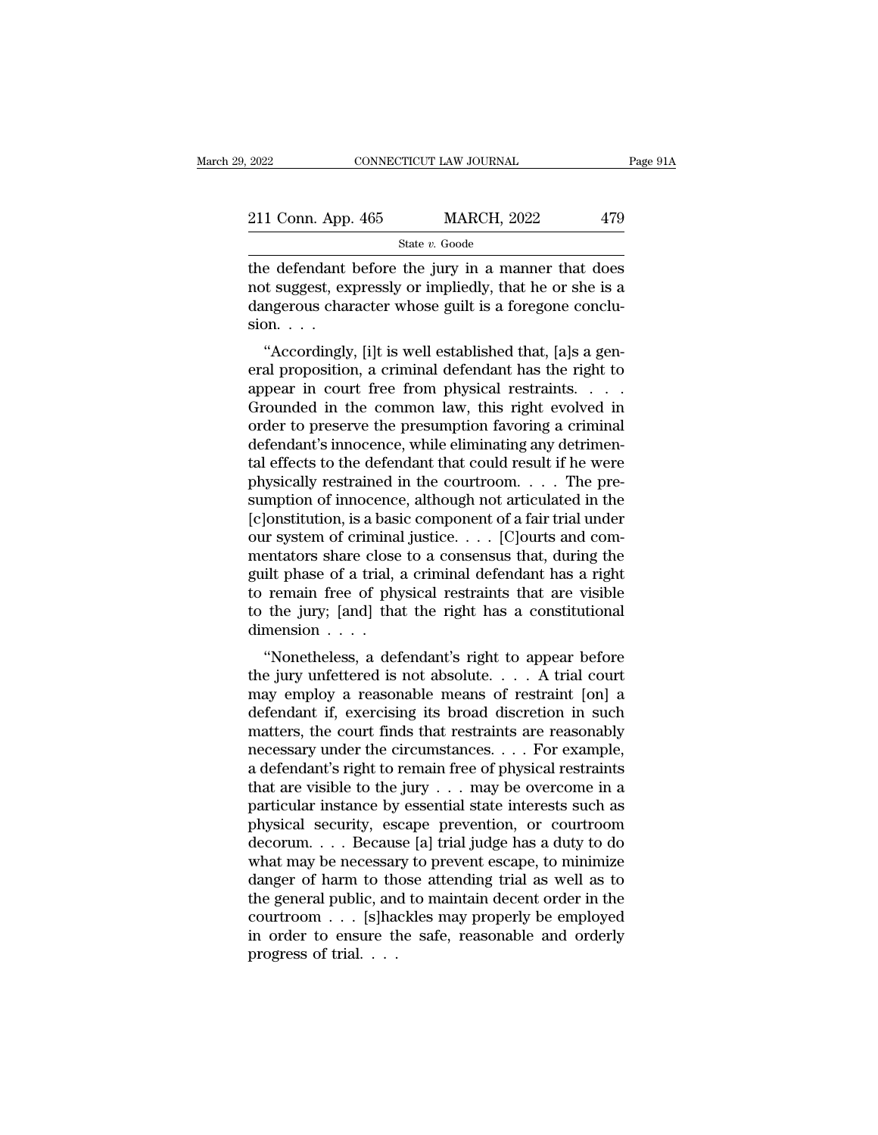| 2022               | CONNECTICUT LAW JOURNAL |                    | Page 91A |  |
|--------------------|-------------------------|--------------------|----------|--|
| 211 Conn. App. 465 |                         | <b>MARCH, 2022</b> | 479      |  |
|                    | State v. Goode          |                    |          |  |

2022 CONNECTICUT LAW JOURNAL Page 91A<br>
211 Conn. App. 465 MARCH, 2022 479<br>  $\frac{\text{State } v. \text{ Goode}}{\text{the defendant before the jury in a manner that does}}$ <br>
not suggest, expressly or impliedly, that he or she is a<br>
dangerous character whose guilt is a foregone conclu 211 Conn. App. 465 MARCH, 2022 479<br>
State v. Goode<br>
the defendant before the jury in a manner that does<br>
not suggest, expressly or impliedly, that he or she is a<br>
dangerous character whose guilt is a foregone conclu-211 Conn. App. 465 MARCH, 2022 479<br>
State v. Goode<br>
the defendant before the jury in a manner that does<br>
not suggest, expressly or impliedly, that he or she is a<br>
dangerous character whose guilt is a foregone conclu-<br>
sio 211 Conn. App<br>the defendant<br>not suggest, ex<br>dangerous char<br>sion. . . .<br>"Accordingly State v. Goode<br>
e defendant before the jury in a manner that does<br>
of suggest, expressly or impliedly, that he or she is a<br>
ngerous character whose guilt is a foregone conclu-<br>
on. . . .<br>
"Accordingly, [i]t is well establ The defendant before the jury in a manner that does<br>
not suggest, expressly or impliedly, that he or she is a<br>
dangerous character whose guilt is a foregone conclu-<br>
sion....<br>
"Accordingly, [i]t is well established that, [

Interestant before the jury in a hialiner that does<br>not suggest, expressly or impliedly, that he or she is a<br>dangerous character whose guilt is a foregone conclu-<br>sion. . . .<br>"Accordingly, [i]t is well established that, [a For suggest, expressly of implieury, that he of she is a dangerous character whose guilt is a foregone conclusion. . . .<br>
"Accordingly, [i]t is well established that, [a]s a general proposition, a criminal defendant has t dangerous character whose guint is a foregone concrusion.<br>
"Accordingly, [i]t is well established that, [a]s a general proposition, a criminal defendant has the right to appear in court free from physical restraints.<br>
Gro sion.  $\ldots$ <br>
"Accordingly, [i]t is well established that, [a]s a general proposition, a criminal defendant has the right to<br>
appear in court free from physical restraints.  $\ldots$ <br>
Grounded in the common law, this right evo "Accordingly, [i]t is well established that, [a]s a general proposition, a criminal defendant has the right to appear in court free from physical restraints. . . . . Grounded in the common law, this right evolved in order eral proposition, a criminal defendant has the right to<br>appear in court free from physical restraints. . . . .<br>Grounded in the common law, this right evolved in<br>order to preserve the presumption favoring a criminal<br>defend sumption of innocence, although not articulated in the Grounded in the common law, this right evolved in<br>order to preserve the presumption favoring a criminal<br>defendant's innocence, while eliminating any detrimen-<br>tal effects to the defendant that could result if he were<br>phys order to preserve the presumption favoring a criminal<br>defendant's innocence, while eliminating any detrimen-<br>tal effects to the defendant that could result if he were<br>physically restrained in the courtroom. . . . The predefendant's innocence, while eliminating any detrimental effects to the defendant that could result if he were<br>physically restrained in the courtroom. . . . The pre-<br>sumption of innocence, although not articulated in the<br>[ tal effects to the defendant that could result if he were<br>physically restrained in the courtroom. . . . The pre-<br>sumption of innocence, although not articulated in the<br>[c]onstitution, is a basic component of a fair trial physically restrained in the courtroom. . . . The pre-<br>sumption of innocence, although not articulated in the<br>[c]onstitution, is a basic component of a fair trial under<br>our system of criminal justice. . . . [C]ourts and c sumption of innocence, although not articulated in the [c]onstitution, is a basic component of a fair trial under<br>our system of criminal justice. . . . [C]ourts and com-<br>mentators share close to a consensus that, during t [c]onstitution, is a basi<br>our system of criminal<br>mentators share close<br>guilt phase of a trial, :<br>to remain free of phy<br>to the jury; [and] tha<br>dimension  $\ldots$ ...<br>"Nonetheless, a def It system of chininal justice.  $\ldots$  [C]ourts and contentators share close to a consensus that, during the ilt phase of a trial, a criminal defendant has a right remain free of physical restraints that are visible the jur mentators share close to a consensus that, during the<br>guilt phase of a trial, a criminal defendant has a right<br>to remain free of physical restraints that are visible<br>to the jury; [and] that the right has a constitutional<br>d

gunt phase of a that, a criminal detendant has a right<br>to remain free of physical restraints that are visible<br>to the jury; [and] that the right has a constitutional<br>dimension  $\ldots$ <br>"Nonetheless, a defendant's right to app to femant free of physical restraints that are visible<br>to the jury; [and] that the right has a constitutional<br>dimension . . . .<br>"Nonetheless, a defendant's right to appear before<br>the jury unfettered is not absolute. . . . the finds are right has a constitutional<br>dimension . . . .<br>"Nonetheless, a defendant's right to appear before<br>the jury unfettered is not absolute. . . . A trial court<br>may employ a reasonable means of restraint [on] a<br>defen "Nonetheless, a defendant's right to appear before<br>the jury unfettered is not absolute.... A trial court<br>may employ a reasonable means of restraint [on] a<br>defendant if, exercising its broad discretion in such<br>matters, the "Nonetheless, a defendant's right to appear before<br>the jury unfettered is not absolute. . . . A trial court<br>may employ a reasonable means of restraint [on] a<br>defendant if, exercising its broad discretion in such<br>matters, the jury unfettered is not absolute. . . . A trial court<br>may employ a reasonable means of restraint [on] a<br>defendant if, exercising its broad discretion in such<br>matters, the court finds that restraints are reasonably<br>nece may employ a reasonable means of restraint [on] a<br>defendant if, exercising its broad discretion in such<br>matters, the court finds that restraints are reasonably<br>necessary under the circumstances.... For example,<br>a defendan defendant if, exercising its broad discretion in such<br>matters, the court finds that restraints are reasonably<br>necessary under the circumstances. . . . For example,<br>a defendant's right to remain free of physical restraints<br> matters, the court finds that restraints are reasonably<br>necessary under the circumstances. . . . For example,<br>a defendant's right to remain free of physical restraints<br>that are visible to the jury . . . may be overcome in necessary under the circumstances. . . . For example,<br>a defendant's right to remain free of physical restraints<br>that are visible to the jury . . . may be overcome in a<br>particular instance by essential state interests such a defendant's right to remain free of physical restraints<br>that are visible to the jury  $\dots$  may be overcome in a<br>particular instance by essential state interests such as<br>physical security, escape prevention, or courtroom<br> that are visible to the jury  $\dots$  may be overcome in a<br>particular instance by essential state interests such as<br>physical security, escape prevention, or courtroom<br>decorum.  $\dots$  Because [a] trial judge has a duty to do<br>wha particular instance by essential state interests such as<br>physical security, escape prevention, or courtroom<br>decorum....Because [a] trial judge has a duty to do<br>what may be necessary to prevent escape, to minimize<br>danger of physical security, escape prevention, or courtroom<br>decorum....Because [a] trial judge has a duty to do<br>what may be necessary to prevent escape, to minimize<br>danger of harm to those attending trial as well as to<br>the general decorum. . . . Becaus<br>what may be necessar<br>danger of harm to th<br>the general public, and<br>courtroom . . . [s]ha<br>in order to ensure th<br>progress of trial. . . .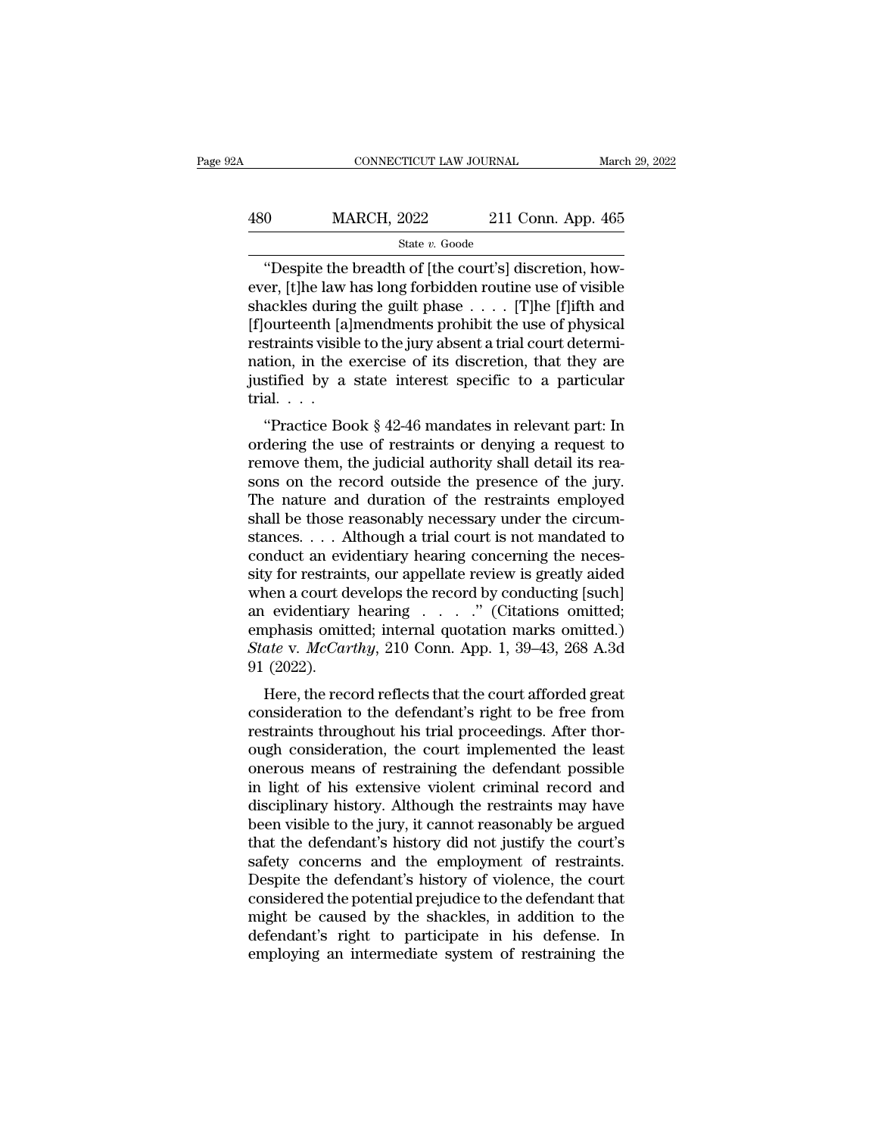## EXECUTE CONNECTICUT LAW JOURNAL March 29, 2022<br>
480 MARCH, 2022 211 Conn. App. 465<br>
5tate v. Goode State *v.* Goode

CONNECTICUT LAW JOURNAL<br>
0 MARCH, 2022 211 Conn. App. 465<br>
<sup>3</sup> State v. Goode<br>
<sup>4</sup> Despite the breadth of [the court's] discretion, how-<br>
11 Conn. App. 465<br>
12 Conn. App. 465<br>
12 Conn. App. 465<br>
12 Conn. App. 465<br>
12 Conn. 480 MARCH, 2022 211 Conn. App. 465<br>
state v. Goode<br>
"Despite the breadth of [the court's] discretion, how-<br>
ever, [t]he law has long forbidden routine use of visible<br>
shackles during the guilt phase . . . . [T]he [f]ifth  $\begin{array}{lll}\n & \text{MARCH, 2022} & \text{211 Conn. App. 465} \\
 & \text{State } v. \text{ Goode} \\
 \hline\n \text{"Despite the breadth of [the court's] discretion, however, [t]he law has long forbidden routine use of visible shackles during the guilty phase . . . . [T]he [f]ifth and [f]ourteenth [a]mendments prohibit the use of physical restraints visible to the jury about a trivial court determine it.} \n\end{array}$  $\frac{\text{MARCH, 2022}}{\text{State } v. \text{ Goode}}$ <br>
"Despite the breadth of [the court's] discretion, how-<br>
ever, [t]he law has long forbidden routine use of visible<br>
shackles during the guilt phase . . . . [T]he [f]ifth and<br>
[f]ourteenth [a] **Example 12 Collin 1-pp. 138**<br>
State v. Goode<br>
"Despite the breadth of [the court's] discretion, how-<br>
ever, [t]he law has long forbidden routine use of visible<br>
shackles during the guilt phase . . . . [T]he [f]ifth and<br> state *v*. Goode<br>
"Despite the breadth of [the court's] discretion, how-<br>
ever, [t]he law has long forbidden routine use of visible<br>
shackles during the guilt phase  $\dots$ . [T]he [f]ifth and<br>
[f]ourteenth [a]mendments prohi "Despite the breadth of [the court's] discretion, however, [t]he law has long forbidden routine use of visible shackles during the guilt phase  $\dots$ . [T]he [f]ifth and [f]ourteenth [a]mendments prohibit the use of physical ever, [t]he law<br>shackles during<br>[f]ourteenth [a]<br>restraints visibl<br>nation, in the<br>justified by a<br>trial. . . .<br>"Practice Bo ackies during the gunt phase  $\ldots$  (1) the php and ourteenth [a]mendments prohibit the use of physical straints visible to the jury absent a trial court determition, in the exercise of its discretion, that they are stifie pourteent paper and the use of physical<br>restraints visible to the jury absent a trial court determi-<br>nation, in the exercise of its discretion, that they are<br>justified by a state interest specific to a particular<br>trial...<br>

restraints visible to the jury absent a trial court determi-<br>nation, in the exercise of its discretion, that they are<br>justified by a state interest specific to a particular<br>trial...<br>"Practice Book § 42-46 mandates in relev Fraction, in the exercise of its discretion, that they are<br>justified by a state interest specific to a particular<br>trial....<br>"Practice Book § 42-46 mandates in relevant part: In<br>ordering the use of restraints or denying a The nature and duration of the restraints employed shall be those reasonably necessary under the circum-<br>trial.... ("Practice Book  $\S$  42-46 mandates in relevant part: In ordering the use of restraints or denying a reques "Practice Book § 42-46 mandates in relevant part: In ordering the use of restraints or denying a request to remove them, the judicial authority shall detail its reasons on the record outside the presence of the jury. The "Practice Book § 42-46 mandates in relevant part: In ordering the use of restraints or denying a request to remove them, the judicial authority shall detail its reasons on the record outside the presence of the jury. The ordering the use of restraints or denying a request to<br>remove them, the judicial authority shall detail its rea-<br>sons on the record outside the presence of the jury.<br>The nature and duration of the restraints employed<br>shall remove them, the judicial authority shall detail its reasons on the record outside the presence of the jury.<br>The nature and duration of the restraints employed<br>shall be those reasonably necessary under the circum-<br>stances. sons on the record outside the presence of the jury.<br>The nature and duration of the restraints employed<br>shall be those reasonably necessary under the circum-<br>stances.... Although a trial court is not mandated to<br>conduct a The nature and duration of the restraints employed<br>shall be those reasonably necessary under the circum-<br>stances.... Although a trial court is not mandated to<br>conduct an evidentiary hearing concerning the neces-<br>sity for shall be those reasonably necessary under the circum-<br>stances.... Although a trial court is not mandated to<br>conduct an evidentiary hearing concerning the neces-<br>sity for restraints, our appellate review is greatly aided<br>w stances. . . . Although a trial court is not mandated to<br>conduct an evidentiary hearing concerning the neces-<br>sity for restraints, our appellate review is greatly aided<br>when a court develops the record by conducting [such] conduct an evi<br>sity for restrain<br>when a court de<br>an evidentiary<br>emphasis omit<br>*State v. McCar*<br>91 (2022).<br>Here, the rec All the record is given by conducting [such]<br>
Levidentiary hearing  $\ldots$  ... (Citations omitted;<br>
sphasis omitted; internal quotation marks omitted.)<br>
ate v. *McCarthy*, 210 Conn. App. 1, 39–43, 268 A.3d<br>
(2022).<br>
Here, t when a court develops the record by conducting [such]<br>an evidentiary hearing  $\ldots$ ." (Citations omitted.)<br>Example of the defendant of marks on the defendant of the defendant's right to be free from<br>restraints throughout h

an evidentiary hearing  $\cdot \cdot \cdot \cdot$  (Chatrons onlitted, emphasis omitted; internal quotation marks omitted.)<br>State v. McCarthy, 210 Conn. App. 1, 39–43, 268 A.3d<br>91 (2022).<br>Here, the record reflects that the court afforded g *State v. McCarthy*, 210 Conn. App. 1, 39–43, 268 A.3d 91 (2022).<br>
Here, the record reflects that the court afforded great<br>
consideration to the defendant's right to be free from<br>
restraints throughout his trial proceeding onerous means of restraining the network may have<br>in light to be free from<br>restraints throughout his trial proceedings. After thor-<br>ough consideration, the court implemented the least<br>onerous means of restraining the defe  $\mathcal{F}$  left of the record reflects that the court afforded great<br>consideration to the defendant's right to be free from<br>restraints throughout his trial proceedings. After thor-<br>ough consideration, the court implemented Here, the record reflects that the court afforded great<br>consideration to the defendant's right to be free from<br>restraints throughout his trial proceedings. After thor-<br>ough consideration, the court implemented the least<br>on consideration to the defendant's right to be free from<br>restraints throughout his trial proceedings. After thor-<br>ough consideration, the court implemented the least<br>onerous means of restraining the defendant possible<br>in lig restraints throughout his trial proceedings. After thor-<br>ough consideration, the court implemented the least<br>onerous means of restraining the defendant possible<br>in light of his extensive violent criminal record and<br>discipl ough consideration, the court implemented the least<br>onerous means of restraining the defendant possible<br>in light of his extensive violent criminal record and<br>disciplinary history. Although the restraints may have<br>been visi onerous means of restraining the defendant possible<br>in light of his extensive violent criminal record and<br>disciplinary history. Although the restraints may have<br>been visible to the jury, it cannot reasonably be argued<br>that in light of his extensive violent criminal record and<br>disciplinary history. Although the restraints may have<br>been visible to the jury, it cannot reasonably be argued<br>that the defendant's history did not justify the court's disciplinary history. Although the restraints may have<br>been visible to the jury, it cannot reasonably be argued<br>that the defendant's history did not justify the court's<br>safety concerns and the employment of restraints.<br>Des been visible to the jury, it cannot reasonably be argued<br>that the defendant's history did not justify the court's<br>safety concerns and the employment of restraints.<br>Despite the defendant's history of violence, the court<br>con that the defendant's history did not justify the court's<br>safety concerns and the employment of restraints.<br>Despite the defendant's history of violence, the court<br>considered the potential prejudice to the defendant that<br>mig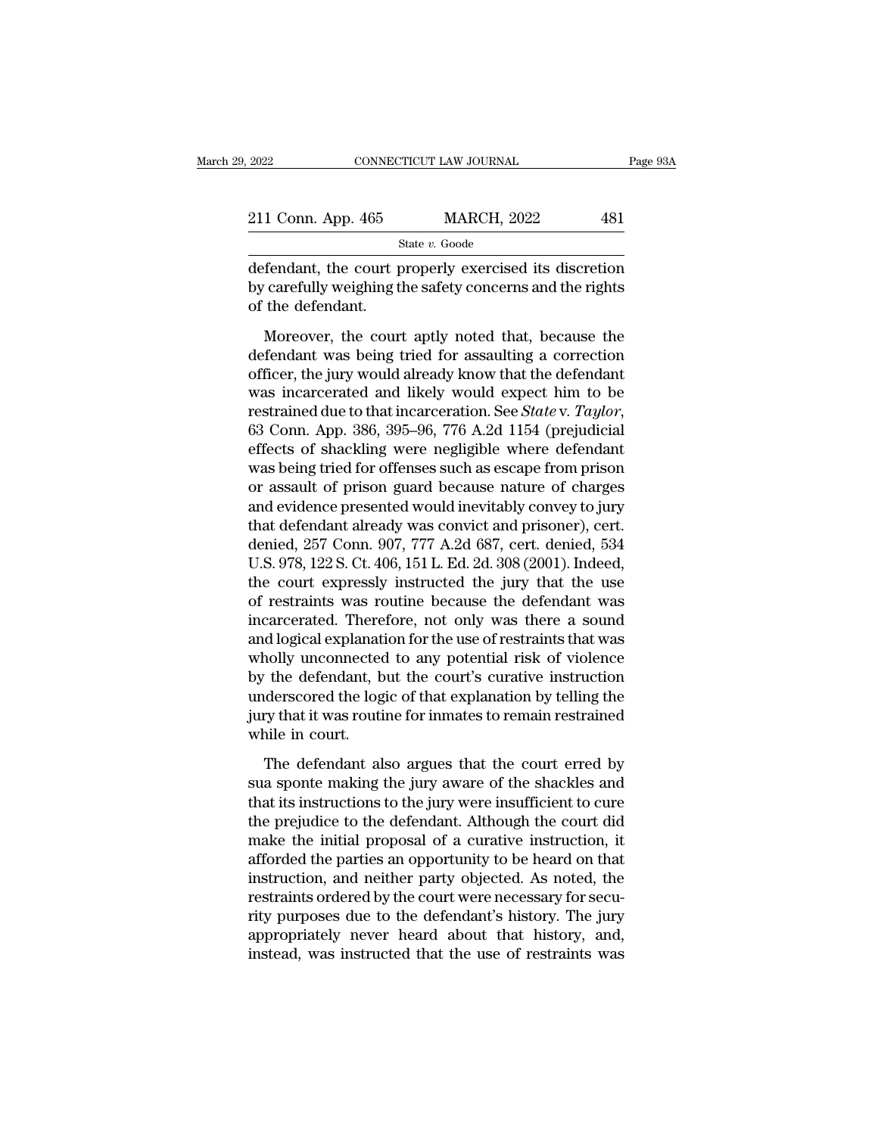State *v.* Goode

2022 CONNECTICUT LAW JOURNAL Page 93A<br>
211 Conn. App. 465 MARCH, 2022 481<br>
31 State v. Goode<br>
defendant, the court properly exercised its discretion<br>
by carefully weighing the safety concerns and the rights<br>
of the defenda 211 Conn. App. 465 MARCH, 2022 481<br>State v. Goode<br>defendant, the court properly exercised its discretion<br>by carefully weighing the safety concerns and the rights<br>of the defendant. 211 Conn. App. 465<br>defendant, the court p<br>by carefully weighing t<br>of the defendant.<br>Moreover, the cour  $\frac{\text{State } v. \text{ Goode}}{\text{State } v. \text{ Goode}}$ <br>  $\frac{\text{State } v. \text{ Goode}}{\text{fendant}}$ <br>  $\frac{\text{Catetully}}{\text{weighting}}$  the safety concerns and the rights<br>
the defendant.<br>
Moreover, the court aptly noted that, because the<br>
fendant was being tried for assaulting a

State  $v$ . Goode<br>
defendant, the court properly exercised its discretion<br>
by carefully weighing the safety concerns and the rights<br>
of the defendant.<br>
Moreover, the court aptly noted that, because the<br>
defendant was being defendant, the court properly exercised its discretion<br>by carefully weighing the safety concerns and the rights<br>of the defendant.<br>Moreover, the court aptly noted that, because the<br>defendant was being tried for assaulting a by carefully weighing the safety concerns and the rights<br>of the defendant.<br>Moreover, the court aptly noted that, because the<br>defendant was being tried for assaulting a correction<br>officer, the jury would already know that restraing the state of the defendant.<br>
Moreover, the court aptly noted that, because the<br>
defendant was being tried for assaulting a correction<br>
officer, the jury would already know that the defendant<br>
was incarcerated and Moreover, the court aptly noted that, because the<br>defendant was being tried for assaulting a correction<br>officer, the jury would already know that the defendant<br>was incarcerated and likely would expect him to be<br>restrained defendant was being tried for assaulting a correction<br>officer, the jury would already know that the defendant<br>was incarcerated and likely would expect him to be<br>restrained due to that incarceration. See *State* v. Taylor,<br> officer, the jury would already know that the defendant<br>was incarcerated and likely would expect him to be<br>restrained due to that incarceration. See *State* v. Taylor,<br>63 Conn. App. 386, 395–96, 776 A.2d 1154 (prejudicial<br> was incarcerated and likely would expect him to be<br>restrained due to that incarceration. See *State* v. *Taylor*,<br>63 Conn. App. 386, 395–96, 776 A.2d 1154 (prejudicial<br>effects of shackling were negligible where defendant<br> restrained due to that incarceration. See *State* v. Taylor,<br>63 Conn. App. 386, 395–96, 776 A.2d 1154 (prejudicial<br>effects of shackling were negligible where defendant<br>was being tried for offenses such as escape from pris 63 Conn. App. 386, 395–96, 776 A.2d 1154 (prejudicial effects of shackling were negligible where defendant was being tried for offenses such as escape from prison or assault of prison guard because nature of charges and e effects of shackling were negligible where defendant<br>was being tried for offenses such as escape from prison<br>or assault of prison guard because nature of charges<br>and evidence presented would inevitably convey to jury<br>that was being tried for offenses such as escape from prison<br>or assault of prison guard because nature of charges<br>and evidence presented would inevitably convey to jury<br>that defendant already was convict and prisoner), cert.<br>de or assault of prison guard because nature of charges<br>and evidence presented would inevitably convey to jury<br>that defendant already was convict and prisoner), cert.<br>denied, 257 Conn. 907, 777 A.2d 687, cert. denied, 534<br>U.S and evidence presented would inevitably convey to jury<br>that defendant already was convict and prisoner), cert.<br>denied, 257 Conn. 907, 777 A.2d 687, cert. denied, 534<br>U.S. 978, 122 S. Ct. 406, 151 L. Ed. 2d. 308 (2001). Ind that defendant already was convict and prisoner), cert.<br>denied, 257 Conn. 907, 777 A.2d 687, cert. denied, 534<br>U.S. 978, 122 S. Ct. 406, 151 L. Ed. 2d. 308 (2001). Indeed,<br>the court expressly instructed the jury that the u denied, 257 Conn. 907, 777 A.2d 687, cert. denied, 534<br>U.S. 978, 122 S. Ct. 406, 151 L. Ed. 2d. 308 (2001). Indeed,<br>the court expressly instructed the jury that the use<br>of restraints was routine because the defendant was<br>i U.S. 978, 122 S. Ct. 406, 151 L. Ed. 2d. 308 (2001). Indeed,<br>the court expressly instructed the jury that the use<br>of restraints was routine because the defendant was<br>incarcerated. Therefore, not only was there a sound<br>and the court expressly instructed the jury that the use<br>of restraints was routine because the defendant was<br>incarcerated. Therefore, not only was there a sound<br>and logical explanation for the use of restraints that was<br>wholly of restraints was routine because the defendant was<br>incarcerated. Therefore, not only was there a sound<br>and logical explanation for the use of restraints that was<br>wholly unconnected to any potential risk of violence<br>by the incarcerated. There<br>and logical explanat<br>wholly unconnected<br>by the defendant, b<br>underscored the log<br>jury that it was routi<br>while in court.<br>The defendant al nolly unconnected to any potential risk of violence<br>the defendant, but the court's curative instruction<br>derscored the logic of that explanation by telling the<br>ry that it was routine for inmates to remain restrained<br>nile in by the defendant, but the court's curative instruction<br>underscored the logic of that explanation by telling the<br>jury that it was routine for inmates to remain restrained<br>while in court.<br>The defendant also argues that the c

underscored the logic of that explanation by telling the<br>jury that it was routine for inmates to remain restrained<br>while in court.<br>The defendant also argues that the court erred by<br>sua sponte making the jury aware of the s the prejudice to the defendant also argues that the court erred by<br>sua sponte making the jury aware of the shackles and<br>that its instructions to the jury were insufficient to cure<br>the prejudice to the defendant. Although t while in court.<br>The defendant also argues that the court erred by<br>sua sponte making the jury aware of the shackles and<br>that its instructions to the jury were insufficient to cure<br>the prejudice to the defendant. Although th The defendant also argues that the court erred by<br>sua sponte making the jury aware of the shackles and<br>that its instructions to the jury were insufficient to cure<br>the prejudice to the defendant. Although the court did<br>make The defendant also argues that the court erred by<br>sua sponte making the jury aware of the shackles and<br>that its instructions to the jury were insufficient to cure<br>the prejudice to the defendant. Although the court did<br>make sua sponte making the jury aware of the shackles and<br>that its instructions to the jury were insufficient to cure<br>the prejudice to the defendant. Although the court did<br>make the initial proposal of a curative instruction, i that its instructions to the jury were insufficient to cure<br>the prejudice to the defendant. Although the court did<br>make the initial proposal of a curative instruction, it<br>afforded the parties an opportunity to be heard on the prejudice to the defendant. Although the court did<br>make the initial proposal of a curative instruction, it<br>afforded the parties an opportunity to be heard on that<br>instruction, and neither party objected. As noted, the<br> make the initial proposal of a curative instruction, it<br>afforded the parties an opportunity to be heard on that<br>instruction, and neither party objected. As noted, the<br>restraints ordered by the court were necessary for secu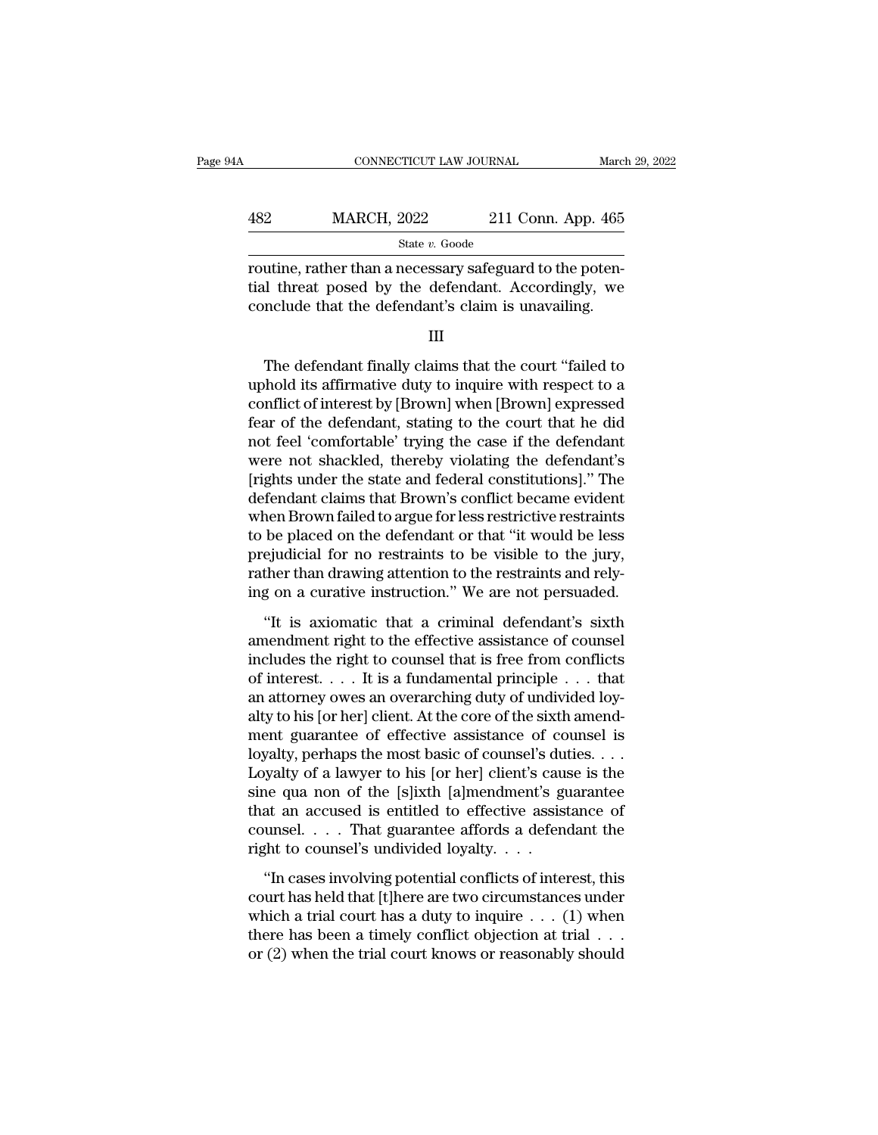| 4A  | CONNECTICUT LAW JOURNAL |                    | March 29, 2022 |
|-----|-------------------------|--------------------|----------------|
| 482 | <b>MARCH, 2022</b>      | 211 Conn. App. 465 |                |
|     | State v. Goode          |                    |                |

 $\begin{array}{ll} \text{MARCH, 2022} & \text{211 Conn. App. 465} \\ & \text{State } v. \text{ Goode} \\ \text{routine, rather than a necessary safeguard to the potential threat posed by the defendant. Accordingly, we conclude that the defendant's claim is unavailable.} \end{array}$  $\frac{482}{\text{State } v. \text{ Good}}$  (11 Conn. App. 465)<br>  $\frac{\text{State } v. \text{ Good}}{\text{routine, rather than a necessary safeguard to the potential threat posed by the defendant. Accordingly, we conclude that the defendant's claim is unavailable.}$ Example 1986. The defendant finally claims in a mechanism of the potential threat posed by the defendant. Accordingly, we not<br>not that the defendant's claim is unavailing.<br>III<br>The defendant finally claims that the court "f

III

routine, rather than a necessary safeguard to the potential threat posed by the defendant. Accordingly, we conclude that the defendant's claim is unavailing.<br>III<br>III<br>The defendant finally claims that the court "failed to u tial threat posed by the defendant. Accordingly, we<br>conclude that the defendant's claim is unavailing.<br>III<br>The defendant finally claims that the court "failed to<br>uphold its affirmative duty to inquire with respect to a<br>con conclude that the defendant's claim is unavailing.<br>
III<br>
The defendant finally claims that the court "failed to<br>
uphold its affirmative duty to inquire with respect to a<br>
conflict of interest by [Brown] when [Brown] expres III<br>The defendant finally claims that the court "failed to<br>uphold its affirmative duty to inquire with respect to a<br>conflict of interest by [Brown] when [Brown] expressed<br>fear of the defendant, stating to the court that he The defendant finally claims that the court "failed to<br>uphold its affirmative duty to inquire with respect to a<br>conflict of interest by [Brown] when [Brown] expressed<br>fear of the defendant, stating to the court that he did The defendant finally claims that the court "failed to<br>uphold its affirmative duty to inquire with respect to a<br>conflict of interest by [Brown] when [Brown] expressed<br>fear of the defendant, stating to the court that he did uphold its affirmative duty to inquire with respect to a<br>conflict of interest by [Brown] when [Brown] expressed<br>fear of the defendant, stating to the court that he did<br>not feel 'comfortable' trying the case if the defendan conflict of interest by [Brown] when [Brown] expressed<br>fear of the defendant, stating to the court that he did<br>not feel 'comfortable' trying the case if the defendant's<br>were not shackled, thereby violating the defendant's<br> fear of the defendant, stating to the court that he did<br>not feel 'comfortable' trying the case if the defendant<br>were not shackled, thereby violating the defendant's<br>[rights under the state and federal constitutions]." The<br> not feel 'comfortable' trying the case if the defendant<br>were not shackled, thereby violating the defendant's<br>[rights under the state and federal constitutions]." The<br>defendant claims that Brown's conflict became evident<br>wh were not shackled, thereby violating the defendant's<br>[rights under the state and federal constitutions]." The<br>defendant claims that Brown's conflict became evident<br>when Brown failed to argue for less restrictive restraints [rights under the state and federal constitutions]." The defendant claims that Brown's conflict became evident when Brown failed to argue for less restrictive restraints to be placed on the defendant or that "it would be l Frame Brown failed to argue for less restrictive restraints<br>
be placed on the defendant or that "it would be less<br>
ejudicial for no restraints to be visible to the jury,<br>
ther than drawing attention to the restraints and r and the effective area in the defendant of that "it would be less<br>prejudicial for no restraints to be visible to the jury,<br>rather than drawing attention to the restraints and rely-<br>ing on a curative instruction." We are no

prejudicial for no restraints to be visible to the jury,<br>prejudicial for no restraints to be visible to the jury,<br>rather than drawing attention to the restraints and rely-<br>ing on a curative instruction." We are not persua pregarded for the restraints to be tracked of the gally,<br>rather than drawing attention." We are not persuaded.<br>"It is axiomatic that a criminal defendant's sixth<br>amendment right to the effective assistance of counsel<br>incl Figure and definition." We are not persuaded.<br>
"It is axiomatic that a criminal defendant's sixth<br>
amendment right to the effective assistance of counsel<br>
includes the right to counsel that is free from conflicts<br>
of inte alty the same increases the correlation of the sixth amendment right to the effective assistance of counsel includes the right to counsel that is free from conflicts of interest.  $\dots$  It is a fundamental principle  $\dots$  th "It is axiomatic that a criminal defendant's sixth<br>amendment right to the effective assistance of counsel<br>includes the right to counsel that is free from conflicts<br>of interest.... It is a fundamental principle ... that<br>an amendment right to the effective assistance of counsel<br>includes the right to counsel that is free from conflicts<br>of interest. . . . It is a fundamental principle . . . that<br>an attorney owes an overarching duty of undivide includes the right to counsel that is free from conflicts<br>of interest. . . . It is a fundamental principle . . . that<br>an attorney owes an overarching duty of undivided loy-<br>alty to his [or her] client. At the core of the of interest.... It is a fundamental principle ... that<br>an attorney owes an overarching duty of undivided loy-<br>alty to his [or her] client. At the core of the sixth amend-<br>ment guarantee of effective assistance of counsel i an attorney owes an overarching duty of undivided loy-<br>alty to his [or her] client. At the core of the sixth amend-<br>ment guarantee of effective assistance of counsel is<br>loyalty, perhaps the most basic of counsel's duties. alty to his [or her] client. At the core of the sixth amend-<br>ment guarantee of effective assistance of counsel is<br>loyalty, perhaps the most basic of counsel's duties. . . .<br>Loyalty of a lawyer to his [or her] client's caus ment guarantee of effective assistance of co<br>loyalty, perhaps the most basic of counsel's du<br>Loyalty of a lawyer to his [or her] client's caus<br>sine qua non of the [s]ixth [a]mendment's gt<br>that an accused is entitled to eff yalty of a lawyer to his [or her] client's cause is the<br>
ne qua non of the [s]ixth [a]mendment's guarantee<br>
at an accused is entitled to effective assistance of<br>
umsel.... That guarantee affords a defendant the<br>
ght to co sine qua non of the [s]ixth [a]mendment's guarantee<br>that an accused is entitled to effective assistance of<br>counsel....That guarantee affords a defendant the<br>right to counsel's undivided loyalty....<br>"In cases involving pot

that an accused is entitled to effective assistance of<br>counsel.... That guarantee affords a defendant the<br>right to counsel's undivided loyalty....<br>"In cases involving potential conflicts of interest, this<br>court has held t Figure 1.1 That guarantee affords a defendant the right to counsel's undivided loyalty. . . .<br>
"In cases involving potential conflicts of interest, this court has held that [t]here are two circumstances under which a tria right to counsel's undivided loyalty.  $\ldots$ <br>"In cases involving potential conflicts of interest, this<br>court has held that [t]here are two circumstances under<br>which a trial court has a duty to inquire  $\ldots$  (1) when<br>there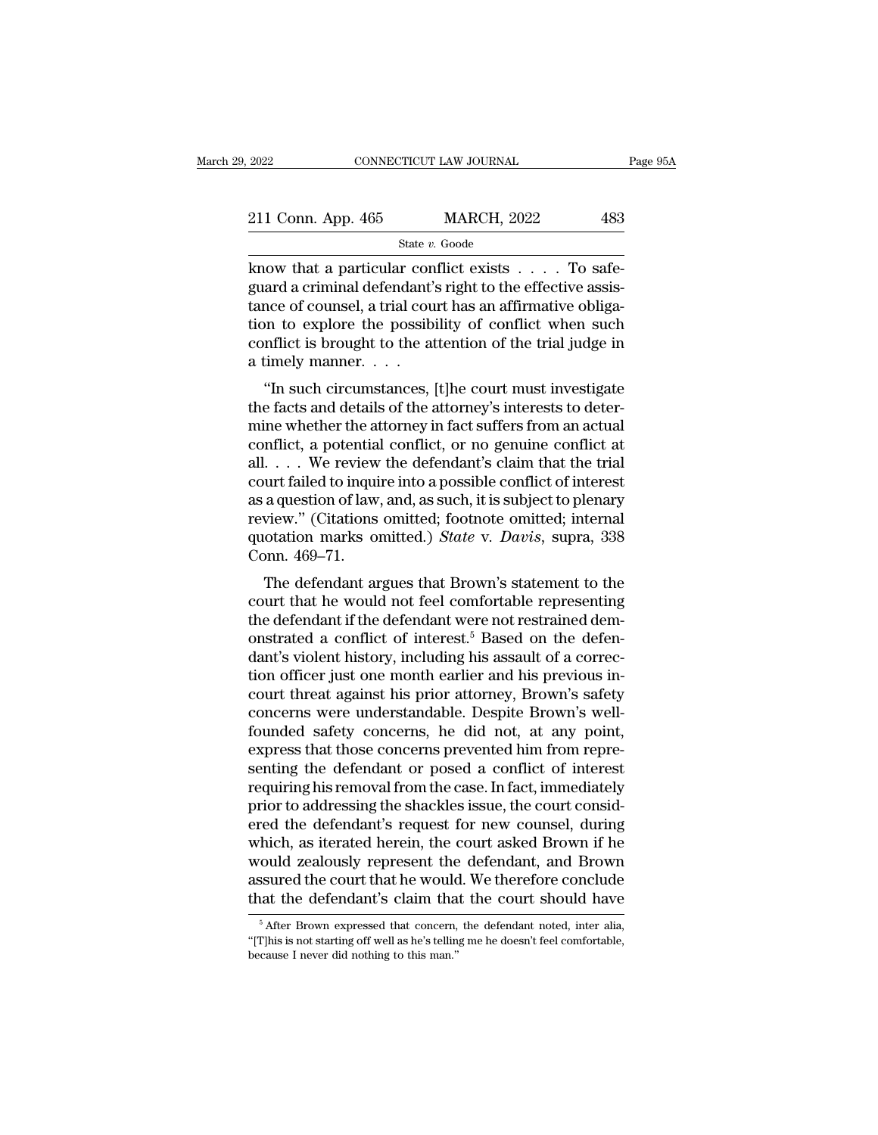| 2022               | CONNECTICUT LAW JOURNAL | Page 95A |
|--------------------|-------------------------|----------|
| 211 Conn. App. 465 | <b>MARCH, 2022</b>      | 483      |
|                    | State v. Goode          |          |

2022 CONNECTICUT LAW JOURNAL<br>
211 Conn. App. 465 MARCH, 2022 483<br>  $\frac{\text{State } v. \text{ Goode}}{\text{Rate } v. \text{ Goode}}$ <br>
know that a particular conflict exists . . . . To safe-<br>
guard a criminal defendant's right to the effective assis-211 Conn. App. 465 MARCH, 2022 483<br>
State v. Goode<br>
know that a particular conflict exists . . . . To safe-<br>
guard a criminal defendant's right to the effective assis-<br>
tance of counsel, a trial court has an affirmative o 211 Conn. App. 465 MARCH, 2022 483<br>
State v. Goode<br>
know that a particular conflict exists . . . . To safe-<br>
guard a criminal defendant's right to the effective assis-<br>
tance of counsel, a trial court has an affirmative o 211 Conn. App. 465 MARCH, 2022 483<br>
State v. Goode<br>
know that a particular conflict exists . . . . To safe-<br>
guard a criminal defendant's right to the effective assis-<br>
tance of counsel, a trial court has an affirmative o State v. Goode<br>
know that a particular conflict exists . . . . To safe-<br>
guard a criminal defendant's right to the effective assis-<br>
tance of counsel, a trial court has an affirmative obliga-<br>
tion to explore the possibil  $\begin{array}{l} \text{state }v. \end{array}$  know that a particular conguard a criminal defendant':<br>tance of counsel, a trial cou<br>tion to explore the possibly<br>conflict is brought to the at<br>a timely manner. . . . .<br>"In such circumstances, | Figure 2.1  $\ldots$  10 sate-<br>and a criminal defendant's right to the effective assis-<br>nce of counsel, a trial court has an affirmative obliga-<br>on to explore the possibility of conflict when such<br>nflict is brought to the atte guard a criminal detendant s right to the effective assistance of counsel, a trial court has an affirmative obligation to explore the possibility of conflict when such conflict is brought to the attention of the trial judg

Fance of courser, a trial court has an arimhative obngation to explore the possibility of conflict when such conflict is brought to the attention of the trial judge in a timely manner.<br>
"In such circumstances, [t]he court conflict is brought to the attention of the trial judge in<br>a timely manner.  $\dots$ <br>"In such circumstances, [t]he court must investigate<br>the facts and details of the attorney's interests to deter-<br>mine whether the attorney i Follinct is brought to the attention of the trial judge in<br>
a timely manner. . . .<br>
"In such circumstances, [t]he court must investigate<br>
the facts and details of the attorney's interests to deter-<br>
mine whether the attor a timely manner.  $\cdot \cdot \cdot$ <br>
"In such circumstances, [t]he court must investigate<br>
the facts and details of the attorney's interests to deter-<br>
mine whether the attorney in fact suffers from an actual<br>
conflict, a potential "In such circumstances, [t]he court must investigate<br>the facts and details of the attorney's interests to deter-<br>mine whether the attorney in fact suffers from an actual<br>conflict, a potential conflict, or no genuine confl the facts and details of the attorney's interests to deter-<br>mine whether the attorney in fact suffers from an actual<br>conflict, a potential conflict, or no genuine conflict at<br>all. . . . We review the defendant's claim tha mine whether the attorney in fact suffers from an actual<br>conflict, a potential conflict, or no genuine conflict at<br>all. . . . We review the defendant's claim that the trial<br>court failed to inquire into a possible conflict conflict, a potentia<br>all. . . . We review<br>court failed to inqui<br>as a question of law<br>review." (Citations<br>quotation marks of<br>Conn. 469–71.<br>The defendant ar  $\ldots$  we review the defendant schain that the trial urt failed to inquire into a possible conflict of interest a question of law, and, as such, it is subject to plenary view." (Citations omitted; footnote omitted; interna court failed to inquire into a possible conflict of interest<br>as a question of law, and, as such, it is subject to plenary<br>review." (Citations omitted; footnote omitted; internal<br>quotation marks omitted.) *State* v. *Davis* 

as a question of law, and, as such, it is subject to plenary<br>review." (Citations omitted; footnote omitted; internal<br>quotation marks omitted.) *State* v. *Davis*, supra, 338<br>Conn. 469–71.<br>The defendant argues that Brown's review. (Chanons onlitted, hoothote onlitted, internal<br>quotation marks omitted.) *State v. Davis*, supra, 338<br>Conn. 469–71.<br>The defendant argues that Brown's statement to the<br>court that he would not feel comfortable repres differentially state with *Davis*, supra, 356<br>Conn. 469–71.<br>The defendant argues that Brown's statement to the<br>court that he would not feel comfortable representing<br>the defendant if the defendant were not restrained dem-<br> The defendant argues that Brown's statement to the<br>court that he would not feel comfortable representing<br>the defendant if the defendant were not restrained dem-<br>onstrated a conflict of interest.<sup>5</sup> Based on the defen-<br>dan The defendant argues that Brown's statement to the<br>court that he would not feel comfortable representing<br>the defendant if the defendant were not restrained dem-<br>onstrated a conflict of interest.<sup>5</sup> Based on the defen-<br>dant court that he would not feel comfortable representing<br>the defendant if the defendant were not restrained dem-<br>onstrated a conflict of interest.<sup>5</sup> Based on the defen-<br>dant's violent history, including his assault of a corr the defendant if the defendant were not restrained demonstrated a conflict of interest.<sup>5</sup> Based on the defendant's violent history, including his assault of a correction officer just one month earlier and his previous inc on onstrated a conflict of interest.<sup>5</sup> Based on the defendant's violent history, including his assault of a correction officer just one month earlier and his previous incourt threat against his prior attorney, Brown's saf dant's violent history, including his assault of a correction officer just one month earlier and his previous incourt threat against his prior attorney, Brown's safety concerns were understandable. Despite Brown's well-fou tion officer just one month earlier and his previous incourt threat against his prior attorney, Brown's safety<br>concerns were understandable. Despite Brown's well-<br>founded safety concerns, he did not, at any point,<br>express court threat against his prior attorney, Brown's safety<br>concerns were understandable. Despite Brown's well-<br>founded safety concerns, he did not, at any point,<br>express that those concerns prevented him from repre-<br>senting t concerns were understandable. Despite Brown's well-<br>founded safety concerns, he did not, at any point,<br>express that those concerns prevented him from repre-<br>senting the defendant or posed a conflict of interest<br>requiring h founded safety concerns, he did not, at any point,<br>express that those concerns prevented him from repre-<br>senting the defendant or posed a conflict of interest<br>requiring his removal from the case. In fact, immediately<br>prior express that those concerns prevented him from representing the defendant or posed a conflict of interest<br>requiring his removal from the case. In fact, immediately<br>prior to addressing the shackles issue, the court consid-<br> senting the defendant or posed a conflict of interest<br>requiring his removal from the case. In fact, immediately<br>prior to addressing the shackles issue, the court consid-<br>ered the defendant's request for new counsel, during requiring his removal from the case. In fact, immediately<br>prior to addressing the shackles issue, the court consid-<br>ered the defendant's request for new counsel, during<br>which, as iterated herein, the court asked Brown if h hich, as iterated herein, the court asked Brown if he ould zealously represent the defendant, and Brown ssured the court that he would. We therefore conclude at the defendant's claim that the court should have  $\frac{5}{6}$  Af would zealously represent the defendant, and Brown<br>assured the court that he would. We therefore conclude<br>that the defendant's claim that the court should have<br> $\frac{1}{5}$  After Brown expressed that concern, the defendant n

assured the court that he would. We therefore conclude<br>that the defendant's claim that the court should have<br> $\frac{1}{6}$  After Brown expressed that concern, the defendant noted, inter alia,<br>"[T]his is not starting off well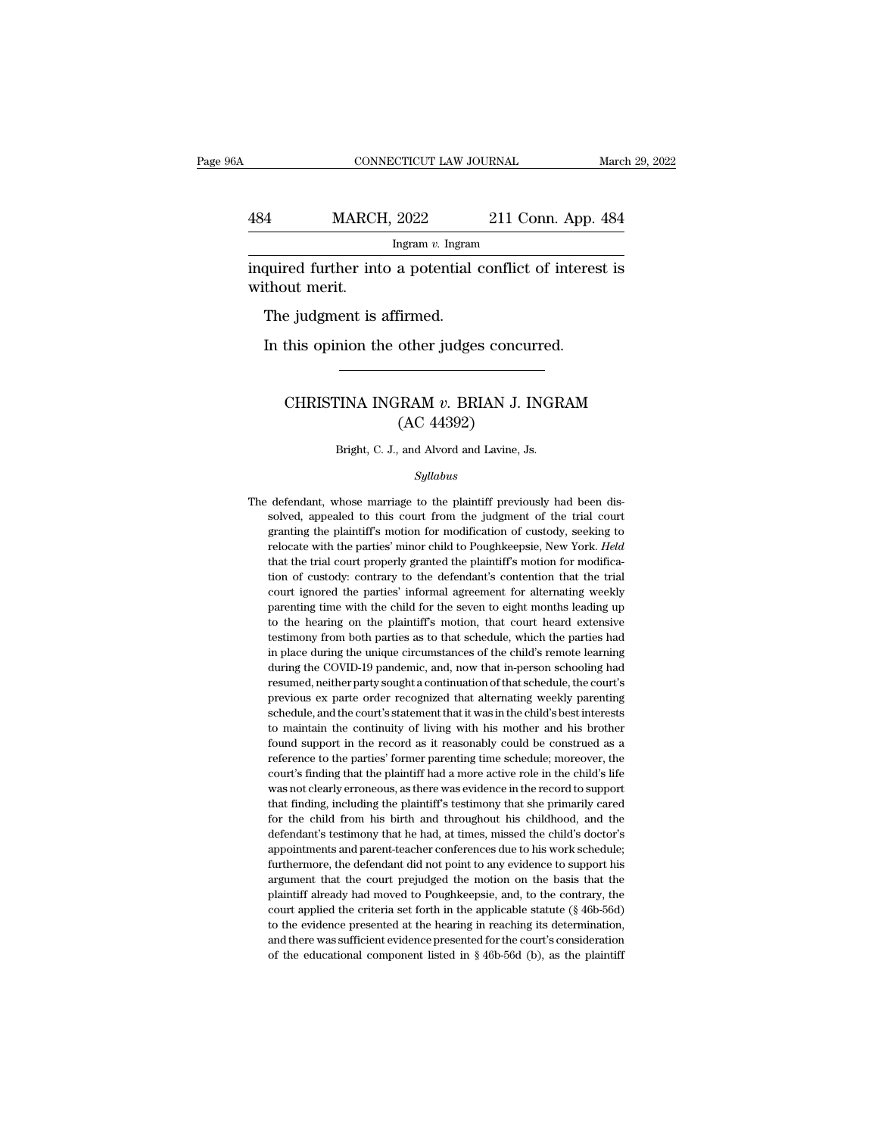### CONNECTICUT LAW JOURNAL March 29, 2022<br>484 MARCH, 2022 211 Conn. App. 484<br>Ingram v. Ingram Ingram *v.* Ingram CONNECTICUT LAW JOURNAL March 29, 2022<br> **indulfied MARCH, 2022** 211 Conn. App. 484<br>
Ingram v. Ingram<br>
inquired further into a potential conflict of interest is<br>
without merit. MARCH<br>
184 MARCH<br>
184 MARCH<br>
194 Marchel Marchel<br>
194 Marchel Star<br>
194 Marchel Star<br>
194 Marchel Star<br>
194 Marchel Star<br>
194 Marchel Star<br>
194 Marchel Star<br>
194 Marchel Star<br>
195 Marchel Star<br>
195 Marchel Star<br>
195 Marche  $\frac{4}{\text{MARCH}}$ , 2022<br>
Ingram v. Ingram<br>
quired further into a potential<br>
thout merit.<br>
The judgment is affirmed.<br>
In this opinion the other judge:

Ingram v. Ingram<br>quired further into a potential conflict of interesthout merit.<br>The judgment is affirmed.<br>In this opinion the other judges concurred.

### out merit.<br>
e judgment is affirmed.<br>
this opinion the other judges concurred.<br>
CHRISTINA INGRAM *v*. BRIAN J. INGRAM<br>
(AC 44392) Firmed.<br>
other judges concu<br>
HRAM v. BRIAN J. I<br>
(AC 44392)<br>
and Alvord and Lavine, J. CHRISTINA INGRAM  $v$ . BRIAN J. INGRAM<br>(AC 44392)<br>Bright, C. J., and Alvord and Lavine, Js.

### *Syllabus*

 $(AC 44392)$ <br>Bright, C. J., and Alvord and Lavine, Js.<br> $Syllabus$ <br>The defendant, whose marriage to the plaintiff previously had been dis-<br>solved, appealed to this court from the judgment of the trial court Bright, C. J., and Alvord and Lavine, Js.<br>Syllabus<br>defendant, whose marriage to the plaintiff previously had been dis-<br>solved, appealed to this court from the judgment of the trial court<br>granting the plaintiff's motion for Bright, C. J., and Alvord and Lavine, Js.<br>
Syllabus<br>
defendant, whose marriage to the plaintiff previously had been dis-<br>
solved, appealed to this court from the judgment of the trial court<br>
granting the plaintiff's motion *Syllabus*<br>defendant, whose marriage to the plaintiff previously had been dis-<br>solved, appealed to this court from the judgment of the trial court<br>granting the plaintiff's motion for modification of custody, seeking to<br>rel Symbols<br>defendant, whose marriage to the plaintiff previously had been dis-<br>solved, appealed to this court from the judgment of the trial court<br>granting the plaintiff's motion for modification of custody, seeking to<br>reloca defendant, whose marriage to the plaintiff previously had been dissolved, appealed to this court from the judgment of the trial court granting the plaintiff's motion for modification of custody, seeking to relocate with th solved, appealed to this court from the judgment of the trial court granting the plaintiff's motion for modification of custody, seeking to relocate with the parties' minor child to Poughkeepsie, New York. *Held* that the granting the plaintiff's motion for modification of custody, seeking to relocate with the parties' minor child to Poughkeepsie, New York. *Held* that the trial court properly granted the plaintiff's motion for modification relocate with the parties' minor child to Poughkeepsie, New York. *Held* that the trial court properly granted the plaintiff's motion for modification of custody: contrary to the defendant's contention that the trial court that the trial court properly granted the plaintiff's motion for modification of custody: contrary to the defendant's contention that the trial court ignored the parties' informal agreement for alternating weekly parenting tion of custody: contrary to the defendant's contention that the trial court ignored the parties' informal agreement for alternating weekly parenting time with the child for the seven to eight months leading up to the hear court ignored the parties' informal agreement for alternating weekly<br>parenting time with the child for the seven to eight months leading up<br>to the hearing on the plaintiff's motion, that court heard extensive<br>testimony fro parenting time with the child for the seven to eight months leading up<br>to the hearing on the plaintiff's motion, that court heard extensive<br>testimony from both parties as to that schedule, which the parties had<br>in place du to the hearing on the plaintiff's motion, that court heard extensive testimony from both parties as to that schedule, which the parties had in place during the unique circumstances of the child's remote learning during the testimony from both parties as to that schedule, which the parties had<br>in place during the unique circumstances of the child's remote learning<br>during the COVID-19 pandemic, and, now that in-person schooling had<br>resumed, ne in place during the unique circumstances of the child's remote learning during the COVID-19 pandemic, and, now that in-person schooling had resumed, neither party sought a continuation of that schedule, the court's previou during the COVID-19 pandemic, and, now that in-person schooling had resumed, neither party sought a continuation of that schedule, the court's previous ex parte order recognized that alternating weekly parenting schedule, resumed, neither party sought a continuation of that schedule, the court's previous ex parte order recognized that alternating weekly parenting schedule, and the court's statement that it was in the child's best interests previous ex parte order recognized that alternating weekly parenting<br>schedule, and the court's statement that it was in the child's best interests<br>to maintain the continuity of living with his mother and his brother<br>found schedule, and the court's statement that it was in the child's best interests to maintain the continuity of living with his mother and his brother found support in the record as it reasonably could be construed as a refere to maintain the continuity of living with his mother and his brother found support in the record as it reasonably could be construed as a reference to the parties' former parenting time schedule; moreover, the court's find found support in the record as it reasonably could be construed as a reference to the parties' former parenting time schedule; moreover, the court's finding that the plaintiff had a more active role in the child's life was reference to the parties' former parenting time schedule; moreover, the court's finding that the plaintiff had a more active role in the child's life was not clearly erroneous, as there was evidence in the record to suppor court's finding that the plaintiff had a more active role in the child's life<br>was not clearly erroneous, as there was evidence in the record to support<br>that finding, including the plaintiff's testimony that she primarily c was not clearly erroneous, as there was evidence in the record to support that finding, including the plaintiff's testimony that she primarily cared for the child from his birth and throughout his childhood, and the defend that finding, including the plaintiff's testimony that she primarily cared for the child from his birth and throughout his childhood, and the defendant's testimony that he had, at times, missed the child's doctor's appoint for the child from his birth and throughout his childhood, and the defendant's testimony that he had, at times, missed the child's doctor's appointments and parent-teacher conferences due to his work schedule; furthermore, defendant's testimony that he had, at times, missed the child's doctor's appointments and parent-teacher conferences due to his work schedule; furthermore, the defendant did not point to any evidence to support his argumen appointments and parent-teacher conferences due to his work schedule;<br>furthermore, the defendant did not point to any evidence to support his<br>argument that the court prejudged the motion on the basis that the<br>plaintiff alr furthermore, the defendant did not point to any evidence to support his argument that the court prejudged the motion on the basis that the plaintiff already had moved to Poughkeepsie, and, to the contrary, the court appli furthermore, the defendant did not point to any evidence to support his argument that the court prejudged the motion on the basis that the plaintiff already had moved to Poughkeepsie, and, to the contrary, the court appli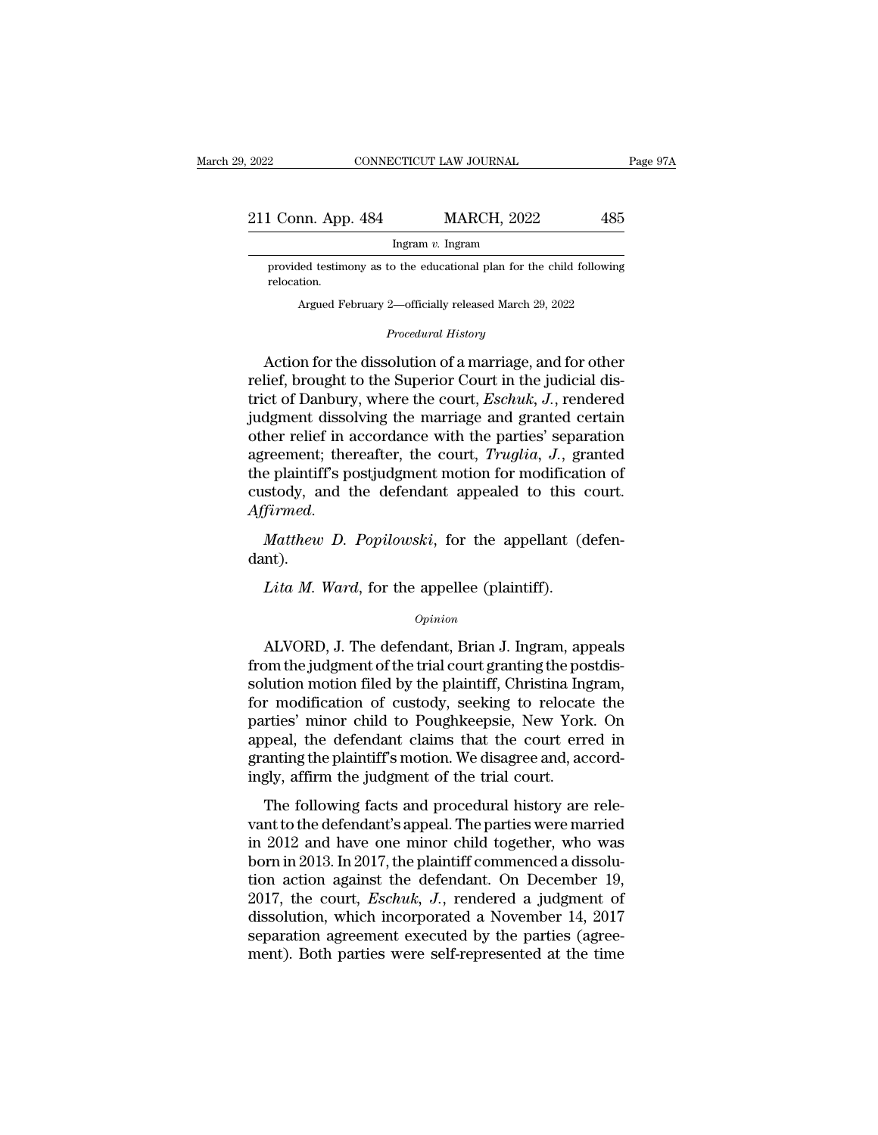| , 2022             | CONNECTICUT LAW JOURNAL | Page 97A |
|--------------------|-------------------------|----------|
| 211 Conn. App. 484 | <b>MARCH, 2022</b>      | 485      |
|                    | Ingram $v$ . Ingram     |          |

1 Conn. App. 484 MARCH, 2022 485<br>Ingram v. Ingram<br>provided testimony as to the educational plan for the child following<br>relocation. relocation. 1 Conn. App. 484 MARCH, 2022 485<br>
Ingram v. Ingram<br>
provided testimony as to the educational plan for the child following<br>
relocation.<br>
Argued February 2—officially released March 29, 2022<br>
Procedural History

Argued February 2—officially released March 29, 2022<br>*Procedural History*<br>Action for the dissolution of a marriage, and for other may be in the dissolution for the child following<br>
relocation.<br>
Argued February 2—officially released March 29, 2022<br>
Procedural History<br>
Action for the dissolution of a marriage, and for other<br>
lief, brought to the Superi provided testimony as to the educational plan for the child following<br>relocation.<br>Argued February 2—officially released March 29, 2022<br>*Procedural History*<br>Action for the dissolution of a marriage, and for other<br>relief, br relocation.<br>
Argued February 2—officially released March 29, 2022<br> *Procedural History*<br>
Action for the dissolution of a marriage, and for other<br>
relief, brought to the Superior Court in the judicial dis-<br>
trict of Danbury Argued February 2—officially released March 29, 2022<br>
Procedural History<br>
Action for the dissolution of a marriage, and for other<br>
relief, brought to the Superior Court in the judicial dis-<br>
trict of Danbury, where the cou *Procedural History*<br>Action for the dissolution of a marriage, and for other<br>relief, brought to the Superior Court in the judicial dis-<br>trict of Danbury, where the court, *Eschuk*, *J*., rendered<br>judgment dissolving the ma Action for the dissolution of a marriage, and for other<br>relief, brought to the Superior Court in the judicial dis-<br>trict of Danbury, where the court, *Eschuk*, *J.*, rendered<br>judgment dissolving the marriage and granted ce Action for the dissolution of a marriage, and for other<br>relief, brought to the Superior Court in the judicial dis-<br>trict of Danbury, where the court, *Eschuk*, *J*., rendered<br>judgment dissolving the marriage and granted ce relief, brought to the Superior Court in the judicial district of Danbury, where the court, *Eschuk*, *J*., rendered judgment dissolving the marriage and granted certain other relief in accordance with the parties' separat definite assorting the matriage and granted ecream<br>
other relief in accordance with the parties' separation<br>
agreement; thereafter, the court, *Truglia*, *J.*, granted<br>
the plaintiff's postjudgment motion for modification Figure 1 and the defendant appealed to this continued.<br> *Lita M. Ward*, for the appellant (dnd the appellant (dnd the appellant (dnd the appellee (plaintiff).<br> *Lita M. Ward*, for the appellee (plaintiff).<br> *Opinion* 

dant).

### *Opinion*

Matthew D. Popilowski, for the appellant (defen-<br>nt).<br>Lita M. Ward, for the appellee (plaintiff).<br> $Opinion$ <br>ALVORD, J. The defendant, Brian J. Ingram, appeals<br>pm the judgment of the trial court granting the postdis-<br>lution moti dant).<br> *Lita M. Ward*, for the appellee (plaintiff).<br>  $\omega_{pinion}$ <br>
ALVORD, J. The defendant, Brian J. Ingram, appeals<br>
from the judgment of the trial court granting the postdis-<br>
solution motion filed by the plaintiff, Chri *Lita M. Ward*, for the appellee (plaintiff).<br>  $\frac{Opinion}{P}$ <br>
ALVORD, J. The defendant, Brian J. Ingram, appeals<br>
from the judgment of the trial court granting the postdis-<br>
solution motion filed by the plaintiff, Christina Lita M. Ward, for the appellee (plaintiff).<br>
opinion<br>
ALVORD, J. The defendant, Brian J. Ingram, appeals<br>
from the judgment of the trial court granting the postdis-<br>
solution motion filed by the plaintiff, Christina Ingram opinion<br>ALVORD, J. The defendant, Brian J. Ingram, appeals<br>from the judgment of the trial court granting the postdis-<br>solution motion filed by the plaintiff, Christina Ingram,<br>for modification of custody, seeking to reloca ALVORD, J. The defendant, Brian J. Ingram, appeals<br>from the judgment of the trial court granting the postdis-<br>solution motion filed by the plaintiff, Christina Ingram,<br>for modification of custody, seeking to relocate the<br>p ALVORD, J. The defendant, Brian J. Ingram, appeals<br>from the judgment of the trial court granting the postdis-<br>solution motion filed by the plaintiff, Christina Ingram,<br>for modification of custody, seeking to relocate the<br>p from the judgment of the trial court granting the possolution motion filed by the plaintiff, Christina Ing for modification of custody, seeking to relocate parties' minor child to Poughkeepsie, New York appeal, the defenda relation motion met by the plantin, christina higrant,<br>
r modification of custody, seeking to relocate the<br>
rties' minor child to Poughkeepsie, New York. On<br>
peal, the defendant claims that the court erred in<br>
anting the p for modification of castody, seeding to relocate the<br>parties' minor child to Poughkeepsie, New York. On<br>appeal, the defendant claims that the court erred in<br>granting the plaintiff's motion. We disagree and, accord-<br>ingly,

paracs filmot child to Toughkeepsic, New Tork: On<br>appeal, the defendant claims that the court erred in<br>granting the plaintiff's motion. We disagree and, accord-<br>ingly, affirm the judgment of the trial court.<br>The following depted, the detendant claims that the court cried in<br>granting the plaintiff's motion. We disagree and, accord-<br>ingly, affirm the judgment of the trial court.<br>The following facts and procedural history are rele-<br>vant to the the final matrix is motion. We disagree and, accordingly, affirm the judgment of the trial court.<br>The following facts and procedural history are relevant to the defendant's appeal. The parties were married<br>in 2012 and hav The following facts and procedural history are relevant to the defendant's appeal. The parties were married<br>in 2012 and have one minor child together, who was<br>born in 2013. In 2017, the plaintiff commenced a dissolu-<br>tion The following facts and procedural history are relevant to the defendant's appeal. The parties were married<br>in 2012 and have one minor child together, who was<br>born in 2013. In 2017, the plaintiff commenced a dissolu-<br>tion vant to the defendant's appeal. The parties were married<br>in 2012 and have one minor child together, who was<br>born in 2013. In 2017, the plaintiff commenced a dissolu-<br>tion action against the defendant. On December 19,<br>2017, in 2012 and have one minor child together, who was<br>born in 2013. In 2017, the plaintiff commenced a dissolu-<br>tion action against the defendant. On December 19,<br>2017, the court, *Eschuk*, J., rendered a judgment of<br>dissolu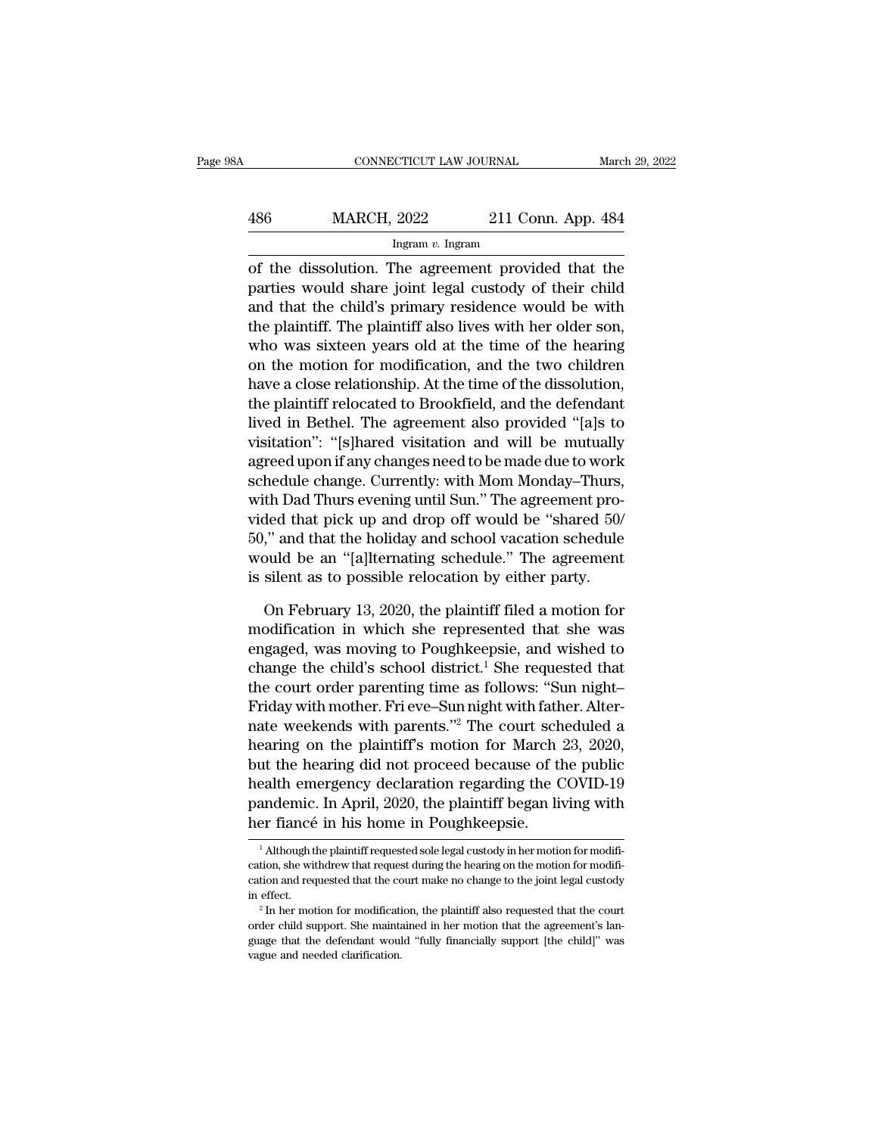## CONNECTICUT LAW JOURNAL March 29, 2022<br>486 MARCH, 2022 211 Conn. App. 484<br>Ingram v. Ingram Ingram *v.* Ingram

CONNECTICUT LAW JOURNAL March 29, 2022<br>  $\begin{array}{r}\n 486 \text{MARCH, } 2022 \text{ } 211 \text{ Conn. App. } 484 \\
 \hline\n \text{Ingram } v. \text{ Ingram} \\
 \text{of the dissolution. The agreement provided that the \text{particles would share joint legal custody of their child \text{and that the child's primary residues would be with}\n\end{array}$ MARCH, 2022 211 Conn. App. 484<br>
Ingram v. Ingram<br>
of the dissolution. The agreement provided that the<br>
parties would share joint legal custody of their child<br>
and that the child's primary residence would be with<br>
the plai  $\frac{486}{\text{2022}}$  211 Conn. App. 484<br>
Ingram v. Ingram<br>
of the dissolution. The agreement provided that the<br>
parties would share joint legal custody of their child<br>
and that the child's primary residence would be with<br>
th  $\frac{\text{MARCH}}{\text{Hgram } v \cdot \text{Hgram}}$  and the dissolution. The agreement provided that the parties would share joint legal custody of their child and that the child's primary residence would be with the plaintiff. The plaintiff also Ingram v. Ingram<br>
of the dissolution. The agreement provided that the<br>
parties would share joint legal custody of their child<br>
and that the child's primary residence would be with<br>
the plaintiff. The plaintiff also lives Ingual *i*. Ingual *n* Ingual *n* Ingual *n* Ingual of the dissolution. The agreement provided that the parties would share joint legal custody of their child and that the child's primary residence would be with the plaint of the dissolution. The agreement provided that the<br>parties would share joint legal custody of their child<br>and that the child's primary residence would be with<br>the plaintiff. The plaintiff also lives with her older son,<br>wh parties would share joint legal custody of their child<br>and that the child's primary residence would be with<br>the plaintiff. The plaintiff also lives with her older son,<br>who was sixteen years old at the time of the hearing<br>o and that the child's primary residence would be with<br>the plaintiff. The plaintiff also lives with her older son,<br>who was sixteen years old at the time of the hearing<br>on the motion for modification, and the two children<br>hav the plaintiff. The plaintiff also lives with her older son,<br>who was sixteen years old at the time of the hearing<br>on the motion for modification, and the two children<br>have a close relationship. At the time of the dissolutio who was sixteen years old at the time of the hearing<br>on the motion for modification, and the two children<br>have a close relationship. At the time of the dissolution,<br>the plaintiff relocated to Brookfield, and the defendant<br> on the motion for modification, and the two children<br>have a close relationship. At the time of the dissolution,<br>the plaintiff relocated to Brookfield, and the defendant<br>lived in Bethel. The agreement also provided "[a]s to have a close relationship. At the time of the dissolution,<br>the plaintiff relocated to Brookfield, and the defendant<br>lived in Bethel. The agreement also provided "[a]s to<br>visitation": "[s]hared visitation and will be mutual the plaintiff relocated to Brookfield, and the defendant<br>lived in Bethel. The agreement also provided "[a]s to<br>visitation": "[s]hared visitation and will be mutually<br>agreed upon if any changes need to be made due to work<br>s lived in Bethel. The agreement also provided "[a]s to<br>visitation": "[s]hared visitation and will be mutually<br>agreed upon if any changes need to be made due to work<br>schedule change. Currently: with Mom Monday–Thurs,<br>with Da visitation": "[s]hared visitation and will be mutually agreed upon if any changes need to be made due to work schedule change. Currently: with Mom Monday–Thurs, with Dad Thurs evening until Sun." The agreement provided tha agreed upon if any changes need to be made due to work<br>schedule change. Currently: with Mom Monday–Thurs,<br>with Dad Thurs evening until Sun." The agreement pro-<br>vided that pick up and drop off would be "shared 50/<br>50," and th Dad Thurs evening until Sun." The agreement pro-<br>ded that pick up and drop off would be "shared 50/<br>," and that the holiday and school vacation schedule<br>build be an "[a]lternating schedule." The agreement<br>silent as to p vided that pick up and drop off would be "shared 50/<br>50," and that the holiday and school vacation schedule<br>would be an "[a]lternating schedule." The agreement<br>is silent as to possible relocation by either party.<br>On Februa

50," and that the holiday and school vacation schedule<br>would be an "[a]lternating schedule." The agreement<br>is silent as to possible relocation by either party.<br>On February 13, 2020, the plaintiff filed a motion for<br>modifi would be an "[a]lternating schedule." The agreement<br>is silent as to possible relocation by either party.<br>On February 13, 2020, the plaintiff filed a motion for<br>modification in which she represented that she was<br>engaged, w is silent as to possible relocation by either party.<br>
On February 13, 2020, the plaintiff filed a motion for<br>
modification in which she represented that she was<br>
engaged, was moving to Poughkeepsie, and wished to<br>
change On February 13, 2020, the plaintiff filed a motion for<br>modification in which she represented that she was<br>engaged, was moving to Poughkeepsie, and wished to<br>change the child's school district.<sup>1</sup> She requested that<br>the co On February 13, 2020, the plaintiff filed a motion for<br>modification in which she represented that she was<br>engaged, was moving to Poughkeepsie, and wished to<br>change the child's school district.<sup>1</sup> She requested that<br>the co modification in which she represented that she was<br>engaged, was moving to Poughkeepsie, and wished to<br>change the child's school district.<sup>1</sup> She requested that<br>the court order parenting time as follows: "Sun night-<br>Friday engaged, was moving to Poughkeepsie, and wished to<br>change the child's school district.<sup>1</sup> She requested that<br>the court order parenting time as follows: "Sun night-<br>Friday with mother. Fri eve–Sun night with father. Alter-<br> change the child's school district.<sup>1</sup> She requested that<br>the court order parenting time as follows: "Sun night-<br>Friday with mother. Fri eve–Sun night with father. Alter-<br>nate weekends with parents."<sup>2</sup> The court scheduled the court order parenting time as follows: "Sun night-<br>Friday with mother. Fri eve–Sun night with father. Alter-<br>nate weekends with parents."<sup>2</sup> The court scheduled a<br>hearing on the plaintiff's motion for March 23, 2020,<br>b Friday with mother. Fri eve–Sun night with fath<br>nate weekends with parents."<sup>2</sup> The court sch<br>hearing on the plaintiff's motion for March :<br>but the hearing did not proceed because of th<br>health emergency declaration regardi ealth emergency declaration regarding the COVID-19<br>andemic. In April, 2020, the plaintiff began living with<br>er fiancé in his home in Poughkeepsie.<br><sup>1</sup> Although the plaintiff requested sole legal custody in her motion for m health emergency declaration regarding the COVID-19<br>pandemic. In April, 2020, the plaintiff began living with<br>her fiancé in his home in Poughkeepsie.<br><sup>1</sup> Although the plaintiff requested sole legal custody in her motion fo

pandemic. In April, 2020, the plaintiff began living with<br>her fiancé in his home in Poughkeepsie.<br><br><sup>1</sup>Although the plaintiff requested sole legal custody in her motion for modification, she withdrew that request during the In the fiance in his home in Poughkeepsie.<br>
<sup>1</sup> Although the plaintiff requested sole legal custody in her motion for modification, she withdrew that request during the hearing on the motion for modification and requested cation, she withdrew that request during the hearing on the motion for modification and requested that the court make no change to the joint legal custody

 $^1$ Although the plaintiff requested sole legal custody in her motion for modification, she with<br>drew that request during the hearing on the motion for modification and requested that the court make no change to the joint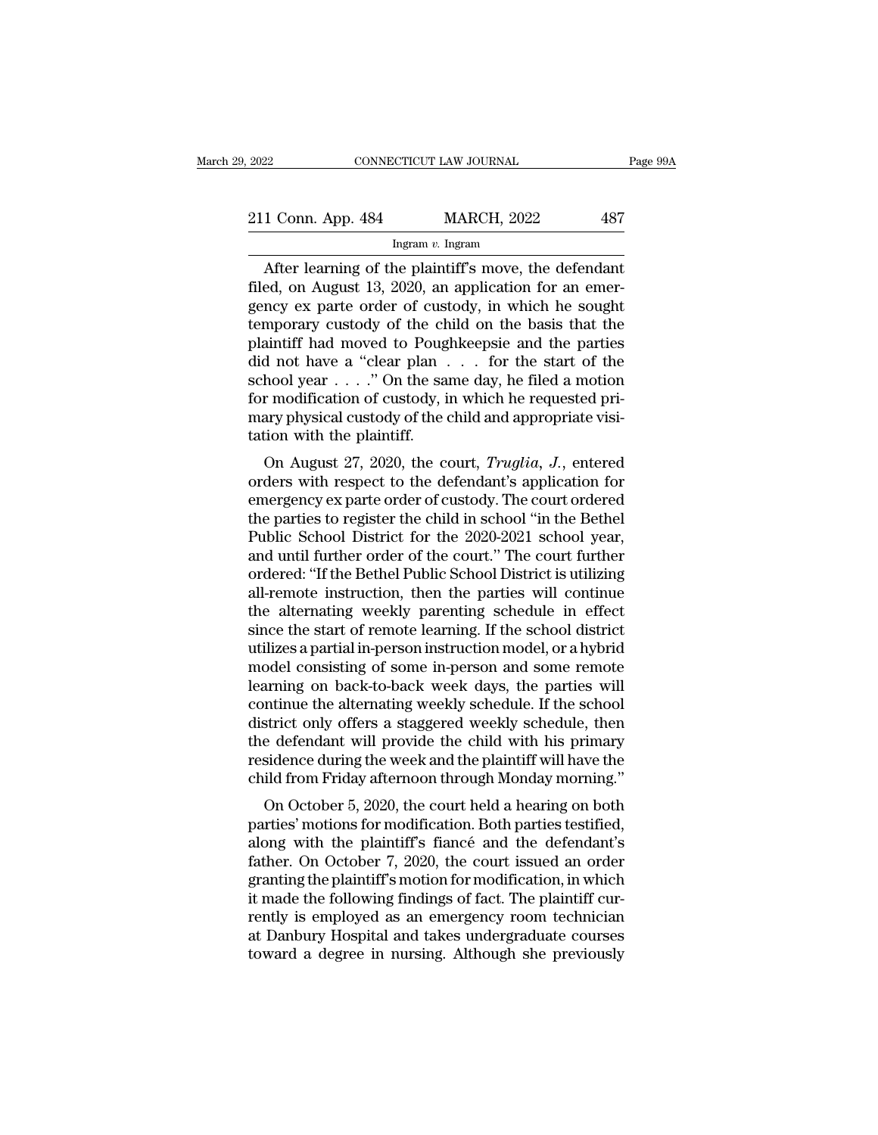# 2022 CONNECTICUT LAW JOURNAL Page 99A<br>211 Conn. App. 484 MARCH, 2022 487<br>Ingram v. Ingram

### Ingram *v.* Ingram

CONNECTICUT LAW JOURNAL Page 99/<br>
1 Conn. App. 484 MARCH, 2022 487<br>
Ingram v. Ingram<br>
After learning of the plaintiff's move, the defendant<br>
ed, on August 13, 2020, an application for an emer-211 Conn. App. 484 MARCH, 2022 487<br>
Ingram v. Ingram<br>
After learning of the plaintiff's move, the defendant<br>
filed, on August 13, 2020, an application for an emer-<br>
gency ex parte order of custody, in which he sought 211 Conn. App. 484 MARCH, 2022 487<br>
Ingram v. Ingram<br>
After learning of the plaintiff's move, the defendant<br>
filed, on August 13, 2020, an application for an emergency ex parte order of custody, in which he sought<br>
tempor 211 Conn. App. 484 MARCH, 2022 487<br>
Ingram v. Ingram<br>
After learning of the plaintiff's move, the defendant<br>
filed, on August 13, 2020, an application for an emer-<br>
gency ex parte order of custody, in which he sought<br>
tem From the plaintiff's move, the defendant<br>filed, on August 13, 2020, an application for an emer-<br>gency ex parte order of custody, in which he sought<br>temporary custody of the child on the basis that the<br>plaintiff had moved differ learning of the plaintiff's move, the defendant<br>filed, on August 13, 2020, an application for an emergency ex parte order of custody, in which he sought<br>temporary custody of the child on the basis that the<br>plaintif After learning of the plaintiff's move, the defendant<br>filed, on August 13, 2020, an application for an emer-<br>gency ex parte order of custody, in which he sought<br>temporary custody of the child on the basis that the<br>plainti filed, on August 13, 2020, an application for an emergency ex parte order of custody, in which he sought temporary custody of the child on the basis that the plaintiff had moved to Poughkeepsie and the parties did not have gency ex parte order of custody, in which he sought<br>temporary custody of the child on the basis that the<br>plaintiff had moved to Poughkeepsie and the parties<br>did not have a "clear plan  $\dots$  for the start of the<br>school year temporary custody of the ch<br>plaintiff had moved to Poug<br>did not have a "clear plan<br>school year . . . ." On the sa<br>for modification of custody, i<br>mary physical custody of the c<br>tation with the plaintiff.<br>On August 27, 2020, annum had moved to Poughkeepsie and the parties<br>d not have a "clear plan . . . for the start of the<br>hool year . . . ." On the same day, he filed a motion<br>r modification of custody, in which he requested pri-<br>ary physical c order to the same day, he filed a motion<br>school year  $\dots$ ." On the same day, he filed a motion<br>for modification of custody, in which he requested pri-<br>mary physical custody of the child and appropriate visi-<br>tation with t

school year  $\ldots$  . On the same day, he filed a motion<br>for modification of custody, in which he requested pri-<br>mary physical custody of the child and appropriate visi-<br>tation with the plaintiff.<br>On August 27, 2020, the co for modification of custody, in which he requested pri-<br>mary physical custody of the child and appropriate visi-<br>tation with the plaintiff.<br>On August 27, 2020, the court, *Truglia*, *J*., entered<br>orders with respect to the mary physical custody of the child and appropriate visitation with the plaintiff.<br>
On August 27, 2020, the court, *Truglia*, *J.*, entered<br>
orders with respect to the defendant's application for<br>
emergency ex parte order o cation with the plaintin.<br>
On August 27, 2020, the court, *Truglia*, *J*., entered<br>
orders with respect to the defendant's application for<br>
emergency ex parte order of custody. The court ordered<br>
the parties to register th On August 27, 2020, the court, *Truglia*, J., entered<br>orders with respect to the defendant's application for<br>emergency ex parte order of custody. The court ordered<br>the parties to register the child in school "in the Bethel orders with respect to the defendant's application for<br>emergency ex parte order of custody. The court ordered<br>the parties to register the child in school "in the Bethel<br>Public School District for the 2020-2021 school year, emergency ex parte order of custody. The court ordered<br>the parties to register the child in school "in the Bethel<br>Public School District for the 2020-2021 school year,<br>and until further order of the court." The court furth the parties to register the child in school "in the Bethel<br>Public School District for the 2020-2021 school year,<br>and until further order of the court." The court further<br>ordered: "If the Bethel Public School District is ut Public School District for the 2020-2021 school year,<br>and until further order of the court." The court further<br>ordered: "If the Bethel Public School District is utilizing<br>all-remote instruction, then the parties will conti and until further order of the court." The court further<br>ordered: "If the Bethel Public School District is utilizing<br>all-remote instruction, then the parties will continue<br>the alternating weekly parenting schedule in effec ordered: "If the Bethel Public School District is utilizing<br>all-remote instruction, then the parties will continue<br>the alternating weekly parenting schedule in effect<br>since the start of remote learning. If the school distr all-remote instruction, then the parties will continue<br>the alternating weekly parenting schedule in effect<br>since the start of remote learning. If the school district<br>utilizes a partial in-person instruction model, or a hyb the alternating weekly parenting schedule in effect<br>since the start of remote learning. If the school district<br>utilizes a partial in-person instruction model, or a hybrid<br>model consisting of some in-person and some remote<br> since the start of remote learning. If the school district<br>utilizes a partial in-person instruction model, or a hybrid<br>model consisting of some in-person and some remote<br>learning on back-to-back week days, the parties will utilizes a partial in-person instruction model, or a hybrid<br>model consisting of some in-person and some remote<br>learning on back-to-back week days, the parties will<br>continue the alternating weekly schedule. If the school<br>di model consisting of some in-person and some remote<br>learning on back-to-back week days, the parties will<br>continue the alternating weekly schedule. If the school<br>district only offers a staggered weekly schedule, then<br>the def ining on back-to-back week tays, the parties win<br>mtinue the alternating weekly schedule. If the school<br>strict only offers a staggered weekly schedule, then<br>e defendant will provide the child with his primary<br>sidence during parties are alternating weekly schedule. It the school<br>district only offers a staggered weekly schedule, then<br>the defendant will provide the child with his primary<br>residence during the week and the plaintiff will have the<br>

district only offers a staggered weekly schedule, then<br>the defendant will provide the child with his primary<br>residence during the week and the plaintiff will have the<br>child from Friday afternoon through Monday morning."<br>On father. On October 5, 2020, the court held a hearing on both<br>parties' motions for modification. Both parties' motions for modification. Both parties testified,<br>along with the plaintiff's fiancé and the defendant's<br>father. residence during the week and the plaintiff will have the child from Friday afternoon through Monday morning."<br>On October 5, 2020, the court held a hearing on both<br>parties' motions for modification. Both parties testified, Inderton Friday and Hough Monday Horning.<br>
On October 5, 2020, the court held a hearing on both<br>
parties' motions for modification. Both parties testified,<br>
along with the plaintiff's fiancé and the defendant's<br>
father. On On October 5, 2020, the court held a hearing on both<br>parties' motions for modification. Both parties testified,<br>along with the plaintiff's fiancé and the defendant's<br>father. On October 7, 2020, the court issued an order<br>gr parties' motions for modification. Both parties testified,<br>along with the plaintiff's fiancé and the defendant's<br>father. On October 7, 2020, the court issued an order<br>granting the plaintiff's motion for modification, in wh along with the plaintiff's fiancé and the defendant's<br>father. On October 7, 2020, the court issued an order<br>granting the plaintiff's motion for modification, in which<br>it made the following findings of fact. The plaintiff c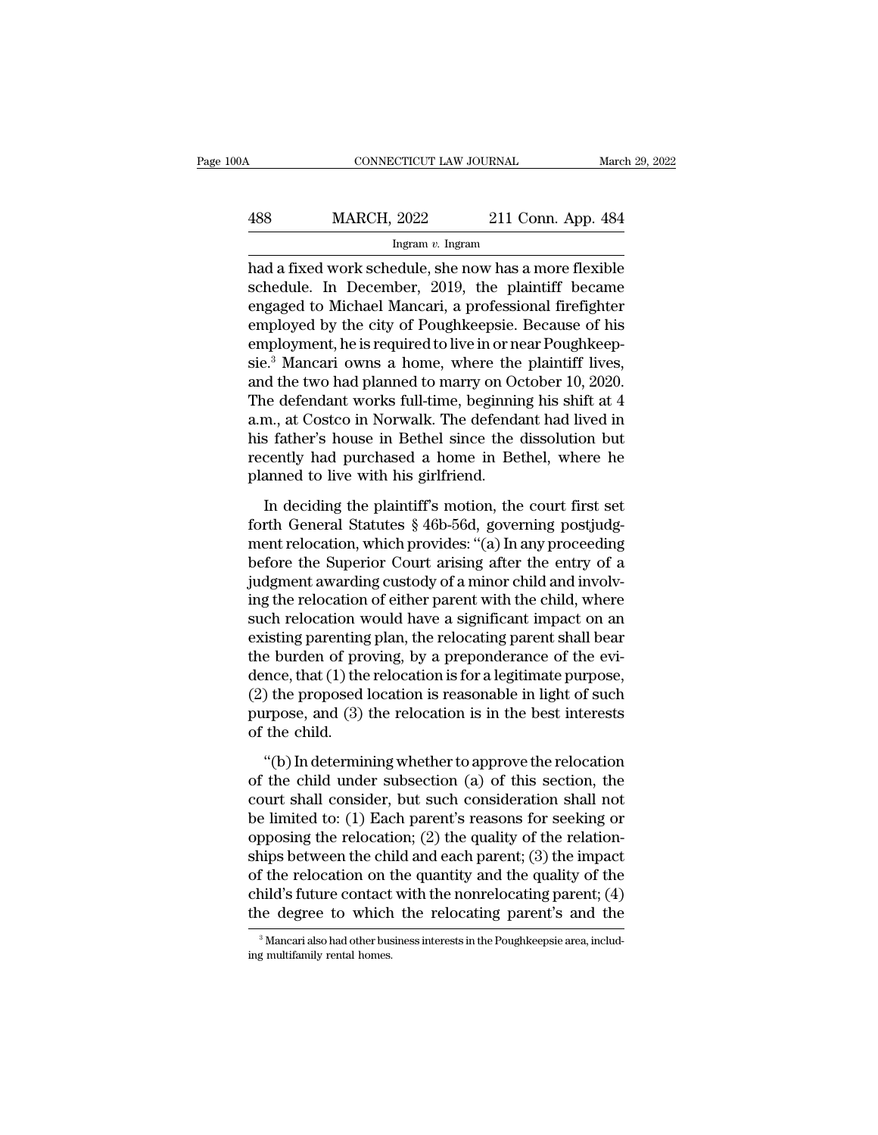## CONNECTICUT LAW JOURNAL March 29, 2022<br>488 MARCH, 2022 211 Conn. App. 484<br>Ingram v. Ingram Ingram *v.* Ingram

CONNECTICUT LAW JOURNAL March 29, 2022<br>
Had a fixed work schedule, she now has a more flexible<br>
schedule. In December, 2019, the plaintiff became<br>
angeged to Michael Manori a professional firefighter MARCH, 2022 211 Conn. App. 484<br>
Ingram v. Ingram<br>
had a fixed work schedule, she now has a more flexible<br>
schedule. In December, 2019, the plaintiff became<br>
engaged to Michael Mancari, a professional firefighter<br>
employed Ass MARCH, 2022 211 Conn. App. 484<br>
Ingram v. Ingram<br>
had a fixed work schedule, she now has a more flexible<br>
schedule. In December, 2019, the plaintiff became<br>
engaged to Michael Mancari, a professional firefighter<br>
empl MARCH, 2022 211 Conn. App. 484<br>
Ingram v. Ingram<br>
had a fixed work schedule, she now has a more flexible<br>
schedule. In December, 2019, the plaintiff became<br>
engaged to Michael Mancari, a professional firefighter<br>
employed Ingram v. Ingram<br>
Ingram v. Ingram<br>
had a fixed work schedule, she now has a more flexible<br>
schedule. In December, 2019, the plaintiff became<br>
engaged to Michael Mancari, a professional firefighter<br>
employed by the city o mgram v. mgram<br>had a fixed work schedule, she now has a more flexible<br>schedule. In December, 2019, the plaintiff became<br>engaged to Michael Mancari, a professional firefighter<br>employed by the city of Poughkeepsie. Because had a fixed work schedule, she now has a more flexible<br>schedule. In December, 2019, the plaintiff became<br>engaged to Michael Mancari, a professional firefighter<br>employed by the city of Poughkeepsie. Because of his<br>employmen schedule. In December, 2019, the plaintiff became<br>engaged to Michael Mancari, a professional firefighter<br>employed by the city of Poughkeepsie. Because of his<br>employment, he is required to live in or near Poughkeep-<br>sie.<sup>3</sup> engaged to Michael Mancari, a professional firefighter<br>employed by the city of Poughkeepsie. Because of his<br>employment, he is required to live in or near Poughkeep-<br>sie.<sup>3</sup> Mancari owns a home, where the plaintiff lives,<br>a employed by the city of Poughkeepsie. Because of his<br>employment, he is required to live in or near Poughkeep-<br>sie.<sup>3</sup> Mancari owns a home, where the plaintiff lives,<br>and the two had planned to marry on October 10, 2020.<br>Th employment, he is required to live in or near Poughkeep-<br>sie.<sup>3</sup> Mancari owns a home, where the plaintiff lives,<br>and the two had planned to marry on October 10, 2020.<br>The defendant works full-time, beginning his shift at 4 sie.<sup>3</sup> Mancari owns a home, where the<br>and the two had planned to marry on Oc<br>The defendant works full-time, beginnin<br>a.m., at Costco in Norwalk. The defenda<br>his father's house in Bethel since the<br>recently had purchased a In deciding the Hamiltonian provides in the defendant works full-time, beginning his shift at 4 m., at Costco in Norwalk. The defendant had lived in s father's house in Bethel since the dissolution but cently had purchased Forth General Statutes § 46b-56d, governing before the dissolution but<br>the father's house in Bethel since the dissolution but<br>recently had purchased a home in Bethel, where he<br>planned to live with his girlfriend.<br>In decidi

man, ather's house in Bethel since the dissolution but<br>recently had purchased a home in Bethel, where he<br>planned to live with his girlfriend.<br>In deciding the plaintiff's motion, the court first set<br>forth General Statutes § before the Superior Court arising the planned to live with his girlfriend.<br>
In deciding the plaintiff's motion, the court first set<br>
forth General Statutes § 46b-56d, governing postjudg-<br>
ment relocation, which provides: " planned to live with his girlfriend.<br>
In deciding the plaintiff's motion, the court first set<br>
forth General Statutes § 46b-56d, governing postjudg-<br>
ment relocation, which provides: "(a) In any proceeding<br>
before the Supe In deciding the plaintiff's motion, the court first set<br>forth General Statutes § 46b-56d, governing postjudg-<br>ment relocation, which provides: "(a) In any proceeding<br>before the Superior Court arising after the entry of a<br>j In deciding the plaintiff's motion, the court first set<br>forth General Statutes  $\S$  46b-56d, governing postjudg-<br>ment relocation, which provides: "(a) In any proceeding<br>before the Superior Court arising after the entry of forth General Statutes § 46b-56d, governing postjudgment relocation, which provides: "(a) In any proceeding<br>before the Superior Court arising after the entry of a<br>judgment awarding custody of a minor child and involv-<br>ing ment relocation, which provides: "(a) In any proceeding<br>before the Superior Court arising after the entry of a<br>judgment awarding custody of a minor child and involv-<br>ing the relocation of either parent with the child, whe before the Superior Court arising after the entry of a<br>judgment awarding custody of a minor child and involv-<br>ing the relocation of either parent with the child, where<br>such relocation would have a significant impact on an judgment awarding custody of a minor child and involving the relocation of either parent with the child, where such relocation would have a significant impact on an existing parenting plan, the relocating parent shall bear ing the relocation of either parent with the child, where<br>such relocation would have a significant impact on an<br>existing parenting plan, the relocating parent shall bear<br>the burden of proving, by a preponderance of the evi such relocation w<br>existing parenting<br>the burden of pro<br>dence, that (1) the<br>(2) the proposed<br>purpose, and (3)<br>of the child.<br>"(b) In determin Examples and of proving, by a preponderance of the evi-<br>
e burden of proving, by a preponderance of the evi-<br>
ince, that (1) the relocation is for a legitimate purpose,<br>
) the proposed location is reasonable in light of su dence, that (1) the relocation is for a legitimate purpose,<br>(2) the proposed location is reasonable in light of such<br>purpose, and (3) the relocation is in the best interests<br>of the child.<br>"(b) In determining whether to ap

(2) the proposed location is reasonable in light of such<br>purpose, and (3) the relocation is in the best interests<br>of the child.<br>"(b) In determining whether to approve the relocation<br>of the child under subsection (a) of th purpose, and (3) the relocation is in the best interests<br>of the child.<br>"(b) In determining whether to approve the relocation<br>of the child under subsection (a) of this section, the<br>court shall consider, but such considerat of the child.<br>
"(b) In determining whether to approve the relocation<br>
of the child under subsection (a) of this section, the<br>
court shall consider, but such consideration shall not<br>
be limited to: (1) Each parent's reason "(b) In determining whether to approve the relocation<br>of the child under subsection (a) of this section, the<br>court shall consider, but such consideration shall not<br>be limited to: (1) Each parent's reasons for seeking or<br>o "(b) In determining whether to approve the relocation<br>of the child under subsection (a) of this section, the<br>court shall consider, but such consideration shall not<br>be limited to: (1) Each parent's reasons for seeking or<br>o of the child under subsection (a) of this section, the<br>court shall consider, but such consideration shall not<br>be limited to: (1) Each parent's reasons for seeking or<br>opposing the relocation; (2) the quality of the relatio court shall consider, but such consideration shall not<br>be limited to: (1) Each parent's reasons for seeking or<br>opposing the relocation; (2) the quality of the relation-<br>ships between the child and each parent; (3) the imp ships between the child and each parent; (3) the impact<br>of the relocation on the quantity and the quality of the<br>child's future contact with the nonrelocating parent; (4)<br>the degree to which the relocating parent's and th the degree to which the relocating parent's and the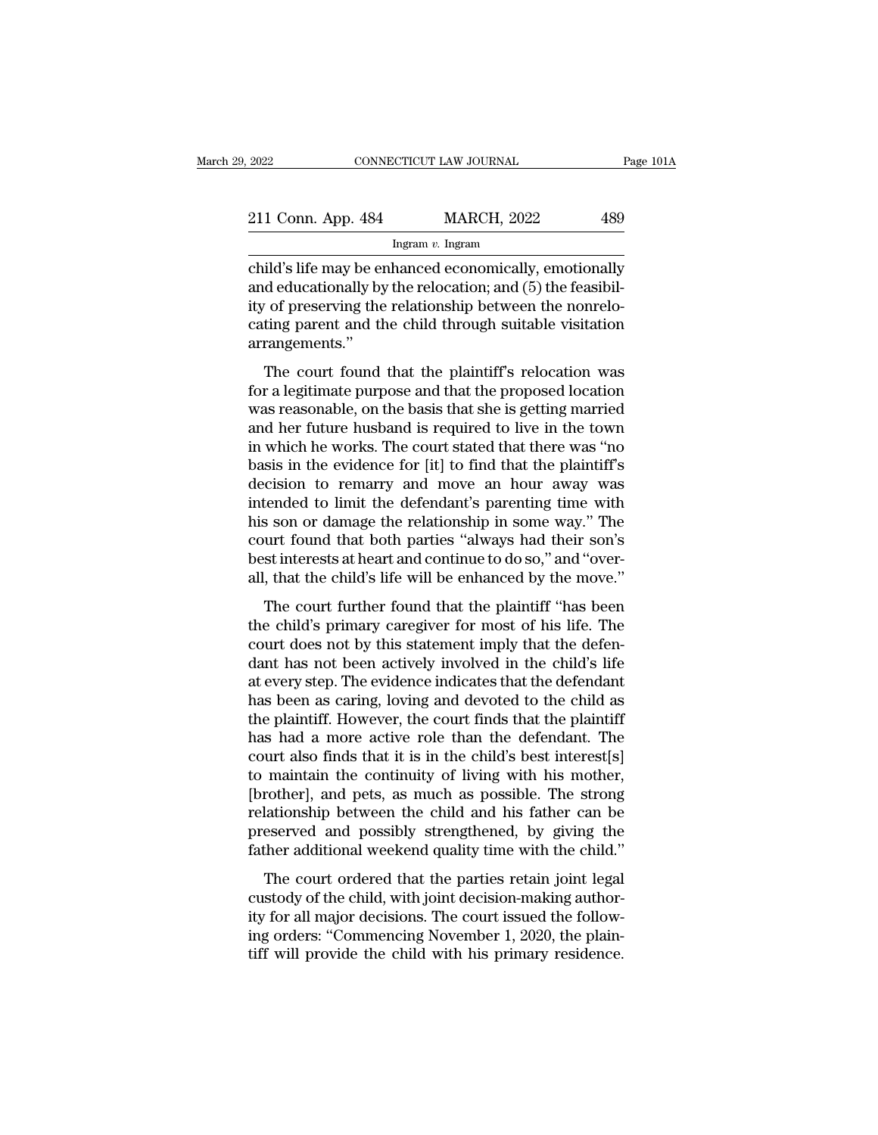| 2022               | CONNECTICUT LAW JOURNAL | Page 101A |
|--------------------|-------------------------|-----------|
| 211 Conn. App. 484 | <b>MARCH, 2022</b>      | 489       |
|                    | Ingram $v$ . Ingram     |           |

2022 CONNECTICUT LAW JOURNAL Page 101A<br>
211 Conn. App. 484 MARCH, 2022 489<br>
Ingram v. Ingram<br>
child's life may be enhanced economically, emotionally<br>
and educationally by the relocation; and (5) the feasibil-<br>
ity of pres 211 Conn. App. 484 MARCH, 2022 489<br>
Ingram v. Ingram<br>
child's life may be enhanced economically, emotionally<br>
and educationally by the relocation; and (5) the feasibil-<br>
ity of preserving the relationship between the nonr 211 Conn. App. 484 MARCH, 2022 489<br>
Ingram v. Ingram<br>
child's life may be enhanced economically, emotionally<br>
and educationally by the relocation; and (5) the feasibil-<br>
ity of preserving the relationship between the nonr 211 Conn. App. 484 MARCH, 2022 489<br>
Ingram v. Ingram<br>
child's life may be enhanced economically, emotionally<br>
and educationally by the relocation; and (5) the feasibil-<br>
ity of preserving the relationship between the nonr arrangements.'' ild's life may be enhanced economically, emotionally<br>d educationally by the relocation; and (5) the feasibil-<br>of preserving the relationship between the nonrelo-<br>ting parent and the child through suitable visitation<br>rangem Find 3 lie hay be child the elocation; and (5) the feasibility of preserving the relationship between the nonrelo-<br>cating parent and the child through suitable visitation<br>arrangements."<br>The court found that the plaintiff's

ity of preserving the relationship between the nonrelocating parent and the child through suitable visitation<br>arrangements."<br>The court found that the plaintiff's relocation was<br>for a legitimate purpose and that the propos region preserving the relationship between the holico-<br>cating parent and the child through suitable visitation<br>arrangements."<br>The court found that the plaintiff's relocation was<br>for a legitimate purpose and that the propos arrangements."<br>
The court found that the plaintiff's relocation was<br>
for a legitimate purpose and that the proposed location<br>
was reasonable, on the basis that she is getting married<br>
and her future husband is required to The court found that the plaintiff's relocation was<br>for a legitimate purpose and that the proposed location<br>was reasonable, on the basis that she is getting married<br>and her future husband is required to live in the town<br>in The court found that the plaintiff's relocation was<br>for a legitimate purpose and that the proposed location<br>was reasonable, on the basis that she is getting married<br>and her future husband is required to live in the town<br>in for a legitimate purpose and that the proposed location<br>was reasonable, on the basis that she is getting married<br>and her future husband is required to live in the town<br>in which he works. The court stated that there was "no was reasonable, on the basis that she is getting married<br>and her future husband is required to live in the town<br>in which he works. The court stated that there was "no<br>basis in the evidence for [it] to find that the plainti and her future husband is required to live in the town<br>in which he works. The court stated that there was "no<br>basis in the evidence for [it] to find that the plaintiff's<br>decision to remarry and move an hour away was<br>intend in which he works. The court stated that there was "no<br>basis in the evidence for [it] to find that the plaintiff's<br>decision to remarry and move an hour away was<br>intended to limit the defendant's parenting time with<br>his son basis in the evidence for [it] to find that the plaintiff's<br>decision to remarry and move an hour away was<br>intended to limit the defendant's parenting time with<br>his son or damage the relationship in some way." The<br>court fou Ended to limit the defendant's parenting time with<br>s son or damage the relationship in some way." The<br>urt found that both parties "always had their son's<br>st interests at heart and continue to do so," and "over-<br>, that the methed to finit are determined by parenting affice with<br>his son or damage the relationship in some way." The<br>court found that both parties "always had their son's<br>best interests at heart and continue to do so," and "over-<br>

Fig. 350 of dramage are relationship in some way. The<br>court found that both parties "always had their son's<br>best interests at heart and continue to do so," and "over-<br>all, that the child's life will be enhanced by the move best interests at heart and continue to do so," and "over-<br>all, that the child's life will be enhanced by the move."<br>The court further found that the plaintiff "has been<br>the child's primary caregiver for most of his life. at the child's life will be enhanced by the move."<br>The court further found that the plaintiff "has been<br>the child's primary caregiver for most of his life. The<br>court does not by this statement imply that the defen-<br>dant ha an, and the enhancement of the plaintiff "has been<br>the child's primary caregiver for most of his life. The<br>court does not by this statement imply that the defen-<br>dant has not been actively involved in the child's life<br>at e The court further found that the plaintiff "has been<br>the child's primary caregiver for most of his life. The<br>court does not by this statement imply that the defen-<br>dant has not been actively involved in the child's life<br>at the child's primary caregiver for most of his life. The<br>court does not by this statement imply that the defen-<br>dant has not been actively involved in the child's life<br>at every step. The evidence indicates that the defendan court does not by this statement imply that the defendant has not been actively involved in the child's life at every step. The evidence indicates that the defendant has been as caring, loving and devoted to the child as t dant has not been actively involved in the child's life<br>at every step. The evidence indicates that the defendant<br>has been as caring, loving and devoted to the child as<br>the plaintiff. However, the court finds that the plain at every step. The evidence indicates that the defendant<br>has been as caring, loving and devoted to the child as<br>the plaintiff. However, the court finds that the plaintiff<br>has had a more active role than the defendant. The<br> has been as caring, loving and devoted to the child as<br>the plaintiff. However, the court finds that the plaintiff<br>has had a more active role than the defendant. The<br>court also finds that it is in the child's best interest[ the plaintiff. However, the court finds that the plaintiff<br>has had a more active role than the defendant. The<br>court also finds that it is in the child's best interest[s]<br>to maintain the continuity of living with his mother has had a more active role than the defendant. The<br>court also finds that it is in the child's best interest[s]<br>to maintain the continuity of living with his mother,<br>[brother], and pets, as much as possible. The strong<br>rela In the continuity of living with his mother,<br>maintain the continuity of living with his mother,<br>rother], and pets, as much as possible. The strong<br>lationship between the child and his father can be<br>eserved and possibly str conditionally of the child, with the hostel,<br>
(brother], and pets, as much as possible. The strong<br>
relationship between the child and his father can be<br>
preserved and possibly strengthened, by giving the<br>
father additiona

proactly, and peat, as match as possible. The strong<br>relationship between the child and his father can be<br>preserved and possibly strengthened, by giving the<br>father additional weekend quality time with the child."<br>The court relationship between the ends that his hastier can be<br>preserved and possibly strengthened, by giving the<br>father additional weekend quality time with the child."<br>The court ordered that the parties retain joint legal<br>custody father additional weekend quality time with the child."<br>The court ordered that the parties retain joint legal<br>custody of the child, with joint decision-making author-<br>ity for all major decisions. The court issued the follo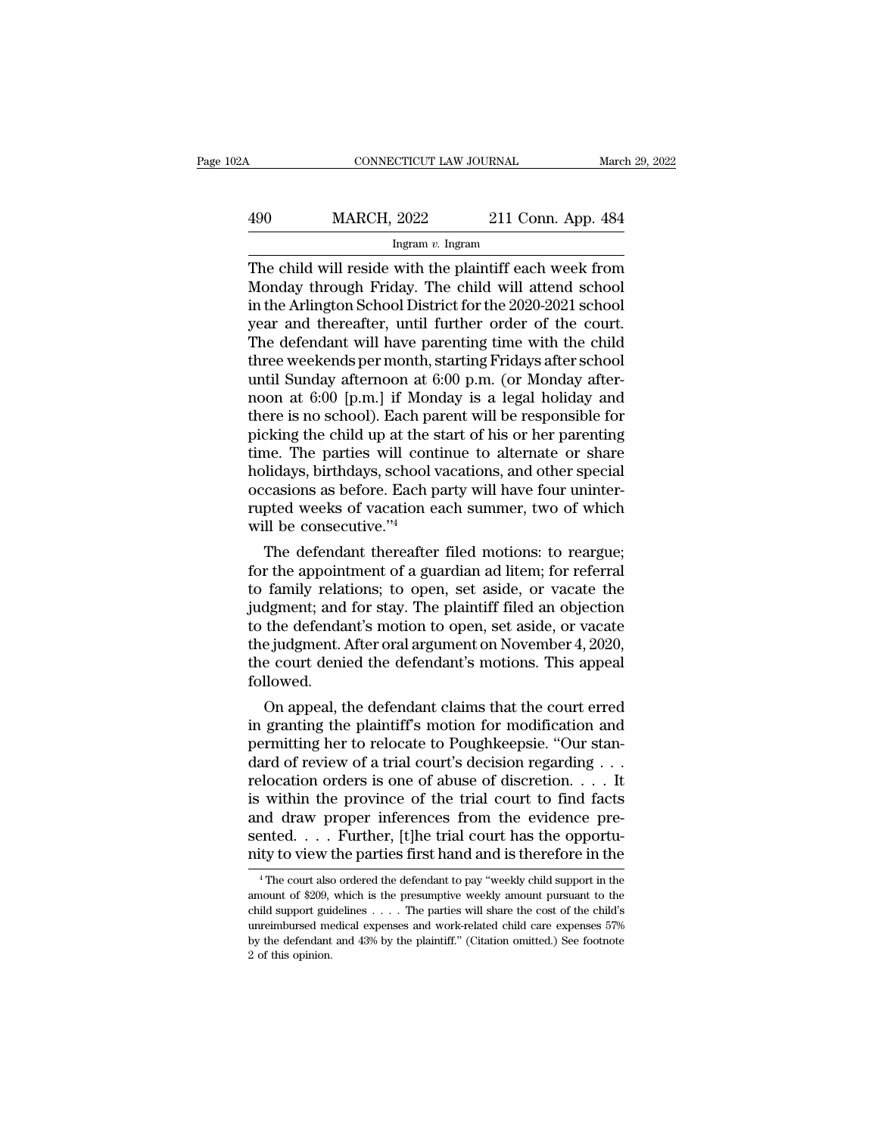# CONNECTICUT LAW JOURNAL March 29, 2022<br>490 MARCH, 2022 211 Conn. App. 484<br>Ingram v. Ingram

### Ingram *v.* Ingram

CONNECTICUT LAW JOURNAL March 29, 2022<br>
MARCH, 2022 211 Conn. App. 484<br>
Ingram v. Ingram<br>
The child will reside with the plaintiff each week from<br>
Monday through Friday. The child will attend school<br>
in the Arlington Schoo  $MARCH, 2022$  211 Conn. App. 484<br>
Ingram v. Ingram<br>
The child will reside with the plaintiff each week from<br>
Monday through Friday. The child will attend school<br>
in the Arlington School District for the 2020-2021 school<br>
wea  $\frac{\text{MARCH}}{\text{logram } v \cdot \text{logram}}$ <br>
Ingram v. Ingram<br>
The child will reside with the plaintiff each week from<br>
Monday through Friday. The child will attend school<br>
in the Arlington School District for the 2020-2021 school<br>
year an  $\frac{490}{\text{MARCH, 2022}}$  211 Conn. App. 484<br>
Ingram v. Ingram<br>
The child will reside with the plaintiff each week from<br>
Monday through Friday. The child will attend school<br>
in the Arlington School District for the 2020-2021 The child will reside with the plaintiff each week from<br>Monday through Friday. The child will attend school<br>in the Arlington School District for the 2020-2021 school<br>year and thereafter, until further order of the court.<br> Ingram v. Ingram<br>The child will reside with the plaintiff each week from<br>Monday through Friday. The child will attend school<br>in the Arlington School District for the 2020-2021 school<br>year and thereafter, until further ord The child will reside with the plaintiff each week from<br>Monday through Friday. The child will attend school<br>in the Arlington School District for the 2020-2021 school<br>year and thereafter, until further order of the court.<br>T Monday through Friday. The child will attend school<br>in the Arlington School District for the 2020-2021 school<br>year and thereafter, until further order of the court.<br>The defendant will have parenting time with the child<br>thr in the Arlington School District for the 2020-2021 school<br>year and thereafter, until further order of the court.<br>The defendant will have parenting time with the child<br>three weekends per month, starting Fridays after school year and thereafter, until further order of the court.<br>The defendant will have parenting time with the child<br>three weekends per month, starting Fridays after school<br>until Sunday afternoon at 6:00 p.m. (or Monday after-<br>noo The defendant will have parenting time with the child<br>three weekends per month, starting Fridays after school<br>until Sunday afternoon at  $6:00$  p.m. (or Monday after-<br>noon at  $6:00$  [p.m.] if Monday is a legal holiday and<br> three weekends per month, starting Fridays after school<br>until Sunday afternoon at 6:00 p.m. (or Monday after-<br>noon at 6:00 [p.m.] if Monday is a legal holiday and<br>there is no school). Each parent will be responsible for<br>pi until Sunday afternoon at 6:00 p.m. (or Monday afternoon at 6:00 [p.m.] if Monday is a legal holiday and there is no school). Each parent will be responsible for picking the child up at the start of his or her parenting t rupted weeks of vacation each summer, two of which will be considered in the responsible for picking the child up at the start of his or her parenting time. The parties will continue to alternate or share holidays, birthd there is no school). Each pa<br>picking the child up at the s<br>time. The parties will cont<br>holidays, birthdays, school v<br>occasions as before. Each p<br>rupted weeks of vacation e:<br>will be consecutive."<sup>4</sup><br>The defendant thereafter Exing the chuid up at the start of his or her parenting<br>me. The parties will continue to alternate or share<br>lidays, birthdays, school vacations, and other special<br>casions as before. Each party will have four uninter-<br>pted time. The parties will continue to alternate or snare<br>holidays, birthdays, school vacations, and other special<br>occasions as before. Each party will have four uninter-<br>rupted weeks of vacation each summer, two of which<br>will

nondays, birthdays, school vacations, and other special<br>occasions as before. Each party will have four uninter-<br>rupted weeks of vacation each summer, two of which<br>will be consecutive."<sup>4</sup><br>The defendant thereafter filed mot occasions as before. Each party will nave four uninter-<br>rupted weeks of vacation each summer, two of which<br>will be consecutive."<sup>4</sup><br>The defendant thereafter filed motions: to reargue;<br>for the appointment of a guardian ad rupted weeks or vacation each summer, two or which<br>will be consecutive."<sup>4</sup><br>The defendant thereafter filed motions: to reargue;<br>for the appointment of a guardian ad litem; for referral<br>to family relations; to open, set asi Will be consecutive.<br>
The defendant thereafter filed motions: to reargue;<br>
for the appointment of a guardian ad litem; for referral<br>
to family relations; to open, set aside, or vacate the<br>
judgment; and for stay. The plain The defendant thereafter filed motions: to reargue;<br>for the appointment of a guardian ad litem; for referral<br>to family relations; to open, set aside, or vacate the<br>judgment; and for stay. The plaintiff filed an objection<br>t followed. Tamily relations; to open, set aside, or vacate the<br>dgment; and for stay. The plaintiff filed an objection<br>the defendant's motion to open, set aside, or vacate<br>e judgment. After oral argument on November 4, 2020,<br>e court d judgment; and for stay. The plaintiff filed an objection<br>to the defendant's motion to open, set aside, or vacate<br>the judgment. After oral argument on November 4, 2020,<br>the court denied the defendant's motions. This appeal<br>

to the defendant s motion to open, set aside, or vacate<br>the judgment. After oral argument on November 4, 2020,<br>the court denied the defendant's motions. This appeal<br>followed.<br>On appeal, the defendant claims that the court the judgment. After oral argument on November 4, 2020,<br>the court denied the defendant's motions. This appeal<br>followed.<br>On appeal, the defendant claims that the court erred<br>in granting the plaintiff's motion for modificatio relative court denied the defendant s motions. This appear<br>followed.<br>On appeal, the defendant claims that the court erred<br>in granting the plaintiff's motion for modification and<br>permitting her to relocate to Poughkeepsie. followed.<br>
On appeal, the defendant claims that the court erred<br>
in granting the plaintiff's motion for modification and<br>
permitting her to relocate to Poughkeepsie. "Our stan-<br>
dard of review of a trial court's decision On appeal, the defendant claims that the court erred<br>in granting the plaintiff's motion for modification and<br>permitting her to relocate to Poughkeepsie. "Our stan-<br>dard of review of a trial court's decision regarding . . in granting the plaintiff's motion for modification and<br>permitting her to relocate to Poughkeepsie. "Our stan-<br>dard of review of a trial court's decision regarding . . .<br>relocation orders is one of abuse of discretion. . permitting her to relocate to Poughkeepsie. "Our standard of review of a trial court's decision regarding . . .<br>relocation orders is one of abuse of discretion. . . . It<br>is within the province of the trial court to find fa within the province of the trial court to find facts<br>and draw proper inferences from the evidence pre-<br>ented.... Further, [t]he trial court has the opportu-<br>ty to view the parties first hand and is therefore in the<br><sup>4</sup>The and draw proper inferences from the evidence pre-<br>sented. . . . Further, [t]he trial court has the opportu-<br>nity to view the parties first hand and is therefore in the<br> $\frac{4}{1}$ The court also ordered the defendant to pay

sented. . . . . Further, [t]he trial court has the opportunity to view the parties first hand and is therefore in the  $\frac{4}{1}$  The court also ordered the defendant to pay "weekly child support in the amount of \$209, whic mity to view the parties first hand and is therefore in the  $\frac{1}{4}$  The court also ordered the defendant to pay "weekly child support in the amount of \$209, which is the presumptive weekly amount pursuant to the child s by the defendant and 43% by the plaintiff.'' (Citation omitted.) See footnote and this order of the presumptive weekly amount pursuant to the child support guidelines  $\ldots$ . The parties will share the cost of the child's amount of \$209, which is the presumptive weekly amount pursuant to the child support guidelines . . . . The parties will share the cost of the child's unreimbursed medical expenses and work-related child care expenses 57%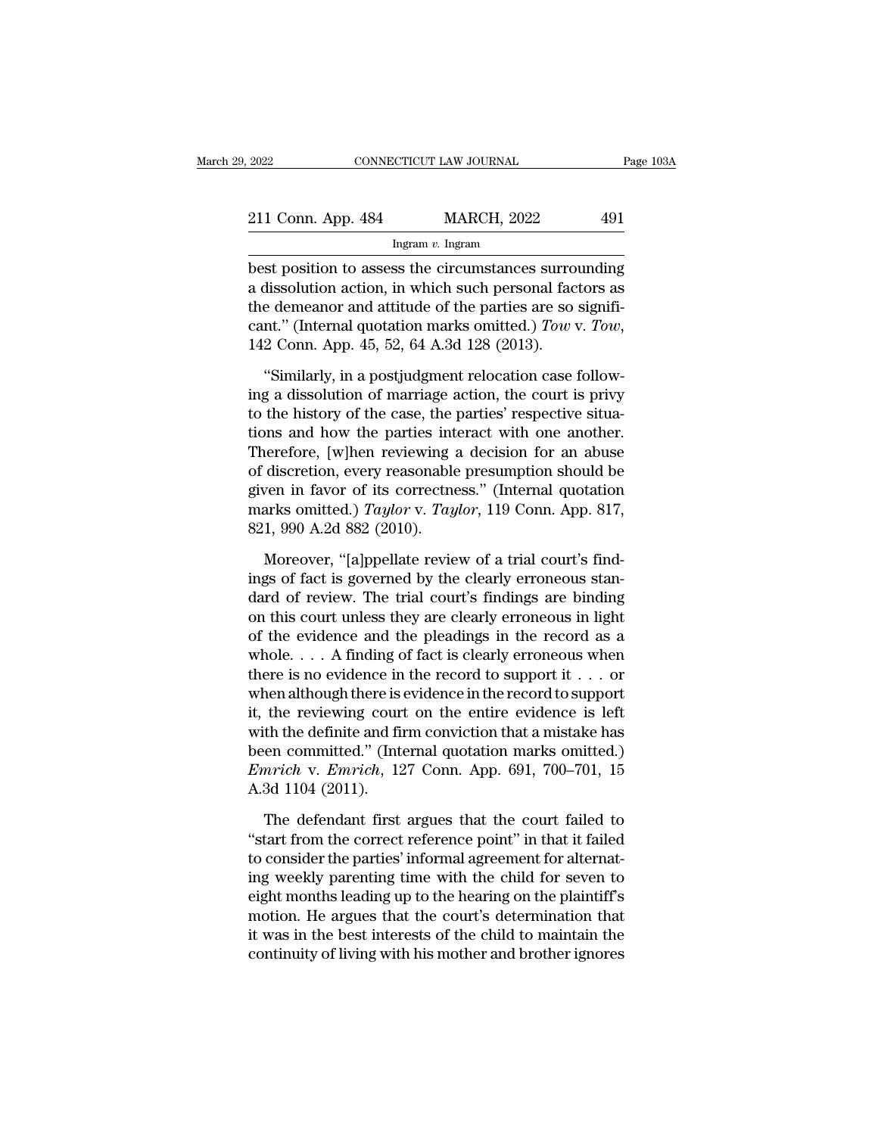| 2022               | CONNECTICUT LAW JOURNAL |                    | Page 103A |  |
|--------------------|-------------------------|--------------------|-----------|--|
| 211 Conn. App. 484 |                         | <b>MARCH, 2022</b> | 491       |  |
|                    | Ingram $v$ . Ingram     |                    |           |  |

 $\begin{array}{r|l} \text{2022} & \text{CONPECTICUT LAW JOURNAL} & \text{Page 103A} \\\\ \hline \text{211 Conn. App. 484} & \text{MARCH, 2022} & 491 \\\\ \hline \text{Ingram } v. \text{ Ingram} \\\\ \text{best position to assess the circumstances surrounding} \\\\ \text{a dissolution action, in which such personal factors as} \\\\ \text{the numerator and attitude of the parties are so similar.} \end{array}$ 211 Conn. App. 484 MARCH, 2022 491<br>
Ingram v. Ingram<br>
best position to assess the circumstances surrounding<br>
a dissolution action, in which such personal factors as<br>
the demeanor and attitude of the parties are so signifi 211 Conn. App. 484 MARCH, 2022 491<br>
Ingram v. Ingram<br>
best position to assess the circumstances surrounding<br>
a dissolution action, in which such personal factors as<br>
the demeanor and attitude of the parties are so signifi 211 Conn. App. 484 MARCH, 2022 491<br>
Ingram *v*. Ingram<br>
best position to assess the circumstances surrounding<br>
a dissolution action, in which such personal factors as<br>
the demeanor and attitude of the parties are so signif st position to assess the circumstances surrounding<br>
dissolution action, in which such personal factors as<br>
e demeanor and attitude of the parties are so signifi-<br>
nt." (Internal quotation marks omitted.) Tow v. Tow,<br>
2 Co a dissolution action, in which such personal factors as<br>the demeanor and attitude of the parties are so signifi-<br>cant." (Internal quotation marks omitted.) Tow v. Tow,<br>142 Conn. App. 45, 52, 64 A.3d 128 (2013).<br>"Similarly

the demeanor and attitude of the parties are so significant." (Internal quotation marks omitted.) Tow v. Tow, 142 Conn. App. 45, 52, 64 A.3d 128 (2013).<br>"Similarly, in a postjudgment relocation case following a dissolutio cant." (Internal quotation marks omitted.) Tow v. Tow,<br>142 Conn. App. 45, 52, 64 A.3d 128 (2013).<br>"Similarly, in a postjudgment relocation case follow-<br>ing a dissolution of marriage action, the court is privy<br>to the histo 142 Conn. App. 45, 52, 64 A.3d 128 (2013).<br>
"Similarly, in a postjudgment relocation case following a dissolution of marriage action, the court is privy<br>
to the history of the case, the parties' respective situa-<br>
tions a "Similarly, in a postjudgment relocation case following a dissolution of marriage action, the court is privy to the history of the case, the parties' respective situations and how the parties interact with one another.<br>Th "Similarly, in a postjudgment relocation case following a dissolution of marriage action, the court is privy to the history of the case, the parties' respective situations and how the parties interact with one another.<br>Th ing a dissolution of marriage action, the court is privy<br>to the history of the case, the parties' respective situa-<br>tions and how the parties interact with one another.<br>Therefore, [w]hen reviewing a decision for an abuse<br>o to the history of the case, the jums and how the parties int<br>Therefore, [w]hen reviewing a<br>of discretion, every reasonable<br>given in favor of its correctne<br>marks omitted.) *Taylor* v. *Tay*<br>821, 990 A.2d 882 (2010).<br>Moreov decretion, every reasonable presumption should be<br>discretion, every reasonable presumption should be<br>ven in favor of its correctness." (Internal quotation<br>arks omitted.) *Taylor* v. *Taylor*, 119 Conn. App. 817,<br>1, 990 A.2 of discretion, every reasonable presumption should be<br>given in favor of its correctness." (Internal quotation<br>marks omitted.) Taylor v. Taylor, 119 Conn. App. 817,<br>821, 990 A.2d 882 (2010).<br>Moreover, "[a]ppellate review of

given in favor of its correctness." (Internal quotation<br>marks omitted.) Taylor v. Taylor, 119 Conn. App. 817,<br>821, 990 A.2d 882 (2010).<br>Moreover, "[a]ppellate review of a trial court's find-<br>ings of fact is governed by the marks omitted.) *Taylor* v. *Taylor*, 119 Conn. App. 817, 821, 990 A.2d 882 (2010).<br>Moreover, "[a]ppellate review of a trial court's findings of fact is governed by the clearly erroneous standard of review. The trial cour 821, 990 A.2d 882 (2010).<br>
Moreover, "[a]ppellate review of a trial court's find-<br>
ings of fact is governed by the clearly erroneous stan-<br>
dard of review. The trial court's findings are binding<br>
on this court unless they Moreover, "[a]ppellate review of a trial court's findings of fact is governed by the clearly erroneous standard of review. The trial court's findings are binding on this court unless they are clearly erroneous in light of Moreover, "[a]ppellate review of a trial court's find-<br>ings of fact is governed by the clearly erroneous stan-<br>dard of review. The trial court's findings are binding<br>on this court unless they are clearly erroneous in ligh ings of fact is governed by the clearly erroneous stan-<br>dard of review. The trial court's findings are binding<br>on this court unless they are clearly erroneous in light<br>of the evidence and the pleadings in the record as a<br> dard of review. The trial court's findings are binding<br>on this court unless they are clearly erroneous in light<br>of the evidence and the pleadings in the record as a<br>whole.... A finding of fact is clearly erroneous when<br>th on this court unless they are clearly erroneous in light<br>of the evidence and the pleadings in the record as a<br>whole.... A finding of fact is clearly erroneous when<br>there is no evidence in the record to support<br>it... or<br>wh of the evidence and the pleadings in the record as a<br>whole.... A finding of fact is clearly erroneous when<br>there is no evidence in the record to support it... or<br>when although there is evidence in the record to support<br>it whole.  $\ldots$  A finding of fact is clearly erroneous when<br>there is no evidence in the record to support it  $\ldots$  or<br>when although there is evidence in the record to support<br>it, the reviewing court on the entire evidence is there is no evidence in<br>when although there is<br>it, the reviewing cour<br>with the definite and fil<br>been committed." (Int<br>*Emrich* v. *Emrich*, 12<br>A.3d 1104 (2011).<br>The defendant first the reviewing court on the entire evidence is left<br>th the definite and firm conviction that a mistake has<br>een committed." (Internal quotation marks omitted.)<br>*nrich* v. *Emrich*, 127 Conn. App. 691, 700–701, 15<br>3d 1104 (2 with the definite and firm conviction that a mistake has<br>been committed." (Internal quotation marks omitted.)<br> *Emrich* v. *Emrich*, 127 Conn. App. 691, 700–701, 15<br>
A.3d 1104 (2011).<br>
The defendant first argues that the c

been committed." (Internal quotation marks omitted.)<br> *Emrich* v. *Emrich*, 127 Conn. App. 691, 700–701, 15<br>
A.3d 1104 (2011).<br>
The defendant first argues that the court failed to<br>
"start from the correct reference point" *Emrich* v. *Emrich*, 127 Conn. App. 691, 700–701, 15<br>A.3d 1104 (2011).<br>The defendant first argues that the court failed to<br>"start from the correct reference point" in that it failed<br>to consider the parties' informal agre A.3d 1104 (2011).<br>The defendant first argues that the court failed to<br>"start from the correct reference point" in that it failed<br>to consider the parties' informal agreement for alternat-<br>ing weekly parenting time with the The defendant first argues that the court failed to<br>"start from the correct reference point" in that it failed<br>to consider the parties' informal agreement for alternat-<br>ing weekly parenting time with the child for seven to The defendant first argues that the court failed to<br>
"start from the correct reference point" in that it failed<br>
to consider the parties' informal agreement for alternat-<br>
ing weekly parenting time with the child for seven "start from the correct reference point" in that it failed<br>to consider the parties' informal agreement for alternat-<br>ing weekly parenting time with the child for seven to<br>eight months leading up to the hearing on the plain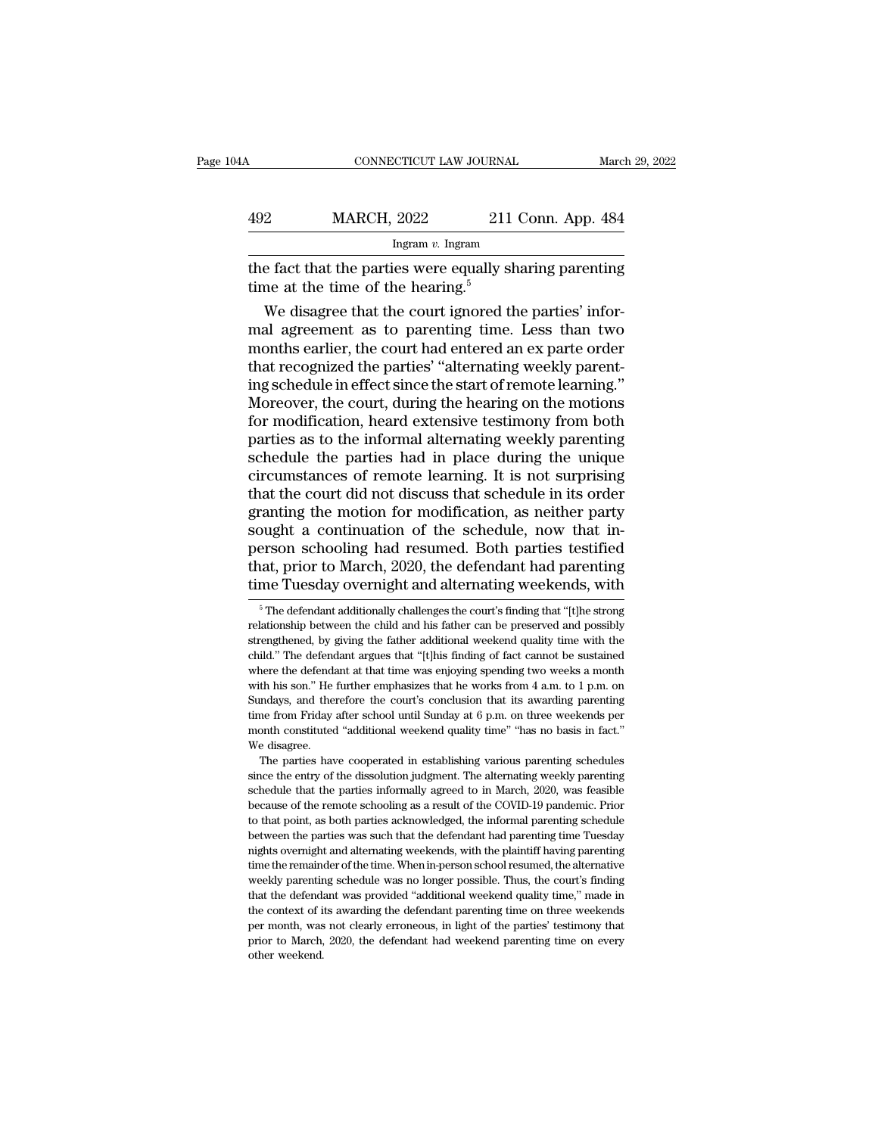| )4A | CONNECTICUT LAW JOURNAL                                                                                   |                    | March 29, 2022 |
|-----|-----------------------------------------------------------------------------------------------------------|--------------------|----------------|
| 492 | <b>MARCH, 2022</b>                                                                                        | 211 Conn. App. 484 |                |
|     | Ingram $v$ . Ingram                                                                                       |                    |                |
|     | the fact that the parties were equally sharing parenting<br>time at the time of the hearing. <sup>5</sup> |                    |                |
|     | We disagree that the court ignored the parties' infor-                                                    |                    |                |

MARCH,  $2022$  211 Conn. App. 484<br>
Ingram v. Ingram<br>
e fact that the parties were equally sharing parenting<br>
me at the time of the hearing.<sup>5</sup><br>
We disagree that the court ignored the parties' infor-<br>
all agreement as to pa MARCH, 2022 211 Conn. App. 484<br>
Ingram v. Ingram<br>
the fact that the parties were equally sharing parenting<br>
time at the time of the hearing.<sup>5</sup><br>
We disagree that the court ignored the parties' infor-<br>
mal agreement as to Ingram  $v$ . Ingram<br>
the fact that the parties were equally sharing parenting<br>
time at the time of the hearing.<sup>5</sup><br>
We disagree that the court ignored the parties' infor-<br>
mal agreement as to parenting time. Less than two<br> the fact that the parties were equally sharing parenting<br>time at the time of the hearing.<sup>5</sup><br>We disagree that the court ignored the parties' infor-<br>mal agreement as to parenting time. Less than two<br>months earlier, the cour the fact that the parties were equally sharing parenting<br>time at the time of the hearing.<sup>5</sup><br>We disagree that the court ignored the parties' infor-<br>mal agreement as to parenting time. Less than two<br>months earlier, the cour time at the time of the hearing."<br>We disagree that the court ignored the parties' informal agreement as to parenting time. Less than two<br>months earlier, the court had entered an ex parte order<br>that recognized the parties' We disagree that the court ignored the parties' informal agreement as to parenting time. Less than two<br>months earlier, the court had entered an ex parte order<br>that recognized the parties' "alternating weekly parent-<br>ing sc mal agreement as to parenting time. Less than two<br>months earlier, the court had entered an ex parte order<br>that recognized the parties' "alternating weekly parent-<br>ing schedule in effect since the start of remote learning." months earlier, the court had entered an ex parte order<br>that recognized the parties' "alternating weekly parent-<br>ing schedule in effect since the start of remote learning."<br>Moreover, the court, during the hearing on the mo that recognized the parties' "alternating weekly parent-<br>ing schedule in effect since the start of remote learning."<br>Moreover, the court, during the hearing on the motions<br>for modification, heard extensive testimony from b ing schedule in effect since the start of remote learning."<br>Moreover, the court, during the hearing on the motions<br>for modification, heard extensive testimony from both<br>parties as to the informal alternating weekly parenti Moreover, the court, during the hearing on the motions<br>for modification, heard extensive testimony from both<br>parties as to the informal alternating weekly parenting<br>schedule the parties had in place during the unique<br>circu for modification, heard extensive testimony from both<br>parties as to the informal alternating weekly parenting<br>schedule the parties had in place during the unique<br>circumstances of remote learning. It is not surprising<br>that parties as to the informal alternating weekly parenting<br>schedule the parties had in place during the unique<br>circumstances of remote learning. It is not surprising<br>that the court did not discuss that schedule in its order<br>g schedule the parties had in place during the unique<br>circumstances of remote learning. It is not surprising<br>that the court did not discuss that schedule in its order<br>granting the motion for modification, as neither party<br>so circumstances of remote learning. It is not surprising<br>that the court did not discuss that schedule in its order<br>granting the motion for modification, as neither party<br>sought a continuation of the schedule, now that in-<br>pe bught a continuation of the schedule, now that in-<br>erson schooling had resumed. Both parties testified<br>nat, prior to March, 2020, the defendant had parenting<br>me Tuesday overnight and alternating weekends, with<br><sup>5</sup>The defen person schooling had resumed. Both parties testified<br>that, prior to March, 2020, the defendant had parenting<br>time Tuesday overnight and alternating weekends, with<br><sup>5</sup> The defendant additionally challenges the court's findi

that, prior to March, 2020, the defendant had parenting<br>time Tuesday overnight and alternating weekends, with<br><sup>5</sup> The defendant additionally challenges the court's finding that "[t]he strong<br>relationship between the child time Tuesday overnight and alternating weekends, with<br>  $\frac{1}{100}$  in The defendant additionally challenges the court's finding that "[t]he strong<br>
relationship between the child and his father can be preserved and possib The Tuesday overring that atternating weekends, with<br>
<sup>5</sup> The defendant additionally challenges the court's finding that "[t]he strong<br>
relationship between the child and his father can be preserved and possibly<br>
strength <sup>5</sup> The defendant additionally challenges the court's finding that "[t]he strong relationship between the child and his father can be preserved and possibly strengthened, by giving the father additional weekend quality ti relationship between the child and his father can be preserved and possibly strengthened, by giving the father additional weekend quality time with the child." The defendant argues that "[t]his finding of fact cannot be s strengthened, by giving the father additional weekend quality time with the child." The defendant argues that "[t]his finding of fact cannot be sustained where the defendant at that time was enjoying spending two weeks a extind." The defendant argues that "[t]his finding of fact cannot be sustained where the defendant at that time was enjoying spending two weeks a month with his son." He further emphasizes that he works from 4 a.m. to 1 p. where the defendant at that time was enjoying spending two weeks a month<br>with his son." He further emphasizes that he works from 4 a.m. to 1 p.m. on<br>Sundays, and therefore the court's conclusion that its awarding parentin The parties have competed in establishing various parenting one of the entry of the further emphasizes that he works from 4 a.m. to 1 p.m. on mdays, and therefore the court's conclusion that its awarding parenting me from Sundays, and therefore the court's conclusion that its awarding parenting<br>Sundays, and therefore the court's conclusion that its awarding parenting<br>time from Friday after school until Sunday at 6 p.m. on three weekends per

schedule that the parties informally agreed to in three weekends per month constituted "additional weekend quality time" "has no basis in fact."<br>We disagree.<br>The parties have cooperated in establishing various parenting sc month constituted "additional weekend quality time" "has no basis in fact."<br>We disagree.<br>The parties have cooperated in establishing various parenting schedules<br>since the entry of the dissolution judgment. The alternating We disagree.<br>The parties have cooperated in establishing various parenting schedules<br>since the entry of the dissolution judgment. The alternating weekly parenting<br>schedule that the parties informally agreed to in March, 20 The parties have cooperated in establishing various parenting schedules<br>since the entry of the dissolution judgment. The alternating weekly parenting<br>schedule that the parties informally agreed to in March, 2020, was feasi is since the entry of the dissolution judgment. The alternating weekly parenting schedule that the parties informally agreed to in March, 2020, was feasible because of the remote schooling as a result of the COVID-19 pande schedule that the parties informally agreed to in March, 2020, was feasible because of the remote schooling as a result of the COVID-19 pandemic. Prior to that point, as both parties acknowledged, the informal parenting sc because of the remote schooling as a result of the COVID-19 pandemic. Prior to that point, as both parties acknowledged, the informal parenting schedule between the parties was such that the defendant had parenting time Tu to that point, as both parties acknowledged, the informal parenting schedule between the parties was such that the defendant had parenting time Tuesday nights overnight and alternating weekends, with the plaintiff having p to that point, as both parties acknowledged, the informal parenting schedule between the parties was such that the defendant had parenting time Tuesday nights overnight and alternating weekends, with the plaintiff having p nights overnight and alternating weekends, with the plaintiff having parenting time the remainder of the time. When in-person school resumed, the alternative weekly parenting schedule was no longer possible. Thus, the cour rime the remainder of the time. When in-person school resumed, the alternative weekly parenting schedule was no longer possible. Thus, the court's finding that the defendant was provided "additional weekend quality time," weekly parenting schedule was no longer possible. Thus, the court's finding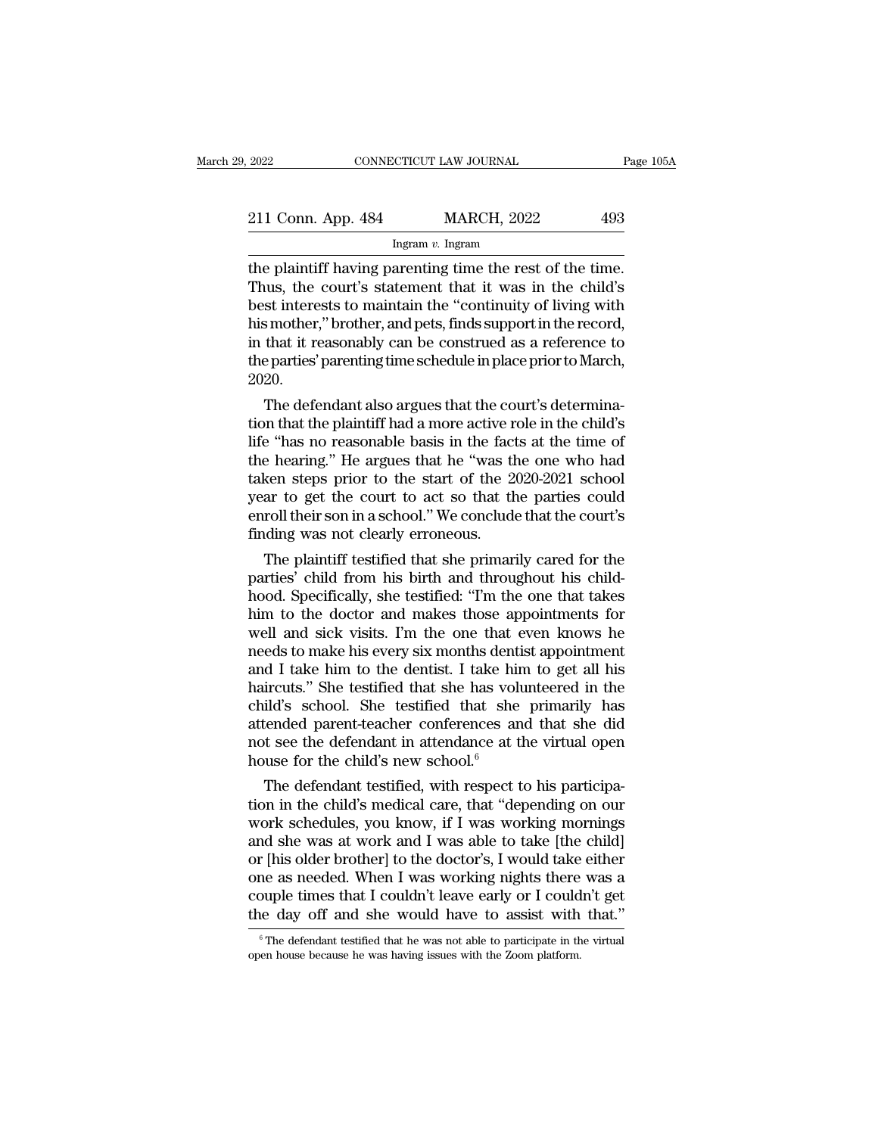| 2022               | CONNECTICUT LAW JOURNAL |                    | Page 105A |
|--------------------|-------------------------|--------------------|-----------|
| 211 Conn. App. 484 |                         | <b>MARCH, 2022</b> | 493       |
|                    | Ingram $v$ . Ingram     |                    |           |

The plaintiff having parenting time the rest of the time.<br>Thus, the court's statement that it was in the child's<br>best interest to maintain the "continuity of living with 211 Conn. App. 484 MARCH, 2022 493<br>
Ingram v. Ingram<br>
the plaintiff having parenting time the rest of the time.<br>
Thus, the court's statement that it was in the child's<br>
best interests to maintain the "continuity of living 211 Conn. App. 484 MARCH, 2022 493<br>
Ingram v. Ingram<br>
the plaintiff having parenting time the rest of the time.<br>
Thus, the court's statement that it was in the child's<br>
best interests to maintain the "continuity of living 211 Conn. App. 484 MARCH, 2022 493<br>
Ingram v. Ingram<br>
the plaintiff having parenting time the rest of the time.<br>
Thus, the court's statement that it was in the child's<br>
best interests to maintain the "continuity of living In the plaintiff having parenting time the rest of the time.<br>Thus, the court's statement that it was in the child's<br>best interests to maintain the "continuity of living with<br>his mother," brother, and pets, finds support i Ingram v. Ingram<br>the plaintiff having parenting time the rest of the time.<br>Thus, the court's statement that it was in the child's<br>best interests to maintain the "continuity of living with<br>his mother," brother, and pets, f 2020. ius, the court's statement that it was in the child's<br>st interests to maintain the "continuity of living with<br>smother," brother, and pets, finds support in the record,<br>that it reasonably can be construed as a reference to<br> best interests to maintain the continuity of living with<br>his mother," brother, and pets, finds support in the record,<br>in that it reasonably can be construed as a reference to<br>the parties' parenting time schedule in place p

has mother, brother, and pets, imas support in the record,<br>in that it reasonably can be construed as a reference to<br>the parties' parenting time schedule in place prior to March,<br>2020.<br>The defendant also argues that the cou In that it reasonably can be construed as a reference to<br>the parties' parenting time schedule in place prior to March,<br>2020.<br>The defendant also argues that the court's determina-<br>tion that the plaintiff had a more active r the parties parenting time schedule in place prior to March,<br>2020.<br>The defendant also argues that the court's determina-<br>tion that the plaintiff had a more active role in the child's<br>life "has no reasonable basis in the fa 2020.<br>The defendant also argues that the court's determination that the plaintiff had a more active role in the child's<br>life "has no reasonable basis in the facts at the time of<br>the hearing." He argues that he "was the one The defendant also argues that the court's determination that the plaintiff had a more active role in the child's life "has no reasonable basis in the facts at the time of the hearing." He argues that he "was the one who h tion that the plaintiff had a more active role in the child's<br>life "has no reasonable basis in the facts at the time of<br>the hearing." He argues that he "was the one who had<br>taken steps prior to the start of the 2020-2021 s e "nas no reasonable basis in the racts at the time of<br>e hearing." He argues that he "was the one who had<br>ken steps prior to the start of the 2020-2021 school<br>ar to get the court to act so that the parties could<br>roll their the nearing." He argues that he "was the one who had<br>taken steps prior to the start of the 2020-2021 school<br>year to get the court to act so that the parties could<br>enroll their son in a school." We conclude that the court's

taken steps prior to the start of the 2020-2021 school<br>year to get the court to act so that the parties could<br>enroll their son in a school." We conclude that the court's<br>finding was not clearly erroneous.<br>The plaintiff tes year to get the court to act so that the parties could<br>enroll their son in a school." We conclude that the court's<br>finding was not clearly erroneous.<br>The plaintiff testified that she primarily cared for the<br>parties' child enroll their son in a school." We conclude that the court's<br>finding was not clearly erroneous.<br>The plaintiff testified that she primarily cared for the<br>parties' child from his birth and throughout his child-<br>hood. Specific mang was not clearly erroneous.<br>
The plaintiff testified that she primarily cared for the<br>
parties' child from his birth and throughout his child-<br>
hood. Specifically, she testified: "I'm the one that takes<br>
him to the doc The plaintiff testified that she primarily cared for the parties' child from his birth and throughout his child-<br>hood. Specifically, she testified: "I'm the one that takes<br>him to the doctor and makes those appointments for parties' child from his birth and throughout his child-<br>hood. Specifically, she testified: "I'm the one that takes<br>him to the doctor and makes those appointments for<br>well and sick visits. I'm the one that even knows he<br>nee hood. Specifically, she testified: "I'm the one that takes<br>him to the doctor and makes those appointments for<br>well and sick visits. I'm the one that even knows he<br>needs to make his every six months dentist appointment<br>and him to the doctor and makes those appointments for<br>well and sick visits. I'm the one that even knows he<br>needs to make his every six months dentist appointment<br>and I take him to the dentist. I take him to get all his<br>hairc well and sick visits. I'm the one that even knows he<br>needs to make his every six months dentist appointment<br>and I take him to the dentist. I take him to get all his<br>haircuts." She testified that she has volunteered in the needs to make his every six months dentiand I take him to the dentist. I take him haircuts." She testified that she has volichild's school. She testified that she attended parent-teacher conferences an not see the defendan  $\alpha$  I take him to the dentist. I take him to get all his ircuts." She testified that she has volunteered in the ild's school. She testified that she primarily has tended parent-teacher conferences and that she did at see haircuts." She testined that she has volunteered in the child's school. She testified that she primarily has attended parent-teacher conferences and that she did not see the defendant in attendance at the virtual open hou

child's school. She testified that she primarily has<br>attended parent-teacher conferences and that she did<br>not see the defendant in attendance at the virtual open<br>house for the child's new school.<sup>6</sup><br>The defendant testifie attended parent-teacher conterences and that she did<br>not see the defendant in attendance at the virtual open<br>house for the child's new school.<sup>6</sup><br>The defendant testified, with respect to his participa-<br>tion in the child's not see the defendant in attendance at the virtual open<br>house for the child's new school.<sup>6</sup><br>The defendant testified, with respect to his participa-<br>tion in the child's medical care, that "depending on our<br>work schedules, house for the child's new school."<br>The defendant testified, with respect to his participation in the child's medical care, that "depending on our<br>work schedules, you know, if I was working mornings<br>and she was at work and The defendant testified, with respect to his participation in the child's medical care, that "depending on our work schedules, you know, if I was working mornings and she was at work and I was able to take [the child] or [ tion in the child's medical care, that "depending on our work schedules, you know, if I was working mornings and she was at work and I was able to take [the child] or [his older brother] to the doctor's, I would take eith f [his older brother] to the doctor's, I would take either<br>ne as needed. When I was working nights there was a<br>ouple times that I couldn't leave early or I couldn't get<br>le day off and she would have to assist with that."<br> one as needed. When I was working nights there couple times that I couldn't leave early or I could the day off and she would have to assist with  $\frac{1}{\pi}$   $\frac{1}{\pi}$  are defendant testified that he was not able to partic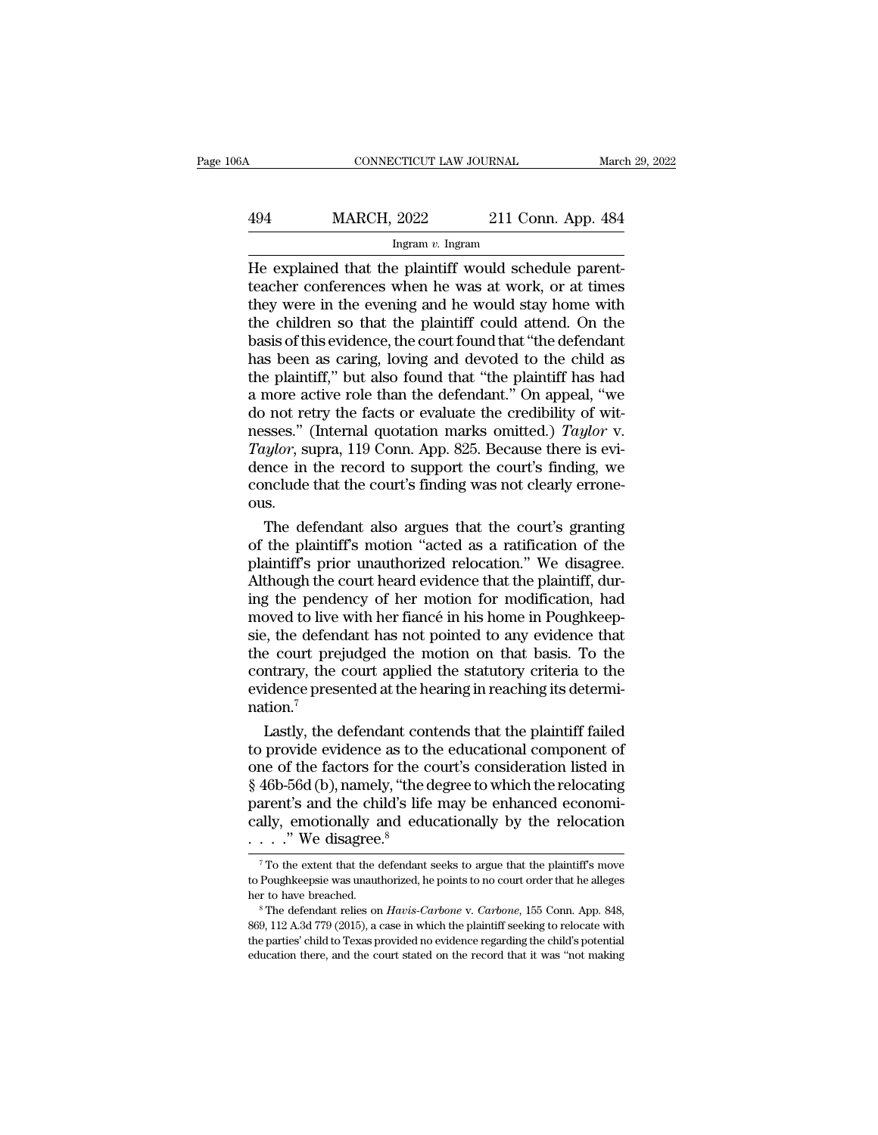## CONNECTICUT LAW JOURNAL March 29, 2022<br>494 MARCH, 2022 211 Conn. App. 484<br>Ingram v. Ingram Ingram *v.* Ingram

CONNECTICUT LAW JOURNAL March March March (1992)<br>
He explained that the plaintiff would schedule parent-<br>
He explained that the plaintiff would schedule parent-<br>
teacher conferences when he was at work, or at times<br>
they w  $\frac{494}{\text{MARCH}}$ , 2022 211 Conn. App. 484<br>
Ingram v. Ingram<br>
He explained that the plaintiff would schedule parent-<br>
teacher conferences when he was at work, or at times<br>
they were in the evening and he would stay home wit  $\frac{\text{MARCH}}{\text{Hgram } v \cdot \text{Hgram}}$ <br>  $\frac{\text{Hgram } v \cdot \text{Hgram}}{\text{Hmean } v \cdot \text{Hgram}}$ <br>
He explained that the plaintiff would schedule parent-<br>
teacher conferences when he was at work, or at times<br>
they were in the evening and he would stay home  $\frac{494}{\text{MARCH, 2022}}$  211 Conn. App. 484<br>
Ingram v. Ingram<br>
He explained that the plaintiff would schedule parent-<br>
teacher conferences when he was at work, or at times<br>
they were in the evening and he would stay home wit basis of this evidence, the court found that  $\frac{L}{L}$  and  $\frac{L}{L}$  is evidence.<br>
The explained that the plaintiff would schedule parent-<br>
teacher conferences when he was at work, or at times<br>
they were in the evening an Ingram v. Ingram<br>
He explained that the plaintiff would schedule parent-<br>
teacher conferences when he was at work, or at times<br>
they were in the evening and he would stay home with<br>
the children so that the plaintiff coul He explained that the plaintiff would schedule parent-<br>teacher conferences when he was at work, or at times<br>they were in the evening and he would stay home with<br>the children so that the plaintiff could attend. On the<br>basis teacher conferences when he was at work, or at times<br>they were in the evening and he would stay home with<br>the children so that the plaintiff could attend. On the<br>basis of this evidence, the court found that "the defendant<br> they were in the evening and he would stay home with<br>the children so that the plaintiff could attend. On the<br>basis of this evidence, the court found that "the defendant<br>has been as caring, loving and devoted to the child the children so that the plaintiff could attend. On the basis of this evidence, the court found that "the defendant has been as caring, loving and devoted to the child as the plaintiff," but also found that "the plaintiff basis of this evidence, the court found that "the defendant<br>has been as caring, loving and devoted to the child as<br>the plaintiff," but also found that "the plaintiff has had<br>a more active role than the defendant." On appea has been as caring, loving and devoted to the child as<br>the plaintiff," but also found that "the plaintiff has had<br>a more active role than the defendant." On appeal, "we<br>do not retry the facts or evaluate the credibility o the plaintiff," but also found that "the plaintiff has had<br>a more active role than the defendant." On appeal, "we<br>do not retry the facts or evaluate the credibility of wit-<br>nesses." (Internal quotation marks omitted.) *Tay* ous. o not retry the facts or evaluate the credibility of wit-<br>sses." (Internal quotation marks omitted.) Taylor v.<br>tylor, supra, 119 Conn. App. 825. Because there is evi-<br>nce in the record to support the court's finding, we<br>n nesses." (Internal quotation marks omitted.) Taylor v.<br>Taylor, supra, 119 Conn. App. 825. Because there is evi-<br>dence in the record to support the court's finding, we<br>conclude that the court's finding was not clearly erron

Taylor, supra, 119 Conn. App. 825. Because there is evidence in the record to support the court's finding, we conclude that the court's finding was not clearly errone-<br>ous.<br>The defendant also argues that the court's granti dence in the record to support the court's finding, we<br>conclude that the court's finding was not clearly errone-<br>ous.<br>The defendant also argues that the court's granting<br>of the plaintiff's motion "acted as a ratification o conclude that the court's finding was not clearly errone-<br>ous.<br>The defendant also argues that the court's granting<br>of the plaintiff's motion "acted as a ratification of the<br>plaintiff's prior unauthorized relocation." We di ous.<br>The defendant also argues that the court's granting<br>of the plaintiff's motion "acted as a ratification of the<br>plaintiff's prior unauthorized relocation." We disagree.<br>Although the court heard evidence that the plainti The defendant also argues that the court's granting<br>of the plaintiff's motion "acted as a ratification of the<br>plaintiff's prior unauthorized relocation." We disagree.<br>Although the court heard evidence that the plaintiff, d of the plaintiff's motion "acted as a ratification of the plaintiff's prior unauthorized relocation." We disagree.<br>Although the court heard evidence that the plaintiff, during the pendency of her motion for modification, h plaintiff's prior unauthorized relocation." We disagree.<br>Although the court heard evidence that the plaintiff, during the pendency of her motion for modification, had<br>moved to live with her fiancé in his home in Poughkeep-Although the court heard evidence that the plaintiff, during the pendency of her motion for modification, had moved to live with her fiancé in his home in Poughkeepsie, the defendant has not pointed to any evidence that t nation.<sup>7</sup> by oved to live with her fiancé in his home in Poughkeep-<br>
e, the defendant has not pointed to any evidence that<br>
e court prejudged the motion on that basis. To the<br>
ntrary, the court applied the statutory criteria to the<br> sie, the defendant has not pointed to any evidence that<br>the court prejudged the motion on that basis. To the<br>contrary, the court applied the statutory criteria to the<br>evidence presented at the hearing in reaching its dete

the court prejudged the motion on that basis. To the<br>contrary, the court applied the statutory criteria to the<br>evidence presented at the hearing in reaching its determi-<br>nation.<sup>7</sup><br>Lastly, the defendant contends that the p contrary, the court applied the statutory criteria to the<br>evidence presented at the hearing in reaching its determi-<br>nation.<sup>7</sup><br>Lastly, the defendant contends that the plaintiff failed<br>to provide evidence as to the educati evidence presented at the hearing in reaching its determination.<sup>7</sup><br>Lastly, the defendant contends that the plaintiff failed<br>to provide evidence as to the educational component of<br>one of the factors for the court's conside nation.<sup>7</sup><br>Lastly, the defendant contends that the plaintiff failed<br>to provide evidence as to the educational component of<br>one of the factors for the court's consideration listed in<br>§ 46b-56d (b), namely, "the degree to w Lastly, the defendant conto provide evidence as to the one of the factors for the c  $\$  46b-56d (b), namely, "the d parent's and the child's life cally, emotionally and edu  $\ldots$  ." We disagree.<sup>8</sup> 46b-56d (b), namely, "the degree to which the relocating<br>arent's and the child's life may be enhanced economi-<br>ally, emotionally and educationally by the relocation<br> $\cdots$ " We disagree.<sup>8</sup><br><sup>7</sup>To the extent that the defenda parent's and the child's life may be enhanced economically, emotionally and educationally by the relocation  $\ldots$ ." We disagree.<sup>8</sup><br>To the extent that the defendant seeks to argue that the plaintiff's move to Poughkeepsie

cally, emotionally and educationally by the relocation<br>  $\cdots$  " We disagree.<sup>8</sup><br>
<sup>7</sup> To the extent that the defendant seeks to argue that the plaintiff's move<br>
to Poughkeepsie was unauthorized, he points to no court order

<sup>&</sup>lt;sup>7</sup> To the extent that the defendant seeks to argue that the plaintiff's move<br>to Poughkeepsie was unauthorized, he points to no court order that he alleges<br>her to have breached.<br><sup>8</sup> The defendant relies on *Havis-Carbone* To the extent that the defendant seeks to argue that the plaintiff's move<br>to Poughkeepsie was unauthorized, he points to no court order that he alleges<br>her to have breached.<br><sup>8</sup> The defendant relies on *Havis-Carbone* v. to Poughkeepsie was unauthorized, he points to no court order that he alleges<br>her to have breached.<br><sup>8</sup> The defendant relies on *Havis-Carbone* v. *Carbone*, 155 Conn. App. 848,<br>869, 112 A.3d 779 (2015), a case in which t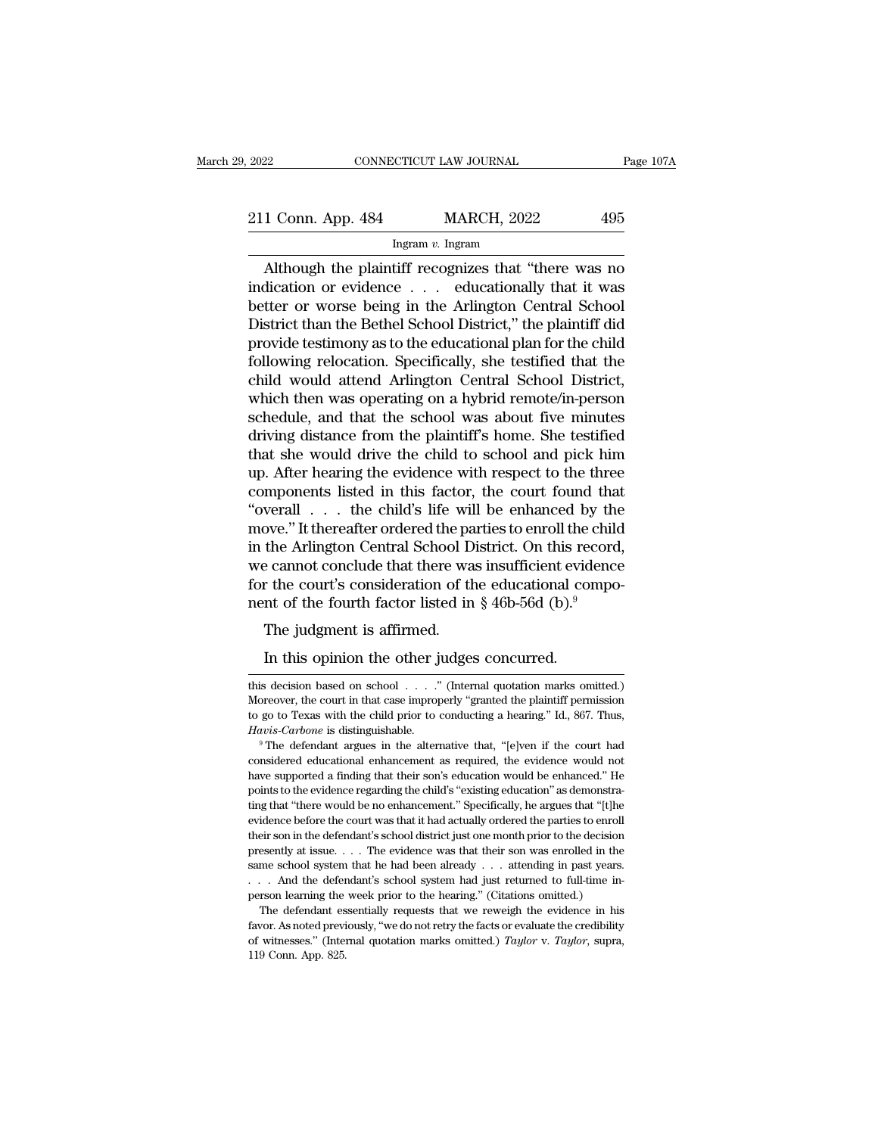# 2022 CONNECTICUT LAW JOURNAL Page 107A<br>211 Conn. App. 484 MARCH, 2022 495<br>Ingram v. Ingram

### Ingram *v.* Ingram

CONNECTICUT LAW JOURNAL Page 107A<br>
1 Conn. App. 484 MARCH, 2022 495<br>
Ingram v. Ingram<br>
Although the plaintiff recognizes that "there was no<br>
dication or evidence . . . educationally that it was<br>
the crucker or worse being 211 Conn. App. 484 MARCH, 2022 495<br>
Ingram v. Ingram<br>
Although the plaintiff recognizes that "there was no<br>
indication or evidence . . . educationally that it was<br>
better or worse being in the Arlington Central School<br>
Di 211 Conn. App. 484 MARCH, 2022 495<br>
Ingram v. Ingram<br>
Although the plaintiff recognizes that "there was no<br>
indication or evidence . . . educationally that it was<br>
better or worse being in the Arlington Central School<br>
Di 211 Conn. App. 484 MARCH, 2022 495<br>
Ingram v. Ingram<br>
Although the plaintiff recognizes that "there was no<br>
indication or evidence . . . educationally that it was<br>
better or worse being in the Arlington Central School<br>
Di For extra experimental planning testimony as to the plaintiff recognizes that "there was no indication or evidence  $\ldots$  educationally that it was better or worse being in the Arlington Central School District than the Be Following relationships are the plaintiff recognizes that "there was no<br>indication or evidence  $\ldots$  educationally that it was<br>better or worse being in the Arlington Central School<br>District than the Bethel School District Although the plaintiff recognizes that "there was no<br>indication or evidence  $\ldots$  educationally that it was<br>better or worse being in the Arlington Central School<br>District than the Bethel School District," the plaintiff di indication or evidence . . . educationally that it was<br>better or worse being in the Arlington Central School<br>District than the Bethel School District," the plaintiff did<br>provide testimony as to the educational plan for the better or worse being in the Arlington Central School<br>District than the Bethel School District," the plaintiff did<br>provide testimony as to the educational plan for the child<br>following relocation. Specifically, she testifie District than the Bethel School District," the plaintiff did<br>provide testimony as to the educational plan for the child<br>following relocation. Specifically, she testified that the<br>child would attend Arlington Central School provide testimony as to the educational plan for the child<br>following relocation. Specifically, she testified that the<br>child would attend Arlington Central School District,<br>which then was operating on a hybrid remote/in-per following relocation. Specifically, she testified that the child would attend Arlington Central School District, which then was operating on a hybrid remote/in-person schedule, and that the school was about five minutes dr child would attend Arlington Central School District,<br>which then was operating on a hybrid remote/in-person<br>schedule, and that the school was about five minutes<br>driving distance from the plaintiff's home. She testified<br>tha which then was operating on a hybrid remote/in-person<br>schedule, and that the school was about five minutes<br>driving distance from the plaintiff's home. She testified<br>that she would drive the child to school and pick him<br>up. schedule, and that the school was about five minutes<br>driving distance from the plaintiff's home. She testified<br>that she would drive the child to school and pick him<br>up. After hearing the evidence with respect to the three<br> driving distance from the plaintiff's home. She testified<br>that she would drive the child to school and pick him<br>up. After hearing the evidence with respect to the three<br>components listed in this factor, the court found tha that she would drive the child to school and pick him<br>up. After hearing the evidence with respect to the three<br>components listed in this factor, the court found that<br>"overall  $\ldots$  the child's life will be enhanced by the up. After hearing the evidence with respect to the three components listed in this factor, the court found that "overall  $\ldots$  the child's life will be enhanced by the move." It thereafter ordered the parties to enroll th components listed in this factor, the court found tha "overall  $\ldots$  the child's life will be enhanced by the move." It thereafter ordered the parties to enroll the child in the Arlington Central School District. On this veran : . . . the child's life which<br>ove." It thereafter ordered the pa<br>the Arlington Central School D<br>e cannot conclude that there was<br>r the court's consideration of th<br>nt of the fourth factor listed in<br>The judgment is af the Arlington Central School District. On this ree cannot conclude that there was insufficient evident or the court's consideration of the educational contract of the fourth factor listed in § 46b-56d (b).<sup>9</sup><br>The judgment

nent of the fourth factor listed in § 46b-56d (b)."<br>The judgment is affirmed.<br>In this opinion the other judges concurred.<br>this decision based on school . . . .." (Internal quotation marks omitted.)<br>Moreover, the court in t The judgment is affirmed.<br>
In this opinion the other judges concurred.<br>
this decision based on school . . . . " (Internal quotation marks omitted.)<br>
Moreover, the court in that case improperly "granted the plaintiff permi In this opinion the other judges concurred.<br>
this decision based on school . . . . " (Internal quotation marks omitted.)<br>
Moreover, the court in that case improperly "granted the plaintiff permission<br>
to go to Texas with t *Havis-Carbone* is distinguishable. <sup>9</sup> The defendant argues in the alternative that  $\mu$  are defendant argues in the court in that case improperly "granted the plaintiff permission to go to Texas with the child prior to c This decision based on school . . . ." (Internal quotation marks omitted.)<br>Moreover, the court in that case improperly "granted the plaintiff permission<br>to go to Texas with the child prior to conducting a hearing." Id., 8

Moreover, the court in that case inproperly "granted the plaintiff permission<br>to go to Texas with the child prior to conducting a hearing." Id., 867. Thus,<br>*Havis-Carbone* is distinguishable.<br>"The defendant argues in the a to go to Texas with the child prior to conducting a hearing." Id., 867. Thus,  $Havis-Carbone$  is distinguishable.<br>
<sup>9</sup> The defendant argues in the alternative that, "[e]ven if the court had considered educational enhancement as r Havis-Carbone is distinguishable.<br>
<sup>9</sup> The defendant argues in the alternative that, "[e]ven if the court had considered educational enhancement as required, the evidence would not have supported a finding that their son's <sup>19</sup> The defendant argues in the alternative that, "[e]ven if the court had considered educational enhancement as required, the evidence would not have supported a finding that their son's education would be enhanced." He considered educational enhancement as required, the evidence would not have supported a finding that their son's education would be enhanced." He points to the evidence regarding the child's "existing education" as demonst have supported a finding that their son's education would be enhanced." He points to the evidence regarding the child's "existing education" as demonstrating that "there would be no enhancement." Specifically, he argues th points to the evidence regarding the child's "existing education" as demonstrating that "there would be no enhancement." Specifically, he argues that "[t]he evidence before the court was that it had actually ordered the pa Figure 1. The evidence meant of the defendant's school district just one month prior is that "[t]he evidence before the court was that it had actually ordered the parties to enroll their son in the defendant's school dist exidence before the court was that it had actually ordered the parties to enroll<br>evidence before the court was that it had actually ordered the parties to enroll<br>their son in the defendant's school district just one month First solid district just one month prior to the decision esently at issue. . . . The evidence was that their son was enrolled in the me school system that he had been already . . . attending in past years. . And the defe Favor. As noted was that their son was enrolled in the same school system that he had been already . . . attending in past years.<br>
. . . And the defendant's school system had just returned to full-time in-<br>
person learnin presently at issue. . . . The evidence was that their son was enrolled in the same school system that he had been already . . . attending in past years. . . . And the defendant's school system had just returned to full-ti ... And the defendant's school system had just returned to full-time in-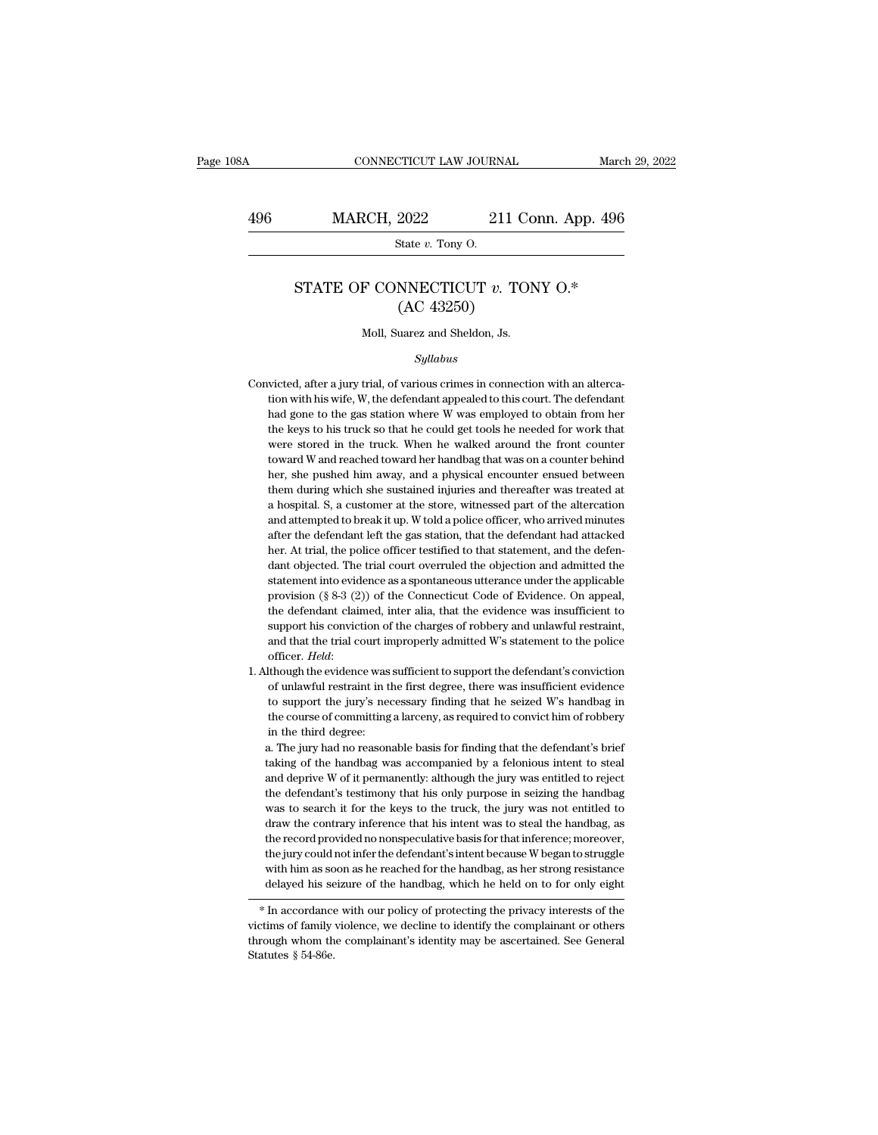## CONNECTICUT LAW JOURNAL March 29, 2022<br>496 MARCH, 2022 211 Conn. App. 496<br>State v. Tony O. FICUT LAW JOURN<br>
2022 21<br>
State *v*. Tony O.

### MARCH, 2022 211 Conn. App. 496<br>
State *v.* Tony 0.<br>
STATE OF CONNECTICUT *v.* TONY 0.\*<br>
(AC 43250) 2022 211 C<br>
State v. Tony O.<br>
NNECTICUT v. TO<br>
(AC 43250)<br>
uarez and Sheldon, Js. State  $v$ . Tony O.<br>
STATE OF CONNECTICUT  $v$ . TONY O.\*<br>
(AC 43250)<br>
Moll, Suarez and Sheldon, Js.

### *Syllabus*

- $\rm (AC~43250)$ <br>Moll, Suarez and Sheldon, Js.<br>Syllabus<br>Convicted, after a jury trial, of various crimes in connection with an alterca-<br>tion with his wife, W, the defendant appealed to this court. The defendant Moll, Suarez and Sheldon, Js.<br>Syllabus<br>victed, after a jury trial, of various crimes in connection with an alterca-<br>tion with his wife, W, the defendant appealed to this court. The defendant<br>had gone to the gas station whe Moll, Suarez and Sheldon, Js.<br>
Syllabus<br>
victed, after a jury trial, of various crimes in connection with an alterca-<br>
tion with his wife, W, the defendant appealed to this court. The defendant<br>
had gone to the gas station Syllabus<br>size of the keys to his court. The defendant<br>tion with his wife, W, the defendant appealed to this court. The defendant<br>had gone to the gas station where W was employed to obtain from her<br>the keys to his truck so symmus symmus is a symmus in connection with an altercation with his wife, W, the defendant appealed to this court. The defendant had gone to the gas station where W was employed to obtain from her the keys to his truck so victed, after a jury trial, of various crimes in connection with an altercation with his wife, W, the defendant appealed to this court. The defendant had gone to the gas station where W was employed to obtain from her the tion with his wife, W, the defendant appealed to this court. The defendant had gone to the gas station where W was employed to obtain from her the keys to his truck so that he could get tools he needed for work that were s had gone to the gas station where W was employed to obtain from her the keys to his truck so that he could get tools he needed for work that were stored in the truck. When he walked around the front counter toward W and re the keys to his truck so that he could get tools he needed for work that were stored in the truck. When he walked around the front counter toward W and reached toward her handbag that was on a counter behind her, she pushe were stored in the truck. When he walked around the front counter toward W and reached toward her handbag that was on a counter behind her, she pushed him away, and a physical encounter ensued between them during which she toward W and reached toward her handbag that was on a counter behind<br>her, she pushed him away, and a physical encounter ensued between<br>them during which she sustained injuries and thereafter was treated at<br>a hospital. S, a her, she pushed him away, and a physical encounter ensued between<br>them during which she sustained injuries and thereafter was treated at<br>a hospital. S, a customer at the store, witnessed part of the altercation<br>and attempt them during which she sustained injuries and thereafter was treated at a hospital. S, a customer at the store, witnessed part of the altercation and attempted to break it up. W told a police officer, who arrived minutes af a hospital. S, a customer at the store, witnessed part of the altercation<br>and attempted to break it up. W told a police officer, who arrived minutes<br>after the defendant left the gas station, that the defendant had attacked and attempted to break it up. W told a police officer, who arrived minutes after the defendant left the gas station, that the defendant had attacked her. At trial, the police officer testified to that statement, and the de after the defendant left the gas station, that the defendant had attacked her. At trial, the police officer testified to that statement, and the defendant objected. The trial court overruled the objection and admitted the after the defendant left the gas station, that the defendant had attacked<br>her. At trial, the police officer testified to that statement, and the defen-<br>dant objected. The trial court overruled the objection and admitted t dant objected. The trial court overruled the objection and admitted the statement into evidence as a spontaneous utterance under the applicable provision (§ 8-3 (2)) of the Connecticut Code of Evidence. On appeal, the def provision (§ 8-3 (2)) of the Connecticut Code of Evidence. On appeal, the defendant claimed, inter alia, that the evidence was insufficient to support his conviction of the charges of robbery and unlawful restraint, and t the defendant claimed, inter alia, that the evidence was insufficient to support his conviction of the charges of robbery and unlawful restraint, and that the trial court improperly admitted W's statement to the police off
- support his conviction of the charges of robbery and unlawful restraint,<br>and that the trial court improperly admitted W's statement to the police<br>officer. *Held*:<br>though the evidence was sufficient to support the defendant and that the trial court improperly admitted W's statement to the police officer. *Held*:<br>though the evidence was sufficient to support the defendant's conviction<br>of unlawful restraint in the first degree, there was insuff 1. Although the evidence was sufficient to support the defendant's conviction<br>of unlawful restraint in the first degree, there was insufficient evidence<br>to support the jury's necessary finding that he seized W's handbag i It<br>hough the evidence was sufficient to support the defendant's conviction<br>of unlawful restraint in the first degree, there was insufficient evidence<br>to support the jury's necessary finding that he seized W's handbag in<br>th of unlawful restraint in the first degree, there was insufficient evidence<br>to support the jury's necessary finding that he seized W's handbag in<br>the course of committing a larceny, as required to convict him of robbery<br>in

to support the jury's necessary finding that he seized W's handbag in the course of committing a larceny, as required to convict him of robbery in the third degree:<br>a. The jury had no reasonable basis for finding that the the course of committing a larceny, as required to convict him of robbery<br>in the third degree:<br>a. The jury had no reasonable basis for finding that the defendant's brief<br>taking of the handbag was accompanied by a felonious in the third degree:<br>a. The jury had no reasonable basis for finding that the defendant's brief<br>taking of the handbag was accompanied by a felonious intent to steal<br>and deprive W of it permanently: although the jury was en a. The jury had no reasonable basis for finding that the defendant's brief taking of the handbag was accompanied by a felonious intent to steal and deprive W of it permanently: although the jury was entitled to reject the taking of the handbag was accompanied by a felonious intent to steal<br>and deprive W of it permanently: although the jury was entitled to reject<br>the defendant's testimony that his only purpose in seizing the handbag<br>was to s and deprive W of it permanently: although the jury was entitled to reject the defendant's testimony that his only purpose in seizing the handbag was to search it for the keys to the truck, the jury was not entitled to draw the defendant's testimony that his only purpose in seizing the handbag was to search it for the keys to the truck, the jury was not entitled to draw the contrary inference that his intent was to steal the handbag, as the r was to search it for the keys to the truck, the jury was not entitled to draw the contrary inference that his intent was to steal the handbag, as the record provided no nonspeculative basis for that inference; moreover, t The family violence is family violence, we decline to identify the complainant or others are delayed his seizure of the handbag, as her strong resistance delayed his seizure of the handbag, which he held on to for only eig

the jury could not inter the defendant siment because w began to struggle<br>with him as soon as he reached for the handbag, as her strong resistance<br>delayed his seizure of the handbag, which he held on to for only eight<br>\* In with find as so<br>delayed his se<br> $*$  In accordance<br>victims of family<br>through whom th<br>Statutes § 54-86e.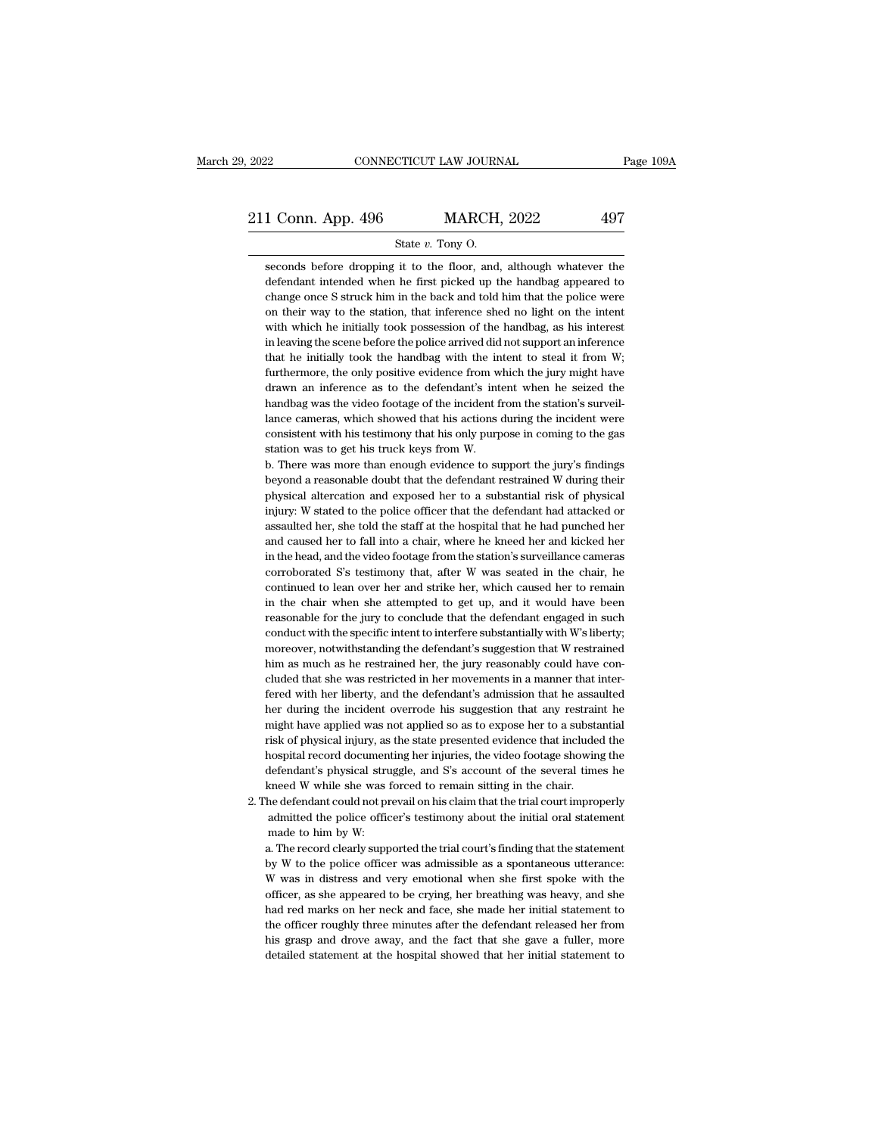1 Conn. App. 496 MARCH, 2022 497<br>State v. Tony O.<br>Seconds before dropping it to the floor, and, although whatever the defendant intended when he first picked up the handbag appeared to 1 Conn. App. 496 MARCH, 2022 497<br>State v. Tony O.<br>Seconds before dropping it to the floor, and, although whatever the<br>defendant intended when he first picked up the handbag appeared to<br>change once S struck him in the back **change on change on change on change once S struck him in the back and told him that the police were** on their way to the station, that inference shed no light on the intent on their way to the station, that inference sh State v. Tony O.<br>
State v. Tony O.<br>
State v. Tony O.<br>
State v. Tony O.<br>
defendant intended when he first picked up the handbag appeared to<br>
change once S struck him in the back and told him that the police were<br>
on their w State v. Tony O.<br>
Seconds before dropping it to the floor, and, although whatever the<br>
defendant intended when he first picked up the handbag appeared to<br>
change once S struck him in the back and told him that the police w seconds before dropping it to the floor, and, although whatever the defendant intended when he first picked up the handbag appeared to change once S struck him in the back and told him that the police were on their way to defendant intended when he first picked up the handbag appeared to change once S struck him in the back and told him that the police were on their way to the station, that inference shed no light on the intent with which h change once S struck him in the back and told him that the police were<br>on their way to the station, that inference shed no light on the intent<br>with which he initially took possession of the handbag, as his interest<br>in leav on their way to the station, that inference shed no light on the intent with which he initially took possession of the handbag, as his interest in leaving the scene before the police arrived did not support an inference th on their way to the station, that inference shed no light on the intent with which he initially took possession of the handbag, as his interest in leaving the scene before the police arrived did not support an inference th in leaving the scene before the police arrived did not support an inference that he initially took the handbag with the intent to steal it from W; furthermore, the only positive evidence from which the jury might have draw that he initially took the handbag with the intent to steal it from W; furthermore, the only positive evidence from which the jury might have drawn an inference as to the defendant's intent when he seized the handbag was t furthermore, the only positive evidence from w<br>drawn an inference as to the defendant's int<br>handbag was the video footage of the incident f<br>lance cameras, which showed that his actions of<br>consistent with his testimony that drawn an inference as to the defendant's intent when he seized the handbag was the video footage of the incident from the station's surveillance cameras, which showed that his actions during the incident were consistent wi handbag was the video footage of the incident from the station's surveillance cameras, which showed that his actions during the incident were consistent with his testimony that his only purpose in coming to the gas station

lance cameras, which showed that his actions during the incident were consistent with his testimony that his only purpose in coming to the gas station was to get his truck keys from W.<br>b. There was more than enough evidenc consistent with his testimony that his only purpose in coming to the gas<br>station was to get his truck keys from W.<br>b. There was more than enough evidence to support the jury's findings<br>beyond a reasonable doubt that the de station was to get his truck keys from W.<br>
b. There was more than enough evidence to support the jury's findings<br>
beyond a reasonable doubt that the defendant restrained W during their<br>
physical altercation and exposed her b. There was more than enough evidence to support the jury's findings<br>beyond a reasonable doubt that the defendant restrained W during their<br>physical altercation and exposed her to a substantial risk of physical<br>injury: W beyond a reasonable doubt that the defendant restrained W during their<br>physical altercation and exposed her to a substantial risk of physical<br>injury: W stated to the police officer that the defendant had attacked or<br>assaul physical altercation and exposed her to a substantial risk of physical<br>injury: W stated to the police officer that the defendant had attacked or<br>assaulted her, she told the staff at the hospital that he had punched her<br>and injury: W stated to the police officer that the defendant had attacked or assaulted her, she told the staff at the hospital that he had punched her and caused her to fall into a chair, where he kneed her and kicked her in assaulted her, she told the staff at the hospital that he had punched her and caused her to fall into a chair, where he kneed her and kicked her in the head, and the video footage from the station's surveillance cameras co and caused her to fall into a chair, where he kneed her and kicked her<br>in the head, and the video footage from the station's surveillance cameras<br>corroborated S's testimony that, after W was seated in the chair, he<br>continu in the head, and the video footage from the station's surveillance cameras corroborated S's testimony that, after W was seated in the chair, he continued to lean over her and strike her, which caused her to remain in the c corroborated S's testimony that, after W was seated in the chair, he continued to lean over her and strike her, which caused her to remain in the chair when she attempted to get up, and it would have been reasonable for th continued to lean over her and strike her, which caused her to remain<br>in the chair when she attempted to get up, and it would have been<br>reasonable for the jury to conclude that the defendant engaged in such<br>conduct with th in the chair when she attempted to get up, and it would have been<br>reasonable for the jury to conclude that the defendant engaged in such<br>conduct with the specific intent to interfere substantially with W's liberty;<br>moreove reasonable for the jury to conclude that the defendant engaged in such conduct with the specific intent to interfere substantially with W's liberty; moreover, notwithstanding the defendant's suggestion that W restrained hi conduct with the specific intent to interfere substantially with W's liberty;<br>moreover, notwithstanding the defendant's suggestion that W restrained<br>him as much as he restrained her, the jury reasonably could have con-<br>clu moreover, notwithstanding the defendant's suggestion that W restrained<br>him as much as he restrained her, the jury reasonably could have con-<br>cluded that she was restricted in her movements in a manner that inter-<br>fered wit him as much as he restrained her, the jury reasonably could have concluded that she was restricted in her movements in a manner that inter-<br>fered with her liberty, and the defendant's admission that he assaulted<br>her during cluded that she was restricted in her movements in a manner that inter-<br>fered with her liberty, and the defendant's admission that he assaulted<br>her during the incident overrode his suggestion that any restraint he<br>might ha fered with her liberty, and the defendant's admission that he assaulted<br>her during the incident overrode his suggestion that any restraint he<br>might have applied was not applied so as to expose her to a substantial<br>risk of her during the incident overrode his suggestion that any restrain might have applied was not applied so as to expose her to a substantisk of physical injury, as the state presented evidence that include hospital record doc might have applied was not applied so as to expose her to a substantial<br>risk of physical injury, as the state presented evidence that included the<br>hospital record documenting her injuries, the video footage showing the<br>def risk of physical injury, as the state presented evidence that included the nospital record documenting her injuries, the video footage showing the defendant's physical struggle, and S's account of the several times he meed nospital record documen<br>defendant's physical stru<br>meed W while she was is<br>the defendant could not pr<br>admitted the police offic<br>made to him by W:<br>a. The record clearly supp

defendant's physical struggle, and S's account of the several times he<br>kneed W while she was forced to remain sitting in the chair.<br>he defendant could not prevail on his claim that the trial court improperly<br>admitted the p

kneed W while she was forced to remain sitting in the chair.<br>
the defendant could not prevail on his claim that the trial court improperly<br>
admitted the police officer's testimony about the initial oral statement<br>
made to the defendant could not prevail on his claim that the trial court improperly admitted the police officer's testimony about the initial oral statement made to him by W:<br>a. The record clearly supported the trial court's find admitted the police officer's testimony about the initial oral statement<br>made to him by W:<br>a. The record clearly supported the trial court's finding that the statement<br>by W to the police officer was admissible as a spontan made to him by W:<br>a. The record clearly supported the trial court's finding that the statement<br>by W to the police officer was admissible as a spontaneous utterance:<br>W was in distress and very emotional when she first spoke a. The record clearly supported the trial court's finding that the statement<br>by W to the police officer was admissible as a spontaneous utterance:<br>W was in distress and very emotional when she first spoke with the<br>officer, by W to the police officer was admissible as a spontaneous utterance:<br>W was in distress and very emotional when she first spoke with the<br>officer, as she appeared to be crying, her breathing was heavy, and she<br>had red marks We was in distress and very emotional when she first spoke with the officer, as she appeared to be crying, her breathing was heavy, and she had red marks on her neck and face, she made her initial statement to the officer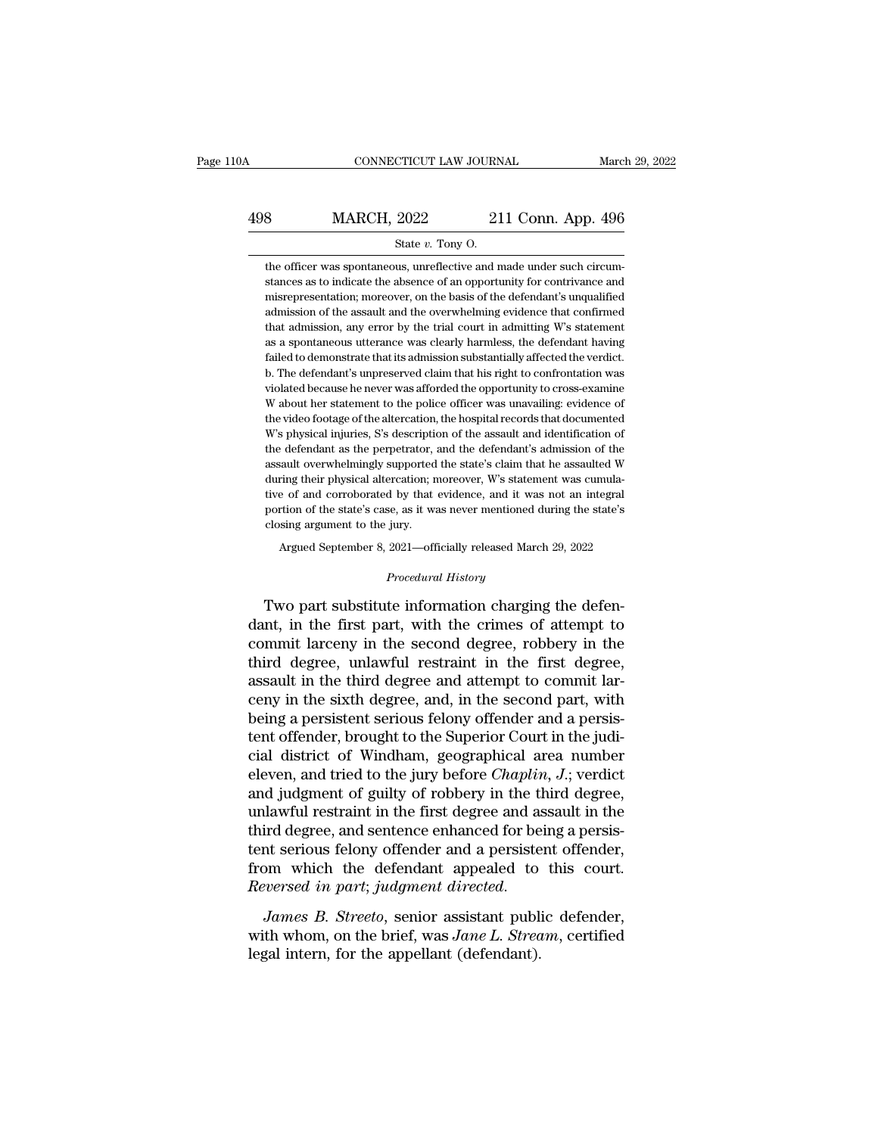# CONNECTICUT LAW JOURNAL March 29, 2022<br>498 MARCH, 2022 211 Conn. App. 496<br>5tate v. Tony O. ETICUT LAW JOURN<br>2022 21<br>State *v*. Tony O.<br>us, unreflective and n

MARCH, 2022 211 Conn. App. 496<br>
State v. Tony O.<br>
the officer was spontaneous, unreflective and made under such circum-<br>
stances as to indicate the absence of an opportunity for contrivance and **SUBARCH, 2022** 211 Conn. App. 496<br>
State v. Tony O.<br>
the officer was spontaneous, unreflective and made under such circumstances as to indicate the absence of an opportunity for contrivance and misrepresentation; moreove MARCH,  $2022$  211 Conn. App. 496<br>
State v. Tony O.<br>
the officer was spontaneous, unreflective and made under such circumstances as to indicate the absence of an opportunity for contrivance and<br>
misrepresentation; moreover  $\begin{minipage}[t]{0.9\linewidth} \textbf{State } v. \textbf{ Tony O}. \end{minipage} \vspace{0.1cm} \begin{minipage}[t]{0.9\linewidth} \textbf{State } v. \textbf{ Tony O}. \end{minipage} \vspace{0.1cm} \begin{minipage}[t]{0.9\linewidth} \textbf{states as to indicate the absence of an opportunity for contrivance and misrepresentation; moreover, on the basis of the defendant's unqualified admission of the assault and the overwhelming evidence that confirmed that admission, any error by the trial court in admitting W's statement. \end{minipage} \vspace{0.1cm} \begin{minipage}[t]{0.9\linewidth} \textbf{R} < 0. \end{minipage} \vspace{0.$ State v. Tony O.<br>the officer was spontaneous, unreflective and made under such circum-<br>stances as to indicate the absence of an opportunity for contrivance and<br>misrepresentation; moreover, on the basis of the defendant's u the officer was spontaneous, unreflective and made under such circum-<br>stances as to indicate the absence of an opportunity for contrivance and<br>misrepresentation; moreover, on the basis of the defendant's unqualified<br>admiss stances as to indicate the absence of an opportunity for contrivance and<br>misrepresentation; moreover, on the basis of the defendant's unqualified<br>admission of the assault and the overwhelming evidence that confirmed<br>that a misrepresentation; moreover, on the basis of the defendant's unqualified admission of the assault and the overwhelming evidence that confirmed that admission, any error by the trial court in admitting W's statement as a sp admission of the assault and the overwhelming evidence that confirmed<br>that admission, any error by the trial court in admitting W's statement<br>as a spontaneous utterance was clearly harmless, the defendant having<br>failed to that admission, any error by the trial court in admitting W's statement<br>as a spontaneous utterance was clearly harmless, the defendant having<br>failed to demonstrate that its admission substantially affected the verdict.<br>b. as a spontaneous utterance was clearly harmless, the defendant having<br>failed to demonstrate that its admission substantially affected the verdict.<br>b. The defendant's unpreserved claim that his right to confrontation was<br>vi failed to demonstrate that its admission substantially affected the verdict.<br>
b. The defendant's unpreserved claim that his right to confrontation was<br>
violated because he never was afforded the opportunity to cross-examin b. The defendant's unpreserved claim that his right to confrontation was violated because he never was afforded the opportunity to cross-examine W about her statement to the police officer was unavailing: evidence of the v violated because he never was afforded the opportunity to cross-examine W about her statement to the police officer was unavailing: evidence of the video footage of the altercation, the hospital records that documented W's violated because he never was afforded the opportunity to cross-examine W about her statement to the police officer was unavailing: evidence of the video footage of the altercation, the hospital records that documented W' the video footage of the altercation, the hospital records that documented W's physical injuries, S's description of the assault and identification of the defendant as the perpetrator, and the defendant's admission of the W's physical injuries, S's description of the assault and identification of the defendant as the perpetrator, and the defendant's admission of the assault overwhelmingly supported the state's claim that he assaulted W duri the defendant as the perpetrator, and the defendant's admission of the assault overwhelmingly supported the state's claim that he assaulted W during their physical altercation; moreover, W's statement was cumulative of an all solution overwhelmingly supported the state's claim that he assaulted W<br>ring their physical altercation; moreover, W's statement was cumula-<br>e of and corroborated by that evidence, and it was not an integral<br>rtion of t portion of the state's case, as it was never mentioned during the state's<br>closing argument to the jury.<br>*Procedural History*<br>*Procedural History*<br>**Procedural History**<br>**Procedural History**<br>**Procedural History** 

tive of and corroborated by that evidence, and it was not an integral<br>portion of the state's case, as it was never mentioned during the state's<br>closing argument to the jury.<br>Argued September 8, 2021—officially released Mar portion of the state's case, as it was never mentioned during the state's<br>closing argument to the jury.<br>Argued September 8, 2021—officially released March 29, 2022<br>*Procedural History*<br>Two part substitute information charg cosing argument to the Jury.<br>
Argued September 8, 2021—officially released March 29, 2022<br>
Procedural History<br>
Two part substitute information charging the defen-<br>
dant, in the first part, with the crimes of attempt to<br>
co Argued September 8, 2021—officially released March 29, 2022<br>
Procedural History<br>
Two part substitute information charging the defen-<br>
dant, in the first part, with the crimes of attempt to<br>
commit larceny in the second deg *Procedural History*<br>Two part substitute information charging the defen-<br>dant, in the first part, with the crimes of attempt to<br>commit larceny in the second degree, robbery in the<br>third degree, unlawful restraint in the fi Two part substitute information charging the defen-<br>dant, in the first part, with the crimes of attempt to<br>commit larceny in the second degree, robbery in the<br>third degree, unlawful restraint in the first degree,<br>assault i Two part substitute information charging the defendant, in the first part, with the crimes of attempt to commit larceny in the second degree, robbery in the third degree, unlawful restraint in the first degree, assault in dant, in the first part, with the crimes of attempt to commit larceny in the second degree, robbery in the third degree, unlawful restraint in the first degree, assault in the third degree and attempt to commit larceny in commit larceny in the second degree, robbery in the<br>third degree, unlawful restraint in the first degree,<br>assault in the third degree and attempt to commit lar-<br>ceny in the sixth degree, and, in the second part, with<br>being third degree, unlawful restraint in the first degree,<br>assault in the third degree and attempt to commit lar-<br>ceny in the sixth degree, and, in the second part, with<br>being a persistent serious felony offender and a persis-<br> assault in the third degree and attempt to commit larceny in the sixth degree, and, in the second part, with being a persistent serious felony offender and a persistent offender, brought to the Superior Court in the judici ceny in the sixth degree, and, in the second part, with<br>being a persistent serious felony offender and a persis-<br>tent offender, brought to the Superior Court in the judi-<br>cial district of Windham, geographical area number<br> being a persistent serious felony offender and a persistent offender, brought to the Superior Court in the judicial district of Windham, geographical area number<br>eleven, and tried to the jury before *Chaplin*, J.; verdict<br> tent offender, brought to the Superior Court in the judicial district of Windham, geographical area number<br>eleven, and tried to the jury before *Chaplin*, *J*.; verdict<br>and judgment of guilty of robbery in the third degree cial district of Windham, geographical area number<br>eleven, and tried to the jury before *Chaplin*,  $J$ .; verdict<br>and judgment of guilty of robbery in the third degree,<br>unlawful restraint in the first degree and assault in *Reversed in and tried to the jury before Chaplin, J.; verdict* and judgment of guilty of robbery in the third degree, unlawful restraint in the first degree and assault in the third degree, and sentence enhanced for being whird degree, and sentence enhanced for being a persistent serious felony offender and a persistent offender, from which the defendant appealed to this court.<br>*Reversed in part; judgment directed.*<br>*James B. Streeto, senio* Lend and a persiste tend and a persiste from which the defendant appealed to *Reversed in part*; *judgment directed.*<br>James B. Streeto, senior assistant publicant whom, on the brief, was Jane L. Streetingal intern, for the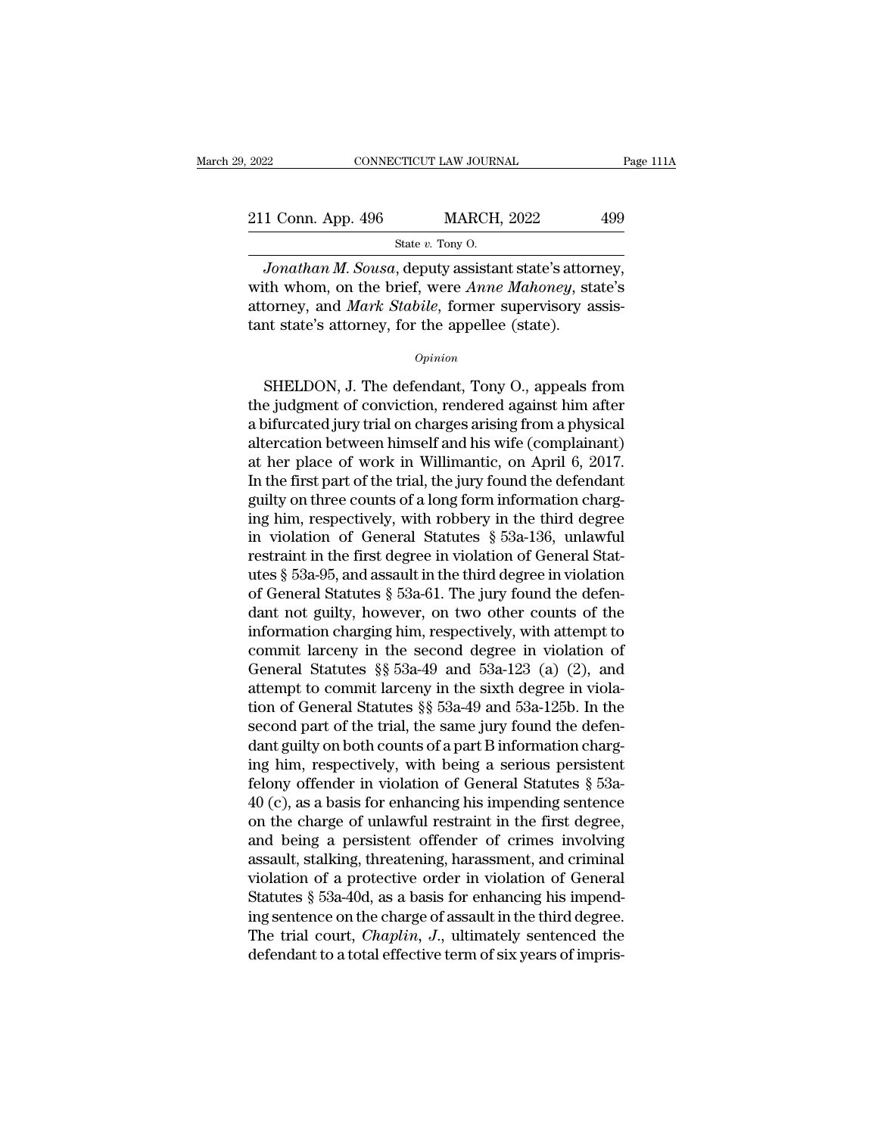| 2022               | CONNECTICUT LAW JOURNAL                              | Page 111A |
|--------------------|------------------------------------------------------|-----------|
| 211 Conn. App. 496 | <b>MARCH, 2022</b>                                   | 499       |
|                    | State $v$ . Tony O.                                  |           |
|                    | Jonathan M, Sousa, deputy assistant state's attorney |           |

*Jonathan M. Sousa*, deputy assistant state's attorney,<br> *Jonathan M. Sousa*, deputy assistant state's attorney,<br> *Jonathan M. Sousa*, deputy assistant state's attorney,<br>
th whom, on the brief, were *Anne Mahoney*, state's 211 Conn. App. 496 MARCH, 2022 499<br>State v. Tony O.<br>Jonathan M. Sousa, deputy assistant state's attorney,<br>with whom, on the brief, were *Anne Mahoney*, state's<br>attorney, and *Mark Stabile*, former supervisory assis-211 Conn. App. 496 MARCH, 2022 499<br>
State v. Tony O.<br>
Jonathan M. Sousa, deputy assistant state's attorney,<br>
with whom, on the brief, were Anne Mahoney, state's<br>
attorney, and *Mark Stabile*, former supervisory assis-<br>
tan 211 Conn. App. 496 MARCH, 2022<br>
State v. Tony O.<br>
Jonathan M. Sousa, deputy assistant state's attorney with whom, on the brief, were *Anne Mahoney*, stattorney, and *Mark Stabile*, former supervisory at tant state's attor Jonathan M. Sousa, deputy assistant state's attorney,<br>th whom, on the brief, were *Anne Mahoney*, state's<br>torney, and *Mark Stabile*, former supervisory assis-<br>at state's attorney, for the appellee (state).<br>Opinion<br>SHELDON

### *Opinion*

with whom, on the brief, were *Anne Mahoney*, state's<br>attorney, and *Mark Stabile*, former supervisory assistant state's attorney, for the appellee (state).<br>Opinion<br>SHELDON, J. The defendant, Tony O., appeals from<br>the judg attorney, and *Mark Stabile*, former supervisory assistant state's attorney, for the appellee (state).<br>  $\frac{Opinion}{}$ <br>
SHELDON, J. The defendant, Tony O., appeals from the judgment of conviction, rendered against him after a opinion<br>
compleme (state).<br>
Complement of conviction, rendered against him after<br>
a bifurcated jury trial on charges arising from a physical<br>
altercation between himself and his wife (complainant)<br>
at her place of work in **EXECT ON CONTA SHELDON, J. The defendant, Tony O., appeals from**<br>the judgment of conviction, rendered against him after<br>a bifurcated jury trial on charges arising from a physical<br>altercation between himself and his wife ( SHELDON, J. The defendant, Tony O., appeals from<br>the judgment of conviction, rendered against him after<br>a bifurcated jury trial on charges arising from a physical<br>altercation between himself and his wife (complainant)<br>at h SHELDON, J. The defendant, Tony O., appeals from<br>the judgment of conviction, rendered against him after<br>a bifurcated jury trial on charges arising from a physical<br>altercation between himself and his wife (complainant)<br>at the judgment of conviction, rendered against him after<br>a bifurcated jury trial on charges arising from a physical<br>altercation between himself and his wife (complainant)<br>at her place of work in Willimantic, on April 6, 2017 a bifurcated jury trial on charges arising from a physical<br>altercation between himself and his wife (complainant)<br>at her place of work in Willimantic, on April 6, 2017.<br>In the first part of the trial, the jury found the de altercation between himself and his wife (complainant)<br>at her place of work in Willimantic, on April 6, 2017.<br>In the first part of the trial, the jury found the defendant<br>guilty on three counts of a long form information at her place of work in Willimantic, on April 6, 2017.<br>In the first part of the trial, the jury found the defendant<br>guilty on three counts of a long form information charg-<br>ing him, respectively, with robbery in the third In the first part of the trial, the jury found the defendant<br>guilty on three counts of a long form information charg-<br>ing him, respectively, with robbery in the third degree<br>in violation of General Statutes § 53a-136, unl guilty on three counts of a long form information charging him, respectively, with robbery in the third degree<br>in violation of General Statutes § 53a-136, unlawful<br>restraint in the first degree in violation of General Stat ing him, respectively, with robbery in the third degree<br>in violation of General Statutes § 53a-136, unlawful<br>restraint in the first degree in violation of General Stat-<br>utes § 53a-95, and assault in the third degree in vi in violation of General Statutes § 53a-136, unlawful<br>restraint in the first degree in violation of General Stat-<br>utes § 53a-95, and assault in the third degree in violation<br>of General Statutes § 53a-61. The jury found the restraint in the first degree in violation of General Stat-<br>utes § 53a-95, and assault in the third degree in violation<br>of General Statutes § 53a-61. The jury found the defen-<br>dant not guilty, however, on two other counts utes § 53a-95, and assault in the third degree in violation<br>of General Statutes § 53a-61. The jury found the defen-<br>dant not guilty, however, on two other counts of the<br>information charging him, respectively, with attempt of General Statutes § 53a-61. The jury found the defendant not guilty, however, on two other counts of the information charging him, respectively, with attempt to commit larceny in the second degree in violation of Genera dant not guilty, however, on two other counts of the<br>information charging him, respectively, with attempt to<br>commit larceny in the second degree in violation of<br>General Statutes §§ 53a-49 and 53a-123 (a) (2), and<br>attempt t information charging him, respectively, with attempt to<br>commit larceny in the second degree in violation of<br>General Statutes §§ 53a-49 and 53a-123 (a) (2), and<br>attempt to commit larceny in the sixth degree in viola-<br>tion commit larceny in the second degree in violation of<br>General Statutes §§ 53a-49 and 53a-123 (a) (2), and<br>attempt to commit larceny in the sixth degree in viola-<br>tion of General Statutes §§ 53a-49 and 53a-125b. In the<br>secon General Statutes §§ 53a-49 and 53a-123 (a) (2), and<br>attempt to commit larceny in the sixth degree in viola-<br>tion of General Statutes §§ 53a-49 and 53a-125b. In the<br>second part of the trial, the same jury found the defen-<br> attempt to commit larceny in the sixth degree in violation of General Statutes §§ 53a-49 and 53a-125b. In the second part of the trial, the same jury found the defendant guilty on both counts of a part B information chargi tion of General Statutes  $\S$  53a-49 and 53a-125b. In the second part of the trial, the same jury found the defendant guilty on both counts of a part B information charging him, respectively, with being a serious persisten second part of the trial, the same jury found the defen-<br>dant guilty on both counts of a part B information charg-<br>ing him, respectively, with being a serious persistent<br>felony offender in violation of General Statutes § 5 dant guilty on both counts of a part B information charging him, respectively, with being a serious persistent felony offender in violation of General Statutes  $\S$  53a-40 (c), as a basis for enhancing his impending senten ing him, respectively, with being a serious persistent<br>felony offender in violation of General Statutes  $\S$  53a-<br>40 (c), as a basis for enhancing his impending sentence<br>on the charge of unlawful restraint in the first deg felony offender in violation of General Statutes  $\S$  53a-40 (c), as a basis for enhancing his impending sentence<br>on the charge of unlawful restraint in the first degree,<br>and being a persistent offender of crimes involving 40 (c), as a basis for enhancing his impending sentence<br>on the charge of unlawful restraint in the first degree,<br>and being a persistent offender of crimes involving<br>assault, stalking, threatening, harassment, and criminal on the charge of unlawful restraint in the first degree,<br>and being a persistent offender of crimes involving<br>assault, stalking, threatening, harassment, and criminal<br>violation of a protective order in violation of General<br> and being a persistent offender of crimes involving<br>assault, stalking, threatening, harassment, and criminal<br>violation of a protective order in violation of General<br>Statutes § 53a-40d, as a basis for enhancing his impend-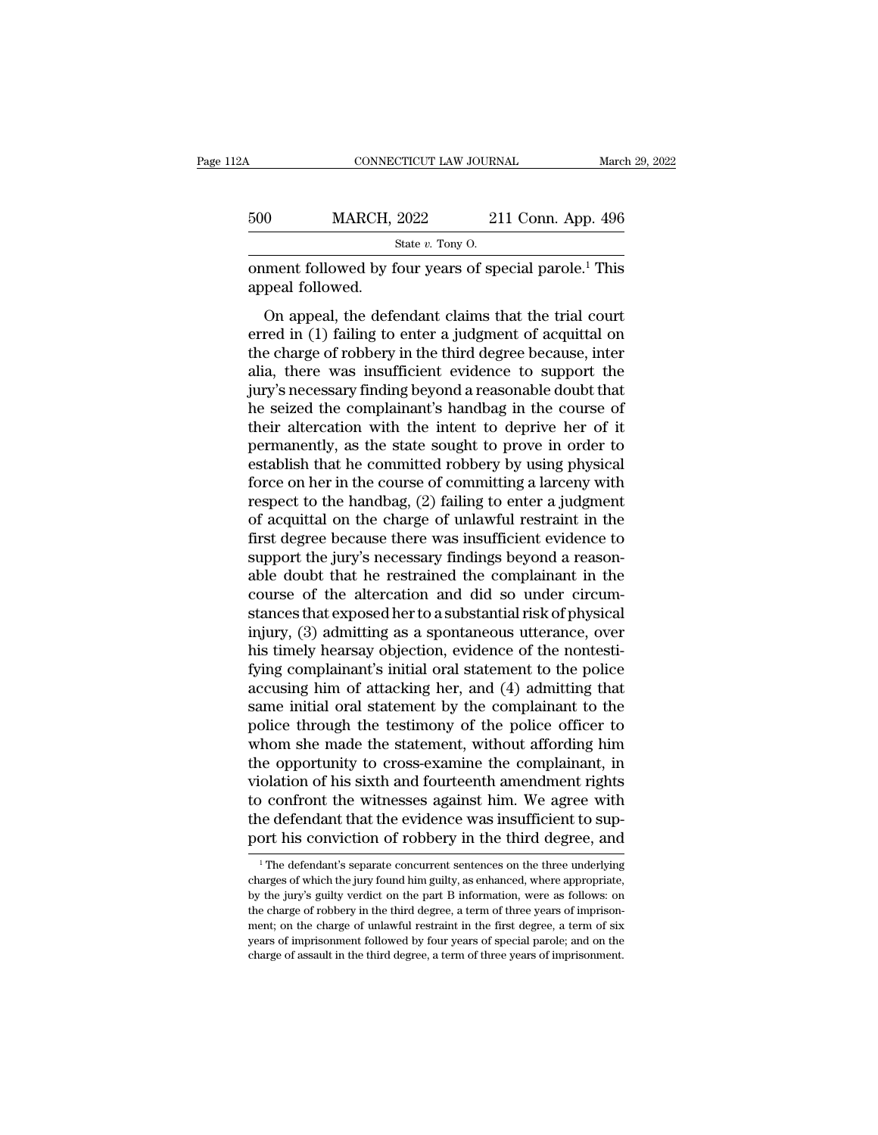| l2A | CONNECTICUT LAW JOURNAL                                                                |                    | March 29, 2022 |
|-----|----------------------------------------------------------------------------------------|--------------------|----------------|
| 500 | <b>MARCH, 2022</b>                                                                     | 211 Conn. App. 496 |                |
|     | State $v$ . Tony O.                                                                    |                    |                |
|     | onment followed by four years of special parole. <sup>1</sup> This<br>appeal followed. |                    |                |

On MARCH, 2022 211 Conn. App. 496<br>
State v. Tony O.<br>
Ment followed by four years of special parole.<sup>1</sup> This<br>
peal followed.<br>
On appeal, the defendant claims that the trial court<br>
red in (1) failing to enter a judgment of 500 MARCH, 2022 211 Conn. App. 496<br>  $\frac{\text{State } v. \text{ Tony O.}}{\text{Comment followed by four years of special parole.}}$ <br>
onment followed.<br>
On appeal, the defendant claims that the trial court<br>
erred in (1) failing to enter a judgment of acquittal on<br>
the charge of robbery State v. Tony O.<br>
State v. Tony O.<br>
State v. Tony O.<br>
State v. Tony O.<br>
On appeal followed.<br>
On appeal, the defendant claims that the trial court<br>
erred in (1) failing to enter a judgment of acquittal on<br>
the charge of ro onment followed by four years of special parole.<sup>1</sup> This<br>appeal followed.<br>On appeal, the defendant claims that the trial court<br>erred in (1) failing to enter a judgment of acquittal on<br>the charge of robbery in the third deg is appeal followed by four years of special parole. This<br>appeal followed.<br>On appeal, the defendant claims that the trial court<br>erred in (1) failing to enter a judgment of acquittal on<br>the charge of robbery in the third deg on appeal, the defendant claims that the trial court<br>erred in (1) failing to enter a judgment of acquittal on<br>the charge of robbery in the third degree because, inter<br>alia, there was insufficient evidence to support the<br>ju On appeal, the defendant claims that the trial court<br>erred in (1) failing to enter a judgment of acquittal on<br>the charge of robbery in the third degree because, inter<br>alia, there was insufficient evidence to support the<br>ju erred in (1) failing to enter a judgment of acquittal on<br>the charge of robbery in the third degree because, inter<br>alia, there was insufficient evidence to support the<br>jury's necessary finding beyond a reasonable doubt that the charge of robbery in the third degree because, inter<br>alia, there was insufficient evidence to support the<br>jury's necessary finding beyond a reasonable doubt that<br>he seized the complainant's handbag in the course of<br>the alia, there was insufficient evidence to support the<br>jury's necessary finding beyond a reasonable doubt that<br>he seized the complainant's handbag in the course of<br>their altercation with the intent to deprive her of it<br>perma jury's necessary finding beyond a reasonable doubt that<br>he seized the complainant's handbag in the course of<br>their altercation with the intent to deprive her of it<br>permanently, as the state sought to prove in order to<br>esta he seized the complainant's handbag in the course of<br>their altercation with the intent to deprive her of it<br>permanently, as the state sought to prove in order to<br>establish that he committed robbery by using physical<br>force their altercation with the intent to deprive her of it<br>permanently, as the state sought to prove in order to<br>establish that he committed robbery by using physical<br>force on her in the course of committing a larceny with<br>res permanently, as the state sought to prove in order to<br>establish that he committed robbery by using physical<br>force on her in the course of committing a larceny with<br>respect to the handbag, (2) failing to enter a judgment<br>of establish that he committed robbery by using physical<br>force on her in the course of committing a larceny with<br>respect to the handbag, (2) failing to enter a judgment<br>of acquittal on the charge of unlawful restraint in the<br> force on her in the course of committing a larceny with<br>respect to the handbag, (2) failing to enter a judgment<br>of acquittal on the charge of unlawful restraint in the<br>first degree because there was insufficient evidence respect to the handbag, (2) failing to enter a judgment<br>of acquittal on the charge of unlawful restraint in the<br>first degree because there was insufficient evidence to<br>support the jury's necessary findings beyond a reasonof acquittal on the charge of unlawful restraint in the<br>first degree because there was insufficient evidence to<br>support the jury's necessary findings beyond a reason-<br>able doubt that he restrained the complainant in the<br>co first degree because there was insufficient evidence to<br>support the jury's necessary findings beyond a reason-<br>able doubt that he restrained the complainant in the<br>course of the altercation and did so under circum-<br>stances support the jury's necessary findings beyond a reasonable doubt that he restrained the complainant in the course of the altercation and did so under circumstances that exposed her to a substantial risk of physical injury, able doubt that he restrained the complainant in the course of the altercation and did so under circumstances that exposed her to a substantial risk of physical injury, (3) admitting as a spontaneous utterance, over his ti course of the altercation and did so under circum-<br>stances that exposed her to a substantial risk of physical<br>injury, (3) admitting as a spontaneous utterance, over<br>his timely hearsay objection, evidence of the nontesti-<br>f stances that exposed her to a substantial risk of physical<br>injury, (3) admitting as a spontaneous utterance, over<br>his timely hearsay objection, evidence of the nontesti-<br>fying complainant's initial oral statement to the po injury, (3) admitting as a spontaneous utterance, over<br>his timely hearsay objection, evidence of the nontesti-<br>fying complainant's initial oral statement to the police<br>accusing him of attacking her, and (4) admitting that<br> his timely hearsay objection, evidence of the nontestifying complainant's initial oral statement to the police<br>accusing him of attacking her, and (4) admitting that<br>same initial oral statement by the complainant to the<br>pol fying complainant's initial oral statement to the police<br>accusing him of attacking her, and (4) admitting that<br>same initial oral statement by the complainant to the<br>police through the testimony of the police officer to<br>who accusing him of attacking her, and (4) admitting that<br>same initial oral statement by the complainant to the<br>police through the testimony of the police officer to<br>whom she made the statement, without affording him<br>the oppor same initial oral statement by the complainant to the police through the testimony of the police officer to whom she made the statement, without affording him the opportunity to cross-examine the complainant, in violation police through the testimony of the police officer to<br>whom she made the statement, without affording him<br>the opportunity to cross-examine the complainant, in<br>violation of his sixth and fourteenth amendment rights<br>to confro olation of his sixth and fourteenth amendment rights<br>o confront the witnesses against him. We agree with<br>ne defendant that the evidence was insufficient to sup-<br>ort his conviction of robbery in the third degree, and<br><sup>1</sup>The to confront the witnesses against him. We agree with<br>the defendant that the evidence was insufficient to sup-<br>port his conviction of robbery in the third degree, and<br> $\frac{1}{1}$  The defendant's separate concurrent sentences

the defendant that the evidence was insufficient to support his conviction of robbery in the third degree, and<br><sup>1</sup>The defendant's separate concurrent sentences on the three underlying charges of which the jury found him gu port his conviction of robbery in the third degree, and<br>
<sup>1</sup> The defendant's separate concurrent sentences on the three underlying<br>
charges of which the jury found him guilty, as enhanced, where appropriate,<br>
by the jury's The defendant's separate concurrent sentences on the three underlying<br>
The defendant's separate concurrent sentences on the three underlying<br>
charges of which the jury found him guilty, as enhanced, where appropriate,<br>
by <sup>1</sup> The defendant's separate concurrent sentences on the three underlying charges of which the jury found him guilty, as enhanced, where appropriate, by the jury's guilty verdict on the part B information, were as follows charges of which the jury found him guilty, as enhanced, where appropriate, by the jury's guilty verdict on the part B information, were as follows: on the charge of robbery in the third degree, a term of three years of im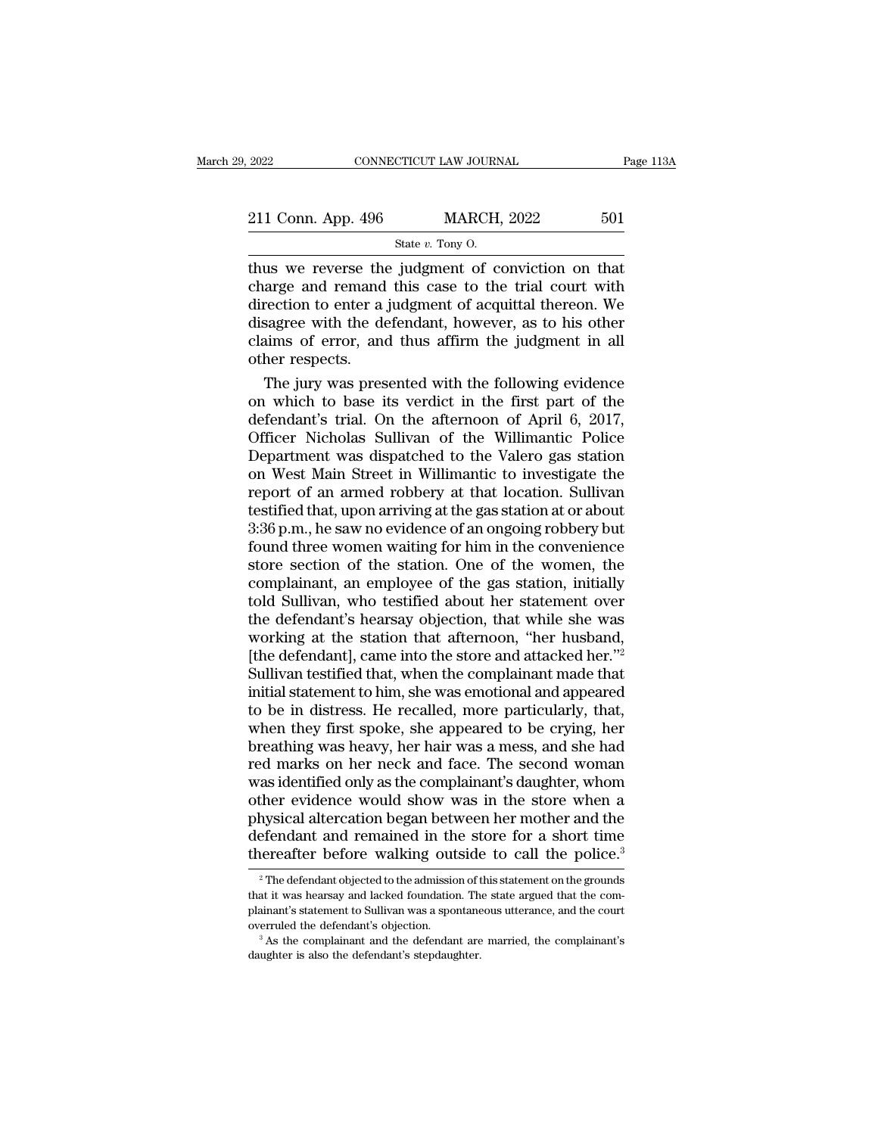| 2022                                               | CONNECTICUT LAW JOURNAL | Page 113A |
|----------------------------------------------------|-------------------------|-----------|
| 211 Conn. App. 496                                 | <b>MARCH, 2022</b>      | 501       |
|                                                    | State $v$ . Tony O.     |           |
| thus we reverse the judgment of conviction on that |                         |           |

 $\begin{array}{r|l}\n \text{2022} & \text{CONRECTICUT LAW JOURNAL} & \text{Page 113/}\n \hline\n \text{211 Conn. App. 496} & \text{MARCH, 2022} & \text{501}\n \hline\n \text{State } v. \text{ Tony 0.}\n \hline\n \text{thus we reverse the judgment of, 1}\n \text{charge and remain this case to the trial court with direction to enter a judgment of acouittal theorem.} \end{array}$ 211 Conn. App. 496 MARCH, 2022 501<br>
State v. Tony 0.<br>
thus we reverse the judgment of conviction on that<br>
charge and remand this case to the trial court with<br>
direction to enter a judgment of acquittal thereon. We<br>
disagr 211 Conn. App. 496 MARCH, 2022 501<br>
State v. Tony O.<br>
thus we reverse the judgment of conviction on that<br>
charge and remand this case to the trial court with<br>
direction to enter a judgment of acquittal thereon. We<br>
disagr 211 Conn. App. 496 MARCH, 2022 501<br>
State v. Tony O.<br>
thus we reverse the judgment of conviction on that<br>
charge and remand this case to the trial court with<br>
direction to enter a judgment of acquittal thereon. We<br>
disagr State v. Tony O.<br>
Thus we reverse the judgment of conviction on that<br>
charge and remand this case to the trial court with<br>
direction to enter a judgment of acquittal thereon. We<br>
disagree with the defendant, however, as t thus we reverse the<br>charge and remand<br>direction to enter a<br>disagree with the de<br>claims of error, and<br>other respects.<br>The jury was pres In the same of the same of conviction on that<br>arge and remand this case to the trial court with<br>rection to enter a judgment of acquittal thereon. We<br>sagree with the defendant, however, as to his other<br>aims of error, and t charge and remand this case to the trial court with<br>direction to enter a judgment of acquittal thereon. We<br>disagree with the defendant, however, as to his other<br>claims of error, and thus affirm the judgment in all<br>other re

direction to enter a judgment of acquittal thereon. We<br>disagree with the defendant, however, as to his other<br>claims of error, and thus affirm the judgment in all<br>other respects.<br>The jury was presented with the following ev disagree with the defendant, however, as to his other<br>claims of error, and thus affirm the judgment in all<br>other respects.<br>The jury was presented with the following evidence<br>on which to base its verdict in the first part o claims of error, and thus affirm the judgment in all<br>other respects.<br>The jury was presented with the following evidence<br>on which to base its verdict in the first part of the<br>defendant's trial. On the afternoon of April 6, other respects.<br>
The jury was presented with the following evidence<br>
on which to base its verdict in the first part of the<br>
defendant's trial. On the afternoon of April 6, 2017,<br>
Officer Nicholas Sullivan of the Willimanti The jury was presented with the following evidence<br>on which to base its verdict in the first part of the<br>defendant's trial. On the afternoon of April 6, 2017,<br>Officer Nicholas Sullivan of the Willimantic Police<br>Department on which to base its verdict in the first part of the<br>defendant's trial. On the afternoon of April 6, 2017,<br>Officer Nicholas Sullivan of the Willimantic Police<br>Department was dispatched to the Valero gas station<br>on West Ma defendant's trial. On the afternoon of April 6, 2017,<br>Officer Nicholas Sullivan of the Willimantic Police<br>Department was dispatched to the Valero gas station<br>on West Main Street in Willimantic to investigate the<br>report of Officer Nicholas Sullivan of the Willimantic Police<br>Department was dispatched to the Valero gas station<br>on West Main Street in Willimantic to investigate the<br>report of an armed robbery at that location. Sullivan<br>testified Department was dispatched to the Valero gas station<br>on West Main Street in Willimantic to investigate the<br>report of an armed robbery at that location. Sullivan<br>testified that, upon arriving at the gas station at or about<br>3 on West Main Street in Willimantic to investigate the<br>report of an armed robbery at that location. Sullivan<br>testified that, upon arriving at the gas station at or about<br>3:36 p.m., he saw no evidence of an ongoing robbery b report of an armed robbery at that location. Sullivan<br>testified that, upon arriving at the gas station at or about<br>3:36 p.m., he saw no evidence of an ongoing robbery but<br>found three women waiting for him in the convenienc testified that, upon arriving at the gas station at or about 3:36 p.m., he saw no evidence of an ongoing robbery but<br>found three women waiting for him in the convenience<br>store section of the station. One of the women, the<br> 3:36 p.m., he saw no evidence of an ongoing robbery but<br>found three women waiting for him in the convenience<br>store section of the station. One of the women, the<br>complainant, an employee of the gas station, initially<br>told found three women waiting for him in the convenience<br>store section of the station. One of the women, the<br>complainant, an employee of the gas station, initially<br>told Sullivan, who testified about her statement over<br>the defe store section of the station. One of the women, the complainant, an employee of the gas station, initially told Sullivan, who testified about her statement over the defendant's hearsay objection, that while she was working complainant, an employee of the gas station, initially<br>told Sullivan, who testified about her statement over<br>the defendant's hearsay objection, that while she was<br>working at the station that afternoon, "her husband,<br>[the d told Sullivan, who testified about her statement over<br>the defendant's hearsay objection, that while she was<br>working at the station that afternoon, "her husband,<br>[the defendant], came into the store and attacked her."<sup>2</sup><br>Su the defendant's hearsay objection, that while she was<br>working at the station that afternoon, "her husband,<br>[the defendant], came into the store and attacked her."<sup>2</sup><br>Sullivan testified that, when the complainant made that<br> working at the station that afternoon, "her husband,<br>[the defendant], came into the store and attacked her."<sup>2</sup><br>Sullivan testified that, when the complainant made that<br>initial statement to him, she was emotional and appear [the defendant], came into the store and attacked her."<sup>2</sup><br>Sullivan testified that, when the complainant made that<br>initial statement to him, she was emotional and appeared<br>to be in distress. He recalled, more particularly Sullivan testified that, when the complainant made that<br>initial statement to him, she was emotional and appeared<br>to be in distress. He recalled, more particularly, that,<br>when they first spoke, she appeared to be crying, he initial statement to him, she was emotional and appeared<br>to be in distress. He recalled, more particularly, that,<br>when they first spoke, she appeared to be crying, her<br>breathing was heavy, her hair was a mess, and she had<br> to be in distress. He recalled, more particularly, that,<br>when they first spoke, she appeared to be crying, her<br>breathing was heavy, her hair was a mess, and she had<br>red marks on her neck and face. The second woman<br>was iden when they first spoke, she appeared to be crying, her<br>breathing was heavy, her hair was a mess, and she had<br>red marks on her neck and face. The second woman<br>was identified only as the complainant's daughter, whom<br>other evi breathing was heavy, her hair was a mess, and she had<br>red marks on her neck and face. The second woman<br>was identified only as the complainant's daughter, whom<br>other evidence would show was in the store when a<br>physical alte ther evidence would show was in the store when a<br>hysical altercation began between her mother and the<br>efendant and remained in the store for a short time<br>ereafter before walking outside to call the police.<sup>3</sup><br><sup>2</sup>The defend physical altercation began between her mother and the defendant and remained in the store for a short time thereafter before walking outside to call the police.<sup>3</sup><br><sup>2</sup> The defendant objected to the admission of this statem

defendant and remained in the store for a short time<br>thereafter before walking outside to call the police.<sup>3</sup><br><sup>2</sup> The defendant objected to the admission of this statement on the grounds<br>that it was hearsay and lacked fou thereafter before walking outside to call the police.<sup>3</sup><br><sup>2</sup> The defendant objected to the admission of this statement on the grounds<br>that it was hearsay and lacked foundation. The state argued that the com-<br>plainant's st  $^2$  The defendant objected to the admission of this statement on the grounds that it was hearsay and lacked foundation. The state argued that the complainant's statement to Sullivan was a spontaneous utterance, and the c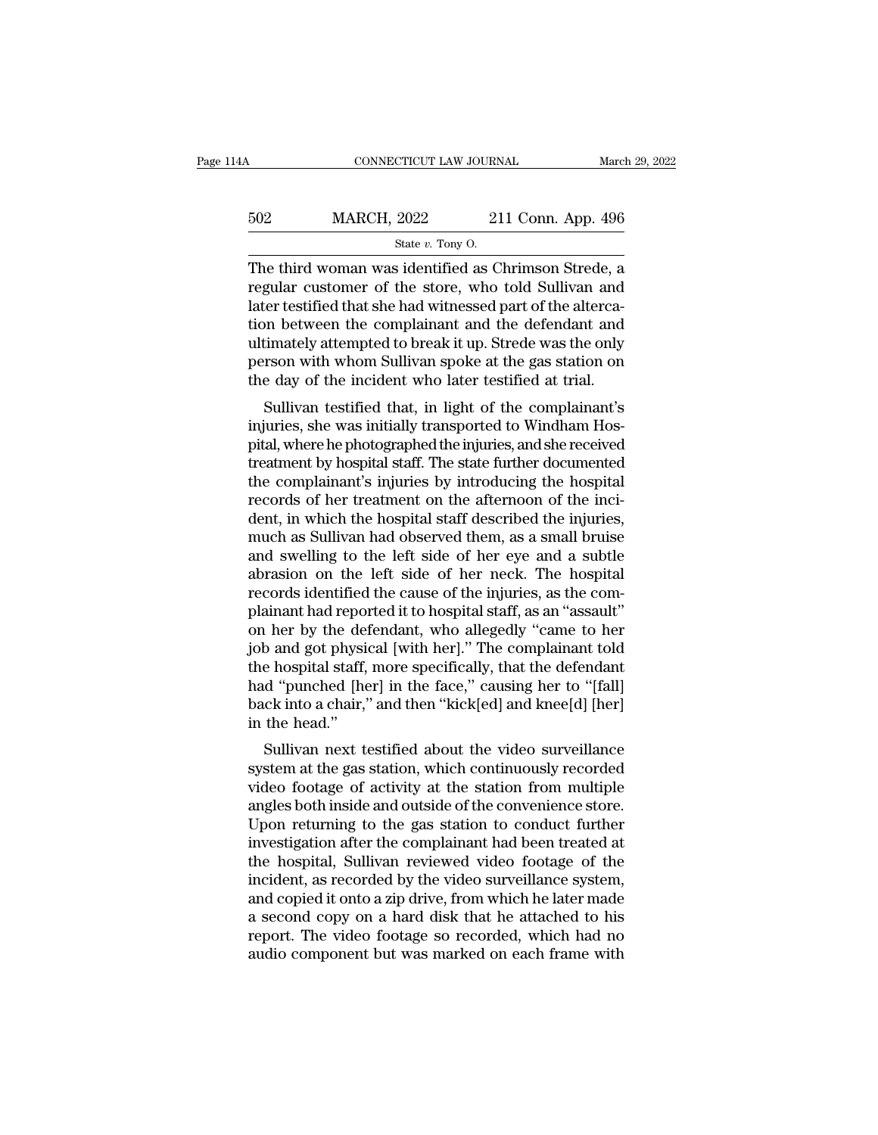| 14A | CONNECTICUT LAW JOURNAL                              |                    | March 29, 2022 |
|-----|------------------------------------------------------|--------------------|----------------|
| 502 | <b>MARCH, 2022</b>                                   | 211 Conn. App. 496 |                |
|     | State $v$ . Tony O.                                  |                    |                |
|     | The third woman was identified as Chrimson Strede, a |                    |                |

CONNECTICUT LAW JOURNAL March 29, 2022<br>  $\begin{array}{r}\n 502 \text{ MARCH, } 2022 \text{ 211 Conn. App. 496}\n \hline\n \text{State } v. \text{ Tony O.}\n \end{array}$ The third woman was identified as Chrimson Strede, a regular customer of the store, who told Sullivan and later t For the state with the state with the state with the state with the state with the store, who told Sullivan and later testified that she had witnessed part of the altercation between the complement and the defendant and  $\begin{array}{lll}\n 502 & \text{MARCH, } 2022 & 211 \text{ Conn. App. 496} \\
 \hline\n & \text{State } v. \text{ Tony O.} \\
 \hline\n \end{array}$ The third woman was identified as Chrimson Strede, a regular customer of the store, who told Sullivan and later testified that she had witnessed 502 MARCH, 2022 211 Conn. App. 496<br>  $\frac{\text{State } v. \text{ Tony O.}}{\text{The third woman was identified as Chrimson Strede, a  
\nregular customer of the store, who told Sullivan and  
\nlater testified that she had witnessed part of the alterca-  
\ntion between the complaint and the defendant and  
\nultimately attempted to break it up. Strede was the only  
\nnorson with whom Sullivan spoke at the gas station on$ State v. Tony O.<br>
The third woman was identified as Chrimson Strede, a<br>
regular customer of the store, who told Sullivan and<br>
later testified that she had witnessed part of the alterca-<br>
tion between the complainant and t state  $v$ . Tony O.<br>The third woman was identified as Chrimson Strede, a<br>regular customer of the store, who told Sullivan and<br>later testified that she had witnessed part of the alterca-<br>tion between the complainant and the The third woman was identified as Chrimson Strede, a<br>regular customer of the store, who told Sullivan and<br>later testified that she had witnessed part of the alterca-<br>tion between the complainant and the defendant and<br>ultim Example 1 at storier of the store, who told Sullivan and<br>ter testified that she had witnessed part of the alterca-<br>in between the complainant and the defendant and<br>timately attempted to break it up. Strede was the only<br>rso rater testined that she had whitessed part of the atterdation between the complainant and the defendant and ultimately attempted to break it up. Strede was the only person with whom Sullivan spoke at the gas station on the

profile the complainant and the defendant and<br>ultimately attempted to break it up. Strede was the only<br>person with whom Sullivan spoke at the gas station on<br>the day of the incident who later testified at trial.<br>Sullivan te treatment who sullivan spoke at the gas station on<br>the day of the incident who later testified at trial.<br>Sullivan testified that, in light of the complainant's<br>injuries, she was initially transported to Windham Hos-<br>pital, person with whold sunivant spoke at the gas station on<br>the day of the incident who later testified at trial.<br>Sullivan testified that, in light of the complainant's<br>injuries, she was initially transported to Windham Hos-<br>pi records of the includent who later testined at trial.<br>Sullivan testified that, in light of the complainant's<br>injuries, she was initially transported to Windham Hos-<br>pital, where he photographed the injuries, and she receiv Sullivan testified that, in light of the complainant's<br>injuries, she was initially transported to Windham Hos-<br>pital, where he photographed the injuries, and she received<br>treatment by hospital staff. The state further docu injuries, she was initially transported to Windham Hospital, where he photographed the injuries, and she received treatment by hospital staff. The state further documented the complainant's injuries by introducing the hosp pital, where he photographed the injuries, and she received<br>treatment by hospital staff. The state further documented<br>the complainant's injuries by introducing the hospital<br>records of her treatment on the afternoon of the treatment by hospital staff. The state further documented<br>the complainant's injuries by introducing the hospital<br>records of her treatment on the afternoon of the inci-<br>dent, in which the hospital staff described the injuri the complainant's injuries by introducing the hospital records of her treatment on the afternoon of the incident, in which the hospital staff described the injuries, much as Sullivan had observed them, as a small bruise an records of her treatment on the afternoon of the incident, in which the hospital staff described the injuries,<br>much as Sullivan had observed them, as a small bruise<br>and swelling to the left side of her eye and a subtle<br>abr dent, in which the hospital staff described the injuries,<br>much as Sullivan had observed them, as a small bruise<br>and swelling to the left side of her eye and a subtle<br>abrasion on the left side of her neck. The hospital<br>reco much as Sullivan had observed them, as a small bruise<br>and swelling to the left side of her eye and a subtle<br>abrasion on the left side of her neck. The hospital<br>records identified the cause of the injuries, as the com-<br>plai and swelling to the left side of her eye and a subtle<br>abrasion on the left side of her neck. The hospital<br>records identified the cause of the injuries, as the com-<br>plainant had reported it to hospital staff, as an "assault abrasion on the left side of her neck. The hospital<br>records identified the cause of the injuries, as the com-<br>plainant had reported it to hospital staff, as an "assault"<br>on her by the defendant, who allegedly "came to her<br> records identified the cause of the injuries, as the complainant had reported it to hospital staff, as an "assault" on her by the defendant, who allegedly "came to her job and got physical [with her]." The complainant told plainant had reported it to hospital staff, as an "assault"<br>on her by the defendant, who allegedly "came to her<br>job and got physical [with her]." The complainant told<br>the hospital staff, more specifically, that the defenda Free by the defendant, who anegetly claine to her<br>b and got physical [with her]." The complainant told<br>e hospital staff, more specifically, that the defendant<br>d "punched [her] in the face," causing her to "[fall]<br>ck into a show and got physical [with her]. The complainant total<br>the hospital staff, more specifically, that the defendant<br>had "punched [her] in the face," causing her to "[fall]<br>back into a chair," and then "kick[ed] and knee[d] [

Internoptical stati, interespectrically, that the defendant<br>had "punched [her] in the face," causing her to "[fall]<br>back into a chair," and then "kick[ed] and knee[d] [her]<br>in the head."<br>Sullivan next testified about the v rad punched [her] in the face, causing her to [han]<br>back into a chair," and then "kick[ed] and knee[d] [her]<br>in the head."<br>Sullivan next testified about the video surveillance<br>system at the gas station, which continuously back into a chair, and their kick[ed] and kife[d] [her]<br>in the head."<br>Sullivan next testified about the video surveillance<br>system at the gas station, which continuously recorded<br>video footage of activity at the station fro sullivan next testified about the video surveillance<br>system at the gas station, which continuously recorded<br>video footage of activity at the station from multiple<br>angles both inside and outside of the convenience store.<br>Up Sullivan next testified about the video surveillance<br>system at the gas station, which continuously recorded<br>video footage of activity at the station from multiple<br>angles both inside and outside of the convenience store.<br>Up system at the gas station, which continuously recorded<br>video footage of activity at the station from multiple<br>angles both inside and outside of the convenience store.<br>Upon returning to the gas station to conduct further<br>in video footage of activity at the station from multiple<br>angles both inside and outside of the convenience store.<br>Upon returning to the gas station to conduct further<br>investigation after the complainant had been treated at<br>t angles both inside and outside of the convenience store.<br>Upon returning to the gas station to conduct further<br>investigation after the complainant had been treated at<br>the hospital, Sullivan reviewed video footage of the<br>inc Upon returning to the gas station to conduct further<br>investigation after the complainant had been treated at<br>the hospital, Sullivan reviewed video footage of the<br>incident, as recorded by the video surveillance system,<br>and investigation after the complainant had been treated at<br>the hospital, Sullivan reviewed video footage of the<br>incident, as recorded by the video surveillance system,<br>and copied it onto a zip drive, from which he later made<br>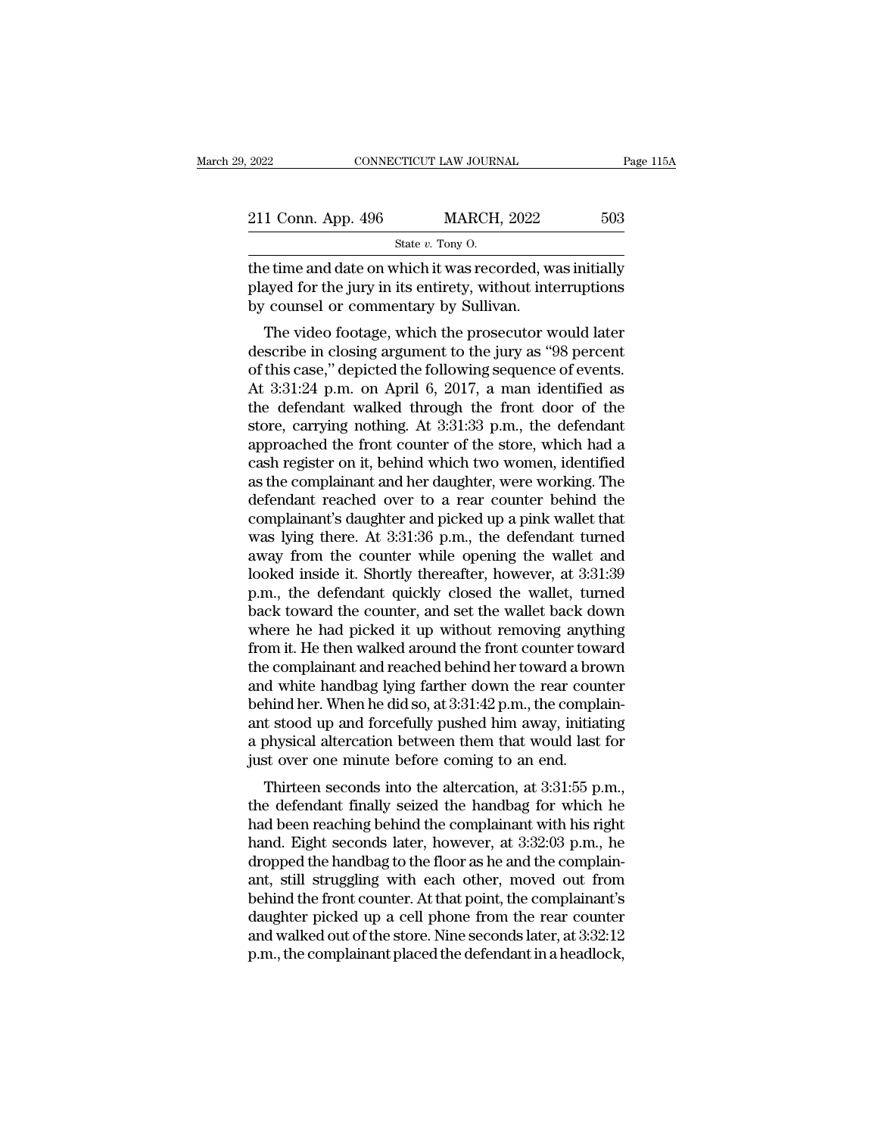| 2022                                                      | CONNECTICUT LAW JOURNAL | Page 115A |
|-----------------------------------------------------------|-------------------------|-----------|
|                                                           |                         |           |
| 211 Conn. App. 496                                        | <b>MARCH, 2022</b>      | 503       |
|                                                           | State $v$ . Tony O.     |           |
| the time and date on which it was recorded, was initially |                         |           |

2022 CONNECTICUT LAW JOURNAL Page 115A<br>
211 Conn. App. 496 MARCH, 2022 503<br>  $\frac{\text{State } v. \text{ Tony 0.}}{\text{State } v. \text{ Tony 0.}}$ <br>
the time and date on which it was recorded, was initially<br>
played for the jury in its entirety, without inter 211 Conn. App. 496 MARCH, 2022 503<br>
State v. Tony O.<br>
the time and date on which it was recorded, was initially<br>
played for the jury in its entirety, without interruptions<br>
by counsel or commentary by Sullivan.  $\begin{tabular}{ c c c} 211 \text{ Conn. App. 496} & \text{MARCH, 2022} \\ & \text{State $v$. Tony 0.} \\ \hline \end{tabular}$  <br> the time and date on which it was recorded, we played for the jury in its entirety, without inte<br> by counsel or commentary by Sullivan. The video footage 1 Conn. App. 496 MARCH, 2022 503<br>
State v. Tony O.<br>
E time and date on which it was recorded, was initially<br>
ayed for the jury in its entirety, without interruptions<br>
Counsel or commentary by Sullivan.<br>
The video footage,

State v. Tony O.<br>
the time and date on which it was recorded, was initially<br>
played for the jury in its entirety, without interruptions<br>
by counsel or commentary by Sullivan.<br>
The video footage, which the prosecutor would the time and date on which it was recorded, was initially<br>played for the jury in its entirety, without interruptions<br>by counsel or commentary by Sullivan.<br>The video footage, which the prosecutor would later<br>describe in clo the time and date of which it was recorded, was initially<br>played for the jury in its entirety, without interruptions<br>by counsel or commentary by Sullivan.<br>The video footage, which the prosecutor would later<br>describe in cl played for the jury in its entriety, whilout interruptions<br>by counsel or commentary by Sullivan.<br>The video footage, which the prosecutor would later<br>describe in closing argument to the jury as "98 percent<br>of this case," d by counser or commentary by sumvan.<br>The video footage, which the prosecutor would later<br>describe in closing argument to the jury as "98 percent<br>of this case," depicted the following sequence of events.<br>At 3:31:24 p.m. on A The video footage, which the prosecutor would later<br>describe in closing argument to the jury as "98 percent<br>of this case," depicted the following sequence of events.<br>At 3:31:24 p.m. on April 6, 2017, a man identified as<br>th describe in closing argument to the jury as "98 percent<br>of this case," depicted the following sequence of events.<br>At 3:31:24 p.m. on April 6, 2017, a man identified as<br>the defendant walked through the front door of the<br>sto of this case," depicted the following sequence of events.<br>At 3:31:24 p.m. on April 6, 2017, a man identified as<br>the defendant walked through the front door of the<br>store, carrying nothing. At 3:31:33 p.m., the defendant<br>app At 3:31:24 p.m. on April 6, 2017, a man identified as<br>the defendant walked through the front door of the<br>store, carrying nothing. At 3:31:33 p.m., the defendant<br>approached the front counter of the store, which had a<br>cash the defendant walked through the front door of the<br>store, carrying nothing. At 3:31:33 p.m., the defendant<br>approached the front counter of the store, which had a<br>cash register on it, behind which two women, identified<br>as t store, carrying nothing. At 3:31:33 p.m., the defendant<br>approached the front counter of the store, which had a<br>cash register on it, behind which two women, identified<br>as the complainant and her daughter, were working. The<br> approached the front counter of the store, which had a<br>cash register on it, behind which two women, identified<br>as the complainant and her daughter, were working. The<br>defendant reached over to a rear counter behind the<br>comp cash register on it, behind which two women, identified<br>as the complainant and her daughter, were working. The<br>defendant reached over to a rear counter behind the<br>complainant's daughter and picked up a pink wallet that<br>was as the complainant and her daughter, were working. The<br>defendant reached over to a rear counter behind the<br>complainant's daughter and picked up a pink wallet that<br>was lying there. At 3:31:36 p.m., the defendant turned<br>away defendant reached over to a rear counter behind the complainant's daughter and picked up a pink wallet that was lying there. At 3:31:36 p.m., the defendant turned away from the counter while opening the wallet and looked i complainant's daughter and picked up a pink wallet that<br>was lying there. At 3:31:36 p.m., the defendant turned<br>away from the counter while opening the wallet and<br>looked inside it. Shortly thereafter, however, at 3:31:39<br>p. was lying there. At 3:31:36 p.m., the defendant turned<br>away from the counter while opening the wallet and<br>looked inside it. Shortly thereafter, however, at 3:31:39<br>p.m., the defendant quickly closed the wallet, turned<br>back away from the counter while opening the wallet and<br>looked inside it. Shortly thereafter, however, at 3:31:39<br>p.m., the defendant quickly closed the wallet, turned<br>back toward the counter, and set the wallet back down<br>where looked inside it. Shortly thereafter, however, at 3:31:39<br>p.m., the defendant quickly closed the wallet, turned<br>back toward the counter, and set the wallet back down<br>where he had picked it up without removing anything<br>from p.m., the defendant quickly closed the wallet, turned<br>back toward the counter, and set the wallet back down<br>where he had picked it up without removing anything<br>from it. He then walked around the front counter toward<br>the co back toward the counter, and set the wallet back down<br>where he had picked it up without removing anything<br>from it. He then walked around the front counter toward<br>the complainant and reached behind her toward a brown<br>and wh where he had picked it up without removing anything<br>from it. He then walked around the front counter toward<br>the complainant and reached behind her toward a brown<br>and white handbag lying farther down the rear counter<br>behind from it. He then walked around the front counter tow<br>the complainant and reached behind her toward a bro<br>and white handbag lying farther down the rear coun<br>behind her. When he did so, at  $3:31:42$  p.m., the compla<br>ant sto e complainant and reached behind her toward a brown<br>d white handbag lying farther down the rear counter<br>hind her. When he did so, at 3:31:42 p.m., the complain-<br>t stood up and forcefully pushed him away, initiating<br>ohysica and while handbag fylig farther down the rear counter<br>behind her. When he did so, at 3:31:42 p.m., the complain-<br>ant stood up and forcefully pushed him away, initiating<br>a physical altercation between them that would last

behind her. when he did so, at 3.51.42 p.m., the complain-<br>ant stood up and forcefully pushed him away, initiating<br>a physical altercation between them that would last for<br>just over one minute before coming to an end.<br>Thirt ant stood up and forceruny pushed film away, initiating<br>a physical altercation between them that would last for<br>just over one minute before coming to an end.<br>Thirteen seconds into the altercation, at 3:31:55 p.m.,<br>the defe dependent of the handbag to the floor as he and the floor as the defendant finally seized the handbag for which he had been reaching behind the complainant with his right hand. Eight seconds later, however, at 3:32:03 p.m. Thirteen seconds into the altercation, at 3:31:55 p.m.,<br>Thirteen seconds into the altercation, at 3:31:55 p.m.,<br>the defendant finally seized the handbag for which he<br>had been reaching behind the complainant with his right<br> Thirteen seconds into the altercation, at  $3:31:55$  p.m.,<br>the defendant finally seized the handbag for which he<br>had been reaching behind the complainant with his right<br>hand. Eight seconds later, however, at  $3:32:03$  p.m. the defendant finally seized the handbag for which he<br>had been reaching behind the complainant with his right<br>hand. Eight seconds later, however, at 3:32:03 p.m., he<br>dropped the handbag to the floor as he and the complainhad been reaching behind the complainant with his right<br>hand. Eight seconds later, however, at 3:32:03 p.m., he<br>dropped the handbag to the floor as he and the complain-<br>ant, still struggling with each other, moved out from hand. Eight seconds later, however, at 3:32:03 p.m., he<br>dropped the handbag to the floor as he and the complain-<br>ant, still struggling with each other, moved out from<br>behind the front counter. At that point, the complainan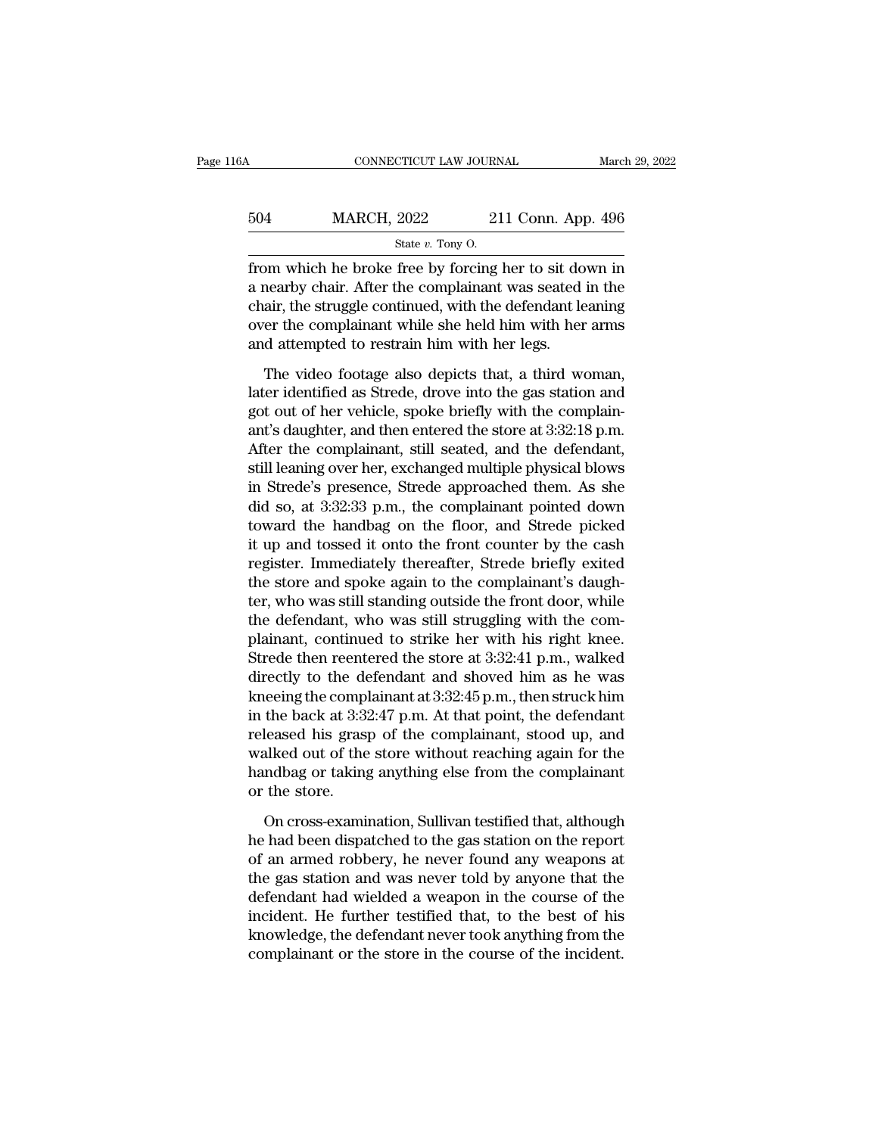| 6A  | CONNECTICUT LAW JOURNAL                                |                    | March 29, 2022 |
|-----|--------------------------------------------------------|--------------------|----------------|
| 504 | <b>MARCH, 2022</b>                                     | 211 Conn. App. 496 |                |
|     | State $v$ . Tony O.                                    |                    |                |
|     | from which he broke free by forcing her to sit down in |                    |                |

FROM SURVEY CONNECTICUT LAW JOURNAL March 29, 2022<br>
504 MARCH, 2022 211 Conn. App. 496<br>  $\frac{\text{State } v. \text{ Tony 0.}}{\text{State } v. \text{ Tony 0.}}$ <br>
from which he broke free by forcing her to sit down in<br>
a nearby chair. After the complainant was  $\frac{\text{MARCH}}{\text{State } v. \text{ Tony 0}}$ <br>  $\frac{\text{State } v. \text{ Tony 0}}{\text{Given the work of the body.}}$ <br>
a nearby chair. After the complainant was seated in the chair, the struggle continued, with the defendant leaning<br>
gives the complainant while she held him with her 504 MARCH, 2022 211 Conn. App. 496<br>  $\frac{\text{State } v. \text{ Tony O.}}{\text{from which he broke free by forcing her to sit down in}}$ <br>
a nearby chair. After the complainant was seated in the chair, the struggle continued, with the defendant leaning<br>
over the complainant while she hel MARCH, 2022 211 Conn. App. 496<br>  $\frac{\text{State } v. \text{ Tony O.}}{\text{from which he broke free by forcing her to sit down in}}$ <br>
a nearby chair. After the complainant was seated in the<br>
chair, the struggle continued, with the defendant leaning<br>
over the complainant while she held h  $\begin{array}{c}\n\hline\n\text{State } v. \text{ Tony O.} \\
\hline\n\end{array}\n\end{array}\n\text{rate } v. \text{ Tony O.}$ Im which he broke free by forcing her to sit down in<br>nearby chair. After the complainant was seated in the<br>air, the struggle continued, with the defendant leaning<br>er the complainant while she held him with her arms<br>d attem Level method in the strede is a stationary and a nearby chair. After the complainant was seated in the chair, the struggle continued, with the defendant leaning over the complainant while she held him with her arms and at

gotal continued, with the defendant leaning<br>chair, the struggle continued, with the defendant leaning<br>over the complainant while she held him with her arms<br>and attempted to restrain him with her legs.<br>The video footage als Frame, are satisfactory, which the determined forming<br>over the complainant while she held him with her arms<br>and attempted to restrain him with her legs.<br>The video footage also depicts that, a third woman,<br>later identified For the complainant while she head that well test data<br>and attempted to restrain him with her legs.<br>The video footage also depicts that, a third woman,<br>later identified as Strede, drove into the gas station and<br>got out of The video footage also depicts that, a third woman,<br>later identified as Strede, drove into the gas station and<br>got out of her vehicle, spoke briefly with the complain-<br>ant's daughter, and then entered the store at  $3:32:1$ The video footage also depicts that, a third woman,<br>later identified as Strede, drove into the gas station and<br>got out of her vehicle, spoke briefly with the complain-<br>ant's daughter, and then entered the store at 3:32:18 later identified as Strede, drove into the gas station and<br>got out of her vehicle, spoke briefly with the complain-<br>ant's daughter, and then entered the store at 3:32:18 p.m.<br>After the complainant, still seated, and the de got out of her vehicle, spoke briefly with the complain-<br>ant's daughter, and then entered the store at 3:32:18 p.m.<br>After the complainant, still seated, and the defendant,<br>still leaning over her, exchanged multiple physica ant's daughter, and then entered the store at 3:32:18 p.m.<br>After the complainant, still seated, and the defendant,<br>still leaning over her, exchanged multiple physical blows<br>in Strede's presence, Strede approached them. As After the complainant, still seated, and the defendant,<br>still leaning over her, exchanged multiple physical blows<br>in Strede's presence, Strede approached them. As she<br>did so, at 3:32:33 p.m., the complainant pointed down<br>t still leaning over her, exchanged multiple physical blows<br>in Strede's presence, Strede approached them. As she<br>did so, at 3:32:33 p.m., the complainant pointed down<br>toward the handbag on the floor, and Strede picked<br>it up in Strede's presence, Strede approached them. As she<br>did so, at 3:32:33 p.m., the complainant pointed down<br>toward the handbag on the floor, and Strede picked<br>it up and tossed it onto the front counter by the cash<br>register. did so, at 3:32:33 p.m., the complainant pointed down<br>toward the handbag on the floor, and Strede picked<br>it up and tossed it onto the front counter by the cash<br>register. Immediately thereafter, Strede briefly exited<br>the s toward the handbag on the floor, and Strede picked<br>it up and tossed it onto the front counter by the cash<br>register. Immediately thereafter, Strede briefly exited<br>the store and spoke again to the complainant's daugh-<br>ter, w it up and tossed it onto the front counter by the cash<br>register. Immediately thereafter, Strede briefly exited<br>the store and spoke again to the complainant's daugh-<br>ter, who was still standing outside the front door, whil register. Immediately thereafter, Strede briefly exited<br>the store and spoke again to the complainant's daugh-<br>ter, who was still standing outside the front door, while<br>the defendant, who was still struggling with the comthe store and spoke again to the complainant's daugh-<br>ter, who was still standing outside the front door, while<br>the defendant, who was still struggling with the com-<br>plainant, continued to strike her with his right knee.<br>S ter, who was still standing outside the front door, while<br>the defendant, who was still struggling with the com-<br>plainant, continued to strike her with his right knee.<br>Strede then reentered the store at 3:32:41 p.m., walked the defendant, who was still struggling with the complainant, continued to strike her with his right knee.<br>Strede then reentered the store at 3:32:41 p.m., walked<br>directly to the defendant and shoved him as he was<br>kneeing plainant, continued to strike her with his right knee.<br>Strede then reentered the store at 3:32:41 p.m., walked<br>directly to the defendant and shoved him as he was<br>kneeing the complainant at 3:32:45 p.m., then struck him<br>in Strede then reentered the store at 3:32:41 p.m., walked<br>directly to the defendant and shoved him as he was<br>kneeing the complainant at 3:32:45 p.m., then struck him<br>in the back at 3:32:47 p.m. At that point, the defendant<br> directly to the de<br>kneeing the compl<br>in the back at 3:3:<br>released his grasy<br>walked out of the<br>handbag or taking<br>or the store.<br>On cross-examin the back at 3:32:47 p.m. At that point, the defendant<br>leased his grasp of the complainant, stood up, and<br>alked out of the store without reaching again for the<br>ndbag or taking anything else from the complainant<br>the store.<br>O released his grasp of the complainant, stood up, and<br>walked out of the store without reaching again for the<br>handbag or taking anything else from the complainant<br>or the store.<br>On cross-examination, Sullivan testified that,

walked out of the store without reaching again for the<br>handbag or taking anything else from the complainant<br>or the store.<br>On cross-examination, Sullivan testified that, although<br>he had been dispatched to the gas station o handbag or taking anything else from the complainant<br>or the store.<br>On cross-examination, Sullivan testified that, although<br>he had been dispatched to the gas station on the report<br>of an armed robbery, he never found any wea or the store.<br>
On cross-examination, Sullivan testified that, although<br>
he had been dispatched to the gas station on the report<br>
of an armed robbery, he never found any weapons at<br>
the gas station and was never told by any On cross-examination, Sullivan testified that, although<br>he had been dispatched to the gas station on the report<br>of an armed robbery, he never found any weapons at<br>the gas station and was never told by anyone that the<br>defen On cross-examination, Sullivan testified that, although<br>he had been dispatched to the gas station on the report<br>of an armed robbery, he never found any weapons at<br>the gas station and was never told by anyone that the<br>defen he had been dispatched to the gas station on the report<br>of an armed robbery, he never found any weapons at<br>the gas station and was never told by anyone that the<br>defendant had wielded a weapon in the course of the<br>incident.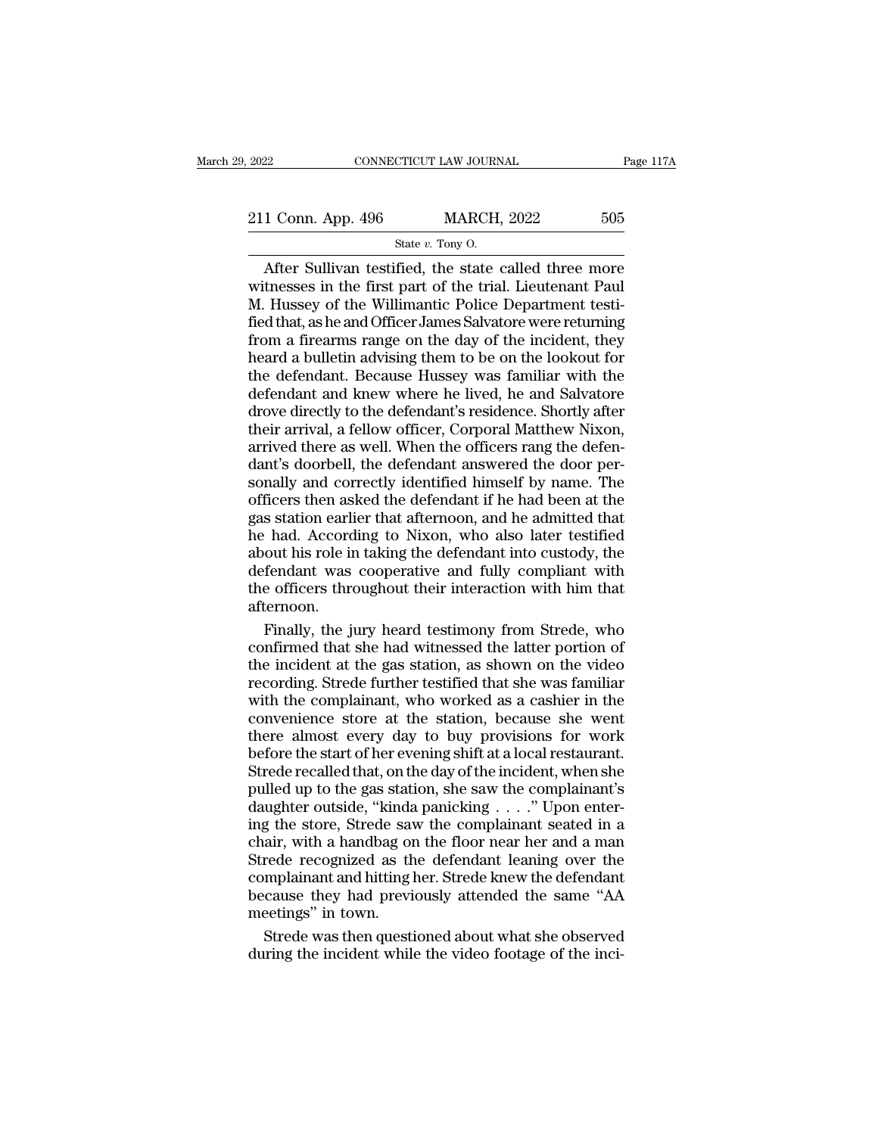2022 CONNECTICUT LAW JOURNAL Page 117A<br>211 Conn. App. 496 MARCH, 2022 505<br>State v. Tony O. CTICUT LAW JOURN $\text{MARCH},$ State *v*. Tony O.

CONNECTICUT LAW JOURNAL Page 117A<br>
1 Conn. App. 496 MARCH, 2022 505<br>
State v. Tony O.<br>
After Sullivan testified, the state called three more<br>
the state in the first part of the trial. Lieutenant Paul<br>
Hussey of the Willima 211 Conn. App. 496 MARCH, 2022 505<br>
State v. Tony O.<br>
After Sullivan testified, the state called three more<br>
witnesses in the first part of the trial. Lieutenant Paul<br>
M. Hussey of the Willimantic Police Department testi-211 Conn. App. 496 MARCH, 2022 505<br>
State v. Tony O.<br>
After Sullivan testified, the state called three more<br>
witnesses in the first part of the trial. Lieutenant Paul<br>
M. Hussey of the Willimantic Police Department testi-211 Conn. App. 496 MARCH, 2022 505<br>
State v. Tony O.<br>
After Sullivan testified, the state called three more<br>
witnesses in the first part of the trial. Lieutenant Paul<br>
M. Hussey of the Willimantic Police Department testi-From a firearm and other linear particle in the defendant. Because Hussey was familiar with the defendant Because Hussey was familiar with the defendant Because Hussey was familiar with the State v. Tony O.<br>
After Sullivan testified, the state called three more<br>
witnesses in the first part of the trial. Lieutenant Paul<br>
M. Hussey of the Willimantic Police Department testi-<br>
fied that, as he and Officer James After Sullivan testified, the state called three more<br>witnesses in the first part of the trial. Lieutenant Paul<br>M. Hussey of the Willimantic Police Department testi-<br>fied that, as he and Officer James Salvatore were return witnesses in the first part of the trial. Lieutenant Paul<br>M. Hussey of the Willimantic Police Department testi-<br>fied that, as he and Officer James Salvatore were returning<br>from a firearms range on the day of the incident, M. Hussey of the Willimantic Police Department testified that, as he and Officer James Salvatore were returning<br>from a firearms range on the day of the incident, they<br>heard a bulletin advising them to be on the lookout for fied that, as he and Officer James Salvatore were returning<br>from a firearms range on the day of the incident, they<br>heard a bulletin advising them to be on the lookout for<br>the defendant. Because Hussey was familiar with the from a firearms range on the day of the incident, they<br>heard a bulletin advising them to be on the lookout for<br>the defendant. Because Hussey was familiar with the<br>defendant and knew where he lived, he and Salvatore<br>drove d heard a bulletin advising them to be on the lookout for<br>the defendant. Because Hussey was familiar with the<br>defendant and knew where he lived, he and Salvatore<br>drove directly to the defendant's residence. Shortly after<br>the the defendant. Because Hussey was familiar with the defendant and knew where he lived, he and Salvatore drove directly to the defendant's residence. Shortly after their arrival, a fellow officer, Corporal Matthew Nixon, ar defendant and knew where he lived, he and Salvatore<br>drove directly to the defendant's residence. Shortly after<br>their arrival, a fellow officer, Corporal Matthew Nixon,<br>arrived there as well. When the officers rang the defe drove directly to the defendant's residence. Shortly after<br>their arrival, a fellow officer, Corporal Matthew Nixon,<br>arrived there as well. When the officers rang the defen-<br>dant's doorbell, the defendant answered the door their arrival, a fellow officer, Corporal Matthew Nixon,<br>arrived there as well. When the officers rang the defen-<br>dant's doorbell, the defendant answered the door per-<br>sonally and correctly identified himself by name. The<br> about there as well. When the officers rang the defendant's doorbell, the defendant answered the door personally and correctly identified himself by name. The officers then asked the defendant if he had been at the gas sta dant's doorbell, the defendant answered the door per-<br>sonally and correctly identified himself by name. The<br>officers then asked the defendant if he had been at the<br>gas station earlier that afternoon, and he admitted that<br>h sonally and correctly identified himself by name. The<br>officers then asked the defendant if he had been at the<br>gas station earlier that afternoon, and he admitted that<br>he had. According to Nixon, who also later testified<br>ab afternoon. s station earlier that afternoon, and he admitted that<br>
had. According to Nixon, who also later testified<br>
out his role in taking the defendant into custody, the<br>
fendant was cooperative and fully compliant with<br>
e officer he had. According to Nixon, who also later testified<br>about his role in taking the defendant into custody, the<br>defendant was cooperative and fully compliant with<br>the officers throughout their interaction with him that<br>after

about his role in taking the defendant into custody, the<br>defendant was cooperative and fully compliant with<br>the officers throughout their interaction with him that<br>afternoon.<br>Finally, the jury heard testimony from Strede, defendant was cooperative and fully compliant with<br>the officers throughout their interaction with him that<br>afternoon.<br>Finally, the jury heard testimony from Strede, who<br>confirmed that she had witnessed the latter portion o the officers throughout their interaction with him that<br>afternoon.<br>Finally, the jury heard testimony from Strede, who<br>confirmed that she had witnessed the latter portion of<br>the incident at the gas station, as shown on the afternoon.<br>Finally, the jury heard testimony from Strede, who<br>confirmed that she had witnessed the latter portion of<br>the incident at the gas station, as shown on the video<br>recording. Strede further testified that she was f Finally, the jury heard testimony from Strede, who confirmed that she had witnessed the latter portion of the incident at the gas station, as shown on the video recording. Strede further testified that she was familiar wit confirmed that she had witnessed the latter portion of<br>the incident at the gas station, as shown on the video<br>recording. Strede further testified that she was familiar<br>with the complainant, who worked as a cashier in the<br>c the incident at the gas station, as shown on the video<br>recording. Strede further testified that she was familiar<br>with the complainant, who worked as a cashier in the<br>convenience store at the station, because she went<br>there pulled up to the gas station, who worked as a cashier in the convenience store at the station, because she went<br>there almost every day to buy provisions for work<br>before the start of her evening shift at a local restaurant with the complainant, who worked as a cashier in the convenience store at the station, because she went there almost every day to buy provisions for work before the start of her evening shift at a local restaurant. Strede convenience store at the station, because she went<br>there almost every day to buy provisions for work<br>before the start of her evening shift at a local restaurant.<br>Strede recalled that, on the day of the incident, when she<br> there almost every day to buy provisions for work<br>before the start of her evening shift at a local restaurant.<br>Strede recalled that, on the day of the incident, when she<br>pulled up to the gas station, she saw the complaina Strede recalled that, on the day of the incident, when she<br>pulled up to the gas station, she saw the complainant's<br>daughter outside, "kinda panicking . . . ." Upon enter-<br>ing the store, Strede saw the complainant seated in Strede recalled that, on the day of the incident, when she<br>pulled up to the gas station, she saw the complainant's<br>daughter outside, "kinda panicking  $\ldots$ ." Upon enter-<br>ing the store, Strede saw the complainant seated in below to the gas station, she saw the complainant's<br>daughter outside, "kinda panicking  $\ldots$ ." Upon enter-<br>ing the store, Strede saw the complainant seated in a<br>chair, with a handbag on the floor near her and a man<br>Strede Falled the State Standard Chaughter outside, "kindaing the store, Strede save chair, with a handbag of Strede recognized as the complainant and hitting because they had previdently in the Strede was then questies. g the store, Strede saw the complainant seated in a<br>air, with a handbag on the floor near her and a man<br>rede recognized as the defendant leaning over the<br>mplainant and hitting her. Strede knew the defendant<br>cause they had chair, with a handbag on the floor near her and a man<br>Strede recognized as the defendant leaning over the<br>complainant and hitting her. Strede knew the defendant<br>because they had previously attended the same "AA<br>meetings" i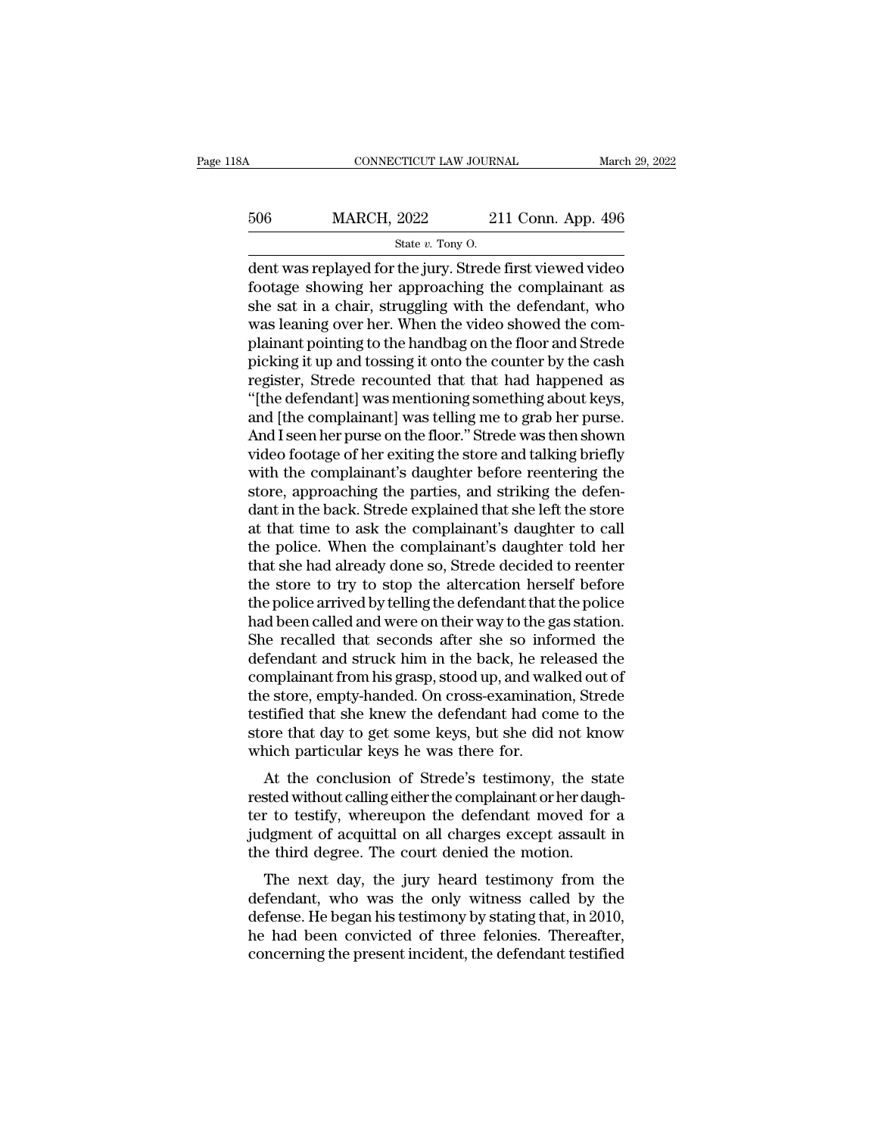# <sup>506</sup> MARCH, 2022 211 Conn. App. 496 EXTICUT LAW JOURN<br>2022 21<br>State *v*. Tony O.<br>The jury Strede

CONNECTICUT LAW JOURNAL March 29, 2022<br>
506 MARCH, 2022 211 Conn. App. 496<br>
State v. Tony O.<br>
dent was replayed for the jury. Strede first viewed video<br>
footage showing her approaching the complainant as 506 MARCH, 2022 211 Conn. App. 496<br>
state v. Tony O.<br>
dent was replayed for the jury. Strede first viewed video<br>
footage showing her approaching the complainant as<br>
she sat in a chair, struggling with the defendant, who<br>  $\frac{\text{S06}}{\text{State } v. \text{ Tony 0}}$  211 Conn. App. 496<br>  $\frac{\text{State } v. \text{ Tony 0}}{\text{dent was replaced for the jury. Strede first viewed video}}$ <br>
footage showing her approaching the complainant as<br>
she sat in a chair, struggling with the defendant, who<br>
was leaning over her. When the  $\frac{\text{MARCH}}{\text{State } v. \text{ Tony O.}}$ <br>State  $v. \text{ Tony O.}}$ <br>dent was replayed for the jury. Strede first viewed video footage showing her approaching the complainant as<br>she sat in a chair, struggling with the defendant, who<br>was leaning ov State v. Tony O.<br>
State v. Tony O.<br>
dent was replayed for the jury. Strede first viewed video<br>
footage showing her approaching the complainant as<br>
she sat in a chair, struggling with the defendant, who<br>
was leaning over h state  $v$ . Tony O.<br>
dent was replayed for the jury. Strede first viewed video<br>
footage showing her approaching the complainant as<br>
she sat in a chair, struggling with the defendant, who<br>
was leaning over her. When the vid dent was replayed for the jury. Strede first viewed video<br>footage showing her approaching the complainant as<br>she sat in a chair, struggling with the defendant, who<br>was leaning over her. When the video showed the com-<br>plain footage showing her approaching the complainant as<br>she sat in a chair, struggling with the defendant, who<br>was leaning over her. When the video showed the com-<br>plainant pointing to the handbag on the floor and Strede<br>pickin she sat in a chair, struggling with the defendant, who was leaning over her. When the video showed the complainant pointing to the handbag on the floor and Strede picking it up and tossing it onto the counter by the cash r was leaning over her. When the video showed the complainant pointing to the handbag on the floor and Strede<br>picking it up and tossing it onto the counter by the cash<br>register, Strede recounted that that had happened as<br>"[t plainant pointing to the handbag on the floor and Strede<br>picking it up and tossing it onto the counter by the cash<br>register, Strede recounted that that had happened as<br>"[the defendant] was mentioning something about keys,<br> picking it up and tossing it onto the counter by the cash<br>register, Strede recounted that that had happened as<br>"[the defendant] was mentioning something about keys,<br>and [the complainant] was telling me to grab her purse.<br>A register, Strede recounted that that had happened as<br>"[the defendant] was mentioning something about keys,<br>and [the complainant] was telling me to grab her purse.<br>And I seen her purse on the floor." Strede was then shown<br>v "[the defendant] was mentioning something about keys,<br>and [the complainant] was telling me to grab her purse.<br>And I seen her purse on the floor." Strede was then shown<br>video footage of her exiting the store and talking bri and [the complainant] was telling me to grab her purse.<br>And I seen her purse on the floor." Strede was then shown<br>video footage of her exiting the store and talking briefly<br>with the complainant's daughter before reentering And I seen her purse on the floor." Strede was then shown<br>video footage of her exiting the store and talking briefly<br>with the complainant's daughter before reentering the<br>store, approaching the parties, and striking the de video footage of her exiting the store and talking briefly<br>with the complainant's daughter before reentering the<br>store, approaching the parties, and striking the defen-<br>dant in the back. Strede explained that she left the with the complainant's daughter before reentering the<br>store, approaching the parties, and striking the defen-<br>dant in the back. Strede explained that she left the store<br>at that time to ask the complainant's daughter to cal store, approaching the parties, and striking the defendant in the back. Strede explained that she left the store at that time to ask the complainant's daughter to call the police. When the complainant's daughter told her t dant in the back. Strede explained that she left the store<br>at that time to ask the complainant's daughter to call<br>the police. When the complainant's daughter told her<br>that she had already done so, Strede decided to reenter at that time to ask the complainant's daughter to call<br>the police. When the complainant's daughter told her<br>that she had already done so, Strede decided to reenter<br>the store to try to stop the altercation herself before<br>th the police. When the complainant's daughter told her<br>that she had already done so, Strede decided to reenter<br>the store to try to stop the altercation herself before<br>the police arrived by telling the defendant that the poli that she had already done so, Strede decided to reenter<br>the store to try to stop the altercation herself before<br>the police arrived by telling the defendant that the police<br>had been called and were on their way to the gas s the store to try to stop the altercation herself before<br>the police arrived by telling the defendant that the police<br>had been called and were on their way to the gas station.<br>She recalled that seconds after she so informed the police arrived by telling the defendant that the police<br>had been called and were on their way to the gas station.<br>She recalled that seconds after she so informed the<br>defendant and struck him in the back, he released th had been called and were on their way to the gas station.<br>She recalled that seconds after she so informed the<br>defendant and struck him in the back, he released the<br>complainant from his grasp, stood up, and walked out of<br>th She recalled that seconds after she so info<br>defendant and struck him in the back, he rel<br>complainant from his grasp, stood up, and wall<br>the store, empty-handed. On cross-examinatic<br>testified that she knew the defendant had rendant and struck finit in the back, he released the<br>mplainant from his grasp, stood up, and walked out of<br>e store, empty-handed. On cross-examination, Strede<br>stified that she knew the defendant had come to the<br>pre-<br>that restription in the store, empty-handed. On cross-examination, Strede<br>testified that she knew the defendant had come to the<br>store that day to get some keys, but she did not know<br>which particular keys he was there for.<br>At th

the store, empty-handed. On cross-examination, stread<br>testified that she knew the defendant had come to the<br>store that day to get some keys, but she did not know<br>which particular keys he was there for.<br>At the conclusion of restined that she kifew the defendant had colle to the<br>store that day to get some keys, but she did not know<br>which particular keys he was there for.<br>At the conclusion of Strede's testimony, the state<br>rested without calling store that day to get some keys, but she did not kite<br>which particular keys he was there for.<br>At the conclusion of Strede's testimony, the sta<br>rested without calling either the complainant or her daug<br>ter to testify, where At the conclusion of Strede's testimony, the state<br>sted without calling either the complainant or her daugh-<br>r to testify, whereupon the defendant moved for a<br>dgment of acquittal on all charges except assault in<br>e third de At the conclusion of streue's testimony, the state<br>rested without calling either the complainant or her daugh-<br>ter to testify, whereupon the defendant moved for a<br>judgment of acquittal on all charges except assault in<br>the

rested whilout caning enter the complainant of her daughter to testify, whereupon the defendant moved for a judgment of acquittal on all charges except assault in the third degree. The court denied the motion.<br>The next day for the had been convicted of three felonies. The had been convicted of three felonies. The next day, the jury heard testimony from the defendant, who was the only witness called by the defense. He began his testimony by s diagment of acquittar of an charges except assaut in<br>the third degree. The court denied the motion.<br>The next day, the jury heard testimony from the<br>defendant, who was the only witness called by the<br>defense. He began his te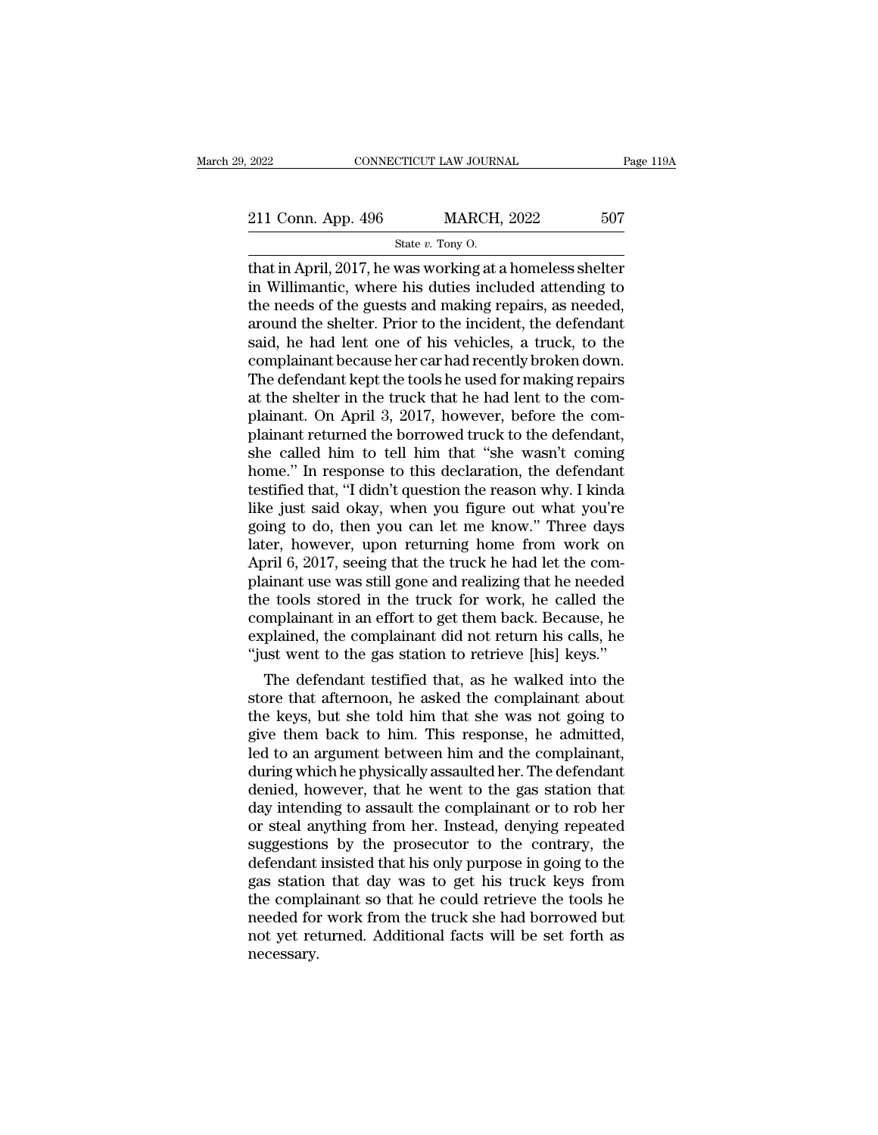2022 CONNECTICUT LAW JOURNAL Page 119A<br>
211 Conn. App. 496 MARCH, 2022 507<br>
State v. Tony O.

2022 CONNECTICUT LAW JOURNAL Page 119A<br>
211 Conn. App. 496 MARCH, 2022 507<br>
State v. Tony O.<br>
That in April, 2017, he was working at a homeless shelter<br>
in Willimantic, where his duties included attending to<br>
the needs of 211 Conn. App. 496 MARCH, 2022 507<br>
State v. Tony O.<br>
that in April, 2017, he was working at a homeless shelter<br>
in Willimantic, where his duties included attending to<br>
the needs of the guests and making repairs, as neede 211 Conn. App. 496 MARCH, 2022 507<br>
State v. Tony O.<br>
that in April, 2017, he was working at a homeless shelter<br>
in Willimantic, where his duties included attending to<br>
the needs of the guests and making repairs, as neede 211 Conn. App. 496 MARCH, 2022 507<br>
State v. Tony O.<br>
that in April, 2017, he was working at a homeless shelter<br>
in Willimantic, where his duties included attending to<br>
the needs of the guests and making repairs, as neede State v. Tony O.<br>State v. Tony O.<br>That in April, 2017, he was working at a homeless shelter<br>in Willimantic, where his duties included attending to<br>the needs of the guests and making repairs, as needed,<br>around the shelter. state v. Tony O.<br>
that in April, 2017, he was working at a homeless shelter<br>
in Willimantic, where his duties included attending to<br>
the needs of the guests and making repairs, as needed,<br>
around the shelter. Prior to the that in April, 2017, he was working at a homeless shelter<br>in Willimantic, where his duties included attending to<br>the needs of the guests and making repairs, as needed,<br>around the shelter. Prior to the incident, the defenda in Willimantic, where his duties included attending to<br>the needs of the guests and making repairs, as needed,<br>around the shelter. Prior to the incident, the defendant<br>said, he had lent one of his vehicles, a truck, to the<br> the needs of the guests and making repairs, as needed,<br>around the shelter. Prior to the incident, the defendant<br>said, he had lent one of his vehicles, a truck, to the<br>complainant because her car had recently broken down.<br>T around the shelter. Prior to the incident, the defendant<br>said, he had lent one of his vehicles, a truck, to the<br>complainant because her car had recently broken down.<br>The defendant kept the tools he used for making repairs<br> said, he had lent one of his vehicles, a truck, to the complainant because her car had recently broken down.<br>The defendant kept the tools he used for making repairs<br>at the shelter in the truck that he had lent to the com-<br> complainant because her car had recently broken down.<br>The defendant kept the tools he used for making repairs<br>at the shelter in the truck that he had lent to the com-<br>plainant. On April 3, 2017, however, before the com-<br>pl The defendant kept the tools he used for making repairs<br>at the shelter in the truck that he had lent to the com-<br>plainant. On April 3, 2017, however, before the com-<br>plainant returned the borrowed truck to the defendant,<br>s at the shelter in the truck that he had lent to the complainant. On April 3, 2017, however, before the complainant returned the borrowed truck to the defendant, she called him to tell him that "she wasn't coming home." In plainant. On April 3, 2017, however, before the com-<br>plainant returned the borrowed truck to the defendant,<br>she called him to tell him that "she wasn't coming<br>home." In response to this declaration, the defendant<br>testified plainant returned the borrowed truck to the defendant,<br>she called him to tell him that "she wasn't coming<br>home." In response to this declaration, the defendant<br>testified that, "I didn't question the reason why. I kinda<br>lik she called him to tell him that "she wasn't coming<br>home." In response to this declaration, the defendant<br>testified that, "I didn't question the reason why. I kinda<br>like just said okay, when you figure out what you're<br>going home." In response to this declaration, the defendant<br>testified that, "I didn't question the reason why. I kinda<br>like just said okay, when you figure out what you're<br>going to do, then you can let me know." Three days<br>later testified that, "I didn't question the reason why. I kinda<br>like just said okay, when you figure out what you're<br>going to do, then you can let me know." Three days<br>later, however, upon returning home from work on<br>April 6, 2 like just said okay, when you figure out what you're<br>going to do, then you can let me know." Three days<br>later, however, upon returning home from work on<br>April 6, 2017, seeing that the truck he had let the com-<br>plainant use going to do, then you can let me know." Three days<br>later, however, upon returning home from work on<br>April 6, 2017, seeing that the truck he had let the com-<br>plainant use was still gone and realizing that he needed<br>the tool later, however, upon returning home from work on April 6, 2017, seeing that the truck he had let the complainant use was still gone and realizing that he needed the tools stored in the truck for work, he called the complai Fril 6, 2017, seeing that the truck he had let the comainant use was still gone and realizing that he needed<br>e tools stored in the truck for work, he called the<br>mplainant in an effort to get them back. Because, he<br>plained, plainant use was still gone and realizing that he needed<br>the tools stored in the truck for work, he called the<br>complainant in an effort to get them back. Because, he<br>explained, the complainant did not return his calls, he<br>

the tools stored in the truck for work, he called the<br>complainant in an effort to get them back. Because, he<br>explained, the complainant did not return his calls, he<br>"just went to the gas station to retrieve [his] keys."<br>Th complainant in an errort to get them back. Because, he<br>explained, the complainant did not return his calls, he<br>"just went to the gas station to retrieve [his] keys."<br>The defendant testified that, as he walked into the<br>stor explained, the complainant did not return his calls, he<br>"just went to the gas station to retrieve [his] keys."<br>The defendant testified that, as he walked into the<br>store that afternoon, he asked the complainant about<br>the ke The defendant testified that, as he walked into the<br>store that afternoon, he asked the complainant about<br>the keys, but she told him that she was not going to<br>give them back to him. This response, he admitted,<br>led to an arg The defendant testified that, as he walked into the<br>store that afternoon, he asked the complainant about<br>the keys, but she told him that she was not going to<br>give them back to him. This response, he admitted,<br>led to an arg store that afternoon, he asked the complainant about<br>the keys, but she told him that she was not going to<br>give them back to him. This response, he admitted,<br>led to an argument between him and the complainant,<br>during which the keys, but she told him that she was not going to<br>give them back to him. This response, he admitted,<br>led to an argument between him and the complainant,<br>during which he physically assaulted her. The defendant<br>denied, ho give them back to him. This response, he admitted,<br>led to an argument between him and the complainant,<br>during which he physically assaulted her. The defendant<br>denied, however, that he went to the gas station that<br>day inten led to an argument between him and the complainant,<br>during which he physically assaulted her. The defendant<br>denied, however, that he went to the gas station that<br>day intending to assault the complainant or to rob her<br>or st during which he physically assaulted her. The defendant<br>denied, however, that he went to the gas station that<br>day intending to assault the complainant or to rob her<br>or steal anything from her. Instead, denying repeated<br>sug denied, however, that he went to the gas station that<br>day intending to assault the complainant or to rob her<br>or steal anything from her. Instead, denying repeated<br>suggestions by the prosecutor to the contrary, the<br>defendan day intending to assault the complainant or to rob her<br>or steal anything from her. Instead, denying repeated<br>suggestions by the prosecutor to the contrary, the<br>defendant insisted that his only purpose in going to the<br>gas s or steal anything from her. Instead, denying repeated<br>suggestions by the prosecutor to the contrary, the<br>defendant insisted that his only purpose in going to the<br>gas station that day was to get his truck keys from<br>the comp necessary.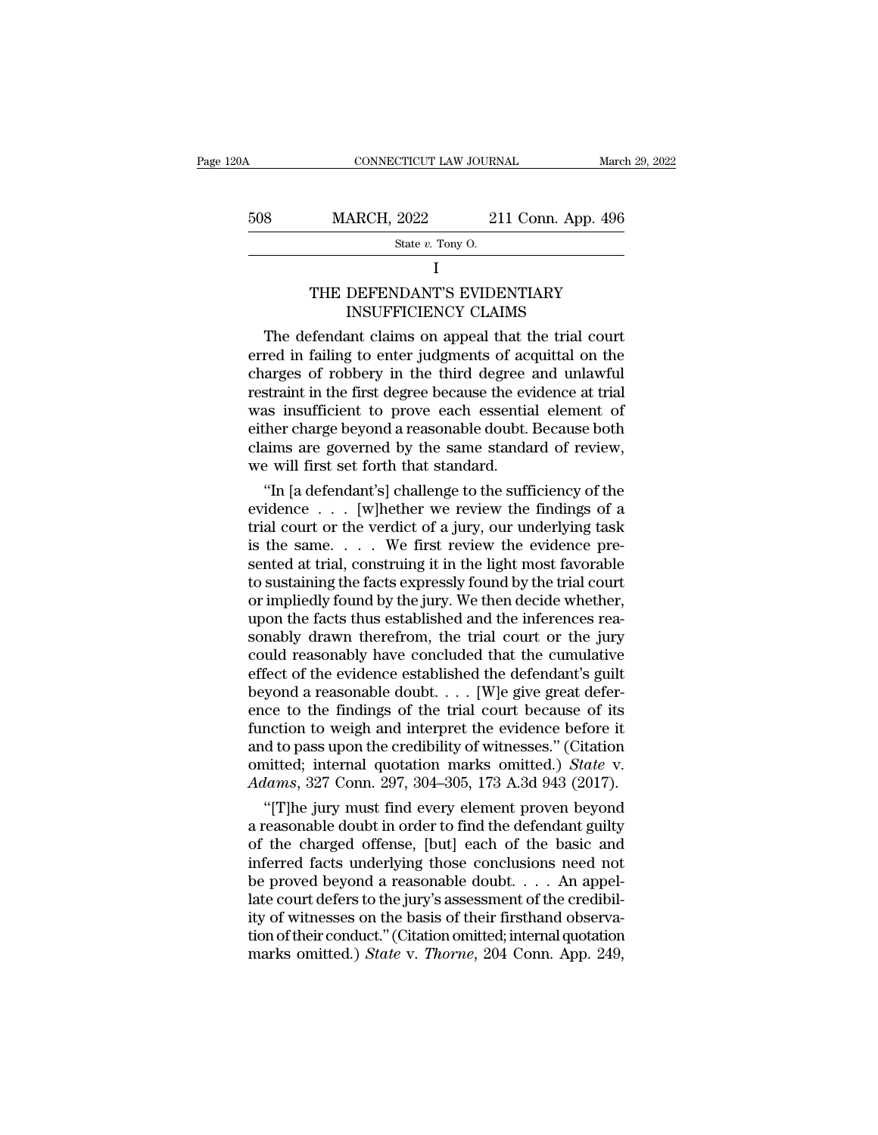|     | State $v$ . Tony O.     |                    |                |
|-----|-------------------------|--------------------|----------------|
| 508 | <b>MARCH, 2022</b>      | 211 Conn. App. 496 |                |
| Ł   | CONNECTICUT LAW JOURNAL |                    | March 29, 2022 |

I and the set of  $\mathbf I$ 

# MARCH, 2022 211 Conn. App. 496<br>
State v. Tony O.<br>
I<br>
THE DEFENDANT'S EVIDENTIARY<br>
INSUFFICIENCY CLAIMS  $\begin{tabular}{ c c c} \multicolumn{1}{c}{\textbf{ARCH, 2022}} & \multicolumn{1}{c}{\textbf{211 Conn. App. 4}} \\ \hline \textbf{State }v.\textbf{ Tony O.} \\ \multicolumn{1}{c}{\textbf{I}} \\ \hline \end{tabular} \begin{tabular}{ c } \multicolumn{1}{c}{\textbf{DEFFENDANT'S EVIDENTIARY}} \\ \multicolumn{1}{c}{\textbf{INSUFFICIENCY CLAIMS}} \\ \multicolumn{1}{c}{\textbf{InNSTISTICIENCY CLAIMS}} \\ \multicolumn{1}{c}{\textbf{InNSTISTICIENCY CLAIMS}} \\ \multicolumn{1}{c}{\$

S<br>
MARCH, 2022 211 Conn. App. 496<br>
State v. Tony O.<br>
I<br>
THE DEFENDANT'S EVIDENTIARY<br>
INSUFFICIENCY CLAIMS<br>
The defendant claims on appeal that the trial court<br>
red in failing to enter judgments of acquittal on the<br>
arges State v. Tony O.<br>
I<br>
THE DEFENDANT'S EVIDENTIARY<br>
INSUFFICIENCY CLAIMS<br>
The defendant claims on appeal that the trial court<br>
erred in failing to enter judgments of acquittal on the<br>
charges of robbery in the third degree I<br>
THE DEFENDANT'S EVIDENTIARY<br>
INSUFFICIENCY CLAIMS<br>
The defendant claims on appeal that the trial court<br>
erred in failing to enter judgments of acquittal on the<br>
charges of robbery in the third degree and unlawful<br>
restr THE DEFENDANT'S EVIDENTIARY<br>INSUFFICIENCY CLAIMS<br>The defendant claims on appeal that the trial court<br>erred in failing to enter judgments of acquittal on the<br>charges of robbery in the third degree and unlawful<br>restraint in THE DEFENDANT'S EVIDENTIARY<br>INSUFFICIENCY CLAIMS<br>The defendant claims on appeal that the trial court<br>erred in failing to enter judgments of acquittal on the<br>charges of robbery in the third degree and unlawful<br>restraint in INSUFFICIENCY CLAIMS<br>The defendant claims on appeal that the trial court<br>erred in failing to enter judgments of acquittal on the<br>charges of robbery in the third degree and unlawful<br>restraint in the first degree because the The defendant claims on appeal that the trial court<br>erred in failing to enter judgments of acquittal on the<br>charges of robbery in the third degree and unlawful<br>restraint in the first degree because the evidence at trial<br>wa erred in failing to enter judgments of accordanges of robbery in the third degree arestraint in the first degree because the evidence in the first degree because the evidence in the first degree beyond a reasonable doubt. arges of robbery in the third degree and unlawful<br>straint in the first degree because the evidence at trial<br>as insufficient to prove each essential element of<br>ther charge beyond a reasonable doubt. Because both<br>aims are go restraint in the first degree because the evidence at trial<br>was insufficient to prove each essential element of<br>either charge beyond a reasonable doubt. Because both<br>claims are governed by the same standard of review,<br>we w

was insufficient to prove each essential element of<br>either charge beyond a reasonable doubt. Because both<br>claims are governed by the same standard of review,<br>we will first set forth that standard.<br>"In [a defendant's] chal either charge beyond a reasonable doubt. Because both<br>claims are governed by the same standard of review,<br>we will first set forth that standard.<br>"In [a defendant's] challenge to the sufficiency of the<br>evidence . . . . [w]h claims are governed by the same standard of review,<br>we will first set forth that standard.<br>"In [a defendant's] challenge to the sufficiency of the<br>evidence  $\ldots$  [w]hether we review the findings of a<br>trial court or the ve we will first set forth that standard.<br>
"In [a defendant's] challenge to the sufficiency of the<br>
evidence . . . [w]hether we review the findings of a<br>
trial court or the verdict of a jury, our underlying task<br>
is the same. "In [a defendant's] challenge to the sufficiency of the evidence  $\ldots$  [w]hether we review the findings of a trial court or the verdict of a jury, our underlying task is the same.  $\ldots$  We first review the evidence presen evidence  $\ldots$  [w]hether we review the findings of a<br>trial court or the verdict of a jury, our underlying task<br>is the same.  $\ldots$  We first review the evidence pre-<br>sented at trial, construing it in the light most favorabl trial court or the verdict of a jury, our underlying task<br>is the same.  $\ldots$  We first review the evidence pre-<br>sented at trial, construing it in the light most favorable<br>to sustaining the facts expressly found by the tria is the same. . . . . We first review the evidence pre-<br>sented at trial, construing it in the light most favorable<br>to sustaining the facts expressly found by the trial court<br>or impliedly found by the jury. We then decide wh sented at trial, construing it in the light most favorable<br>to sustaining the facts expressly found by the trial court<br>or impliedly found by the jury. We then decide whether,<br>upon the facts thus established and the inferenc to sustaining the facts expressly found by the trial court<br>or impliedly found by the jury. We then decide whether,<br>upon the facts thus established and the inferences rea-<br>sonably drawn therefrom, the trial court or the jur or impliedly found by the jury. We then decide whether,<br>upon the facts thus established and the inferences rea-<br>sonably drawn therefrom, the trial court or the jury<br>could reasonably have concluded that the cumulative<br>effec upon the facts thus established and the inferences rea-<br>sonably drawn therefrom, the trial court or the jury<br>could reasonably have concluded that the cumulative<br>effect of the evidence established the defendant's guilt<br>bey sonably drawn therefrom, the trial court or the jury<br>could reasonably have concluded that the cumulative<br>effect of the evidence established the defendant's guilt<br>beyond a reasonable doubt.... [W]e give great defer-<br>ence t could reasonably have concluded that the cumulative<br>effect of the evidence established the defendant's guilt<br>beyond a reasonable doubt. . . . [W]e give great defer-<br>ence to the findings of the trial court because of its<br>fu effect of the evidence established the defendant's guilt<br>beyond a reasonable doubt. . . . [W]e give great defer-<br>ence to the findings of the trial court because of its<br>function to weigh and interpret the evidence before it yond a reasonable doubt.  $\ldots$  [W]e give great deter-<br>ce to the findings of the trial court because of its<br>nction to weigh and interpret the evidence before it<br>d to pass upon the credibility of witnesses." (Citation<br>nitte ence to the findings of the trial court because of its<br>function to weigh and interpret the evidence before it<br>and to pass upon the credibility of witnesses." (Citation<br>omitted; internal quotation marks omitted.) *State* v.

function to weigh and interpret the evidence before it<br>and to pass upon the credibility of witnesses." (Citation<br>omitted; internal quotation marks omitted.) *State* v.<br>Adams, 327 Conn. 297, 304–305, 173 A.3d 943 (2017).<br>" and to pass upon the credibility of witnesses." (Citation<br>
omitted; internal quotation marks omitted.) *State* v.<br> *Adams*, 327 Conn. 297, 304–305, 173 A.3d 943 (2017).<br>
"[T]he jury must find every element proven beyond<br> omitted; internal quotation marks omitted.) *State* v.<br>Adams, 327 Conn. 297, 304–305, 173 A.3d 943 (2017).<br>"[T]he jury must find every element proven beyond<br>a reasonable doubt in order to find the defendant guilty<br>of the c Adams, 327 Conn. 297, 304–305, 173 A.3d 943 (2017).<br>
"[T]he jury must find every element proven beyond<br>
a reasonable doubt in order to find the defendant guilty<br>
of the charged offense, [but] each of the basic and<br>
inferr "[T]he jury must find every element proven beyond<br>a reasonable doubt in order to find the defendant guilty<br>of the charged offense, [but] each of the basic and<br>inferred facts underlying those conclusions need not<br>be proved a reasonable doubt in order to find the defendant guilty<br>of the charged offense, [but] each of the basic and<br>inferred facts underlying those conclusions need not<br>be proved beyond a reasonable doubt.... An appel-<br>late cour of the charged offense, [but] each of the basic and<br>inferred facts underlying those conclusions need not<br>be proved beyond a reasonable doubt. . . . An appel-<br>late court defers to the jury's assessment of the credibil-<br>ity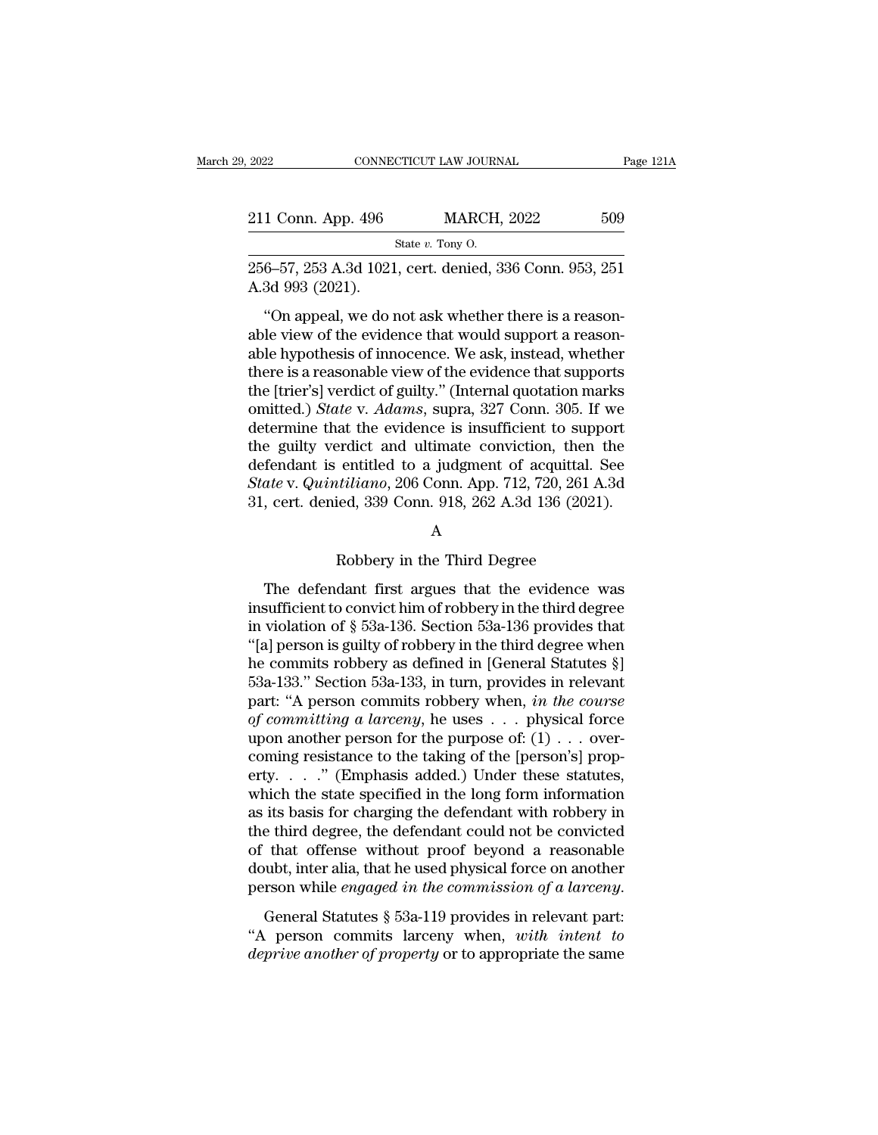| 2022               | CONNECTICUT LAW JOURNAL                                 | Page 121A |
|--------------------|---------------------------------------------------------|-----------|
| 211 Conn. App. 496 | <b>MARCH, 2022</b>                                      | 509       |
|                    | State $v$ . Tony O.                                     |           |
| A.3d 993 (2021).   | 256–57, 253 A.3d 1021, cert. denied, 336 Conn. 953, 251 |           |
|                    | "On appeal, we do not ask whether there is a reason-    |           |

1 Conn. App. 496 MARCH, 2022 509<br>
State v. Tony O.<br>
6–57, 253 A.3d 1021, cert. denied, 336 Conn. 953, 251<br>
3d 993 (2021).<br>
"On appeal, we do not ask whether there is a reason-<br>
le view of the evidence that would support a 211 Conn. App. 496 MARCH, 2022 b09<br>
State v. Tony O.<br>
256–57, 253 A.3d 1021, cert. denied, 336 Conn. 953, 251<br>
A.3d 993 (2021).<br>
"On appeal, we do not ask whether there is a reason-<br>
able view of the evidence that would s State v. Tony O.<br>
256–57, 253 A.3d 1021, cert. denied, 336 Conn. 953, 251<br>
A.3d 993 (2021).<br>
"On appeal, we do not ask whether there is a reason-<br>
able view of the evidence that would support a reason-<br>
able hypothesis of 256–57, 253 A.3d 1021, cert. denied, 336 Conn. 953, 251<br>A.3d 993 (2021).<br>"On appeal, we do not ask whether there is a reason-<br>able view of the evidence that would support a reason-<br>able hypothesis of innocence. We ask, in A.3d 993 (2021).<br>
"On appeal, we do not ask whether there is a reason-<br>
able view of the evidence that would support a reason-<br>
able hypothesis of innocence. We ask, instead, whether<br>
there is a reasonable view of the evi "On appeal, we do not ask whether there is a reason-<br>able view of the evidence that would support a reason-<br>able hypothesis of innocence. We ask, instead, whether<br>there is a reasonable view of the evidence that supports<br>th "On appeal, we do not ask whether there is a reasonable view of the evidence that would support a reasonable hypothesis of innocence. We ask, instead, whether there is a reasonable view of the evidence that supports the [ able view of the evidence that would support a reason-<br>able hypothesis of innocence. We ask, instead, whether<br>there is a reasonable view of the evidence that supports<br>the [trier's] verdict of guilty." (Internal quotation able hypothesis of innocence. We ask, instead, whether<br>there is a reasonable view of the evidence that supports<br>the [trier's] verdict of guilty." (Internal quotation marks<br>omitted.) *State* v. *Adams*, supra, 327 Conn. 30 there is a reasonable view of the evidence that supports<br>the [trier's] verdict of guilty." (Internal quotation marks<br>omitted.) *State* v. *Adams*, supra, 327 Conn. 305. If we<br>determine that the evidence is insufficient to the [trier's] verdict of guilty." (Internal quotation marks<br>omitted.) *State* v. *Adams*, supra, 327 Conn. 305. If we<br>determine that the evidence is insufficient to support<br>the guilty verdict and ultimate conviction, then erdict and ultimate conviction, then t<br>entitled to a judgment of acquittal. S<br>etiliano, 206 Conn. App. 712, 720, 261 A.<br>ied, 339 Conn. 918, 262 A.3d 136 (2021)<br>A<br>Robbery in the Third Degree<br>dant first argues that the evide

## A

*ate v. Quintiliano*, 206 Conn. App. 712, 720, 261 A.3d<br>
, cert. denied, 339 Conn. 918, 262 A.3d 136 (2021).<br>
A<br>
Robbery in the Third Degree<br>
The defendant first argues that the evidence was<br>
sufficient to convict him of 31, cert. denied, 339 Conn. 918, 262 A.3d 136 (2021).<br>
A<br>
Robbery in the Third Degree<br>
The defendant first argues that the evidence was<br>
insufficient to convict him of robbery in the third degree<br>
in violation of  $\S$  53a-Fig. 31. The defendant first argues that the evidence was<br>insufficient to convict him of robbery in the third degree<br>in violation of § 53a-136. Section 53a-136 provides that<br>"[a] person is guilty of robbery in the third de A<br>
Robbery in the Third Degree<br>
The defendant first argues that the evidence was<br>
insufficient to convict him of robbery in the third degree<br>
in violation of § 53a-136. Section 53a-136 provides that<br>
"[a] person is guilty Robbery in the Third Degree<br>The defendant first argues that the evidence was<br>insufficient to convict him of robbery in the third degree<br>in violation of § 53a-136. Section 53a-136 provides that<br>"[a] person is guilty of rob The defendant first argues that the evidence was<br>insufficient to convict him of robbery in the third degree<br>in violation of § 53a-136. Section 53a-136 provides that<br>"[a] person is guilty of robbery in the third degree whe The defendant first argues that the evidence was<br>insufficient to convict him of robbery in the third degree<br>in violation of  $\S$  53a-136. Section 53a-136 provides that<br>"[a] person is guilty of robbery in the third degree w in sufficient to convict him of robbery in the third degree<br>in violation of § 53a-136. Section 53a-136 provides that<br>"[a] person is guilty of robbery in the third degree when<br>he commits robbery as defined in [General Stat in violation of § 53a-136. Section 53a-136 provides that<br>
"[a] person is guilty of robbery in the third degree when<br>
he commits robbery as defined in [General Statutes §]<br>
53a-133." Section 53a-133, in turn, provides in r "[a] person is guilty of robbery in the third degree when<br>he commits robbery as defined in [General Statutes §]<br>53a-133." Section 53a-133, in turn, provides in relevant<br>part: "A person commits robbery when, *in the course* he commits robbery as defined in [General Statutes §]<br>53a-133." Section 53a-133, in turn, provides in relevant<br>part: "A person commits robbery when, *in the course*<br>of committing a larceny, he uses  $\dots$  physical force<br>upo 53a-133." Section 53a-133, in turn, provides in relevant<br>part: "A person commits robbery when, *in the course*<br>of *committing a larceny*, he uses  $\ldots$  physical force<br>upon another person for the purpose of:  $(1) \ldots$  overpart: "A person commits robbery when, *in the course*<br>of committing a larceny, he uses  $\dots$  physical force<br>upon another person for the purpose of:  $(1) \dots$  over-<br>coming resistance to the taking of the [person's] prop-<br>erty of committing a larceny, he uses  $\dots$  physical force<br>upon another person for the purpose of: (1)  $\dots$  over-<br>coming resistance to the taking of the [person's] prop-<br>erty.  $\dots$  " (Emphasis added.) Under these statutes,<br>whic upon another person for the purpose of:  $(1) \ldots$  over-<br>coming resistance to the taking of the [person's] prop-<br>erty. . . . ." (Emphasis added.) Under these statutes,<br>which the state specified in the long form information<br> coming resistance to the taking of the [person's] property. . . . ." (Emphasis added.) Under these statutes, which the state specified in the long form information as its basis for charging the defendant with robbery in t erty. . . ." (Emphasis added.) Under these statutes,<br>which the state specified in the long form information<br>as its basis for charging the defendant with robbery in<br>the third degree, the defendant could not be convicted<br>of as as basis for enarging are determined what followly in<br>the third degree, the defendant could not be convicted<br>of that offense without proof beyond a reasonable<br>doubt, inter alia, that he used physical force on another<br>pe deprive and degree, the detendant codid not be convicted<br>of that offense without proof beyond a reasonable<br>doubt, inter alia, that he used physical force on another<br>person while *engaged in the commission of a larceny*.<br>Ge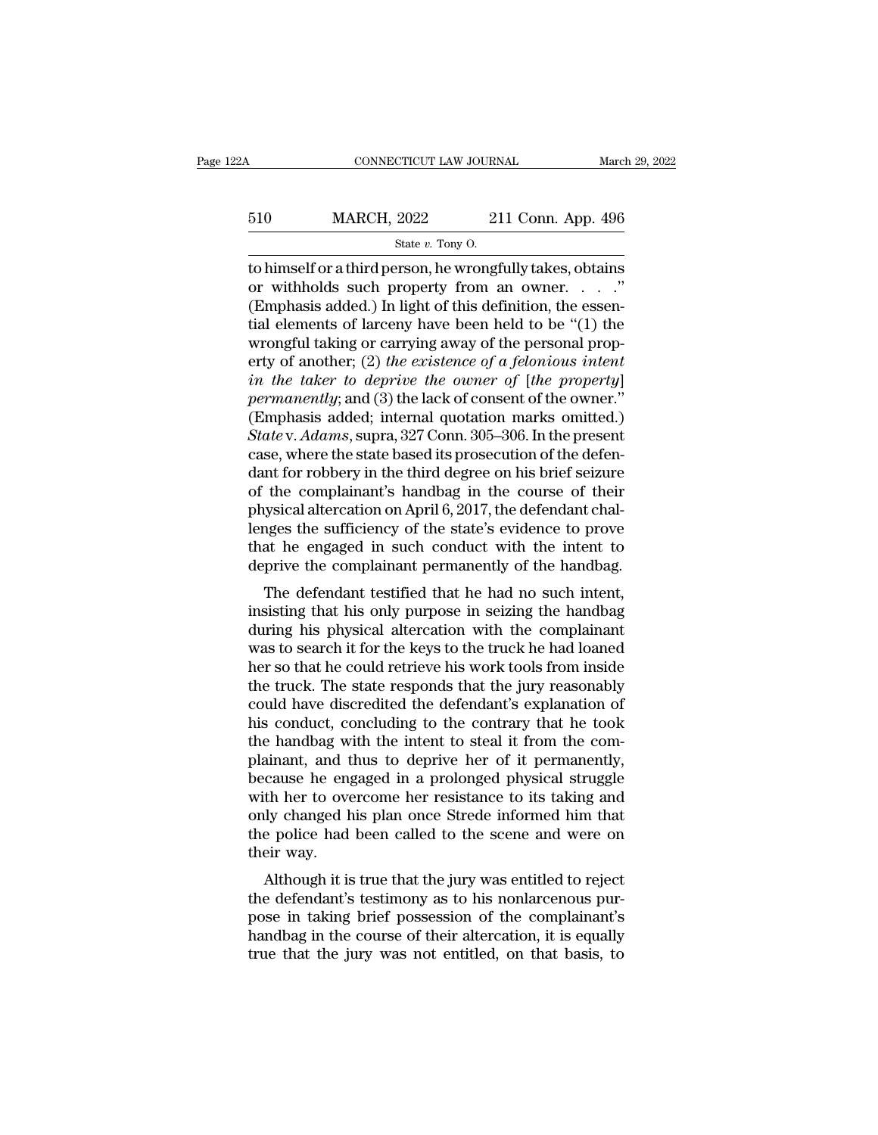# CONNECTICUT LAW JOURNAL March 29, 2022<br>510 MARCH, 2022 211 Conn. App. 496<br>5tate v. Tony O. 99922 CTICUT LAW JOURNEY<br>2022 21<br>State *v.* Tony O.<br>Prson\_be wrongf

to himself or a third person, he wrongfully takes, obtains 510 MARCH, 2022 211 Conn. App. 496<br>
state v. Tony O.<br>
to himself or a third person, he wrongfully takes, obtains<br>
or withholds such property from an owner. . . . ."<br>
(Emphasis added.) In light of this definition, the esse 510 MARCH, 2022 211 Conn. App. 496<br>
State v. Tony O.<br>
to himself or a third person, he wrongfully takes, obtains<br>
or withholds such property from an owner. . . . ."<br>
(Emphasis added.) In light of this definition, the esse 510 MARCH, 2022 211 Conn. App. 496<br>  $\frac{\text{State } v. \text{ Tony O.}}{\text{to himself or a third person, he wrongfully takes, obtains}}$ <br>
or withholds such property from an owner. . . . ."<br>
(Emphasis added.) In light of this definition, the essential elements of larceny have been held State v. Tony O.<br>
State v. Tony O.<br>
to himself or a third person, he wrongfully takes, obtains<br>
or withholds such property from an owner. . . . ."<br>
(Emphasis added.) In light of this definition, the essen-<br>
tial elements state *v*. Tony 0.<br>
to himself or a third person, he wrongfully takes, obtains<br>
or withholds such property from an owner. . . . ."<br>
(Emphasis added.) In light of this definition, the essen-<br>
tial elements of larceny have b to himself or a third person, he wrongfully takes, obtains<br>or withholds such property from an owner. . . . ."<br>(Emphasis added.) In light of this definition, the essen-<br>tial elements of larceny have been held to be "(1) th or withholds such property from an owner. . . . ."<br>
(Emphasis added.) In light of this definition, the essential elements of larceny have been held to be "(1) the<br>
wrongful taking or carrying away of the personal property<br> (Emphasis added.) In light of this definition, the essential elements of larceny have been held to be "(1) the wrongful taking or carrying away of the personal property of another; (2) the existence of a felonious intent *State* elements of larceny have been held to be "(1) the wrongful taking or carrying away of the personal property of another; (2) *the existence of a felonious intent* in *the taker to deprive the owner of [the property]* wrongful taking or carrying away of the personal property of another; (2) the existence of a felonious intent<br>in the taker to deprive the owner of [the property]<br>permanently; and (3) the lack of consent of the owner."<br>(Em erty of another; (2) *the existence of a felonious intent*<br>in the taker to deprive the owner of [the property]<br>permanently; and (3) the lack of consent of the owner."<br>(Emphasis added; internal quotation marks omitted.)<br> $State$ in the taker to deprive the owner of [the property]<br>permanently; and (3) the lack of consent of the owner."<br>(Emphasis added; internal quotation marks omitted.)<br>State v. Adams, supra, 327 Conn. 305–306. In the present<br>case permanently; and (3) the lack of consent of the owner."<br>(Emphasis added; internal quotation marks omitted.)<br>State v. Adams, supra, 327 Conn. 305–306. In the present<br>case, where the state based its prosecution of the defen-(Emphasis added; internal quotation marks omitted.)<br>  $State$  v.  $Adams$ , supra, 327 Conn. 305–306. In the present<br>
case, where the state based its prosecution of the defen-<br>
dant for robbery in the third degree on his brief seiz State v. Adams, supra, 327 Conn. 305–306. In the present case, where the state based its prosecution of the defendant for robbery in the third degree on his brief seizure of the complainant's handbag in the course of thei case, where the state based its prosecution of the defendant for robbery in the third degree on his brief seizure of the complainant's handbag in the course of their physical altercation on April 6, 2017, the defendant cha In the complainant's handbag in the course of their<br>the complainant's handbag in the course of their<br>sysical altercation on April 6, 2017, the defendant chal-<br>nges the sufficiency of the state's evidence to prove<br>at he eng of the complainant s handbag in the course of their<br>physical altercation on April 6, 2017, the defendant chal-<br>lenges the sufficiency of the state's evidence to prove<br>that he engaged in such conduct with the intent to<br>depr

physical altercation of Aphro, 2017, the defendant chal-<br>lenges the sufficiency of the state's evidence to prove<br>that he engaged in such conduct with the intent to<br>deprive the complainant permanently of the handbag.<br>The de renges the sumchency of the state's evidence to prove<br>that he engaged in such conduct with the intent to<br>deprive the complainant permanently of the handbag.<br>The defendant testified that he had no such intent,<br>insisting tha here is that he complainant permanently of the handbag.<br>The defendant testified that he had no such intent,<br>insisting that his only purpose in seizing the handbag<br>during his physical altercation with the complainant<br>was to The defendant testified that he had no such intent,<br>insisting that his only purpose in seizing the handbag<br>during his physical altercation with the complainant<br>was to search it for the keys to the truck he had loaned<br>her s The defendant testified that he had no such intent,<br>insisting that his only purpose in seizing the handbag<br>during his physical altercation with the complainant<br>was to search it for the keys to the truck he had loaned<br>her s insisting that his only purpose in seizing the handbag<br>during his physical altercation with the complainant<br>was to search it for the keys to the truck he had loaned<br>her so that he could retrieve his work tools from inside<br> during his physical altercation with the complainant<br>was to search it for the keys to the truck he had loaned<br>her so that he could retrieve his work tools from inside<br>the truck. The state responds that the jury reasonably<br> was to search it for the keys to the truck he had loaned<br>her so that he could retrieve his work tools from inside<br>the truck. The state responds that the jury reasonably<br>could have discredited the defendant's explanation of her so that he could retrieve his work tools from inside<br>the truck. The state responds that the jury reasonably<br>could have discredited the defendant's explanation of<br>his conduct, concluding to the contrary that he took<br>the the truck. The state responds that the jury reasonably<br>could have discredited the defendant's explanation of<br>his conduct, concluding to the contrary that he took<br>the handbag with the intent to steal it from the com-<br>plaina could have discredited the defendant's explanation of<br>his conduct, concluding to the contrary that he took<br>the handbag with the intent to steal it from the com-<br>plainant, and thus to deprive her of it permanently,<br>because his conduct, concluding to the contrary that he took<br>the handbag with the intent to steal it from the com-<br>plainant, and thus to deprive her of it permanently,<br>because he engaged in a prolonged physical struggle<br>with her t the handbag w<br>plainant, and t<br>because he eng<br>with her to ove<br>only changed h<br>the police had<br>their way.<br>Although it is Although it is true that the jury was entitled to reject<br>and the performed him that<br>e police had been called to the scene and were on<br>eir way.<br>Although it is true that the jury was entitled to reject<br>e defendant's testimon because he engaged in a prolonged physical struggle<br>with her to overcome her resistance to its taking and<br>only changed his plan once Strede informed him that<br>the police had been called to the scene and were on<br>their way.<br>A

with her to overcome her resistance to its taking and<br>only changed his plan once Strede informed him that<br>the police had been called to the scene and were on<br>their way.<br>Although it is true that the jury was entitled to rej only changed his plan once strede informed film that<br>the police had been called to the scene and were on<br>their way.<br>Although it is true that the jury was entitled to reject<br>the defendant's testimony as to his nonlarcenous their way.<br>
Although it is true that the jury was entitled to reject<br>
the defendant's testimony as to his nonlarcenous pur-<br>
pose in taking brief possession of the complainant's<br>
handbag in the course of their altercation,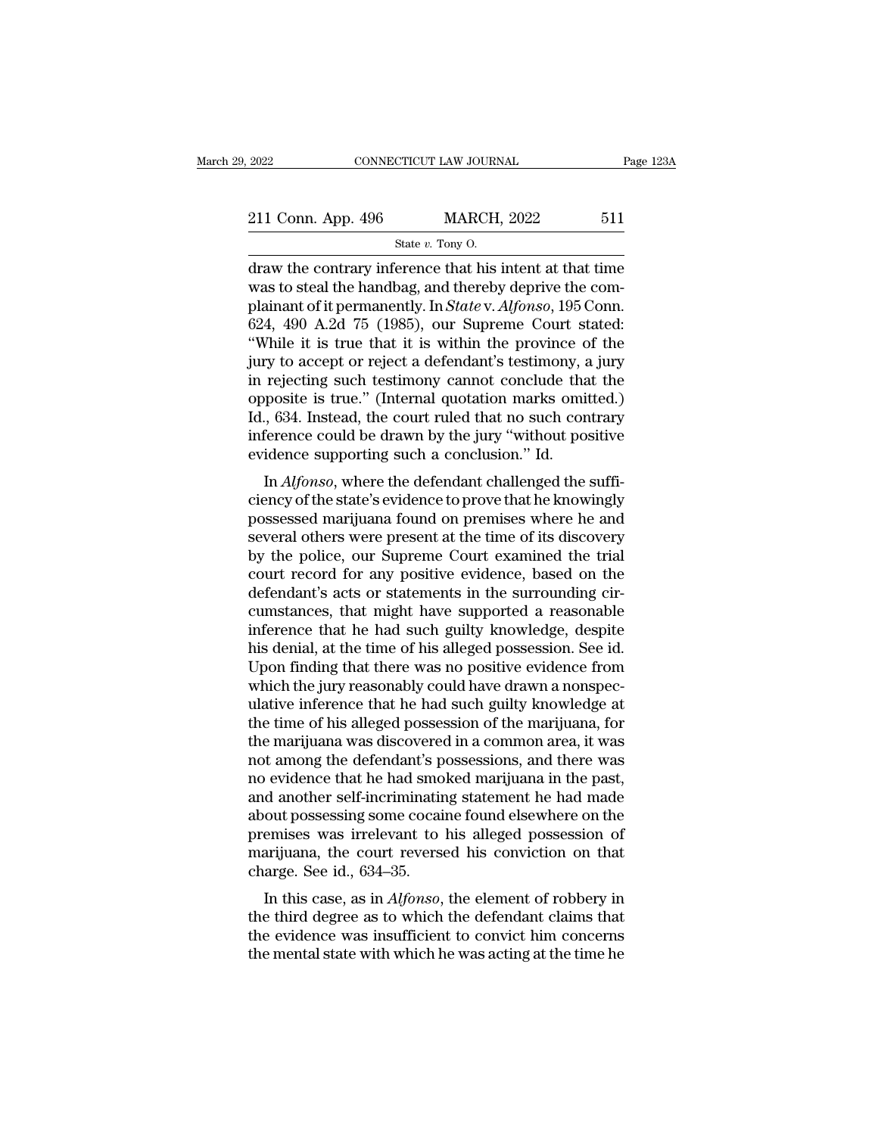| 2022                                                     | CONNECTICUT LAW JOURNAL | Page 123A |
|----------------------------------------------------------|-------------------------|-----------|
| 211 Conn. App. 496                                       | <b>MARCH, 2022</b>      | 511       |
|                                                          | State $v$ . Tony O.     |           |
| draw the contrary inference that his intent at that time |                         |           |

2022 CONNECTICUT LAW JOURNAL Page 123A<br>
211 Conn. App. 496 MARCH, 2022 511<br>  $\frac{\text{State } v. \text{ Tony 0.}}{\text{State } v. \text{ Tony 0.}}$ <br>
draw the contrary inference that his intent at that time<br>
was to steal the handbag, and thereby deprive the c 211 Conn. App. 496 MARCH, 2022 511<br>
State v. Tony O.<br>
draw the contrary inference that his intent at that time<br>
was to steal the handbag, and thereby deprive the com-<br>
plainant of it permanently. In *State* v. *Alfonso*, 211 Conn. App. 496 MARCH, 2022 511<br>
State v. Tony O.<br>
draw the contrary inference that his intent at that time<br>
was to steal the handbag, and thereby deprive the com-<br>
plainant of it permanently. In *State* v. *Alfonso*, 211 Conn. App. 496 MARCH, 2022 511<br>
State v. Tony O.<br>
draw the contrary inference that his intent at that time<br>
was to steal the handbag, and thereby deprive the com-<br>
plainant of it permanently. In *State v. Alfonso*, 19 State v. Tony O.<br>
State v. Tony O.<br>
draw the contrary inference that his intent at that time<br>
was to steal the handbag, and thereby deprive the com-<br>
plainant of it permanently. In *State* v. *Alfonso*, 195 Conn.<br>
624, 49 State v. Tony O.<br>
draw the contrary inference that his intent at that time<br>
was to steal the handbag, and thereby deprive the com-<br>
plainant of it permanently. In *State v. Alfonso*, 195 Conn.<br>
624, 490 A.2d 75 (1985), ou draw the contrary inference that his intent at that time<br>was to steal the handbag, and thereby deprive the com-<br>plainant of it permanently. In *State* v. *Alfonso*, 195 Conn.<br>624, 490 A.2d 75 (1985), our Supreme Court stat was to steal the handbag, and thereby deprive the complainant of it permanently. In  $State$  v.  $Alfonso$ , 195 Conn. 624, 490 A.2d 75 (1985), our Supreme Court stated:<br>
"While it is true that it is within the province of the jury plainant of it permanently. In *State* v. *Alfonso*, 195 Conn.<br>624, 490 A.2d 75 (1985), our Supreme Court stated:<br>"While it is true that it is within the province of the<br>jury to accept or reject a defendant's testimony, a 624, 490 A.2d 75 (1985), our Supreme Court stated:<br>"While it is true that it is within the province of the<br>jury to accept or reject a defendant's testimony, a jury<br>in rejecting such testimony cannot conclude that the<br>oppos "While it is true that it is within the province c<br>jury to accept or reject a defendant's testimony, a<br>in rejecting such testimony cannot conclude tha<br>opposite is true." (Internal quotation marks omi<br>Id., 634. Instead, th In *Alfonso*, where the defendant substitution, a jury rejecting such testimony cannot conclude that the posite is true." (Internal quotation marks omitted.) , 634. Instead, the court ruled that no such contrary ference co In rejecting such testimony cannot conclude that the<br>opposite is true." (Internal quotation marks omitted.)<br>Id., 634. Instead, the court ruled that no such contrary<br>inference could be drawn by the jury "without positive<br>e

possite is the. (Internal quotation marks ontited.)<br>Id., 634. Instead, the court ruled that no such contrary<br>inference could be drawn by the jury "without positive<br>evidence supporting such a conclusion." Id.<br>In *Alfonso*, inference could be drawn by the jury "without positive<br>evidence supporting such a conclusion." Id.<br>In  $Alfonso$ , where the defendant challenged the suffi-<br>ciency of the state's evidence to prove that he knowingly<br>possessed ma mierence could be drawn by the jury without positive<br>evidence supporting such a conclusion." Id.<br>In *Alfonso*, where the defendant challenged the suffi-<br>ciency of the state's evidence to prove that he knowingly<br>possessed m In  $Alfonso$ , where the defendant challenged the sufficiency of the state's evidence to prove that he knowingly possessed marijuana found on premises where he and several others were present at the time of its discovery by th In  $Alfonso$ , where the defendant challenged the sufficiency of the state's evidence to prove that he knowingly possessed marijuana found on premises where he and several others were present at the time of its discovery by th ciency of the state's evidence to prove that he knowingly<br>possessed marijuana found on premises where he and<br>several others were present at the time of its discovery<br>by the police, our Supreme Court examined the trial<br>cour possessed marijuana found on premises where he and<br>several others were present at the time of its discovery<br>by the police, our Supreme Court examined the trial<br>court record for any positive evidence, based on the<br>defendant several others were present at the time of its discovery<br>by the police, our Supreme Court examined the trial<br>court record for any positive evidence, based on the<br>defendant's acts or statements in the surrounding cir-<br>cumst by the police, our Supreme Court examined the trial<br>court record for any positive evidence, based on the<br>defendant's acts or statements in the surrounding cir-<br>cumstances, that might have supported a reasonable<br>inference t court record for any positive evidence, based on the defendant's acts or statements in the surrounding circumstances, that might have supported a reasonable inference that he had such guilty knowledge, despite his denial, defendant's acts or statements in the surrounding circumstances, that might have supported a reasonable inference that he had such guilty knowledge, despite his denial, at the time of his alleged possession. See id. Upon f cumstances, that might have supported a reasonable<br>inference that he had such guilty knowledge, despite<br>his denial, at the time of his alleged possession. See id.<br>Upon finding that there was no positive evidence from<br>which inference that he had such guilty knowledge, despite<br>his denial, at the time of his alleged possession. See id.<br>Upon finding that there was no positive evidence from<br>which the jury reasonably could have drawn a nonspec-<br>ul his denial, at the time of his alleged possession. See id.<br>Upon finding that there was no positive evidence from<br>which the jury reasonably could have drawn a nonspec-<br>ulative inference that he had such guilty knowledge at<br> Upon finding that there was no positive evidence from<br>which the jury reasonably could have drawn a nonspec-<br>ulative inference that he had such guilty knowledge at<br>the time of his alleged possession of the marijuana, for<br>th which the jury reasonably could have drawn a nonspec-<br>ulative inference that he had such guilty knowledge at<br>the time of his alleged possession of the marijuana, for<br>the marijuana was discovered in a common area, it was<br>no ulative inference that he had such guilty knowledge at<br>the time of his alleged possession of the marijuana, for<br>the marijuana was discovered in a common area, it was<br>not among the defendant's possessions, and there was<br>no the time of his alleged possession of the marijuana, for<br>the marijuana was discovered in a common area, it was<br>not among the defendant's possessions, and there was<br>no evidence that he had smoked marijuana in the past,<br>and the marijuana was discovered in a common area, it was<br>not among the defendant's possessions, and there was<br>no evidence that he had smoked marijuana in the past,<br>and another self-incriminating statement he had made<br>about po no evidence that he had smo<br>no evidence that he had smo<br>and another self-incriminatir<br>about possessing some cocai<br>premises was irrelevant to<br>marijuana, the court reverse<br>charge. See id., 634–35.<br>In this case, as in *Alfons* In this case, as in *Alfonso*, the element of robbery in entired and a court possessing some cocaine found elsewhere on the emises was irrelevant to his alleged possession of arijuana, the court reversed his conviction on and another sen-incriminating statement he had made<br>about possessing some cocaine found elsewhere on the<br>premises was irrelevant to his alleged possession of<br>marijuana, the court reversed his conviction on that<br>charge. See

about possessing some cocame found elsewhere off the<br>premises was irrelevant to his alleged possession of<br>marijuana, the court reversed his conviction on that<br>charge. See id., 634–35.<br>In this case, as in *Alfonso*, the ele premises was interevant to his aneged possession of marijuana, the court reversed his conviction on that charge. See id., 634–35.<br>In this case, as in *Alfonso*, the element of robbery in the third degree as to which the de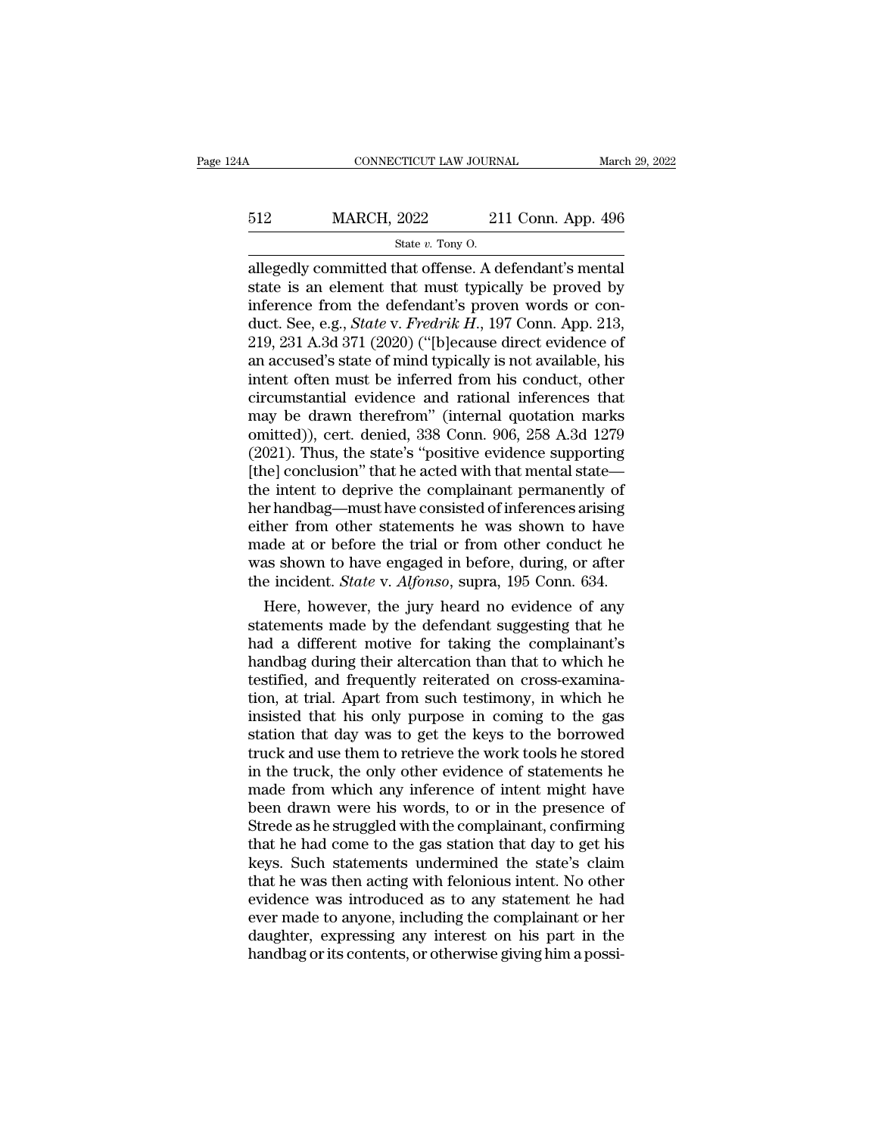# $\begin{tabular}{lll} \multicolumn{2}{l}{{\bf CONNECTICUT LAW JOURNAL}} & & & & & & & & & & & \\ \hline \multicolumn{2}{l}{\bf{S12}} & & & & & & & & & & \\ \multicolumn{2}{l}{\bf{MARCH, 2022}} & & & & & & & & \\ \multicolumn{2}{l}{\bf{S11} Conv. App. 496} & & & & & & \\ \multicolumn{2}{l}{\bf{S12}} & & & & & & & & \\ \hline & & & & & & & & & \\ \multicolumn{2}{l}{\bf{S13}} & & & & & & & \\ \multicolumn{2}{l}{\bf{S14}} & & & & & &$ EXTICUT LAW JOURN<br>2022 21<br>State *v*. Tony O.<br>hat offense A d

 $\begin{array}{r|l} \hline \text{COMRECTICUT LAW JOURNAL} \qquad & \text{March 29, 20} \ \hline \end{array}$ <br>512  $\begin{array}{r|l} \text{MARCH, 2022} & \text{211 Conn. App. 496} \ \hline \text{State } v. \text{ Tony 0.} \ \hline \end{array}$ <br>allegedly committed that offense. A defendant's mental state is an element that must typically  $\begin{tabular}{ll} \bf 512 & \tt {MARCH, 2022} & \tt 211 Conn. App. 496 \\ & \tt {State $v$. Tony 0.} \end{tabular}$  allegedly committed that offense. A defendant's mental state is an element that must typically be proved by inference from the defendant's proven words or c 512 MARCH, 2022 211 Conn. App. 496<br>
state v. Tony 0.<br>
allegedly committed that offense. A defendant's mental<br>
state is an element that must typically be proved by<br>
inference from the defendant's proven words or con-<br>
duct MARCH, 2022 211 Conn. App. 496<br>
<sup>State v. Tony O.<br>
allegedly committed that offense. A defendant's mental<br>
state is an element that must typically be proved by<br>
inference from the defendant's proven words or con-<br>
duct. Se</sup> State v. Tony O.<br>
State v. Tony O.<br>
allegedly committed that offense. A defendant's mental<br>
state is an element that must typically be proved by<br>
inference from the defendant's proven words or con-<br>
duct. See, e.g., *Stat* state v. Tony 0.<br>
allegedly committed that offense. A defendant's mental<br>
state is an element that must typically be proved by<br>
inference from the defendant's proven words or con-<br>
duct. See, e.g., *State* v. *Fredrik H.* allegedly committed that offense. A defendant's mental<br>state is an element that must typically be proved by<br>inference from the defendant's proven words or con-<br>duct. See, e.g., *State* v. *Fredrik H.*, 197 Conn. App. 213,<br> state is an element that must typically be proved by<br>inference from the defendant's proven words or con-<br>duct. See, e.g., *State* v. *Fredrik H.*, 197 Conn. App. 213,<br>219, 231 A.3d 371 (2020) ("[b]ecause direct evidence o inference from the defendant's proven words or con-<br>duct. See, e.g., *State* v. *Fredrik H.*, 197 Conn. App. 213,<br>219, 231 A.3d 371 (2020) ("[b]ecause direct evidence of<br>an accused's state of mind typically is not availabl duct. See, e.g., *State* v. *Fredrik H.*, 197 Conn. App. 213, 219, 231 A.3d 371 (2020) ("[b]ecause direct evidence of an accused's state of mind typically is not available, his intent often must be inferred from his conduc 219, 231 A.3d 371 (2020) ("[b]ecause direct evidence of<br>an accused's state of mind typically is not available, his<br>intent often must be inferred from his conduct, other<br>circumstantial evidence and rational inferences that<br> an accused's state of mind typically is not available, his<br>intent often must be inferred from his conduct, other<br>circumstantial evidence and rational inferences that<br>may be drawn therefrom'' (internal quotation marks<br>omitt intent often must be inferred from his conduct, other<br>circumstantial evidence and rational inferences that<br>may be drawn therefrom" (internal quotation marks<br>omitted)), cert. denied, 338 Conn. 906, 258 A.3d 1279<br>(2021). Thu circumstantial evidence and rational inferences that<br>may be drawn therefrom" (internal quotation marks<br>omitted)), cert. denied, 338 Conn. 906, 258 A.3d 1279<br>(2021). Thus, the state's "positive evidence supporting<br>[the] con may be drawn therefrom" (internal quotation marks<br>omitted)), cert. denied, 338 Conn. 906, 258 A.3d 1279<br>(2021). Thus, the state's "positive evidence supporting<br>[the] conclusion" that he acted with that mental state—<br>the in omitted)), cert. denied, 338 Conn. 906, 258 A.3d 1279 (2021). Thus, the state's "positive evidence supporting [the] conclusion" that he acted with that mental state—<br>the intent to deprive the complainant permanently of her (2021). Thus, the state's "positive evidence supporting [the] conclusion" that he acted with that mental state—<br>the intent to deprive the complainant permanently of<br>her handbag—must have consisted of inferences arising<br>ei [the] conclusion" that he acted with that mental state—<br>the intent to deprive the complainant permanently of<br>her handbag—must have consisted of inferences arising<br>either from other statements he was shown to have<br>made at o e intent to deprive the complainant permanently of<br>
r handbag—must have consisted of inferences arising<br>
her from other statements he was shown to have<br>
ade at or before the trial or from other conduct he<br>
as shown to have her handbag—must have consisted of inferences arising<br>either from other statements he was shown to have<br>made at or before the trial or from other conduct he<br>was shown to have engaged in before, during, or after<br>the inciden

either from other statements he was shown to have<br>made at or before the trial or from other conduct he<br>was shown to have engaged in before, during, or after<br>the incident. *State* v. *Alfonso*, supra, 195 Conn. 634.<br>Here, h made at or before the trial or from other conduct he<br>was shown to have engaged in before, during, or after<br>the incident. *State* v. *Alfonso*, supra, 195 Conn. 634.<br>Here, however, the jury heard no evidence of any<br>statemen was shown to have engaged in before, during, or after<br>the incident. *State* v. *Alfonso*, supra, 195 Conn. 634.<br>Here, however, the jury heard no evidence of any<br>statements made by the defendant suggesting that he<br>had a dif the incident. *State* v. *Atjonso*, supra, 195 Conn. 634.<br>
Here, however, the jury heard no evidence of any<br>
statements made by the defendant suggesting that he<br>
had a different motive for taking the complainant's<br>
handbag Here, however, the jury heard no evidence of any<br>statements made by the defendant suggesting that he<br>had a different motive for taking the complainant's<br>handbag during their altercation than that to which he<br>testified, and statements made by the defendant suggesting that he<br>had a different motive for taking the complainant's<br>handbag during their altercation than that to which he<br>testified, and frequently reiterated on cross-examina-<br>tion, at had a different motive for taking the complainant's<br>handbag during their altercation than that to which he<br>testified, and frequently reiterated on cross-examina-<br>tion, at trial. Apart from such testimony, in which he<br>insis handbag during their altercation than that to which he<br>testified, and frequently reiterated on cross-examina-<br>tion, at trial. Apart from such testimony, in which he<br>insisted that his only purpose in coming to the gas<br>stati testified, and frequently reiterated on cross-examination, at trial. Apart from such testimony, in which he insisted that his only purpose in coming to the gas station that day was to get the keys to the borrowed truck and tion, at trial. Apart from such testimony, in which he<br>insisted that his only purpose in coming to the gas<br>station that day was to get the keys to the borrowed<br>truck and use them to retrieve the work tools he stored<br>in the insisted that his only purpose in coming to the gas<br>station that day was to get the keys to the borrowed<br>truck and use them to retrieve the work tools he stored<br>in the truck, the only other evidence of statements he<br>made f station that day was to get the keys to the borrowed<br>truck and use them to retrieve the work tools he stored<br>in the truck, the only other evidence of statements he<br>made from which any inference of intent might have<br>been dr truck and use them to retrieve the work tools he stored<br>in the truck, the only other evidence of statements he<br>made from which any inference of intent might have<br>been drawn were his words, to or in the presence of<br>Strede a in the truck, the only other evidence of statements he<br>made from which any inference of intent might have<br>been drawn were his words, to or in the presence of<br>Strede as he struggled with the complainant, confirming<br>that he made from which any inference of intent might have<br>been drawn were his words, to or in the presence of<br>Strede as he struggled with the complainant, confirming<br>that he had come to the gas station that day to get his<br>keys. S been drawn were his words, to or in the presence of Strede as he struggled with the complainant, confirming that he had come to the gas station that day to get his keys. Such statements undermined the state's claim that he Strede as he struggled with the complainant, confirming<br>that he had come to the gas station that day to get his<br>keys. Such statements undermined the state's claim<br>that he was then acting with felonious intent. No other<br>evi that he had come to the gas station that day to get his keys. Such statements undermined the state's claim that he was then acting with felonious intent. No other evidence was introduced as to any statement he had ever mad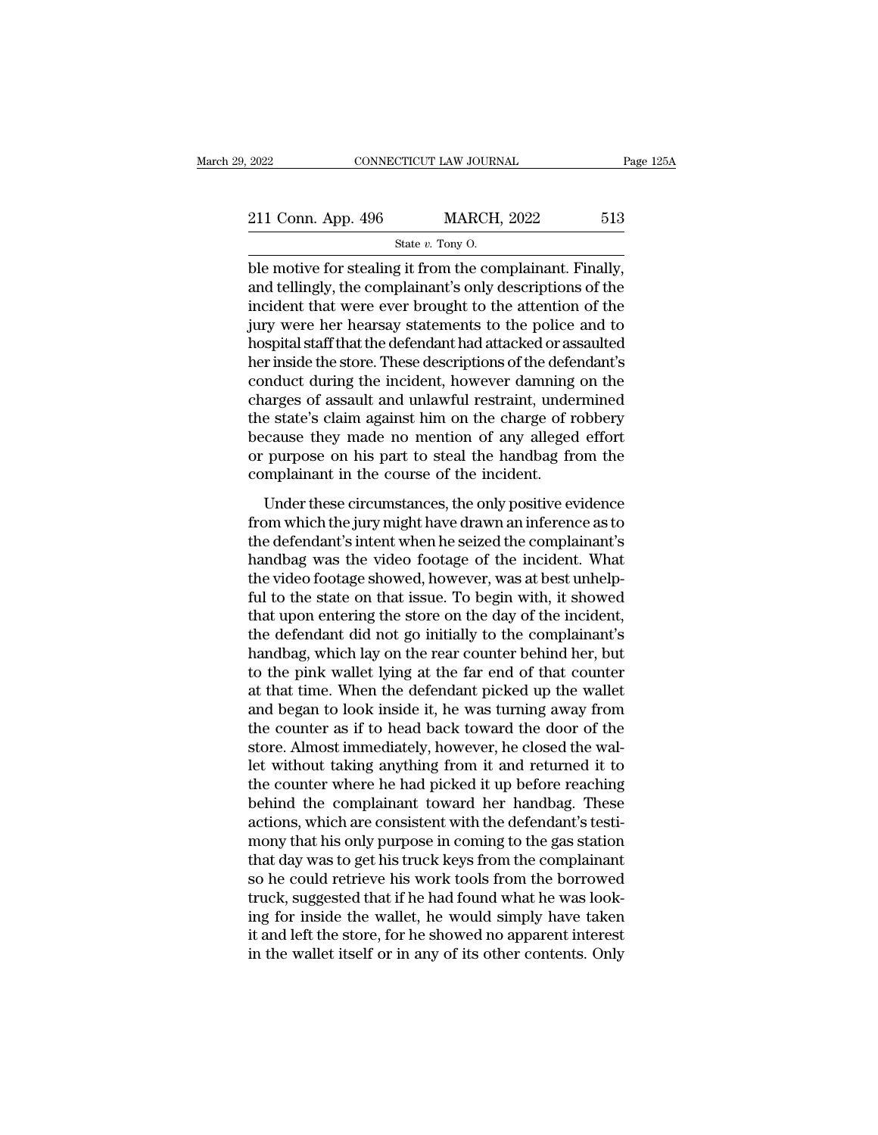| 2022               | CONNECTICUT LAW JOURNAL                                  | Page 125A |
|--------------------|----------------------------------------------------------|-----------|
|                    |                                                          |           |
| 211 Conn. App. 496 | <b>MARCH, 2022</b>                                       | 513       |
|                    | State $v$ . Tony O.                                      |           |
|                    | hle motive for stealing it from the complainant. Finally |           |

 $\begin{array}{ll}\n \text{2022} & \text{COMRECTICUT LAW JOURNAL} & \text{Page 12}\n \end{array}$ <br>  $\begin{array}{ll}\n \text{211 Conn. App. 496} & \text{MARCH, 2022} & \text{513}\n \end{array}$ <br>  $\begin{array}{ll}\n \text{State } v. \text{ Tony 0.}\n \end{array}$ <br>
ble motive for stealing it from the complainant. Finally,<br>
and tellingly, the compla 211 Conn. App. 496 MARCH, 2022 513<br>
State v. Tony O.<br>
ble motive for stealing it from the complainant. Finally,<br>
and tellingly, the complainant's only descriptions of the<br>
incident that were ever brought to the attention 211 Conn. App. 496 MARCH, 2022 513<br>
State v. Tony O.<br>
ble motive for stealing it from the complainant. Finally,<br>
and tellingly, the complainant's only descriptions of the<br>
incident that were ever brought to the attention 211 Conn. App. 496 MARCH, 2022 513<br>
State v. Tony O.<br>
ble motive for stealing it from the complainant. Finally,<br>
and tellingly, the complainant's only descriptions of the<br>
incident that were ever brought to the attention State v. Tony O.<br>
State v. Tony O.<br>
ble motive for stealing it from the complainant. Finally,<br>
and tellingly, the complainant's only descriptions of the<br>
incident that were ever brought to the attention of the<br>
jury were state  $v$ . Tony 0.<br>
ble motive for stealing it from the complainant. Finally,<br>
and tellingly, the complainant's only descriptions of the<br>
incident that were ever brought to the attention of the<br>
jury were her hearsay stat ble motive for stealing it from the complainant. Finally,<br>and tellingly, the complainant's only descriptions of the<br>incident that were ever brought to the attention of the<br>jury were her hearsay statements to the police and and tellingly, the complainant's only descriptions of the<br>incident that were ever brought to the attention of the<br>jury were her hearsay statements to the police and to<br>hospital staff that the defendant had attacked or assa incident that were ever brought to the attention of the<br>jury were her hearsay statements to the police and to<br>hospital staff that the defendant had attacked or assaulted<br>her inside the store. These descriptions of the defe jury were her hearsay statements to the police and to<br>hospital staff that the defendant had attacked or assaulted<br>her inside the store. These descriptions of the defendant's<br>conduct during the incident, however damning on hospital staff that the defendant had attacked or assaulted<br>her inside the store. These descriptions of the defendant's<br>conduct during the incident, however damning on the<br>charges of assault and unlawful restraint, undermi her inside the store. These descriptions of the defe<br>conduct during the incident, however damning<br>charges of assault and unlawful restraint, under<br>the state's claim against him on the charge of r<br>because they made no menti radict daring the included, no worder dariting on the<br>arges of assault and unlawful restraint, undermined<br>e state's claim against him on the charge of robbery<br>cause they made no mention of any alleged effort<br>purpose on his the state's claim against him on the charge of robbery<br>because they made no mention of any alleged effort<br>or purpose on his part to steal the handbag from the<br>complainant in the course of the incident.<br>Under these circumst

the state s claim against rink of the charge of rosser,<br>because they made no mention of any alleged effort<br>or purpose on his part to steal the handbag from the<br>complainant in the course of the incident.<br>Under these circums because ancy made no member of any anaged enoted or purpose on his part to steal the handbag from the complainant in the course of the incident.<br>
Under these circumstances, the only positive evidence from which the jury mi the video formulation in the course of the incident.<br>
Under these circumstances, the only positive evidence<br>
from which the jury might have drawn an inference as to<br>
the defendant's intent when he seized the complainant's<br> Under these circumstances, the only positive evidence<br>from which the jury might have drawn an inference as to<br>the defendant's intent when he seized the complainant's<br>handbag was the video footage of the incident. What<br>the Under these circumstances, the only positive evidence<br>from which the jury might have drawn an inference as to<br>the defendant's intent when he seized the complainant's<br>handbag was the video footage of the incident. What<br>the from which the jury might have drawn an inference as to<br>the defendant's intent when he seized the complainant's<br>handbag was the video footage of the incident. What<br>the video footage showed, however, was at best unhelp-<br>ful the defendant's intent when he seized the complainant's handbag was the video footage of the incident. What the video footage showed, however, was at best unhelp-<br>ful to the state on that issue. To begin with, it showed th handbag was the video footage of the incident. What<br>the video footage showed, however, was at best unhelp-<br>ful to the state on that issue. To begin with, it showed<br>that upon entering the store on the day of the incident,<br>t the video footage showed, however, was at best unhelp-<br>ful to the state on that issue. To begin with, it showed<br>that upon entering the store on the day of the incident,<br>the defendant did not go initially to the complainant ful to the state on that issue. To begin with, it showed<br>that upon entering the store on the day of the incident,<br>the defendant did not go initially to the complainant's<br>handbag, which lay on the rear counter behind her, b that upon entering the store on the day of the incident,<br>the defendant did not go initially to the complainant's<br>handbag, which lay on the rear counter behind her, but<br>to the pink wallet lying at the far end of that counte the defendant did not go initially to the complainant's<br>handbag, which lay on the rear counter behind her, but<br>to the pink wallet lying at the far end of that counter<br>at that time. When the defendant picked up the wallet<br>a handbag, which lay on the rear counter behind her, but<br>to the pink wallet lying at the far end of that counter<br>at that time. When the defendant picked up the wallet<br>and began to look inside it, he was turning away from<br>the to the pink wallet lying at the far end of that counter<br>at that time. When the defendant picked up the wallet<br>and began to look inside it, he was turning away from<br>the counter as if to head back toward the door of the<br>stor at that time. When the defendant picked up the wallet<br>and began to look inside it, he was turning away from<br>the counter as if to head back toward the door of the<br>store. Almost immediately, however, he closed the wal-<br>let w and began to look inside it, he was turning away from<br>the counter as if to head back toward the door of the<br>store. Almost immediately, however, he closed the wal-<br>let without taking anything from it and returned it to<br>the the counter as if to head back toward the door of the<br>store. Almost immediately, however, he closed the wal-<br>let without taking anything from it and returned it to<br>the counter where he had picked it up before reaching<br>behi store. Almost immediately, however, he closed the wallet without taking anything from it and returned it to the counter where he had picked it up before reaching behind the complainant toward her handbag. These actions, wh let without taking anything from it and returned it to<br>the counter where he had picked it up before reaching<br>behind the complainant toward her handbag. These<br>actions, which are consistent with the defendant's testi-<br>mony t the counter where he had picked it up before reaching<br>behind the complainant toward her handbag. These<br>actions, which are consistent with the defendant's testi-<br>mony that his only purpose in coming to the gas station<br>that behind the complainant toward her handbag. These<br>actions, which are consistent with the defendant's testi-<br>mony that his only purpose in coming to the gas station<br>that day was to get his truck keys from the complainant<br>so actions, which are consistent with the defendant's testi-<br>mony that his only purpose in coming to the gas station<br>that day was to get his truck keys from the complainant<br>so he could retrieve his work tools from the borrowe mony that his only purpose in coming to the gas station<br>that day was to get his truck keys from the complainant<br>so he could retrieve his work tools from the borrowed<br>truck, suggested that if he had found what he was look-<br>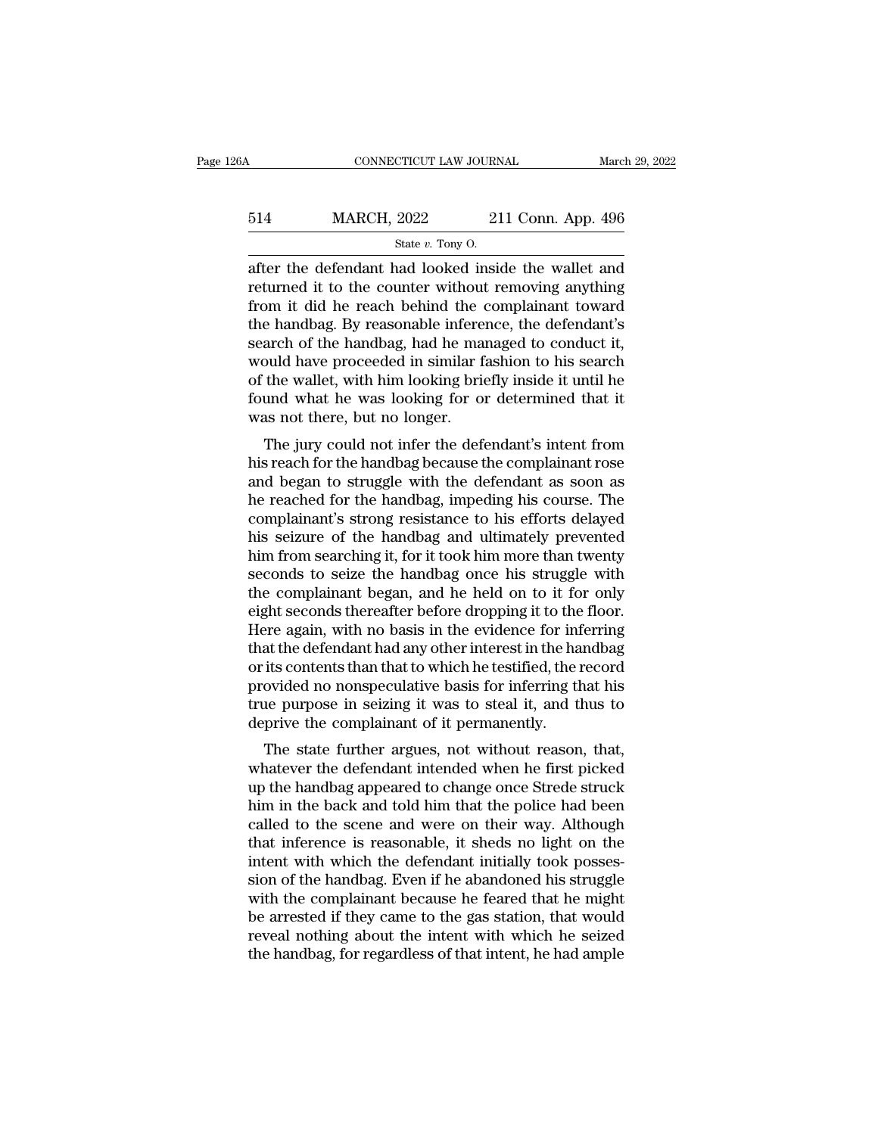# CONNECTICUT LAW JOURNAL March 29, 2022<br>514 MARCH, 2022 211 Conn. App. 496<br>5tate v. Tony O. EXTICUT LAW JOURN<br>
2022 21<br>
State *v*. Tony O.<br>
and looked inside

 $\begin{array}{r|l}\n\text{COMRECTICUT LAW JOURNAL} & \text{March 29, 2022}\n\hline\n\end{array}$ <br>  $\begin{array}{r|l}\n\text{MARCH, 2022} & \text{211 Conn. App. 496}\n\hline\n\end{array}$ <br>  $\begin{array}{r}\n\text{State } v. \text{ Tony 0.}\n\end{array}$ <br>
after the defendant had looked inside the wallet and<br>
returned it to the counter wi  $\begin{array}{r} \n514 \quad \text{MARCH, 2022} \quad \text{211 Conn. App. 496} \\
 \underline{\text{State } v. \text{ Tony O.}} \n\end{array}$ <br>
after the defendant had looked inside the wallet and returned it to the counter without removing anything from it did he reach behind the complainant 514 MARCH, 2022 211 Conn. App. 496<br>  $\frac{\text{State } v. \text{ Tony 0.}}{\text{after the defendant had looked inside the wallet and}$ returned it to the counter without removing anything<br>
from it did he reach behind the complainant toward<br>
the handbag. By reasonable inference, the def 514 MARCH, 2022 211 Conn. App. 496<br>  $\frac{\text{State } v. \text{ Tony O.}}{\text{after the defendant had looked inside the wallet and}$ returned it to the counter without removing anything<br>
from it did he reach behind the complainant toward<br>
the handbag. By reasonable inference, the defe state v. Tony 0.<br>
State v. Tony 0.<br>
after the defendant had looked inside the wallet and<br>
returned it to the counter without removing anything<br>
from it did he reach behind the complainant toward<br>
the handbag, By reasonabl state v. Tony O.<br>
after the defendant had looked inside the wallet and<br>
returned it to the counter without removing anything<br>
from it did he reach behind the complainant toward<br>
the handbag. By reasonable inference, the d after the defendant had looked inside the wallet and<br>returned it to the counter without removing anything<br>from it did he reach behind the complainant toward<br>the handbag. By reasonable inference, the defendant's<br>search of t returned it to the counter without removing anything<br>from it did he reach behind the complainant toward<br>the handbag. By reasonable inference, the defendant's<br>search of the handbag, had he managed to conduct it,<br>would have from it did he reach behind the c<br>the handbag. By reasonable infere:<br>search of the handbag, had he max<br>would have proceeded in similar f<br>of the wallet, with him looking brie<br>found what he was looking for on<br>was not there, re nantubag. By reasonable interence, the defendant s<br>arch of the handbag, had he managed to conduct it,<br>build have proceeded in similar fashion to his search<br>the wallet, with him looking briefly inside it until he<br>und wha search of the handbag, had he hialaged to conduct it,<br>would have proceeded in similar fashion to his search<br>of the wallet, with him looking briefly inside it until he<br>found what he was looking for or determined that it<br>was

would have proceeded in shilling has search<br>of the wallet, with him looking briefly inside it until he<br>found what he was looking for or determined that it<br>was not there, but no longer.<br>The jury could not infer the defendan of the wallet, while limit looking briefly firstice it think found what he was looking for or determined that it<br>was not there, but no longer.<br>The jury could not infer the defendant's intent from<br>his reach for the handbag From a model what he was looking for or determined that ht<br>was not there, but no longer.<br>The jury could not infer the defendant's intent from<br>his reach for the handbag because the complainant rose<br>and began to struggle wit was not there, but no longer.<br>The jury could not infer the defendant's intent from<br>his reach for the handbag because the complainant rose<br>and began to struggle with the defendant as soon as<br>he reached for the handbag, impe The jury could not infer the defendant's intent from<br>his reach for the handbag because the complainant rose<br>and began to struggle with the defendant as soon as<br>he reached for the handbag, impeding his course. The<br>complaina his reach for the handbag because the complainant rose<br>and began to struggle with the defendant as soon as<br>he reached for the handbag, impeding his course. The<br>complainant's strong resistance to his efforts delayed<br>his sei and began to struggle with the defendant as soon as<br>he reached for the handbag, impeding his course. The<br>complainant's strong resistance to his efforts delayed<br>his seizure of the handbag and ultimately prevented<br>him from s he reached for the handbag, impeding his course. The complainant's strong resistance to his efforts delayed his seizure of the handbag and ultimately prevented him from searching it, for it took him more than twenty second complainant's strong resistance to his efforts delayed<br>his seizure of the handbag and ultimately prevented<br>him from searching it, for it took him more than twenty<br>seconds to seize the handbag once his struggle with<br>the com his seizure of the handbag and ultimately prevented<br>him from searching it, for it took him more than twenty<br>seconds to seize the handbag once his struggle with<br>the complainant began, and he held on to it for only<br>eight sec him from searching it, for it took him more than twenty<br>seconds to seize the handbag once his struggle with<br>the complainant began, and he held on to it for only<br>eight seconds thereafter before dropping it to the floor.<br>Her seconds to seize the handbag once his struggle with<br>the complainant began, and he held on to it for only<br>eight seconds thereafter before dropping it to the floor.<br>Here again, with no basis in the evidence for inferring<br>tha the complainant began, and he held on to it for only<br>eight seconds thereafter before dropping it to the floor.<br>Here again, with no basis in the evidence for inferring<br>that the defendant had any other interest in the handba eight seconds thereafter before dropping it to the<br>Here again, with no basis in the evidence for inf<br>that the defendant had any other interest in the ha<br>or its contents than that to which he testified, the p<br>provided no no The state further argues, not without reason, that, and the handbag its contents than that to which he testified, the record ovided no nonspeculative basis for inferring that his ne purpose in seizing it was to steal it, a First differential that any other interest in the handbag<br>or its contents than that to which he testified, the record<br>provided no nonspeculative basis for inferring that his<br>true purpose in seizing it was to steal it, and

or its contents than that to which he testined, the record<br>provided no nonspeculative basis for inferring that his<br>true purpose in seizing it was to steal it, and thus to<br>deprive the complainant of it permanently.<br>The stat provided no nonspectuative basis for interfing that his<br>true purpose in seizing it was to steal it, and thus to<br>deprive the complainant of it permanently.<br>The state further argues, not without reason, that,<br>whatever the de called to the scene and were on their way. Although<br>the state further argues, not without reason, that,<br>whatever the defendant intended when he first picked<br>up the handbag appeared to change once Strede struck<br>him in the b The state further argues, not without reason, that,<br>whatever the defendant intended when he first picked<br>up the handbag appeared to change once Strede struck<br>him in the back and told him that the police had been<br>called to The state further argues, not without reason, that, whatever the defendant intended when he first picked up the handbag appeared to change once Strede struck him in the back and told him that the police had been called to whatever the defendant intended when he first picked<br>up the handbag appeared to change once Strede struck<br>him in the back and told him that the police had been<br>called to the scene and were on their way. Although<br>that infer up the handbag appeared to change once Strede struck<br>him in the back and told him that the police had been<br>called to the scene and were on their way. Although<br>that inference is reasonable, it sheds no light on the<br>intent w him in the back and told him that the police had been<br>called to the scene and were on their way. Although<br>that inference is reasonable, it sheds no light on the<br>intent with which the defendant initially took posses-<br>sion o called to the scene and were on their way. Although<br>that inference is reasonable, it sheds no light on the<br>intent with which the defendant initially took posses-<br>sion of the handbag. Even if he abandoned his struggle<br>with that inference is reasonable, it sheds no light on the intent with which the defendant initially took possession of the handbag. Even if he abandoned his struggle with the complainant because he feared that he might be arr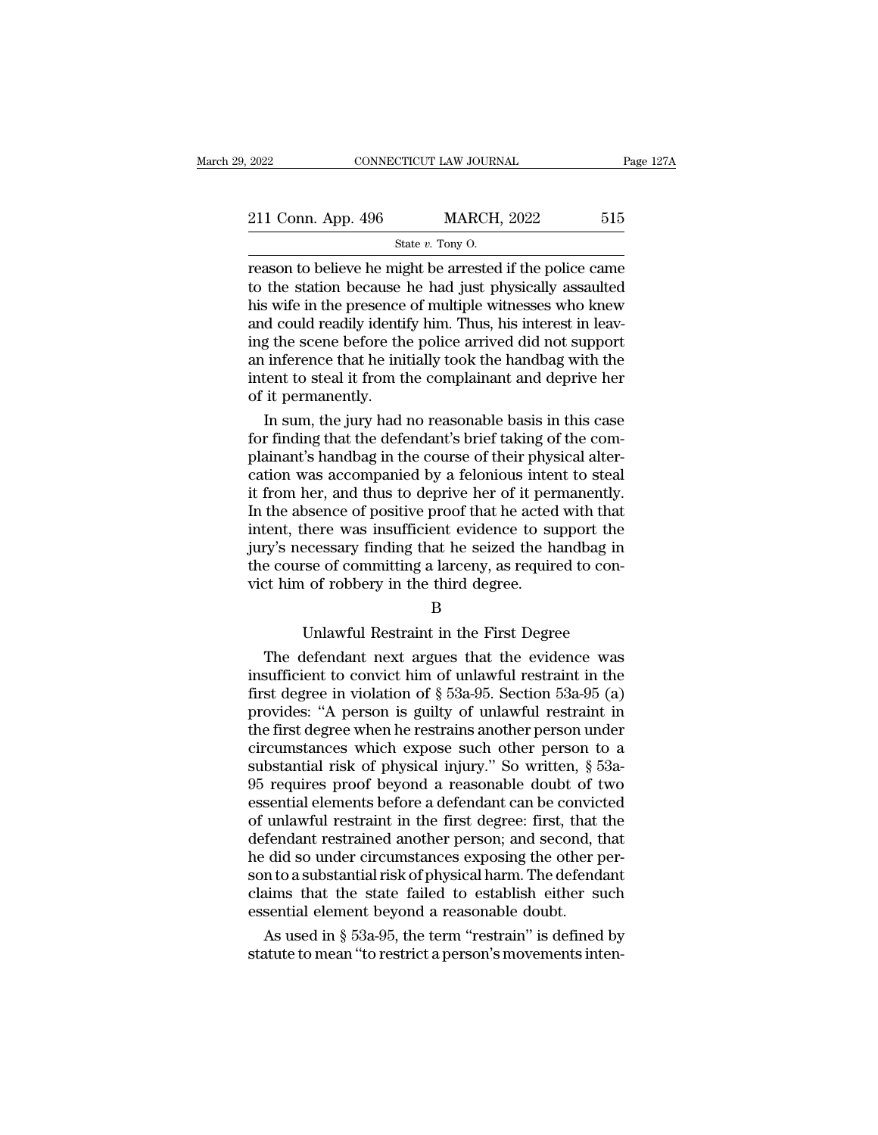| 2022                                                      | CONNECTICUT LAW JOURNAL | Page 127A |
|-----------------------------------------------------------|-------------------------|-----------|
| 211 Conn. App. 496                                        | <b>MARCH, 2022</b>      | 515       |
|                                                           | State $v$ . Tony O.     |           |
| reason to believe he might be arrested if the police came |                         |           |

2022 CONNECTICUT LAW JOURNAL Page 127A<br>
211 Conn. App. 496 MARCH, 2022 515<br>
State v. Tony O.<br>
Treason to believe he might be arrested if the police came<br>
to the station because he had just physically assaulted<br>
his wife i 211 Conn. App. 496 MARCH, 2022 515<br>
State v. Tony 0.<br>
Treason to believe he might be arrested if the police came<br>
to the station because he had just physically assaulted<br>
his wife in the presence of multiple witnesses who 211 Conn. App. 496 MARCH, 2022 515<br>
State v. Tony O.<br>
Treason to believe he might be arrested if the police came<br>
to the station because he had just physically assaulted<br>
his wife in the presence of multiple witnesses who 211 Conn. App. 496 MARCH, 2022 515<br>
State  $v$ . Tony O.<br>
Treason to believe he might be arrested if the police came<br>
to the station because he had just physically assaulted<br>
his wife in the presence of multiple witnesses w State v. Tony O.<br>
The scalar view of the state v. Tony O.<br>
Treason to believe he might be arrested if the police came<br>
to the station because he had just physically assaulted<br>
his wife in the presence of multiple witnesse State v. Tony O.<br>
Freason to believe he might be arrested if the police came<br>
to the station because he had just physically assaulted<br>
his wife in the presence of multiple witnesses who knew<br>
and could readily identify hi reason to believe he might be arrested if the police came<br>to the station because he had just physically assaulted<br>his wife in the presence of multiple witnesses who knew<br>and could readily identify him. Thus, his interest i to the station because<br>his wife in the presence<br>and could readily identi<br>ing the scene before the<br>an inference that he ini<br>intent to steal it from the<br>of it permanently.<br>In sum, the jury had In the presence of multiple witnesses who knew<br>
d could readily identify him. Thus, his interest in leav-<br>
g the scene before the police arrived did not support<br>
inference that he initially took the handbag with the<br>
tent and could readily identify him. Thus, his interest in leaving the scene before the police arrived did not support<br>an inference that he initially took the handbag with the<br>intent to steal it from the complainant and deprive

ing the scene before the police arrived did not support<br>an inference that he initially took the handbag with the<br>intent to steal it from the complainant and deprive her<br>of it permanently.<br>In sum, the jury had no reasonable an inference that he initially took the handbag with the<br>intent to steal it from the complainant and deprive her<br>of it permanently.<br>In sum, the jury had no reasonable basis in this case<br>for finding that the defendant's bri intent to steal it from the complainant and deprive her<br>of it permanently.<br>In sum, the jury had no reasonable basis in this case<br>for finding that the defendant's brief taking of the com-<br>plainant's handbag in the course of of it permanently.<br>In sum, the jury had no reasonable basis in this case<br>for finding that the defendant's brief taking of the com-<br>plainant's handbag in the course of their physical alter-<br>cation was accompanied by a felon In sum, the jury had no reasonable basis in this case<br>for finding that the defendant's brief taking of the com-<br>plainant's handbag in the course of their physical alter-<br>cation was accompanied by a felonious intent to stea for finding that the defendant's brief taking of the complainant's handbag in the course of their physical alter-<br>cation was accompanied by a felonious intent to steal<br>it from her, and thus to deprive her of it permanently plainant's handbag in the course of their physical alter-<br>cation was accompanied by a felonious intent to steal<br>it from her, and thus to deprive her of it permanently.<br>In the absence of positive proof that he acted with th cation was accompanied by a felonious inter<br>it from her, and thus to deprive her of it per.<br>In the absence of positive proof that he acted<br>intent, there was insufficient evidence to su<br>jury's necessary finding that he seiz Secret of positive proof that it acted what that<br>there was insufficient evidence to support the<br>ecessary finding that he seized the handbag in<br>rse of committing a larceny, as required to con-<br>i of robbery in the third degr ry's necessary finding that he seized the handbag in<br>
e course of committing a larceny, as required to con-<br>
thim of robbery in the third degree.<br>
B<br>
Unlawful Restraint in the First Degree<br>
The defendant next argues that t

## B

the course of committing a larceny, as required to convict him of robbery in the third degree.<br>
B<br>
Unlawful Restraint in the First Degree<br>
The defendant next argues that the evidence was<br>
insufficient to convict him of unl First degree.<br>
B<br>
Unlawful Restraint in the First Degree<br>
The defendant next argues that the evidence was<br>
insufficient to convict him of unlawful restraint in the<br>
first degree in violation of § 53a-95. Section 53a-95 (a) B<br>B<br>Unlawful Restraint in the First Degree<br>The defendant next argues that the evidence was<br>insufficient to convict him of unlawful restraint in the<br>first degree in violation of § 53a-95. Section 53a-95 (a)<br>provides: "A per Unlawful Restraint in the First Degree<br>The defendant next argues that the evidence was<br>insufficient to convict him of unlawful restraint in the<br>first degree in violation of  $\S$  53a-95. Section 53a-95 (a)<br>provides: "A pers Unlawful Restraint in the First Degree<br>The defendant next argues that the evidence was<br>insufficient to convict him of unlawful restraint in the<br>first degree in violation of  $\S$  53a-95. Section 53a-95 (a)<br>provides: "A pers The defendant next argues that the evidence was<br>insufficient to convict him of unlawful restraint in the<br>first degree in violation of  $\S$  53a-95. Section 53a-95 (a)<br>provides: "A person is guilty of unlawful restraint in<br>t insufficient to convict him of unlawful restraint in the<br>first degree in violation of  $\S$  53a-95. Section 53a-95 (a)<br>provides: "A person is guilty of unlawful restraint in<br>the first degree when he restrains another person first degree in violation of  $\S$  53a-95. Section 53a-95 (a)<br>provides: "A person is guilty of unlawful restraint in<br>the first degree when he restrains another person under<br>circumstances which expose such other person to a<br> provides: "A person is guilty of unlawful restraint in<br>the first degree when he restrains another person under<br>circumstances which expose such other person to a<br>substantial risk of physical injury." So written, § 53a-<br>95 r the first degree when he restrains another person under<br>circumstances which expose such other person to a<br>substantial risk of physical injury." So written, § 53a-<br>95 requires proof beyond a reasonable doubt of two<br>essentia circumstances which expose such other person to a<br>substantial risk of physical injury." So written, § 53a-<br>95 requires proof beyond a reasonable doubt of two<br>essential elements before a defendant can be convicted<br>of unlawf substantial risk of physical injury." So written, § 53a-<br>95 requires proof beyond a reasonable doubt of two<br>essential elements before a defendant can be convicted<br>of unlawful restraint in the first degree: first, that the<br> 95 requires proof beyond a reasonable doubt of two<br>essential elements before a defendant can be convicted<br>of unlawful restraint in the first degree: first, that the<br>defendant restrained another person; and second, that<br>he essential elements before a defendant can be convic<br>of unlawful restraint in the first degree: first, that<br>defendant restrained another person; and second, t<br>he did so under circumstances exposing the other p<br>son to a subs unlawful restraint in the first degree: first, that the<br>fendant restrained another person; and second, that<br>did so under circumstances exposing the other per-<br>n to a substantial risk of physical harm. The defendant<br>aims th defendant restrained another person; and second, that<br>he did so under circumstances exposing the other per-<br>son to a substantial risk of physical harm. The defendant<br>claims that the state failed to establish either such<br>es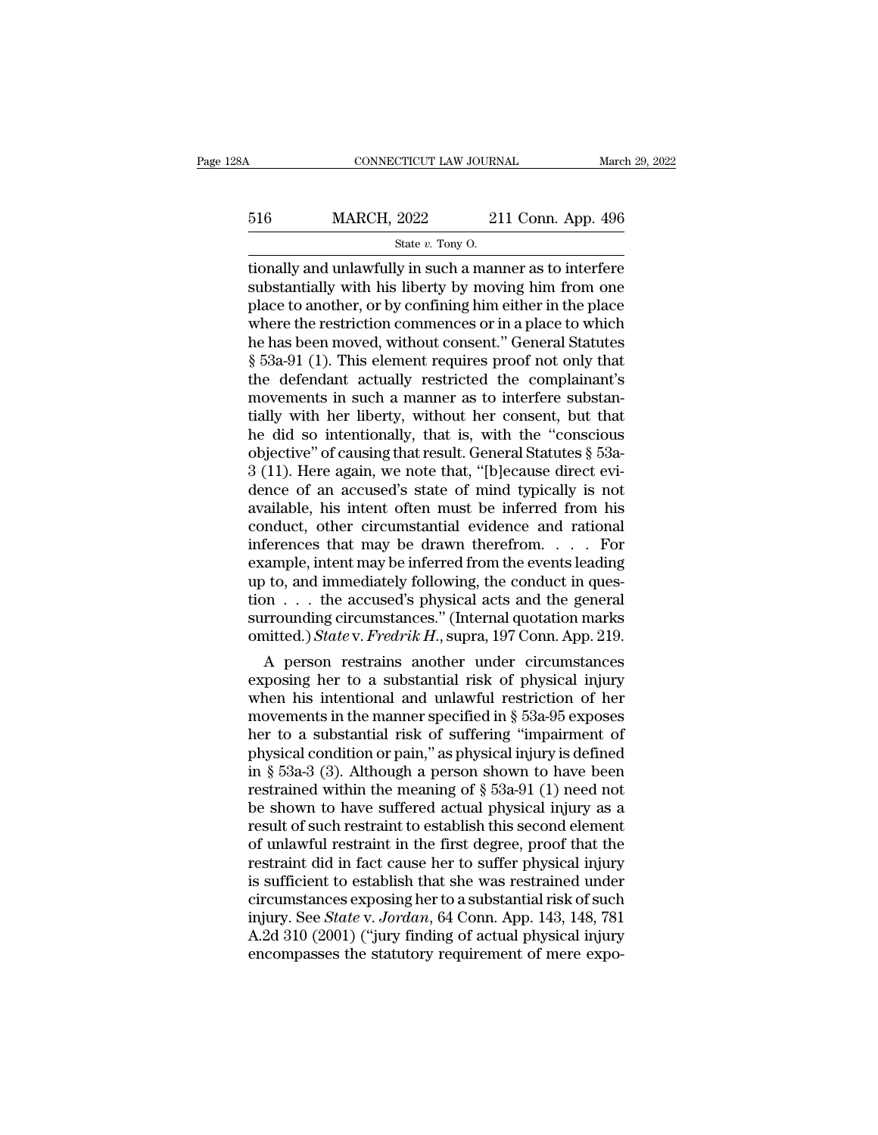# CONNECTICUT LAW JOURNAL March 29, 2022<br>516 MARCH, 2022 211 Conn. App. 496<br>5tate v. Tony O. EXTICUT LAW JOURN<br>2022 21<br>State *v*. Tony O.<br>V. in such a man

the connecticut consideration of the MARCH,  $2022$  and  $211$  Conn. App. 496<br>  $\frac{1}{2}$  state v. Tony 0.<br>  $\frac{1}{2}$  state v. Tony 0.<br>  $\frac{1}{2}$  substantially and unlawfully in such a manner as to interfere substantially wi  $\begin{array}{r} \text{516} & \text{MARCH, } 2022 & 211 \text{ Conn. App. 496} \\ \text{State } v. \text{ Tony O.} \end{array}$ <br>tionally and unlawfully in such a manner as to interfere substantially with his liberty by moving him from one place to another, or by confining him eithe 516 MARCH, 2022 211 Conn. App. 496<br>  $\frac{\text{State } v. \text{ Tony O.}}{\text{tionally and unlawfully in such a manner as to interfere}}$ <br>
substantially with his liberty by moving him from one<br>
place to another, or by confining him either in the place<br>
where the restriction commences o MARCH, 2022 211 Conn. App. 496<br>  $\frac{\text{State } v. \text{ Tony O.}}{\text{State } v. \text{ Tony O.}}$ <br>
tionally and unlawfully in such a manner as to interfere<br>
substantially with his liberty by moving him from one<br>
place to another, or by confining him eit State v. Tony O.<br>
State v. Tony O.<br>
Historial and unlawfully in such a manner as to interfere<br>
substantially with his liberty by moving him from one<br>
place to another, or by confining him either in the place<br>
where the re state v. Tony O.<br>
state v. Tony O.<br>
state v. Tony O.<br>
state v. Tony O.<br>
state v. Tony O.<br>
state and the state of the manner as to interfere<br>
place to another, or by confining him either in the place<br>
where the restriction tionally and unlawfully in such a manner as to interfere<br>substantially with his liberty by moving him from one<br>place to another, or by confining him either in the place<br>where the restriction commences or in a place to whic substantially with his liberty by moving him from one<br>place to another, or by confining him either in the place<br>where the restriction commences or in a place to which<br>he has been moved, without consent." General Statutes<br>§ place to another, or by confining him either in the place<br>where the restriction commences or in a place to which<br>he has been moved, without consent." General Statutes<br>§ 53a-91 (1). This element requires proof not only that where the restriction commences or in a place to which<br>he has been moved, without consent." General Statutes<br> $\S$  53a-91 (1). This element requires proof not only that<br>the defendant actually restricted the complainant's<br>mo he has been moved, without consent." General Statutes § 53a-91 (1). This element requires proof not only that the defendant actually restricted the complainant's movements in such a manner as to interfere substantially wit  $\S$  53a-91 (1). This element requires proof not only that<br>the defendant actually restricted the complainant's<br>movements in such a manner as to interfere substan-<br>tially with her liberty, without her consent, but that<br>he d the defendant actually restricted the complainant's<br>movements in such a manner as to interfere substan-<br>tially with her liberty, without her consent, but that<br>he did so intentionally, that is, with the "conscious<br>objectiv movements in such a manner as to interfere substantially with her liberty, without her consent, but that<br>he did so intentionally, that is, with the "conscious<br>objective" of causing that result. General Statutes  $\S$  53a-<br>3 tially with her liberty, without her consent, but that<br>he did so intentionally, that is, with the "conscious<br>objective" of causing that result. General Statutes  $\S$  53a-<br>3 (11). Here again, we note that, "[b]ecause direct he did so intentionally, that is, with the "conscious objective" of causing that result. General Statutes  $\S$  53a-3 (11). Here again, we note that, "[b]ecause direct evidence of an accused's state of mind typically is not objective" of causing that result. General Statutes § 53a-<br>3 (11). Here again, we note that, "[b]ecause direct evi-<br>dence of an accused's state of mind typically is not<br>available, his intent often must be inferred from his  $3$  (11). Here again, we note that, "[b]ecause direct evidence of an accused's state of mind typically is not available, his intent often must be inferred from his conduct, other circumstantial evidence and rational infer dence of an accused's state of mind typically is not available, his intent often must be inferred from his conduct, other circumstantial evidence and rational inferences that may be drawn therefrom. . . . For example, int available, his intent often must be inferred from his conduct, other circumstantial evidence and rational inferences that may be drawn therefrom.... For example, intent may be inferred from the events leading up to, and i conduct, other circumstantial evidence and rational<br>inferences that may be drawn therefrom. . . . . For<br>example, intent may be inferred from the events leading<br>up to, and immediately following, the conduct in ques-<br>tion . For ample, intent may be drawn therefrom.  $\ldots$  for ample, intent may be inferred from the events leading<br>  $\cdot$  to, and immediately following, the conduct in ques-<br>  $\cdot$   $\ldots$  the accused's physical acts and the general<br> example, intent may be inferred from the events leading<br>up to, and immediately following, the conduct in ques-<br>tion  $\ldots$  the accused's physical acts and the general<br>surrounding circumstances." (Internal quotation marks<br>o

up to, and immediately following, the conduct in question . . . the accused's physical acts and the general<br>surrounding circumstances." (Internal quotation marks<br>omitted.) State v. Fredrik H., supra, 197 Conn. App. 219.<br>A tion  $\ldots$  the accused's physical acts and the general<br>surrounding circumstances." (Internal quotation marks<br>omitted.) State v. Fredrik H., supra, 197 Conn. App. 219.<br>A person restrains another under circumstances<br>exposin surrounding circumstances." (internal quotation marks<br>
omitted.) *State v. Fredrik H.*, supra, 197 Conn. App. 219.<br>
A person restrains another under circumstances<br>
exposing her to a substantial risk of physical injury<br>
wh physical condition or pain,  $\frac{197}{219}$ .<br>
A person restrains another under circumstances<br>
exposing her to a substantial risk of physical injury<br>
when his intentional and unlawful restriction of her<br>
movements in the man A person restrains another under circumstances<br>exposing her to a substantial risk of physical injury<br>when his intentional and unlawful restriction of her<br>movements in the manner specified in § 53a-95 exposes<br>her to a subs exposing her to a substantial risk of physical injury<br>when his intentional and unlawful restriction of her<br>movements in the manner specified in  $\S$  53a-95 exposes<br>her to a substantial risk of suffering "impairment of<br>phys when his intentional and unlawful restriction of her<br>movements in the manner specified in § 53a-95 exposes<br>her to a substantial risk of suffering "impairment of<br>physical condition or pain," as physical injury is defined<br>i movements in the manner specified in  $\S$  53a-95 exposes<br>her to a substantial risk of suffering "impairment of<br>physical condition or pain," as physical injury is defined<br>in  $\S$  53a-3 (3). Although a person shown to have be her to a substantial risk of suffering "impairment of<br>physical condition or pain," as physical injury is defined<br>in § 53a-3 (3). Although a person shown to have been<br>restrained within the meaning of § 53a-91 (1) need not<br> physical condition or pain," as physical injury is defined<br>in § 53a-3 (3). Although a person shown to have been<br>restrained within the meaning of § 53a-91 (1) need not<br>be shown to have suffered actual physical injury as a<br>r in § 53a-3 (3). Although a person shown to have been<br>restrained within the meaning of § 53a-91 (1) need not<br>be shown to have suffered actual physical injury as a<br>result of such restraint to establish this second element<br>o restrained within the meaning of  $\S$  53a-91 (1) need not<br>be shown to have suffered actual physical injury as a<br>result of such restraint to establish this second element<br>of unlawful restraint in the first degree, proof tha be shown to have suffered actual physical injury as a<br>result of such restraint to establish this second element<br>of unlawful restraint in the first degree, proof that the<br>restraint did in fact cause her to suffer physical i result of such restraint to establish this second element<br>of unlawful restraint in the first degree, proof that the<br>restraint did in fact cause her to suffer physical injury<br>is sufficient to establish that she was restrain of unlawful restraint in the first degree, proof that the restraint did in fact cause her to suffer physical injury is sufficient to establish that she was restrained under circumstances exposing her to a substantial risk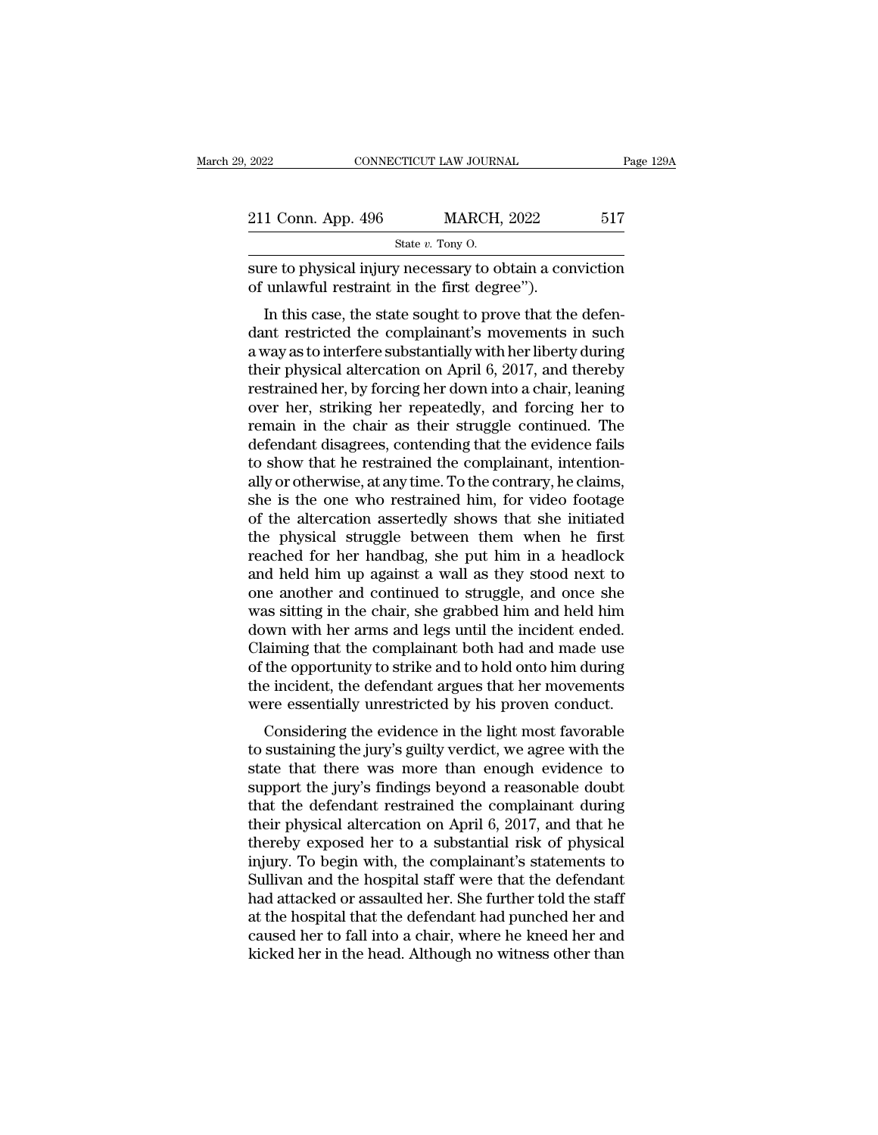| 2022               | CONNECTICUT LAW JOURNAL                                  | Page 129A |
|--------------------|----------------------------------------------------------|-----------|
|                    |                                                          |           |
| 211 Conn. App. 496 | <b>MARCH, 2022</b>                                       | 517       |
|                    | State $v$ . Tony O.                                      |           |
|                    | sure to physical injury necessary to obtain a conviction |           |

Sure to physical injury necessary to obtain a conviction<br>of unlawful restraint in the first degree"). 211 Conn. App. 496 MARCH, 2022<br>
State v. Tony O.<br>
Sure to physical injury necessary to obtain a cor<br>
of unlawful restraint in the first degree'').<br>
In this case, the state sought to prove that the

1 Conn. App. 496 MARCH, 2022 517<br>
State v. Tony O.<br>
The to physical injury necessary to obtain a conviction<br>
unlawful restraint in the first degree").<br>
In this case, the state sought to prove that the defen-<br>
In this case 211 Conn. App. 496 MARCH, 2022 517<br>
State *v*. Tony O.<br>
Sure to physical injury necessary to obtain a conviction<br>
of unlawful restraint in the first degree").<br>
In this case, the state sought to prove that the defen-<br>
dant State  $v$ . Tony O.<br>
sure to physical injury necessary to obtain a conviction<br>
of unlawful restraint in the first degree").<br>
In this case, the state sought to prove that the defen-<br>
dant restricted the complainant's moveme sure to physical injury necessary to obtain a conviction<br>of unlawful restraint in the first degree").<br>In this case, the state sought to prove that the defen-<br>dant restricted the complainant's movements in such<br>a way as to sure to physical hijury necessary to obtain a conviction<br>of unlawful restraint in the first degree").<br>In this case, the state sought to prove that the defen-<br>dant restricted the complainant's movements in such<br>a way as to or unlawful restraint in the first degree *f*.<br>In this case, the state sought to prove that the defen-<br>dant restricted the complainant's movements in such<br>a way as to interfere substantially with her liberty during<br>their p In this case, the state sought to prove that the defen-<br>dant restricted the complainant's movements in such<br>a way as to interfere substantially with her liberty during<br>their physical altercation on April 6, 2017, and there dant restricted the complainant's movements in such<br>a way as to interfere substantially with her liberty during<br>their physical altercation on April 6, 2017, and thereby<br>restrained her, by forcing her down into a chair, lea a way as to interfere substantially with her liberty during<br>their physical altercation on April 6, 2017, and thereby<br>restrained her, by forcing her down into a chair, leaning<br>over her, striking her repeatedly, and forcing their physical altercation on April 6, 2017, and thereby<br>restrained her, by forcing her down into a chair, leaning<br>over her, striking her repeatedly, and forcing her to<br>remain in the chair as their struggle continued. The<br> restrained her, by forcing her down into a chair, leaning<br>over her, striking her repeatedly, and forcing her to<br>remain in the chair as their struggle continued. The<br>defendant disagrees, contending that the evidence fails<br>t over her, striking her repeatedly, and forcing her to<br>remain in the chair as their struggle continued. The<br>defendant disagrees, contending that the evidence fails<br>to show that he restrained the complainant, intention-<br>ally remain in the chair as their struggle continued. The<br>defendant disagrees, contending that the evidence fails<br>to show that he restrained the complainant, intention-<br>ally or otherwise, at any time. To the contrary, he claims defendant disagrees, contending that the evidence fails<br>to show that he restrained the complainant, intention-<br>ally or otherwise, at any time. To the contrary, he claims,<br>she is the one who restrained him, for video footag to show that he restrained the complainant, intention-<br>ally or otherwise, at any time. To the contrary, he claims,<br>she is the one who restrained him, for video footage<br>of the altercation assertedly shows that she initiated ally or otherwise, at any time. To the contrary, he claims,<br>she is the one who restrained him, for video footage<br>of the altercation assertedly shows that she initiated<br>the physical struggle between them when he first<br>reach she is the one who restrained him, for video footage<br>of the altercation assertedly shows that she initiated<br>the physical struggle between them when he first<br>reached for her handbag, she put him in a headlock<br>and held him u of the altercation assertedly shows that she initiated<br>the physical struggle between them when he first<br>reached for her handbag, she put him in a headlock<br>and held him up against a wall as they stood next to<br>one another an the physical struggle between them when he first<br>reached for her handbag, she put him in a headlock<br>and held him up against a wall as they stood next to<br>one another and continued to struggle, and once she<br>was sitting in th reached for her handbag, she put him in a headlock<br>and held him up against a wall as they stood next to<br>one another and continued to struggle, and once she<br>was sitting in the chair, she grabbed him and held him<br>down with h and held him up against a wall as they stood next to<br>one another and continued to struggle, and once she<br>was sitting in the chair, she grabbed him and held him<br>down with her arms and legs until the incident ended.<br>Claiming one another and continued to struggle, and once she<br>was sitting in the chair, she grabbed him and held him<br>down with her arms and legs until the incident ended.<br>Claiming that the complainant both had and made use<br>of the op as sitting in the chair, she grabbed film and field film<br>wom with her arms and legs until the incident ended.<br>aiming that the complainant both had and made use<br>the opportunity to strike and to hold onto him during<br>e incide town with her arms and legs until the incluent ented.<br>Claiming that the complainant both had and made use<br>of the opportunity to strike and to hold onto him during<br>the incident, the defendant argues that her movements<br>were

Examing that the complainant both had and hiade use<br>of the opportunity to strike and to hold onto him during<br>the incident, the defendant argues that her movements<br>were essentially unrestricted by his proven conduct.<br>Consid of the opportuntly to strike and to nord onto find turing<br>the incident, the defendant argues that her movements<br>were essentially unrestricted by his proven conduct.<br>Considering the evidence in the light most favorable<br>to the incluent, the defendant argues that her inovenients<br>were essentially unrestricted by his proven conduct.<br>Considering the evidence in the light most favorable<br>to sustaining the jury's guilty verdict, we agree with the<br>s For essentially untestricted by fils proven conduct.<br>Considering the evidence in the light most favorable<br>to sustaining the jury's guilty verdict, we agree with the<br>state that there was more than enough evidence to<br>support Considering the evidence in the light most favorable<br>to sustaining the jury's guilty verdict, we agree with the<br>state that there was more than enough evidence to<br>support the jury's findings beyond a reasonable doubt<br>that t to sustaining the jury's guilty verdict, we agree with the<br>state that there was more than enough evidence to<br>support the jury's findings beyond a reasonable doubt<br>that the defendant restrained the complainant during<br>their state that there was more than enough evidence to<br>support the jury's findings beyond a reasonable doubt<br>that the defendant restrained the complainant during<br>their physical altercation on April 6, 2017, and that he<br>thereby support the jury's findings beyond a reasonable doubt<br>that the defendant restrained the complainant during<br>their physical altercation on April 6, 2017, and that he<br>thereby exposed her to a substantial risk of physical<br>inju that the defendant restrained the complainant during<br>their physical altercation on April 6, 2017, and that he<br>thereby exposed her to a substantial risk of physical<br>injury. To begin with, the complainant's statements to<br>Sul their physical altercation on April 6, 2017, and that he<br>thereby exposed her to a substantial risk of physical<br>injury. To begin with, the complainant's statements to<br>Sullivan and the hospital staff were that the defendant<br> thereby exposed her to a substantial risk of physical<br>injury. To begin with, the complainant's statements to<br>Sullivan and the hospital staff were that the defendant<br>had attacked or assaulted her. She further told the staff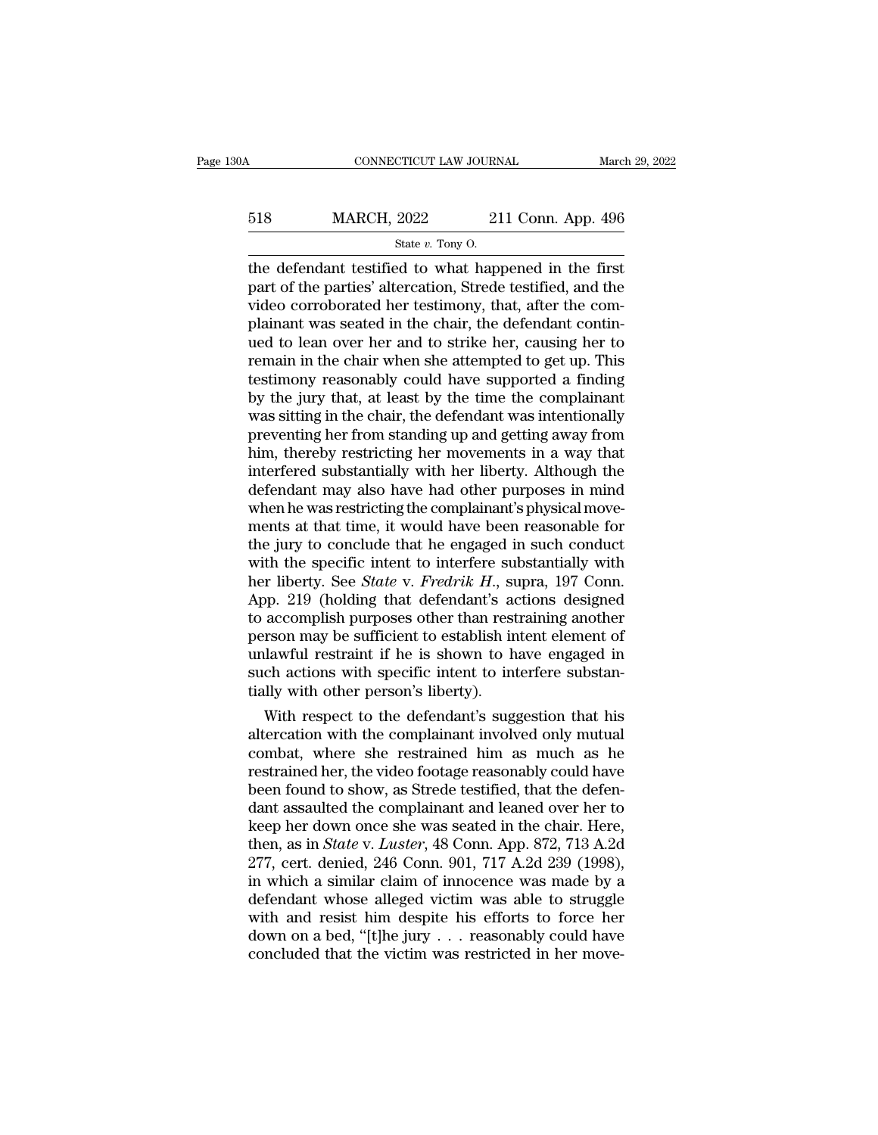# CONNECTICUT LAW JOURNAL March 29, 2022<br>518 MARCH, 2022 211 Conn. App. 496<br>5tate v. Tony O. EXTICUT LAW JOURN<br>2022 21<br>State *v*. Tony O.<br>2d to what happ

CONNECTICUT LAW JOURNAL March 29, 202:<br>  $\begin{array}{r}\n 518 \text{ MARCH, } 2022 \text{ } 211 \text{ Conn. App. 496} \\
 \hline\n \text{State } v. \text{ Tony O.} \\
 \text{the defendant testified to what happened in the first part of the parties' alteration, Strede testified, and the video corroborated her testimony that after the com.\n$  $\frac{\text{MARCH}}{\text{State } v. \text{ Tony 0}}$ <br>State v. Tony O.<br>the defendant testified to what happened in the first<br>part of the parties' altercation, Strede testified, and the<br>video corroborated her testimony, that, after the com-<br>plainant w 518 MARCH, 2022 211 Conn. App. 496<br>  $\frac{\text{State } v. \text{ Tony O.}}{\text{State } v. \text{ Tony O.}}$ <br>
the defendant testified to what happened in the first<br>
part of the parties' altercation, Strede testified, and the<br>
video corroborated her testimony, t  $\frac{\text{518}}{\text{State } v. \text{ Tony 0.}}$ <br>State  $v. \text{ Tony 0.}}$ <br>The defendant testified to what happened in the first<br>part of the parties' altercation, Strede testified, and the<br>video corroborated her testimony, that, after the com-<br>plaina State v. Tony O.<br>
State v. Tony O.<br>
The defendant testified to what happened in the first<br>
part of the parties' altercation, Strede testified, and the<br>
video corroborated her testimony, that, after the com-<br>
plainant was state v. Tony O.<br>
the defendant testified to what happened in the first<br>
part of the parties' altercation, Strede testified, and the<br>
video corroborated her testimony, that, after the com-<br>
plainant was seated in the chai the defendant testified to what happened in the first<br>part of the parties' altercation, Strede testified, and the<br>video corroborated her testimony, that, after the com-<br>plainant was seated in the chair, the defendant conti part of the parties' altercation, Strede testified, and the video corroborated her testimony, that, after the complainant was seated in the chair, the defendant continued to lean over her and to strike her, causing her to video corroborated her testimony, that, after the complainant was seated in the chair, the defendant continued to lean over her and to strike her, causing her to remain in the chair when she attempted to get up. This testi plainant was seated in the chair, the defendant continued to lean over her and to strike her, causing her to remain in the chair when she attempted to get up. This testimony reasonably could have supported a finding by the ued to lean over her and to strike her, causing her to<br>remain in the chair when she attempted to get up. This<br>testimony reasonably could have supported a finding<br>by the jury that, at least by the time the complainant<br>was s remain in the chair when she attempted to get up. This<br>testimony reasonably could have supported a finding<br>by the jury that, at least by the time the complainant<br>was sitting in the chair, the defendant was intentionally<br>pr testimony reasonably could have supported a finding<br>by the jury that, at least by the time the complainant<br>was sitting in the chair, the defendant was intentionally<br>preventing her from standing up and getting away from<br>him by the jury that, at least by the time the complainant<br>was sitting in the chair, the defendant was intentionally<br>preventing her from standing up and getting away from<br>him, thereby restricting her movements in a way that<br>in was sitting in the chair, the defendant was intentionally<br>preventing her from standing up and getting away from<br>him, thereby restricting her movements in a way that<br>interfered substantially with her liberty. Although the<br>d preventing her from standing up and getting away from<br>him, thereby restricting her movements in a way that<br>interfered substantially with her liberty. Although the<br>defendant may also have had other purposes in mind<br>when he him, thereby restricting her movements in a way that<br>interfered substantially with her liberty. Although the<br>defendant may also have had other purposes in mind<br>when he was restricting the complainant's physical move-<br>ments interfered substantially with her liberty. Although the defendant may also have had other purposes in mind when he was restricting the complainant's physical movements at that time, it would have been reasonable for the ju defendant may also have had other purposes in mind<br>when he was restricting the complainant's physical move-<br>ments at that time, it would have been reasonable for<br>the jury to conclude that he engaged in such conduct<br>with th when he was restricting the complainant's physical move-<br>ments at that time, it would have been reasonable for<br>the jury to conclude that he engaged in such conduct<br>with the specific intent to interfere substantially with<br>h ments at that time, it would have been reasonable for<br>the jury to conclude that he engaged in such conduct<br>with the specific intent to interfere substantially with<br>her liberty. See *State* v. *Fredrik H.*, supra, 197 Conn. the jury to conclude that he engaged in such conduct<br>with the specific intent to interfere substantially with<br>her liberty. See *State v. Fredrik H.*, supra, 197 Conn.<br>App. 219 (holding that defendant's actions designed<br>to with the specific intent to interfere substantially with<br>her liberty. See *State* v. *Fredrik H.*, supra, 197 Conn.<br>App. 219 (holding that defendant's actions designed<br>to accomplish purposes other than restraining another<br> her liberty. See *State v. Fredrik H.*, st<br>App. 219 (holding that defendant's acto<br>accomplish purposes other than rest<br>person may be sufficient to establish in<br>unlawful restraint if he is shown to h<br>such actions with speci pp. 219 (notding that defendant's actions designed<br>accomplish purposes other than restraining another<br>rson may be sufficient to establish intent element of<br>lawful restraint if he is shown to have engaged in<br>ch actions with to accomplish purposes other than restraining another<br>person may be sufficient to establish intent element of<br>unlawful restraint if he is shown to have engaged in<br>such actions with specific intent to interfere substan-<br>tia

person may be surficient to establish intent element of<br>unlawful restraint if he is shown to have engaged in<br>such actions with specific intent to interfere substan-<br>tially with other person's liberty).<br>With respect to the unlawful restraint if he is shown to have engaged in<br>such actions with specific intent to interfere substan-<br>tially with other person's liberty).<br>With respect to the defendant's suggestion that his<br>altercation with the com such actions with specific intent to interfere substantially with other person's liberty).<br>With respect to the defendant's suggestion that his<br>altercation with the complainant involved only mutual<br>combat, where she restrai tially with other person's liberty).<br>
With respect to the defendant's suggestion that his<br>
altercation with the complainant involved only mutual<br>
combat, where she restrained him as much as he<br>
restrained her, the video f With respect to the defendant's suggestion that his<br>altercation with the complainant involved only mutual<br>combat, where she restrained him as much as he<br>restrained her, the video footage reasonably could have<br>been found t altercation with the complainant involved only mutual<br>combat, where she restrained him as much as he<br>restrained her, the video footage reasonably could have<br>been found to show, as Strede testified, that the defen-<br>dant ass combat, where she restrained him as much as he restrained her, the video footage reasonably could have been found to show, as Strede testified, that the defendant assaulted the complainant and leaned over her to keep her d restrained her, the video footage reasonably could have<br>been found to show, as Strede testified, that the defen-<br>dant assaulted the complainant and leaned over her to<br>keep her down once she was seated in the chair. Here,<br>t been found to show, as Strede testified, that the defendant assaulted the complainant and leaned over her to keep her down once she was seated in the chair. Here, then, as in *State v. Luster*, 48 Conn. App. 872, 713 A.2d dant assaulted the complainant and leaned over her to<br>keep her down once she was seated in the chair. Here,<br>then, as in *State v. Luster*, 48 Conn. App. 872, 713 A.2d<br>277, cert. denied, 246 Conn. 901, 717 A.2d 239 (1998),<br> keep her down once she was seated in the chair. Here,<br>then, as in *State* v. *Luster*, 48 Conn. App. 872, 713 A.2d<br>277, cert. denied, 246 Conn. 901, 717 A.2d 239 (1998),<br>in which a similar claim of innocence was made by a then, as in *State* v. *Luster*, 48 Conn. App. 872, 713 A.2d 277, cert. denied, 246 Conn. 901, 717 A.2d 239 (1998), in which a similar claim of innocence was made by a defendant whose alleged victim was able to struggle w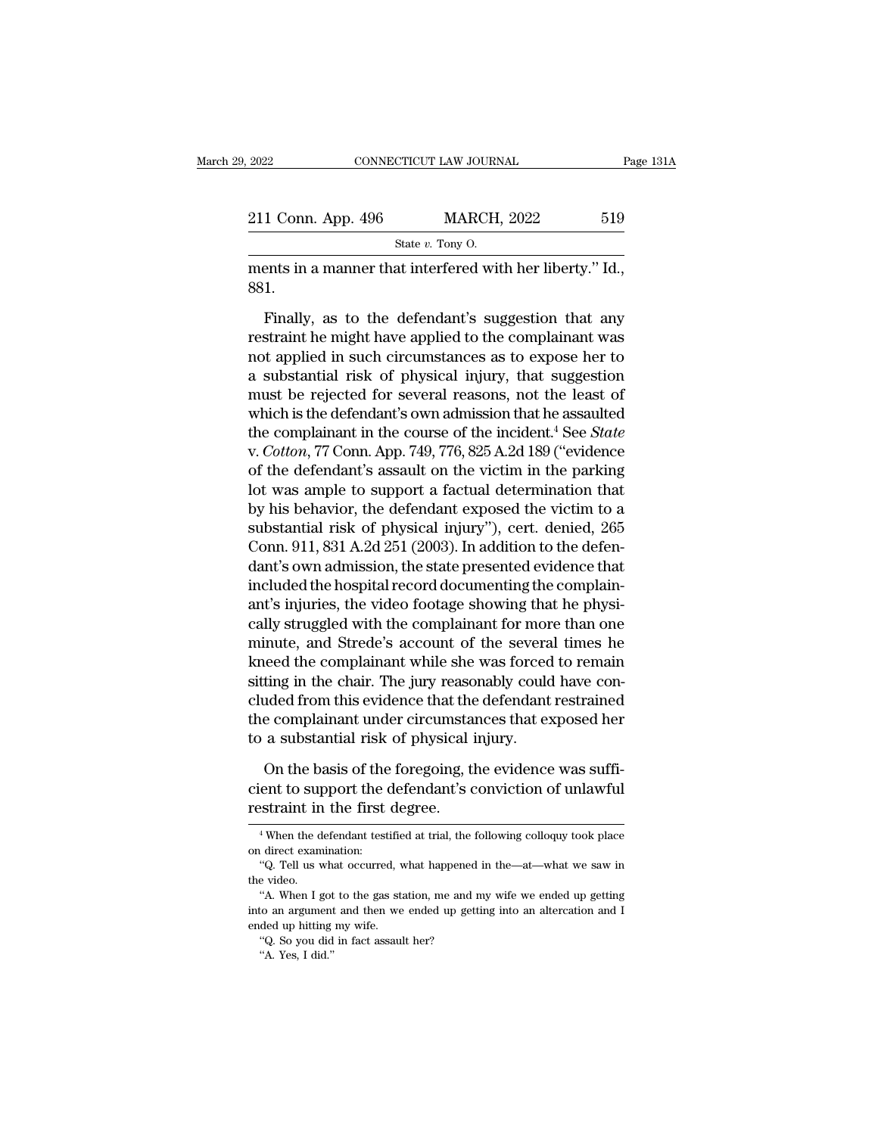2022 CONNECTICUT LAW JOURNAL Page 13<br>
211 Conn. App. 496 MARCH, 2022 519<br>
State v. Tony 0.<br>
ments in a manner that interfered with her liberty.'' Id., 881. 881.

Finally, as to the defendant's suggestion that any<br>transition and the defendant's suggestion that any<br>straint he might have applied to the complainant was<br>trained in such direct angularity and the complainant was EXECUTE STATE OF MARCH, 2022<br>
State v. Tony O.<br>
Then ments in a manner that interfered with her liberty." Id.,<br>
881.<br>
Finally, as to the defendant's suggestion that any<br>
restraint he might have applied to the complainant State v. Tony O.<br>
ments in a manner that interfered with her liberty." Id.,<br>
881.<br>
Finally, as to the defendant's suggestion that any<br>
restraint he might have applied to the complainant was<br>
not applied in such circumstan ments in a manner that interfered with her liberty." Id.,<br>
881.<br>
Finally, as to the defendant's suggestion that any<br>
restraint he might have applied to the complainant was<br>
not applied in such circumstances as to expose he Finally, as to the defendant's suggestion that any<br>restraint he might have applied to the complainant was<br>not applied in such circumstances as to expose her to<br>a substantial risk of physical injury, that suggestion<br>must b Finally, as to the defendant's suggestion that any<br>restraint he might have applied to the complainant was<br>not applied in such circumstances as to expose her to<br>a substantial risk of physical injury, that suggestion<br>must b Finally, as to the defendant's suggestion that any<br>restraint he might have applied to the complainant was<br>not applied in such circumstances as to expose her to<br>a substantial risk of physical injury, that suggestion<br>must be restraint he might have applied to the complainant was<br>not applied in such circumstances as to expose her to<br>a substantial risk of physical injury, that suggestion<br>must be rejected for several reasons, not the least of<br>whi not applied in such circumstances as to expose her to<br>a substantial risk of physical injury, that suggestion<br>must be rejected for several reasons, not the least of<br>which is the defendant's own admission that he assaulted<br>t a substantial risk of physical injury, that suggestion<br>must be rejected for several reasons, not the least of<br>which is the defendant's own admission that he assaulted<br>the complainant in the course of the incident.<sup>4</sup> See must be rejected for several reasons, not the least of<br>which is the defendant's own admission that he assaulted<br>the complainant in the course of the incident.<sup>4</sup> See *State*<br>v. *Cotton*, 77 Conn. App. 749, 776, 825 A.2d 1 which is the defendant's own admission that he assaulted<br>the complainant in the course of the incident.<sup>4</sup> See *State*<br>v. *Cotton*, 77 Conn. App. 749, 776, 825 A.2d 189 ("evidence<br>of the defendant's assault on the victim i the complainant in the course of the incident.<sup>4</sup> See *State* v. *Cotton*, 77 Conn. App. 749, 776, 825 A.2d 189 ("evidence of the defendant's assault on the victim in the parking lot was ample to support a factual determin v. Cotton, 77 Conn. App. 749, 776, 825 A.2d 189 ("evidence<br>of the defendant's assault on the victim in the parking<br>lot was ample to support a factual determination that<br>by his behavior, the defendant exposed the victim to of the defendant's assault on the victim in the parking<br>lot was ample to support a factual determination that<br>by his behavior, the defendant exposed the victim to a<br>substantial risk of physical injury"), cert. denied, 265<br> lot was ample to support a factual determination that<br>by his behavior, the defendant exposed the victim to a<br>substantial risk of physical injury"), cert. denied, 265<br>Conn. 911, 831 A.2d 251 (2003). In addition to the defen by his behavior, the defendant exposed the victim to a<br>substantial risk of physical injury"), cert. denied, 265<br>Conn. 911, 831 A.2d 251 (2003). In addition to the defen-<br>dant's own admission, the state presented evidence t substantial risk of physical injury"), cert. denied, 265<br>Conn. 911, 831 A.2d 251 (2003). In addition to the defen-<br>dant's own admission, the state presented evidence that<br>included the hospital record documenting the compla Conn. 911, 831 A.2d 251 (2003). In addition to the defendant's own admission, the state presented evidence that<br>included the hospital record documenting the complain-<br>ant's injuries, the video footage showing that he physi dant's own admission, the state presented evidence that<br>included the hospital record documenting the complain-<br>ant's injuries, the video footage showing that he physi-<br>cally struggled with the complainant for more than one included the hospital record documenting the complain-<br>ant's injuries, the video footage showing that he physi-<br>cally struggled with the complainant for more than one<br>minute, and Strede's account of the several times he<br>kn ant's injuries, the video footage showing that he physically struggled with the complainant for more than one minute, and Strede's account of the several times he kneed the complainant while she was forced to remain sittin cally struggled with the complainant for mor<br>minute, and Strede's account of the severa<br>kneed the complainant while she was forced<br>sitting in the chair. The jury reasonably could<br>cluded from this evidence that the defendan eed the complainant while she was forced to remain<br>ting in the chair. The jury reasonably could have con-<br>uded from this evidence that the defendant restrained<br>e complainant under circumstances that exposed her<br>a substanti sitting in the chair. The jury reasonably could have concluded from this evidence that the defendant restrained<br>the complainant under circumstances that exposed her<br>to a substantial risk of physical injury.<br>On the basis of cluded from this evidence that the<br>the complainant under circumsta<br>to a substantial risk of physical i<br>On the basis of the foregoing, the<br>cient to support the defendant's c<br>restraint in the first degree.

On the basis of the foregoing, the evidence was suffi-<br>ent to support the defendant's conviction of unlawful<br>straint in the first degree.<br><sup>4</sup>When the defendant testified at trial, the following colloquy took place<br>direct e On the basis of the<br>cient to support the<br>restraint in the first<br><sup>4</sup>When the defendant test<br>on direct examination:<br>"Q. Tell us what occurred" ent to support the defendant's conviction of unlawful<br>
straint in the first degree.<br>
<sup>4</sup>When the defendant testified at trial, the following colloquy took place<br>
direct examination:<br>
"Q. Tell us what occurred, what happene

 $\begin{array}{l} \vspace*{2mm} \begin{tabular}{l} \bf \end{tabular} \hline \begin{tabular}{l} \bf \end{tabular} \hline \begin{tabular}{l} \bf \end{tabular} \hline \begin{tabular}{l} \bf \end{tabular} \hline \begin{tabular}{l} \bf \end{tabular} \hline \begin{tabular}{l} \bf \end{tabular} \hline \begin{tabular}{l} \bf \end{tabular} \hline \begin{tabular}{l} \bf \end{tabular} \hline \begin{tabular}{l} \bf \end{tabular} \hline \begin{tabular}{l} \bf \end{tabular} \hline \begin{tabular}{l} \bf \end{tabular$ <sup>4</sup> When the defendant testified at trial, the following colloquy took place direct examination:<br>
"Q. Tell us what occurred, what happened in the—at—what we saw in<br>
e video.<br>
"A. When I got to the gas station, me and my w <sup>4</sup> When the defendant testified at trial, the following colloquy took place<br>on direct examination:<br>"Q. Tell us what occurred, what happened in the—at—what we saw in<br>the video.<br>"A. When I got to the gas station, me and my or the distribution:<br>
on direct examination:<br>
"Q. Tell us what occurred, v<br>
the video.<br>
"A. When I got to the gas stainto an argument and then we<br>
ended up hitting my wife.<br>
"Q. So you did in fact assaul "Q. Tell us what occurred, what happened in the—at—what we saw in<br>the video.<br>"A. When I got to the gas station, me and my wife we ended up getting<br>into an argument and then we ended up getting into an altercation and I<br>en e video.<br>"A. When I got<br>to an argument<br>ded up hitting<br>"Q. So you did"<br>"A. Yes, I did."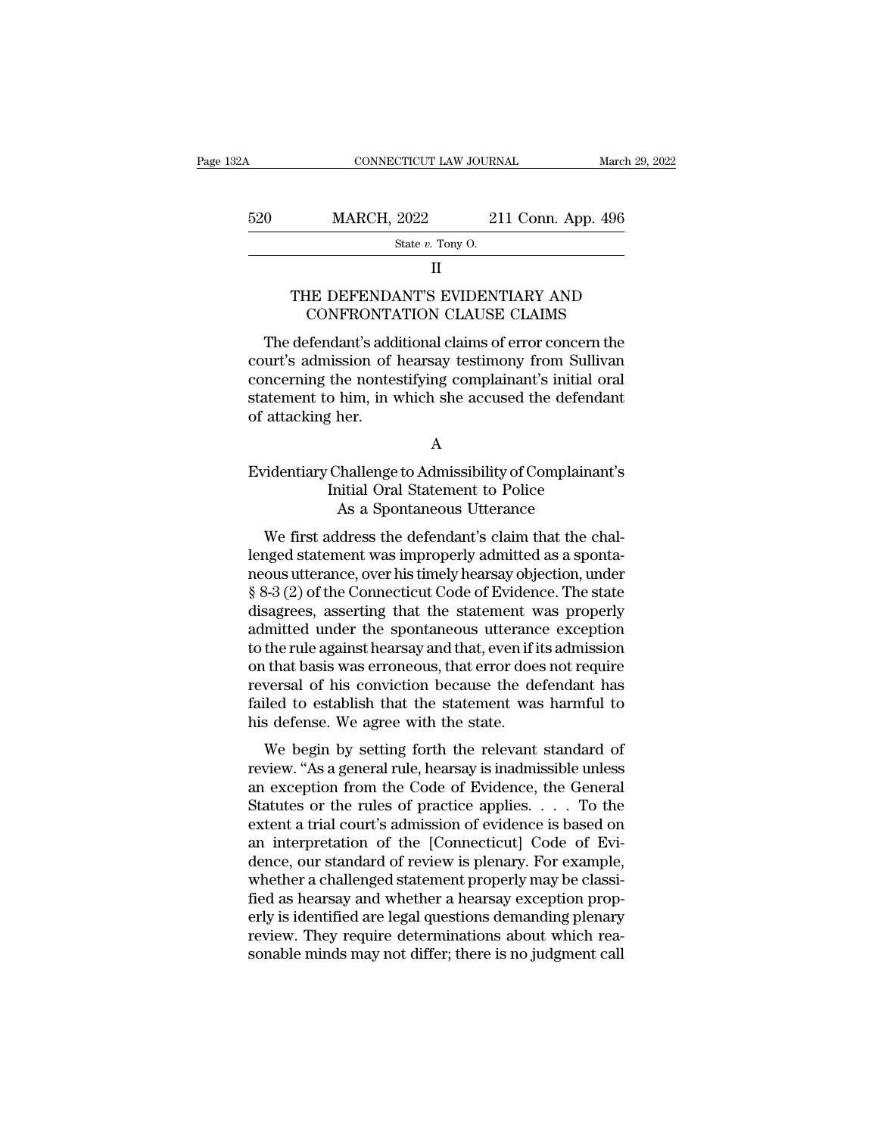### II

# $\begin{tabular}{c} \bf MARCH, 2022 \hspace{1.5cm} 211 Conn. App. 496 \\ \hline \end{tabular}$  <br> THE DEFENDANT'S EVIDENTIARY AND CONFRONTATION CLAUSE CLAIMS  $\begin{tabular}{r|c} \multicolumn{1}{c}{\text{MARCH, 2022}} & \multicolumn{1}{c}{211}\,\,\text{Conn.} \,\, \text{App. 496} \\ \hline \textit{State $v$.} \,\, \textit{Topy O.} \\ \multicolumn{1}{c}{\text{II}} \\ \end{tabular}$  <br> HE DEFENDANT'S EVIDENTIARY AND CONFRONTATION CLAUSE CLAIMS <br> efendant's additional claims of error conc

 $\frac{\text{State } v. \text{ Tony } 0.}$ <br>  $\frac{\text{State } v. \text{ Tony } 0.}$ <br>
II<br>
THE DEFENDANT'S EVIDENTIARY AND<br>
CONFRONTATION CLAUSE CLAIMS<br>
The defendant's additional claims of error concern the<br>
urt's admission of hearsay testimony from Sullivan<br>
neo State v. Tony O.<br>
II<br>
THE DEFENDANT'S EVIDENTIARY AND<br>
CONFRONTATION CLAUSE CLAIMS<br>
The defendant's additional claims of error concern the<br>
court's admission of hearsay testimony from Sullivan<br>
concerning the nontestifying II<br>THE DEFENDANT'S EVIDENTIARY AND<br>CONFRONTATION CLAUSE CLAIMS<br>The defendant's additional claims of error concern the<br>court's admission of hearsay testimony from Sullivan<br>concerning the nontestifying complainant's initial THE DEFENDANT'S EVIDENTIARY AND<br>CONFRONTATION CLAUSE CLAIMS<br>The defendant's additional claims of error concern the<br>court's admission of hearsay testimony from Sullivan<br>concerning the nontestifying complainant's initial ora CONFRONTA<br>CONFRONTA<br>The defendant's add<br>court's admission of<br>concerning the nontes<br>statement to him, in v<br>of attacking her. court's admission of hearsay testimony from Sullivan<br>
concerning the nontestifying complainant's initial oral<br>
statement to him, in which she accused the defendant<br>
of attacking her.<br>
A<br>
Evidentiary Challenge to Admissibil the nontestifying complainant's initial oral or him, in which she accused the defendant of her.<br>
A<br>
Challenge to Admissibility of Complainant<br>
Initial Oral Statement to Police<br>
As a Spontaneous Utterance

## A

# him, in which she accused the defendant<br>her.<br>A<br>Shallenge to Admissibility of Complainar<br>itial Oral Statement to Police<br>As a Spontaneous Utterance<br>Idress the defendant's claim that the ch A<br>
identiary Challenge to Admissibility of Complainant's<br>
Initial Oral Statement to Police<br>
As a Spontaneous Utterance<br>
We first address the defendant's claim that the chal-<br>
anged statement was improperly admitted as a sp

A<br>
Evidentiary Challenge to Admissibility of Complainant's<br>
Initial Oral Statement to Police<br>
As a Spontaneous Utterance<br>
We first address the defendant's claim that the chal-<br>
lenged statement was improperly admitted as a Evidentiary Challenge to Admissibility of Complainant's<br>
Initial Oral Statement to Police<br>
As a Spontaneous Utterance<br>
We first address the defendant's claim that the chal-<br>
lenged statement was improperly admitted as a sp Evidentiary Chantenge to Admissionity of Complainant's<br>
Initial Oral Statement to Police<br>
As a Spontaneous Utterance<br>
We first address the defendant's claim that the chal-<br>
lenged statement was improperly admitted as a spo disagrees, asserting that the statement was improperly admitted as a spontaneous utterance, over his timely hearsay objection, under \$ 8-3 (2) of the Connecticut Code of Evidence. The state disagrees, asserting that the st As a spontaneous otterance<br>We first address the defendant's claim that the chal-<br>lenged statement was improperly admitted as a sponta-<br>neous utterance, over his timely hearsay objection, under<br>§ 8-3 (2) of the Connecticut We first address the defendant's claim that the chal-<br>lenged statement was improperly admitted as a sponta-<br>neous utterance, over his timely hearsay objection, under<br>§ 8-3 (2) of the Connecticut Code of Evidence. The state lenged statement was improperly admitted as a spontaneous utterance, over his timely hearsay objection, under  $\S 8-3$  (2) of the Connecticut Code of Evidence. The state disagrees, asserting that the statement was properly neous utterance, over his timely hearsay objection, under<br>§ 8-3 (2) of the Connecticut Code of Evidence. The state<br>disagrees, asserting that the statement was properly<br>admitted under the spontaneous utterance exception<br>to  $\S$  8-3 (2) of the Connecticut Code of Evidence. The state disagrees, asserting that the statement was properly admitted under the spontaneous utterance exception to the rule against hearsay and that, even if its admissio disagrees, asserting that the statement we admitted under the spontaneous utterance to the rule against hearsay and that, even if i on that basis was erroneous, that error does reversal of his conviction because the de fai matted under the spontaneous utterance exception<br>the rule against hearsay and that, even if its admission<br>that basis was erroneous, that error does not require<br>versal of his conviction because the defendant has<br>lied to est review. The against nearsay and that, even in its admission<br>on that basis was erroneous, that error does not require<br>reversal of his conviction because the defendant has<br>failed to establish that the statement was harmful t

on that basis was errolleous, that error does not require<br>reversal of his conviction because the defendant has<br>failed to establish that the statement was harmful to<br>his defense. We agree with the state.<br>We begin by setting Feversal of his conviction because the defendant has<br>failed to establish that the statement was harmful to<br>his defense. We agree with the state.<br>We begin by setting forth the relevant standard of<br>review. "As a general rule raned to establish that the statement was harmut to<br>his defense. We agree with the state.<br>We begin by setting forth the relevant standard of<br>review. "As a general rule, hearsay is inadmissible unless<br>an exception from the Ins deferise. We agree with the state.<br>We begin by setting forth the relevant standard of<br>review. "As a general rule, hearsay is inadmissible unless<br>an exception from the Code of Evidence, the General<br>Statutes or the rules We begin by setting forth the relevant standard of<br>review. "As a general rule, hearsay is inadmissible unless<br>an exception from the Code of Evidence, the General<br>Statutes or the rules of practice applies. . . . To the<br>exte review. "As a general rule, hearsay is inadmissible unless<br>an exception from the Code of Evidence, the General<br>Statutes or the rules of practice applies. . . . . To the<br>extent a trial court's admission of evidence is based an exception from the Code of Evidence, the General Statutes or the rules of practice applies.  $\dots$  To the extent a trial court's admission of evidence is based on an interpretation of the [Connecticut] Code of Evidence, Statutes or the rules of practice applies. . . . To the<br>extent a trial court's admission of evidence is based on<br>an interpretation of the [Connecticut] Code of Evi-<br>dence, our standard of review is plenary. For example,<br>wh extent a trial court's admission of evidence is based on<br>an interpretation of the [Connecticut] Code of Evi-<br>dence, our standard of review is plenary. For example,<br>whether a challenged statement properly may be classi-<br>fie an interpretation of the [Connecticut] Code of Evidence, our standard of review is plenary. For example, whether a challenged statement properly may be classified as hearsay and whether a hearsay exception properly is iden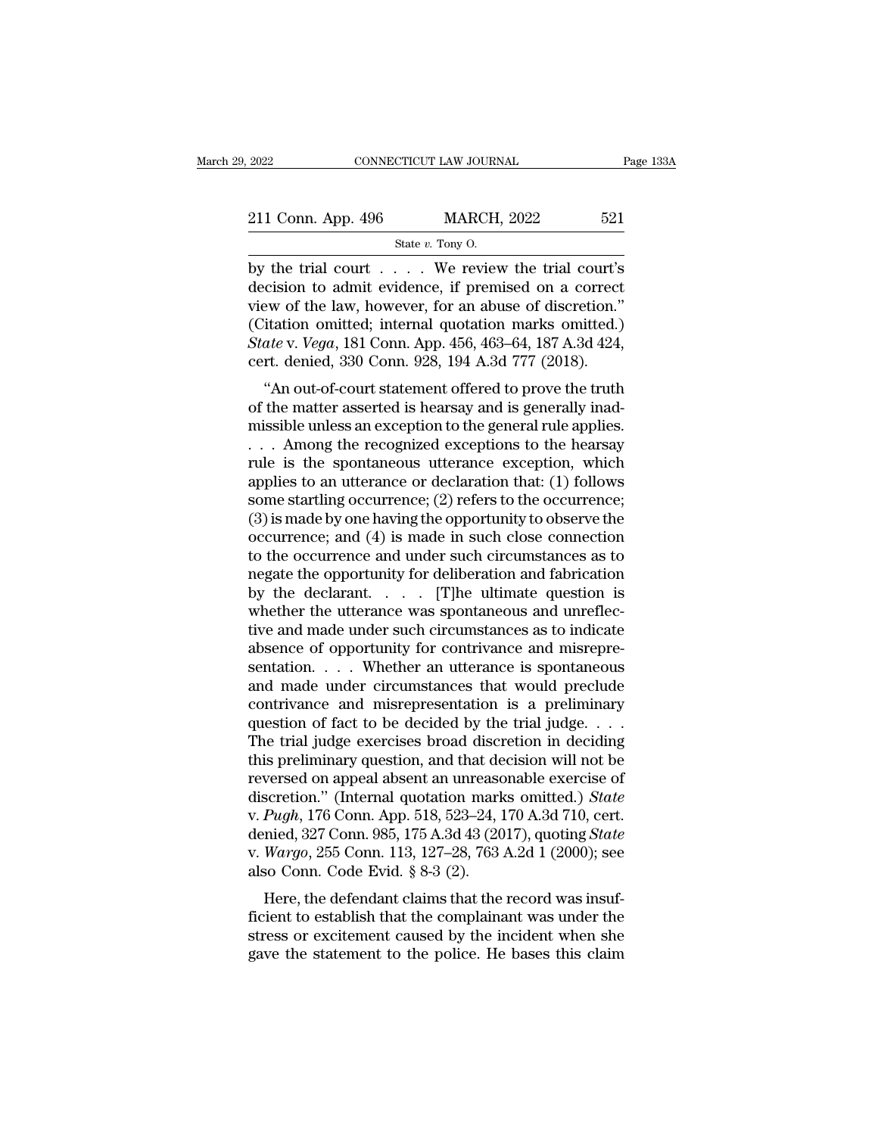| 2022               | CONNECTICUT LAW JOURNAL            | Page 133A |  |
|--------------------|------------------------------------|-----------|--|
| 211 Conn. App. 496 | <b>MARCH, 2022</b>                 | 521       |  |
|                    | State $v$ . Tony O.                |           |  |
| hy the trial court | $\rm W$ e review the trial court's |           |  |

 $\begin{array}{ll}\n \text{2022} & \text{CONRECTICUT LAW JOURNAL} & \text{Page 133A} \\
 \hline\n \text{211 Conn. App. 496} & \text{MARCH, 2022} & 521 \\
 \hline\n \text{State } v. \text{ Tony O.} & \text{System of the trial court is} \\
 \text{decision to admit evidence, if premised on a correct} & \text{view of the law, however for an above of direction.} \n \end{array}$ 211 Conn. App. 496 MARCH, 2022 521<br>
State v. Tony O.<br>
by the trial court . . . . We review the trial court's<br>
decision to admit evidence, if premised on a correct<br>
view of the law, however, for an abuse of discretion."<br>
( 211 Conn. App. 496 MARCH, 2022 521<br>
State v. Tony 0.<br>
by the trial court . . . . . We review the trial court's<br>
decision to admit evidence, if premised on a correct<br>
view of the law, however, for an abuse of discretion."<br> 211 Conn. App. 496 MARCH, 2022 521<br>
State v. Tony O.<br>
by the trial court . . . . We review the trial court's<br>
decision to admit evidence, if premised on a correct<br>
view of the law, however, for an abuse of discretion."<br>
( *State v. Tony O.*<br> *State v. Tony O.*<br>
by the trial court . . . . . We review the trial court's decision to admit evidence, if premised on a correct view of the law, however, for an abuse of discretion."<br>
(Citation omitte State v. Tony O.<br>by the trial court . . . . . We review the trial court's<br>decision to admit evidence, if premised on a correct<br>view of the law, however, for an abuse of discretion."<br>(Citation omitted; internal quotation m The trial court  $\ldots$  we review the trial court is<br>
cision to admit evidence, if premised on a correct<br>
ew of the law, however, for an abuse of discretion."<br>
itation omitted; internal quotation marks omitted.)<br> *ate* v. decision to admit evidence, if premised on a correct<br>view of the law, however, for an abuse of discretion."<br>(Citation omitted; internal quotation marks omitted.)<br>State v. Vega, 181 Conn. App. 456, 463–64, 187 A.3d 424,<br>cer

view of the faw, however, for an abuse of discretion.<br>
(Citation omitted; internal quotation marks omitted.)<br> *State* v. *Vega*, 181 Conn. App. 456, 463–64, 187 A.3d 424,<br>
cert. denied, 330 Conn. 928, 194 A.3d 777 (2018).<br> State v. Vega, 181 Conn. App. 456, 463–64, 187 A.3d 424,<br>cert. denied, 330 Conn. 928, 194 A.3d 777 (2018).<br>"An out-of-court statement offered to prove the truth<br>of the matter asserted is hearsay and is generally inad-<br>mis state v. vega, for Collit. App. 450, 465–64, for A.5d 424,<br>cert. denied, 330 Conn. 928, 194 A.3d 777 (2018).<br>"An out-of-court statement offered to prove the truth<br>of the matter asserted is hearsay and is generally inad-<br>m Cert. defined, 550 Comit. 928, 194 A.5d  $111$  (2016).<br>
"An out-of-court statement offered to prove the truth<br>
of the matter asserted is hearsay and is generally inad-<br>
missible unless an exception to the general rule appl "An out-of-court statement offered to prove the truth<br>of the matter asserted is hearsay and is generally inad-<br>missible unless an exception to the general rule applies.<br> $\dots$  Among the recognized exceptions to the hearsay<br> % of the matter asserted is hearsay and is generally inad-<br>missible unless an exception to the general rule applies.<br> $\dots$  Among the recognized exceptions to the hearsay<br>rule is the spontaneous utterance exception, which<br>a missible unless an exception to the general rule applies.<br>  $\dots$  Among the recognized exceptions to the hearsay<br>
rule is the spontaneous utterance exception, which<br>
applies to an utterance or declaration that: (1) follows<br> ... Among the recognized exceptions to the hearsay<br>rule is the spontaneous utterance exception, which<br>applies to an utterance or declaration that: (1) follows<br>some startling occurrence; (2) refers to the occurrence;<br>(3) i rule is the spontaneous utterance exception, which<br>applies to an utterance or declaration that: (1) follows<br>some startling occurrence; (2) refers to the occurrence;<br>(3) is made by one having the opportunity to observe the<br> applies to an utterance or declaration that: (1) follows<br>some startling occurrence; (2) refers to the occurrence;<br>(3) is made by one having the opportunity to observe the<br>occurrence; and (4) is made in such close connecti some startling occurrence; (2) refers to the occurrence;<br>(3) is made by one having the opportunity to observe the<br>occurrence; and (4) is made in such close connection<br>to the occurrence and under such circumstances as to<br>n (3) is made by one having the opportunity to observe the occurrence; and (4) is made in such close connection<br>to the occurrence and under such circumstances as to<br>negate the opportunity for deliberation and fabrication<br>by occurrence; and (4) is made in such close connection<br>to the occurrence and under such circumstances as to<br>negate the opportunity for deliberation and fabrication<br>by the declarant. . . . . . [T]he ultimate question is<br>wheth sentation. . . . Whether an utterance is spontaneous megate the opportunity for deliberation and fabrication<br>by the declarant. . . . . . [T]he ultimate question is<br>whether the utterance was spontaneous and unreflec-<br>tive and made under such circumstances as to indicate<br>abse by the declarant.  $\ldots$  [T]he ultimate question is<br>whether the utterance was spontaneous and unreflec-<br>tive and made under such circumstances as to indicate<br>absence of opportunity for contrivance and misrepre-<br>sentation. whether the utterance was spontaneous and unreflective and made under such circumstances as to indicate absence of opportunity for contrivance and misrepresentation. . . . Whether an utterance is spontaneous and made unde tive and made under such circumstances as to indicate<br>absence of opportunity for contrivance and misrepre-<br>sentation. . . . Whether an utterance is spontaneous<br>and made under circumstances that would preclude<br>contrivance a absence of opportunity for contrivance and misrepresentation. . . . Whether an utterance is spontaneous<br>and made under circumstances that would preclude<br>contrivance and misrepresentation is a preliminary<br>question of fact sentation. . . . Whether an utterance is spontaneous<br>and made under circumstances that would preclude<br>contrivance and misrepresentation is a preliminary<br>question of fact to be decided by the trial judge. . . .<br>The trial j and made under circumstances that would preclude<br>contrivance and misrepresentation is a preliminary<br>question of fact to be decided by the trial judge....<br>The trial judge exercises broad discretion in deciding<br>this prelimin contrivance and misrepresentation is a preliminary<br>question of fact to be decided by the trial judge. . . .<br>The trial judge exercises broad discretion in deciding<br>this preliminary question, and that decision will not be<br>re question of fact to be decided by the trial judge. . . . The trial judge exercises broad discretion in deciding<br>this preliminary question, and that decision will not be<br>reversed on appeal absent an unreasonable exercise of The trial judge exercises broad discretion in deciding<br>this preliminary question, and that decision will not be<br>reversed on appeal absent an unreasonable exercise of<br>discretion." (Internal quotation marks omitted.) *State* this preliminary question, and that de<br>reversed on appeal absent an unreasc<br>discretion." (Internal quotation mark<br>v.  $Pugh$ , 176 Conn. App. 518, 523–24, 1<br>denied, 327 Conn. 985, 175 A.3d 43 (20<br>v.  $Wargo$ , 255 Conn. 113, 127–2 versed on appear absent an unreasonable exercise on<br>scretion." (Internal quotation marks omitted.) State<br>Pugh, 176 Conn. 985, 175 A.3d 43 (2017), quoting State<br>Wargo, 255 Conn. 113, 127–28, 763 A.2d 1 (2000); see<br>so Conn. w. Pugh, 176 Conn. App. 518, 523–24, 170 A.3d 710, cert.<br>denied, 327 Conn. 985, 175 A.3d 43 (2017), quoting *State*<br>v. Wargo, 255 Conn. 113, 127–28, 763 A.2d 1 (2000); see<br>also Conn. Code Evid. § 8-3 (2).<br>Here, the defend

v. *r agn*, 170 Collit. App. 318, 323–24, 170 A.3d 710, Cert.<br>denied, 327 Conn. 985, 175 A.3d 43 (2017), quoting *State*<br>v. *Wargo*, 255 Conn. 113, 127–28, 763 A.2d 1 (2000); see<br>also Conn. Code Evid. § 8-3 (2).<br>Here, the defined, 527 Coliff. 965, 175 A.5d 45 (2017), quoting state<br>v.  $Wargo$ , 255 Conn. 113, 127–28, 763 A.2d 1 (2000); see<br>also Conn. Code Evid. § 8-3 (2).<br>Here, the defendant claims that the record was insuf-<br>ficient to establis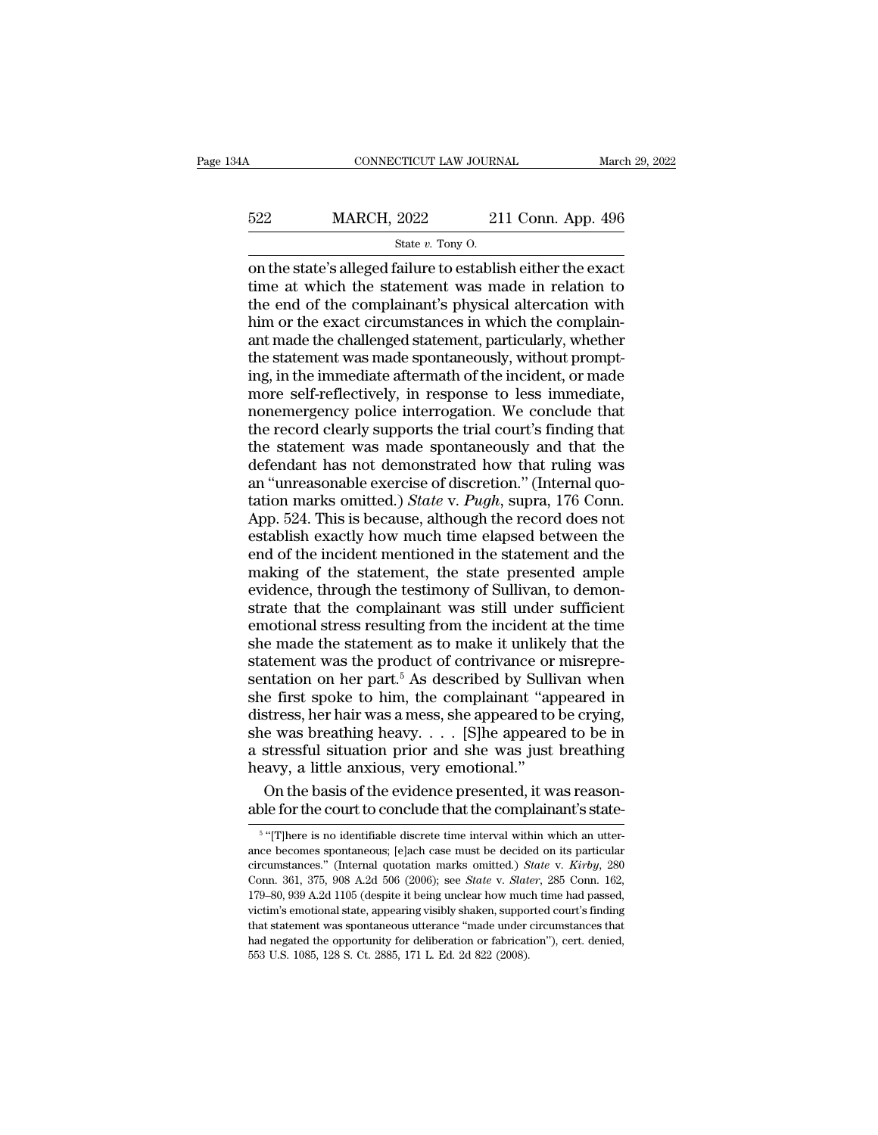# CONNECTICUT LAW JOURNAL March 29, 2022<br>522 MARCH, 2022 211 Conn. App. 496<br>5tate v. Tony O. 99922 CTICUT LAW JOURNEY<br>2022 21<br>State *v*. Tony O.<br>State *v*. Tony O.

CONNECTICUT LAW JOURNAL March 29, 202:<br>  $\text{MARCH}, 2022$  211 Conn. App. 496<br>  $\frac{\text{State } v. \text{ Tony O.}}{\text{State } v. \text{ Tony O.}}$ <br>
on the state's alleged failure to establish either the exact<br>
time at which the statement was made in relation to 522 MARCH, 2022 211 Conn. App. 496<br>  $\frac{\text{State } v. \text{ Tony 0.}}{\text{State } v. \text{ Tony 0.}}$ <br>
on the state's alleged failure to establish either the exact<br>
time at which the statement was made in relation to<br>
the end of the complainant's physi 522 MARCH, 2022 211 Conn. App. 496<br>  $\frac{\text{State } v. \text{ Tony O.}}{\text{State } v. \text{ Tony O.}}$ <br>
on the state's alleged failure to establish either the exact<br>
time at which the statement was made in relation to<br>
the end of the complainant's physica  $\frac{\text{522}}{\text{State } v. \text{ Tony 0.}}$ <br>
State  $v. \text{ Tony 0.}}$ <br>
on the state's alleged failure to establish either the exact<br>
time at which the statement was made in relation to<br>
the end of the complainant's physical altercation with<br>
hi State v. Tony O.<br>
State v. Tony O.<br>
State v. Tony O.<br>
On the state's alleged failure to establish either the exact<br>
time at which the statement was made in relation to<br>
the end of the complainant's physical altercation wi State  $v$ . Tony O.<br>
on the state's alleged failure to establish either the exact<br>
time at which the statement was made in relation to<br>
the end of the complainant's physical altercation with<br>
him or the exact circumstances on the state's alleged failure to establish either the exact<br>time at which the statement was made in relation to<br>the end of the complainant's physical altercation with<br>him or the exact circumstances in which the complain-<br> time at which the statement was made in relation to<br>the end of the complainant's physical altercation with<br>him or the exact circumstances in which the complain-<br>ant made the challenged statement, particularly, whether<br>the the end of the complainant's physical altercation with<br>him or the exact circumstances in which the complain-<br>ant made the challenged statement, particularly, whether<br>the statement was made spontaneously, without prompt-<br>in him or the exact circumstances in which the complain-<br>ant made the challenged statement, particularly, whether<br>the statement was made spontaneously, without prompt-<br>ing, in the immediate aftermath of the incident, or made<br> ant made the challenged statement, particularly, whether<br>the statement was made spontaneously, without prompt-<br>ing, in the immediate aftermath of the incident, or made<br>more self-reflectively, in response to less immediate, the statement was made spontaneously, without prompting, in the immediate aftermath of the incident, or made<br>more self-reflectively, in response to less immediate,<br>nonemergency police interrogation. We conclude that<br>the r ing, in the immediate aftermath of the incident, or made<br>more self-reflectively, in response to less immediate,<br>nonemergency police interrogation. We conclude that<br>the record clearly supports the trial court's finding tha more self-reflectively, in response to less immediate,<br>nonemergency police interrogation. We conclude that<br>the record clearly supports the trial court's finding that<br>the statement was made spontaneously and that the<br>defend nonemergency police interrogation. We conclude that<br>the record clearly supports the trial court's finding that<br>the statement was made spontaneously and that the<br>defendant has not demonstrated how that ruling was<br>an "unreas the record clearly supports the trial court's finding that<br>the statement was made spontaneously and that the<br>defendant has not demonstrated how that ruling was<br>an "unreasonable exercise of discretion." (Internal quo-<br>tati the statement was made spontaneously and that the<br>defendant has not demonstrated how that ruling was<br>an "unreasonable exercise of discretion." (Internal quo-<br>tation marks omitted.) *State v. Pugh*, supra, 176 Conn.<br>App. 5 defendant has not demonstrated how that ruling was<br>an "unreasonable exercise of discretion." (Internal quo-<br>tation marks omitted.) *State v. Pugh*, supra, 176 Conn.<br>App. 524. This is because, although the record does not<br>e an "unreasonable exercise of discretion." (Internal quotation marks omitted.) *State* v. *Pugh*, supra, 176 Conn.<br>App. 524. This is because, although the record does not establish exactly how much time elapsed between the tation marks omitted.) *State* v. *Pugh*, supra, 176 Conn.<br>App. 524. This is because, although the record does not<br>establish exactly how much time elapsed between the<br>end of the incident mentioned in the statement and the App. 524. This is because, although the record does not establish exactly how much time elapsed between the end of the incident mentioned in the statement and the making of the statement, the state presented ample evidence establish exactly how much time elapsed between the<br>end of the incident mentioned in the statement and the<br>making of the statement, the state presented ample<br>evidence, through the testimony of Sullivan, to demon-<br>strate t end of the incident mentioned in the statement and the making of the statement, the state presented ample evidence, through the testimony of Sullivan, to demonstrate that the complainant was still under sufficient emotiona making of the statement, the state presented ample<br>evidence, through the testimony of Sullivan, to demon-<br>strate that the complainant was still under sufficient<br>emotional stress resulting from the incident at the time<br>she evidence, through the testimony of Sullivan, to demonstrate that the complainant was still under sufficient<br>emotional stress resulting from the incident at the time<br>she made the statement as to make it unlikely that the<br>s strate that the complainant was still under sufficient<br>emotional stress resulting from the incident at the time<br>she made the statement as to make it unlikely that the<br>statement was the product of contrivance or misrepre-<br> emotional stress resulting from the incident at the time<br>she made the statement as to make it unlikely that the<br>statement was the product of contrivance or misrepre-<br>sentation on her part.<sup>5</sup> As described by Sullivan when she made the statement as to make it unlikely that the statement was the product of contrivance or misrepresentation on her part.<sup>5</sup> As described by Sullivan when she first spoke to him, the complainant "appeared in distr statement was the product of contrivance or sentation on her part.<sup>5</sup> As described by Sulli she first spoke to him, the complainant "ap distress, her hair was a mess, she appeared to she was breathing heavy.  $\dots$  [S] he a ntation on her part.<sup>5</sup> As described by Sullivan when<br>e first spoke to him, the complainant "appeared in<br>stress, her hair was a mess, she appeared to be crying,<br>e was breathing heavy. . . . [S]he appeared to be in<br>stressf she first spoke to him, the complainant "appeared in distress, her hair was a mess, she appeared to be crying, she was breathing heavy.  $\dots$  [S]he appeared to be in a stressful situation prior and she was just breathing h

Stressiu situation prior and she was just breathing<br>avy, a little anxious, very emotional."<br>On the basis of the evidence presented, it was reason-<br>le for the court to conclude that the complainant's state-<br>"[T]here is no i

<sup>5 &</sup>quot;IT'lbe heavy, a little anxious, very emotional."<br>
On the basis of the evidence presented, it was reason-<br>
able for the court to conclude that the complainant's state-<br>  $\frac{1}{5}$ "[T]here is no identifiable discrete time interval On the basis of the evidence presented, it was reasonable for the court to conclude that the complainant's state— $\frac{1}{10}$ <sup>5</sup><br><sup>5</sup> "[T]here is no identifiable discrete time interval within which an utterance becomes spont On the basis of the evidence presented, it was reason-<br>able for the court to conclude that the complainant's state-<br><sup>5</sup> "[T]here is no identifiable discrete time interval within which an utter-<br>ance becomes spontaneous; [e able 101 the COUT to COICTUDE that the COIPDIAINAIT S State-<br>  $5$  "[T]here is no identifiable discrete time interval within which an utter-<br>
ance becomes spontaneous; [e]ach case must be decided on its particular<br>
circums <sup>5</sup> "[T]here is no identifiable discrete time interval within which an utter-<br>ance becomes spontaneous; [e]ach case must be decided on its particular<br>circumstances." (Internal quotation marks omitted.) *State* v. *Kirby*, ance becomes spontaneous; [e]ach case must be decided on its particular circumstances." (Internal quotation marks omitted.) *State v. Kirby*, 280 Conn. 361, 375, 908 A.2d 506 (2006); see *State v. Slater*, 285 Conn. 162, circumstances." (Internal quotation marks omitted.) State v. Kirby, 280 Conn. 361, 375, 908 A.2d 506 (2006); see State v. Slater, 285 Conn. 162,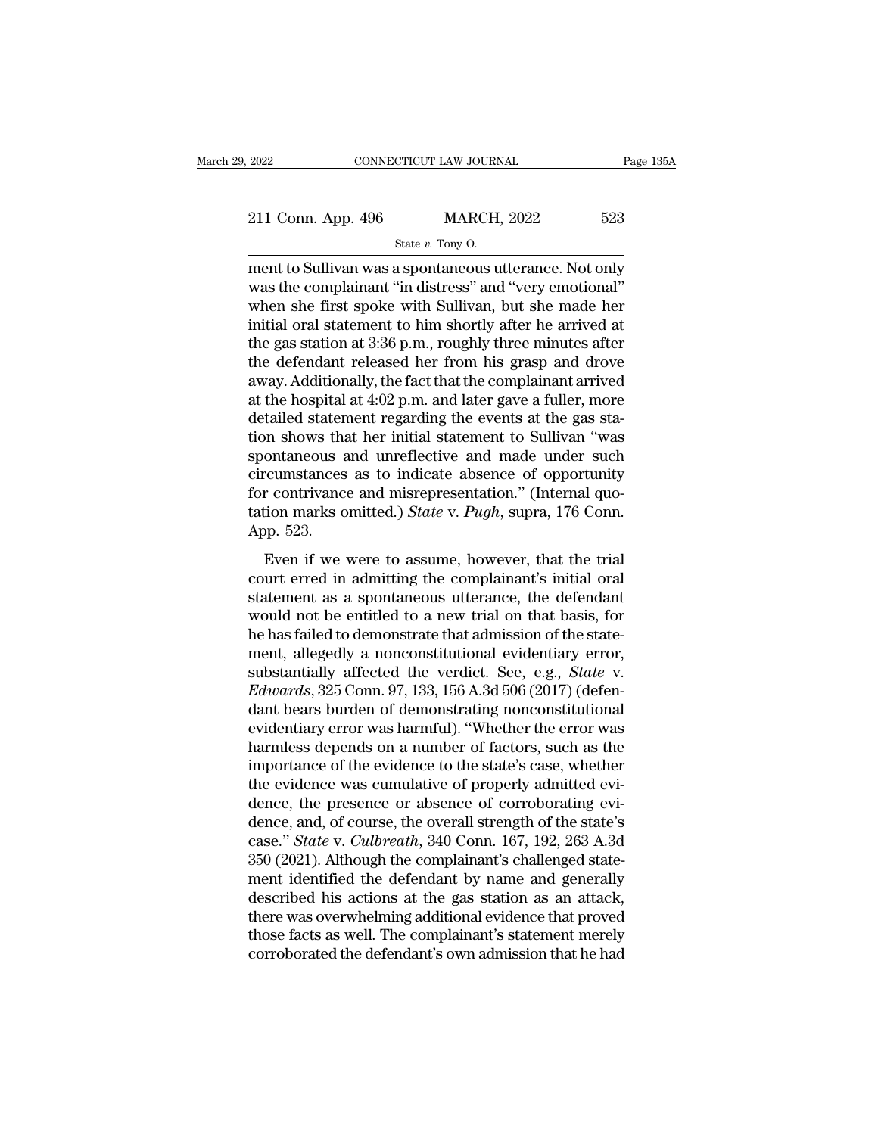| 523<br><b>MARCH, 2022</b><br>211 Conn. App. 496 |           |  |
|-------------------------------------------------|-----------|--|
|                                                 |           |  |
| 2022<br>CONNECTICUT LAW JOURNAL                 | Page 135A |  |

2022 CONNECTICUT LAW JOURNAL Page 135A<br>
211 Conn. App. 496 MARCH, 2022 523<br>  $\frac{\text{State } v. \text{ Tony 0.}}{\text{State } v. \text{ Tony 0.}}$ <br>
ment to Sullivan was a spontaneous utterance. Not only<br>
was the complainant "in distress" and "very emotional 211 Conn. App. 496 MARCH, 2022 523<br>
State v. Tony O.<br>
Then to Sullivan was a spontaneous utterance. Not only<br>
was the complainant "in distress" and "very emotional"<br>
when she first spoke with Sullivan, but she made her<br>
i 211 Conn. App. 496 MARCH, 2022 523<br>
State v. Tony O.<br>
Then she first spoke with Sullivan, but she made her initial oral statement to him shortly after he arrived at the ges station of  $3.36$  p.m. roughly three minutes aft 211 Conn. App. 496 MARCH, 2022 523<br>
State v. Tony O.<br>
Then to Sullivan was a spontaneous utterance. Not only<br>
was the complainant "in distress" and "very emotional"<br>
when she first spoke with Sullivan, but she made her<br>
i State v. Tony O.<br>
State v. Tony O.<br>
ment to Sullivan was a spontaneous utterance. Not only<br>
was the complainant "in distress" and "very emotional"<br>
when she first spoke with Sullivan, but she made her<br>
initial oral statem state v. Tony O.<br>
ment to Sullivan was a spontaneous utterance. Not only<br>
was the complainant "in distress" and "very emotional"<br>
when she first spoke with Sullivan, but she made her<br>
initial oral statement to him shortly ment to Sullivan was a spontaneous utterance. Not only<br>was the complainant "in distress" and "very emotional"<br>when she first spoke with Sullivan, but she made her<br>initial oral statement to him shortly after he arrived at<br>t was the complainant "in distress" and "very emotional"<br>when she first spoke with Sullivan, but she made her<br>initial oral statement to him shortly after he arrived at<br>the gas station at 3:36 p.m., roughly three minutes afte when she first spoke with Sullivan, but she made her<br>initial oral statement to him shortly after he arrived at<br>the gas station at  $3:36$  p.m., roughly three minutes after<br>the defendant released her from his grasp and drov initial oral statement to him shortly after he arrived at<br>the gas station at 3:36 p.m., roughly three minutes after<br>the defendant released her from his grasp and drove<br>away. Additionally, the fact that the complainant arri the gas station at 3:36 p.m., roughly three minutes after<br>the defendant released her from his grasp and drove<br>away. Additionally, the fact that the complainant arrived<br>at the hospital at 4:02 p.m. and later gave a fuller, the defendant released her from his grasp and drove<br>away. Additionally, the fact that the complainant arrived<br>at the hospital at 4:02 p.m. and later gave a fuller, more<br>detailed statement regarding the events at the gas s away. Additionally, the fact that the complainant arrived<br>at the hospital at 4:02 p.m. and later gave a fuller, more<br>detailed statement regarding the events at the gas sta-<br>tion shows that her initial statement to Sulliva at the hospital at 4:02 p.m. and later gave a fuller, more<br>detailed statement regarding the events at the gas sta-<br>tion shows that her initial statement to Sullivan "was<br>spontaneous and unreflective and made under such<br>cir detailed staten<br>tion shows that<br>spontaneous a<br>circumstances<br>for contrivance<br>tation marks o<br>App. 523.<br>Even if we In shows and their mada statement to standard mass<br>ontaneous and unreflective and made under such<br>reumstances as to indicate absence of opportunity<br>reproduction marks omitted.) State v. Pugh, supra, 176 Conn.<br>pp. 523.<br>Eve circumstances as to indicate absence of opportunity<br>for contrivance and misrepresentation." (Internal quo-<br>tation marks omitted.) *State* v. *Pugh*, supra, 176 Conn.<br>App. 523.<br>Even if we were to assume, however, that the

for contrivance and misrepresentation." (Internal quotation marks omitted.) *State v. Pugh*, supra, 176 Conn.<br>App. 523.<br>Even if we were to assume, however, that the trial<br>court erred in admitting the complainant's initial tation marks omitted.) *State v. Pugh*, supra, 176 Conn.<br>App. 523.<br>Even if we were to assume, however, that the trial<br>court erred in admitting the complainant's initial oral<br>statement as a spontaneous utterance, the defen App. 523.<br>
Even if we were to assume, however, that the trial<br>
court erred in admitting the complainant's initial oral<br>
statement as a spontaneous utterance, the defendant<br>
would not be entitled to a new trial on that bas Even if we were to assume, however, that the trial<br>court erred in admitting the complainant's initial oral<br>statement as a spontaneous utterance, the defendant<br>would not be entitled to a new trial on that basis, for<br>he has Even if we were to assume, however, that the trial<br>court erred in admitting the complainant's initial oral<br>statement as a spontaneous utterance, the defendant<br>would not be entitled to a new trial on that basis, for<br>he has court erred in admitting the complainant's initial oral statement as a spontaneous utterance, the defendant would not be entitled to a new trial on that basis, for he has failed to demonstrate that admission of the stateme statement as a spontaneous utterance, the defendant<br>would not be entitled to a new trial on that basis, for<br>he has failed to demonstrate that admission of the state-<br>ment, allegedly a nonconstitutional evidentiary error,<br>s would not be entitled to a new trial on that basis, for<br>he has failed to demonstrate that admission of the state-<br>ment, allegedly a nonconstitutional evidentiary error,<br>substantially affected the verdict. See, e.g., *State* he has failed to demonstrate that admission of the statement, allegedly a nonconstitutional evidentiary error, substantially affected the verdict. See, e.g., *State* v. *Edwards*, 325 Conn. 97, 133, 156 A.3d 506 (2017) (de ment, allegedly a nonconstitutional evidentiary error,<br>substantially affected the verdict. See, e.g., *State* v.<br>*Edwards*, 325 Conn. 97, 133, 156 A.3d 506 (2017) (defen-<br>dant bears burden of demonstrating nonconstitutiona substantially affected the verdict. See, e.g., *State* v.<br> *Edwards*, 325 Conn. 97, 133, 156 A.3d 506 (2017) (defen-<br>
dant bears burden of demonstrating nonconstitutional<br>
evidentiary error was harmful). "Whether the error Edwards, 325 Conn. 97, 133, 156 A.3d 506 (2017) (defendant bears burden of demonstrating nonconstitutional<br>evidentiary error was harmful). "Whether the error was<br>harmless depends on a number of factors, such as the<br>import dant bears burden of demonstrating nonconstitutional<br>evidentiary error was harmful). "Whether the error was<br>harmless depends on a number of factors, such as the<br>importance of the evidence to the state's case, whether<br>the e evidentiary error was harmful). "Whether the error was harmless depends on a number of factors, such as the importance of the evidence to the state's case, whether the evidence was cumulative of properly admitted evidence, harmless depends on a number of factors, such as the importance of the evidence to the state's case, whether the evidence was cumulative of properly admitted evidence, the presence or absence of corroborating evidence, and importance of the evidence to the state's case, whether<br>the evidence was cumulative of properly admitted evi-<br>dence, the presence or absence of corroborating evi-<br>dence, and, of course, the overall strength of the state's<br> the evidence was cumulative of properly admitted evidence, the presence or absence of corroborating evidence, and, of course, the overall strength of the state's case." *State* v. *Culbreath*, 340 Conn. 167, 192, 263 A.3d dence, the presence or absence of corroborating evidence, and, of course, the overall strength of the state's case." *State* v. *Culbreath*, 340 Conn. 167, 192, 263 A.3d 350 (2021). Although the complainant's challenged st dence, and, of course, the overall strength of the state's<br>case." *State* v. *Culbreath*, 340 Conn. 167, 192, 263 A.3d<br>350 (2021). Although the complainant's challenged state-<br>ment identified the defendant by name and gene case." *State* v. *Culbreath*, 340 Conn. 167, 192, 263 A.3d 350 (2021). Although the complainant's challenged statement identified the defendant by name and generally described his actions at the gas station as an attack,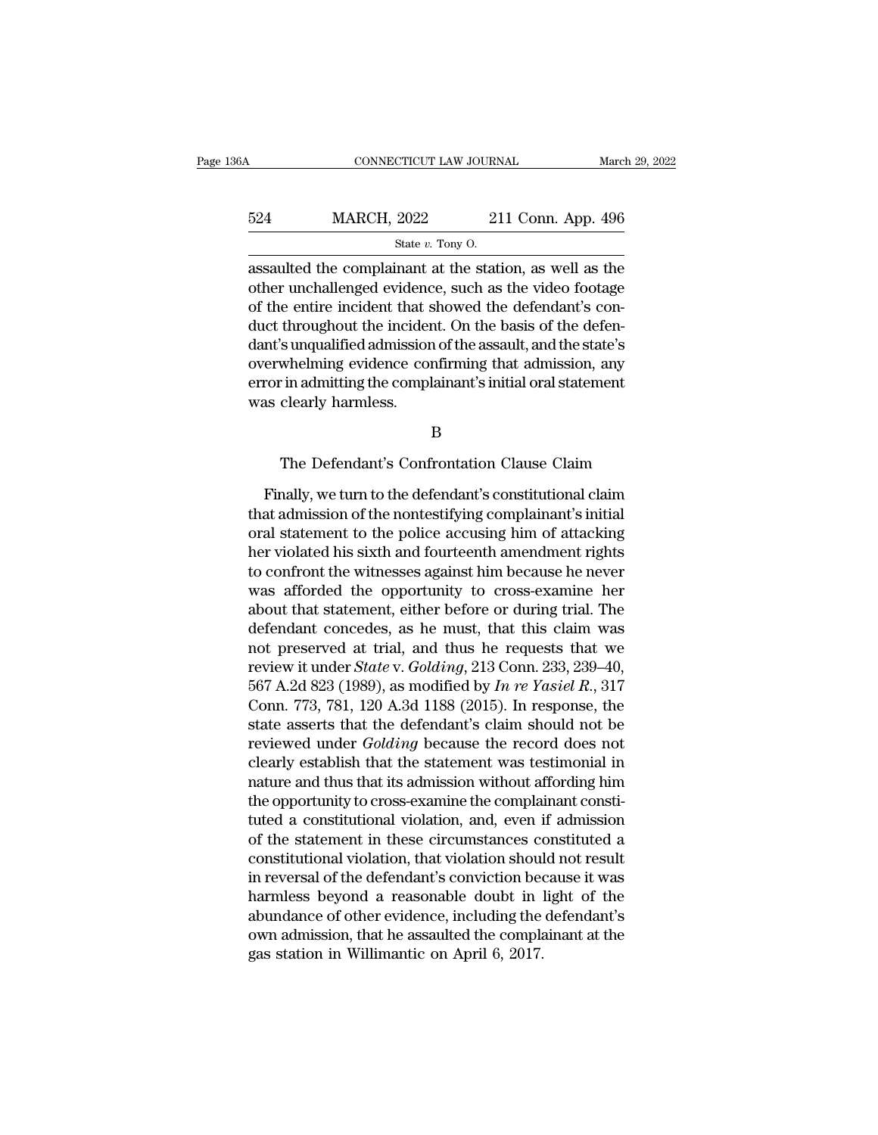| 86A | CONNECTICUT LAW JOURNAL                                                                                                                                                      |                    | March 29, 2022 |
|-----|------------------------------------------------------------------------------------------------------------------------------------------------------------------------------|--------------------|----------------|
| 524 | <b>MARCH, 2022</b>                                                                                                                                                           | 211 Conn. App. 496 |                |
|     | State $v$ . Tony O.                                                                                                                                                          |                    |                |
|     | assaulted the complainant at the station, as well as the<br>other unchallenged evidence, such as the video footage<br>of the entire incident that chound the defendant's can |                    |                |

524 MARCH, 2022 211 Conn. App. 496<br>
State v. Tony O.<br>
assaulted the complainant at the station, as well as the other unchallenged evidence, such as the video footage<br>
of the entire incident that showed the defendant's con 524 MARCH, 2022 211 Conn. App. 496<br>
State v. Tony O.<br>
assaulted the complainant at the station, as well as the other unchallenged evidence, such as the video footage<br>
of the entire incident that showed the defendant's con MARCH,  $2022$  211 Conn. App. 496<br>  $\frac{\text{State } v. \text{ Tony O.}}{\text{base}}$ <br>
assaulted the complainant at the station, as well as the<br>
other unchallenged evidence, such as the video footage<br>
of the entire incident that showed the defendant State  $v$ . Tony O.<br>
assaulted the complainant at the station, as well as the<br>
other unchallenged evidence, such as the video footage<br>
of the entire incident that showed the defendant's con-<br>
duct throughout the incident. state  $v$ . Folly O.<br>
assaulted the complainant at the station, as well as the<br>
other unchallenged evidence, such as the video footage<br>
of the entire incident that showed the defendant's con-<br>
duct throughout the incident. assaulted the complainant at the station, as well as the other unchallenged evidence, such as the video footage of the entire incident that showed the defendant's conduct throughout the incident. On the basis of the defend other unchallenged evidenc<br>of the entire incident that s<br>duct throughout the incider<br>dant's unqualified admissior<br>overwhelming evidence con<br>error in admitting the compl<br>was clearly harmless. s unqualitied admission of the assault, and the state s<br>whelming evidence confirming that admission, any<br>in admitting the complainant's initial oral statement<br>clearly harmless.<br>B<br>The Defendant's Confrontation Clause Claim<br>

B

Frame and the complainant's initial oral statement<br>
as clearly harmless.<br>
B<br>
The Defendant's Confrontation Clause Claim<br>
Finally, we turn to the defendant's constitutional claim<br>
at admission of the nontestifying complaina B<br>B<br>The Defendant's Confrontation Clause Claim<br>Finally, we turn to the defendant's constitutional claim<br>that admission of the nontestifying complainant's initial<br>oral statement to the police accusing him of attacking<br>her v B<br>
The Defendant's Confrontation Clause Claim<br>
Finally, we turn to the defendant's constitutional claim<br>
that admission of the nontestifying complainant's initial<br>
oral statement to the police accusing him of attacking<br>
he her violated his sixth and fourteenth amendment and fourth and fourth and fourth and fourth amendment rights to confront the witnesses against him because he never was afforded the amendment rights was afforded the amendme The Defendant's Confrontation Clause Claim<br>Finally, we turn to the defendant's constitutional claim<br>that admission of the nontestifying complainant's initial<br>oral statement to the police accusing him of attacking<br>her viola Finally, we turn to the defendant's constitutional claim<br>that admission of the nontestifying complainant's initial<br>oral statement to the police accusing him of attacking<br>her violated his sixth and fourteenth amendment righ Finally, we turn to the defendant's constitutional claim<br>that admission of the nontestifying complainant's initial<br>oral statement to the police accusing him of attacking<br>her violated his sixth and fourteenth amendment righ that admission of the nontestifying complainant's initial<br>oral statement to the police accusing him of attacking<br>her violated his sixth and fourteenth amendment rights<br>to confront the witnesses against him because he never oral statement to the police accusing him of attacking<br>her violated his sixth and fourteenth amendment rights<br>to confront the witnesses against him because he never<br>was afforded the opportunity to cross-examine her<br>about her violated his sixth and fourteenth amendment rights<br>to confront the witnesses against him because he never<br>was afforded the opportunity to cross-examine her<br>about that statement, either before or during trial. The<br>defen to confront the witnesses against him because he never<br>was afforded the opportunity to cross-examine her<br>about that statement, either before or during trial. The<br>defendant concedes, as he must, that this claim was<br>not pres was afforded the opportunity to cross-examine her<br>about that statement, either before or during trial. The<br>defendant concedes, as he must, that this claim was<br>not preserved at trial, and thus he requests that we<br>review it about that statement, either before or during trial. The<br>defendant concedes, as he must, that this claim was<br>not preserved at trial, and thus he requests that we<br>review it under *State* v. *Golding*, 213 Conn. 233, 239–40 defendant concedes, as he must, that this claim was<br>not preserved at trial, and thus he requests that we<br>review it under *State* v. *Golding*, 213 Conn. 233, 239–40,<br>567 A.2d 823 (1989), as modified by *In re Yasiel R.*, 3 not preserved at trial, and thus he requests that we<br>review it under *State* v. *Golding*, 213 Conn. 233, 239–40,<br>567 A.2d 823 (1989), as modified by *In re Yasiel R.*, 317<br>Conn. 773, 781, 120 A.3d 1188 (2015). In respons review it under *State* v. *Golding*, 213 Conn. 233, 239–40,<br>567 A.2d 823 (1989), as modified by *In re Yasiel R.*, 317<br>Conn. 773, 781, 120 A.3d 1188 (2015). In response, the<br>state asserts that the defendant's claim shoul 567 A.2d 823 (1989), as modified by *In re Yasiel R.*, 317 Conn. 773, 781, 120 A.3d 1188 (2015). In response, the state asserts that the defendant's claim should not be reviewed under *Golding* because the record does not Conn. 773, 781, 120 A.3d 1188 (2015). In response, the<br>state asserts that the defendant's claim should not be<br>reviewed under *Golding* because the record does not<br>clearly establish that the statement was testimonial in<br>nat state asserts that the defendant's claim should not be<br>reviewed under *Golding* because the record does not<br>clearly establish that the statement was testimonial in<br>nature and thus that its admission without affording him<br>t reviewed under *Golding* because the record does not<br>clearly establish that the statement was testimonial in<br>nature and thus that its admission without affording him<br>the opportunity to cross-examine the complainant consticlearly establish that the statement was testimonial in<br>nature and thus that its admission without affording him<br>the opportunity to cross-examine the complainant consti-<br>tuted a constitutional violation, and, even if admis nature and thus that its admission without affording him<br>the opportunity to cross-examine the complainant consti-<br>tuted a constitutional violation, and, even if admission<br>of the statement in these circumstances constituted the opportunity to cross-examine the complainant constituted a constitutional violation, and, even if admission<br>of the statement in these circumstances constituted a<br>constitutional violation, that violation should not res tuted a constitutional violation, and, even if admission<br>of the statement in these circumstances constituted a<br>constitutional violation, that violation should not result<br>in reversal of the defendant's conviction because it of the statement in these circumstances constitutional violation, that violation shoul<br>in reversal of the defendant's conviction bee<br>harmless beyond a reasonable doubt in l<br>abundance of other evidence, including the<br>own ad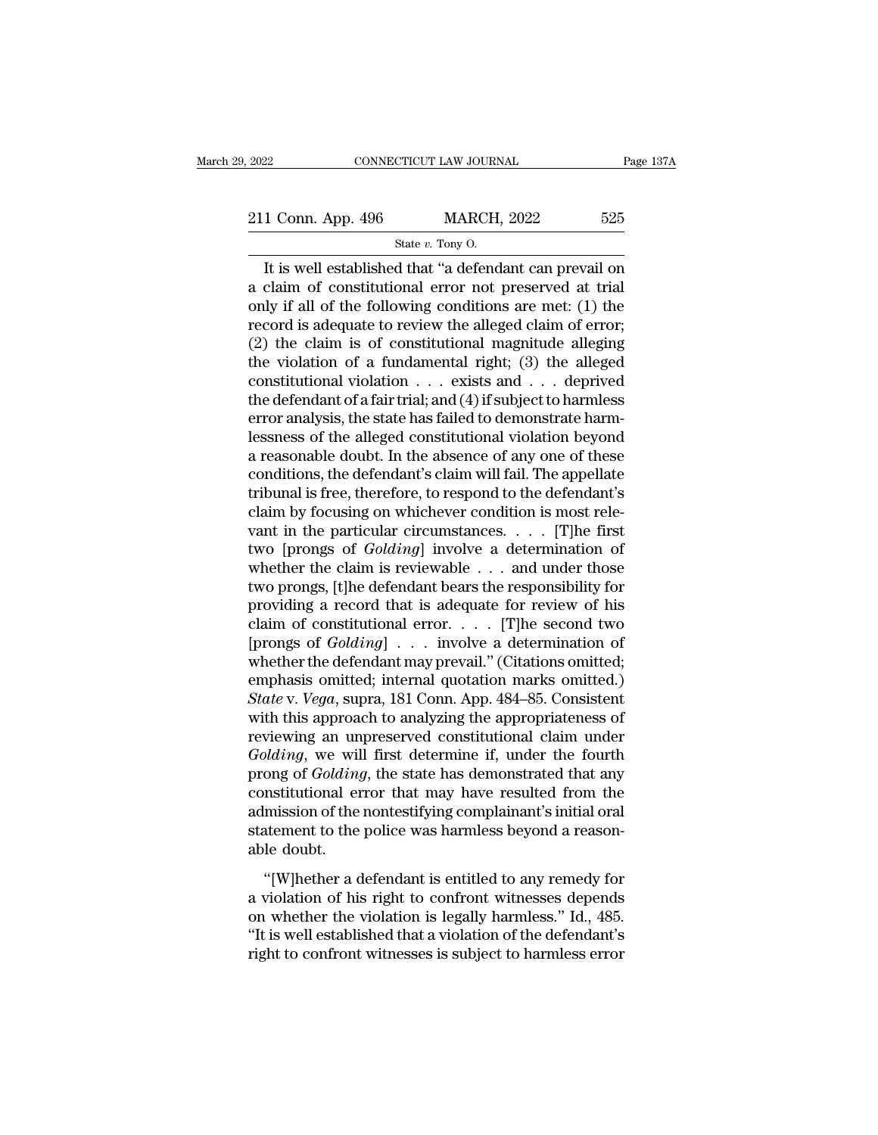CONNECTICUT LAW JOURNAL Page 137A<br>
1 Conn. App. 496 MARCH, 2022 525<br>
State v. Tony 0.<br>
It is well established that "a defendant can prevail on<br>
claim of constitutional error not preserved at trial<br>
lu if all of the followi 211 Conn. App. 496 MARCH, 2022 525<br>
State v. Tony O.<br>
It is well established that "a defendant can prevail on<br>
a claim of constitutional error not preserved at trial<br>
only if all of the following conditions are met: (1) t 211 Conn. App. 496 MARCH, 2022 525<br>
State v. Tony O.<br>
It is well established that "a defendant can prevail on<br>
a claim of constitutional error not preserved at trial<br>
only if all of the following conditions are met: (1) t 211 Conn. App. 496 MARCH, 2022 525<br>
State v. Tony O.<br>
It is well established that "a defendant can prevail on<br>
a claim of constitutional error not preserved at trial<br>
only if all of the following conditions are met: (1) t State v. Tony O.<br>
It is well established that "a defendant can prevail on<br>
a claim of constitutional error not preserved at trial<br>
only if all of the following conditions are met: (1) the<br>
record is adequate to review the state v. Tony 0.<br>It is well established that "a defendant can prevail on<br>a claim of constitutional error not preserved at trial<br>only if all of the following conditions are met: (1) the<br>record is adequate to review the all It is well established that "a defendant can prevail on<br>a claim of constitutional error not preserved at trial<br>only if all of the following conditions are met: (1) the<br>record is adequate to review the alleged claim of err a claim of constitutional error not preserved at trial<br>only if all of the following conditions are met: (1) the<br>record is adequate to review the alleged claim of error;<br>(2) the claim is of constitutional magnitude allegin only if all of the following conditions are met: (1) the record is adequate to review the alleged claim of error; (2) the claim is of constitutional magnitude alleging the violation of a fundamental right; (3) the alleged record is adequate to review the alleged claim of error;<br>(2) the claim is of constitutional magnitude alleging<br>the violation of a fundamental right; (3) the alleged<br>constitutional violation  $\dots$  exists and  $\dots$  deprived<br>t (2) the claim is of constitutional magnitude alleging<br>the violation of a fundamental right; (3) the alleged<br>constitutional violation  $\ldots$  exists and  $\ldots$  deprived<br>the defendant of a fair trial; and (4) if subject to har the violation of a fundamental right; (3) the alleged<br>constitutional violation  $\ldots$  exists and  $\ldots$  deprived<br>the defendant of a fair trial; and (4) if subject to harmless<br>error analysis, the state has failed to demonstr constitutional violation  $\ldots$  exists and  $\ldots$  deprived<br>the defendant of a fair trial; and (4) if subject to harmless<br>error analysis, the state has failed to demonstrate harm-<br>lessness of the alleged constitutional viola the defendant of a fair trial; and (4) if subject to harmless<br>error analysis, the state has failed to demonstrate harm-<br>lessness of the alleged constitutional violation beyond<br>a reasonable doubt. In the absence of any one error analysis, the state has failed to demonstrate harm-<br>lessness of the alleged constitutional violation beyond<br>a reasonable doubt. In the absence of any one of these<br>conditions, the defendant's claim will fail. The app lessness of the alleged constitutional violation beyond<br>a reasonable doubt. In the absence of any one of these<br>conditions, the defendant's claim will fail. The appellate<br>tribunal is free, therefore, to respond to the defen a reasonable doubt. In the absence of any one of these<br>conditions, the defendant's claim will fail. The appellate<br>tribunal is free, therefore, to respond to the defendant's<br>claim by focusing on whichever condition is most conditions, the defendant's claim will fail. The appellate<br>tribunal is free, therefore, to respond to the defendant's<br>claim by focusing on whichever condition is most rele-<br>vant in the particular circumstances. . . . . [T tribunal is free, therefore, to respond to the defendant's<br>claim by focusing on whichever condition is most rele-<br>vant in the particular circumstances. . . . . [T]he first<br>two [prongs of *Golding*] involve a determination claim by focusing on whichever condition is most relevant in the particular circumstances. . . . . [T]he first two [prongs of *Golding*] involve a determination of whether the claim is reviewable . . . and under those two want in the particular circumstances. . . . . [T]he first<br>two [prongs of *Golding*] involve a determination of<br>whether the claim is reviewable . . . and under those<br>two prongs, [t]he defendant bears the responsibility for two [prongs of *Golding*] involve a determination of<br>whether the claim is reviewable . . . and under those<br>two prongs, [t]he defendant bears the responsibility for<br>providing a record that is adequate for review of his<br>cla whether the claim is reviewable . . . and under those<br>two prongs, [t]he defendant bears the responsibility for<br>providing a record that is adequate for review of his<br>claim of constitutional error. . . . [T]he second two<br>[p *State* providing a record that is adequate for review of his claim of constitutional error. . . . . [T]he second two [prongs of *Golding*] . . . involve a determination of whether the defendant may prevail." (Citations om providing a record that is adequate for review of his<br>claim of constitutional error. . . . [T]he second two<br>[prongs of  $Golding$ ] . . . involve a determination of<br>whether the defendant may prevail." (Citations omitted;<br>emphasi claim of constitutional error. . . . . [T]he second two<br>[prongs of  $Golding$ ] . . . involve a determination of<br>whether the defendant may prevail." (Citations omitted;<br>emphasis omitted; internal quotation marks omitted.)<br> $State$  v. [prongs of *Golding*] . . . involve a determination of<br>whether the defendant may prevail." (Citations omitted;<br>emphasis omitted; internal quotation marks omitted.)<br>*State* v. *Vega*, supra, 181 Conn. App. 484–85. Consisten whether the defendant may prevail." (Citations omitted;<br>emphasis omitted; internal quotation marks omitted.)<br>*State* v. *Vega*, supra, 181 Conn. App. 484–85. Consistent<br>with this approach to analyzing the appropriateness o emphasis omitted; internal quotation marks omitted.)<br> *State* v. *Vega*, supra, 181 Conn. App. 484–85. Consistent<br>
with this approach to analyzing the appropriateness of<br>
reviewing an unpreserved constitutional claim under State v. Vega, supra, 181 Conn. App. 484–85. Consistent<br>with this approach to analyzing the appropriateness of<br>reviewing an unpreserved constitutional claim under<br>Golding, we will first determine if, under the fourth<br>prong with this approach to analyzing the appropriateness of<br>reviewing an unpreserved constitutional claim under<br>Golding, we will first determine if, under the fourth<br>prong of Golding, the state has demonstrated that any<br>constit reviewing an un<br>*Golding*, we wil<br>prong of *Golding*<br>constitutional er<br>admission of the<br>statement to the<br>able doubt.<br>"[W]hether a c  $\frac{1}{2}$  and  $\frac{1}{2}$  and  $\frac{1}{2}$  and  $\frac{1}{2}$  and  $\frac{1}{2}$  and  $\frac{1}{2}$  and  $\frac{1}{2}$  and  $\frac{1}{2}$  and  $\frac{1}{2}$  and  $\frac{1}{2}$  and  $\frac{1}{2}$  and  $\frac{1}{2}$  are resulted from the mission of the nontestifying compla prong or a stating, are state has demonstrated that any<br>constitutional error that may have resulted from the<br>admission of the nontestifying complainant's initial oral<br>statement to the police was harmless beyond a reason-<br>a

on admission of the nontestifying complainant's initial oral<br>admission of the nontestifying complainant's initial oral<br>statement to the police was harmless beyond a reason-<br>able doubt.<br>"[W]hether a defendant is entitled to Examples of the holice was harmless beyond a reasonable doubt.<br>
"[W]hether a defendant is entitled to any remedy for<br>
a violation of his right to confront witnesses depends<br>
on whether the violation is legally harmless." I able doubt.<br>
"[W]hether a defendant is entitled to any remedy for<br>
a violation of his right to confront witnesses depends<br>
on whether the violation is legally harmless." Id., 485.<br>
"It is well established that a violation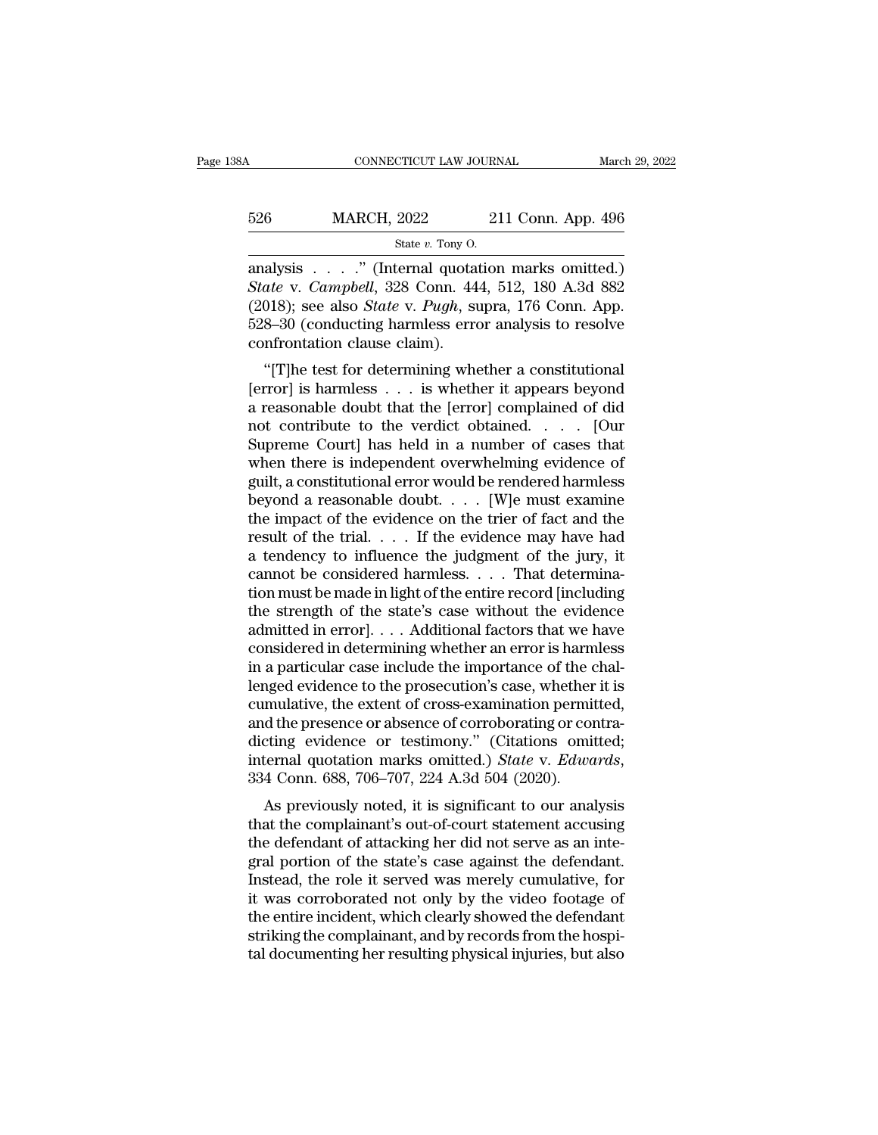# <sup>526</sup> MARCH, 2022 211 Conn. App. 496 CONNECTICUT LAW JOURNAL March March 1996<br>
State *v.* Tony O.<br>
State *v.* Tony O.<br>
analysis . . . . . " (Internal quotation marks omitted.)

CONNECTICUT LAW JOURNAL March 29, 2022<br>
526 MARCH, 2022 211 Conn. App. 496<br>
526 MARCH, 2022 211 Conn. App. 496<br>
526 MARCH, 2022 211 Conn. App. 496<br>
526 State v. Campbell, 328 Conn. 444, 512, 180 A.3d 882<br>
526 V. Campbell, *S26* **MARCH**, 2022 211 Conn. App. 496<br> *State v. Tony 0.*<br> **Analysis** . . . . " (Internal quotation marks omitted.)<br> *State* v. *Campbell*, 328 Conn. 444, 512, 180 A.3d 882<br>
(2018); see also *State* v. *Pugh*, supra, 176 MARCH, 2022 211 Conn. App. 496<br>
State v. Tony 0.<br>
analysis . . . . " (Internal quotation marks omitted.)<br>
State v. *Campbell*, 328 Conn. 444, 512, 180 A.3d 882<br>
(2018); see also *State* v. *Pugh*, supra, 176 Conn. App.<br>
52 526 MARCH, 2022 211 Conn. App. 496<br>  $\frac{\text{State } v. \text{ Tony O.}}{\text{andysis } \dots \dots}$  (Internal quotation marks omitted.)<br> *State* v. *Campbell*, 328 Conn. 444, 512, 180 A.3d 882<br>
(2018); see also *State* v. *Pugh*, supra, 176 Conn. App.<br>
52 526 MARCH, 2022 211 Conn. App. 496<br>
state v. Tony O.<br>
analysis . . . . ." (Internal quotation marks omitted.)<br> *State* v. *Campbell*, 328 Conn. 444, 512, 180 A.3d 882<br>
(2018); see also *State* v. *Pugh*, supra, 176 Conn. alysis . . . . ." (Internal quotation marks omitted.)<br>
ate v. Campbell, 328 Conn. 444, 512, 180 A.3d 882<br>
018); see also *State* v. *Pugh*, supra, 176 Conn. App.<br>
8–30 (conducting harmless error analysis to resolve<br>
nfron state v. *Campbell*, 328 Conn. 444, 512, 180 A.3d 882 (2018); see also *State* v. *Pugh*, supra, 176 Conn. App. 528–30 (conducting harmless error analysis to resolve confrontation clause claim).<br>"[T]he test for determinin

state v. Campoea, 328 Conti. 444, 312, 160 A.5d 862<br>(2018); see also *State* v. *Pugh*, supra, 176 Conn. App.<br>528–30 (conducting harmless error analysis to resolve<br>confrontation clause claim).<br>"[T]he test for determining (2018), see also *state v. Fugh*, supra, 170 Conn. App.<br>528–30 (conducting harmless error analysis to resolve<br>confrontation clause claim).<br>"[T]he test for determining whether a constitutional<br>[error] is harmless . . . is  $SL_2$ –50 (conducting nariness error analysis to resolve<br>confrontation clause claim).<br>"[T]he test for determining whether a constitutional<br>[error] is harmless . . . is whether it appears beyond<br>a reasonable doubt that the "[T]he test for determining whether a constitutional<br>[error] is harmless  $\dots$  is whether it appears beyond<br>a reasonable doubt that the [error] complained of did<br>not contribute to the verdict obtained.  $\dots$  [Our<br>Supreme Co "[T]he test for determining whether a constitutional<br>[error] is harmless . . . is whether it appears beyond<br>a reasonable doubt that the [error] complained of did<br>not contribute to the verdict obtained. . . . . [Our<br>Suprem [error] is harmless . . . is whether it appears beyond<br>a reasonable doubt that the [error] complained of did<br>not contribute to the verdict obtained. . . . . [Our<br>Supreme Court] has held in a number of cases that<br>when ther a reasonable doubt that the [error] complained of did<br>not contribute to the verdict obtained. . . . . [Our<br>Supreme Court] has held in a number of cases that<br>when there is independent overwhelming evidence of<br>guilt, a cons not contribute to the verdict obtained. . . . . [Our<br>Supreme Court] has held in a number of cases that<br>when there is independent overwhelming evidence of<br>guilt, a constitutional error would be rendered harmless<br>beyond a r Supreme Court] has held in a number of cases that<br>when there is independent overwhelming evidence of<br>guilt, a constitutional error would be rendered harmless<br>beyond a reasonable doubt. . . . [W]e must examine<br>the impact o when there is independent overwhelming evidence of guilt, a constitutional error would be rendered harmless<br>beyond a reasonable doubt. . . . [W]e must examine<br>the impact of the evidence on the trier of fact and the<br>result guilt, a constitutional error would be rendered harmless<br>beyond a reasonable doubt. . . . [W]e must examine<br>the impact of the evidence on the trier of fact and the<br>result of the trial. . . . If the evidence may have had<br>a beyond a reasonable doubt. . . . . [W]e must examine<br>the impact of the evidence on the trier of fact and the<br>result of the trial. . . . If the evidence may have had<br>a tendency to influence the judgment of the jury, it<br>can the impact of the evidence on the trier of fact and the<br>result of the trial. . . . If the evidence may have had<br>a tendency to influence the judgment of the jury, it<br>cannot be considered harmless. . . . That determina-<br>tio result of the trial. . . . If the evidence may have had<br>a tendency to influence the judgment of the jury, it<br>cannot be considered harmless. . . . That determina-<br>tion must be made in light of the entire record [including<br> a tendency to influence the judgment of the jury, it<br>cannot be considered harmless. . . . That determina-<br>tion must be made in light of the entire record [including<br>the strength of the state's case without the evidence<br>ad cannot be considered harmless. . . . . That determination must be made in light of the entire record [including the strength of the state's case without the evidence admitted in error]. . . . Additional factors that we ha tion must be made in light of the entire record [including<br>the strength of the state's case without the evidence<br>admitted in error]. . . . Additional factors that we have<br>considered in determining whether an error is harml the strength of the state's case without the evidence<br>admitted in error].... Additional factors that we have<br>considered in determining whether an error is harmless<br>in a particular case include the importance of the chal-<br> admitted in error]. . . . Additional factors that we have<br>considered in determining whether an error is harmless<br>in a particular case include the importance of the chal-<br>lenged evidence to the prosecution's case, whether considered in determining whether an error is harmless<br>in a particular case include the importance of the chal-<br>lenged evidence to the prosecution's case, whether it is<br>cumulative, the extent of cross-examination permitted regea evidence to the prosecution's case, whether it is<br>mulative, the extent of cross-examination permitted,<br>d the presence or absence of corroborating or contra-<br>cting evidence or testimony." (Citations omitted;<br>ternal qu culturality, the extent of cross-examination permitted,<br>and the presence or absence of corroborating or contra-<br>dicting evidence or testimony." (Citations omitted;<br>internal quotation marks omitted.) *State* v. *Edwards*,<br>3

and the presence or absence or corroborating or contra-<br>dicting evidence or testimony." (Citations omitted;<br>internal quotation marks omitted.) *State v. Edwards*,<br>334 Conn. 688, 706–707, 224 A.3d 504 (2020).<br>As previously internal quotation marks omitted.) State v. Edwards,<br>334 Conn. 688, 706–707, 224 A.3d 504 (2020).<br>As previously noted, it is significant to our analysis<br>that the complainant's out-of-court statement accusing<br>the defendant Internal quotation marks omitted.) *State v. Edwards*,<br>334 Conn. 688, 706–707, 224 A.3d 504 (2020).<br>As previously noted, it is significant to our analysis<br>that the complainant's out-of-court statement accusing<br>the defendan 354 Com. 666, 700–707, 224 A.5d 304 (2020).<br>
As previously noted, it is significant to our analysis<br>
that the complainant's out-of-court statement accusing<br>
the defendant of attacking her did not serve as an inte-<br>
grad p As previously noted, it is significant to our analysis<br>that the complainant's out-of-court statement accusing<br>the defendant of attacking her did not serve as an inte-<br>gral portion of the state's case against the defendant. that the complainant's out-of-court statement accusing<br>the defendant of attacking her did not serve as an inte-<br>gral portion of the state's case against the defendant.<br>Instead, the role it served was merely cumulative, for the defendant of attacking her did not serve as an integral portion of the state's case against the defendant.<br>Instead, the role it served was merely cumulative, for<br>it was corroborated not only by the video footage of<br>the